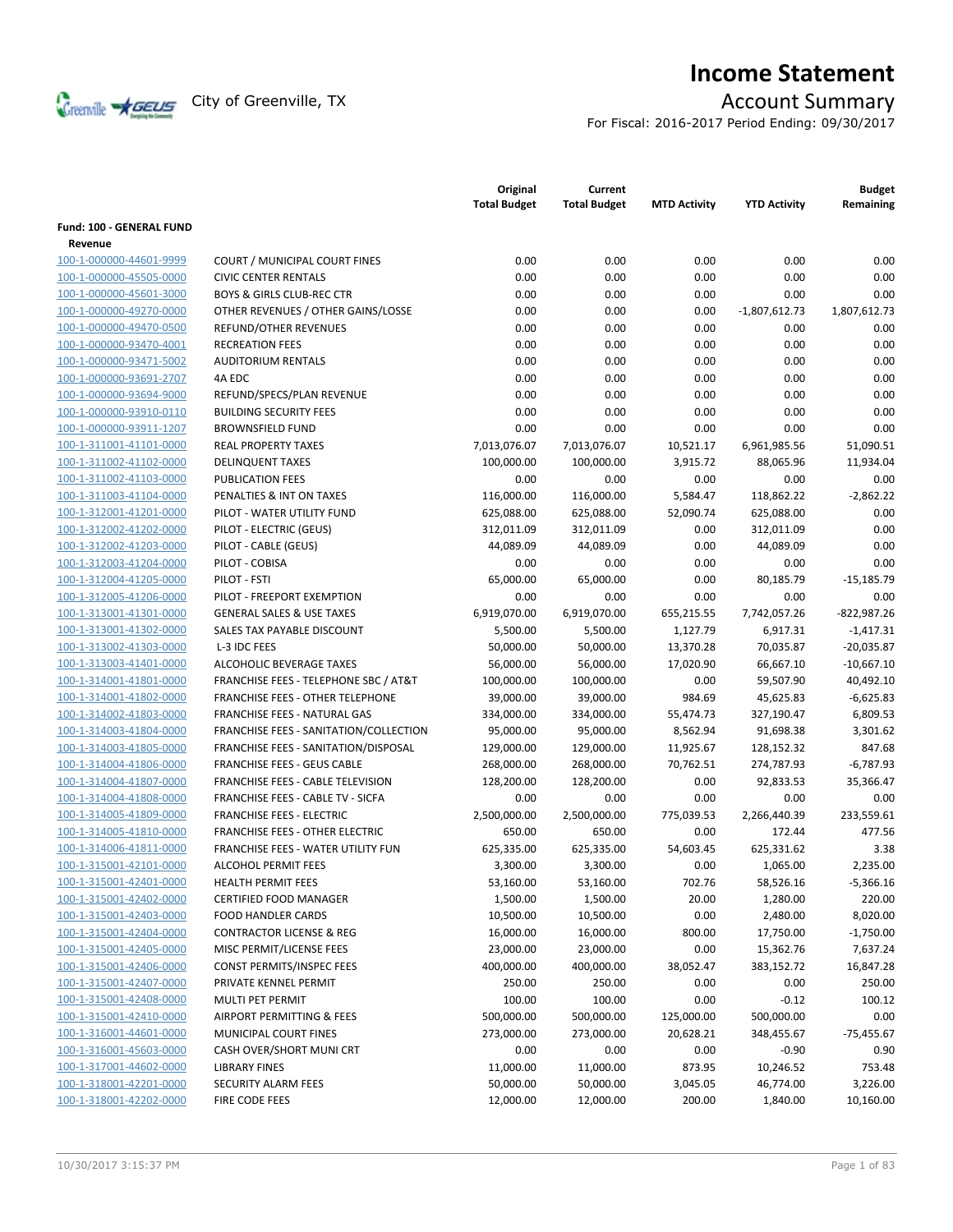

# **Income Statement**

For Fiscal: 2016-2017 Period Ending: 09/30/2017

|                          |                                         | Original<br><b>Total Budget</b> | Current<br><b>Total Budget</b> | <b>MTD Activity</b> | <b>YTD Activity</b> | <b>Budget</b><br>Remaining |
|--------------------------|-----------------------------------------|---------------------------------|--------------------------------|---------------------|---------------------|----------------------------|
| Fund: 100 - GENERAL FUND |                                         |                                 |                                |                     |                     |                            |
| Revenue                  |                                         |                                 |                                |                     |                     |                            |
| 100-1-000000-44601-9999  | <b>COURT / MUNICIPAL COURT FINES</b>    | 0.00                            | 0.00                           | 0.00                | 0.00                | 0.00                       |
| 100-1-000000-45505-0000  | <b>CIVIC CENTER RENTALS</b>             | 0.00                            | 0.00                           | 0.00                | 0.00                | 0.00                       |
| 100-1-000000-45601-3000  | <b>BOYS &amp; GIRLS CLUB-REC CTR</b>    | 0.00                            | 0.00                           | 0.00                | 0.00                | 0.00                       |
| 100-1-000000-49270-0000  | OTHER REVENUES / OTHER GAINS/LOSSE      | 0.00                            | 0.00                           | 0.00                | $-1,807,612.73$     | 1,807,612.73               |
| 100-1-000000-49470-0500  | REFUND/OTHER REVENUES                   | 0.00                            | 0.00                           | 0.00                | 0.00                | 0.00                       |
| 100-1-000000-93470-4001  | <b>RECREATION FEES</b>                  | 0.00                            | 0.00                           | 0.00                | 0.00                | 0.00                       |
| 100-1-000000-93471-5002  | <b>AUDITORIUM RENTALS</b>               | 0.00                            | 0.00                           | 0.00                | 0.00                | 0.00                       |
| 100-1-000000-93691-2707  | 4A EDC                                  | 0.00                            | 0.00                           | 0.00                | 0.00                | 0.00                       |
| 100-1-000000-93694-9000  | REFUND/SPECS/PLAN REVENUE               | 0.00                            | 0.00                           | 0.00                | 0.00                | 0.00                       |
| 100-1-000000-93910-0110  | <b>BUILDING SECURITY FEES</b>           | 0.00                            | 0.00                           | 0.00                | 0.00                | 0.00                       |
| 100-1-000000-93911-1207  | <b>BROWNSFIELD FUND</b>                 | 0.00                            | 0.00                           | 0.00                | 0.00                | 0.00                       |
| 100-1-311001-41101-0000  | <b>REAL PROPERTY TAXES</b>              | 7,013,076.07                    | 7,013,076.07                   | 10,521.17           | 6,961,985.56        | 51,090.51                  |
| 100-1-311002-41102-0000  | <b>DELINQUENT TAXES</b>                 | 100,000.00                      | 100,000.00                     | 3,915.72            | 88,065.96           | 11,934.04                  |
| 100-1-311002-41103-0000  | <b>PUBLICATION FEES</b>                 | 0.00                            | 0.00                           | 0.00                | 0.00                | 0.00                       |
| 100-1-311003-41104-0000  | PENALTIES & INT ON TAXES                | 116,000.00                      | 116,000.00                     | 5,584.47            | 118,862.22          | $-2,862.22$                |
| 100-1-312001-41201-0000  | PILOT - WATER UTILITY FUND              | 625,088.00                      | 625,088.00                     | 52,090.74           | 625,088.00          | 0.00                       |
| 100-1-312002-41202-0000  | PILOT - ELECTRIC (GEUS)                 | 312,011.09                      | 312,011.09                     | 0.00                | 312,011.09          | 0.00                       |
| 100-1-312002-41203-0000  | PILOT - CABLE (GEUS)                    | 44,089.09                       | 44,089.09                      | 0.00                | 44,089.09           | 0.00                       |
| 100-1-312003-41204-0000  | PILOT - COBISA                          | 0.00                            | 0.00                           | 0.00                | 0.00                | 0.00                       |
| 100-1-312004-41205-0000  | PILOT - FSTI                            | 65,000.00                       | 65,000.00                      | 0.00                | 80,185.79           | $-15,185.79$               |
| 100-1-312005-41206-0000  | PILOT - FREEPORT EXEMPTION              | 0.00                            | 0.00                           | 0.00                | 0.00                | 0.00                       |
| 100-1-313001-41301-0000  | <b>GENERAL SALES &amp; USE TAXES</b>    | 6,919,070.00                    | 6,919,070.00                   | 655,215.55          | 7,742,057.26        | $-822,987.26$              |
| 100-1-313001-41302-0000  | SALES TAX PAYABLE DISCOUNT              | 5,500.00                        | 5,500.00                       | 1,127.79            | 6,917.31            | $-1,417.31$                |
| 100-1-313002-41303-0000  | L-3 IDC FEES                            | 50,000.00                       | 50,000.00                      | 13,370.28           | 70,035.87           | $-20,035.87$               |
| 100-1-313003-41401-0000  | ALCOHOLIC BEVERAGE TAXES                | 56,000.00                       | 56,000.00                      | 17,020.90           | 66,667.10           | $-10,667.10$               |
| 100-1-314001-41801-0000  | FRANCHISE FEES - TELEPHONE SBC / AT&T   | 100,000.00                      | 100,000.00                     | 0.00                | 59,507.90           | 40,492.10                  |
| 100-1-314001-41802-0000  | <b>FRANCHISE FEES - OTHER TELEPHONE</b> | 39,000.00                       | 39,000.00                      | 984.69              | 45,625.83           | $-6,625.83$                |
| 100-1-314002-41803-0000  | FRANCHISE FEES - NATURAL GAS            | 334,000.00                      | 334,000.00                     | 55,474.73           | 327,190.47          | 6,809.53                   |
| 100-1-314003-41804-0000  | FRANCHISE FEES - SANITATION/COLLECTION  | 95,000.00                       | 95,000.00                      | 8,562.94            | 91,698.38           | 3,301.62                   |
| 100-1-314003-41805-0000  | FRANCHISE FEES - SANITATION/DISPOSAL    | 129,000.00                      | 129,000.00                     | 11,925.67           | 128,152.32          | 847.68                     |
| 100-1-314004-41806-0000  | <b>FRANCHISE FEES - GEUS CABLE</b>      | 268,000.00                      | 268,000.00                     | 70,762.51           | 274,787.93          | $-6,787.93$                |
| 100-1-314004-41807-0000  | FRANCHISE FEES - CABLE TELEVISION       | 128,200.00                      | 128,200.00                     | 0.00                | 92,833.53           | 35,366.47                  |
| 100-1-314004-41808-0000  | FRANCHISE FEES - CABLE TV - SICFA       | 0.00                            | 0.00                           | 0.00                | 0.00                | 0.00                       |
| 100-1-314005-41809-0000  | <b>FRANCHISE FEES - ELECTRIC</b>        | 2,500,000.00                    | 2,500,000.00                   | 775,039.53          | 2,266,440.39        | 233,559.61                 |
| 100-1-314005-41810-0000  | <b>FRANCHISE FEES - OTHER ELECTRIC</b>  | 650.00                          | 650.00                         | 0.00                | 172.44              | 477.56                     |
| 100-1-314006-41811-0000  | FRANCHISE FEES - WATER UTILITY FUN      | 625,335.00                      | 625,335.00                     | 54,603.45           | 625,331.62          | 3.38                       |
| 100-1-315001-42101-0000  | <b>ALCOHOL PERMIT FEES</b>              | 3,300.00                        | 3,300.00                       | 0.00                | 1,065.00            | 2,235.00                   |
| 100-1-315001-42401-0000  | HEALTH PERMIT FEES                      | 53,160.00                       | 53,160.00                      | 702.76              | 58,526.16           | $-5,366.16$                |
| 100-1-315001-42402-0000  | CERTIFIED FOOD MANAGER                  | 1,500.00                        | 1,500.00                       | 20.00               | 1,280.00            | 220.00                     |
| 100-1-315001-42403-0000  | <b>FOOD HANDLER CARDS</b>               | 10,500.00                       | 10,500.00                      | 0.00                | 2,480.00            | 8,020.00                   |
| 100-1-315001-42404-0000  | <b>CONTRACTOR LICENSE &amp; REG</b>     | 16,000.00                       | 16,000.00                      | 800.00              | 17,750.00           | $-1,750.00$                |
| 100-1-315001-42405-0000  | MISC PERMIT/LICENSE FEES                | 23,000.00                       | 23,000.00                      | 0.00                | 15,362.76           | 7,637.24                   |
| 100-1-315001-42406-0000  | CONST PERMITS/INSPEC FEES               | 400,000.00                      | 400,000.00                     | 38,052.47           | 383,152.72          | 16,847.28                  |
| 100-1-315001-42407-0000  | PRIVATE KENNEL PERMIT                   | 250.00                          | 250.00                         | 0.00                | 0.00                | 250.00                     |
| 100-1-315001-42408-0000  | MULTI PET PERMIT                        | 100.00                          | 100.00                         | 0.00                | $-0.12$             | 100.12                     |
| 100-1-315001-42410-0000  | AIRPORT PERMITTING & FEES               | 500,000.00                      | 500,000.00                     | 125,000.00          | 500,000.00          | 0.00                       |
| 100-1-316001-44601-0000  | MUNICIPAL COURT FINES                   | 273,000.00                      | 273,000.00                     | 20,628.21           | 348,455.67          | $-75,455.67$               |
| 100-1-316001-45603-0000  | CASH OVER/SHORT MUNI CRT                | 0.00                            | 0.00                           | 0.00                | $-0.90$             | 0.90                       |
| 100-1-317001-44602-0000  | <b>LIBRARY FINES</b>                    | 11,000.00                       | 11,000.00                      | 873.95              | 10,246.52           | 753.48                     |
| 100-1-318001-42201-0000  | SECURITY ALARM FEES                     | 50,000.00                       | 50,000.00                      | 3,045.05            | 46,774.00           | 3,226.00                   |
| 100-1-318001-42202-0000  | FIRE CODE FEES                          | 12,000.00                       | 12,000.00                      | 200.00              | 1,840.00            | 10,160.00                  |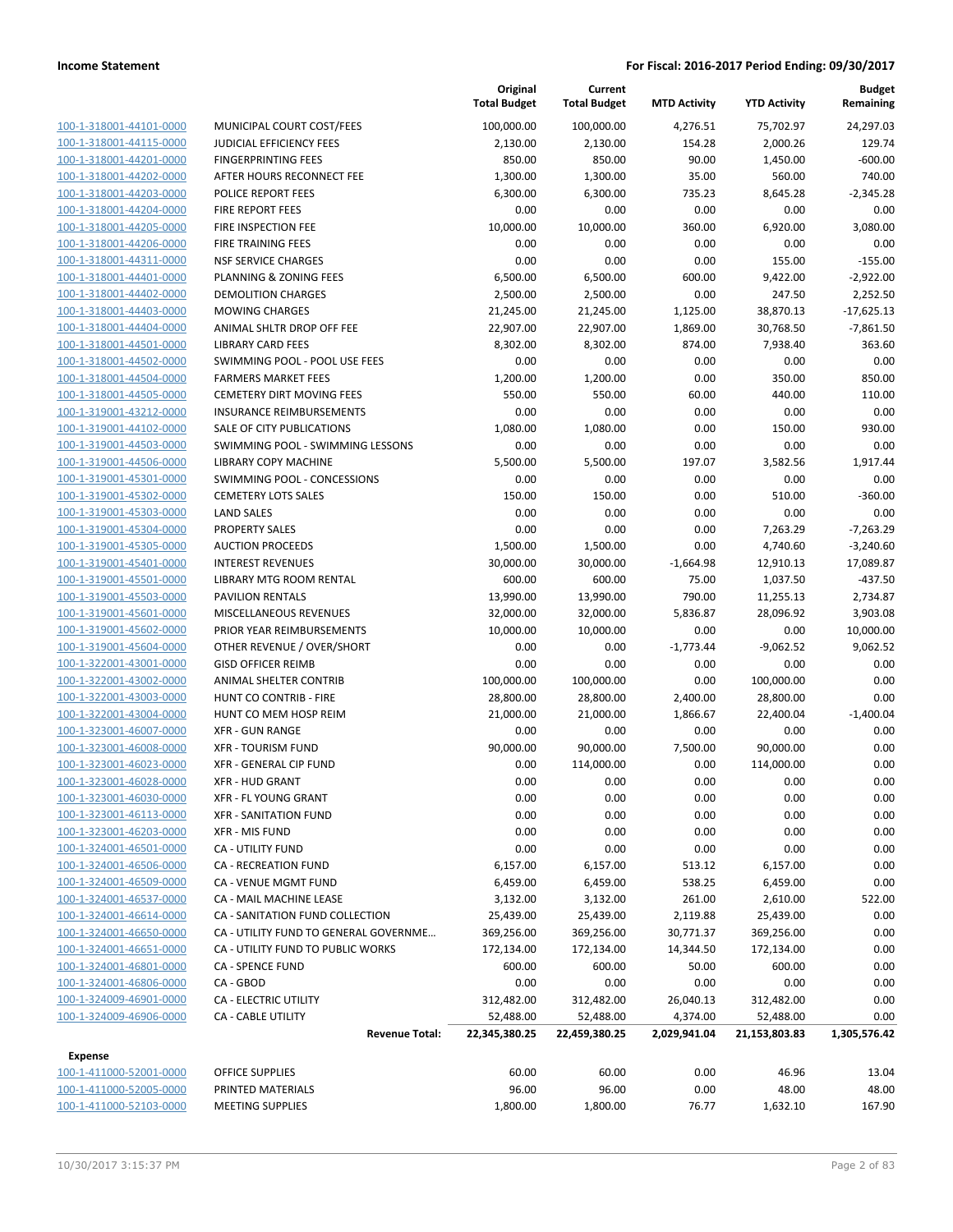| 100-1-318001-44101-0000        |
|--------------------------------|
| <u>100-1-318001-44115-0000</u> |
| 100-1-318001-44201-0000        |
| 100-1-318001-44202-0000        |
| 100-1-318001-44203-0000        |
| 100-1-318001-44204-0000        |
| <u>100-1-318001-44205-0000</u> |
| 100-1-318001-44206-0000        |
| 100-1-318001-44311-0000        |
| 100-1-318001-44401-0000        |
|                                |
| <u>100-1-318001-44402-0000</u> |
| <u>100-1-318001-44403-0000</u> |
| 100-1-318001-44404-0000        |
| 100-1-318001-44501-0000        |
| 100-1-318001-44502-0000        |
| <u>100-1-318001-44504-0000</u> |
| <u>100-1-318001-44505-0000</u> |
| 100-1-319001-43212-0000        |
| 100-1-319001-44102-0000        |
| 100-1-319001-44503-0000        |
| 100-1-319001-44506-0000        |
| <u>100-1-319001-45301-0000</u> |
| 100-1-319001-45302-0000        |
| 100-1-319001-45303-0000        |
| 100-1-319001-45304-0000        |
| <u>100-1-319001-45305-0000</u> |
| <u>100-1-319001-45401-0000</u> |
| 100-1-319001-45501-0000        |
| 100-1-319001-45503-0000        |
| 100-1-319001-45601-0000        |
| 100-1-319001-45602-0000        |
| <u>100-1-319001-45604-0000</u> |
| 100-1-322001-43001-0000        |
| 100-1-322001-43002-0000        |
| 100-1-322001-43003-0000        |
| <u>100-1-322001-43004-0000</u> |
| 100-1-323001-46007-0000        |
| 100-1-323001-46008-0000        |
| 100-1-323001-46023-0000        |
| 100-1-323001-46028-0000        |
| 100-1-323001-46030-0000        |
| <u>100-1-323001-46113-0000</u> |
| <u>100-1-323001-46203-0000</u> |
| 100-1-324001-46501-0000        |
| 100-1-324001-46506-0000        |
| <u>100-1-324001-46509-0000</u> |
| <u>100-1-324001-46537-0000</u> |
| <u>100-1-324001-46614-0000</u> |
| 100-1-324001-46650-0000        |
| 100-1-324001-46651-0000        |
| <u>100-1-324001-46801-0000</u> |
| <u>100-1-324001-46806-0000</u> |
| <u>100-1-324009-46901-0000</u> |
| <u>100-1-324009-46906-0000</u> |
|                                |

|                         |                                       | Original<br><b>Total Budget</b> | Current<br><b>Total Budget</b> | <b>MTD Activity</b> | <b>YTD Activity</b> | <b>Budget</b><br>Remaining |
|-------------------------|---------------------------------------|---------------------------------|--------------------------------|---------------------|---------------------|----------------------------|
| 100-1-318001-44101-0000 | MUNICIPAL COURT COST/FEES             | 100,000.00                      | 100,000.00                     | 4,276.51            | 75,702.97           | 24,297.03                  |
| 100-1-318001-44115-0000 | <b>JUDICIAL EFFICIENCY FEES</b>       | 2,130.00                        | 2,130.00                       | 154.28              | 2,000.26            | 129.74                     |
| 100-1-318001-44201-0000 | <b>FINGERPRINTING FEES</b>            | 850.00                          | 850.00                         | 90.00               | 1,450.00            | $-600.00$                  |
| 100-1-318001-44202-0000 | AFTER HOURS RECONNECT FEE             | 1,300.00                        | 1,300.00                       | 35.00               | 560.00              | 740.00                     |
| 100-1-318001-44203-0000 | POLICE REPORT FEES                    | 6,300.00                        | 6,300.00                       | 735.23              | 8,645.28            | $-2,345.28$                |
| 100-1-318001-44204-0000 | FIRE REPORT FEES                      | 0.00                            | 0.00                           | 0.00                | 0.00                | 0.00                       |
| 100-1-318001-44205-0000 | FIRE INSPECTION FEE                   | 10,000.00                       | 10,000.00                      | 360.00              | 6,920.00            | 3,080.00                   |
| 100-1-318001-44206-0000 | FIRE TRAINING FEES                    | 0.00                            | 0.00                           | 0.00                | 0.00                | 0.00                       |
| 100-1-318001-44311-0000 | <b>NSF SERVICE CHARGES</b>            | 0.00                            | 0.00                           | 0.00                | 155.00              | $-155.00$                  |
| 100-1-318001-44401-0000 | PLANNING & ZONING FEES                | 6,500.00                        | 6,500.00                       | 600.00              | 9,422.00            | $-2,922.00$                |
| 100-1-318001-44402-0000 | <b>DEMOLITION CHARGES</b>             | 2,500.00                        | 2,500.00                       | 0.00                | 247.50              | 2,252.50                   |
| 100-1-318001-44403-0000 | <b>MOWING CHARGES</b>                 | 21,245.00                       | 21,245.00                      | 1,125.00            | 38,870.13           | $-17,625.13$               |
| 100-1-318001-44404-0000 | ANIMAL SHLTR DROP OFF FEE             | 22,907.00                       | 22,907.00                      | 1,869.00            | 30,768.50           | $-7,861.50$                |
| 100-1-318001-44501-0000 | <b>LIBRARY CARD FEES</b>              | 8,302.00                        | 8,302.00                       | 874.00              | 7,938.40            | 363.60                     |
| 100-1-318001-44502-0000 | SWIMMING POOL - POOL USE FEES         | 0.00                            | 0.00                           | 0.00                | 0.00                | 0.00                       |
| 100-1-318001-44504-0000 | <b>FARMERS MARKET FEES</b>            | 1,200.00                        | 1,200.00                       | 0.00                | 350.00              | 850.00                     |
| 100-1-318001-44505-0000 | <b>CEMETERY DIRT MOVING FEES</b>      | 550.00                          | 550.00                         | 60.00               | 440.00              | 110.00                     |
| 100-1-319001-43212-0000 | <b>INSURANCE REIMBURSEMENTS</b>       | 0.00                            | 0.00                           | 0.00                | 0.00                | 0.00                       |
| 100-1-319001-44102-0000 | SALE OF CITY PUBLICATIONS             | 1,080.00                        | 1,080.00                       | 0.00                | 150.00              | 930.00                     |
| 100-1-319001-44503-0000 | SWIMMING POOL - SWIMMING LESSONS      | 0.00                            | 0.00                           | 0.00                | 0.00                | 0.00                       |
| 100-1-319001-44506-0000 | <b>LIBRARY COPY MACHINE</b>           | 5,500.00                        | 5,500.00                       | 197.07              | 3,582.56            | 1,917.44                   |
| 100-1-319001-45301-0000 | SWIMMING POOL - CONCESSIONS           | 0.00                            | 0.00                           | 0.00                | 0.00                | 0.00                       |
| 100-1-319001-45302-0000 | <b>CEMETERY LOTS SALES</b>            | 150.00                          | 150.00                         | 0.00                | 510.00              | $-360.00$                  |
| 100-1-319001-45303-0000 | <b>LAND SALES</b>                     | 0.00                            | 0.00                           | 0.00                | 0.00                | 0.00                       |
| 100-1-319001-45304-0000 | <b>PROPERTY SALES</b>                 | 0.00                            | 0.00                           | 0.00                | 7,263.29            | $-7,263.29$                |
| 100-1-319001-45305-0000 | <b>AUCTION PROCEEDS</b>               | 1,500.00                        | 1,500.00                       | 0.00                | 4,740.60            | $-3,240.60$                |
| 100-1-319001-45401-0000 | <b>INTEREST REVENUES</b>              | 30,000.00                       | 30,000.00                      | $-1,664.98$         | 12,910.13           | 17,089.87                  |
| 100-1-319001-45501-0000 | LIBRARY MTG ROOM RENTAL               | 600.00                          | 600.00                         | 75.00               | 1,037.50            | $-437.50$                  |
| 100-1-319001-45503-0000 | <b>PAVILION RENTALS</b>               | 13,990.00                       | 13,990.00                      | 790.00              | 11,255.13           | 2,734.87                   |
| 100-1-319001-45601-0000 | MISCELLANEOUS REVENUES                | 32,000.00                       | 32,000.00                      | 5,836.87            | 28,096.92           | 3,903.08                   |
| 100-1-319001-45602-0000 | PRIOR YEAR REIMBURSEMENTS             | 10,000.00                       | 10,000.00                      | 0.00                | 0.00                | 10,000.00                  |
| 100-1-319001-45604-0000 | OTHER REVENUE / OVER/SHORT            | 0.00                            | 0.00                           | $-1,773.44$         | $-9,062.52$         | 9,062.52                   |
| 100-1-322001-43001-0000 | <b>GISD OFFICER REIMB</b>             | 0.00                            | 0.00                           | 0.00                | 0.00                | 0.00                       |
| 100-1-322001-43002-0000 | ANIMAL SHELTER CONTRIB                | 100,000.00                      | 100,000.00                     | 0.00                | 100,000.00          | 0.00                       |
| 100-1-322001-43003-0000 | HUNT CO CONTRIB - FIRE                | 28,800.00                       | 28,800.00                      | 2,400.00            | 28,800.00           | 0.00                       |
| 100-1-322001-43004-0000 | HUNT CO MEM HOSP REIM                 | 21,000.00                       | 21,000.00                      | 1,866.67            | 22,400.04           | $-1,400.04$                |
| 100-1-323001-46007-0000 | <b>XFR - GUN RANGE</b>                | 0.00                            | 0.00                           | 0.00                | 0.00                | 0.00                       |
| 100-1-323001-46008-0000 | <b>XFR - TOURISM FUND</b>             | 90,000.00                       | 90,000.00                      | 7,500.00            | 90,000.00           | 0.00                       |
| 100-1-323001-46023-0000 | XFR - GENERAL CIP FUND                | 0.00                            | 114,000.00                     | 0.00                | 114,000.00          | 0.00                       |
| 100-1-323001-46028-0000 | <b>XFR - HUD GRANT</b>                | 0.00                            | 0.00                           | 0.00                | 0.00                | 0.00                       |
| 100-1-323001-46030-0000 | <b>XFR - FL YOUNG GRANT</b>           | 0.00                            | 0.00                           | 0.00                | 0.00                | 0.00                       |
| 100-1-323001-46113-0000 | <b>XFR - SANITATION FUND</b>          | 0.00                            | 0.00                           | 0.00                | 0.00                | 0.00                       |
| 100-1-323001-46203-0000 | XFR - MIS FUND                        | 0.00                            | 0.00                           | 0.00                | 0.00                | 0.00                       |
| 100-1-324001-46501-0000 | <b>CA - UTILITY FUND</b>              | 0.00                            | 0.00                           | 0.00                | 0.00                | 0.00                       |
| 100-1-324001-46506-0000 | CA - RECREATION FUND                  | 6,157.00                        | 6,157.00                       | 513.12              | 6,157.00            | 0.00                       |
| 100-1-324001-46509-0000 | CA - VENUE MGMT FUND                  | 6,459.00                        | 6,459.00                       | 538.25              | 6,459.00            | 0.00                       |
| 100-1-324001-46537-0000 | CA - MAIL MACHINE LEASE               | 3,132.00                        | 3,132.00                       | 261.00              | 2,610.00            | 522.00                     |
| 100-1-324001-46614-0000 | CA - SANITATION FUND COLLECTION       | 25,439.00                       | 25,439.00                      | 2,119.88            | 25,439.00           | 0.00                       |
| 100-1-324001-46650-0000 | CA - UTILITY FUND TO GENERAL GOVERNME | 369,256.00                      | 369,256.00                     | 30,771.37           | 369,256.00          | 0.00                       |
| 100-1-324001-46651-0000 | CA - UTILITY FUND TO PUBLIC WORKS     | 172,134.00                      | 172,134.00                     | 14,344.50           | 172,134.00          | 0.00                       |
| 100-1-324001-46801-0000 | <b>CA - SPENCE FUND</b>               | 600.00                          | 600.00                         | 50.00               | 600.00              | 0.00                       |
| 100-1-324001-46806-0000 | CA - GBOD                             | 0.00                            | 0.00                           | 0.00                | 0.00                | 0.00                       |
| 100-1-324009-46901-0000 | CA - ELECTRIC UTILITY                 | 312,482.00                      | 312,482.00                     | 26,040.13           | 312,482.00          | 0.00                       |
| 100-1-324009-46906-0000 | <b>CA - CABLE UTILITY</b>             | 52,488.00                       | 52,488.00                      | 4,374.00            | 52,488.00           | 0.00                       |
|                         | <b>Revenue Total:</b>                 | 22,345,380.25                   | 22,459,380.25                  | 2,029,941.04        | 21,153,803.83       | 1,305,576.42               |
| <b>Expense</b>          |                                       |                                 |                                |                     |                     |                            |
| 100-1-411000-52001-0000 | OFFICE SUPPLIES                       | 60.00                           | 60.00                          | 0.00                | 46.96               | 13.04                      |
| 100-1-411000-52005-0000 | PRINTED MATERIALS                     | 96.00                           | 96.00                          | 0.00                | 48.00               | 48.00                      |
|                         |                                       |                                 |                                |                     |                     |                            |

100-1-411000-52103-0000 MEETING SUPPLIES 1,800.00 1,800.00 76.77 1,632.10 167.90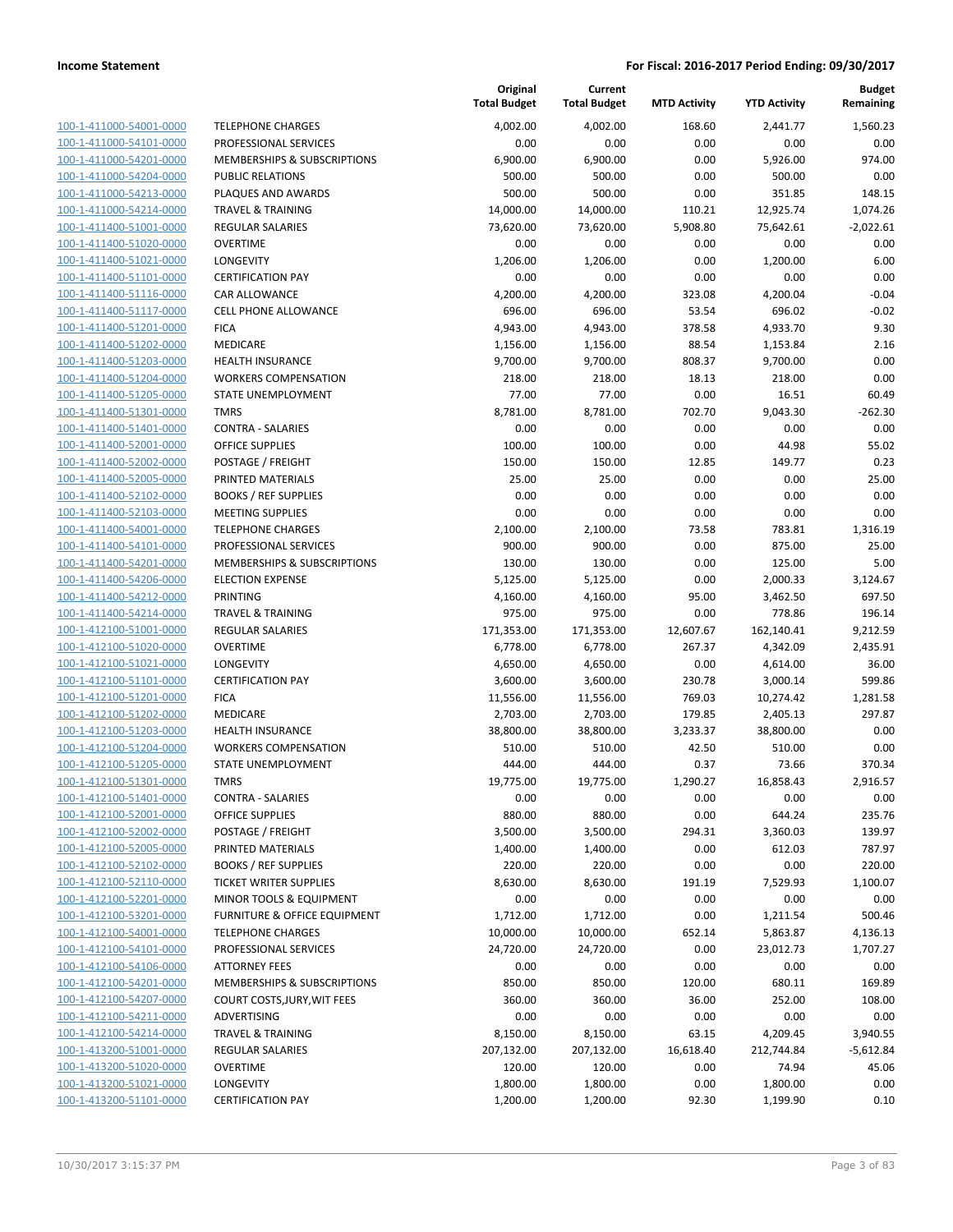| 100-1-411000-54001-0000        |
|--------------------------------|
| 100-1-411000-54101-0000        |
| 100-1-411000-54201-0000        |
| 100-1-411000-54204-0000        |
| <u>100-1-411000-54213-0000</u> |
| 100-1-411000-54214-0000        |
| 100-1-411400-51001-0000        |
| 100-1-411400-51020-0000        |
| 100-1-411400-51021-0000        |
| 100-1-411400-51101-0000        |
| 100-1-411400-51116-0000        |
| 100-1-411400-51117-0000        |
| 100-1-411400-51201-0000        |
| 100-1-411400-51202-0000        |
|                                |
| <u>100-1-411400-51203-0000</u> |
| 100-1-411400-51204-0000        |
| 100-1-411400-51205-0000        |
| 100-1-411400-51301-0000        |
| 100-1-411400-51401-0000        |
| 100-1-411400-52001-0000        |
| 100-1-411400-52002-0000        |
| 100-1-411400-52005-0000        |
| 100-1-411400-52102-0000        |
| 100-1-411400-52103-0000        |
| <u>100-1-411400-54001-0000</u> |
| 100-1-411400-54101-0000        |
| 100-1-411400-54201-0000        |
| 100-1-411400-54206-0000        |
| 100-1-411400-54212-0000        |
| 100-1-411400-54214-0000        |
| 100-1-412100-51001-0000        |
| 100-1-412100-51020-0000        |
| 100-1-412100-51021-0000        |
| 100-1-412100-51101-0000        |
| 100-1-412100-51201-0000        |
| 100-1-412100-51202-0000        |
| 100-1-412100-51203-0000        |
| 100-1-412100-51204-0000        |
|                                |
| 100-1-412100-51205-0000        |
| 100-1-412100-51301-0000        |
| 100-1-412100-51401-0000        |
| <u>100-1-412100-52001-0000</u> |
| <u>100-1-412100-52002-0000</u> |
| <u>100-1-412100-52005-0000</u> |
| <u>100-1-412100-52102-0000</u> |
| <u>100-1-412100-52110-0000</u> |
| <u>100-1-412100-52201-0000</u> |
| <u>100-1-412100-53201-0000</u> |
| 100-1-412100-54001-0000        |
| <u>100-1-412100-54101-0000</u> |
| 100-1-412100-54106-0000        |
| 100-1-412100-54201-0000        |
| 100-1-412100-54207-0000        |
| <u>100-1-412100-54211-0000</u> |
| <u>100-1-412100-54214-0000</u> |
| <u>100-1-413200-51001-0000</u> |
| 100-1-413200-51020-0000        |
| <u>100-1-413200-51021-0000</u> |
|                                |
| <u>100-1-413200-51101-0000</u> |

|                                                    |                                                 | Original<br><b>Total Budget</b> | Current<br><b>Total Budget</b> | <b>MTD Activity</b> | <b>YTD Activity</b>  | Budget<br>Remaining |
|----------------------------------------------------|-------------------------------------------------|---------------------------------|--------------------------------|---------------------|----------------------|---------------------|
| 100-1-411000-54001-0000                            | <b>TELEPHONE CHARGES</b>                        | 4,002.00                        | 4,002.00                       | 168.60              | 2,441.77             | 1,560.23            |
| 100-1-411000-54101-0000                            | PROFESSIONAL SERVICES                           | 0.00                            | 0.00                           | 0.00                | 0.00                 | 0.00                |
| 100-1-411000-54201-0000                            | MEMBERSHIPS & SUBSCRIPTIONS                     | 6,900.00                        | 6,900.00                       | 0.00                | 5,926.00             | 974.00              |
| 100-1-411000-54204-0000                            | <b>PUBLIC RELATIONS</b>                         | 500.00                          | 500.00                         | 0.00                | 500.00               | 0.00                |
| 100-1-411000-54213-0000                            | PLAQUES AND AWARDS                              | 500.00                          | 500.00                         | 0.00                | 351.85               | 148.15              |
| 100-1-411000-54214-0000                            | <b>TRAVEL &amp; TRAINING</b>                    | 14,000.00                       | 14,000.00                      | 110.21              | 12,925.74            | 1,074.26            |
| 100-1-411400-51001-0000                            | <b>REGULAR SALARIES</b>                         | 73,620.00                       | 73,620.00                      | 5,908.80            | 75,642.61            | $-2,022.61$         |
| 100-1-411400-51020-0000                            | <b>OVERTIME</b>                                 | 0.00                            | 0.00                           | 0.00                | 0.00                 | 0.00                |
| 100-1-411400-51021-0000                            | <b>LONGEVITY</b>                                | 1,206.00                        | 1,206.00                       | 0.00                | 1,200.00             | 6.00                |
| 100-1-411400-51101-0000                            | <b>CERTIFICATION PAY</b>                        | 0.00                            | 0.00                           | 0.00                | 0.00                 | 0.00                |
| 100-1-411400-51116-0000                            | CAR ALLOWANCE                                   | 4,200.00                        | 4,200.00                       | 323.08              | 4,200.04             | $-0.04$             |
| 100-1-411400-51117-0000                            | <b>CELL PHONE ALLOWANCE</b>                     | 696.00                          | 696.00                         | 53.54               | 696.02               | $-0.02$             |
| 100-1-411400-51201-0000                            | <b>FICA</b>                                     | 4,943.00                        | 4,943.00                       | 378.58              | 4,933.70             | 9.30                |
| 100-1-411400-51202-0000                            | MEDICARE                                        | 1,156.00                        | 1,156.00                       | 88.54               | 1,153.84             | 2.16                |
| 100-1-411400-51203-0000                            | <b>HEALTH INSURANCE</b>                         | 9,700.00                        | 9,700.00                       | 808.37              | 9,700.00             | 0.00                |
| 100-1-411400-51204-0000                            | <b>WORKERS COMPENSATION</b>                     | 218.00                          | 218.00                         | 18.13               | 218.00               | 0.00                |
| 100-1-411400-51205-0000                            | STATE UNEMPLOYMENT                              | 77.00                           | 77.00                          | 0.00                | 16.51                | 60.49               |
| 100-1-411400-51301-0000                            | <b>TMRS</b>                                     | 8,781.00                        | 8,781.00                       | 702.70              | 9,043.30             | $-262.30$           |
| 100-1-411400-51401-0000                            | <b>CONTRA - SALARIES</b>                        | 0.00                            | 0.00                           | 0.00                | 0.00                 | 0.00                |
| 100-1-411400-52001-0000                            | <b>OFFICE SUPPLIES</b>                          | 100.00                          | 100.00                         | 0.00                | 44.98                | 55.02               |
| 100-1-411400-52002-0000                            | POSTAGE / FREIGHT                               | 150.00                          | 150.00                         | 12.85               | 149.77               | 0.23                |
| 100-1-411400-52005-0000                            | PRINTED MATERIALS                               | 25.00                           | 25.00                          | 0.00                | 0.00                 | 25.00               |
| 100-1-411400-52102-0000                            | <b>BOOKS / REF SUPPLIES</b>                     | 0.00                            | 0.00                           | 0.00                | 0.00                 | 0.00                |
| 100-1-411400-52103-0000                            | <b>MEETING SUPPLIES</b>                         | 0.00                            | 0.00                           | 0.00                | 0.00                 | 0.00                |
| 100-1-411400-54001-0000                            | <b>TELEPHONE CHARGES</b>                        | 2,100.00                        | 2,100.00                       | 73.58               | 783.81               | 1,316.19            |
| 100-1-411400-54101-0000                            | PROFESSIONAL SERVICES                           | 900.00                          | 900.00                         | 0.00                | 875.00               | 25.00               |
| 100-1-411400-54201-0000                            | <b>MEMBERSHIPS &amp; SUBSCRIPTIONS</b>          | 130.00                          | 130.00                         | 0.00                | 125.00               | 5.00                |
| 100-1-411400-54206-0000                            | <b>ELECTION EXPENSE</b>                         | 5,125.00                        | 5,125.00                       | 0.00                | 2,000.33             | 3,124.67            |
| 100-1-411400-54212-0000                            | <b>PRINTING</b><br><b>TRAVEL &amp; TRAINING</b> | 4,160.00                        | 4,160.00                       | 95.00               | 3,462.50             | 697.50              |
| 100-1-411400-54214-0000<br>100-1-412100-51001-0000 | <b>REGULAR SALARIES</b>                         | 975.00<br>171,353.00            | 975.00<br>171,353.00           | 0.00<br>12,607.67   | 778.86<br>162,140.41 | 196.14<br>9,212.59  |
| 100-1-412100-51020-0000                            | <b>OVERTIME</b>                                 | 6,778.00                        | 6,778.00                       | 267.37              | 4,342.09             | 2,435.91            |
| 100-1-412100-51021-0000                            | <b>LONGEVITY</b>                                | 4,650.00                        | 4,650.00                       | 0.00                | 4,614.00             | 36.00               |
| 100-1-412100-51101-0000                            | <b>CERTIFICATION PAY</b>                        | 3,600.00                        | 3,600.00                       | 230.78              | 3,000.14             | 599.86              |
| 100-1-412100-51201-0000                            | <b>FICA</b>                                     | 11,556.00                       | 11,556.00                      | 769.03              | 10,274.42            | 1,281.58            |
| 100-1-412100-51202-0000                            | MEDICARE                                        | 2,703.00                        | 2,703.00                       | 179.85              | 2,405.13             | 297.87              |
| 100-1-412100-51203-0000                            | HEALTH INSURANCE                                | 38,800.00                       | 38,800.00                      | 3,233.37            | 38,800.00            | 0.00                |
| 100-1-412100-51204-0000                            | <b>WORKERS COMPENSATION</b>                     | 510.00                          | 510.00                         | 42.50               | 510.00               | 0.00                |
| 100-1-412100-51205-0000                            | STATE UNEMPLOYMENT                              | 444.00                          | 444.00                         | 0.37                | 73.66                | 370.34              |
| 100-1-412100-51301-0000                            | <b>TMRS</b>                                     | 19,775.00                       | 19,775.00                      | 1,290.27            | 16,858.43            | 2,916.57            |
| 100-1-412100-51401-0000                            | <b>CONTRA - SALARIES</b>                        | 0.00                            | 0.00                           | 0.00                | 0.00                 | 0.00                |
| 100-1-412100-52001-0000                            | OFFICE SUPPLIES                                 | 880.00                          | 880.00                         | 0.00                | 644.24               | 235.76              |
| 100-1-412100-52002-0000                            | POSTAGE / FREIGHT                               | 3,500.00                        | 3,500.00                       | 294.31              | 3,360.03             | 139.97              |
| 100-1-412100-52005-0000                            | PRINTED MATERIALS                               | 1,400.00                        | 1,400.00                       | 0.00                | 612.03               | 787.97              |
| 100-1-412100-52102-0000                            | <b>BOOKS / REF SUPPLIES</b>                     | 220.00                          | 220.00                         | 0.00                | 0.00                 | 220.00              |
| 100-1-412100-52110-0000                            | <b>TICKET WRITER SUPPLIES</b>                   | 8,630.00                        | 8,630.00                       | 191.19              | 7,529.93             | 1,100.07            |
| 100-1-412100-52201-0000                            | MINOR TOOLS & EQUIPMENT                         | 0.00                            | 0.00                           | 0.00                | 0.00                 | 0.00                |
| 100-1-412100-53201-0000                            | FURNITURE & OFFICE EQUIPMENT                    | 1,712.00                        | 1,712.00                       | 0.00                | 1,211.54             | 500.46              |
| 100-1-412100-54001-0000                            | <b>TELEPHONE CHARGES</b>                        | 10,000.00                       | 10,000.00                      | 652.14              | 5,863.87             | 4,136.13            |
| 100-1-412100-54101-0000                            | PROFESSIONAL SERVICES                           | 24,720.00                       | 24,720.00                      | 0.00                | 23,012.73            | 1,707.27            |
| 100-1-412100-54106-0000                            | <b>ATTORNEY FEES</b>                            | 0.00                            | 0.00                           | 0.00                | 0.00                 | 0.00                |
| 100-1-412100-54201-0000                            | <b>MEMBERSHIPS &amp; SUBSCRIPTIONS</b>          | 850.00                          | 850.00                         | 120.00              | 680.11               | 169.89              |
| 100-1-412100-54207-0000                            | COURT COSTS, JURY, WIT FEES                     | 360.00                          | 360.00                         | 36.00               | 252.00               | 108.00              |
| 100-1-412100-54211-0000                            | ADVERTISING                                     | 0.00                            | 0.00                           | 0.00                | 0.00                 | 0.00                |
| 100-1-412100-54214-0000                            | <b>TRAVEL &amp; TRAINING</b>                    | 8,150.00                        | 8,150.00                       | 63.15               | 4,209.45             | 3,940.55            |
| 100-1-413200-51001-0000                            | REGULAR SALARIES                                | 207,132.00                      | 207,132.00                     | 16,618.40           | 212,744.84           | $-5,612.84$         |
| 100-1-413200-51020-0000                            | <b>OVERTIME</b>                                 | 120.00                          | 120.00                         | 0.00                | 74.94                | 45.06               |
| 100-1-413200-51021-0000                            | LONGEVITY                                       | 1,800.00                        | 1,800.00                       | 0.00                | 1,800.00             | 0.00                |
| 100-1-413200-51101-0000                            | <b>CERTIFICATION PAY</b>                        | 1,200.00                        | 1,200.00                       | 92.30               | 1,199.90             | 0.10                |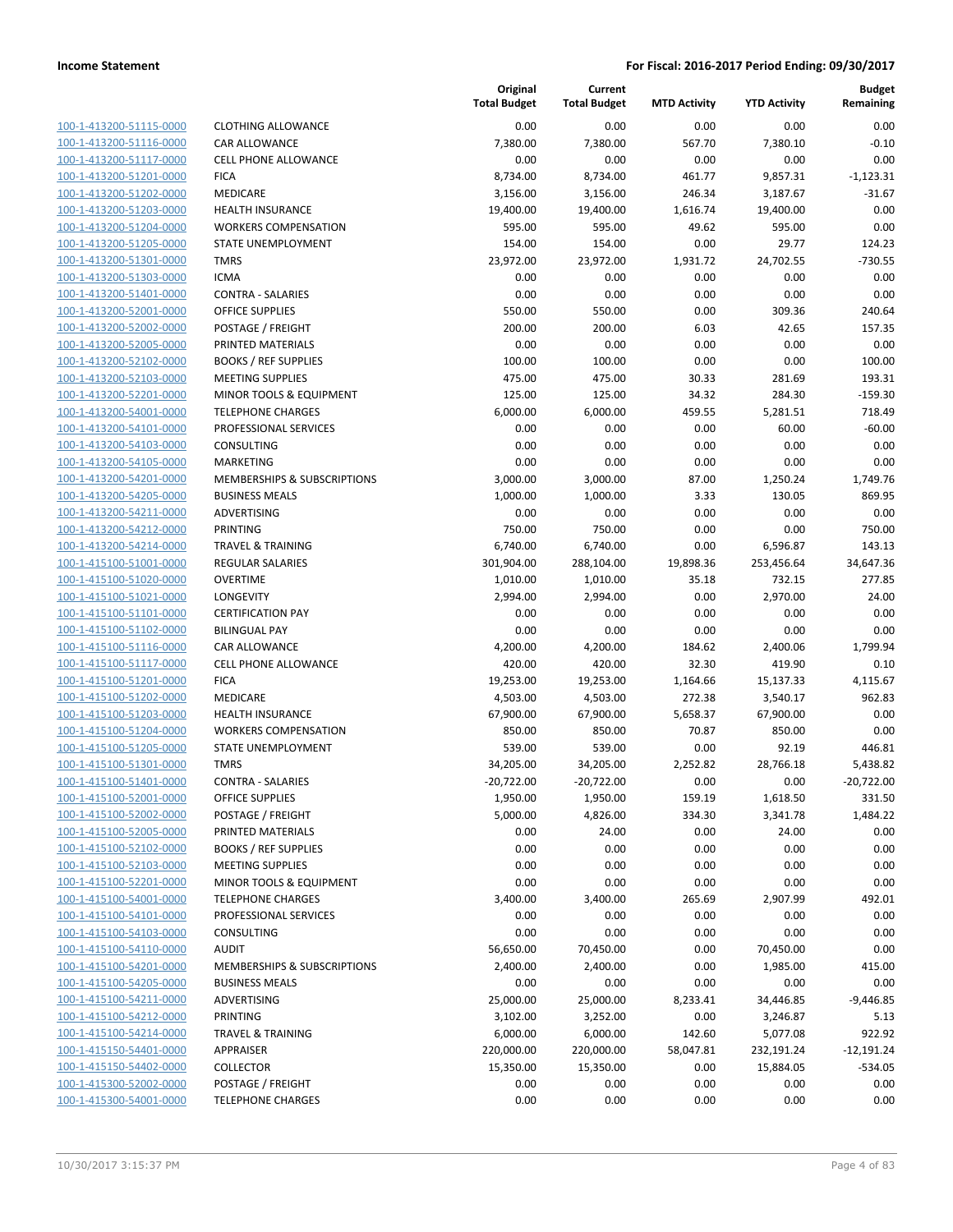| 100-1-413200-51115-0000        |
|--------------------------------|
| 100-1-413200-51116-0000        |
| 100-1-413200-51117-0000        |
| 100-1-413200-51201-0000        |
| 100-1-413200-51202-0000        |
| 100-1-413200-51203-0000        |
| 100-1-413200-51204-0000        |
| 100-1-413200-51205-0000        |
| 100-1-413200-51301-0000        |
| 100-1-413200-51303-0000        |
| 100-1-413200-51401-0000        |
| 100-1-413200-52001-0000        |
| 100-1-413200-52002-0000        |
| 100-1-413200-52005-0000        |
| 100-1-413200-52102-0000        |
| <u>100-1-413200-52103-0000</u> |
| 100-1-413200-52201-0000        |
| 100-1-413200-54001-0000        |
| 100-1-413200-54101-0000        |
| 100-1-413200-54103-0000        |
| 100-1-413200-54105-0000        |
| 100-1-413200-54201-0000        |
| 100-1-413200-54205-0000        |
| 100-1-413200-54211-0000        |
| 100-1-413200-54212-0000        |
| 100-1-413200-54214-0000        |
| 100-1-415100-51001-0000        |
| 100-1-415100-51020-0000        |
| 100-1-415100-51021-0000        |
| 100-1-415100-51101-0000        |
| 100-1-415100-51102-0000        |
| 100-1-415100-51116-0000        |
| 100-1-415100-51117-0000        |
| 100-1-415100-51201-0000        |
| 100-1-415100-51202-0000        |
| 100-1-415100-51203-0000        |
| 100-1-415100-51204-0000        |
| 100-1-415100-51205-0000        |
| 100-1-415100-51301-0000        |
| 100-1-415100-51401-0000        |
| 100-1-415100-52001-0000        |
| <u>100-1-415100-52002-0000</u> |
| 100-1-415100-52005-0000        |
| 100-1-415100-52102-0000        |
| 100-1-415100-52103-0000        |
| <u>100-1-415100-52201-0000</u> |
| 100-1-415100-54001-0000        |
| 100-1-415100-54101-0000        |
| 100-1-415100-54103-0000        |
| <u>100-1-415100-54110-0000</u> |
| <u>100-1-415100-54201-0000</u> |
| 100-1-415100-54205-0000        |
| <u>100-1-415100-54211-0000</u> |
| 100-1-415100-54212-0000        |
| 100-1-415100-54214-0000        |
| <u>100-1-415150-54401-0000</u> |
| 100-1-415150-54402-0000        |
| <u>100-1-415300-52002-0000</u> |
| 100-1-415300-54001-0000        |
|                                |

|                                                    |                                                   | Original<br><b>Total Budget</b> | Current<br><b>Total Budget</b> | <b>MTD Activity</b> | <b>YTD Activity</b> | <b>Budget</b><br>Remaining |
|----------------------------------------------------|---------------------------------------------------|---------------------------------|--------------------------------|---------------------|---------------------|----------------------------|
| 100-1-413200-51115-0000                            | <b>CLOTHING ALLOWANCE</b>                         | 0.00                            | 0.00                           | 0.00                | 0.00                | 0.00                       |
| 100-1-413200-51116-0000                            | CAR ALLOWANCE                                     | 7,380.00                        | 7,380.00                       | 567.70              | 7,380.10            | $-0.10$                    |
| 100-1-413200-51117-0000                            | <b>CELL PHONE ALLOWANCE</b>                       | 0.00                            | 0.00                           | 0.00                | 0.00                | 0.00                       |
| 100-1-413200-51201-0000                            | <b>FICA</b>                                       | 8,734.00                        | 8,734.00                       | 461.77              | 9,857.31            | $-1,123.31$                |
| 100-1-413200-51202-0000                            | <b>MEDICARE</b>                                   | 3,156.00                        | 3,156.00                       | 246.34              | 3,187.67            | $-31.67$                   |
| 100-1-413200-51203-0000                            | <b>HEALTH INSURANCE</b>                           | 19,400.00                       | 19,400.00                      | 1,616.74            | 19,400.00           | 0.00                       |
| 100-1-413200-51204-0000                            | <b>WORKERS COMPENSATION</b>                       | 595.00                          | 595.00                         | 49.62               | 595.00              | 0.00                       |
| 100-1-413200-51205-0000                            | <b>STATE UNEMPLOYMENT</b>                         | 154.00                          | 154.00                         | 0.00                | 29.77               | 124.23                     |
| 100-1-413200-51301-0000                            | <b>TMRS</b>                                       | 23,972.00                       | 23,972.00                      | 1,931.72            | 24,702.55           | $-730.55$                  |
| 100-1-413200-51303-0000                            | <b>ICMA</b>                                       | 0.00                            | 0.00                           | 0.00                | 0.00                | 0.00                       |
| 100-1-413200-51401-0000                            | <b>CONTRA - SALARIES</b>                          | 0.00                            | 0.00                           | 0.00                | 0.00                | 0.00                       |
| 100-1-413200-52001-0000                            | OFFICE SUPPLIES                                   | 550.00                          | 550.00                         | 0.00                | 309.36              | 240.64                     |
| 100-1-413200-52002-0000                            | POSTAGE / FREIGHT                                 | 200.00                          | 200.00                         | 6.03                | 42.65               | 157.35                     |
| 100-1-413200-52005-0000                            | PRINTED MATERIALS                                 | 0.00                            | 0.00                           | 0.00                | 0.00                | 0.00                       |
| 100-1-413200-52102-0000                            | <b>BOOKS / REF SUPPLIES</b>                       | 100.00                          | 100.00                         | 0.00                | 0.00                | 100.00                     |
| 100-1-413200-52103-0000                            | <b>MEETING SUPPLIES</b>                           | 475.00                          | 475.00                         | 30.33               | 281.69              | 193.31                     |
| 100-1-413200-52201-0000                            | MINOR TOOLS & EQUIPMENT                           | 125.00                          | 125.00                         | 34.32               | 284.30              | $-159.30$                  |
| 100-1-413200-54001-0000                            | <b>TELEPHONE CHARGES</b>                          | 6,000.00                        | 6,000.00                       | 459.55              | 5,281.51            | 718.49                     |
| 100-1-413200-54101-0000                            | PROFESSIONAL SERVICES                             | 0.00                            | 0.00                           | 0.00                | 60.00               | $-60.00$                   |
| 100-1-413200-54103-0000                            | <b>CONSULTING</b>                                 | 0.00                            | 0.00                           | 0.00                | 0.00                | 0.00                       |
| 100-1-413200-54105-0000                            | MARKETING                                         | 0.00                            | 0.00                           | 0.00                | 0.00                | 0.00                       |
| 100-1-413200-54201-0000                            | <b>MEMBERSHIPS &amp; SUBSCRIPTIONS</b>            | 3,000.00                        | 3,000.00                       | 87.00               | 1,250.24            | 1,749.76                   |
| 100-1-413200-54205-0000                            | <b>BUSINESS MEALS</b>                             | 1,000.00                        | 1,000.00                       | 3.33                | 130.05              | 869.95                     |
| 100-1-413200-54211-0000                            | ADVERTISING                                       | 0.00                            | 0.00                           | 0.00                | 0.00                | 0.00                       |
| 100-1-413200-54212-0000                            | PRINTING                                          | 750.00                          | 750.00                         | 0.00                | 0.00                | 750.00                     |
| 100-1-413200-54214-0000                            | <b>TRAVEL &amp; TRAINING</b>                      | 6,740.00                        | 6,740.00                       | 0.00                | 6,596.87            | 143.13                     |
| 100-1-415100-51001-0000                            | REGULAR SALARIES                                  | 301,904.00                      | 288,104.00                     | 19,898.36           | 253,456.64          | 34,647.36                  |
| 100-1-415100-51020-0000                            | <b>OVERTIME</b>                                   | 1,010.00                        | 1,010.00                       | 35.18               | 732.15              | 277.85                     |
| 100-1-415100-51021-0000                            | LONGEVITY                                         | 2,994.00                        | 2,994.00                       | 0.00                | 2,970.00            | 24.00                      |
| 100-1-415100-51101-0000                            | <b>CERTIFICATION PAY</b>                          | 0.00                            | 0.00                           | 0.00                | 0.00                | 0.00                       |
| 100-1-415100-51102-0000                            | <b>BILINGUAL PAY</b>                              | 0.00                            | 0.00                           | 0.00                | 0.00                | 0.00                       |
| 100-1-415100-51116-0000                            | CAR ALLOWANCE                                     | 4,200.00                        | 4,200.00                       | 184.62              | 2,400.06            | 1,799.94                   |
| 100-1-415100-51117-0000                            | <b>CELL PHONE ALLOWANCE</b>                       | 420.00                          | 420.00                         | 32.30               | 419.90              | 0.10                       |
| 100-1-415100-51201-0000                            | <b>FICA</b><br><b>MEDICARE</b>                    | 19,253.00                       | 19,253.00                      | 1,164.66            | 15,137.33           | 4,115.67                   |
| 100-1-415100-51202-0000                            |                                                   | 4,503.00                        | 4,503.00                       | 272.38              | 3,540.17            | 962.83                     |
| 100-1-415100-51203-0000                            | <b>HEALTH INSURANCE</b>                           | 67,900.00                       | 67,900.00                      | 5,658.37            | 67,900.00           | 0.00                       |
| 100-1-415100-51204-0000<br>100-1-415100-51205-0000 | <b>WORKERS COMPENSATION</b><br>STATE UNEMPLOYMENT | 850.00<br>539.00                | 850.00<br>539.00               | 70.87<br>0.00       | 850.00<br>92.19     | 0.00<br>446.81             |
| 100-1-415100-51301-0000                            | <b>TMRS</b>                                       | 34,205.00                       | 34,205.00                      | 2,252.82            | 28,766.18           | 5,438.82                   |
| 100-1-415100-51401-0000                            | <b>CONTRA - SALARIES</b>                          | -20,722.00                      | -20,722.00                     | 0.00                | 0.00                | -20,722.00                 |
| 100-1-415100-52001-0000                            | OFFICE SUPPLIES                                   | 1,950.00                        | 1,950.00                       | 159.19              | 1,618.50            | 331.50                     |
| 100-1-415100-52002-0000                            | POSTAGE / FREIGHT                                 | 5,000.00                        | 4,826.00                       | 334.30              | 3,341.78            | 1,484.22                   |
| 100-1-415100-52005-0000                            | PRINTED MATERIALS                                 | 0.00                            | 24.00                          | 0.00                | 24.00               | 0.00                       |
| 100-1-415100-52102-0000                            | <b>BOOKS / REF SUPPLIES</b>                       | 0.00                            | 0.00                           | 0.00                | 0.00                | 0.00                       |
| 100-1-415100-52103-0000                            | <b>MEETING SUPPLIES</b>                           | 0.00                            | 0.00                           | 0.00                | 0.00                | 0.00                       |
| 100-1-415100-52201-0000                            | MINOR TOOLS & EQUIPMENT                           | 0.00                            | 0.00                           | 0.00                | 0.00                | 0.00                       |
| 100-1-415100-54001-0000                            | <b>TELEPHONE CHARGES</b>                          | 3,400.00                        | 3,400.00                       | 265.69              | 2,907.99            | 492.01                     |
| 100-1-415100-54101-0000                            | PROFESSIONAL SERVICES                             | 0.00                            | 0.00                           | 0.00                | 0.00                | 0.00                       |
| 100-1-415100-54103-0000                            | <b>CONSULTING</b>                                 | 0.00                            | 0.00                           | 0.00                | 0.00                | 0.00                       |
| 100-1-415100-54110-0000                            | <b>AUDIT</b>                                      | 56,650.00                       | 70,450.00                      | 0.00                | 70,450.00           | 0.00                       |
| 100-1-415100-54201-0000                            | MEMBERSHIPS & SUBSCRIPTIONS                       | 2,400.00                        | 2,400.00                       | 0.00                | 1,985.00            | 415.00                     |
| 100-1-415100-54205-0000                            | <b>BUSINESS MEALS</b>                             | 0.00                            | 0.00                           | 0.00                | 0.00                | 0.00                       |
| 100-1-415100-54211-0000                            | ADVERTISING                                       | 25,000.00                       | 25,000.00                      | 8,233.41            | 34,446.85           | $-9,446.85$                |
| 100-1-415100-54212-0000                            | <b>PRINTING</b>                                   | 3,102.00                        | 3,252.00                       | 0.00                | 3,246.87            | 5.13                       |
| 100-1-415100-54214-0000                            | <b>TRAVEL &amp; TRAINING</b>                      | 6,000.00                        | 6,000.00                       | 142.60              | 5,077.08            | 922.92                     |
| 100-1-415150-54401-0000                            | APPRAISER                                         | 220,000.00                      | 220,000.00                     | 58,047.81           | 232,191.24          | $-12,191.24$               |
| 100-1-415150-54402-0000                            | <b>COLLECTOR</b>                                  | 15,350.00                       | 15,350.00                      | 0.00                | 15,884.05           | $-534.05$                  |
| 100-1-415300-52002-0000                            | POSTAGE / FREIGHT                                 | 0.00                            | 0.00                           | 0.00                | 0.00                | 0.00                       |
| 100-1-415300-54001-0000                            | <b>TELEPHONE CHARGES</b>                          | 0.00                            | 0.00                           | 0.00                | 0.00                | 0.00                       |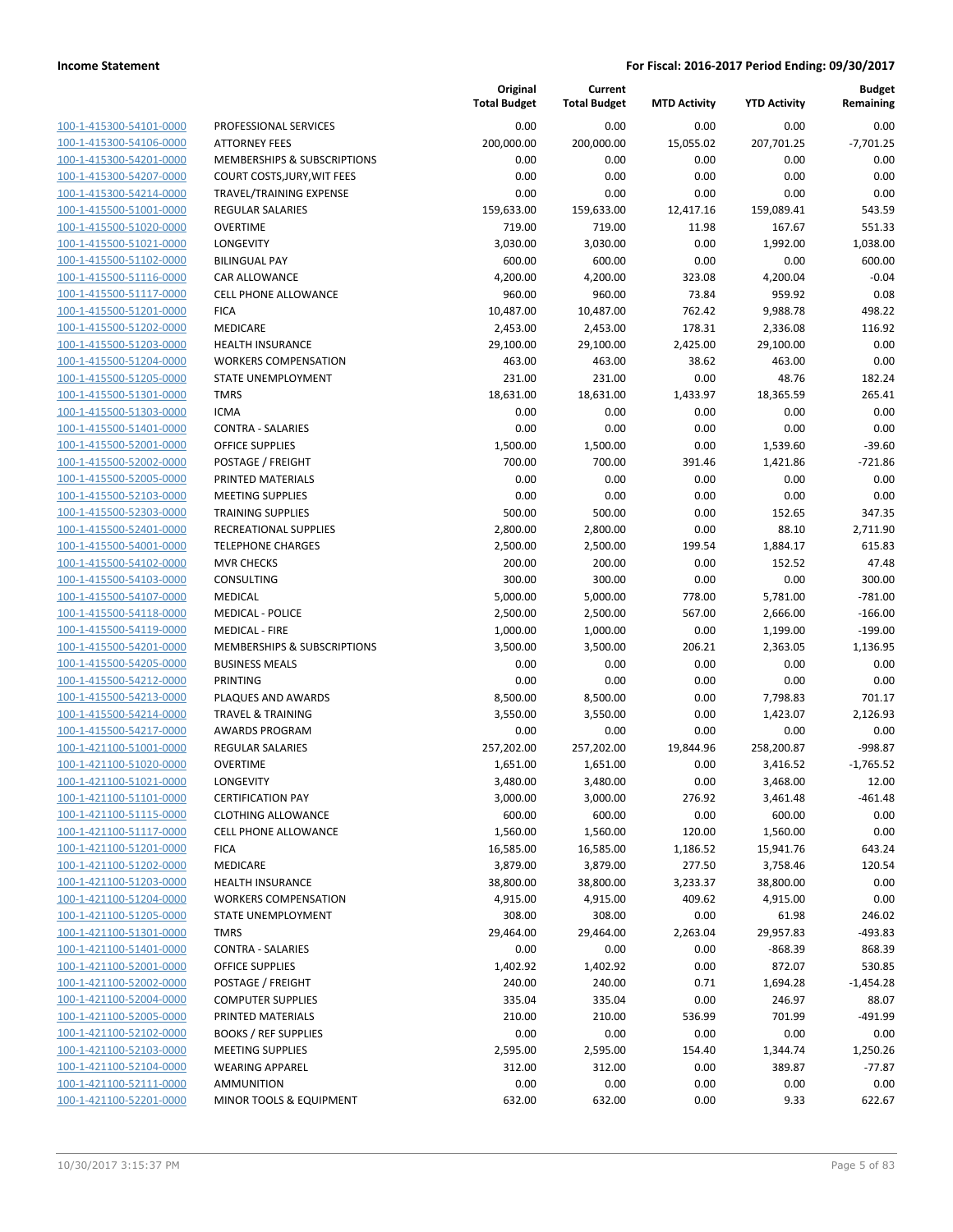| 100-1-415300-54101-0000        |
|--------------------------------|
| 100-1-415300-54106-0000        |
| 100-1-415300-54201-0000        |
| 100-1-415300-54207-0000        |
| 100-1-415300-54214-0000        |
| 100-1-415500-51001-0000        |
| 100-1-415500-51020-0000        |
| 100-1-415500-51021-0000        |
|                                |
| 100-1-415500-51102-0000        |
| 100-1-415500-51116-0000        |
| 100-1-415500-51117-0000        |
| 100-1-415500-51201-0000        |
| 100-1-415500-51202-0000        |
| 100-1-415500-51203-0000        |
| 100-1-415500-51204-0000        |
| 100-1-415500-51205-0000        |
| 100-1-415500-51301-0000        |
| 100-1-415500-51303-0000        |
| 100-1-415500-51401-0000        |
| 100-1-415500-52001-0000        |
| 100-1-415500-52002-0000        |
|                                |
| 100-1-415500-52005-0000        |
| 100-1-415500-52103-0000        |
| 100-1-415500-52303-0000        |
| 100-1-415500-52401-0000        |
| 100-1-415500-54001-0000        |
| 100-1-415500-54102-0000        |
| 100-1-415500-54103-0000        |
| 100-1-415500-54107-0000        |
| 100-1-415500-54118-0000        |
| 100-1-415500-54119-0000        |
|                                |
|                                |
| 100-1-415500-54201-0000        |
| 100-1-415500-54205-0000        |
| 100-1-415500-54212-0000        |
| 100-1-415500-54213-0000        |
| 100-1-415500-54214-0000        |
| 100-1-415500-54217-0000        |
| 100-1-421100-51001-0000        |
| 100-1-421100-51020-0000        |
| 100-1-421100-51021-0000        |
| 100-1-421100-51101-0000        |
| <u>100-1-421100-51115-0000</u> |
| <u>100-1-421100-51117-0000</u> |
| 100-1-421100-51201-0000        |
| 100-1-421100-51202-0000        |
|                                |
| <u>100-1-421100-51203-0000</u> |
| <u>100-1-421100-51204-0000</u> |
| <u>100-1-421100-51205-0000</u> |
| 100-1-421100-51301-0000        |
| 100-1-421100-51401-0000        |
| 100-1-421100-52001-0000        |
| 100-1-421100-52002-0000        |
| <u>100-1-421100-52004-0000</u> |
| 100-1-421100-52005-0000        |
| 100-1-421100-52102-0000        |
| <u>100-1-421100-52103-0000</u> |
| <u>100-1-421100-52104-0000</u> |
| 100-1-421100-52111-0000        |
| 100-1-421100-52201-0000        |

|                                                    |                                                      | Original<br><b>Total Budget</b> | Current<br><b>Total Budget</b> | <b>MTD Activity</b> | <b>YTD Activity</b> | <b>Budget</b><br>Remaining |
|----------------------------------------------------|------------------------------------------------------|---------------------------------|--------------------------------|---------------------|---------------------|----------------------------|
| 100-1-415300-54101-0000                            | PROFESSIONAL SERVICES                                | 0.00                            | 0.00                           | 0.00                | 0.00                | 0.00                       |
| 100-1-415300-54106-0000                            | <b>ATTORNEY FEES</b>                                 | 200,000.00                      | 200,000.00                     | 15,055.02           | 207,701.25          | $-7,701.25$                |
| 100-1-415300-54201-0000                            | MEMBERSHIPS & SUBSCRIPTIONS                          | 0.00                            | 0.00                           | 0.00                | 0.00                | 0.00                       |
| 100-1-415300-54207-0000                            | COURT COSTS, JURY, WIT FEES                          | 0.00                            | 0.00                           | 0.00                | 0.00                | 0.00                       |
| 100-1-415300-54214-0000                            | TRAVEL/TRAINING EXPENSE                              | 0.00                            | 0.00                           | 0.00                | 0.00                | 0.00                       |
| 100-1-415500-51001-0000                            | <b>REGULAR SALARIES</b>                              | 159,633.00                      | 159,633.00                     | 12,417.16           | 159,089.41          | 543.59                     |
| 100-1-415500-51020-0000                            | <b>OVERTIME</b>                                      | 719.00                          | 719.00                         | 11.98               | 167.67              | 551.33                     |
| 100-1-415500-51021-0000                            | <b>LONGEVITY</b>                                     | 3,030.00                        | 3,030.00                       | 0.00                | 1,992.00            | 1,038.00                   |
| 100-1-415500-51102-0000                            | <b>BILINGUAL PAY</b>                                 | 600.00                          | 600.00                         | 0.00                | 0.00                | 600.00                     |
| 100-1-415500-51116-0000                            | CAR ALLOWANCE                                        | 4,200.00                        | 4,200.00                       | 323.08              | 4,200.04            | $-0.04$                    |
| 100-1-415500-51117-0000                            | CELL PHONE ALLOWANCE                                 | 960.00                          | 960.00                         | 73.84               | 959.92              | 0.08                       |
| 100-1-415500-51201-0000                            | <b>FICA</b>                                          | 10,487.00                       | 10,487.00                      | 762.42              | 9,988.78            | 498.22                     |
| 100-1-415500-51202-0000                            | MEDICARE                                             | 2,453.00                        | 2,453.00                       | 178.31              | 2,336.08            | 116.92                     |
| 100-1-415500-51203-0000                            | <b>HEALTH INSURANCE</b>                              | 29,100.00                       | 29,100.00                      | 2,425.00            | 29,100.00           | 0.00                       |
| 100-1-415500-51204-0000                            | <b>WORKERS COMPENSATION</b>                          | 463.00                          | 463.00                         | 38.62               | 463.00              | 0.00                       |
| 100-1-415500-51205-0000                            | STATE UNEMPLOYMENT                                   | 231.00                          | 231.00                         | 0.00                | 48.76               | 182.24                     |
| 100-1-415500-51301-0000                            | <b>TMRS</b>                                          | 18,631.00                       | 18,631.00                      | 1,433.97            | 18,365.59           | 265.41                     |
| 100-1-415500-51303-0000                            | <b>ICMA</b>                                          | 0.00                            | 0.00                           | 0.00                | 0.00                | 0.00                       |
| 100-1-415500-51401-0000                            | <b>CONTRA - SALARIES</b>                             | 0.00                            | 0.00                           | 0.00                | 0.00                | 0.00                       |
| 100-1-415500-52001-0000                            | <b>OFFICE SUPPLIES</b>                               | 1,500.00                        | 1,500.00                       | 0.00                | 1,539.60            | $-39.60$                   |
| 100-1-415500-52002-0000                            | POSTAGE / FREIGHT                                    | 700.00                          | 700.00                         | 391.46              | 1,421.86            | $-721.86$                  |
| 100-1-415500-52005-0000                            | PRINTED MATERIALS                                    | 0.00                            | 0.00                           | 0.00                | 0.00                | 0.00                       |
| 100-1-415500-52103-0000                            | <b>MEETING SUPPLIES</b>                              | 0.00                            | 0.00                           | 0.00                | 0.00                | 0.00                       |
| 100-1-415500-52303-0000                            | <b>TRAINING SUPPLIES</b>                             | 500.00                          | 500.00                         | 0.00                | 152.65              | 347.35                     |
| 100-1-415500-52401-0000                            | RECREATIONAL SUPPLIES                                | 2,800.00                        | 2,800.00                       | 0.00                | 88.10               | 2,711.90                   |
| 100-1-415500-54001-0000                            | <b>TELEPHONE CHARGES</b>                             | 2,500.00                        | 2,500.00                       | 199.54              | 1,884.17            | 615.83                     |
| 100-1-415500-54102-0000                            | <b>MVR CHECKS</b>                                    | 200.00                          | 200.00                         | 0.00                | 152.52              | 47.48                      |
| 100-1-415500-54103-0000                            | CONSULTING                                           | 300.00                          | 300.00                         | 0.00                | 0.00                | 300.00                     |
| 100-1-415500-54107-0000                            | <b>MEDICAL</b>                                       | 5,000.00                        | 5,000.00                       | 778.00              | 5,781.00            | $-781.00$                  |
| 100-1-415500-54118-0000                            | <b>MEDICAL - POLICE</b>                              | 2,500.00                        | 2,500.00                       | 567.00              | 2,666.00            | $-166.00$                  |
| 100-1-415500-54119-0000                            | <b>MEDICAL - FIRE</b><br>MEMBERSHIPS & SUBSCRIPTIONS | 1,000.00                        | 1,000.00                       | 0.00                | 1,199.00            | $-199.00$                  |
| 100-1-415500-54201-0000<br>100-1-415500-54205-0000 | <b>BUSINESS MEALS</b>                                | 3,500.00<br>0.00                | 3,500.00<br>0.00               | 206.21<br>0.00      | 2,363.05<br>0.00    | 1,136.95<br>0.00           |
| 100-1-415500-54212-0000                            | PRINTING                                             | 0.00                            | 0.00                           | 0.00                | 0.00                | 0.00                       |
| 100-1-415500-54213-0000                            | PLAQUES AND AWARDS                                   | 8,500.00                        | 8,500.00                       | 0.00                | 7,798.83            | 701.17                     |
| 100-1-415500-54214-0000                            | <b>TRAVEL &amp; TRAINING</b>                         | 3,550.00                        | 3,550.00                       | 0.00                | 1,423.07            | 2,126.93                   |
| 100-1-415500-54217-0000                            | <b>AWARDS PROGRAM</b>                                | 0.00                            | 0.00                           | 0.00                | 0.00                | 0.00                       |
| 100-1-421100-51001-0000                            | <b>REGULAR SALARIES</b>                              | 257,202.00                      | 257,202.00                     | 19,844.96           | 258,200.87          | $-998.87$                  |
| 100-1-421100-51020-0000                            | <b>OVERTIME</b>                                      | 1,651.00                        | 1,651.00                       | 0.00                | 3,416.52            | $-1,765.52$                |
| 100-1-421100-51021-0000                            | <b>LONGEVITY</b>                                     | 3,480.00                        | 3,480.00                       | 0.00                | 3,468.00            | 12.00                      |
| 100-1-421100-51101-0000                            | <b>CERTIFICATION PAY</b>                             | 3,000.00                        | 3,000.00                       | 276.92              | 3,461.48            | $-461.48$                  |
| 100-1-421100-51115-0000                            | <b>CLOTHING ALLOWANCE</b>                            | 600.00                          | 600.00                         | 0.00                | 600.00              | 0.00                       |
| 100-1-421100-51117-0000                            | <b>CELL PHONE ALLOWANCE</b>                          | 1,560.00                        | 1,560.00                       | 120.00              | 1,560.00            | 0.00                       |
| 100-1-421100-51201-0000                            | <b>FICA</b>                                          | 16,585.00                       | 16,585.00                      | 1,186.52            | 15,941.76           | 643.24                     |
| 100-1-421100-51202-0000                            | <b>MEDICARE</b>                                      | 3,879.00                        | 3,879.00                       | 277.50              | 3,758.46            | 120.54                     |
| 100-1-421100-51203-0000                            | HEALTH INSURANCE                                     | 38,800.00                       | 38,800.00                      | 3,233.37            | 38,800.00           | 0.00                       |
| 100-1-421100-51204-0000                            | <b>WORKERS COMPENSATION</b>                          | 4,915.00                        | 4,915.00                       | 409.62              | 4,915.00            | 0.00                       |
| 100-1-421100-51205-0000                            | STATE UNEMPLOYMENT                                   | 308.00                          | 308.00                         | 0.00                | 61.98               | 246.02                     |
| 100-1-421100-51301-0000                            | <b>TMRS</b>                                          | 29,464.00                       | 29,464.00                      | 2,263.04            | 29,957.83           | -493.83                    |
| 100-1-421100-51401-0000                            | <b>CONTRA - SALARIES</b>                             | 0.00                            | 0.00                           | 0.00                | $-868.39$           | 868.39                     |
| 100-1-421100-52001-0000                            | <b>OFFICE SUPPLIES</b>                               | 1,402.92                        | 1,402.92                       | 0.00                | 872.07              | 530.85                     |
| 100-1-421100-52002-0000                            | POSTAGE / FREIGHT                                    | 240.00                          | 240.00                         | 0.71                | 1,694.28            | $-1,454.28$                |
| 100-1-421100-52004-0000                            | <b>COMPUTER SUPPLIES</b>                             | 335.04                          | 335.04                         | 0.00                | 246.97              | 88.07                      |
| 100-1-421100-52005-0000                            | PRINTED MATERIALS                                    | 210.00                          | 210.00                         | 536.99              | 701.99              | $-491.99$                  |
| 100-1-421100-52102-0000                            | <b>BOOKS / REF SUPPLIES</b>                          | 0.00                            | 0.00                           | 0.00                | 0.00                | 0.00                       |
| 100-1-421100-52103-0000                            | <b>MEETING SUPPLIES</b>                              | 2,595.00                        | 2,595.00                       | 154.40              | 1,344.74            | 1,250.26                   |
| 100-1-421100-52104-0000                            | <b>WEARING APPAREL</b>                               | 312.00                          | 312.00                         | 0.00                | 389.87              | -77.87                     |
| 100-1-421100-52111-0000                            | <b>AMMUNITION</b>                                    | 0.00                            | 0.00                           | 0.00                | 0.00                | 0.00                       |
| 100-1-421100-52201-0000                            | MINOR TOOLS & EQUIPMENT                              | 632.00                          | 632.00                         | 0.00                | 9.33                | 622.67                     |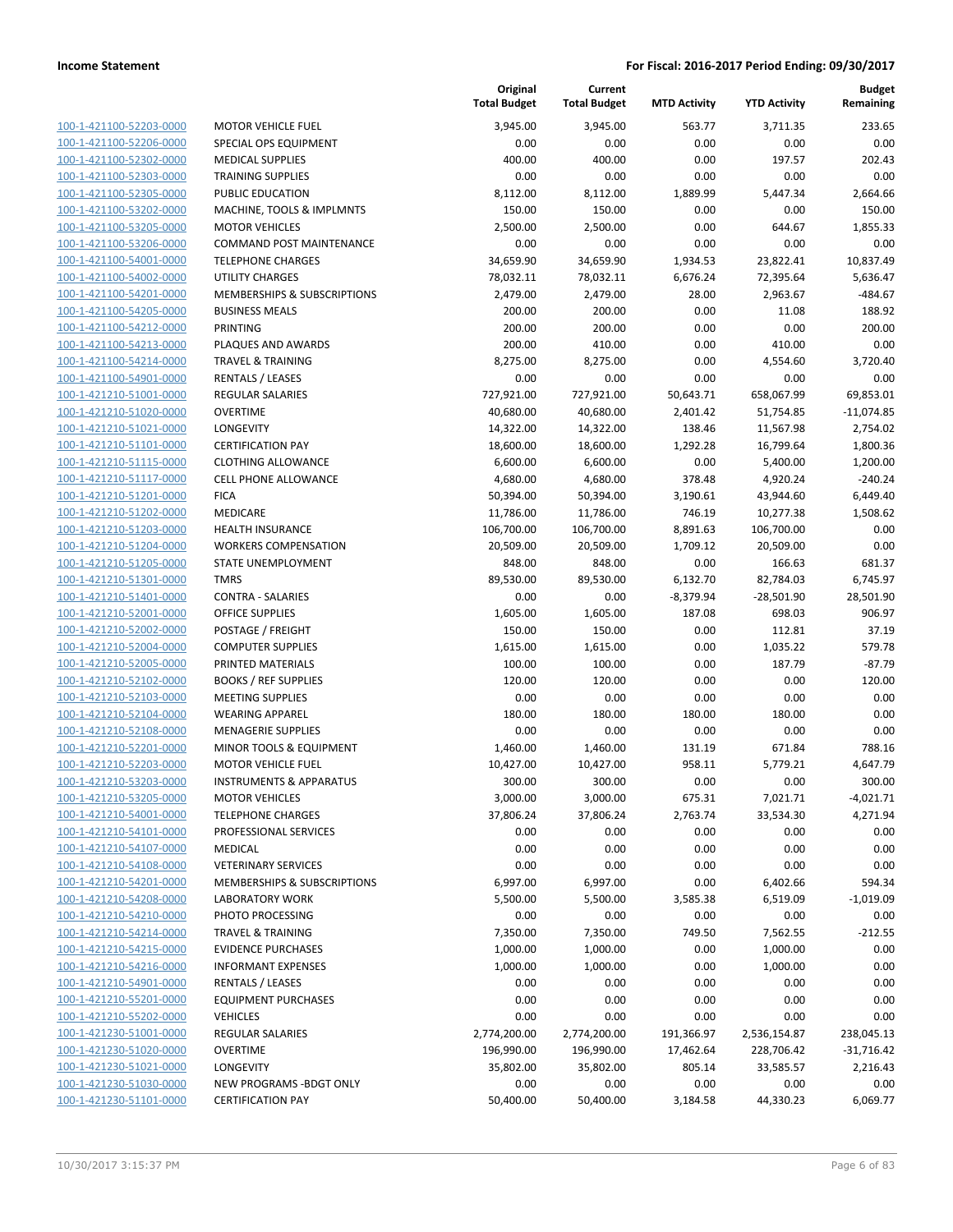|                         |                                        | Original<br><b>Total Budget</b> | Current<br><b>Total Budget</b> | <b>MTD Activity</b> | <b>YTD Activity</b> | <b>Budget</b><br>Remaining |
|-------------------------|----------------------------------------|---------------------------------|--------------------------------|---------------------|---------------------|----------------------------|
| 100-1-421100-52203-0000 | <b>MOTOR VEHICLE FUEL</b>              | 3,945.00                        | 3,945.00                       | 563.77              | 3,711.35            | 233.65                     |
| 100-1-421100-52206-0000 | SPECIAL OPS EQUIPMENT                  | 0.00                            | 0.00                           | 0.00                | 0.00                | 0.00                       |
| 100-1-421100-52302-0000 | <b>MEDICAL SUPPLIES</b>                | 400.00                          | 400.00                         | 0.00                | 197.57              | 202.43                     |
| 100-1-421100-52303-0000 | <b>TRAINING SUPPLIES</b>               | 0.00                            | 0.00                           | 0.00                | 0.00                | 0.00                       |
| 100-1-421100-52305-0000 | PUBLIC EDUCATION                       | 8,112.00                        | 8,112.00                       | 1,889.99            | 5,447.34            | 2,664.66                   |
| 100-1-421100-53202-0000 | MACHINE, TOOLS & IMPLMNTS              | 150.00                          | 150.00                         | 0.00                | 0.00                | 150.00                     |
| 100-1-421100-53205-0000 | <b>MOTOR VEHICLES</b>                  | 2,500.00                        | 2,500.00                       | 0.00                | 644.67              | 1,855.33                   |
| 100-1-421100-53206-0000 | <b>COMMAND POST MAINTENANCE</b>        | 0.00                            | 0.00                           | 0.00                | 0.00                | 0.00                       |
| 100-1-421100-54001-0000 | <b>TELEPHONE CHARGES</b>               | 34,659.90                       | 34,659.90                      | 1,934.53            | 23,822.41           | 10,837.49                  |
| 100-1-421100-54002-0000 | <b>UTILITY CHARGES</b>                 | 78,032.11                       | 78,032.11                      | 6,676.24            | 72,395.64           | 5,636.47                   |
| 100-1-421100-54201-0000 | MEMBERSHIPS & SUBSCRIPTIONS            | 2,479.00                        | 2,479.00                       | 28.00               | 2,963.67            | -484.67                    |
| 100-1-421100-54205-0000 | <b>BUSINESS MEALS</b>                  | 200.00                          | 200.00                         | 0.00                | 11.08               | 188.92                     |
| 100-1-421100-54212-0000 | <b>PRINTING</b>                        | 200.00                          | 200.00                         | 0.00                | 0.00                | 200.00                     |
| 100-1-421100-54213-0000 | PLAQUES AND AWARDS                     | 200.00                          | 410.00                         | 0.00                | 410.00              | 0.00                       |
| 100-1-421100-54214-0000 | <b>TRAVEL &amp; TRAINING</b>           | 8,275.00                        | 8,275.00                       | 0.00                | 4,554.60            | 3,720.40                   |
| 100-1-421100-54901-0000 | RENTALS / LEASES                       | 0.00                            | 0.00                           | 0.00                | 0.00                | 0.00                       |
| 100-1-421210-51001-0000 | REGULAR SALARIES                       | 727,921.00                      | 727,921.00                     | 50,643.71           | 658,067.99          | 69,853.01                  |
| 100-1-421210-51020-0000 | <b>OVERTIME</b>                        | 40,680.00                       | 40,680.00                      | 2,401.42            | 51,754.85           | $-11,074.85$               |
| 100-1-421210-51021-0000 | LONGEVITY                              | 14,322.00                       | 14,322.00                      | 138.46              | 11,567.98           | 2,754.02                   |
| 100-1-421210-51101-0000 | <b>CERTIFICATION PAY</b>               | 18,600.00                       | 18,600.00                      | 1,292.28            | 16,799.64           | 1,800.36                   |
| 100-1-421210-51115-0000 | <b>CLOTHING ALLOWANCE</b>              | 6,600.00                        | 6,600.00                       | 0.00                | 5,400.00            | 1,200.00                   |
| 100-1-421210-51117-0000 | <b>CELL PHONE ALLOWANCE</b>            | 4,680.00                        | 4,680.00                       | 378.48              | 4,920.24            | $-240.24$                  |
| 100-1-421210-51201-0000 | <b>FICA</b>                            | 50,394.00                       | 50,394.00                      | 3,190.61            | 43,944.60           | 6,449.40                   |
| 100-1-421210-51202-0000 | <b>MEDICARE</b>                        | 11,786.00                       | 11,786.00                      | 746.19              | 10,277.38           | 1,508.62                   |
| 100-1-421210-51203-0000 | <b>HEALTH INSURANCE</b>                | 106,700.00                      | 106,700.00                     | 8,891.63            | 106,700.00          | 0.00                       |
| 100-1-421210-51204-0000 | <b>WORKERS COMPENSATION</b>            | 20,509.00                       | 20,509.00                      | 1,709.12            | 20,509.00           | 0.00                       |
| 100-1-421210-51205-0000 | STATE UNEMPLOYMENT                     | 848.00                          | 848.00                         | 0.00                | 166.63              | 681.37                     |
| 100-1-421210-51301-0000 | <b>TMRS</b>                            | 89,530.00                       | 89,530.00                      | 6,132.70            | 82,784.03           | 6,745.97                   |
| 100-1-421210-51401-0000 | <b>CONTRA - SALARIES</b>               | 0.00                            | 0.00                           | $-8,379.94$         | $-28,501.90$        | 28,501.90                  |
| 100-1-421210-52001-0000 | <b>OFFICE SUPPLIES</b>                 | 1,605.00                        | 1,605.00                       | 187.08              | 698.03              | 906.97                     |
| 100-1-421210-52002-0000 | POSTAGE / FREIGHT                      | 150.00                          | 150.00                         | 0.00                | 112.81              | 37.19                      |
| 100-1-421210-52004-0000 | <b>COMPUTER SUPPLIES</b>               | 1,615.00                        | 1,615.00                       | 0.00                | 1,035.22            | 579.78                     |
| 100-1-421210-52005-0000 | PRINTED MATERIALS                      | 100.00                          | 100.00                         | 0.00                | 187.79              | $-87.79$                   |
| 100-1-421210-52102-0000 | <b>BOOKS / REF SUPPLIES</b>            | 120.00                          | 120.00                         | 0.00                | 0.00                | 120.00                     |
| 100-1-421210-52103-0000 | <b>MEETING SUPPLIES</b>                | 0.00                            | 0.00                           | 0.00                | 0.00                | 0.00                       |
| 100-1-421210-52104-0000 | <b>WEARING APPAREL</b>                 | 180.00                          | 180.00                         | 180.00              | 180.00              | 0.00                       |
| 100-1-421210-52108-0000 | <b>MENAGERIE SUPPLIES</b>              | 0.00                            | 0.00                           | 0.00                | 0.00                | 0.00                       |
| 100-1-421210-52201-0000 | <b>MINOR TOOLS &amp; EQUIPMENT</b>     | 1,460.00                        | 1,460.00                       | 131.19              | 671.84              | 788.16                     |
| 100-1-421210-52203-0000 | <b>MOTOR VEHICLE FUEL</b>              | 10,427.00                       | 10,427.00                      | 958.11              | 5,779.21            | 4.647.79                   |
| 100-1-421210-53203-0000 | <b>INSTRUMENTS &amp; APPARATUS</b>     | 300.00                          | 300.00                         | 0.00                | 0.00                | 300.00                     |
| 100-1-421210-53205-0000 | <b>MOTOR VEHICLES</b>                  | 3,000.00                        | 3,000.00                       | 675.31              | 7,021.71            | $-4,021.71$                |
| 100-1-421210-54001-0000 | <b>TELEPHONE CHARGES</b>               | 37,806.24                       | 37,806.24                      | 2,763.74            | 33,534.30           | 4,271.94                   |
| 100-1-421210-54101-0000 | PROFESSIONAL SERVICES                  | 0.00                            | 0.00                           | 0.00                | 0.00                | 0.00                       |
| 100-1-421210-54107-0000 | MEDICAL                                | 0.00                            | 0.00                           | 0.00                | 0.00                | 0.00                       |
| 100-1-421210-54108-0000 | <b>VETERINARY SERVICES</b>             | 0.00                            | 0.00                           | 0.00                | 0.00                | 0.00                       |
| 100-1-421210-54201-0000 | <b>MEMBERSHIPS &amp; SUBSCRIPTIONS</b> | 6,997.00                        | 6,997.00                       | 0.00                | 6,402.66            | 594.34                     |
| 100-1-421210-54208-0000 | <b>LABORATORY WORK</b>                 | 5,500.00                        | 5,500.00                       | 3,585.38            | 6,519.09            | $-1,019.09$                |
| 100-1-421210-54210-0000 | PHOTO PROCESSING                       | 0.00                            | 0.00                           | 0.00                | 0.00                | 0.00                       |
| 100-1-421210-54214-0000 | <b>TRAVEL &amp; TRAINING</b>           | 7,350.00                        | 7,350.00                       | 749.50              | 7,562.55            | $-212.55$                  |
| 100-1-421210-54215-0000 | <b>EVIDENCE PURCHASES</b>              | 1,000.00                        | 1,000.00                       | 0.00                | 1,000.00            | 0.00                       |
| 100-1-421210-54216-0000 | <b>INFORMANT EXPENSES</b>              | 1,000.00                        | 1,000.00                       | 0.00                | 1,000.00            | 0.00                       |
| 100-1-421210-54901-0000 | <b>RENTALS / LEASES</b>                | 0.00                            | 0.00                           | 0.00                | 0.00                | 0.00                       |
| 100-1-421210-55201-0000 | <b>EQUIPMENT PURCHASES</b>             | 0.00                            | 0.00                           | 0.00                | 0.00                | 0.00                       |
| 100-1-421210-55202-0000 | <b>VEHICLES</b>                        | 0.00                            | 0.00                           | 0.00                | 0.00                | 0.00                       |
| 100-1-421230-51001-0000 | <b>REGULAR SALARIES</b>                | 2,774,200.00                    | 2,774,200.00                   | 191,366.97          | 2,536,154.87        | 238,045.13                 |
| 100-1-421230-51020-0000 | <b>OVERTIME</b>                        | 196,990.00                      | 196,990.00                     | 17,462.64           | 228,706.42          | $-31,716.42$               |
| 100-1-421230-51021-0000 | LONGEVITY                              | 35,802.00                       | 35,802.00                      | 805.14              | 33,585.57           | 2,216.43                   |
| 100-1-421230-51030-0000 | NEW PROGRAMS - BDGT ONLY               | 0.00                            | 0.00                           | 0.00                | 0.00                | 0.00                       |
| 100-1-421230-51101-0000 | <b>CERTIFICATION PAY</b>               | 50,400.00                       | 50,400.00                      | 3,184.58            | 44,330.23           | 6,069.77                   |
|                         |                                        |                                 |                                |                     |                     |                            |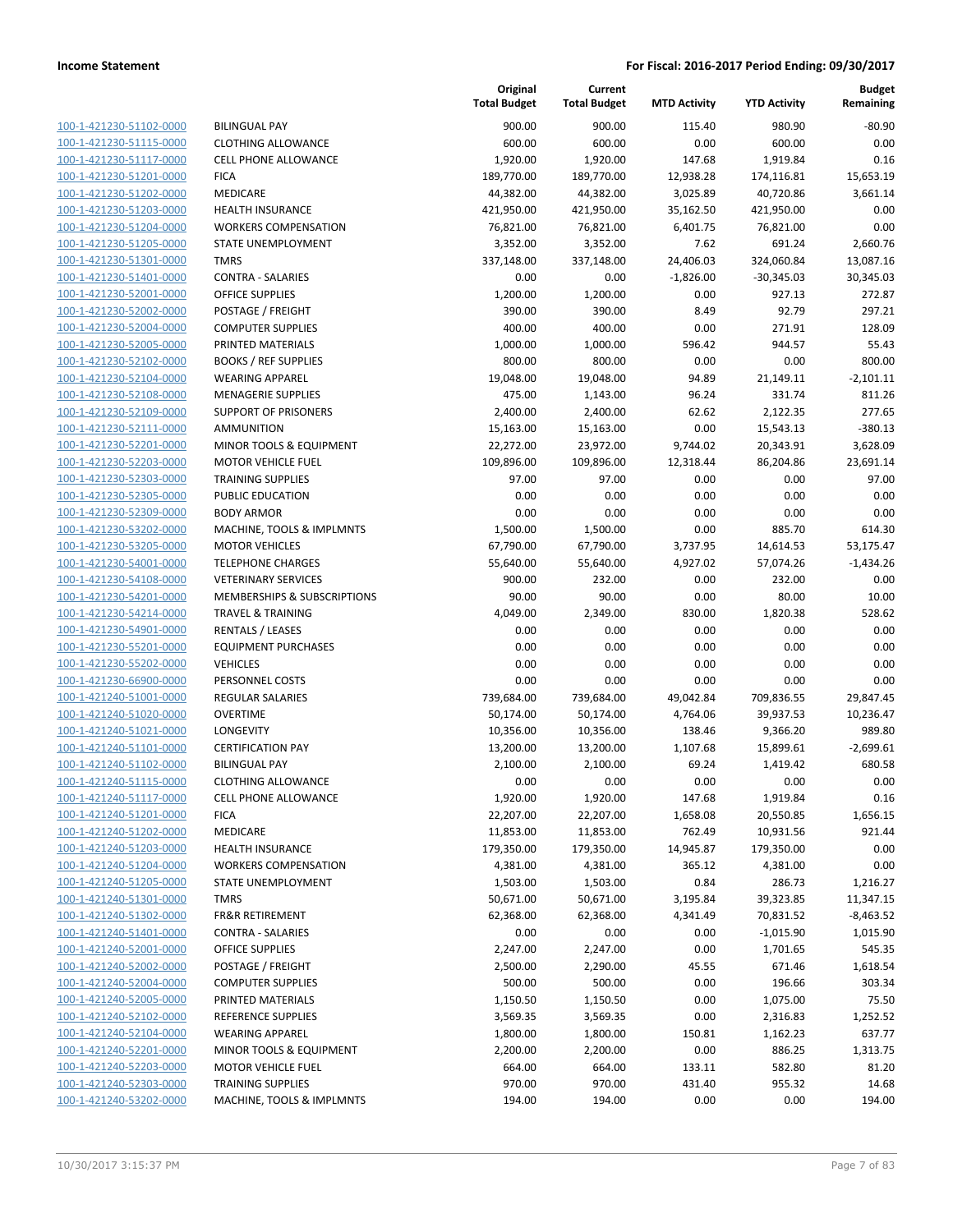| 100-1-421230-51102-0000                                          |
|------------------------------------------------------------------|
| 100-1-421230-51115-0000                                          |
| 100-1-421230-51117-0000                                          |
| 100-1-421230-51201-0000                                          |
| 100-1-421230-51202-0000                                          |
| 100-1-421230-51203-0000                                          |
| 100-1-421230-51204-0000                                          |
| 100-1-421230-51205-0000                                          |
| 100-1-421230-51301-0000                                          |
| 100-1-421230-51401-0000                                          |
| 100-1-421230-52001-0000                                          |
| 100-1-421230-52002-0000                                          |
| 100-1-421230-52004-0000                                          |
| 100-1-421230-52005-0000                                          |
| 100-1-421230-52102-0000                                          |
| 100-1-421230-52104-0000                                          |
| 100-1-421230-52108-0000                                          |
| 100-1-421230-52109-0000                                          |
| 100-1-421230-52111-0000                                          |
| 100-1-421230-52201-0000                                          |
| 100-1-421230-52203-0000                                          |
| 100-1-421230-52303-0000                                          |
| 100-1-421230-52305-0000                                          |
| 100-1-421230-52309-0000                                          |
| 100-1-421230-53202-0000                                          |
| 100-1-421230-53205-0000                                          |
| 100-1-421230-54001-0000                                          |
| 100-1-421230-54108-0000                                          |
| 100-1-421230-54201-0000                                          |
| 100-1-421230-54214-0000                                          |
| 100-1-421230-54901-0000                                          |
| 100-1-421230-55201-0000                                          |
| 100-1-421230-55202-0000                                          |
| 100-1-421230-66900-0000                                          |
| 100-1-421240-51001-0000                                          |
| 100-1-421240-51020-0000                                          |
| 100-1-421240-51021-0000                                          |
| 100-1-421240-51101-0000                                          |
| 100-1-421240-51102-0000                                          |
| 100-1-421240-51115-0000                                          |
| 100-1-421240-51117-0000                                          |
| <u>100-1-421240-51201-0000</u>                                   |
| 100-1-421240-51202-0000                                          |
| 100-1-421240-51203-0000                                          |
| 100-1-421240-51204-0000                                          |
| <u>100-1-421240-51205-0000</u>                                   |
| <u>100-1-421240-51301-0000</u>                                   |
| <u>100-1-421240-51302-0000</u>                                   |
| 100-1-421240-51401-0000                                          |
| 100-1-421240-52001-0000                                          |
| 100-1-421240-52002-0000                                          |
| 100-1-421240-52004-0000                                          |
| 100-1-421240-52005-0000<br>100-1-421240-52102-0000               |
| 100-1-421240-52104-0000                                          |
|                                                                  |
| <u>100-1-421240-52201-0000</u><br><u>100-1-421240-52203-0000</u> |
| <u>100-1-421240-52303-0000</u>                                   |
| 100-1-421240-53202-0000                                          |
|                                                                  |

|                                                    |                                            | Original<br><b>Total Budget</b> | Current<br><b>Total Budget</b> | <b>MTD Activity</b> | <b>YTD Activity</b> | <b>Budget</b><br>Remaining |
|----------------------------------------------------|--------------------------------------------|---------------------------------|--------------------------------|---------------------|---------------------|----------------------------|
| 100-1-421230-51102-0000                            | <b>BILINGUAL PAY</b>                       | 900.00                          | 900.00                         | 115.40              | 980.90              | -80.90                     |
| 100-1-421230-51115-0000                            | <b>CLOTHING ALLOWANCE</b>                  | 600.00                          | 600.00                         | 0.00                | 600.00              | 0.00                       |
| 100-1-421230-51117-0000                            | <b>CELL PHONE ALLOWANCE</b>                | 1,920.00                        | 1,920.00                       | 147.68              | 1,919.84            | 0.16                       |
| 100-1-421230-51201-0000                            | <b>FICA</b>                                | 189,770.00                      | 189,770.00                     | 12,938.28           | 174,116.81          | 15,653.19                  |
| 100-1-421230-51202-0000                            | MEDICARE                                   | 44,382.00                       | 44,382.00                      | 3,025.89            | 40,720.86           | 3,661.14                   |
| 100-1-421230-51203-0000                            | <b>HEALTH INSURANCE</b>                    | 421,950.00                      | 421,950.00                     | 35,162.50           | 421,950.00          | 0.00                       |
| 100-1-421230-51204-0000                            | <b>WORKERS COMPENSATION</b>                | 76,821.00                       | 76,821.00                      | 6,401.75            | 76,821.00           | 0.00                       |
| 100-1-421230-51205-0000                            | STATE UNEMPLOYMENT                         | 3,352.00                        | 3,352.00                       | 7.62                | 691.24              | 2,660.76                   |
| 100-1-421230-51301-0000                            | <b>TMRS</b>                                | 337,148.00                      | 337,148.00                     | 24,406.03           | 324,060.84          | 13,087.16                  |
| 100-1-421230-51401-0000                            | <b>CONTRA - SALARIES</b>                   | 0.00                            | 0.00                           | $-1,826.00$         | $-30,345.03$        | 30,345.03                  |
| 100-1-421230-52001-0000                            | <b>OFFICE SUPPLIES</b>                     | 1,200.00                        | 1,200.00                       | 0.00                | 927.13              | 272.87                     |
| 100-1-421230-52002-0000                            | POSTAGE / FREIGHT                          | 390.00                          | 390.00                         | 8.49                | 92.79               | 297.21                     |
| 100-1-421230-52004-0000                            | <b>COMPUTER SUPPLIES</b>                   | 400.00                          | 400.00                         | 0.00                | 271.91              | 128.09                     |
| 100-1-421230-52005-0000                            | PRINTED MATERIALS                          | 1,000.00                        | 1,000.00                       | 596.42              | 944.57              | 55.43                      |
| 100-1-421230-52102-0000                            | <b>BOOKS / REF SUPPLIES</b>                | 800.00                          | 800.00                         | 0.00                | 0.00                | 800.00                     |
| 100-1-421230-52104-0000                            | <b>WEARING APPAREL</b>                     | 19,048.00                       | 19,048.00                      | 94.89               | 21,149.11           | $-2,101.11$                |
| 100-1-421230-52108-0000                            | <b>MENAGERIE SUPPLIES</b>                  | 475.00                          | 1,143.00                       | 96.24               | 331.74              | 811.26                     |
| 100-1-421230-52109-0000                            | <b>SUPPORT OF PRISONERS</b>                | 2,400.00                        | 2,400.00                       | 62.62               | 2,122.35            | 277.65                     |
| 100-1-421230-52111-0000                            | <b>AMMUNITION</b>                          | 15,163.00                       | 15,163.00                      | 0.00                | 15,543.13           | $-380.13$                  |
| 100-1-421230-52201-0000                            | MINOR TOOLS & EQUIPMENT                    | 22,272.00                       | 23,972.00                      | 9,744.02            | 20,343.91           | 3,628.09                   |
| 100-1-421230-52203-0000                            | <b>MOTOR VEHICLE FUEL</b>                  | 109,896.00                      | 109,896.00                     | 12,318.44           | 86,204.86           | 23,691.14                  |
| 100-1-421230-52303-0000                            | <b>TRAINING SUPPLIES</b>                   | 97.00                           | 97.00                          | 0.00                | 0.00                | 97.00                      |
| 100-1-421230-52305-0000                            | PUBLIC EDUCATION                           | 0.00                            | 0.00                           | 0.00                | 0.00                | 0.00                       |
| 100-1-421230-52309-0000                            | <b>BODY ARMOR</b>                          | 0.00                            | 0.00                           | 0.00                | 0.00                | 0.00                       |
| 100-1-421230-53202-0000                            | MACHINE, TOOLS & IMPLMNTS                  | 1,500.00                        | 1,500.00                       | 0.00                | 885.70              | 614.30                     |
| 100-1-421230-53205-0000                            | <b>MOTOR VEHICLES</b>                      | 67,790.00                       | 67,790.00                      | 3,737.95            | 14,614.53           | 53,175.47                  |
| 100-1-421230-54001-0000                            | <b>TELEPHONE CHARGES</b>                   | 55,640.00                       | 55,640.00                      | 4,927.02            | 57,074.26           | $-1,434.26$                |
| 100-1-421230-54108-0000                            | <b>VETERINARY SERVICES</b>                 | 900.00                          | 232.00                         | 0.00                | 232.00              | 0.00                       |
| 100-1-421230-54201-0000                            | MEMBERSHIPS & SUBSCRIPTIONS                | 90.00                           | 90.00                          | 0.00                | 80.00               | 10.00                      |
| 100-1-421230-54214-0000                            | <b>TRAVEL &amp; TRAINING</b>               | 4,049.00                        | 2,349.00                       | 830.00              | 1,820.38            | 528.62                     |
| 100-1-421230-54901-0000                            | RENTALS / LEASES                           | 0.00                            | 0.00                           | 0.00                | 0.00                | 0.00                       |
| 100-1-421230-55201-0000                            | <b>EQUIPMENT PURCHASES</b>                 | 0.00<br>0.00                    | 0.00                           | 0.00<br>0.00        | 0.00                | 0.00<br>0.00               |
| 100-1-421230-55202-0000<br>100-1-421230-66900-0000 | <b>VEHICLES</b>                            |                                 | 0.00                           |                     | 0.00                |                            |
| 100-1-421240-51001-0000                            | PERSONNEL COSTS<br><b>REGULAR SALARIES</b> | 0.00<br>739,684.00              | 0.00<br>739,684.00             | 0.00<br>49,042.84   | 0.00<br>709,836.55  | 0.00<br>29,847.45          |
| 100-1-421240-51020-0000                            | <b>OVERTIME</b>                            | 50,174.00                       | 50,174.00                      | 4,764.06            | 39,937.53           | 10,236.47                  |
| 100-1-421240-51021-0000                            | LONGEVITY                                  | 10,356.00                       | 10,356.00                      | 138.46              | 9,366.20            | 989.80                     |
| 100-1-421240-51101-0000                            | <b>CERTIFICATION PAY</b>                   | 13,200.00                       | 13,200.00                      | 1,107.68            | 15,899.61           | $-2,699.61$                |
| 100-1-421240-51102-0000                            | <b>BILINGUAL PAY</b>                       | 2,100.00                        | 2,100.00                       | 69.24               | 1,419.42            | 680.58                     |
| 100-1-421240-51115-0000                            | <b>CLOTHING ALLOWANCE</b>                  | 0.00                            | 0.00                           | 0.00                | 0.00                | 0.00                       |
| 100-1-421240-51117-0000                            | <b>CELL PHONE ALLOWANCE</b>                | 1,920.00                        | 1,920.00                       | 147.68              | 1,919.84            | 0.16                       |
| 100-1-421240-51201-0000                            | <b>FICA</b>                                | 22,207.00                       | 22,207.00                      | 1,658.08            | 20,550.85           | 1,656.15                   |
| 100-1-421240-51202-0000                            | MEDICARE                                   | 11,853.00                       | 11,853.00                      | 762.49              | 10,931.56           | 921.44                     |
| 100-1-421240-51203-0000                            | <b>HEALTH INSURANCE</b>                    | 179,350.00                      | 179,350.00                     | 14,945.87           | 179,350.00          | 0.00                       |
| 100-1-421240-51204-0000                            | <b>WORKERS COMPENSATION</b>                | 4,381.00                        | 4,381.00                       | 365.12              | 4,381.00            | 0.00                       |
| 100-1-421240-51205-0000                            | STATE UNEMPLOYMENT                         | 1,503.00                        | 1,503.00                       | 0.84                | 286.73              | 1,216.27                   |
| 100-1-421240-51301-0000                            | <b>TMRS</b>                                | 50,671.00                       | 50,671.00                      | 3,195.84            | 39,323.85           | 11,347.15                  |
| 100-1-421240-51302-0000                            | <b>FR&amp;R RETIREMENT</b>                 | 62,368.00                       | 62,368.00                      | 4,341.49            | 70,831.52           | $-8,463.52$                |
| 100-1-421240-51401-0000                            | <b>CONTRA - SALARIES</b>                   | 0.00                            | 0.00                           | 0.00                | $-1,015.90$         | 1,015.90                   |
| 100-1-421240-52001-0000                            | <b>OFFICE SUPPLIES</b>                     | 2,247.00                        | 2,247.00                       | 0.00                | 1,701.65            | 545.35                     |
| 100-1-421240-52002-0000                            | POSTAGE / FREIGHT                          | 2,500.00                        | 2,290.00                       | 45.55               | 671.46              | 1,618.54                   |
| 100-1-421240-52004-0000                            | <b>COMPUTER SUPPLIES</b>                   | 500.00                          | 500.00                         | 0.00                | 196.66              | 303.34                     |
| 100-1-421240-52005-0000                            | PRINTED MATERIALS                          | 1,150.50                        | 1,150.50                       | 0.00                | 1,075.00            | 75.50                      |
| 100-1-421240-52102-0000                            | <b>REFERENCE SUPPLIES</b>                  | 3,569.35                        | 3,569.35                       | 0.00                | 2,316.83            | 1,252.52                   |
| 100-1-421240-52104-0000                            | <b>WEARING APPAREL</b>                     | 1,800.00                        | 1,800.00                       | 150.81              | 1,162.23            | 637.77                     |
| 100-1-421240-52201-0000                            | MINOR TOOLS & EQUIPMENT                    | 2,200.00                        | 2,200.00                       | 0.00                | 886.25              | 1,313.75                   |
| 100-1-421240-52203-0000                            | <b>MOTOR VEHICLE FUEL</b>                  | 664.00                          | 664.00                         | 133.11              | 582.80              | 81.20                      |
| 100-1-421240-52303-0000                            | <b>TRAINING SUPPLIES</b>                   | 970.00                          | 970.00                         | 431.40              | 955.32              | 14.68                      |
| 100-1-421240-53202-0000                            | MACHINE, TOOLS & IMPLMNTS                  | 194.00                          | 194.00                         | 0.00                | 0.00                | 194.00                     |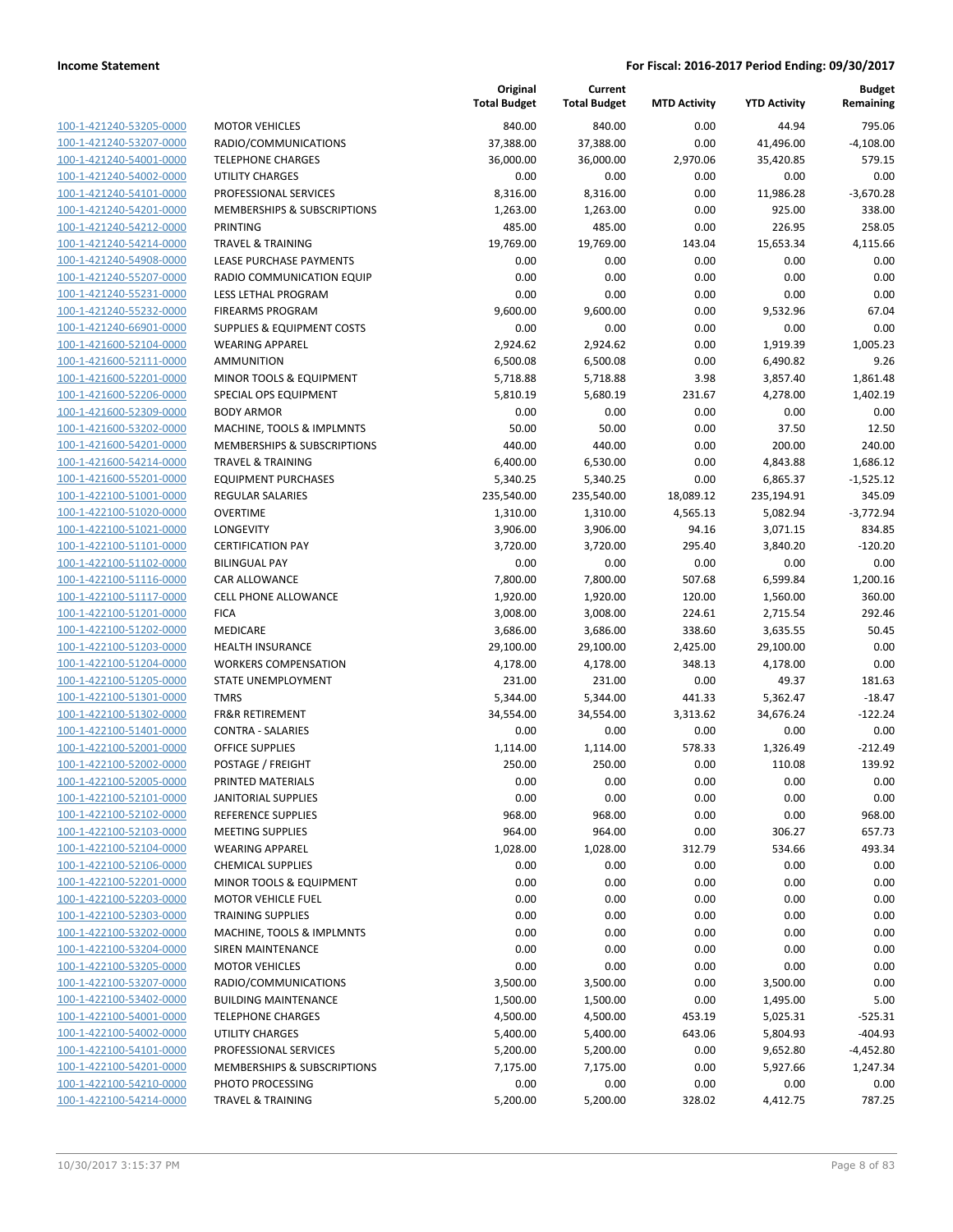| <u>100-1-421240-53205-0000</u><br>100-1-421240-53207-0000<br>100-1-421240-54001-0000<br><u>100-1-421240-54002-0000</u> |
|------------------------------------------------------------------------------------------------------------------------|
|                                                                                                                        |
|                                                                                                                        |
|                                                                                                                        |
|                                                                                                                        |
| <u>100-1-421240-54101-0000</u>                                                                                         |
| 100-1-421240-54201-0000                                                                                                |
| 100-1-421240-54212-0000                                                                                                |
| 100-1-421240-54214-0000                                                                                                |
| <u>100-1-421240-54908-0000</u>                                                                                         |
| 100-1-421240-55207-0000                                                                                                |
| <u>100-1-421240-55231-0000</u>                                                                                         |
| 100-1-421240-55232-0000                                                                                                |
| <u>100-1-421240-66901-0000</u>                                                                                         |
| <u>100-1-421600-52104-0000</u>                                                                                         |
| <u>100-1-421600-52111-0000</u>                                                                                         |
| <u>100-1-421600-52201-0000</u>                                                                                         |
| 100-1-421600-52206-0000                                                                                                |
| 100-1-421600-52309-0000                                                                                                |
| 100-1-421600-53202-0000                                                                                                |
| <u>100-1-421600-54201-0000</u>                                                                                         |
| <u>100-1-421600-54214-0000</u>                                                                                         |
| 100-1-421600-55201-0000                                                                                                |
| 100-1-422100-51001-0000                                                                                                |
| <u>100-1-422100-51020-0000</u>                                                                                         |
| <u>100-1-422100-51021-0000</u>                                                                                         |
| 100-1-422100-51101-0000                                                                                                |
| 100-1-422100-51102-0000                                                                                                |
| 100-1-422100-51116-0000                                                                                                |
| <u>100-1-422100-51117-0000</u>                                                                                         |
| 100-1-422100-51201-0000                                                                                                |
| <u>100-1-422100-51202-0000</u>                                                                                         |
| 100-1-422100-51203-0000                                                                                                |
| 100-1-422100-51204-0000                                                                                                |
| <u>100-1-422100-51205-0000</u>                                                                                         |
| <u>100-1-422100-51301-0000</u>                                                                                         |
| 100-1-422100-51302-0000                                                                                                |
| 100-1-422100-51401-0000                                                                                                |
| 100-1-422100-52001-0000                                                                                                |
| 100-1-422100-52002-0000                                                                                                |
| 100-1-422100-52005-0000                                                                                                |
| 100-1-422100-52101-0000                                                                                                |
| <u>100-1-422100-52102-0000</u>                                                                                         |
| <u>100-1-422100-52103-0000</u>                                                                                         |
| <u>100-1-422100-52104-0000</u>                                                                                         |
| 100-1-422100-52106-0000                                                                                                |
| <u>100-1-422100-52201-0000</u>                                                                                         |
| <u>100-1-422100-52203-0000</u>                                                                                         |
| 100-1-422100-52303-0000                                                                                                |
| <u>100-1-422100-53202-0000</u>                                                                                         |
| 100-1-422100-53204-0000                                                                                                |
| 100-1-422100-53205-0000                                                                                                |
| 100-1-422100-53207-0000                                                                                                |
| 100-1-422100-53402-0000                                                                                                |
| <u>100-1-422100-54001-0000</u>                                                                                         |
| <u>100-1-422100-54002-0000</u>                                                                                         |
| <u>100-1-422100-54101-0000</u>                                                                                         |
| <u>100-1-422100-54201-0000</u>                                                                                         |
| <u>100-1-422100-54210-0000</u>                                                                                         |
| <u>100-1-422100-54214-0000</u>                                                                                         |

| MOTOR VEHICLES               |
|------------------------------|
| RADIO/COMMUNICATIONS         |
| TELEPHONE CHARGES            |
| UTILITY CHARGES              |
| PROFESSIONAL SERVICES        |
| MEMBERSHIPS & SUBSCRIPTIONS  |
| PRINTING                     |
| <b>TRAVEL &amp; TRAINING</b> |
| LEASE PURCHASE PAYMENTS      |
| RADIO COMMUNICATION EQUIP    |
| LESS LETHAL PROGRAM          |
| <b>FIREARMS PROGRAM</b>      |
| SUPPLIES & EQUIPMENT COSTS   |
| WEARING APPAREL              |
| AMMUNITION                   |
| MINOR TOOLS & EQUIPMENT      |
| SPECIAL OPS EQUIPMENT        |
| BODY ARMOR                   |
| MACHINE, TOOLS & IMPLMNTS    |
| MEMBERSHIPS & SUBSCRIPTIONS  |
| TRAVEL & TRAINING            |
| EQUIPMENT PURCHASES          |
| REGULAR SALARIES             |
| OVERTIME                     |
| LONGEVITY                    |
| <b>CERTIFICATION PAY</b>     |
| BILINGUAL PAY                |
| CAR ALLOWANCE                |
| CELL PHONE ALLOWANCE         |
| FICA                         |
| MEDICARE                     |
| HEALTH INSURANCE             |
| WORKERS COMPENSATION         |
| STATE UNEMPLOYMENT           |
| TMRS                         |
| FR&R RETIREMENT              |
| CONTRA - SALARIES            |
| OFFICE SUPPLIES              |
| POSTAGE / FREIGHT            |
| PRINTED MATERIALS            |
| <b>IANITORIAL SUPPLIES</b>   |
| REFERENCE SUPPLIES           |
| MEETING SUPPLIES             |
| WEARING APPAREL              |
| CHEMICAL SUPPLIES            |
| MINOR TOOLS & EQUIPMENT      |
| MOTOR VEHICLE FUEL           |
| TRAINING SUPPLIES            |
| MACHINE, TOOLS & IMPLMNTS    |
| SIREN MAINTENANCE            |
| <b>MOTOR VEHICLES</b>        |
| RADIO/COMMUNICATIONS         |
| <b>BUILDING MAINTENANCE</b>  |
| <b>TELEPHONE CHARGES</b>     |
| UTILITY CHARGES              |
| PROFESSIONAL SERVICES        |
| MEMBERSHIPS & SUBSCRIPTIONS  |
| PHOTO PROCESSING             |

|                                                    |                                        | Original<br><b>Total Budget</b> | Current<br><b>Total Budget</b> | <b>MTD Activity</b> | <b>YTD Activity</b>   | <b>Budget</b><br>Remaining |
|----------------------------------------------------|----------------------------------------|---------------------------------|--------------------------------|---------------------|-----------------------|----------------------------|
| 100-1-421240-53205-0000                            | <b>MOTOR VEHICLES</b>                  | 840.00                          | 840.00                         | 0.00                | 44.94                 | 795.06                     |
| 100-1-421240-53207-0000                            | RADIO/COMMUNICATIONS                   | 37,388.00                       | 37,388.00                      | 0.00                | 41,496.00             | $-4,108.00$                |
| 100-1-421240-54001-0000                            | <b>TELEPHONE CHARGES</b>               | 36,000.00                       | 36,000.00                      | 2,970.06            | 35,420.85             | 579.15                     |
| 100-1-421240-54002-0000                            | <b>UTILITY CHARGES</b>                 | 0.00                            | 0.00                           | 0.00                | 0.00                  | 0.00                       |
| 100-1-421240-54101-0000                            | PROFESSIONAL SERVICES                  | 8,316.00                        | 8,316.00                       | 0.00                | 11,986.28             | $-3,670.28$                |
| 100-1-421240-54201-0000                            | <b>MEMBERSHIPS &amp; SUBSCRIPTIONS</b> | 1,263.00                        | 1,263.00                       | 0.00                | 925.00                | 338.00                     |
| 100-1-421240-54212-0000                            | <b>PRINTING</b>                        | 485.00                          | 485.00                         | 0.00                | 226.95                | 258.05                     |
| 100-1-421240-54214-0000                            | <b>TRAVEL &amp; TRAINING</b>           | 19,769.00                       | 19,769.00                      | 143.04              | 15,653.34             | 4,115.66                   |
| 100-1-421240-54908-0000                            | <b>LEASE PURCHASE PAYMENTS</b>         | 0.00                            | 0.00                           | 0.00                | 0.00                  | 0.00                       |
| 100-1-421240-55207-0000                            | RADIO COMMUNICATION EQUIP              | 0.00                            | 0.00                           | 0.00                | 0.00                  | 0.00                       |
| 100-1-421240-55231-0000                            | LESS LETHAL PROGRAM                    | 0.00                            | 0.00                           | 0.00                | 0.00                  | 0.00                       |
| 100-1-421240-55232-0000                            | <b>FIREARMS PROGRAM</b>                | 9,600.00                        | 9,600.00                       | 0.00                | 9,532.96              | 67.04                      |
| 100-1-421240-66901-0000                            | <b>SUPPLIES &amp; EQUIPMENT COSTS</b>  | 0.00                            | 0.00                           | 0.00                | 0.00                  | 0.00                       |
| 100-1-421600-52104-0000                            | <b>WEARING APPAREL</b>                 | 2,924.62                        | 2,924.62                       | 0.00                | 1,919.39              | 1,005.23                   |
| 100-1-421600-52111-0000                            | <b>AMMUNITION</b>                      | 6,500.08                        | 6,500.08                       | 0.00                | 6,490.82              | 9.26                       |
| 100-1-421600-52201-0000                            | MINOR TOOLS & EQUIPMENT                | 5,718.88                        | 5,718.88                       | 3.98                | 3,857.40              | 1,861.48                   |
| 100-1-421600-52206-0000                            | SPECIAL OPS EQUIPMENT                  | 5,810.19                        | 5,680.19                       | 231.67              | 4,278.00              | 1,402.19                   |
| 100-1-421600-52309-0000                            | <b>BODY ARMOR</b>                      | 0.00                            | 0.00                           | 0.00                | 0.00                  | 0.00                       |
| 100-1-421600-53202-0000                            | MACHINE, TOOLS & IMPLMNTS              | 50.00                           | 50.00                          | 0.00                | 37.50                 | 12.50                      |
| 100-1-421600-54201-0000                            | MEMBERSHIPS & SUBSCRIPTIONS            | 440.00                          | 440.00                         | 0.00                | 200.00                | 240.00                     |
| 100-1-421600-54214-0000                            | <b>TRAVEL &amp; TRAINING</b>           | 6,400.00                        | 6,530.00                       | 0.00                | 4,843.88              | 1,686.12                   |
| 100-1-421600-55201-0000                            | <b>EQUIPMENT PURCHASES</b>             | 5,340.25                        | 5,340.25                       | 0.00                | 6,865.37              | $-1,525.12$                |
| 100-1-422100-51001-0000                            | <b>REGULAR SALARIES</b>                | 235,540.00                      | 235,540.00                     | 18,089.12           | 235,194.91            | 345.09                     |
| 100-1-422100-51020-0000                            | <b>OVERTIME</b>                        | 1,310.00                        | 1,310.00                       | 4,565.13            | 5,082.94              | $-3,772.94$                |
| 100-1-422100-51021-0000                            | LONGEVITY                              | 3,906.00                        | 3,906.00                       | 94.16               | 3,071.15              | 834.85                     |
| 100-1-422100-51101-0000                            | <b>CERTIFICATION PAY</b>               | 3,720.00                        | 3,720.00                       | 295.40              | 3,840.20              | $-120.20$                  |
| 100-1-422100-51102-0000                            | <b>BILINGUAL PAY</b>                   | 0.00                            | 0.00                           | 0.00                | 0.00                  | 0.00                       |
| 100-1-422100-51116-0000                            | CAR ALLOWANCE                          | 7,800.00                        | 7,800.00                       | 507.68              | 6,599.84              | 1,200.16                   |
| 100-1-422100-51117-0000                            | <b>CELL PHONE ALLOWANCE</b>            | 1,920.00                        | 1,920.00                       | 120.00              | 1,560.00              | 360.00<br>292.46           |
| 100-1-422100-51201-0000                            | <b>FICA</b>                            | 3,008.00                        | 3,008.00                       | 224.61              | 2,715.54              |                            |
| 100-1-422100-51202-0000                            | MEDICARE                               | 3,686.00                        | 3,686.00                       | 338.60              | 3,635.55              | 50.45                      |
| 100-1-422100-51203-0000                            | <b>HEALTH INSURANCE</b>                | 29,100.00                       | 29,100.00                      | 2,425.00            | 29,100.00             | 0.00                       |
| 100-1-422100-51204-0000                            | <b>WORKERS COMPENSATION</b>            | 4,178.00                        | 4,178.00                       | 348.13              | 4,178.00              | 0.00                       |
| 100-1-422100-51205-0000<br>100-1-422100-51301-0000 | STATE UNEMPLOYMENT<br><b>TMRS</b>      | 231.00<br>5,344.00              | 231.00                         | 0.00<br>441.33      | 49.37                 | 181.63<br>$-18.47$         |
| 100-1-422100-51302-0000                            | <b>FR&amp;R RETIREMENT</b>             | 34,554.00                       | 5,344.00<br>34,554.00          | 3,313.62            | 5,362.47<br>34,676.24 | $-122.24$                  |
| 100-1-422100-51401-0000                            | <b>CONTRA - SALARIES</b>               | 0.00                            | 0.00                           | 0.00                | 0.00                  | 0.00                       |
| 100-1-422100-52001-0000                            | <b>OFFICE SUPPLIES</b>                 | 1,114.00                        | 1,114.00                       | 578.33              | 1,326.49              | $-212.49$                  |
| 100-1-422100-52002-0000                            | POSTAGE / FREIGHT                      | 250.00                          | 250.00                         | 0.00                | 110.08                | 139.92                     |
| 100-1-422100-52005-0000                            | PRINTED MATERIALS                      | 0.00                            | 0.00                           | 0.00                | 0.00                  | 0.00                       |
| 100-1-422100-52101-0000                            | <b>JANITORIAL SUPPLIES</b>             | 0.00                            | 0.00                           | 0.00                | 0.00                  | 0.00                       |
| 100-1-422100-52102-0000                            | <b>REFERENCE SUPPLIES</b>              | 968.00                          | 968.00                         | 0.00                | 0.00                  | 968.00                     |
| 100-1-422100-52103-0000                            | <b>MEETING SUPPLIES</b>                | 964.00                          | 964.00                         | 0.00                | 306.27                | 657.73                     |
| 100-1-422100-52104-0000                            | <b>WEARING APPAREL</b>                 | 1,028.00                        | 1,028.00                       | 312.79              | 534.66                | 493.34                     |
| 100-1-422100-52106-0000                            | <b>CHEMICAL SUPPLIES</b>               | 0.00                            | 0.00                           | 0.00                | 0.00                  | 0.00                       |
| 100-1-422100-52201-0000                            | MINOR TOOLS & EQUIPMENT                | 0.00                            | 0.00                           | 0.00                | 0.00                  | 0.00                       |
| 100-1-422100-52203-0000                            | <b>MOTOR VEHICLE FUEL</b>              | 0.00                            | 0.00                           | 0.00                | 0.00                  | 0.00                       |
| 100-1-422100-52303-0000                            | <b>TRAINING SUPPLIES</b>               | 0.00                            | 0.00                           | 0.00                | 0.00                  | 0.00                       |
| 100-1-422100-53202-0000                            | MACHINE, TOOLS & IMPLMNTS              | 0.00                            | 0.00                           | 0.00                | 0.00                  | 0.00                       |
| 100-1-422100-53204-0000                            | SIREN MAINTENANCE                      | 0.00                            | 0.00                           | 0.00                | 0.00                  | 0.00                       |
| 100-1-422100-53205-0000                            | <b>MOTOR VEHICLES</b>                  | 0.00                            | 0.00                           | 0.00                | 0.00                  | 0.00                       |
| 100-1-422100-53207-0000                            | RADIO/COMMUNICATIONS                   | 3,500.00                        | 3,500.00                       | 0.00                | 3,500.00              | 0.00                       |
| 100-1-422100-53402-0000                            | <b>BUILDING MAINTENANCE</b>            | 1,500.00                        | 1,500.00                       | 0.00                | 1,495.00              | 5.00                       |
| 100-1-422100-54001-0000                            | <b>TELEPHONE CHARGES</b>               | 4,500.00                        | 4,500.00                       | 453.19              | 5,025.31              | $-525.31$                  |
| 100-1-422100-54002-0000                            | <b>UTILITY CHARGES</b>                 | 5,400.00                        | 5,400.00                       | 643.06              | 5,804.93              | $-404.93$                  |
| 100-1-422100-54101-0000                            | PROFESSIONAL SERVICES                  | 5,200.00                        | 5,200.00                       | 0.00                | 9,652.80              | -4,452.80                  |
| 100-1-422100-54201-0000                            | MEMBERSHIPS & SUBSCRIPTIONS            | 7,175.00                        | 7,175.00                       | 0.00                | 5,927.66              | 1,247.34                   |
| 100-1-422100-54210-0000                            | PHOTO PROCESSING                       | 0.00                            | 0.00                           | 0.00                | 0.00                  | 0.00                       |
| 100-1-422100-54214-0000                            | <b>TRAVEL &amp; TRAINING</b>           | 5,200.00                        | 5,200.00                       | 328.02              | 4,412.75              | 787.25                     |
|                                                    |                                        |                                 |                                |                     |                       |                            |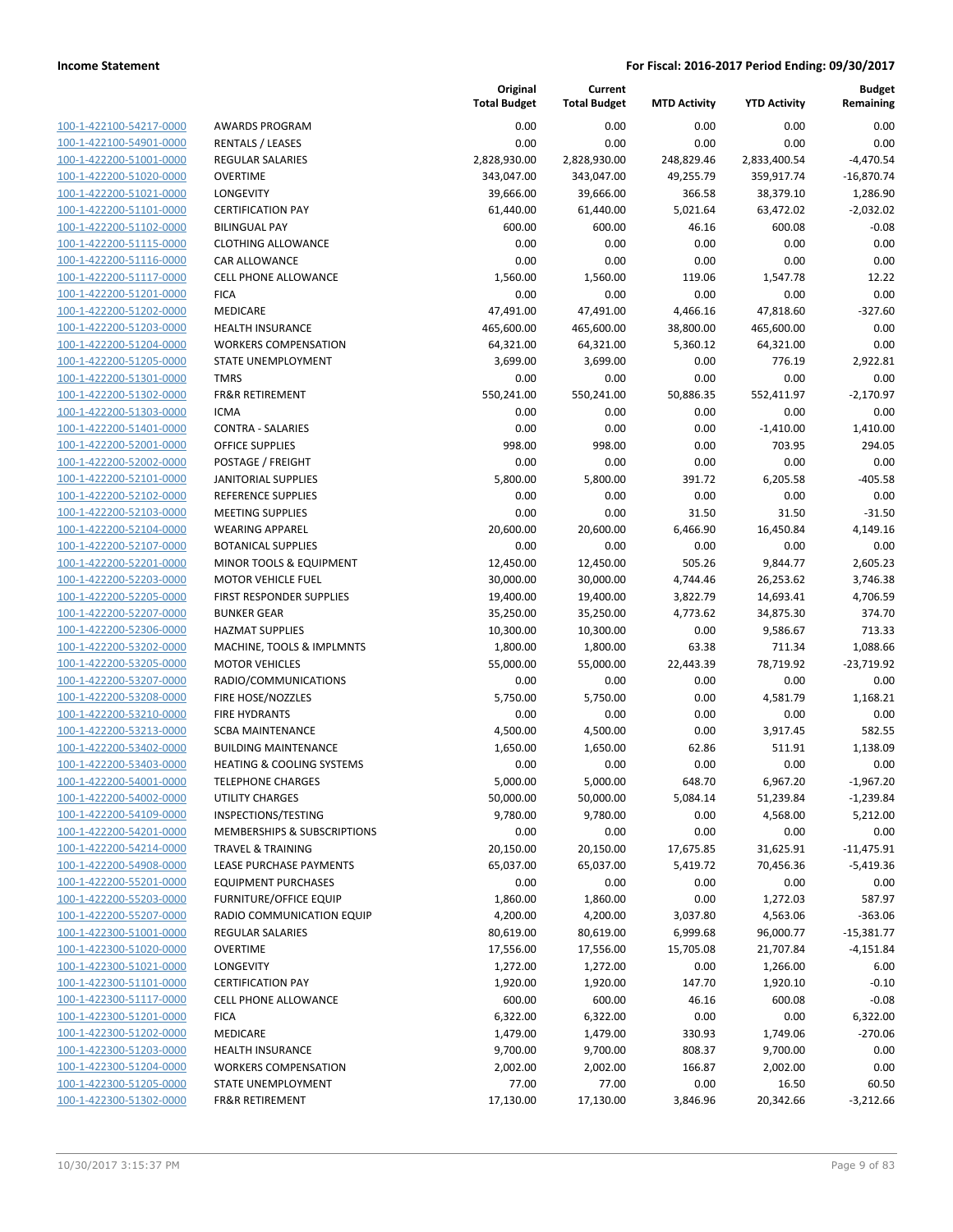| 100-1-422100-54217-0000                                   |
|-----------------------------------------------------------|
| <u>100-1-422100-54901-0000</u>                            |
| 100-1-422200-51001-0000                                   |
| 100-1-422200-51020-0000                                   |
| 100-1-422200-51021-0000                                   |
|                                                           |
| 100-1-422200-51101-0000                                   |
| 100-1-422200-51102-0000                                   |
| 100-1-422200-51115-0000                                   |
| 100-1-422200-51116-0000                                   |
| 100-1-422200-51117-0000                                   |
| 100-1-422200-51201-0000                                   |
| <u>100-1-422200-51202-0000</u>                            |
| 100-1-422200-51203-0000                                   |
| 100-1-422200-51204-0000                                   |
| 100-1-422200-51205-0000                                   |
|                                                           |
| 100-1-422200-51301-0000                                   |
| 100-1-422200-51302-0000                                   |
| 100-1-422200-51303-0000                                   |
| 100-1-422200-51401-0000                                   |
| 100-1-422200-52001<br>-0000                               |
| 100-1-422200-52002-0000                                   |
| 100-1-422200-52101-0000                                   |
| 100-1-422200-52102-0000                                   |
| 100-1-422200-52103-0000                                   |
| 100-1-422200-52104-0000                                   |
|                                                           |
| 100-1-422200-52107-0000                                   |
| 100-1-422200-52201-0000                                   |
| 100-1-422200-52203-0000                                   |
| 100-1-422200-52205-0000                                   |
| 100-1-422200-52207-0000                                   |
| 100-1-422200-52306-0000                                   |
| 100-1-422200-53202-0000                                   |
| 100-1-422200-53205-0000                                   |
| 100-1-422200-53207-0000                                   |
| 100-1-422200-53208-0000                                   |
| 100-1-422200-53210-0000                                   |
|                                                           |
| 100-1-422200-53213-0000                                   |
| 100-1-422200-53402-0000                                   |
| 100-1-422200-53403-0000                                   |
| 100-1-422200-54001-0000                                   |
| 100-1-422200-54002-0000                                   |
| 100-1-422200-54109-0000                                   |
| 100-1-422200-54201-0000                                   |
| <u>100-1-422200-54214-0000</u>                            |
| 100-1-422200-54908-0000                                   |
| 100-1-422200-55201-0000                                   |
|                                                           |
| 100-1-422200-55203-0000                                   |
| 100-1-422200-55207-0000                                   |
| <u>100-1-422300-51001-0000</u>                            |
| 100-1-422300-51020-0000                                   |
| 100-1-422300-51021-0000                                   |
| 100-1-422300-51101-0000                                   |
| <u>100-1-422300-51117-0000</u>                            |
|                                                           |
| <u>100-1-422300-51201-0000</u>                            |
|                                                           |
| 100-1-422300-51202-0000                                   |
| <u>100-1-422300-51203-0000</u>                            |
| 100-1-422300-51204-0000                                   |
| <u>100-1-422300-51205-0000</u><br>100-1-422300-51302-0000 |

|                                                    |                                              | Original<br><b>Total Budget</b> | Current<br><b>Total Budget</b> | <b>MTD Activity</b> | <b>YTD Activity</b> | <b>Budget</b><br>Remaining |
|----------------------------------------------------|----------------------------------------------|---------------------------------|--------------------------------|---------------------|---------------------|----------------------------|
| 100-1-422100-54217-0000                            | <b>AWARDS PROGRAM</b>                        | 0.00                            | 0.00                           | 0.00                | 0.00                | 0.00                       |
| 100-1-422100-54901-0000                            | RENTALS / LEASES                             | 0.00                            | 0.00                           | 0.00                | 0.00                | 0.00                       |
| 100-1-422200-51001-0000                            | <b>REGULAR SALARIES</b>                      | 2,828,930.00                    | 2,828,930.00                   | 248,829.46          | 2,833,400.54        | $-4,470.54$                |
| 100-1-422200-51020-0000                            | <b>OVERTIME</b>                              | 343,047.00                      | 343,047.00                     | 49,255.79           | 359,917.74          | $-16,870.74$               |
| 100-1-422200-51021-0000                            | <b>LONGEVITY</b>                             | 39,666.00                       | 39,666.00                      | 366.58              | 38,379.10           | 1,286.90                   |
| 100-1-422200-51101-0000                            | <b>CERTIFICATION PAY</b>                     | 61,440.00                       | 61,440.00                      | 5,021.64            | 63,472.02           | $-2,032.02$                |
| 100-1-422200-51102-0000                            | <b>BILINGUAL PAY</b>                         | 600.00                          | 600.00                         | 46.16               | 600.08              | $-0.08$                    |
| 100-1-422200-51115-0000                            | <b>CLOTHING ALLOWANCE</b>                    | 0.00                            | 0.00                           | 0.00                | 0.00                | 0.00                       |
| 100-1-422200-51116-0000                            | <b>CAR ALLOWANCE</b>                         | 0.00                            | 0.00                           | 0.00                | 0.00                | 0.00                       |
| 100-1-422200-51117-0000                            | CELL PHONE ALLOWANCE                         | 1,560.00                        | 1,560.00                       | 119.06              | 1,547.78            | 12.22                      |
| 100-1-422200-51201-0000                            | <b>FICA</b>                                  | 0.00                            | 0.00                           | 0.00                | 0.00                | 0.00                       |
| 100-1-422200-51202-0000                            | <b>MEDICARE</b>                              | 47,491.00                       | 47,491.00                      | 4,466.16            | 47,818.60           | $-327.60$                  |
| 100-1-422200-51203-0000                            | <b>HEALTH INSURANCE</b>                      | 465,600.00                      | 465,600.00                     | 38,800.00           | 465,600.00          | 0.00                       |
| 100-1-422200-51204-0000                            | <b>WORKERS COMPENSATION</b>                  | 64,321.00                       | 64,321.00                      | 5,360.12            | 64,321.00           | 0.00                       |
| 100-1-422200-51205-0000                            | STATE UNEMPLOYMENT                           | 3,699.00                        | 3,699.00                       | 0.00                | 776.19              | 2,922.81                   |
| 100-1-422200-51301-0000                            | <b>TMRS</b>                                  | 0.00                            | 0.00                           | 0.00                | 0.00                | 0.00                       |
| 100-1-422200-51302-0000                            | <b>FR&amp;R RETIREMENT</b>                   | 550,241.00                      | 550,241.00                     | 50,886.35           | 552,411.97          | $-2,170.97$                |
| 100-1-422200-51303-0000                            | <b>ICMA</b>                                  | 0.00                            | 0.00                           | 0.00                | 0.00                | 0.00                       |
| 100-1-422200-51401-0000                            | <b>CONTRA - SALARIES</b>                     | 0.00                            | 0.00                           | 0.00                | $-1,410.00$         | 1,410.00                   |
| 100-1-422200-52001-0000                            | <b>OFFICE SUPPLIES</b>                       | 998.00                          | 998.00                         | 0.00                | 703.95              | 294.05                     |
| 100-1-422200-52002-0000                            | POSTAGE / FREIGHT                            | 0.00                            | 0.00                           | 0.00                | 0.00                | 0.00                       |
| 100-1-422200-52101-0000                            | <b>JANITORIAL SUPPLIES</b>                   | 5,800.00                        | 5,800.00                       | 391.72              | 6,205.58            | $-405.58$                  |
| 100-1-422200-52102-0000                            | REFERENCE SUPPLIES                           | 0.00                            | 0.00                           | 0.00                | 0.00                | 0.00                       |
| 100-1-422200-52103-0000                            | <b>MEETING SUPPLIES</b>                      | 0.00                            | 0.00                           | 31.50               | 31.50               | $-31.50$                   |
| 100-1-422200-52104-0000                            | <b>WEARING APPAREL</b>                       | 20,600.00                       | 20,600.00                      | 6,466.90            | 16,450.84           | 4,149.16                   |
| 100-1-422200-52107-0000                            | <b>BOTANICAL SUPPLIES</b>                    | 0.00                            | 0.00                           | 0.00                | 0.00                | 0.00                       |
| 100-1-422200-52201-0000                            | MINOR TOOLS & EQUIPMENT                      | 12,450.00                       | 12,450.00                      | 505.26              | 9,844.77            | 2,605.23                   |
| 100-1-422200-52203-0000                            | <b>MOTOR VEHICLE FUEL</b>                    | 30,000.00                       | 30,000.00                      | 4,744.46            | 26,253.62           | 3,746.38                   |
| 100-1-422200-52205-0000                            | FIRST RESPONDER SUPPLIES                     | 19,400.00                       | 19,400.00                      | 3,822.79            | 14,693.41           | 4,706.59                   |
| 100-1-422200-52207-0000<br>100-1-422200-52306-0000 | <b>BUNKER GEAR</b><br><b>HAZMAT SUPPLIES</b> | 35,250.00                       | 35,250.00                      | 4,773.62<br>0.00    | 34,875.30           | 374.70<br>713.33           |
| 100-1-422200-53202-0000                            | MACHINE, TOOLS & IMPLMNTS                    | 10,300.00<br>1,800.00           | 10,300.00<br>1,800.00          | 63.38               | 9,586.67<br>711.34  | 1,088.66                   |
| 100-1-422200-53205-0000                            | <b>MOTOR VEHICLES</b>                        | 55,000.00                       | 55,000.00                      | 22,443.39           | 78,719.92           | $-23,719.92$               |
| 100-1-422200-53207-0000                            | RADIO/COMMUNICATIONS                         | 0.00                            | 0.00                           | 0.00                | 0.00                | 0.00                       |
| 100-1-422200-53208-0000                            | FIRE HOSE/NOZZLES                            | 5,750.00                        | 5,750.00                       | 0.00                | 4,581.79            | 1,168.21                   |
| 100-1-422200-53210-0000                            | <b>FIRE HYDRANTS</b>                         | 0.00                            | 0.00                           | 0.00                | 0.00                | 0.00                       |
| 100-1-422200-53213-0000                            | <b>SCBA MAINTENANCE</b>                      | 4,500.00                        | 4,500.00                       | 0.00                | 3,917.45            | 582.55                     |
| 100-1-422200-53402-0000                            | <b>BUILDING MAINTENANCE</b>                  | 1,650.00                        | 1,650.00                       | 62.86               | 511.91              | 1,138.09                   |
| 100-1-422200-53403-0000                            | <b>HEATING &amp; COOLING SYSTEMS</b>         | 0.00                            | 0.00                           | 0.00                | 0.00                | 0.00                       |
| 100-1-422200-54001-0000                            | <b>TELEPHONE CHARGES</b>                     | 5,000.00                        | 5,000.00                       | 648.70              | 6,967.20            | $-1,967.20$                |
| 100-1-422200-54002-0000                            | <b>UTILITY CHARGES</b>                       | 50,000.00                       | 50,000.00                      | 5,084.14            | 51,239.84           | $-1,239.84$                |
| 100-1-422200-54109-0000                            | INSPECTIONS/TESTING                          | 9,780.00                        | 9,780.00                       | 0.00                | 4,568.00            | 5,212.00                   |
| 100-1-422200-54201-0000                            | MEMBERSHIPS & SUBSCRIPTIONS                  | 0.00                            | 0.00                           | 0.00                | 0.00                | 0.00                       |
| 100-1-422200-54214-0000                            | <b>TRAVEL &amp; TRAINING</b>                 | 20,150.00                       | 20,150.00                      | 17,675.85           | 31,625.91           | $-11,475.91$               |
| 100-1-422200-54908-0000                            | LEASE PURCHASE PAYMENTS                      | 65,037.00                       | 65,037.00                      | 5,419.72            | 70,456.36           | $-5,419.36$                |
| 100-1-422200-55201-0000                            | <b>EQUIPMENT PURCHASES</b>                   | 0.00                            | 0.00                           | 0.00                | 0.00                | 0.00                       |
| 100-1-422200-55203-0000                            | <b>FURNITURE/OFFICE EQUIP</b>                | 1,860.00                        | 1,860.00                       | 0.00                | 1,272.03            | 587.97                     |
| 100-1-422200-55207-0000                            | RADIO COMMUNICATION EQUIP                    | 4,200.00                        | 4,200.00                       | 3,037.80            | 4,563.06            | $-363.06$                  |
| 100-1-422300-51001-0000                            | <b>REGULAR SALARIES</b>                      | 80,619.00                       | 80,619.00                      | 6,999.68            | 96,000.77           | $-15,381.77$               |
| 100-1-422300-51020-0000                            | <b>OVERTIME</b>                              | 17,556.00                       | 17,556.00                      | 15,705.08           | 21,707.84           | $-4,151.84$                |
| 100-1-422300-51021-0000                            | LONGEVITY                                    | 1,272.00                        | 1,272.00                       | 0.00                | 1,266.00            | 6.00                       |
| 100-1-422300-51101-0000                            | <b>CERTIFICATION PAY</b>                     | 1,920.00                        | 1,920.00                       | 147.70              | 1,920.10            | $-0.10$                    |
| 100-1-422300-51117-0000                            | <b>CELL PHONE ALLOWANCE</b>                  | 600.00                          | 600.00                         | 46.16               | 600.08              | $-0.08$                    |
| 100-1-422300-51201-0000                            | <b>FICA</b>                                  | 6,322.00                        | 6,322.00                       | 0.00                | 0.00                | 6,322.00                   |
| 100-1-422300-51202-0000                            | MEDICARE                                     | 1,479.00                        | 1,479.00                       | 330.93              | 1,749.06            | $-270.06$                  |
| 100-1-422300-51203-0000                            | <b>HEALTH INSURANCE</b>                      | 9,700.00                        | 9,700.00                       | 808.37              | 9,700.00            | 0.00                       |
| 100-1-422300-51204-0000                            | <b>WORKERS COMPENSATION</b>                  | 2,002.00                        | 2,002.00                       | 166.87              | 2,002.00            | 0.00                       |
| 100-1-422300-51205-0000                            | STATE UNEMPLOYMENT                           | 77.00                           | 77.00                          | 0.00                | 16.50               | 60.50                      |
| 100-1-422300-51302-0000                            | FR&R RETIREMENT                              | 17,130.00                       | 17,130.00                      | 3,846.96            | 20,342.66           | $-3,212.66$                |
|                                                    |                                              |                                 |                                |                     |                     |                            |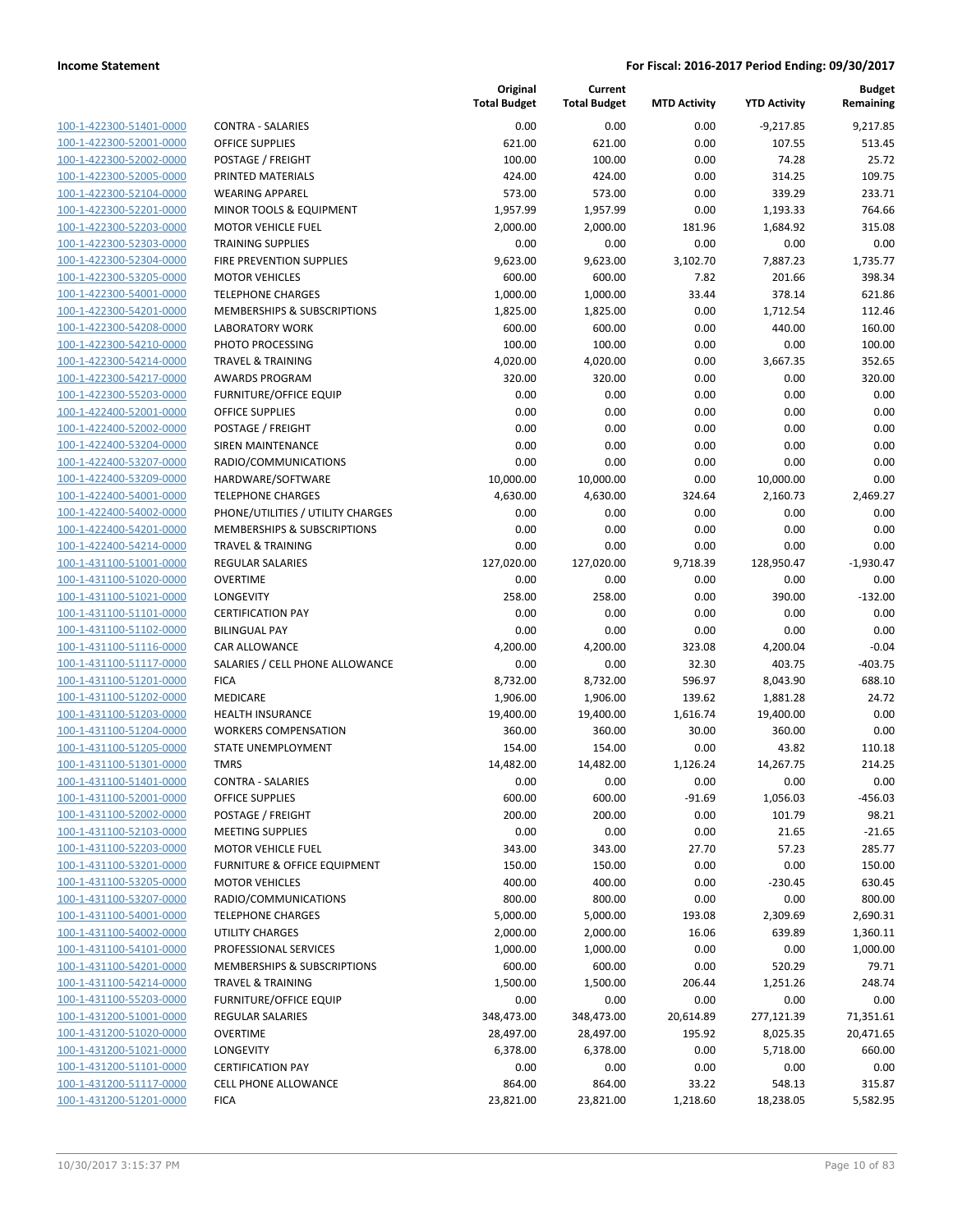| 100-1-422300-51401-0000        |
|--------------------------------|
| 100-1-422300-52001-0000        |
| 100-1-422300-52002-0000        |
| 100-1-422300-52005-0000        |
| 100-1-422300-52104-0000        |
| 100-1-422300-52201-0000        |
| 100-1-422300-52203-0000        |
| 100-1-422300-52303-0000        |
| 100-1-422300-52304-0000        |
| 100-1-422300-53205-0000        |
| 100-1-422300-54001-0000        |
| 100-1-422300-54201-0000        |
| 100-1-422300-54208-0000        |
| 100-1-422300-54210-0000        |
| 100-1-422300-54214-0000        |
| 100-1-422300-54217-0000        |
| 100-1-422300-55203-0000        |
| 100-1-422400-52001-0000        |
| 100-1-422400-52002-0000        |
| 100-1-422400-53204-0000        |
| 100-1-422400-53207-0000        |
| 100-1-422400-53209-0000        |
| 100-1-422400-54001-0000        |
| 100-1-422400-54002-0000        |
| 100-1-422400-54201-0000        |
| 100-1-422400-54214-0000        |
| 100-1-431100-51001-0000        |
| 100-1-431100-51020-0000        |
| 100-1-431100-51021-0000        |
| 100-1-431100-51101-0000        |
| 100-1-431100-51102-0000        |
| 100-1-431100-51116-0000        |
| 100-1-431100-51117-0000        |
| 100-1-431100-51201-0000        |
| 100-1-431100-51202-0000        |
| 100-1-431100-51203-0000        |
| 100-1-431100-51204-0000        |
| 100-1-431100-51205-0000        |
| 100-1-431100-51301-0000        |
| 100-1-431100-51401-0000        |
| 100-1-431100-52001-0000        |
| 100-1-431100-52002-0000        |
| <u>100-1-431100-52103-0000</u> |
| <u>100-1-431100-52203-0000</u> |
| <u>100-1-431100-53201-0000</u> |
| <u>100-1-431100-53205-0000</u> |
| 100-1-431100-53207-0000        |
| 100-1-431100-54001-0000        |
| 100-1-431100-54002-0000        |
| <u>100-1-431100-54101-0000</u> |
| <u>100-1-431100-54201-0000</u> |
| 100-1-431100-54214-0000        |
| 100-1-431100-55203-0000        |
| 100-1-431200-51001-0000        |
| <u>100-1-431200-51020-0000</u> |
| <u>100-1-431200-51021-0000</u> |
| 100-1-431200-51101-0000        |
| <u>100-1-431200-51117-0000</u> |
| <u>100-1-431200-51201-0000</u> |

|                                                    |                                                | Original<br><b>Total Budget</b> | Current<br><b>Total Budget</b> | <b>MTD Activity</b> | <b>YTD Activity</b> | <b>Budget</b><br>Remaining |
|----------------------------------------------------|------------------------------------------------|---------------------------------|--------------------------------|---------------------|---------------------|----------------------------|
| 100-1-422300-51401-0000                            | <b>CONTRA - SALARIES</b>                       | 0.00                            | 0.00                           | 0.00                | $-9,217.85$         | 9,217.85                   |
| 100-1-422300-52001-0000                            | <b>OFFICE SUPPLIES</b>                         | 621.00                          | 621.00                         | 0.00                | 107.55              | 513.45                     |
| 100-1-422300-52002-0000                            | POSTAGE / FREIGHT                              | 100.00                          | 100.00                         | 0.00                | 74.28               | 25.72                      |
| 100-1-422300-52005-0000                            | PRINTED MATERIALS                              | 424.00                          | 424.00                         | 0.00                | 314.25              | 109.75                     |
| 100-1-422300-52104-0000                            | <b>WEARING APPAREL</b>                         | 573.00                          | 573.00                         | 0.00                | 339.29              | 233.71                     |
| 100-1-422300-52201-0000                            | MINOR TOOLS & EQUIPMENT                        | 1,957.99                        | 1,957.99                       | 0.00                | 1,193.33            | 764.66                     |
| 100-1-422300-52203-0000                            | <b>MOTOR VEHICLE FUEL</b>                      | 2,000.00                        | 2,000.00                       | 181.96              | 1,684.92            | 315.08                     |
| 100-1-422300-52303-0000                            | <b>TRAINING SUPPLIES</b>                       | 0.00                            | 0.00                           | 0.00                | 0.00                | 0.00                       |
| 100-1-422300-52304-0000                            | FIRE PREVENTION SUPPLIES                       | 9,623.00                        | 9,623.00                       | 3,102.70            | 7,887.23            | 1,735.77                   |
| 100-1-422300-53205-0000                            | <b>MOTOR VEHICLES</b>                          | 600.00                          | 600.00                         | 7.82                | 201.66              | 398.34                     |
| 100-1-422300-54001-0000                            | <b>TELEPHONE CHARGES</b>                       | 1,000.00                        | 1,000.00                       | 33.44               | 378.14              | 621.86                     |
| 100-1-422300-54201-0000                            | MEMBERSHIPS & SUBSCRIPTIONS                    | 1,825.00                        | 1,825.00                       | 0.00                | 1,712.54            | 112.46                     |
| 100-1-422300-54208-0000                            | <b>LABORATORY WORK</b>                         | 600.00                          | 600.00                         | 0.00                | 440.00              | 160.00                     |
| 100-1-422300-54210-0000                            | PHOTO PROCESSING                               | 100.00                          | 100.00                         | 0.00                | 0.00                | 100.00                     |
| 100-1-422300-54214-0000                            | <b>TRAVEL &amp; TRAINING</b>                   | 4,020.00                        | 4,020.00                       | 0.00                | 3,667.35            | 352.65                     |
| 100-1-422300-54217-0000                            | <b>AWARDS PROGRAM</b>                          | 320.00                          | 320.00                         | 0.00                | 0.00                | 320.00                     |
| 100-1-422300-55203-0000                            | <b>FURNITURE/OFFICE EQUIP</b>                  | 0.00                            | 0.00                           | 0.00                | 0.00                | 0.00                       |
| 100-1-422400-52001-0000                            | <b>OFFICE SUPPLIES</b>                         | 0.00                            | 0.00                           | 0.00                | 0.00                | 0.00                       |
| 100-1-422400-52002-0000                            | POSTAGE / FREIGHT                              | 0.00                            | 0.00                           | 0.00                | 0.00                | 0.00                       |
| 100-1-422400-53204-0000                            | SIREN MAINTENANCE                              | 0.00                            | 0.00                           | 0.00                | 0.00                | 0.00                       |
| 100-1-422400-53207-0000                            | RADIO/COMMUNICATIONS                           | 0.00                            | 0.00                           | 0.00                | 0.00                | 0.00                       |
| 100-1-422400-53209-0000                            | HARDWARE/SOFTWARE                              | 10,000.00                       | 10,000.00                      | 0.00                | 10,000.00           | 0.00                       |
| 100-1-422400-54001-0000                            | <b>TELEPHONE CHARGES</b>                       | 4,630.00                        | 4,630.00                       | 324.64              | 2,160.73            | 2,469.27                   |
| 100-1-422400-54002-0000                            | PHONE/UTILITIES / UTILITY CHARGES              | 0.00                            | 0.00                           | 0.00                | 0.00                | 0.00                       |
| 100-1-422400-54201-0000                            | MEMBERSHIPS & SUBSCRIPTIONS                    | 0.00                            | 0.00                           | 0.00                | 0.00                | 0.00                       |
| 100-1-422400-54214-0000                            | <b>TRAVEL &amp; TRAINING</b>                   | 0.00                            | 0.00                           | 0.00                | 0.00                | 0.00                       |
| 100-1-431100-51001-0000                            | <b>REGULAR SALARIES</b>                        | 127,020.00                      | 127,020.00                     | 9,718.39            | 128,950.47          | $-1,930.47$                |
| 100-1-431100-51020-0000                            | <b>OVERTIME</b>                                | 0.00                            | 0.00                           | 0.00                | 0.00                | 0.00                       |
| 100-1-431100-51021-0000                            | LONGEVITY                                      | 258.00                          | 258.00                         | 0.00                | 390.00              | $-132.00$                  |
| 100-1-431100-51101-0000                            | <b>CERTIFICATION PAY</b>                       | 0.00                            | 0.00                           | 0.00                | 0.00                | 0.00                       |
| 100-1-431100-51102-0000<br>100-1-431100-51116-0000 | <b>BILINGUAL PAY</b>                           | 0.00                            | 0.00                           | 0.00                | 0.00                | 0.00<br>$-0.04$            |
| 100-1-431100-51117-0000                            | CAR ALLOWANCE                                  | 4,200.00                        | 4,200.00                       | 323.08              | 4,200.04            |                            |
| 100-1-431100-51201-0000                            | SALARIES / CELL PHONE ALLOWANCE<br><b>FICA</b> | 0.00<br>8,732.00                | 0.00<br>8,732.00               | 32.30<br>596.97     | 403.75<br>8,043.90  | $-403.75$<br>688.10        |
| 100-1-431100-51202-0000                            | <b>MEDICARE</b>                                | 1,906.00                        | 1,906.00                       | 139.62              | 1,881.28            | 24.72                      |
| 100-1-431100-51203-0000                            | <b>HEALTH INSURANCE</b>                        | 19,400.00                       | 19,400.00                      | 1,616.74            | 19,400.00           | 0.00                       |
| 100-1-431100-51204-0000                            | <b>WORKERS COMPENSATION</b>                    | 360.00                          | 360.00                         | 30.00               | 360.00              | 0.00                       |
| 100-1-431100-51205-0000                            | STATE UNEMPLOYMENT                             | 154.00                          | 154.00                         | 0.00                | 43.82               | 110.18                     |
| 100-1-431100-51301-0000                            | <b>TMRS</b>                                    | 14,482.00                       | 14,482.00                      | 1,126.24            | 14,267.75           | 214.25                     |
| 100-1-431100-51401-0000                            | <b>CONTRA - SALARIES</b>                       | 0.00                            | 0.00                           | 0.00                | 0.00                | 0.00                       |
| 100-1-431100-52001-0000                            | <b>OFFICE SUPPLIES</b>                         | 600.00                          | 600.00                         | $-91.69$            | 1,056.03            | $-456.03$                  |
| 100-1-431100-52002-0000                            | POSTAGE / FREIGHT                              | 200.00                          | 200.00                         | 0.00                | 101.79              | 98.21                      |
| 100-1-431100-52103-0000                            | MEETING SUPPLIES                               | 0.00                            | 0.00                           | 0.00                | 21.65               | $-21.65$                   |
| 100-1-431100-52203-0000                            | <b>MOTOR VEHICLE FUEL</b>                      | 343.00                          | 343.00                         | 27.70               | 57.23               | 285.77                     |
| 100-1-431100-53201-0000                            | FURNITURE & OFFICE EQUIPMENT                   | 150.00                          | 150.00                         | 0.00                | 0.00                | 150.00                     |
| 100-1-431100-53205-0000                            | <b>MOTOR VEHICLES</b>                          | 400.00                          | 400.00                         | 0.00                | $-230.45$           | 630.45                     |
| 100-1-431100-53207-0000                            | RADIO/COMMUNICATIONS                           | 800.00                          | 800.00                         | 0.00                | 0.00                | 800.00                     |
| 100-1-431100-54001-0000                            | <b>TELEPHONE CHARGES</b>                       | 5,000.00                        | 5,000.00                       | 193.08              | 2,309.69            | 2,690.31                   |
| 100-1-431100-54002-0000                            | <b>UTILITY CHARGES</b>                         | 2,000.00                        | 2,000.00                       | 16.06               | 639.89              | 1,360.11                   |
| 100-1-431100-54101-0000                            | PROFESSIONAL SERVICES                          | 1,000.00                        | 1,000.00                       | 0.00                | 0.00                | 1,000.00                   |
| 100-1-431100-54201-0000                            | <b>MEMBERSHIPS &amp; SUBSCRIPTIONS</b>         | 600.00                          | 600.00                         | 0.00                | 520.29              | 79.71                      |
| 100-1-431100-54214-0000                            | <b>TRAVEL &amp; TRAINING</b>                   | 1,500.00                        | 1,500.00                       | 206.44              | 1,251.26            | 248.74                     |
| 100-1-431100-55203-0000                            | <b>FURNITURE/OFFICE EQUIP</b>                  | 0.00                            | 0.00                           | 0.00                | 0.00                | 0.00                       |
| 100-1-431200-51001-0000                            | REGULAR SALARIES                               | 348,473.00                      | 348,473.00                     | 20,614.89           | 277,121.39          | 71,351.61                  |
| 100-1-431200-51020-0000                            | <b>OVERTIME</b>                                | 28,497.00                       | 28,497.00                      | 195.92              | 8,025.35            | 20,471.65                  |
| 100-1-431200-51021-0000                            | LONGEVITY                                      | 6,378.00                        | 6,378.00                       | 0.00                | 5,718.00            | 660.00                     |
| 100-1-431200-51101-0000                            | <b>CERTIFICATION PAY</b>                       | 0.00                            | 0.00                           | 0.00                | 0.00                | 0.00                       |
| 100-1-431200-51117-0000                            | <b>CELL PHONE ALLOWANCE</b>                    | 864.00                          | 864.00                         | 33.22               | 548.13              | 315.87                     |
| 100-1-431200-51201-0000                            | <b>FICA</b>                                    | 23,821.00                       | 23,821.00                      | 1,218.60            | 18,238.05           | 5,582.95                   |
|                                                    |                                                |                                 |                                |                     |                     |                            |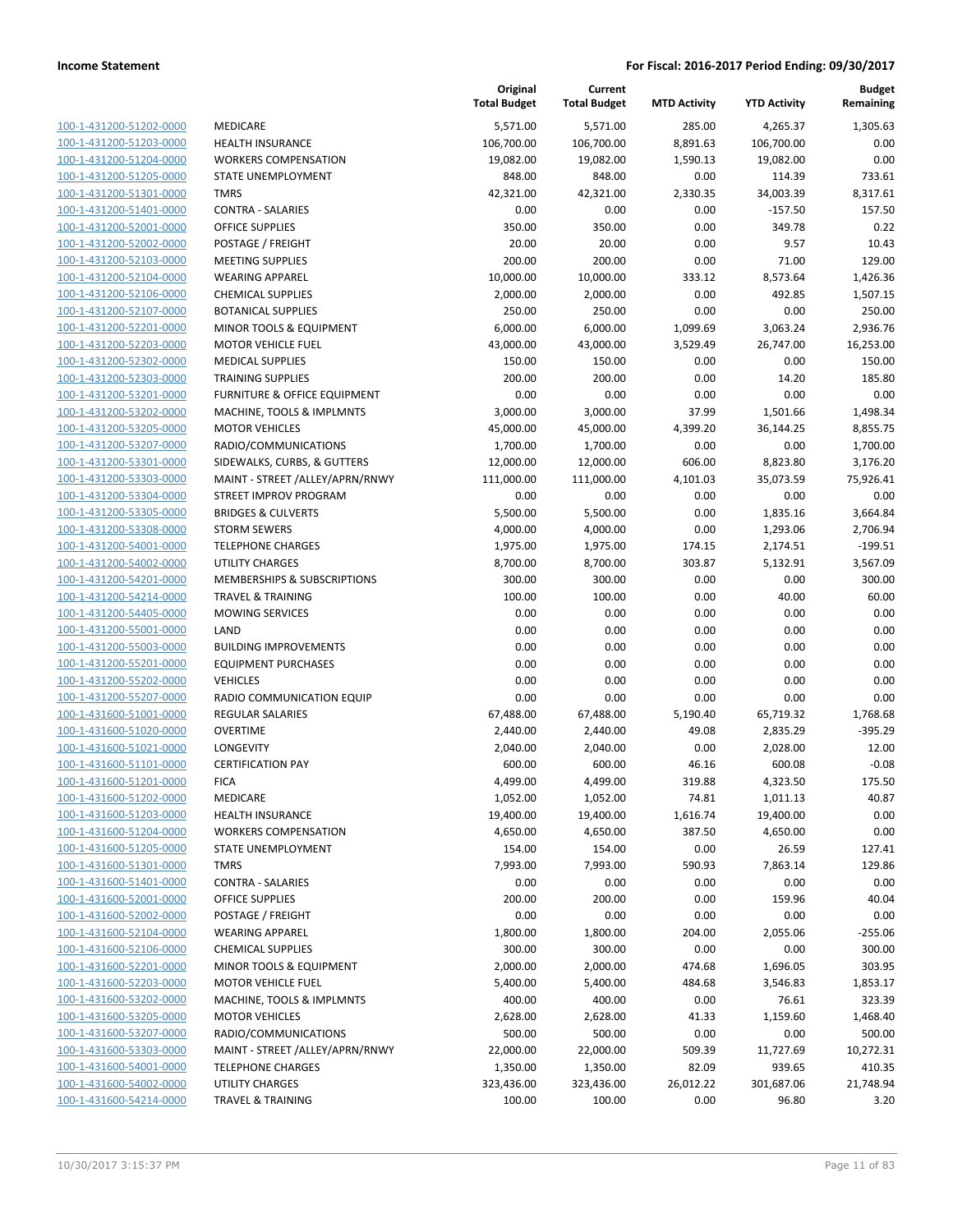|                                                    |                                                        | Original<br><b>Total Budget</b> | Current<br><b>Total Budget</b> | <b>MTD Activity</b> | <b>YTD Activity</b>   | Budget<br>Remaining  |
|----------------------------------------------------|--------------------------------------------------------|---------------------------------|--------------------------------|---------------------|-----------------------|----------------------|
| 100-1-431200-51202-0000                            | MEDICARE                                               | 5,571.00                        | 5,571.00                       | 285.00              | 4,265.37              | 1.305.63             |
| 100-1-431200-51203-0000                            | <b>HEALTH INSURANCE</b>                                | 106,700.00                      | 106,700.00                     | 8,891.63            | 106,700.00            | 0.00                 |
| 100-1-431200-51204-0000                            | <b>WORKERS COMPENSATION</b>                            | 19,082.00                       | 19,082.00                      | 1,590.13            | 19,082.00             | 0.00                 |
| 100-1-431200-51205-0000                            | STATE UNEMPLOYMENT                                     | 848.00                          | 848.00                         | 0.00                | 114.39                | 733.61               |
| 100-1-431200-51301-0000                            | <b>TMRS</b>                                            | 42,321.00                       | 42,321.00                      | 2,330.35            | 34,003.39             | 8,317.61             |
| 100-1-431200-51401-0000                            | <b>CONTRA - SALARIES</b>                               | 0.00                            | 0.00                           | 0.00                | $-157.50$             | 157.50               |
| 100-1-431200-52001-0000                            | <b>OFFICE SUPPLIES</b>                                 | 350.00                          | 350.00                         | 0.00                | 349.78                | 0.22                 |
| 100-1-431200-52002-0000                            | POSTAGE / FREIGHT                                      | 20.00                           | 20.00                          | 0.00                | 9.57                  | 10.43                |
| 100-1-431200-52103-0000                            | <b>MEETING SUPPLIES</b>                                | 200.00                          | 200.00                         | 0.00                | 71.00                 | 129.00               |
| 100-1-431200-52104-0000                            | <b>WEARING APPAREL</b>                                 | 10,000.00                       | 10,000.00                      | 333.12              | 8,573.64              | 1,426.36             |
| 100-1-431200-52106-0000                            | <b>CHEMICAL SUPPLIES</b>                               | 2,000.00                        | 2,000.00                       | 0.00                | 492.85                | 1,507.15             |
| 100-1-431200-52107-0000                            | <b>BOTANICAL SUPPLIES</b>                              | 250.00                          | 250.00                         | 0.00                | 0.00                  | 250.00               |
| 100-1-431200-52201-0000                            | MINOR TOOLS & EQUIPMENT                                | 6,000.00                        | 6,000.00                       | 1,099.69            | 3,063.24              | 2,936.76             |
| 100-1-431200-52203-0000                            | <b>MOTOR VEHICLE FUEL</b>                              | 43,000.00                       | 43,000.00                      | 3,529.49            | 26,747.00             | 16,253.00            |
| 100-1-431200-52302-0000                            | <b>MEDICAL SUPPLIES</b>                                | 150.00                          | 150.00                         | 0.00                | 0.00                  | 150.00               |
| 100-1-431200-52303-0000                            | <b>TRAINING SUPPLIES</b>                               | 200.00                          | 200.00                         | 0.00                | 14.20                 | 185.80               |
| 100-1-431200-53201-0000                            | FURNITURE & OFFICE EQUIPMENT                           | 0.00                            | 0.00                           | 0.00                | 0.00                  | 0.00                 |
| 100-1-431200-53202-0000<br>100-1-431200-53205-0000 | MACHINE, TOOLS & IMPLMNTS                              | 3,000.00                        | 3,000.00                       | 37.99               | 1,501.66              | 1,498.34             |
| 100-1-431200-53207-0000                            | <b>MOTOR VEHICLES</b><br>RADIO/COMMUNICATIONS          | 45,000.00<br>1,700.00           | 45,000.00<br>1,700.00          | 4,399.20<br>0.00    | 36,144.25<br>0.00     | 8,855.75<br>1,700.00 |
| 100-1-431200-53301-0000                            | SIDEWALKS, CURBS, & GUTTERS                            | 12,000.00                       | 12,000.00                      | 606.00              | 8,823.80              | 3,176.20             |
| 100-1-431200-53303-0000                            | MAINT - STREET /ALLEY/APRN/RNWY                        | 111,000.00                      | 111,000.00                     | 4,101.03            | 35,073.59             | 75,926.41            |
| 100-1-431200-53304-0000                            | <b>STREET IMPROV PROGRAM</b>                           | 0.00                            | 0.00                           | 0.00                | 0.00                  | 0.00                 |
| 100-1-431200-53305-0000                            | <b>BRIDGES &amp; CULVERTS</b>                          | 5,500.00                        | 5,500.00                       | 0.00                | 1,835.16              | 3,664.84             |
| 100-1-431200-53308-0000                            | <b>STORM SEWERS</b>                                    | 4,000.00                        | 4,000.00                       | 0.00                | 1,293.06              | 2,706.94             |
| 100-1-431200-54001-0000                            | <b>TELEPHONE CHARGES</b>                               | 1,975.00                        | 1,975.00                       | 174.15              | 2,174.51              | $-199.51$            |
| 100-1-431200-54002-0000                            | <b>UTILITY CHARGES</b>                                 | 8,700.00                        | 8,700.00                       | 303.87              | 5,132.91              | 3,567.09             |
| 100-1-431200-54201-0000                            | MEMBERSHIPS & SUBSCRIPTIONS                            | 300.00                          | 300.00                         | 0.00                | 0.00                  | 300.00               |
| 100-1-431200-54214-0000                            | <b>TRAVEL &amp; TRAINING</b>                           | 100.00                          | 100.00                         | 0.00                | 40.00                 | 60.00                |
| 100-1-431200-54405-0000                            | <b>MOWING SERVICES</b>                                 | 0.00                            | 0.00                           | 0.00                | 0.00                  | 0.00                 |
| 100-1-431200-55001-0000                            | LAND                                                   | 0.00                            | 0.00                           | 0.00                | 0.00                  | 0.00                 |
| 100-1-431200-55003-0000                            | <b>BUILDING IMPROVEMENTS</b>                           | 0.00                            | 0.00                           | 0.00                | 0.00                  | 0.00                 |
| 100-1-431200-55201-0000                            | <b>EQUIPMENT PURCHASES</b>                             | 0.00                            | 0.00                           | 0.00                | 0.00                  | 0.00                 |
| 100-1-431200-55202-0000                            | <b>VEHICLES</b>                                        | 0.00                            | 0.00                           | 0.00                | 0.00                  | 0.00                 |
| 100-1-431200-55207-0000                            | RADIO COMMUNICATION EQUIP                              | 0.00                            | 0.00                           | 0.00                | 0.00                  | 0.00                 |
| 100-1-431600-51001-0000                            | <b>REGULAR SALARIES</b>                                | 67,488.00                       | 67,488.00                      | 5,190.40            | 65,719.32             | 1,768.68             |
| 100-1-431600-51020-0000                            | <b>OVERTIME</b>                                        | 2,440.00                        | 2,440.00                       | 49.08               | 2,835.29              | $-395.29$            |
| 100-1-431600-51021-0000                            | LONGEVITY                                              | 2,040.00                        | 2,040.00                       | 0.00                | 2,028.00              | 12.00                |
| 100-1-431600-51101-0000                            | <b>CERTIFICATION PAY</b>                               | 600.00                          | 600.00                         | 46.16               | 600.08                | $-0.08$              |
| 100-1-431600-51201-0000                            | <b>FICA</b>                                            | 4,499.00                        | 4,499.00                       | 319.88              | 4,323.50              | 175.50               |
| 100-1-431600-51202-0000<br>100-1-431600-51203-0000 | MEDICARE                                               | 1,052.00                        | 1,052.00                       | 74.81               | 1,011.13              | 40.87<br>0.00        |
| 100-1-431600-51204-0000                            | <b>HEALTH INSURANCE</b><br><b>WORKERS COMPENSATION</b> | 19,400.00<br>4,650.00           | 19,400.00<br>4,650.00          | 1,616.74<br>387.50  | 19,400.00<br>4,650.00 | 0.00                 |
| 100-1-431600-51205-0000                            | STATE UNEMPLOYMENT                                     | 154.00                          | 154.00                         | 0.00                | 26.59                 | 127.41               |
| 100-1-431600-51301-0000                            | <b>TMRS</b>                                            | 7,993.00                        | 7,993.00                       | 590.93              | 7,863.14              | 129.86               |
| 100-1-431600-51401-0000                            | <b>CONTRA - SALARIES</b>                               | 0.00                            | 0.00                           | 0.00                | 0.00                  | 0.00                 |
| 100-1-431600-52001-0000                            | <b>OFFICE SUPPLIES</b>                                 | 200.00                          | 200.00                         | 0.00                | 159.96                | 40.04                |
| 100-1-431600-52002-0000                            | POSTAGE / FREIGHT                                      | 0.00                            | 0.00                           | 0.00                | 0.00                  | 0.00                 |
| 100-1-431600-52104-0000                            | <b>WEARING APPAREL</b>                                 | 1,800.00                        | 1,800.00                       | 204.00              | 2,055.06              | $-255.06$            |
| 100-1-431600-52106-0000                            | <b>CHEMICAL SUPPLIES</b>                               | 300.00                          | 300.00                         | 0.00                | 0.00                  | 300.00               |
| 100-1-431600-52201-0000                            | MINOR TOOLS & EQUIPMENT                                | 2,000.00                        | 2,000.00                       | 474.68              | 1,696.05              | 303.95               |
| 100-1-431600-52203-0000                            | <b>MOTOR VEHICLE FUEL</b>                              | 5,400.00                        | 5,400.00                       | 484.68              | 3,546.83              | 1,853.17             |
| 100-1-431600-53202-0000                            | MACHINE, TOOLS & IMPLMNTS                              | 400.00                          | 400.00                         | 0.00                | 76.61                 | 323.39               |
| 100-1-431600-53205-0000                            | <b>MOTOR VEHICLES</b>                                  | 2,628.00                        | 2,628.00                       | 41.33               | 1,159.60              | 1,468.40             |
| 100-1-431600-53207-0000                            | RADIO/COMMUNICATIONS                                   | 500.00                          | 500.00                         | 0.00                | 0.00                  | 500.00               |
| 100-1-431600-53303-0000                            | MAINT - STREET /ALLEY/APRN/RNWY                        | 22,000.00                       | 22,000.00                      | 509.39              | 11,727.69             | 10,272.31            |
| 100-1-431600-54001-0000                            | <b>TELEPHONE CHARGES</b>                               | 1,350.00                        | 1,350.00                       | 82.09               | 939.65                | 410.35               |
| 100-1-431600-54002-0000                            | <b>UTILITY CHARGES</b>                                 | 323,436.00                      | 323,436.00                     | 26,012.22           | 301,687.06            | 21,748.94            |
| 100-1-431600-54214-0000                            | <b>TRAVEL &amp; TRAINING</b>                           | 100.00                          | 100.00                         | 0.00                | 96.80                 | 3.20                 |
|                                                    |                                                        |                                 |                                |                     |                       |                      |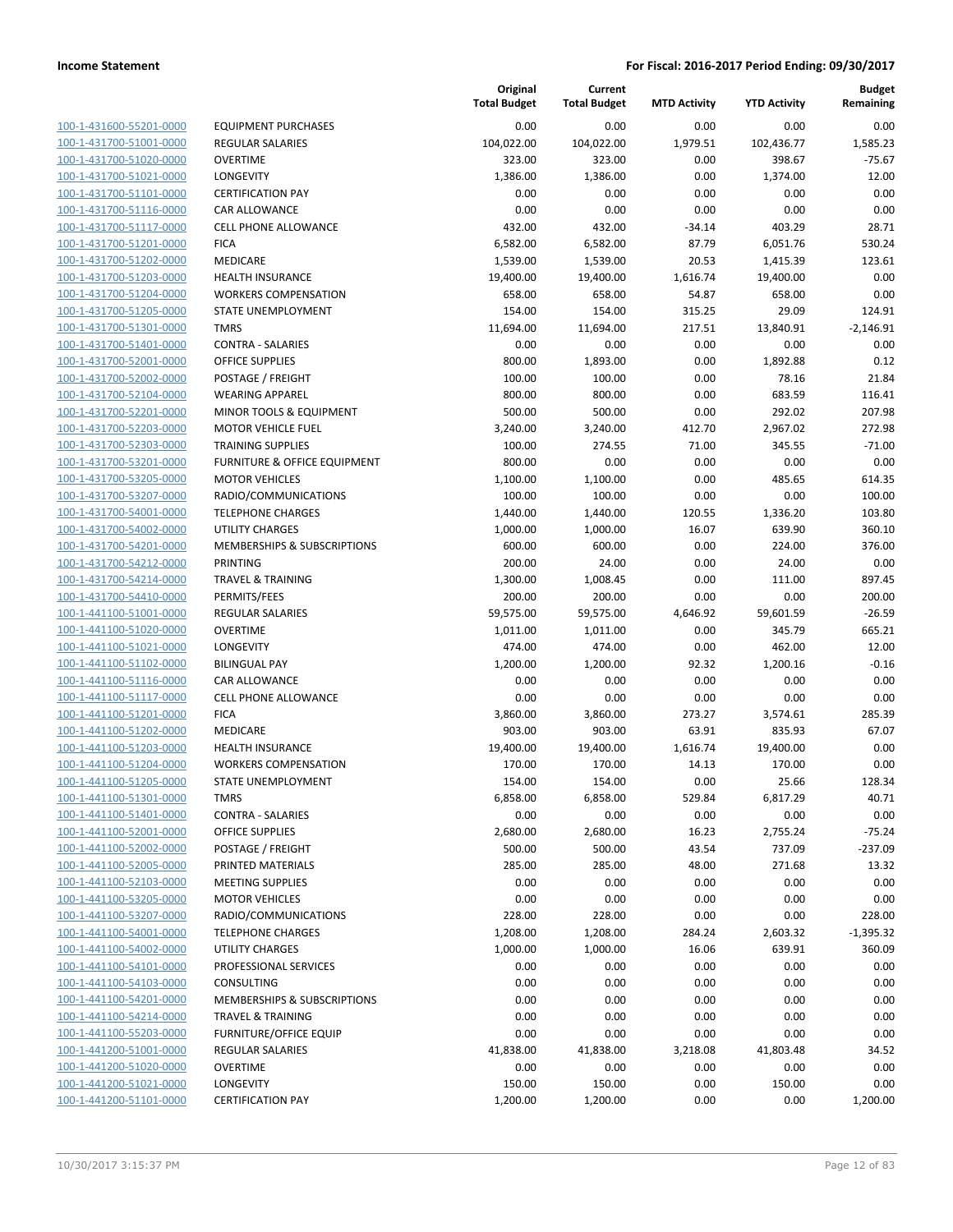**Current**

**Original**

**Budget Remaining**

|                                                    |                                              | <b>Total Budget</b> | <b>Total Budget</b> | <b>MTD Activity</b> | <b>YTD Activity</b> | Remaining          |
|----------------------------------------------------|----------------------------------------------|---------------------|---------------------|---------------------|---------------------|--------------------|
| 100-1-431600-55201-0000                            | <b>EQUIPMENT PURCHASES</b>                   | 0.00                | 0.00                | 0.00                | 0.00                | 0.00               |
| 100-1-431700-51001-0000                            | <b>REGULAR SALARIES</b>                      | 104,022.00          | 104,022.00          | 1,979.51            | 102,436.77          | 1,585.23           |
| 100-1-431700-51020-0000                            | <b>OVERTIME</b>                              | 323.00              | 323.00              | 0.00                | 398.67              | $-75.67$           |
| 100-1-431700-51021-0000                            | LONGEVITY                                    | 1,386.00            | 1,386.00            | 0.00                | 1,374.00            | 12.00              |
| 100-1-431700-51101-0000                            | <b>CERTIFICATION PAY</b>                     | 0.00                | 0.00                | 0.00                | 0.00                | 0.00               |
| 100-1-431700-51116-0000                            | <b>CAR ALLOWANCE</b>                         | 0.00                | 0.00                | 0.00                | 0.00                | 0.00               |
| 100-1-431700-51117-0000                            | <b>CELL PHONE ALLOWANCE</b>                  | 432.00              | 432.00              | $-34.14$            | 403.29              | 28.71              |
| 100-1-431700-51201-0000                            | <b>FICA</b>                                  | 6,582.00            | 6,582.00            | 87.79               | 6,051.76            | 530.24             |
| 100-1-431700-51202-0000                            | <b>MEDICARE</b>                              | 1,539.00            | 1,539.00            | 20.53               | 1,415.39            | 123.61             |
| 100-1-431700-51203-0000                            | <b>HEALTH INSURANCE</b>                      | 19,400.00           | 19,400.00           | 1,616.74            | 19,400.00           | 0.00               |
| 100-1-431700-51204-0000                            | <b>WORKERS COMPENSATION</b>                  | 658.00              | 658.00              | 54.87               | 658.00              | 0.00               |
| 100-1-431700-51205-0000                            | STATE UNEMPLOYMENT                           | 154.00              | 154.00              | 315.25              | 29.09               | 124.91             |
| 100-1-431700-51301-0000                            | <b>TMRS</b>                                  | 11,694.00           | 11,694.00           | 217.51              | 13,840.91           | $-2,146.91$        |
| 100-1-431700-51401-0000                            | <b>CONTRA - SALARIES</b>                     | 0.00                | 0.00                | 0.00                | 0.00                | 0.00               |
| 100-1-431700-52001-0000                            | OFFICE SUPPLIES                              | 800.00              | 1,893.00            | 0.00                | 1,892.88            | 0.12               |
| 100-1-431700-52002-0000                            | POSTAGE / FREIGHT                            | 100.00              | 100.00              | 0.00                | 78.16               | 21.84              |
| 100-1-431700-52104-0000                            | <b>WEARING APPAREL</b>                       | 800.00              | 800.00              | 0.00                | 683.59              | 116.41             |
| 100-1-431700-52201-0000                            | MINOR TOOLS & EQUIPMENT                      | 500.00              | 500.00              | 0.00                | 292.02              | 207.98             |
| 100-1-431700-52203-0000                            | <b>MOTOR VEHICLE FUEL</b>                    | 3,240.00            | 3,240.00            | 412.70              | 2,967.02            | 272.98             |
| 100-1-431700-52303-0000                            | <b>TRAINING SUPPLIES</b>                     | 100.00              | 274.55              | 71.00               | 345.55              | $-71.00$           |
| 100-1-431700-53201-0000                            | FURNITURE & OFFICE EQUIPMENT                 | 800.00              | 0.00                | 0.00                | 0.00                | 0.00               |
| 100-1-431700-53205-0000                            | <b>MOTOR VEHICLES</b>                        | 1,100.00            | 1,100.00            | 0.00                | 485.65              | 614.35             |
| 100-1-431700-53207-0000                            | RADIO/COMMUNICATIONS                         | 100.00              | 100.00              | 0.00                | 0.00                | 100.00             |
| 100-1-431700-54001-0000                            | <b>TELEPHONE CHARGES</b>                     | 1,440.00            | 1,440.00            | 120.55              | 1,336.20            | 103.80             |
| 100-1-431700-54002-0000                            | UTILITY CHARGES                              | 1,000.00            | 1,000.00            | 16.07               | 639.90              | 360.10             |
| 100-1-431700-54201-0000                            | MEMBERSHIPS & SUBSCRIPTIONS                  | 600.00              | 600.00              | 0.00                | 224.00              | 376.00             |
| 100-1-431700-54212-0000                            | PRINTING                                     | 200.00              | 24.00               | 0.00                | 24.00               | 0.00               |
| 100-1-431700-54214-0000                            | <b>TRAVEL &amp; TRAINING</b>                 | 1,300.00            | 1,008.45            | 0.00                | 111.00              | 897.45             |
| 100-1-431700-54410-0000                            | PERMITS/FEES                                 | 200.00              | 200.00              | 0.00                | 0.00                | 200.00             |
| 100-1-441100-51001-0000                            | <b>REGULAR SALARIES</b>                      | 59,575.00           | 59,575.00           | 4,646.92            | 59,601.59           | $-26.59$           |
| 100-1-441100-51020-0000                            | <b>OVERTIME</b>                              | 1,011.00            | 1,011.00            | 0.00                | 345.79              | 665.21             |
| 100-1-441100-51021-0000                            | <b>LONGEVITY</b>                             | 474.00              | 474.00              | 0.00                | 462.00              | 12.00              |
| 100-1-441100-51102-0000                            | <b>BILINGUAL PAY</b>                         | 1,200.00            | 1,200.00            | 92.32               | 1,200.16            | $-0.16$            |
| 100-1-441100-51116-0000                            | <b>CAR ALLOWANCE</b>                         | 0.00                | 0.00                | 0.00                | 0.00                | 0.00               |
| 100-1-441100-51117-0000                            | <b>CELL PHONE ALLOWANCE</b>                  | 0.00                | 0.00                | 0.00                | 0.00                | 0.00               |
| 100-1-441100-51201-0000                            | <b>FICA</b>                                  | 3,860.00            | 3,860.00            | 273.27              | 3,574.61            | 285.39             |
| 100-1-441100-51202-0000                            | <b>MEDICARE</b>                              | 903.00              | 903.00              | 63.91               | 835.93              | 67.07              |
| 100-1-441100-51203-0000                            | <b>HEALTH INSURANCE</b>                      | 19,400.00           | 19,400.00           | 1,616.74            | 19,400.00           | 0.00               |
| 100-1-441100-51204-0000                            | <b>WORKERS COMPENSATION</b>                  | 170.00              | 170.00              | 14.13               | 170.00              | 0.00               |
| 100-1-441100-51205-0000                            | STATE UNEMPLOYMENT                           | 154.00              | 154.00              | 0.00                | 25.66               | 128.34             |
| 100-1-441100-51301-0000                            | <b>TMRS</b>                                  | 6,858.00            | 6,858.00            | 529.84              | 6,817.29            | 40.71              |
| 100-1-441100-51401-0000                            | <b>CONTRA - SALARIES</b>                     | 0.00                | 0.00                | 0.00                | 0.00                | 0.00               |
| 100-1-441100-52001-0000<br>100-1-441100-52002-0000 | <b>OFFICE SUPPLIES</b>                       | 2,680.00            | 2,680.00            | 16.23               | 2,755.24            | $-75.24$           |
|                                                    | POSTAGE / FREIGHT                            | 500.00              | 500.00<br>285.00    | 43.54               | 737.09              | $-237.09$<br>13.32 |
| 100-1-441100-52005-0000<br>100-1-441100-52103-0000 | PRINTED MATERIALS<br><b>MEETING SUPPLIES</b> | 285.00<br>0.00      | 0.00                | 48.00<br>0.00       | 271.68<br>0.00      | 0.00               |
| 100-1-441100-53205-0000                            | <b>MOTOR VEHICLES</b>                        | 0.00                | 0.00                | 0.00                | 0.00                | 0.00               |
| 100-1-441100-53207-0000                            | RADIO/COMMUNICATIONS                         | 228.00              | 228.00              | 0.00                | 0.00                | 228.00             |
| 100-1-441100-54001-0000                            | <b>TELEPHONE CHARGES</b>                     | 1,208.00            | 1,208.00            | 284.24              | 2,603.32            | $-1,395.32$        |
| 100-1-441100-54002-0000                            | UTILITY CHARGES                              | 1,000.00            | 1,000.00            | 16.06               | 639.91              | 360.09             |
| 100-1-441100-54101-0000                            | PROFESSIONAL SERVICES                        | 0.00                | 0.00                | 0.00                | 0.00                | 0.00               |
| 100-1-441100-54103-0000                            | <b>CONSULTING</b>                            | 0.00                | 0.00                | 0.00                | 0.00                | 0.00               |
| 100-1-441100-54201-0000                            | MEMBERSHIPS & SUBSCRIPTIONS                  | 0.00                | 0.00                | 0.00                | 0.00                | 0.00               |
| 100-1-441100-54214-0000                            | <b>TRAVEL &amp; TRAINING</b>                 | 0.00                | 0.00                | 0.00                | 0.00                | 0.00               |
| 100-1-441100-55203-0000                            | <b>FURNITURE/OFFICE EQUIP</b>                | 0.00                | 0.00                | 0.00                | 0.00                | 0.00               |
| 100-1-441200-51001-0000                            | <b>REGULAR SALARIES</b>                      | 41,838.00           | 41,838.00           | 3,218.08            | 41,803.48           | 34.52              |
| 100-1-441200-51020-0000                            | <b>OVERTIME</b>                              | 0.00                | 0.00                | 0.00                | 0.00                | 0.00               |
| 100-1-441200-51021-0000                            | <b>LONGEVITY</b>                             | 150.00              | 150.00              | 0.00                | 150.00              | 0.00               |
| 100-1-441200-51101-0000                            | <b>CERTIFICATION PAY</b>                     | 1,200.00            | 1,200.00            | 0.00                | 0.00                | 1,200.00           |
|                                                    |                                              |                     |                     |                     |                     |                    |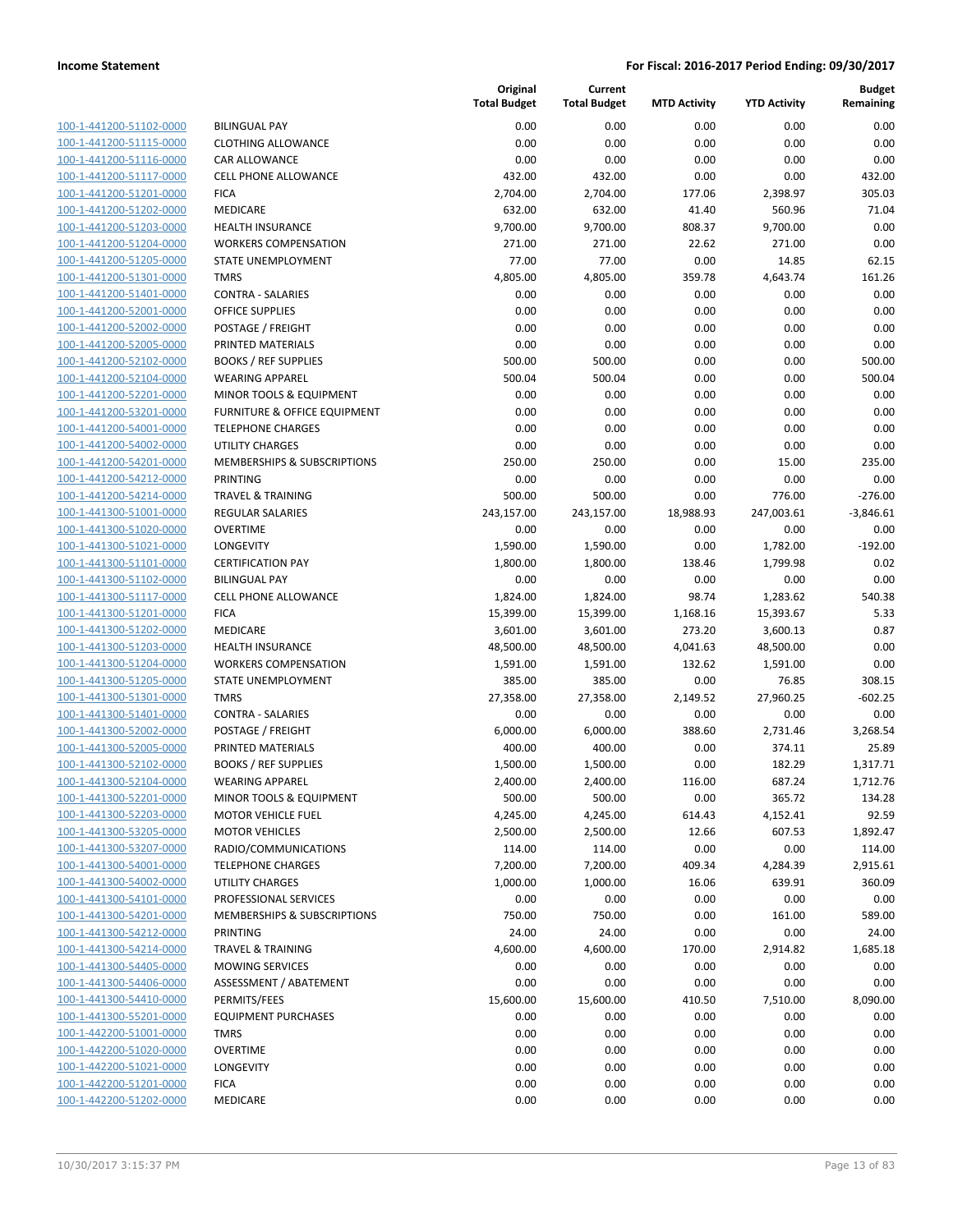| 100-1-441200-51102-0000        |
|--------------------------------|
| 100-1-441200-51115-0000        |
| 100-1-441200-51116-0000        |
| 100-1-441200-51117-0000        |
| 100-1-441200-51201-0000        |
| 100-1-441200-51202-0000        |
| 100-1-441200-51203-0000        |
| 100-1-441200-51204-0000        |
| 100-1-441200-51205-0000        |
| 100-1-441200-51301-0000        |
| 100-1-441200-51401-0000        |
| 100-1-441200-52001-0000        |
| <u>100-1-441200-52002-0000</u> |
| 100-1-441200-52005-0000        |
| 100-1-441200-52102-0000        |
| 100-1-441200-52104-0000        |
| 100-1-441200-52201-0000        |
| <u>100-1-441200-53201-0000</u> |
| 100-1-441200-54001-0000        |
| 100-1-441200-54002-0000        |
| 100-1-441200-54201-0000        |
| 100-1-441200-54212-0000        |
| <u>100-1-441200-54214-0000</u> |
| 100-1-441300-51001-0000        |
| 100-1-441300-51020-0000        |
| 100-1-441300-51021-0000        |
| 100-1-441300-51101-0000        |
| 100-1-441300-51102-0000        |
| 100-1-441300-51117-0000        |
| 100-1-441300-51201-0000        |
| 100-1-441300-51202-0000        |
| 100-1-441300-51203-0000        |
| 100-1-441300-51204-0000        |
| 100-1-441300-51205-0000        |
| 100-1-441300-51301-0000        |
| 100-1-441300-51401-0000        |
| 100-1-441300-52002-0000        |
| 100-1-441300-52005-0000        |
|                                |
| 100-1-441300-52102-0000        |
| 100-1-441300-52104-0000        |
| 100-1-441300-52201-0000        |
| 100-1-441300-52203-0000        |
| 100-1-441300-53205-0000        |
| <u>100-1-441300-53207-0000</u> |
| <u>100-1-441300-54001-0000</u> |
| <u>100-1-441300-54002-0000</u> |
| 100-1-441300-54101-0000        |
| 100-1-441300-54201-0000        |
| 100-1-441300-54212-0000        |
| <u>100-1-441300-54214-0000</u> |
| 100-1-441300-54405-0000        |
| 100-1-441300-54406-0000        |
| 100-1-441300-54410-0000        |
| <u>100-1-441300-55201-0000</u> |
| <u>100-1-442200-51001-0000</u> |
| 100-1-442200-51020-0000        |
| 100-1-442200-51021-0000        |
| <u>100-1-442200-51201-0000</u> |
| <u>100-1-442200-51202-0000</u> |
|                                |

|                         |                                        | Original<br><b>Total Budget</b> | Current<br><b>Total Budget</b> | <b>MTD Activity</b> | <b>YTD Activity</b> | <b>Budget</b><br>Remaining |
|-------------------------|----------------------------------------|---------------------------------|--------------------------------|---------------------|---------------------|----------------------------|
| 100-1-441200-51102-0000 | <b>BILINGUAL PAY</b>                   | 0.00                            | 0.00                           | 0.00                | 0.00                | 0.00                       |
| 100-1-441200-51115-0000 | <b>CLOTHING ALLOWANCE</b>              | 0.00                            | 0.00                           | 0.00                | 0.00                | 0.00                       |
| 100-1-441200-51116-0000 | CAR ALLOWANCE                          | 0.00                            | 0.00                           | 0.00                | 0.00                | 0.00                       |
| 100-1-441200-51117-0000 | <b>CELL PHONE ALLOWANCE</b>            | 432.00                          | 432.00                         | 0.00                | 0.00                | 432.00                     |
| 100-1-441200-51201-0000 | <b>FICA</b>                            | 2,704.00                        | 2,704.00                       | 177.06              | 2,398.97            | 305.03                     |
| 100-1-441200-51202-0000 | MEDICARE                               | 632.00                          | 632.00                         | 41.40               | 560.96              | 71.04                      |
| 100-1-441200-51203-0000 | <b>HEALTH INSURANCE</b>                | 9,700.00                        | 9,700.00                       | 808.37              | 9,700.00            | 0.00                       |
| 100-1-441200-51204-0000 | <b>WORKERS COMPENSATION</b>            | 271.00                          | 271.00                         | 22.62               | 271.00              | 0.00                       |
| 100-1-441200-51205-0000 | STATE UNEMPLOYMENT                     | 77.00                           | 77.00                          | 0.00                | 14.85               | 62.15                      |
| 100-1-441200-51301-0000 | <b>TMRS</b>                            | 4,805.00                        | 4,805.00                       | 359.78              | 4,643.74            | 161.26                     |
| 100-1-441200-51401-0000 | <b>CONTRA - SALARIES</b>               | 0.00                            | 0.00                           | 0.00                | 0.00                | 0.00                       |
| 100-1-441200-52001-0000 | <b>OFFICE SUPPLIES</b>                 | 0.00                            | 0.00                           | 0.00                | 0.00                | 0.00                       |
| 100-1-441200-52002-0000 | POSTAGE / FREIGHT                      | 0.00                            | 0.00                           | 0.00                | 0.00                | 0.00                       |
| 100-1-441200-52005-0000 | PRINTED MATERIALS                      | 0.00                            | 0.00                           | 0.00                | 0.00                | 0.00                       |
| 100-1-441200-52102-0000 | <b>BOOKS / REF SUPPLIES</b>            | 500.00                          | 500.00                         | 0.00                | 0.00                | 500.00                     |
| 100-1-441200-52104-0000 | <b>WEARING APPAREL</b>                 | 500.04                          | 500.04                         | 0.00                | 0.00                | 500.04                     |
| 100-1-441200-52201-0000 | MINOR TOOLS & EQUIPMENT                | 0.00                            | 0.00                           | 0.00                | 0.00                | 0.00                       |
| 100-1-441200-53201-0000 | FURNITURE & OFFICE EQUIPMENT           | 0.00                            | 0.00                           | 0.00                | 0.00                | 0.00                       |
| 100-1-441200-54001-0000 | <b>TELEPHONE CHARGES</b>               | 0.00                            | 0.00                           | 0.00                | 0.00                | 0.00                       |
| 100-1-441200-54002-0000 | <b>UTILITY CHARGES</b>                 | 0.00                            | 0.00                           | 0.00                | 0.00                | 0.00                       |
| 100-1-441200-54201-0000 | <b>MEMBERSHIPS &amp; SUBSCRIPTIONS</b> | 250.00                          | 250.00                         | 0.00                | 15.00               | 235.00                     |
| 100-1-441200-54212-0000 | PRINTING                               | 0.00                            | 0.00                           | 0.00                | 0.00                | 0.00                       |
| 100-1-441200-54214-0000 | <b>TRAVEL &amp; TRAINING</b>           | 500.00                          | 500.00                         | 0.00                | 776.00              | $-276.00$                  |
| 100-1-441300-51001-0000 | REGULAR SALARIES                       | 243,157.00                      | 243,157.00                     | 18,988.93           | 247,003.61          | $-3,846.61$                |
| 100-1-441300-51020-0000 | <b>OVERTIME</b>                        | 0.00                            | 0.00                           | 0.00                | 0.00                | 0.00                       |
| 100-1-441300-51021-0000 | LONGEVITY                              | 1,590.00                        | 1,590.00                       | 0.00                | 1,782.00            | $-192.00$                  |
| 100-1-441300-51101-0000 | <b>CERTIFICATION PAY</b>               | 1,800.00                        | 1,800.00                       | 138.46              | 1,799.98            | 0.02                       |
| 100-1-441300-51102-0000 | <b>BILINGUAL PAY</b>                   | 0.00                            | 0.00                           | 0.00                | 0.00                | 0.00                       |
| 100-1-441300-51117-0000 | <b>CELL PHONE ALLOWANCE</b>            | 1,824.00                        | 1,824.00                       | 98.74               | 1,283.62            | 540.38                     |
| 100-1-441300-51201-0000 | <b>FICA</b>                            | 15,399.00                       | 15,399.00                      | 1,168.16            | 15,393.67           | 5.33                       |
| 100-1-441300-51202-0000 | <b>MEDICARE</b>                        | 3,601.00                        | 3,601.00                       | 273.20              | 3,600.13            | 0.87                       |
| 100-1-441300-51203-0000 | <b>HEALTH INSURANCE</b>                | 48,500.00                       | 48,500.00                      | 4,041.63            | 48,500.00           | 0.00                       |
| 100-1-441300-51204-0000 | <b>WORKERS COMPENSATION</b>            | 1,591.00                        | 1,591.00                       | 132.62              | 1,591.00            | 0.00                       |
| 100-1-441300-51205-0000 | STATE UNEMPLOYMENT                     | 385.00                          | 385.00                         | 0.00                | 76.85               | 308.15                     |
| 100-1-441300-51301-0000 | <b>TMRS</b>                            | 27,358.00                       | 27,358.00                      | 2,149.52            | 27,960.25           | $-602.25$                  |
| 100-1-441300-51401-0000 | <b>CONTRA - SALARIES</b>               | 0.00                            | 0.00                           | 0.00                | 0.00                | 0.00                       |
| 100-1-441300-52002-0000 | POSTAGE / FREIGHT                      | 6,000.00                        | 6,000.00                       | 388.60              | 2,731.46            | 3,268.54                   |
| 100-1-441300-52005-0000 | PRINTED MATERIALS                      | 400.00                          | 400.00                         | 0.00                | 374.11              | 25.89                      |
| 100-1-441300-52102-0000 | <b>BOOKS / REF SUPPLIES</b>            | 1,500.00                        | 1,500.00                       | 0.00                | 182.29              | 1,317.71                   |
| 100-1-441300-52104-0000 | <b>WEARING APPAREL</b>                 | 2,400.00                        | 2,400.00                       | 116.00              | 687.24              | 1,712.76                   |
| 100-1-441300-52201-0000 | <b>MINOR TOOLS &amp; EQUIPMENT</b>     | 500.00                          | 500.00                         | 0.00                | 365.72              | 134.28                     |
| 100-1-441300-52203-0000 | <b>MOTOR VEHICLE FUEL</b>              | 4,245.00                        | 4,245.00                       | 614.43              | 4,152.41            | 92.59                      |
| 100-1-441300-53205-0000 | <b>MOTOR VEHICLES</b>                  | 2,500.00                        | 2,500.00                       | 12.66               | 607.53              | 1,892.47                   |
| 100-1-441300-53207-0000 | RADIO/COMMUNICATIONS                   | 114.00                          | 114.00                         | 0.00                | 0.00                | 114.00                     |
| 100-1-441300-54001-0000 | <b>TELEPHONE CHARGES</b>               | 7,200.00                        | 7,200.00                       | 409.34              | 4,284.39            | 2,915.61                   |
| 100-1-441300-54002-0000 | <b>UTILITY CHARGES</b>                 | 1,000.00                        | 1,000.00                       | 16.06               | 639.91              | 360.09                     |
| 100-1-441300-54101-0000 | PROFESSIONAL SERVICES                  | 0.00                            | 0.00                           | 0.00                | 0.00                | 0.00                       |
| 100-1-441300-54201-0000 | MEMBERSHIPS & SUBSCRIPTIONS            | 750.00                          | 750.00                         | 0.00                | 161.00              | 589.00                     |
| 100-1-441300-54212-0000 | PRINTING                               | 24.00                           | 24.00                          | 0.00                | 0.00                | 24.00                      |
| 100-1-441300-54214-0000 | <b>TRAVEL &amp; TRAINING</b>           | 4,600.00                        | 4,600.00                       | 170.00              | 2,914.82            | 1,685.18                   |
| 100-1-441300-54405-0000 | <b>MOWING SERVICES</b>                 | 0.00                            | 0.00                           | 0.00                | 0.00                | 0.00                       |
| 100-1-441300-54406-0000 | ASSESSMENT / ABATEMENT                 | 0.00                            | 0.00                           | 0.00                | 0.00                | 0.00                       |
| 100-1-441300-54410-0000 | PERMITS/FEES                           | 15,600.00                       | 15,600.00                      | 410.50              | 7,510.00            | 8,090.00                   |
| 100-1-441300-55201-0000 | <b>EQUIPMENT PURCHASES</b>             | 0.00                            | 0.00                           | 0.00                | 0.00                | 0.00                       |
| 100-1-442200-51001-0000 | <b>TMRS</b>                            | 0.00                            | 0.00                           | 0.00                | 0.00                | 0.00                       |
| 100-1-442200-51020-0000 | <b>OVERTIME</b>                        | 0.00                            | 0.00                           | 0.00                | 0.00                | 0.00                       |
| 100-1-442200-51021-0000 | LONGEVITY                              | 0.00                            | 0.00                           | 0.00                | 0.00                | 0.00                       |
| 100-1-442200-51201-0000 | <b>FICA</b>                            | 0.00                            | 0.00                           | 0.00                | 0.00                | 0.00                       |
| 100-1-442200-51202-0000 | MEDICARE                               | 0.00                            | 0.00                           | 0.00                | 0.00                | 0.00                       |
|                         |                                        |                                 |                                |                     |                     |                            |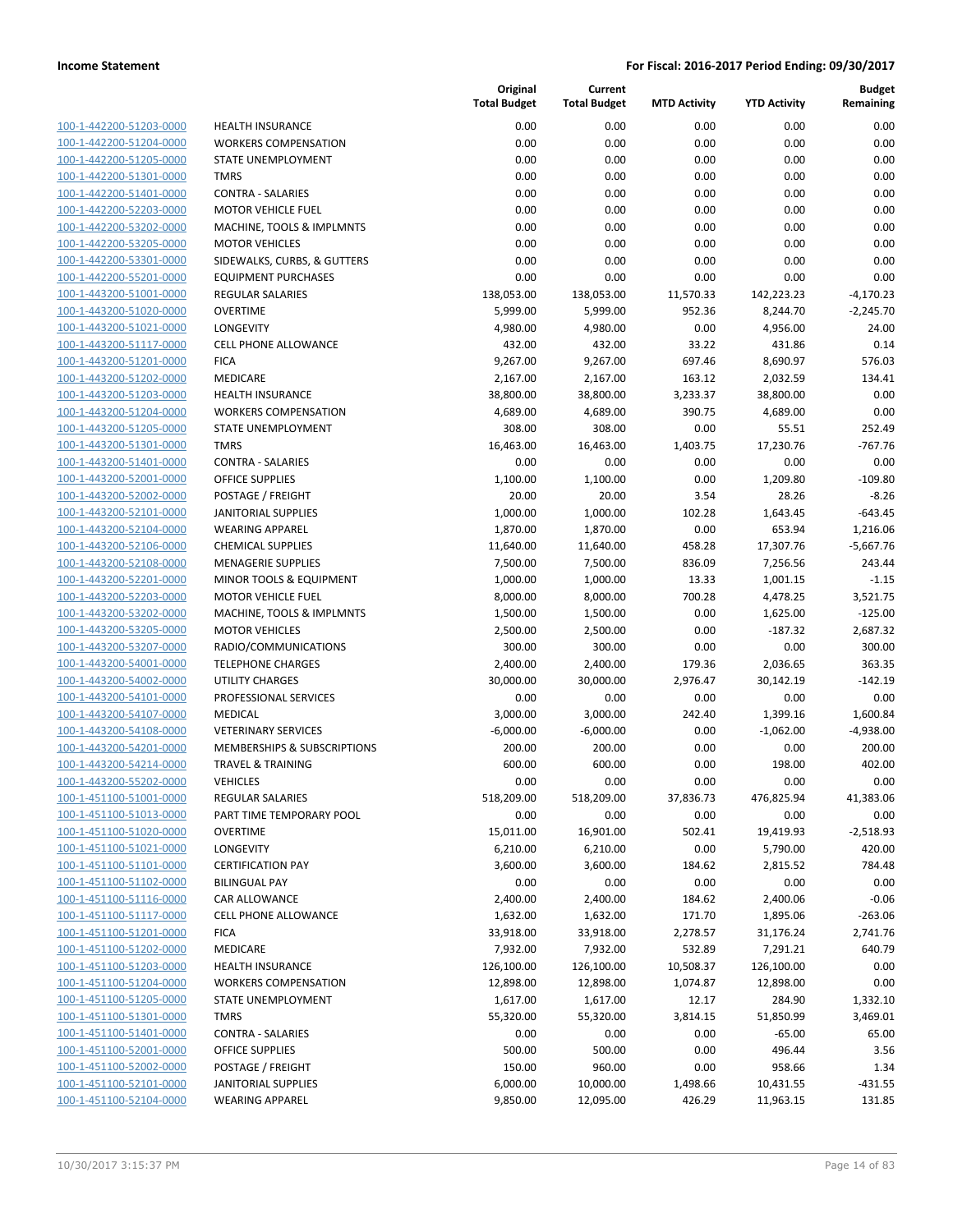| 100-1-442200-51203-0000        |
|--------------------------------|
| 100-1-442200-51204-0000        |
| 100-1-442200-51205-0000        |
| 100-1-442200-51301-0000        |
| 100-1-442200-51401-0000        |
| 100-1-442200-52203-0000        |
|                                |
| 100-1-442200-53202-0000        |
| 100-1-442200-53205-0000        |
| 100-1-442200-53301-0000        |
| 100-1-442200-55201-0000        |
| 100-1-443200-51001-0000        |
| 100-1-443200-51020-0000        |
| 100-1-443200-51021-0000        |
| 100-1-443200-51117-0000        |
| 100-1-443200-51201-0000        |
| 100-1-443200-51202-0000        |
| 100-1-443200-51203-0000        |
|                                |
| 100-1-443200-51204-0000        |
| 100-1-443200-51205-0000        |
| $100-$<br>1-443200-51301-0000  |
| 100-1-443200-51401-0000        |
| 100-1-443200-52001-0000        |
| 100-1-443200-52002-0000        |
| 100-1-443200-52101-0000        |
| 100-1-443200-52104-0000        |
| 100-1-443200-52106-0000        |
| 100-1-443200-52108-0000        |
| 100-1-443200-52201-0000        |
| 100-1-443200-52203-0000        |
| $100-$                         |
| 1-443200-53202-0000            |
| 100-1-443200-53205-0000        |
| 100-1-443200-53207-0000        |
| 100-1-443200-54001-0000        |
| 100-1-443200-54002-0000        |
| 100-1-443200-54101-0000        |
| 100-1-443200-54107-0000        |
| 100-1-443200-54108-0000        |
| 100-1-443200-54201-0000        |
| 100-1-443200-54214-0000        |
| 100-1-443200-55202-0000        |
| 100-1-451100-51001-0000        |
| 100-1-451100-51013-0000        |
|                                |
| <u>100-1-451100-51020-0000</u> |
| 100-1-451100-51021-0000        |
| 100-1-451100-51101-0000        |
| 100-1-451100-51102-0000        |
| 100-1-451100-51116-0000        |
| <u>100-1-451100-51117-0000</u> |
| 100-1-451100-51201-0000        |
| 100-1-451100-51202-0000        |
| 100-1-451100-51203-0000        |
| 100-1-451100-51204-0000        |
|                                |
| 100-1-451100-51205-0000        |
| 100-1-451100-51301-0000        |
| <u>100-1-451100-51401-0000</u> |
| 100-1-451100-52001-0000        |
| 100-1-451100-52002-0000        |
| <u>100-1-451100-52101-0000</u> |
| <u>100-1-451100-52104-0000</u> |
|                                |

| 0.00<br>0.00<br>0.00<br>0.00<br>100-1-442200-51203-0000<br><b>HEALTH INSURANCE</b><br>100-1-442200-51204-0000<br>0.00<br>0.00<br>0.00<br>0.00<br><b>WORKERS COMPENSATION</b><br>100-1-442200-51205-0000<br>STATE UNEMPLOYMENT<br>0.00<br>0.00<br>0.00<br>0.00<br>100-1-442200-51301-0000<br>0.00<br>0.00<br>0.00<br>0.00<br><b>TMRS</b><br>0.00<br>100-1-442200-51401-0000<br><b>CONTRA - SALARIES</b><br>0.00<br>0.00<br>0.00<br>100-1-442200-52203-0000<br>0.00<br>0.00<br>0.00<br>0.00<br><b>MOTOR VEHICLE FUEL</b><br>100-1-442200-53202-0000<br>MACHINE, TOOLS & IMPLMNTS<br>0.00<br>0.00<br>0.00<br>0.00<br>100-1-442200-53205-0000<br><b>MOTOR VEHICLES</b><br>0.00<br>0.00<br>0.00<br>0.00<br>100-1-442200-53301-0000<br>0.00<br>0.00<br>0.00<br>0.00<br>SIDEWALKS, CURBS, & GUTTERS<br>0.00<br>0.00<br>100-1-442200-55201-0000<br><b>EQUIPMENT PURCHASES</b><br>0.00<br>0.00<br>100-1-443200-51001-0000<br>138,053.00<br>11,570.33<br>REGULAR SALARIES<br>138,053.00<br>142,223.23<br>100-1-443200-51020-0000<br><b>OVERTIME</b><br>952.36<br>8,244.70<br>5,999.00<br>5,999.00<br>100-1-443200-51021-0000<br>LONGEVITY<br>4,980.00<br>4,980.00<br>0.00<br>4,956.00<br>100-1-443200-51117-0000<br>33.22<br><b>CELL PHONE ALLOWANCE</b><br>432.00<br>432.00<br>431.86<br>100-1-443200-51201-0000<br><b>FICA</b><br>9,267.00<br>9,267.00<br>697.46<br>8,690.97<br>100-1-443200-51202-0000<br>MEDICARE<br>2,167.00<br>2,167.00<br>163.12<br>2,032.59<br>100-1-443200-51203-0000<br>38,800.00<br>38,800.00<br>3,233.37<br>38,800.00<br><b>HEALTH INSURANCE</b><br>100-1-443200-51204-0000<br><b>WORKERS COMPENSATION</b><br>4,689.00<br>4,689.00<br>390.75<br>4,689.00<br>100-1-443200-51205-0000<br>308.00<br>308.00<br>0.00<br>55.51<br><b>STATE UNEMPLOYMENT</b><br>100-1-443200-51301-0000<br><b>TMRS</b><br>16,463.00<br>16,463.00<br>1,403.75<br>17,230.76<br>100-1-443200-51401-0000<br><b>CONTRA - SALARIES</b><br>0.00<br>0.00<br>0.00<br>0.00<br>100-1-443200-52001-0000<br><b>OFFICE SUPPLIES</b><br>1,100.00<br>1,100.00<br>0.00<br>1,209.80<br>100-1-443200-52002-0000<br>POSTAGE / FREIGHT<br>20.00<br>20.00<br>3.54<br>28.26<br>100-1-443200-52101-0000<br><b>JANITORIAL SUPPLIES</b><br>1,000.00<br>1,000.00<br>102.28<br>1,643.45<br>100-1-443200-52104-0000<br><b>WEARING APPAREL</b><br>1,870.00<br>1,870.00<br>0.00<br>653.94<br>100-1-443200-52106-0000<br><b>CHEMICAL SUPPLIES</b><br>11,640.00<br>458.28<br>17,307.76<br>11,640.00<br>100-1-443200-52108-0000<br><b>MENAGERIE SUPPLIES</b><br>7,500.00<br>7,500.00<br>836.09<br>7,256.56<br>100-1-443200-52201-0000<br>MINOR TOOLS & EQUIPMENT<br>1,000.00<br>1,000.00<br>13.33<br>1,001.15<br>100-1-443200-52203-0000<br>700.28<br><b>MOTOR VEHICLE FUEL</b><br>8,000.00<br>8,000.00<br>4,478.25<br>100-1-443200-53202-0000<br>1,500.00<br>0.00<br>1,625.00<br>MACHINE, TOOLS & IMPLMNTS<br>1,500.00<br>100-1-443200-53205-0000<br><b>MOTOR VEHICLES</b><br>2,500.00<br>2,500.00<br>0.00<br>$-187.32$<br>100-1-443200-53207-0000<br>RADIO/COMMUNICATIONS<br>300.00<br>300.00<br>0.00<br>0.00<br>100-1-443200-54001-0000<br><b>TELEPHONE CHARGES</b><br>2,400.00<br>2,400.00<br>179.36<br>2,036.65<br>100-1-443200-54002-0000<br><b>UTILITY CHARGES</b><br>30,000.00<br>30,000.00<br>2,976.47<br>30,142.19<br>100-1-443200-54101-0000<br>PROFESSIONAL SERVICES<br>0.00<br>0.00<br>0.00<br>0.00<br>100-1-443200-54107-0000<br><b>MEDICAL</b><br>3,000.00<br>242.40<br>3,000.00<br>1,399.16<br>100-1-443200-54108-0000<br><b>VETERINARY SERVICES</b><br>$-6,000.00$<br>$-6,000.00$<br>0.00<br>$-1,062.00$<br>100-1-443200-54201-0000<br><b>MEMBERSHIPS &amp; SUBSCRIPTIONS</b><br>200.00<br>200.00<br>0.00<br>0.00<br>100-1-443200-54214-0000<br>600.00<br>600.00<br>0.00<br><b>TRAVEL &amp; TRAINING</b><br>198.00<br>0.00<br>0.00<br>0.00<br>0.00<br>100-1-443200-55202-0000<br><b>VEHICLES</b><br>100-1-451100-51001-0000<br>REGULAR SALARIES<br>518,209.00<br>518,209.00<br>37,836.73<br>476,825.94<br>100-1-451100-51013-0000<br>PART TIME TEMPORARY POOL<br>0.00<br>0.00<br>0.00<br>0.00<br>100-1-451100-51020-0000<br><b>OVERTIME</b><br>15,011.00<br>16,901.00<br>502.41<br>19,419.93<br>100-1-451100-51021-0000<br>6,210.00<br>6,210.00<br>0.00<br>5,790.00<br>LONGEVITY<br>100-1-451100-51101-0000<br><b>CERTIFICATION PAY</b><br>3,600.00<br>3,600.00<br>184.62<br>2,815.52<br>100-1-451100-51102-0000<br>0.00<br>0.00<br>0.00<br>0.00<br><b>BILINGUAL PAY</b><br>100-1-451100-51116-0000<br>CAR ALLOWANCE<br>2,400.00<br>2,400.00<br>184.62<br>2,400.06<br>100-1-451100-51117-0000<br><b>CELL PHONE ALLOWANCE</b><br>1,632.00<br>1,632.00<br>171.70<br>1,895.06<br>100-1-451100-51201-0000<br><b>FICA</b><br>33,918.00<br>33,918.00<br>2,278.57<br>31,176.24<br>100-1-451100-51202-0000<br>MEDICARE<br>7,932.00<br>7,932.00<br>532.89<br>7,291.21<br>100-1-451100-51203-0000<br>126,100.00<br>126,100.00<br>10,508.37<br>126,100.00<br><b>HEALTH INSURANCE</b><br>100-1-451100-51204-0000<br>12,898.00<br>12,898.00<br>1,074.87<br>12,898.00<br><b>WORKERS COMPENSATION</b><br>100-1-451100-51205-0000<br>STATE UNEMPLOYMENT<br>1,617.00<br>1,617.00<br>12.17<br>284.90<br>100-1-451100-51301-0000<br><b>TMRS</b><br>55,320.00<br>55,320.00<br>3,814.15<br>51,850.99<br>100-1-451100-51401-0000<br><b>CONTRA - SALARIES</b><br>0.00<br>0.00<br>0.00<br>$-65.00$<br>100-1-451100-52001-0000<br>OFFICE SUPPLIES<br>500.00<br>500.00<br>0.00<br>496.44<br>100-1-451100-52002-0000<br>POSTAGE / FREIGHT<br>150.00<br>960.00<br>0.00<br>958.66<br>100-1-451100-52101-0000<br><b>JANITORIAL SUPPLIES</b><br>6,000.00<br>10,000.00<br>1,498.66<br>10,431.55 |                         |                        | Original<br><b>Total Budget</b> | Current<br><b>Total Budget</b> | <b>MTD Activity</b> | <b>YTD Activity</b> | <b>Budget</b><br>Remaining |
|-------------------------------------------------------------------------------------------------------------------------------------------------------------------------------------------------------------------------------------------------------------------------------------------------------------------------------------------------------------------------------------------------------------------------------------------------------------------------------------------------------------------------------------------------------------------------------------------------------------------------------------------------------------------------------------------------------------------------------------------------------------------------------------------------------------------------------------------------------------------------------------------------------------------------------------------------------------------------------------------------------------------------------------------------------------------------------------------------------------------------------------------------------------------------------------------------------------------------------------------------------------------------------------------------------------------------------------------------------------------------------------------------------------------------------------------------------------------------------------------------------------------------------------------------------------------------------------------------------------------------------------------------------------------------------------------------------------------------------------------------------------------------------------------------------------------------------------------------------------------------------------------------------------------------------------------------------------------------------------------------------------------------------------------------------------------------------------------------------------------------------------------------------------------------------------------------------------------------------------------------------------------------------------------------------------------------------------------------------------------------------------------------------------------------------------------------------------------------------------------------------------------------------------------------------------------------------------------------------------------------------------------------------------------------------------------------------------------------------------------------------------------------------------------------------------------------------------------------------------------------------------------------------------------------------------------------------------------------------------------------------------------------------------------------------------------------------------------------------------------------------------------------------------------------------------------------------------------------------------------------------------------------------------------------------------------------------------------------------------------------------------------------------------------------------------------------------------------------------------------------------------------------------------------------------------------------------------------------------------------------------------------------------------------------------------------------------------------------------------------------------------------------------------------------------------------------------------------------------------------------------------------------------------------------------------------------------------------------------------------------------------------------------------------------------------------------------------------------------------------------------------------------------------------------------------------------------------------------------------------------------------------------------------------------------------------------------------------------------------------------------------------------------------------------------------------------------------------------------------------------------------------------------------------------------------------------------------------------------------------------------------------------------------------------------------------------------------------------------------------------------------------------------------------------------------------------------------------------------------------------------------------------------------------------------------------------------------------------------------------------------------------------------------------------------------------------------------------------------------------------------------------------------------------------------------------------------------------------------------------------------------------------------------------------------------------------------------------------------------------------------------------------------------------------------------------------------------------------------------------------------------------------------------------------------------------------------------------------------------------------------------------|-------------------------|------------------------|---------------------------------|--------------------------------|---------------------|---------------------|----------------------------|
|                                                                                                                                                                                                                                                                                                                                                                                                                                                                                                                                                                                                                                                                                                                                                                                                                                                                                                                                                                                                                                                                                                                                                                                                                                                                                                                                                                                                                                                                                                                                                                                                                                                                                                                                                                                                                                                                                                                                                                                                                                                                                                                                                                                                                                                                                                                                                                                                                                                                                                                                                                                                                                                                                                                                                                                                                                                                                                                                                                                                                                                                                                                                                                                                                                                                                                                                                                                                                                                                                                                                                                                                                                                                                                                                                                                                                                                                                                                                                                                                                                                                                                                                                                                                                                                                                                                                                                                                                                                                                                                                                                                                                                                                                                                                                                                                                                                                                                                                                                                                                                                                                                                                                                                                                                                                                                                                                                                                                                                                                                                                                                                                                                           |                         |                        |                                 |                                |                     |                     | 0.00                       |
|                                                                                                                                                                                                                                                                                                                                                                                                                                                                                                                                                                                                                                                                                                                                                                                                                                                                                                                                                                                                                                                                                                                                                                                                                                                                                                                                                                                                                                                                                                                                                                                                                                                                                                                                                                                                                                                                                                                                                                                                                                                                                                                                                                                                                                                                                                                                                                                                                                                                                                                                                                                                                                                                                                                                                                                                                                                                                                                                                                                                                                                                                                                                                                                                                                                                                                                                                                                                                                                                                                                                                                                                                                                                                                                                                                                                                                                                                                                                                                                                                                                                                                                                                                                                                                                                                                                                                                                                                                                                                                                                                                                                                                                                                                                                                                                                                                                                                                                                                                                                                                                                                                                                                                                                                                                                                                                                                                                                                                                                                                                                                                                                                                           |                         |                        |                                 |                                |                     |                     | 0.00                       |
|                                                                                                                                                                                                                                                                                                                                                                                                                                                                                                                                                                                                                                                                                                                                                                                                                                                                                                                                                                                                                                                                                                                                                                                                                                                                                                                                                                                                                                                                                                                                                                                                                                                                                                                                                                                                                                                                                                                                                                                                                                                                                                                                                                                                                                                                                                                                                                                                                                                                                                                                                                                                                                                                                                                                                                                                                                                                                                                                                                                                                                                                                                                                                                                                                                                                                                                                                                                                                                                                                                                                                                                                                                                                                                                                                                                                                                                                                                                                                                                                                                                                                                                                                                                                                                                                                                                                                                                                                                                                                                                                                                                                                                                                                                                                                                                                                                                                                                                                                                                                                                                                                                                                                                                                                                                                                                                                                                                                                                                                                                                                                                                                                                           |                         |                        |                                 |                                |                     |                     | 0.00                       |
|                                                                                                                                                                                                                                                                                                                                                                                                                                                                                                                                                                                                                                                                                                                                                                                                                                                                                                                                                                                                                                                                                                                                                                                                                                                                                                                                                                                                                                                                                                                                                                                                                                                                                                                                                                                                                                                                                                                                                                                                                                                                                                                                                                                                                                                                                                                                                                                                                                                                                                                                                                                                                                                                                                                                                                                                                                                                                                                                                                                                                                                                                                                                                                                                                                                                                                                                                                                                                                                                                                                                                                                                                                                                                                                                                                                                                                                                                                                                                                                                                                                                                                                                                                                                                                                                                                                                                                                                                                                                                                                                                                                                                                                                                                                                                                                                                                                                                                                                                                                                                                                                                                                                                                                                                                                                                                                                                                                                                                                                                                                                                                                                                                           |                         |                        |                                 |                                |                     |                     | 0.00                       |
|                                                                                                                                                                                                                                                                                                                                                                                                                                                                                                                                                                                                                                                                                                                                                                                                                                                                                                                                                                                                                                                                                                                                                                                                                                                                                                                                                                                                                                                                                                                                                                                                                                                                                                                                                                                                                                                                                                                                                                                                                                                                                                                                                                                                                                                                                                                                                                                                                                                                                                                                                                                                                                                                                                                                                                                                                                                                                                                                                                                                                                                                                                                                                                                                                                                                                                                                                                                                                                                                                                                                                                                                                                                                                                                                                                                                                                                                                                                                                                                                                                                                                                                                                                                                                                                                                                                                                                                                                                                                                                                                                                                                                                                                                                                                                                                                                                                                                                                                                                                                                                                                                                                                                                                                                                                                                                                                                                                                                                                                                                                                                                                                                                           |                         |                        |                                 |                                |                     |                     | 0.00                       |
|                                                                                                                                                                                                                                                                                                                                                                                                                                                                                                                                                                                                                                                                                                                                                                                                                                                                                                                                                                                                                                                                                                                                                                                                                                                                                                                                                                                                                                                                                                                                                                                                                                                                                                                                                                                                                                                                                                                                                                                                                                                                                                                                                                                                                                                                                                                                                                                                                                                                                                                                                                                                                                                                                                                                                                                                                                                                                                                                                                                                                                                                                                                                                                                                                                                                                                                                                                                                                                                                                                                                                                                                                                                                                                                                                                                                                                                                                                                                                                                                                                                                                                                                                                                                                                                                                                                                                                                                                                                                                                                                                                                                                                                                                                                                                                                                                                                                                                                                                                                                                                                                                                                                                                                                                                                                                                                                                                                                                                                                                                                                                                                                                                           |                         |                        |                                 |                                |                     |                     | 0.00                       |
|                                                                                                                                                                                                                                                                                                                                                                                                                                                                                                                                                                                                                                                                                                                                                                                                                                                                                                                                                                                                                                                                                                                                                                                                                                                                                                                                                                                                                                                                                                                                                                                                                                                                                                                                                                                                                                                                                                                                                                                                                                                                                                                                                                                                                                                                                                                                                                                                                                                                                                                                                                                                                                                                                                                                                                                                                                                                                                                                                                                                                                                                                                                                                                                                                                                                                                                                                                                                                                                                                                                                                                                                                                                                                                                                                                                                                                                                                                                                                                                                                                                                                                                                                                                                                                                                                                                                                                                                                                                                                                                                                                                                                                                                                                                                                                                                                                                                                                                                                                                                                                                                                                                                                                                                                                                                                                                                                                                                                                                                                                                                                                                                                                           |                         |                        |                                 |                                |                     |                     | 0.00                       |
|                                                                                                                                                                                                                                                                                                                                                                                                                                                                                                                                                                                                                                                                                                                                                                                                                                                                                                                                                                                                                                                                                                                                                                                                                                                                                                                                                                                                                                                                                                                                                                                                                                                                                                                                                                                                                                                                                                                                                                                                                                                                                                                                                                                                                                                                                                                                                                                                                                                                                                                                                                                                                                                                                                                                                                                                                                                                                                                                                                                                                                                                                                                                                                                                                                                                                                                                                                                                                                                                                                                                                                                                                                                                                                                                                                                                                                                                                                                                                                                                                                                                                                                                                                                                                                                                                                                                                                                                                                                                                                                                                                                                                                                                                                                                                                                                                                                                                                                                                                                                                                                                                                                                                                                                                                                                                                                                                                                                                                                                                                                                                                                                                                           |                         |                        |                                 |                                |                     |                     | 0.00                       |
|                                                                                                                                                                                                                                                                                                                                                                                                                                                                                                                                                                                                                                                                                                                                                                                                                                                                                                                                                                                                                                                                                                                                                                                                                                                                                                                                                                                                                                                                                                                                                                                                                                                                                                                                                                                                                                                                                                                                                                                                                                                                                                                                                                                                                                                                                                                                                                                                                                                                                                                                                                                                                                                                                                                                                                                                                                                                                                                                                                                                                                                                                                                                                                                                                                                                                                                                                                                                                                                                                                                                                                                                                                                                                                                                                                                                                                                                                                                                                                                                                                                                                                                                                                                                                                                                                                                                                                                                                                                                                                                                                                                                                                                                                                                                                                                                                                                                                                                                                                                                                                                                                                                                                                                                                                                                                                                                                                                                                                                                                                                                                                                                                                           |                         |                        |                                 |                                |                     |                     | 0.00                       |
|                                                                                                                                                                                                                                                                                                                                                                                                                                                                                                                                                                                                                                                                                                                                                                                                                                                                                                                                                                                                                                                                                                                                                                                                                                                                                                                                                                                                                                                                                                                                                                                                                                                                                                                                                                                                                                                                                                                                                                                                                                                                                                                                                                                                                                                                                                                                                                                                                                                                                                                                                                                                                                                                                                                                                                                                                                                                                                                                                                                                                                                                                                                                                                                                                                                                                                                                                                                                                                                                                                                                                                                                                                                                                                                                                                                                                                                                                                                                                                                                                                                                                                                                                                                                                                                                                                                                                                                                                                                                                                                                                                                                                                                                                                                                                                                                                                                                                                                                                                                                                                                                                                                                                                                                                                                                                                                                                                                                                                                                                                                                                                                                                                           |                         |                        |                                 |                                |                     |                     | 0.00                       |
|                                                                                                                                                                                                                                                                                                                                                                                                                                                                                                                                                                                                                                                                                                                                                                                                                                                                                                                                                                                                                                                                                                                                                                                                                                                                                                                                                                                                                                                                                                                                                                                                                                                                                                                                                                                                                                                                                                                                                                                                                                                                                                                                                                                                                                                                                                                                                                                                                                                                                                                                                                                                                                                                                                                                                                                                                                                                                                                                                                                                                                                                                                                                                                                                                                                                                                                                                                                                                                                                                                                                                                                                                                                                                                                                                                                                                                                                                                                                                                                                                                                                                                                                                                                                                                                                                                                                                                                                                                                                                                                                                                                                                                                                                                                                                                                                                                                                                                                                                                                                                                                                                                                                                                                                                                                                                                                                                                                                                                                                                                                                                                                                                                           |                         |                        |                                 |                                |                     |                     | $-4,170.23$                |
|                                                                                                                                                                                                                                                                                                                                                                                                                                                                                                                                                                                                                                                                                                                                                                                                                                                                                                                                                                                                                                                                                                                                                                                                                                                                                                                                                                                                                                                                                                                                                                                                                                                                                                                                                                                                                                                                                                                                                                                                                                                                                                                                                                                                                                                                                                                                                                                                                                                                                                                                                                                                                                                                                                                                                                                                                                                                                                                                                                                                                                                                                                                                                                                                                                                                                                                                                                                                                                                                                                                                                                                                                                                                                                                                                                                                                                                                                                                                                                                                                                                                                                                                                                                                                                                                                                                                                                                                                                                                                                                                                                                                                                                                                                                                                                                                                                                                                                                                                                                                                                                                                                                                                                                                                                                                                                                                                                                                                                                                                                                                                                                                                                           |                         |                        |                                 |                                |                     |                     | $-2,245.70$                |
|                                                                                                                                                                                                                                                                                                                                                                                                                                                                                                                                                                                                                                                                                                                                                                                                                                                                                                                                                                                                                                                                                                                                                                                                                                                                                                                                                                                                                                                                                                                                                                                                                                                                                                                                                                                                                                                                                                                                                                                                                                                                                                                                                                                                                                                                                                                                                                                                                                                                                                                                                                                                                                                                                                                                                                                                                                                                                                                                                                                                                                                                                                                                                                                                                                                                                                                                                                                                                                                                                                                                                                                                                                                                                                                                                                                                                                                                                                                                                                                                                                                                                                                                                                                                                                                                                                                                                                                                                                                                                                                                                                                                                                                                                                                                                                                                                                                                                                                                                                                                                                                                                                                                                                                                                                                                                                                                                                                                                                                                                                                                                                                                                                           |                         |                        |                                 |                                |                     |                     | 24.00                      |
|                                                                                                                                                                                                                                                                                                                                                                                                                                                                                                                                                                                                                                                                                                                                                                                                                                                                                                                                                                                                                                                                                                                                                                                                                                                                                                                                                                                                                                                                                                                                                                                                                                                                                                                                                                                                                                                                                                                                                                                                                                                                                                                                                                                                                                                                                                                                                                                                                                                                                                                                                                                                                                                                                                                                                                                                                                                                                                                                                                                                                                                                                                                                                                                                                                                                                                                                                                                                                                                                                                                                                                                                                                                                                                                                                                                                                                                                                                                                                                                                                                                                                                                                                                                                                                                                                                                                                                                                                                                                                                                                                                                                                                                                                                                                                                                                                                                                                                                                                                                                                                                                                                                                                                                                                                                                                                                                                                                                                                                                                                                                                                                                                                           |                         |                        |                                 |                                |                     |                     | 0.14                       |
|                                                                                                                                                                                                                                                                                                                                                                                                                                                                                                                                                                                                                                                                                                                                                                                                                                                                                                                                                                                                                                                                                                                                                                                                                                                                                                                                                                                                                                                                                                                                                                                                                                                                                                                                                                                                                                                                                                                                                                                                                                                                                                                                                                                                                                                                                                                                                                                                                                                                                                                                                                                                                                                                                                                                                                                                                                                                                                                                                                                                                                                                                                                                                                                                                                                                                                                                                                                                                                                                                                                                                                                                                                                                                                                                                                                                                                                                                                                                                                                                                                                                                                                                                                                                                                                                                                                                                                                                                                                                                                                                                                                                                                                                                                                                                                                                                                                                                                                                                                                                                                                                                                                                                                                                                                                                                                                                                                                                                                                                                                                                                                                                                                           |                         |                        |                                 |                                |                     |                     | 576.03                     |
|                                                                                                                                                                                                                                                                                                                                                                                                                                                                                                                                                                                                                                                                                                                                                                                                                                                                                                                                                                                                                                                                                                                                                                                                                                                                                                                                                                                                                                                                                                                                                                                                                                                                                                                                                                                                                                                                                                                                                                                                                                                                                                                                                                                                                                                                                                                                                                                                                                                                                                                                                                                                                                                                                                                                                                                                                                                                                                                                                                                                                                                                                                                                                                                                                                                                                                                                                                                                                                                                                                                                                                                                                                                                                                                                                                                                                                                                                                                                                                                                                                                                                                                                                                                                                                                                                                                                                                                                                                                                                                                                                                                                                                                                                                                                                                                                                                                                                                                                                                                                                                                                                                                                                                                                                                                                                                                                                                                                                                                                                                                                                                                                                                           |                         |                        |                                 |                                |                     |                     | 134.41                     |
|                                                                                                                                                                                                                                                                                                                                                                                                                                                                                                                                                                                                                                                                                                                                                                                                                                                                                                                                                                                                                                                                                                                                                                                                                                                                                                                                                                                                                                                                                                                                                                                                                                                                                                                                                                                                                                                                                                                                                                                                                                                                                                                                                                                                                                                                                                                                                                                                                                                                                                                                                                                                                                                                                                                                                                                                                                                                                                                                                                                                                                                                                                                                                                                                                                                                                                                                                                                                                                                                                                                                                                                                                                                                                                                                                                                                                                                                                                                                                                                                                                                                                                                                                                                                                                                                                                                                                                                                                                                                                                                                                                                                                                                                                                                                                                                                                                                                                                                                                                                                                                                                                                                                                                                                                                                                                                                                                                                                                                                                                                                                                                                                                                           |                         |                        |                                 |                                |                     |                     | 0.00                       |
|                                                                                                                                                                                                                                                                                                                                                                                                                                                                                                                                                                                                                                                                                                                                                                                                                                                                                                                                                                                                                                                                                                                                                                                                                                                                                                                                                                                                                                                                                                                                                                                                                                                                                                                                                                                                                                                                                                                                                                                                                                                                                                                                                                                                                                                                                                                                                                                                                                                                                                                                                                                                                                                                                                                                                                                                                                                                                                                                                                                                                                                                                                                                                                                                                                                                                                                                                                                                                                                                                                                                                                                                                                                                                                                                                                                                                                                                                                                                                                                                                                                                                                                                                                                                                                                                                                                                                                                                                                                                                                                                                                                                                                                                                                                                                                                                                                                                                                                                                                                                                                                                                                                                                                                                                                                                                                                                                                                                                                                                                                                                                                                                                                           |                         |                        |                                 |                                |                     |                     | 0.00                       |
|                                                                                                                                                                                                                                                                                                                                                                                                                                                                                                                                                                                                                                                                                                                                                                                                                                                                                                                                                                                                                                                                                                                                                                                                                                                                                                                                                                                                                                                                                                                                                                                                                                                                                                                                                                                                                                                                                                                                                                                                                                                                                                                                                                                                                                                                                                                                                                                                                                                                                                                                                                                                                                                                                                                                                                                                                                                                                                                                                                                                                                                                                                                                                                                                                                                                                                                                                                                                                                                                                                                                                                                                                                                                                                                                                                                                                                                                                                                                                                                                                                                                                                                                                                                                                                                                                                                                                                                                                                                                                                                                                                                                                                                                                                                                                                                                                                                                                                                                                                                                                                                                                                                                                                                                                                                                                                                                                                                                                                                                                                                                                                                                                                           |                         |                        |                                 |                                |                     |                     | 252.49                     |
|                                                                                                                                                                                                                                                                                                                                                                                                                                                                                                                                                                                                                                                                                                                                                                                                                                                                                                                                                                                                                                                                                                                                                                                                                                                                                                                                                                                                                                                                                                                                                                                                                                                                                                                                                                                                                                                                                                                                                                                                                                                                                                                                                                                                                                                                                                                                                                                                                                                                                                                                                                                                                                                                                                                                                                                                                                                                                                                                                                                                                                                                                                                                                                                                                                                                                                                                                                                                                                                                                                                                                                                                                                                                                                                                                                                                                                                                                                                                                                                                                                                                                                                                                                                                                                                                                                                                                                                                                                                                                                                                                                                                                                                                                                                                                                                                                                                                                                                                                                                                                                                                                                                                                                                                                                                                                                                                                                                                                                                                                                                                                                                                                                           |                         |                        |                                 |                                |                     |                     | $-767.76$                  |
|                                                                                                                                                                                                                                                                                                                                                                                                                                                                                                                                                                                                                                                                                                                                                                                                                                                                                                                                                                                                                                                                                                                                                                                                                                                                                                                                                                                                                                                                                                                                                                                                                                                                                                                                                                                                                                                                                                                                                                                                                                                                                                                                                                                                                                                                                                                                                                                                                                                                                                                                                                                                                                                                                                                                                                                                                                                                                                                                                                                                                                                                                                                                                                                                                                                                                                                                                                                                                                                                                                                                                                                                                                                                                                                                                                                                                                                                                                                                                                                                                                                                                                                                                                                                                                                                                                                                                                                                                                                                                                                                                                                                                                                                                                                                                                                                                                                                                                                                                                                                                                                                                                                                                                                                                                                                                                                                                                                                                                                                                                                                                                                                                                           |                         |                        |                                 |                                |                     |                     | 0.00                       |
|                                                                                                                                                                                                                                                                                                                                                                                                                                                                                                                                                                                                                                                                                                                                                                                                                                                                                                                                                                                                                                                                                                                                                                                                                                                                                                                                                                                                                                                                                                                                                                                                                                                                                                                                                                                                                                                                                                                                                                                                                                                                                                                                                                                                                                                                                                                                                                                                                                                                                                                                                                                                                                                                                                                                                                                                                                                                                                                                                                                                                                                                                                                                                                                                                                                                                                                                                                                                                                                                                                                                                                                                                                                                                                                                                                                                                                                                                                                                                                                                                                                                                                                                                                                                                                                                                                                                                                                                                                                                                                                                                                                                                                                                                                                                                                                                                                                                                                                                                                                                                                                                                                                                                                                                                                                                                                                                                                                                                                                                                                                                                                                                                                           |                         |                        |                                 |                                |                     |                     | $-109.80$                  |
|                                                                                                                                                                                                                                                                                                                                                                                                                                                                                                                                                                                                                                                                                                                                                                                                                                                                                                                                                                                                                                                                                                                                                                                                                                                                                                                                                                                                                                                                                                                                                                                                                                                                                                                                                                                                                                                                                                                                                                                                                                                                                                                                                                                                                                                                                                                                                                                                                                                                                                                                                                                                                                                                                                                                                                                                                                                                                                                                                                                                                                                                                                                                                                                                                                                                                                                                                                                                                                                                                                                                                                                                                                                                                                                                                                                                                                                                                                                                                                                                                                                                                                                                                                                                                                                                                                                                                                                                                                                                                                                                                                                                                                                                                                                                                                                                                                                                                                                                                                                                                                                                                                                                                                                                                                                                                                                                                                                                                                                                                                                                                                                                                                           |                         |                        |                                 |                                |                     |                     | $-8.26$                    |
|                                                                                                                                                                                                                                                                                                                                                                                                                                                                                                                                                                                                                                                                                                                                                                                                                                                                                                                                                                                                                                                                                                                                                                                                                                                                                                                                                                                                                                                                                                                                                                                                                                                                                                                                                                                                                                                                                                                                                                                                                                                                                                                                                                                                                                                                                                                                                                                                                                                                                                                                                                                                                                                                                                                                                                                                                                                                                                                                                                                                                                                                                                                                                                                                                                                                                                                                                                                                                                                                                                                                                                                                                                                                                                                                                                                                                                                                                                                                                                                                                                                                                                                                                                                                                                                                                                                                                                                                                                                                                                                                                                                                                                                                                                                                                                                                                                                                                                                                                                                                                                                                                                                                                                                                                                                                                                                                                                                                                                                                                                                                                                                                                                           |                         |                        |                                 |                                |                     |                     | $-643.45$                  |
|                                                                                                                                                                                                                                                                                                                                                                                                                                                                                                                                                                                                                                                                                                                                                                                                                                                                                                                                                                                                                                                                                                                                                                                                                                                                                                                                                                                                                                                                                                                                                                                                                                                                                                                                                                                                                                                                                                                                                                                                                                                                                                                                                                                                                                                                                                                                                                                                                                                                                                                                                                                                                                                                                                                                                                                                                                                                                                                                                                                                                                                                                                                                                                                                                                                                                                                                                                                                                                                                                                                                                                                                                                                                                                                                                                                                                                                                                                                                                                                                                                                                                                                                                                                                                                                                                                                                                                                                                                                                                                                                                                                                                                                                                                                                                                                                                                                                                                                                                                                                                                                                                                                                                                                                                                                                                                                                                                                                                                                                                                                                                                                                                                           |                         |                        |                                 |                                |                     |                     | 1,216.06                   |
|                                                                                                                                                                                                                                                                                                                                                                                                                                                                                                                                                                                                                                                                                                                                                                                                                                                                                                                                                                                                                                                                                                                                                                                                                                                                                                                                                                                                                                                                                                                                                                                                                                                                                                                                                                                                                                                                                                                                                                                                                                                                                                                                                                                                                                                                                                                                                                                                                                                                                                                                                                                                                                                                                                                                                                                                                                                                                                                                                                                                                                                                                                                                                                                                                                                                                                                                                                                                                                                                                                                                                                                                                                                                                                                                                                                                                                                                                                                                                                                                                                                                                                                                                                                                                                                                                                                                                                                                                                                                                                                                                                                                                                                                                                                                                                                                                                                                                                                                                                                                                                                                                                                                                                                                                                                                                                                                                                                                                                                                                                                                                                                                                                           |                         |                        |                                 |                                |                     |                     | $-5,667.76$                |
|                                                                                                                                                                                                                                                                                                                                                                                                                                                                                                                                                                                                                                                                                                                                                                                                                                                                                                                                                                                                                                                                                                                                                                                                                                                                                                                                                                                                                                                                                                                                                                                                                                                                                                                                                                                                                                                                                                                                                                                                                                                                                                                                                                                                                                                                                                                                                                                                                                                                                                                                                                                                                                                                                                                                                                                                                                                                                                                                                                                                                                                                                                                                                                                                                                                                                                                                                                                                                                                                                                                                                                                                                                                                                                                                                                                                                                                                                                                                                                                                                                                                                                                                                                                                                                                                                                                                                                                                                                                                                                                                                                                                                                                                                                                                                                                                                                                                                                                                                                                                                                                                                                                                                                                                                                                                                                                                                                                                                                                                                                                                                                                                                                           |                         |                        |                                 |                                |                     |                     | 243.44                     |
|                                                                                                                                                                                                                                                                                                                                                                                                                                                                                                                                                                                                                                                                                                                                                                                                                                                                                                                                                                                                                                                                                                                                                                                                                                                                                                                                                                                                                                                                                                                                                                                                                                                                                                                                                                                                                                                                                                                                                                                                                                                                                                                                                                                                                                                                                                                                                                                                                                                                                                                                                                                                                                                                                                                                                                                                                                                                                                                                                                                                                                                                                                                                                                                                                                                                                                                                                                                                                                                                                                                                                                                                                                                                                                                                                                                                                                                                                                                                                                                                                                                                                                                                                                                                                                                                                                                                                                                                                                                                                                                                                                                                                                                                                                                                                                                                                                                                                                                                                                                                                                                                                                                                                                                                                                                                                                                                                                                                                                                                                                                                                                                                                                           |                         |                        |                                 |                                |                     |                     | $-1.15$                    |
|                                                                                                                                                                                                                                                                                                                                                                                                                                                                                                                                                                                                                                                                                                                                                                                                                                                                                                                                                                                                                                                                                                                                                                                                                                                                                                                                                                                                                                                                                                                                                                                                                                                                                                                                                                                                                                                                                                                                                                                                                                                                                                                                                                                                                                                                                                                                                                                                                                                                                                                                                                                                                                                                                                                                                                                                                                                                                                                                                                                                                                                                                                                                                                                                                                                                                                                                                                                                                                                                                                                                                                                                                                                                                                                                                                                                                                                                                                                                                                                                                                                                                                                                                                                                                                                                                                                                                                                                                                                                                                                                                                                                                                                                                                                                                                                                                                                                                                                                                                                                                                                                                                                                                                                                                                                                                                                                                                                                                                                                                                                                                                                                                                           |                         |                        |                                 |                                |                     |                     | 3,521.75                   |
|                                                                                                                                                                                                                                                                                                                                                                                                                                                                                                                                                                                                                                                                                                                                                                                                                                                                                                                                                                                                                                                                                                                                                                                                                                                                                                                                                                                                                                                                                                                                                                                                                                                                                                                                                                                                                                                                                                                                                                                                                                                                                                                                                                                                                                                                                                                                                                                                                                                                                                                                                                                                                                                                                                                                                                                                                                                                                                                                                                                                                                                                                                                                                                                                                                                                                                                                                                                                                                                                                                                                                                                                                                                                                                                                                                                                                                                                                                                                                                                                                                                                                                                                                                                                                                                                                                                                                                                                                                                                                                                                                                                                                                                                                                                                                                                                                                                                                                                                                                                                                                                                                                                                                                                                                                                                                                                                                                                                                                                                                                                                                                                                                                           |                         |                        |                                 |                                |                     |                     | $-125.00$                  |
|                                                                                                                                                                                                                                                                                                                                                                                                                                                                                                                                                                                                                                                                                                                                                                                                                                                                                                                                                                                                                                                                                                                                                                                                                                                                                                                                                                                                                                                                                                                                                                                                                                                                                                                                                                                                                                                                                                                                                                                                                                                                                                                                                                                                                                                                                                                                                                                                                                                                                                                                                                                                                                                                                                                                                                                                                                                                                                                                                                                                                                                                                                                                                                                                                                                                                                                                                                                                                                                                                                                                                                                                                                                                                                                                                                                                                                                                                                                                                                                                                                                                                                                                                                                                                                                                                                                                                                                                                                                                                                                                                                                                                                                                                                                                                                                                                                                                                                                                                                                                                                                                                                                                                                                                                                                                                                                                                                                                                                                                                                                                                                                                                                           |                         |                        |                                 |                                |                     |                     | 2,687.32                   |
|                                                                                                                                                                                                                                                                                                                                                                                                                                                                                                                                                                                                                                                                                                                                                                                                                                                                                                                                                                                                                                                                                                                                                                                                                                                                                                                                                                                                                                                                                                                                                                                                                                                                                                                                                                                                                                                                                                                                                                                                                                                                                                                                                                                                                                                                                                                                                                                                                                                                                                                                                                                                                                                                                                                                                                                                                                                                                                                                                                                                                                                                                                                                                                                                                                                                                                                                                                                                                                                                                                                                                                                                                                                                                                                                                                                                                                                                                                                                                                                                                                                                                                                                                                                                                                                                                                                                                                                                                                                                                                                                                                                                                                                                                                                                                                                                                                                                                                                                                                                                                                                                                                                                                                                                                                                                                                                                                                                                                                                                                                                                                                                                                                           |                         |                        |                                 |                                |                     |                     | 300.00                     |
|                                                                                                                                                                                                                                                                                                                                                                                                                                                                                                                                                                                                                                                                                                                                                                                                                                                                                                                                                                                                                                                                                                                                                                                                                                                                                                                                                                                                                                                                                                                                                                                                                                                                                                                                                                                                                                                                                                                                                                                                                                                                                                                                                                                                                                                                                                                                                                                                                                                                                                                                                                                                                                                                                                                                                                                                                                                                                                                                                                                                                                                                                                                                                                                                                                                                                                                                                                                                                                                                                                                                                                                                                                                                                                                                                                                                                                                                                                                                                                                                                                                                                                                                                                                                                                                                                                                                                                                                                                                                                                                                                                                                                                                                                                                                                                                                                                                                                                                                                                                                                                                                                                                                                                                                                                                                                                                                                                                                                                                                                                                                                                                                                                           |                         |                        |                                 |                                |                     |                     | 363.35                     |
|                                                                                                                                                                                                                                                                                                                                                                                                                                                                                                                                                                                                                                                                                                                                                                                                                                                                                                                                                                                                                                                                                                                                                                                                                                                                                                                                                                                                                                                                                                                                                                                                                                                                                                                                                                                                                                                                                                                                                                                                                                                                                                                                                                                                                                                                                                                                                                                                                                                                                                                                                                                                                                                                                                                                                                                                                                                                                                                                                                                                                                                                                                                                                                                                                                                                                                                                                                                                                                                                                                                                                                                                                                                                                                                                                                                                                                                                                                                                                                                                                                                                                                                                                                                                                                                                                                                                                                                                                                                                                                                                                                                                                                                                                                                                                                                                                                                                                                                                                                                                                                                                                                                                                                                                                                                                                                                                                                                                                                                                                                                                                                                                                                           |                         |                        |                                 |                                |                     |                     | $-142.19$<br>0.00          |
|                                                                                                                                                                                                                                                                                                                                                                                                                                                                                                                                                                                                                                                                                                                                                                                                                                                                                                                                                                                                                                                                                                                                                                                                                                                                                                                                                                                                                                                                                                                                                                                                                                                                                                                                                                                                                                                                                                                                                                                                                                                                                                                                                                                                                                                                                                                                                                                                                                                                                                                                                                                                                                                                                                                                                                                                                                                                                                                                                                                                                                                                                                                                                                                                                                                                                                                                                                                                                                                                                                                                                                                                                                                                                                                                                                                                                                                                                                                                                                                                                                                                                                                                                                                                                                                                                                                                                                                                                                                                                                                                                                                                                                                                                                                                                                                                                                                                                                                                                                                                                                                                                                                                                                                                                                                                                                                                                                                                                                                                                                                                                                                                                                           |                         |                        |                                 |                                |                     |                     | 1,600.84                   |
|                                                                                                                                                                                                                                                                                                                                                                                                                                                                                                                                                                                                                                                                                                                                                                                                                                                                                                                                                                                                                                                                                                                                                                                                                                                                                                                                                                                                                                                                                                                                                                                                                                                                                                                                                                                                                                                                                                                                                                                                                                                                                                                                                                                                                                                                                                                                                                                                                                                                                                                                                                                                                                                                                                                                                                                                                                                                                                                                                                                                                                                                                                                                                                                                                                                                                                                                                                                                                                                                                                                                                                                                                                                                                                                                                                                                                                                                                                                                                                                                                                                                                                                                                                                                                                                                                                                                                                                                                                                                                                                                                                                                                                                                                                                                                                                                                                                                                                                                                                                                                                                                                                                                                                                                                                                                                                                                                                                                                                                                                                                                                                                                                                           |                         |                        |                                 |                                |                     |                     | $-4,938.00$                |
|                                                                                                                                                                                                                                                                                                                                                                                                                                                                                                                                                                                                                                                                                                                                                                                                                                                                                                                                                                                                                                                                                                                                                                                                                                                                                                                                                                                                                                                                                                                                                                                                                                                                                                                                                                                                                                                                                                                                                                                                                                                                                                                                                                                                                                                                                                                                                                                                                                                                                                                                                                                                                                                                                                                                                                                                                                                                                                                                                                                                                                                                                                                                                                                                                                                                                                                                                                                                                                                                                                                                                                                                                                                                                                                                                                                                                                                                                                                                                                                                                                                                                                                                                                                                                                                                                                                                                                                                                                                                                                                                                                                                                                                                                                                                                                                                                                                                                                                                                                                                                                                                                                                                                                                                                                                                                                                                                                                                                                                                                                                                                                                                                                           |                         |                        |                                 |                                |                     |                     | 200.00                     |
|                                                                                                                                                                                                                                                                                                                                                                                                                                                                                                                                                                                                                                                                                                                                                                                                                                                                                                                                                                                                                                                                                                                                                                                                                                                                                                                                                                                                                                                                                                                                                                                                                                                                                                                                                                                                                                                                                                                                                                                                                                                                                                                                                                                                                                                                                                                                                                                                                                                                                                                                                                                                                                                                                                                                                                                                                                                                                                                                                                                                                                                                                                                                                                                                                                                                                                                                                                                                                                                                                                                                                                                                                                                                                                                                                                                                                                                                                                                                                                                                                                                                                                                                                                                                                                                                                                                                                                                                                                                                                                                                                                                                                                                                                                                                                                                                                                                                                                                                                                                                                                                                                                                                                                                                                                                                                                                                                                                                                                                                                                                                                                                                                                           |                         |                        |                                 |                                |                     |                     | 402.00                     |
|                                                                                                                                                                                                                                                                                                                                                                                                                                                                                                                                                                                                                                                                                                                                                                                                                                                                                                                                                                                                                                                                                                                                                                                                                                                                                                                                                                                                                                                                                                                                                                                                                                                                                                                                                                                                                                                                                                                                                                                                                                                                                                                                                                                                                                                                                                                                                                                                                                                                                                                                                                                                                                                                                                                                                                                                                                                                                                                                                                                                                                                                                                                                                                                                                                                                                                                                                                                                                                                                                                                                                                                                                                                                                                                                                                                                                                                                                                                                                                                                                                                                                                                                                                                                                                                                                                                                                                                                                                                                                                                                                                                                                                                                                                                                                                                                                                                                                                                                                                                                                                                                                                                                                                                                                                                                                                                                                                                                                                                                                                                                                                                                                                           |                         |                        |                                 |                                |                     |                     | 0.00                       |
|                                                                                                                                                                                                                                                                                                                                                                                                                                                                                                                                                                                                                                                                                                                                                                                                                                                                                                                                                                                                                                                                                                                                                                                                                                                                                                                                                                                                                                                                                                                                                                                                                                                                                                                                                                                                                                                                                                                                                                                                                                                                                                                                                                                                                                                                                                                                                                                                                                                                                                                                                                                                                                                                                                                                                                                                                                                                                                                                                                                                                                                                                                                                                                                                                                                                                                                                                                                                                                                                                                                                                                                                                                                                                                                                                                                                                                                                                                                                                                                                                                                                                                                                                                                                                                                                                                                                                                                                                                                                                                                                                                                                                                                                                                                                                                                                                                                                                                                                                                                                                                                                                                                                                                                                                                                                                                                                                                                                                                                                                                                                                                                                                                           |                         |                        |                                 |                                |                     |                     | 41,383.06                  |
|                                                                                                                                                                                                                                                                                                                                                                                                                                                                                                                                                                                                                                                                                                                                                                                                                                                                                                                                                                                                                                                                                                                                                                                                                                                                                                                                                                                                                                                                                                                                                                                                                                                                                                                                                                                                                                                                                                                                                                                                                                                                                                                                                                                                                                                                                                                                                                                                                                                                                                                                                                                                                                                                                                                                                                                                                                                                                                                                                                                                                                                                                                                                                                                                                                                                                                                                                                                                                                                                                                                                                                                                                                                                                                                                                                                                                                                                                                                                                                                                                                                                                                                                                                                                                                                                                                                                                                                                                                                                                                                                                                                                                                                                                                                                                                                                                                                                                                                                                                                                                                                                                                                                                                                                                                                                                                                                                                                                                                                                                                                                                                                                                                           |                         |                        |                                 |                                |                     |                     | 0.00                       |
|                                                                                                                                                                                                                                                                                                                                                                                                                                                                                                                                                                                                                                                                                                                                                                                                                                                                                                                                                                                                                                                                                                                                                                                                                                                                                                                                                                                                                                                                                                                                                                                                                                                                                                                                                                                                                                                                                                                                                                                                                                                                                                                                                                                                                                                                                                                                                                                                                                                                                                                                                                                                                                                                                                                                                                                                                                                                                                                                                                                                                                                                                                                                                                                                                                                                                                                                                                                                                                                                                                                                                                                                                                                                                                                                                                                                                                                                                                                                                                                                                                                                                                                                                                                                                                                                                                                                                                                                                                                                                                                                                                                                                                                                                                                                                                                                                                                                                                                                                                                                                                                                                                                                                                                                                                                                                                                                                                                                                                                                                                                                                                                                                                           |                         |                        |                                 |                                |                     |                     | $-2,518.93$                |
|                                                                                                                                                                                                                                                                                                                                                                                                                                                                                                                                                                                                                                                                                                                                                                                                                                                                                                                                                                                                                                                                                                                                                                                                                                                                                                                                                                                                                                                                                                                                                                                                                                                                                                                                                                                                                                                                                                                                                                                                                                                                                                                                                                                                                                                                                                                                                                                                                                                                                                                                                                                                                                                                                                                                                                                                                                                                                                                                                                                                                                                                                                                                                                                                                                                                                                                                                                                                                                                                                                                                                                                                                                                                                                                                                                                                                                                                                                                                                                                                                                                                                                                                                                                                                                                                                                                                                                                                                                                                                                                                                                                                                                                                                                                                                                                                                                                                                                                                                                                                                                                                                                                                                                                                                                                                                                                                                                                                                                                                                                                                                                                                                                           |                         |                        |                                 |                                |                     |                     | 420.00                     |
|                                                                                                                                                                                                                                                                                                                                                                                                                                                                                                                                                                                                                                                                                                                                                                                                                                                                                                                                                                                                                                                                                                                                                                                                                                                                                                                                                                                                                                                                                                                                                                                                                                                                                                                                                                                                                                                                                                                                                                                                                                                                                                                                                                                                                                                                                                                                                                                                                                                                                                                                                                                                                                                                                                                                                                                                                                                                                                                                                                                                                                                                                                                                                                                                                                                                                                                                                                                                                                                                                                                                                                                                                                                                                                                                                                                                                                                                                                                                                                                                                                                                                                                                                                                                                                                                                                                                                                                                                                                                                                                                                                                                                                                                                                                                                                                                                                                                                                                                                                                                                                                                                                                                                                                                                                                                                                                                                                                                                                                                                                                                                                                                                                           |                         |                        |                                 |                                |                     |                     | 784.48                     |
|                                                                                                                                                                                                                                                                                                                                                                                                                                                                                                                                                                                                                                                                                                                                                                                                                                                                                                                                                                                                                                                                                                                                                                                                                                                                                                                                                                                                                                                                                                                                                                                                                                                                                                                                                                                                                                                                                                                                                                                                                                                                                                                                                                                                                                                                                                                                                                                                                                                                                                                                                                                                                                                                                                                                                                                                                                                                                                                                                                                                                                                                                                                                                                                                                                                                                                                                                                                                                                                                                                                                                                                                                                                                                                                                                                                                                                                                                                                                                                                                                                                                                                                                                                                                                                                                                                                                                                                                                                                                                                                                                                                                                                                                                                                                                                                                                                                                                                                                                                                                                                                                                                                                                                                                                                                                                                                                                                                                                                                                                                                                                                                                                                           |                         |                        |                                 |                                |                     |                     | 0.00                       |
|                                                                                                                                                                                                                                                                                                                                                                                                                                                                                                                                                                                                                                                                                                                                                                                                                                                                                                                                                                                                                                                                                                                                                                                                                                                                                                                                                                                                                                                                                                                                                                                                                                                                                                                                                                                                                                                                                                                                                                                                                                                                                                                                                                                                                                                                                                                                                                                                                                                                                                                                                                                                                                                                                                                                                                                                                                                                                                                                                                                                                                                                                                                                                                                                                                                                                                                                                                                                                                                                                                                                                                                                                                                                                                                                                                                                                                                                                                                                                                                                                                                                                                                                                                                                                                                                                                                                                                                                                                                                                                                                                                                                                                                                                                                                                                                                                                                                                                                                                                                                                                                                                                                                                                                                                                                                                                                                                                                                                                                                                                                                                                                                                                           |                         |                        |                                 |                                |                     |                     | $-0.06$                    |
|                                                                                                                                                                                                                                                                                                                                                                                                                                                                                                                                                                                                                                                                                                                                                                                                                                                                                                                                                                                                                                                                                                                                                                                                                                                                                                                                                                                                                                                                                                                                                                                                                                                                                                                                                                                                                                                                                                                                                                                                                                                                                                                                                                                                                                                                                                                                                                                                                                                                                                                                                                                                                                                                                                                                                                                                                                                                                                                                                                                                                                                                                                                                                                                                                                                                                                                                                                                                                                                                                                                                                                                                                                                                                                                                                                                                                                                                                                                                                                                                                                                                                                                                                                                                                                                                                                                                                                                                                                                                                                                                                                                                                                                                                                                                                                                                                                                                                                                                                                                                                                                                                                                                                                                                                                                                                                                                                                                                                                                                                                                                                                                                                                           |                         |                        |                                 |                                |                     |                     | $-263.06$                  |
|                                                                                                                                                                                                                                                                                                                                                                                                                                                                                                                                                                                                                                                                                                                                                                                                                                                                                                                                                                                                                                                                                                                                                                                                                                                                                                                                                                                                                                                                                                                                                                                                                                                                                                                                                                                                                                                                                                                                                                                                                                                                                                                                                                                                                                                                                                                                                                                                                                                                                                                                                                                                                                                                                                                                                                                                                                                                                                                                                                                                                                                                                                                                                                                                                                                                                                                                                                                                                                                                                                                                                                                                                                                                                                                                                                                                                                                                                                                                                                                                                                                                                                                                                                                                                                                                                                                                                                                                                                                                                                                                                                                                                                                                                                                                                                                                                                                                                                                                                                                                                                                                                                                                                                                                                                                                                                                                                                                                                                                                                                                                                                                                                                           |                         |                        |                                 |                                |                     |                     | 2,741.76                   |
|                                                                                                                                                                                                                                                                                                                                                                                                                                                                                                                                                                                                                                                                                                                                                                                                                                                                                                                                                                                                                                                                                                                                                                                                                                                                                                                                                                                                                                                                                                                                                                                                                                                                                                                                                                                                                                                                                                                                                                                                                                                                                                                                                                                                                                                                                                                                                                                                                                                                                                                                                                                                                                                                                                                                                                                                                                                                                                                                                                                                                                                                                                                                                                                                                                                                                                                                                                                                                                                                                                                                                                                                                                                                                                                                                                                                                                                                                                                                                                                                                                                                                                                                                                                                                                                                                                                                                                                                                                                                                                                                                                                                                                                                                                                                                                                                                                                                                                                                                                                                                                                                                                                                                                                                                                                                                                                                                                                                                                                                                                                                                                                                                                           |                         |                        |                                 |                                |                     |                     | 640.79                     |
|                                                                                                                                                                                                                                                                                                                                                                                                                                                                                                                                                                                                                                                                                                                                                                                                                                                                                                                                                                                                                                                                                                                                                                                                                                                                                                                                                                                                                                                                                                                                                                                                                                                                                                                                                                                                                                                                                                                                                                                                                                                                                                                                                                                                                                                                                                                                                                                                                                                                                                                                                                                                                                                                                                                                                                                                                                                                                                                                                                                                                                                                                                                                                                                                                                                                                                                                                                                                                                                                                                                                                                                                                                                                                                                                                                                                                                                                                                                                                                                                                                                                                                                                                                                                                                                                                                                                                                                                                                                                                                                                                                                                                                                                                                                                                                                                                                                                                                                                                                                                                                                                                                                                                                                                                                                                                                                                                                                                                                                                                                                                                                                                                                           |                         |                        |                                 |                                |                     |                     | 0.00                       |
|                                                                                                                                                                                                                                                                                                                                                                                                                                                                                                                                                                                                                                                                                                                                                                                                                                                                                                                                                                                                                                                                                                                                                                                                                                                                                                                                                                                                                                                                                                                                                                                                                                                                                                                                                                                                                                                                                                                                                                                                                                                                                                                                                                                                                                                                                                                                                                                                                                                                                                                                                                                                                                                                                                                                                                                                                                                                                                                                                                                                                                                                                                                                                                                                                                                                                                                                                                                                                                                                                                                                                                                                                                                                                                                                                                                                                                                                                                                                                                                                                                                                                                                                                                                                                                                                                                                                                                                                                                                                                                                                                                                                                                                                                                                                                                                                                                                                                                                                                                                                                                                                                                                                                                                                                                                                                                                                                                                                                                                                                                                                                                                                                                           |                         |                        |                                 |                                |                     |                     | 0.00                       |
|                                                                                                                                                                                                                                                                                                                                                                                                                                                                                                                                                                                                                                                                                                                                                                                                                                                                                                                                                                                                                                                                                                                                                                                                                                                                                                                                                                                                                                                                                                                                                                                                                                                                                                                                                                                                                                                                                                                                                                                                                                                                                                                                                                                                                                                                                                                                                                                                                                                                                                                                                                                                                                                                                                                                                                                                                                                                                                                                                                                                                                                                                                                                                                                                                                                                                                                                                                                                                                                                                                                                                                                                                                                                                                                                                                                                                                                                                                                                                                                                                                                                                                                                                                                                                                                                                                                                                                                                                                                                                                                                                                                                                                                                                                                                                                                                                                                                                                                                                                                                                                                                                                                                                                                                                                                                                                                                                                                                                                                                                                                                                                                                                                           |                         |                        |                                 |                                |                     |                     | 1,332.10                   |
|                                                                                                                                                                                                                                                                                                                                                                                                                                                                                                                                                                                                                                                                                                                                                                                                                                                                                                                                                                                                                                                                                                                                                                                                                                                                                                                                                                                                                                                                                                                                                                                                                                                                                                                                                                                                                                                                                                                                                                                                                                                                                                                                                                                                                                                                                                                                                                                                                                                                                                                                                                                                                                                                                                                                                                                                                                                                                                                                                                                                                                                                                                                                                                                                                                                                                                                                                                                                                                                                                                                                                                                                                                                                                                                                                                                                                                                                                                                                                                                                                                                                                                                                                                                                                                                                                                                                                                                                                                                                                                                                                                                                                                                                                                                                                                                                                                                                                                                                                                                                                                                                                                                                                                                                                                                                                                                                                                                                                                                                                                                                                                                                                                           |                         |                        |                                 |                                |                     |                     | 3,469.01                   |
|                                                                                                                                                                                                                                                                                                                                                                                                                                                                                                                                                                                                                                                                                                                                                                                                                                                                                                                                                                                                                                                                                                                                                                                                                                                                                                                                                                                                                                                                                                                                                                                                                                                                                                                                                                                                                                                                                                                                                                                                                                                                                                                                                                                                                                                                                                                                                                                                                                                                                                                                                                                                                                                                                                                                                                                                                                                                                                                                                                                                                                                                                                                                                                                                                                                                                                                                                                                                                                                                                                                                                                                                                                                                                                                                                                                                                                                                                                                                                                                                                                                                                                                                                                                                                                                                                                                                                                                                                                                                                                                                                                                                                                                                                                                                                                                                                                                                                                                                                                                                                                                                                                                                                                                                                                                                                                                                                                                                                                                                                                                                                                                                                                           |                         |                        |                                 |                                |                     |                     | 65.00                      |
|                                                                                                                                                                                                                                                                                                                                                                                                                                                                                                                                                                                                                                                                                                                                                                                                                                                                                                                                                                                                                                                                                                                                                                                                                                                                                                                                                                                                                                                                                                                                                                                                                                                                                                                                                                                                                                                                                                                                                                                                                                                                                                                                                                                                                                                                                                                                                                                                                                                                                                                                                                                                                                                                                                                                                                                                                                                                                                                                                                                                                                                                                                                                                                                                                                                                                                                                                                                                                                                                                                                                                                                                                                                                                                                                                                                                                                                                                                                                                                                                                                                                                                                                                                                                                                                                                                                                                                                                                                                                                                                                                                                                                                                                                                                                                                                                                                                                                                                                                                                                                                                                                                                                                                                                                                                                                                                                                                                                                                                                                                                                                                                                                                           |                         |                        |                                 |                                |                     |                     | 3.56                       |
|                                                                                                                                                                                                                                                                                                                                                                                                                                                                                                                                                                                                                                                                                                                                                                                                                                                                                                                                                                                                                                                                                                                                                                                                                                                                                                                                                                                                                                                                                                                                                                                                                                                                                                                                                                                                                                                                                                                                                                                                                                                                                                                                                                                                                                                                                                                                                                                                                                                                                                                                                                                                                                                                                                                                                                                                                                                                                                                                                                                                                                                                                                                                                                                                                                                                                                                                                                                                                                                                                                                                                                                                                                                                                                                                                                                                                                                                                                                                                                                                                                                                                                                                                                                                                                                                                                                                                                                                                                                                                                                                                                                                                                                                                                                                                                                                                                                                                                                                                                                                                                                                                                                                                                                                                                                                                                                                                                                                                                                                                                                                                                                                                                           |                         |                        |                                 |                                |                     |                     | 1.34                       |
|                                                                                                                                                                                                                                                                                                                                                                                                                                                                                                                                                                                                                                                                                                                                                                                                                                                                                                                                                                                                                                                                                                                                                                                                                                                                                                                                                                                                                                                                                                                                                                                                                                                                                                                                                                                                                                                                                                                                                                                                                                                                                                                                                                                                                                                                                                                                                                                                                                                                                                                                                                                                                                                                                                                                                                                                                                                                                                                                                                                                                                                                                                                                                                                                                                                                                                                                                                                                                                                                                                                                                                                                                                                                                                                                                                                                                                                                                                                                                                                                                                                                                                                                                                                                                                                                                                                                                                                                                                                                                                                                                                                                                                                                                                                                                                                                                                                                                                                                                                                                                                                                                                                                                                                                                                                                                                                                                                                                                                                                                                                                                                                                                                           |                         |                        |                                 |                                |                     |                     | $-431.55$                  |
|                                                                                                                                                                                                                                                                                                                                                                                                                                                                                                                                                                                                                                                                                                                                                                                                                                                                                                                                                                                                                                                                                                                                                                                                                                                                                                                                                                                                                                                                                                                                                                                                                                                                                                                                                                                                                                                                                                                                                                                                                                                                                                                                                                                                                                                                                                                                                                                                                                                                                                                                                                                                                                                                                                                                                                                                                                                                                                                                                                                                                                                                                                                                                                                                                                                                                                                                                                                                                                                                                                                                                                                                                                                                                                                                                                                                                                                                                                                                                                                                                                                                                                                                                                                                                                                                                                                                                                                                                                                                                                                                                                                                                                                                                                                                                                                                                                                                                                                                                                                                                                                                                                                                                                                                                                                                                                                                                                                                                                                                                                                                                                                                                                           | 100-1-451100-52104-0000 | <b>WEARING APPAREL</b> | 9,850.00                        | 12,095.00                      | 426.29              | 11,963.15           | 131.85                     |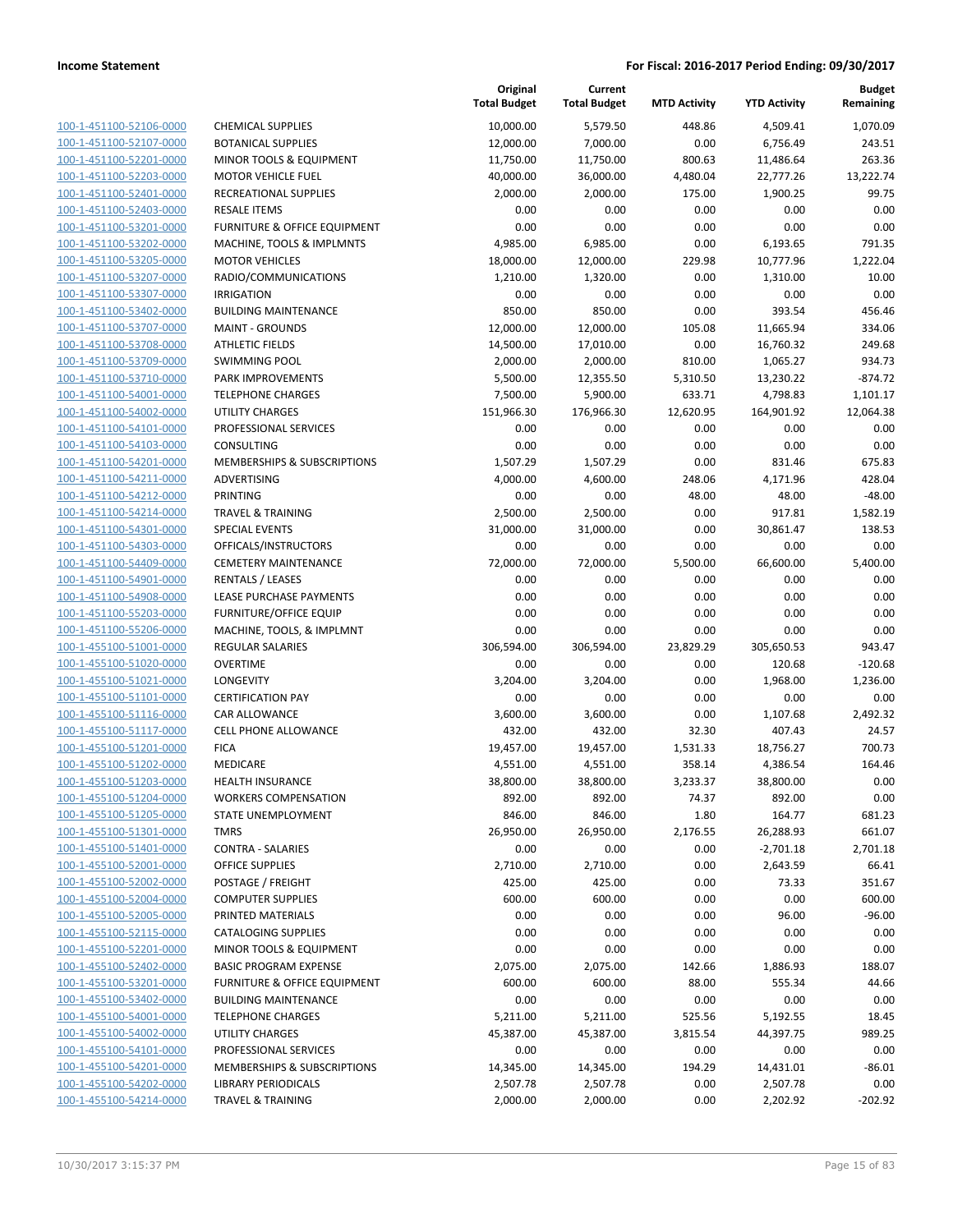|                                                    |                                               | Original<br><b>Total Budget</b> | Current<br><b>Total Budget</b> | <b>MTD Activity</b> | <b>YTD Activity</b>   | <b>Budget</b><br>Remaining |
|----------------------------------------------------|-----------------------------------------------|---------------------------------|--------------------------------|---------------------|-----------------------|----------------------------|
| 100-1-451100-52106-0000                            | <b>CHEMICAL SUPPLIES</b>                      | 10,000.00                       | 5,579.50                       | 448.86              | 4,509.41              | 1,070.09                   |
| 100-1-451100-52107-0000                            | <b>BOTANICAL SUPPLIES</b>                     | 12,000.00                       | 7,000.00                       | 0.00                | 6,756.49              | 243.51                     |
| 100-1-451100-52201-0000                            | MINOR TOOLS & EQUIPMENT                       | 11,750.00                       | 11,750.00                      | 800.63              | 11,486.64             | 263.36                     |
| 100-1-451100-52203-0000                            | <b>MOTOR VEHICLE FUEL</b>                     | 40,000.00                       | 36,000.00                      | 4,480.04            | 22,777.26             | 13,222.74                  |
| 100-1-451100-52401-0000                            | RECREATIONAL SUPPLIES                         | 2,000.00                        | 2,000.00                       | 175.00              | 1,900.25              | 99.75                      |
| 100-1-451100-52403-0000                            | <b>RESALE ITEMS</b>                           | 0.00                            | 0.00                           | 0.00                | 0.00                  | 0.00                       |
| 100-1-451100-53201-0000                            | <b>FURNITURE &amp; OFFICE EQUIPMENT</b>       | 0.00                            | 0.00                           | 0.00                | 0.00                  | 0.00                       |
| 100-1-451100-53202-0000                            | MACHINE, TOOLS & IMPLMNTS                     | 4,985.00                        | 6,985.00                       | 0.00                | 6,193.65              | 791.35                     |
| 100-1-451100-53205-0000                            | <b>MOTOR VEHICLES</b>                         | 18,000.00                       | 12,000.00                      | 229.98              | 10,777.96             | 1,222.04                   |
| 100-1-451100-53207-0000                            | RADIO/COMMUNICATIONS                          | 1,210.00                        | 1,320.00                       | 0.00                | 1,310.00              | 10.00                      |
| 100-1-451100-53307-0000                            | <b>IRRIGATION</b>                             | 0.00                            | 0.00                           | 0.00                | 0.00                  | 0.00                       |
| 100-1-451100-53402-0000                            | <b>BUILDING MAINTENANCE</b>                   | 850.00                          | 850.00                         | 0.00                | 393.54                | 456.46                     |
| 100-1-451100-53707-0000                            | <b>MAINT - GROUNDS</b>                        | 12,000.00                       | 12,000.00                      | 105.08              | 11,665.94             | 334.06                     |
| 100-1-451100-53708-0000                            | <b>ATHLETIC FIELDS</b>                        | 14,500.00                       | 17,010.00                      | 0.00                | 16,760.32             | 249.68                     |
| 100-1-451100-53709-0000                            | <b>SWIMMING POOL</b>                          | 2,000.00                        | 2,000.00                       | 810.00              | 1,065.27              | 934.73                     |
| 100-1-451100-53710-0000                            | PARK IMPROVEMENTS                             | 5,500.00                        | 12,355.50                      | 5,310.50            | 13,230.22             | $-874.72$                  |
| 100-1-451100-54001-0000                            | <b>TELEPHONE CHARGES</b>                      | 7,500.00                        | 5,900.00                       | 633.71              | 4,798.83              | 1,101.17                   |
| 100-1-451100-54002-0000                            | <b>UTILITY CHARGES</b>                        | 151,966.30                      | 176,966.30                     | 12,620.95           | 164,901.92            | 12,064.38                  |
| 100-1-451100-54101-0000                            | PROFESSIONAL SERVICES                         | 0.00                            | 0.00                           | 0.00                | 0.00                  | 0.00                       |
| 100-1-451100-54103-0000                            | CONSULTING                                    | 0.00                            | 0.00                           | 0.00                | 0.00                  | 0.00                       |
| 100-1-451100-54201-0000                            | <b>MEMBERSHIPS &amp; SUBSCRIPTIONS</b>        | 1,507.29                        | 1,507.29                       | 0.00                | 831.46                | 675.83                     |
| 100-1-451100-54211-0000                            | <b>ADVERTISING</b>                            | 4,000.00                        | 4,600.00                       | 248.06              | 4,171.96              | 428.04                     |
| 100-1-451100-54212-0000                            | <b>PRINTING</b>                               | 0.00                            | 0.00                           | 48.00               | 48.00                 | $-48.00$                   |
| 100-1-451100-54214-0000                            | <b>TRAVEL &amp; TRAINING</b>                  | 2,500.00                        | 2,500.00                       | 0.00                | 917.81                | 1,582.19                   |
| 100-1-451100-54301-0000<br>100-1-451100-54303-0000 | <b>SPECIAL EVENTS</b><br>OFFICALS/INSTRUCTORS | 31,000.00<br>0.00               | 31,000.00<br>0.00              | 0.00<br>0.00        | 30,861.47<br>0.00     | 138.53<br>0.00             |
| 100-1-451100-54409-0000                            | <b>CEMETERY MAINTENANCE</b>                   | 72,000.00                       | 72,000.00                      | 5,500.00            | 66,600.00             | 5,400.00                   |
| 100-1-451100-54901-0000                            | <b>RENTALS / LEASES</b>                       | 0.00                            | 0.00                           | 0.00                | 0.00                  | 0.00                       |
| 100-1-451100-54908-0000                            | LEASE PURCHASE PAYMENTS                       | 0.00                            | 0.00                           | 0.00                | 0.00                  | 0.00                       |
| 100-1-451100-55203-0000                            | <b>FURNITURE/OFFICE EQUIP</b>                 | 0.00                            | 0.00                           | 0.00                | 0.00                  | 0.00                       |
| 100-1-451100-55206-0000                            | MACHINE, TOOLS, & IMPLMNT                     | 0.00                            | 0.00                           | 0.00                | 0.00                  | 0.00                       |
| 100-1-455100-51001-0000                            | <b>REGULAR SALARIES</b>                       | 306,594.00                      | 306,594.00                     | 23,829.29           | 305,650.53            | 943.47                     |
| 100-1-455100-51020-0000                            | <b>OVERTIME</b>                               | 0.00                            | 0.00                           | 0.00                | 120.68                | $-120.68$                  |
| 100-1-455100-51021-0000                            | LONGEVITY                                     | 3,204.00                        | 3,204.00                       | 0.00                | 1,968.00              | 1,236.00                   |
| 100-1-455100-51101-0000                            | <b>CERTIFICATION PAY</b>                      | 0.00                            | 0.00                           | 0.00                | 0.00                  | 0.00                       |
| 100-1-455100-51116-0000                            | CAR ALLOWANCE                                 | 3,600.00                        | 3,600.00                       | 0.00                | 1,107.68              | 2,492.32                   |
| 100-1-455100-51117-0000                            | <b>CELL PHONE ALLOWANCE</b>                   | 432.00                          | 432.00                         | 32.30               | 407.43                | 24.57                      |
| 100-1-455100-51201-0000                            | <b>FICA</b>                                   | 19,457.00                       | 19,457.00                      | 1,531.33            | 18,756.27             | 700.73                     |
| 100-1-455100-51202-0000                            | MEDICARE                                      | 4,551.00                        | 4,551.00                       | 358.14              | 4,386.54              | 164.46                     |
| 100-1-455100-51203-0000                            | <b>HEALTH INSURANCE</b>                       | 38,800.00                       | 38,800.00                      | 3,233.37            | 38,800.00             | 0.00                       |
| 100-1-455100-51204-0000                            | <b>WORKERS COMPENSATION</b>                   | 892.00                          | 892.00                         | 74.37               | 892.00                | 0.00                       |
| 100-1-455100-51205-0000                            | STATE UNEMPLOYMENT                            | 846.00                          | 846.00                         | 1.80                | 164.77                | 681.23                     |
| 100-1-455100-51301-0000                            | TMRS                                          | 26,950.00                       | 26,950.00                      | 2,176.55            | 26,288.93             | 661.07                     |
| 100-1-455100-51401-0000                            | <b>CONTRA - SALARIES</b>                      | 0.00                            | 0.00                           | 0.00                | $-2,701.18$           | 2,701.18                   |
| 100-1-455100-52001-0000                            | <b>OFFICE SUPPLIES</b>                        | 2,710.00                        | 2,710.00                       | 0.00                | 2,643.59              | 66.41                      |
| 100-1-455100-52002-0000                            | POSTAGE / FREIGHT                             | 425.00                          | 425.00                         | 0.00                | 73.33                 | 351.67                     |
| 100-1-455100-52004-0000                            | <b>COMPUTER SUPPLIES</b>                      | 600.00                          | 600.00                         | 0.00                | 0.00                  | 600.00                     |
| 100-1-455100-52005-0000                            | PRINTED MATERIALS                             | 0.00                            | 0.00                           | 0.00                | 96.00                 | $-96.00$                   |
| 100-1-455100-52115-0000                            | <b>CATALOGING SUPPLIES</b>                    | 0.00                            | 0.00                           | 0.00                | 0.00                  | 0.00                       |
| 100-1-455100-52201-0000                            | MINOR TOOLS & EQUIPMENT                       | 0.00                            | 0.00                           | 0.00                | 0.00                  | 0.00                       |
| 100-1-455100-52402-0000                            | <b>BASIC PROGRAM EXPENSE</b>                  | 2,075.00                        | 2,075.00                       | 142.66              | 1,886.93              | 188.07                     |
| 100-1-455100-53201-0000                            | <b>FURNITURE &amp; OFFICE EQUIPMENT</b>       | 600.00                          | 600.00                         | 88.00               | 555.34                | 44.66                      |
| 100-1-455100-53402-0000                            | <b>BUILDING MAINTENANCE</b>                   | 0.00                            | 0.00                           | 0.00                | 0.00                  | 0.00                       |
| 100-1-455100-54001-0000<br>100-1-455100-54002-0000 | <b>TELEPHONE CHARGES</b><br>UTILITY CHARGES   | 5,211.00<br>45,387.00           | 5,211.00<br>45,387.00          | 525.56<br>3,815.54  | 5,192.55<br>44,397.75 | 18.45<br>989.25            |
| 100-1-455100-54101-0000                            | PROFESSIONAL SERVICES                         | 0.00                            | 0.00                           | 0.00                | 0.00                  | 0.00                       |
| 100-1-455100-54201-0000                            | MEMBERSHIPS & SUBSCRIPTIONS                   | 14,345.00                       | 14,345.00                      | 194.29              | 14,431.01             | $-86.01$                   |
| 100-1-455100-54202-0000                            | <b>LIBRARY PERIODICALS</b>                    | 2,507.78                        | 2,507.78                       | 0.00                | 2,507.78              | 0.00                       |
| 100-1-455100-54214-0000                            | <b>TRAVEL &amp; TRAINING</b>                  | 2,000.00                        | 2,000.00                       | 0.00                | 2,202.92              | $-202.92$                  |
|                                                    |                                               |                                 |                                |                     |                       |                            |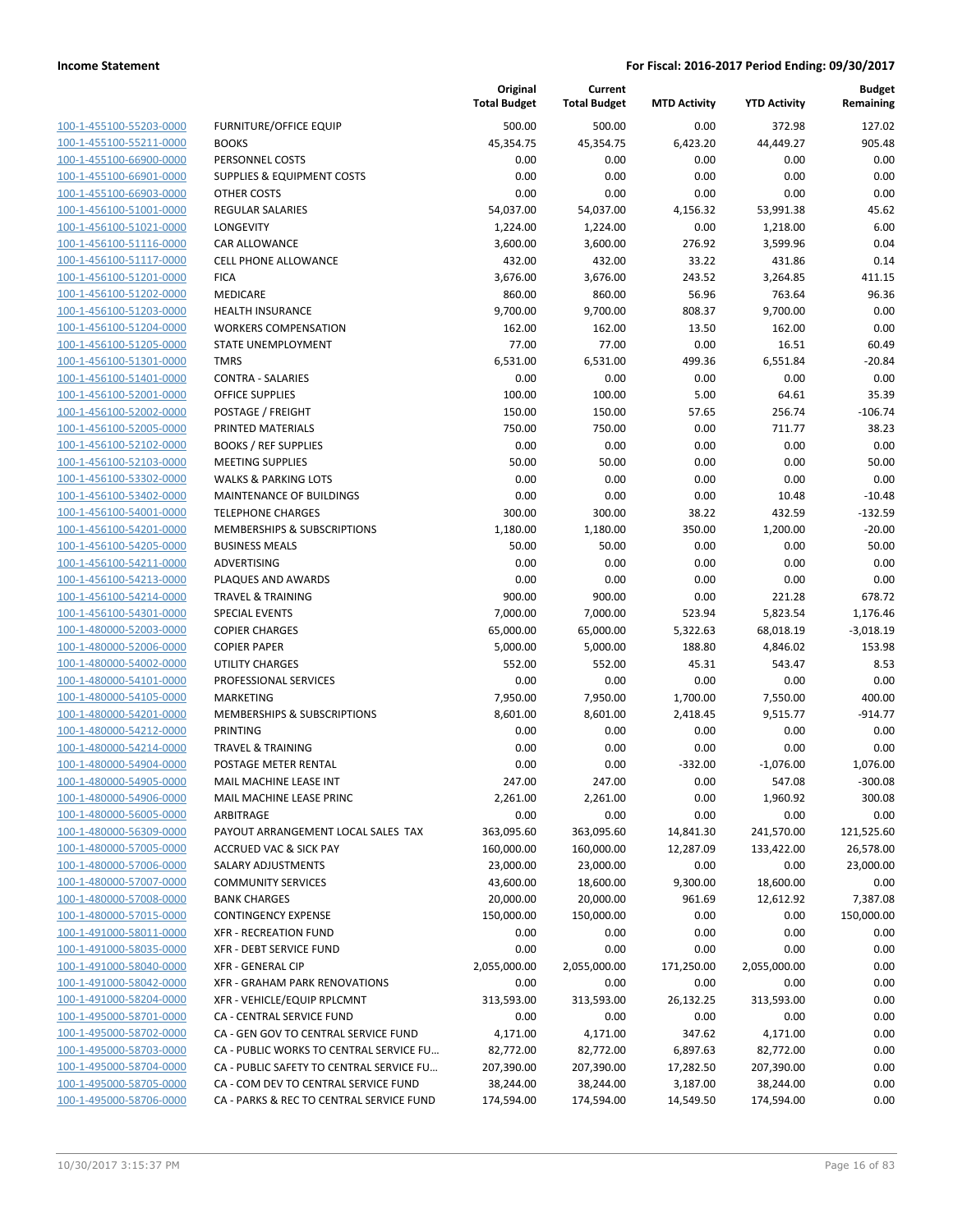| 100-1-455100-55203-0000                                   |
|-----------------------------------------------------------|
| 100-1-455100-55211-0000                                   |
| <u>100-1-455100-66900-0000</u>                            |
| <u>100-1-455100-66901-0000</u>                            |
| 100-1-455100-66903-0000                                   |
| 100-1-456100-51001-0000                                   |
| 100-1-456100-51021-0000                                   |
| <u>100-1-456100-51116-0000</u>                            |
| <u>100-1-456100-51117-0000</u>                            |
| 100-1-456100-51201-0000                                   |
| 100-1-456100-51202-0000                                   |
| 100-1-456100-51203-0000                                   |
| <u>100-1-456100-51204-0000</u>                            |
| <u>100-1-456100-51205-0000</u>                            |
| 100-1-456100-51301-0000                                   |
| 100-1-456100-51401-0000                                   |
| 100-1-456100-52001-0000                                   |
| <u>100-1-456100-52002-0000</u>                            |
| <u>100-1-456100-52005-0000</u>                            |
| 100-1-456100-52102-0000                                   |
| 100-1-456100-52103-0000                                   |
| 100-1-456100-53302-0000                                   |
| <u>100-1-456100-53402-0000</u>                            |
| <u>100-1-456100-54001-0000</u>                            |
| 100-1-456100-54201-0000                                   |
| 100-1-456100-54205-0000                                   |
| 100-1-456100-54211-0000                                   |
| <u>100-1-456100-54213-0000</u>                            |
| <u>100-1-456100-54214-0000</u>                            |
| 100-1-456100-54301-0000                                   |
| 100-1-480000-52003-0000                                   |
| 100-1-480000-52006-0000                                   |
| <u>100-1-480000-54002-0000</u>                            |
| <u>100-1-480000-54101-0000</u>                            |
| 100-1-480000-54105-0000                                   |
| 100-1-480000-54201-0000                                   |
| 100-1-480000-54212-0000                                   |
| <u>100-1-480000-54214-0000</u>                            |
| <u>100-1-480000-54904-0000</u>                            |
| 100-1-480000-54905-0000                                   |
| 100-1-480000-54906-0000                                   |
| 100-1-480000-56005-0000                                   |
| 100-1-480000-56309-0000                                   |
| <u>100-1-480000-57005-0000</u>                            |
| 100-1-480000-57006-0000                                   |
| 100-1-480000-57007-0000                                   |
| 100-1-480000-57008-0000                                   |
| 100-1-480000-57015-0000                                   |
| <u>100-1-491000-58011-0000</u>                            |
| 100-1-491000-58035-0000                                   |
| 100-1-491000-58040-0000                                   |
| 100-1-491000-58042-0000                                   |
|                                                           |
| 100-1-491000-58204-0000                                   |
| <u>100-1-495000-58701-0000</u>                            |
| 100-1-495000-58702-0000                                   |
| 100-1-495000-58703-0000                                   |
| 100-1-495000-58704-0000                                   |
| 100-1-495000-58705-0000<br><u>100-1-495000-58706-0000</u> |

|                                                    |                                                | Original<br><b>Total Budget</b> | Current<br><b>Total Budget</b> | <b>MTD Activity</b> | <b>YTD Activity</b>   | <b>Budget</b><br>Remaining |
|----------------------------------------------------|------------------------------------------------|---------------------------------|--------------------------------|---------------------|-----------------------|----------------------------|
| 100-1-455100-55203-0000                            | <b>FURNITURE/OFFICE EQUIP</b>                  | 500.00                          | 500.00                         | 0.00                | 372.98                | 127.02                     |
| 100-1-455100-55211-0000                            | <b>BOOKS</b>                                   | 45,354.75                       | 45,354.75                      | 6,423.20            | 44,449.27             | 905.48                     |
| 100-1-455100-66900-0000                            | PERSONNEL COSTS                                | 0.00                            | 0.00                           | 0.00                | 0.00                  | 0.00                       |
| 100-1-455100-66901-0000                            | <b>SUPPLIES &amp; EQUIPMENT COSTS</b>          | 0.00                            | 0.00                           | 0.00                | 0.00                  | 0.00                       |
| 100-1-455100-66903-0000                            | OTHER COSTS                                    | 0.00                            | 0.00                           | 0.00                | 0.00                  | 0.00                       |
| 100-1-456100-51001-0000                            | <b>REGULAR SALARIES</b>                        | 54,037.00                       | 54,037.00                      | 4,156.32            | 53,991.38             | 45.62                      |
| 100-1-456100-51021-0000                            | <b>LONGEVITY</b>                               | 1,224.00                        | 1,224.00                       | 0.00                | 1,218.00              | 6.00                       |
| 100-1-456100-51116-0000                            | <b>CAR ALLOWANCE</b>                           | 3,600.00                        | 3,600.00                       | 276.92              | 3,599.96              | 0.04                       |
| 100-1-456100-51117-0000                            | <b>CELL PHONE ALLOWANCE</b>                    | 432.00                          | 432.00                         | 33.22               | 431.86                | 0.14                       |
| 100-1-456100-51201-0000                            | <b>FICA</b>                                    | 3,676.00                        | 3,676.00                       | 243.52              | 3,264.85              | 411.15                     |
| 100-1-456100-51202-0000                            | MEDICARE                                       | 860.00                          | 860.00                         | 56.96               | 763.64                | 96.36                      |
| 100-1-456100-51203-0000                            | <b>HEALTH INSURANCE</b>                        | 9,700.00                        | 9,700.00                       | 808.37              | 9,700.00              | 0.00                       |
| 100-1-456100-51204-0000                            | <b>WORKERS COMPENSATION</b>                    | 162.00                          | 162.00                         | 13.50               | 162.00                | 0.00                       |
| 100-1-456100-51205-0000                            | STATE UNEMPLOYMENT                             | 77.00                           | 77.00                          | 0.00                | 16.51                 | 60.49                      |
| 100-1-456100-51301-0000                            | <b>TMRS</b>                                    | 6,531.00                        | 6,531.00                       | 499.36              | 6,551.84              | $-20.84$                   |
| 100-1-456100-51401-0000                            | <b>CONTRA - SALARIES</b>                       | 0.00                            | 0.00                           | 0.00                | 0.00                  | 0.00                       |
| 100-1-456100-52001-0000                            | <b>OFFICE SUPPLIES</b>                         | 100.00                          | 100.00                         | 5.00                | 64.61                 | 35.39                      |
| 100-1-456100-52002-0000                            | POSTAGE / FREIGHT                              | 150.00                          | 150.00                         | 57.65               | 256.74                | $-106.74$                  |
| 100-1-456100-52005-0000                            | PRINTED MATERIALS                              | 750.00                          | 750.00                         | 0.00                | 711.77                | 38.23                      |
| 100-1-456100-52102-0000                            | <b>BOOKS / REF SUPPLIES</b>                    | 0.00                            | 0.00                           | 0.00                | 0.00                  | 0.00                       |
| 100-1-456100-52103-0000                            | <b>MEETING SUPPLIES</b>                        | 50.00                           | 50.00                          | 0.00                | 0.00                  | 50.00                      |
| 100-1-456100-53302-0000                            | <b>WALKS &amp; PARKING LOTS</b>                | 0.00                            | 0.00                           | 0.00                | 0.00                  | 0.00                       |
| 100-1-456100-53402-0000                            | <b>MAINTENANCE OF BUILDINGS</b>                | 0.00                            | 0.00                           | 0.00                | 10.48                 | $-10.48$                   |
| 100-1-456100-54001-0000                            | <b>TELEPHONE CHARGES</b>                       | 300.00                          | 300.00                         | 38.22               | 432.59                | $-132.59$                  |
| 100-1-456100-54201-0000                            | MEMBERSHIPS & SUBSCRIPTIONS                    | 1,180.00                        | 1,180.00                       | 350.00              | 1,200.00              | $-20.00$                   |
| 100-1-456100-54205-0000                            | <b>BUSINESS MEALS</b>                          | 50.00                           | 50.00                          | 0.00                | 0.00                  | 50.00                      |
| 100-1-456100-54211-0000                            | ADVERTISING                                    | 0.00                            | 0.00                           | 0.00                | 0.00                  | 0.00                       |
| 100-1-456100-54213-0000                            | PLAQUES AND AWARDS                             | 0.00                            | 0.00                           | 0.00                | 0.00                  | 0.00                       |
| 100-1-456100-54214-0000                            | <b>TRAVEL &amp; TRAINING</b>                   | 900.00                          | 900.00                         | 0.00                | 221.28                | 678.72                     |
| 100-1-456100-54301-0000<br>100-1-480000-52003-0000 | <b>SPECIAL EVENTS</b><br><b>COPIER CHARGES</b> | 7,000.00<br>65,000.00           | 7,000.00<br>65,000.00          | 523.94<br>5,322.63  | 5,823.54              | 1,176.46<br>$-3,018.19$    |
| 100-1-480000-52006-0000                            | <b>COPIER PAPER</b>                            | 5,000.00                        | 5,000.00                       | 188.80              | 68,018.19<br>4,846.02 | 153.98                     |
| 100-1-480000-54002-0000                            | <b>UTILITY CHARGES</b>                         | 552.00                          | 552.00                         | 45.31               | 543.47                | 8.53                       |
| 100-1-480000-54101-0000                            | PROFESSIONAL SERVICES                          | 0.00                            | 0.00                           | 0.00                | 0.00                  | 0.00                       |
| 100-1-480000-54105-0000                            | <b>MARKETING</b>                               | 7,950.00                        | 7,950.00                       | 1,700.00            | 7,550.00              | 400.00                     |
| 100-1-480000-54201-0000                            | MEMBERSHIPS & SUBSCRIPTIONS                    | 8,601.00                        | 8,601.00                       | 2,418.45            | 9,515.77              | $-914.77$                  |
| 100-1-480000-54212-0000                            | PRINTING                                       | 0.00                            | 0.00                           | 0.00                | 0.00                  | 0.00                       |
| 100-1-480000-54214-0000                            | <b>TRAVEL &amp; TRAINING</b>                   | 0.00                            | 0.00                           | 0.00                | 0.00                  | 0.00                       |
| 100-1-480000-54904-0000                            | POSTAGE METER RENTAL                           | 0.00                            | 0.00                           | $-332.00$           | $-1,076.00$           | 1,076.00                   |
| 100-1-480000-54905-0000                            | MAIL MACHINE LEASE INT                         | 247.00                          | 247.00                         | 0.00                | 547.08                | $-300.08$                  |
| 100-1-480000-54906-0000                            | MAIL MACHINE LEASE PRINC                       | 2,261.00                        | 2,261.00                       | 0.00                | 1,960.92              | 300.08                     |
| 100-1-480000-56005-0000                            | ARBITRAGE                                      | 0.00                            | 0.00                           | 0.00                | 0.00                  | 0.00                       |
| 100-1-480000-56309-0000                            | PAYOUT ARRANGEMENT LOCAL SALES TAX             | 363,095.60                      | 363,095.60                     | 14,841.30           | 241,570.00            | 121,525.60                 |
| 100-1-480000-57005-0000                            | <b>ACCRUED VAC &amp; SICK PAY</b>              | 160,000.00                      | 160,000.00                     | 12,287.09           | 133,422.00            | 26,578.00                  |
| 100-1-480000-57006-0000                            | SALARY ADJUSTMENTS                             | 23,000.00                       | 23,000.00                      | 0.00                | 0.00                  | 23,000.00                  |
| 100-1-480000-57007-0000                            | <b>COMMUNITY SERVICES</b>                      | 43,600.00                       | 18,600.00                      | 9,300.00            | 18,600.00             | 0.00                       |
| 100-1-480000-57008-0000                            | <b>BANK CHARGES</b>                            | 20,000.00                       | 20,000.00                      | 961.69              | 12,612.92             | 7,387.08                   |
| 100-1-480000-57015-0000                            | <b>CONTINGENCY EXPENSE</b>                     | 150,000.00                      | 150,000.00                     | 0.00                | 0.00                  | 150,000.00                 |
| 100-1-491000-58011-0000                            | <b>XFR - RECREATION FUND</b>                   | 0.00                            | 0.00                           | 0.00                | 0.00                  | 0.00                       |
| 100-1-491000-58035-0000                            | <b>XFR - DEBT SERVICE FUND</b>                 | 0.00                            | 0.00                           | 0.00                | 0.00                  | 0.00                       |
| 100-1-491000-58040-0000                            | <b>XFR - GENERAL CIP</b>                       | 2,055,000.00                    | 2,055,000.00                   | 171,250.00          | 2,055,000.00          | 0.00                       |
| 100-1-491000-58042-0000                            | XFR - GRAHAM PARK RENOVATIONS                  | 0.00                            | 0.00                           | 0.00                | 0.00                  | 0.00                       |
| 100-1-491000-58204-0000                            | XFR - VEHICLE/EQUIP RPLCMNT                    | 313,593.00                      | 313,593.00                     | 26,132.25           | 313,593.00            | 0.00                       |
| 100-1-495000-58701-0000                            | CA - CENTRAL SERVICE FUND                      | 0.00                            | 0.00                           | 0.00                | 0.00                  | 0.00                       |
| 100-1-495000-58702-0000                            | CA - GEN GOV TO CENTRAL SERVICE FUND           | 4,171.00                        | 4,171.00                       | 347.62              | 4,171.00              | 0.00                       |
| 100-1-495000-58703-0000                            | CA - PUBLIC WORKS TO CENTRAL SERVICE FU        | 82,772.00                       | 82,772.00                      | 6,897.63            | 82,772.00             | 0.00                       |
| 100-1-495000-58704-0000                            | CA - PUBLIC SAFETY TO CENTRAL SERVICE FU       | 207,390.00                      | 207,390.00                     | 17,282.50           | 207,390.00            | 0.00                       |
| 100-1-495000-58705-0000                            | CA - COM DEV TO CENTRAL SERVICE FUND           | 38,244.00                       | 38,244.00                      | 3,187.00            | 38,244.00             | 0.00                       |
| 100-1-495000-58706-0000                            | CA - PARKS & REC TO CENTRAL SERVICE FUND       | 174,594.00                      | 174,594.00                     | 14,549.50           | 174,594.00            | 0.00                       |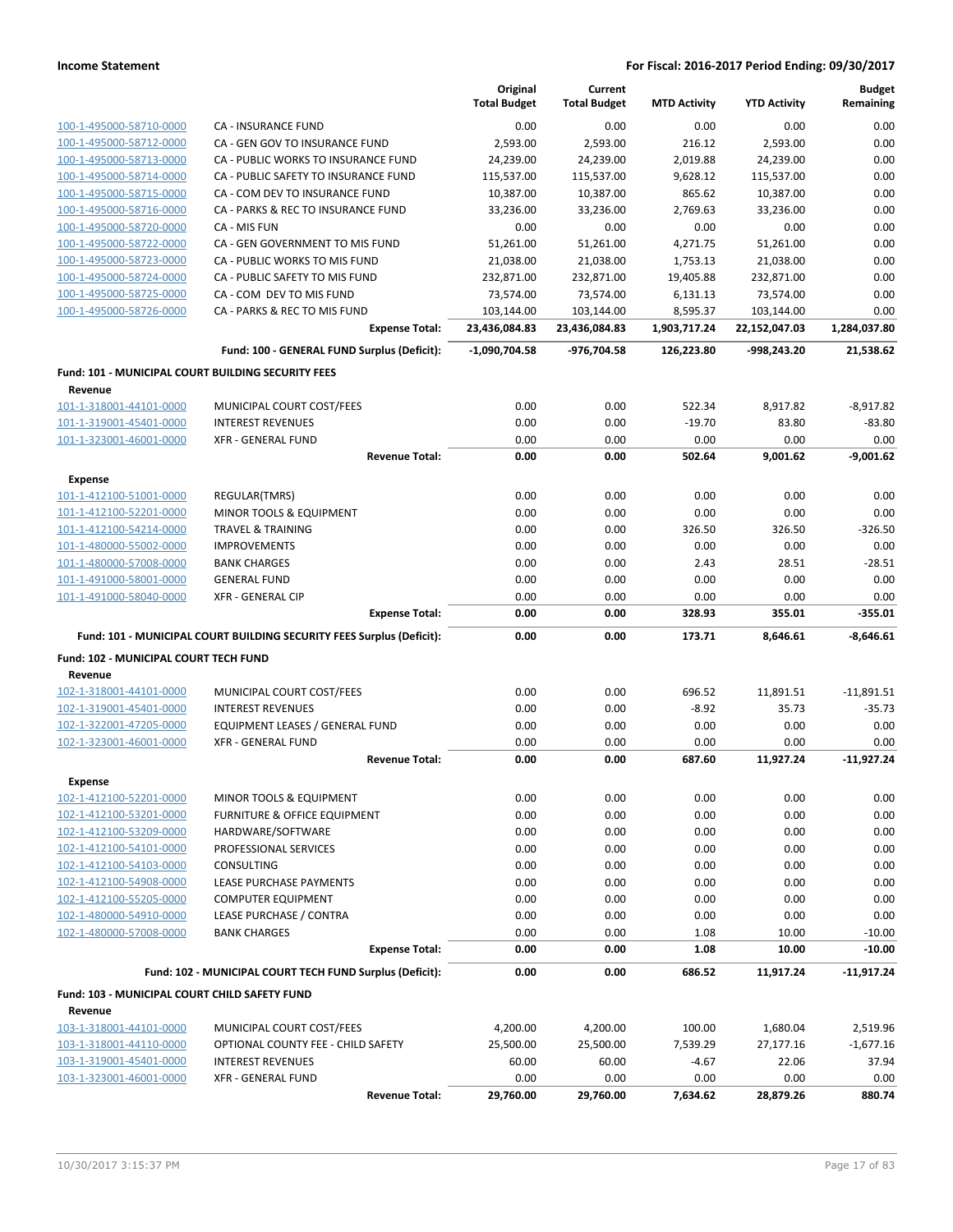|                                                    |                                                                       | Original            | Current             |                     |                     | <b>Budget</b> |
|----------------------------------------------------|-----------------------------------------------------------------------|---------------------|---------------------|---------------------|---------------------|---------------|
|                                                    |                                                                       | <b>Total Budget</b> | <b>Total Budget</b> | <b>MTD Activity</b> | <b>YTD Activity</b> | Remaining     |
| 100-1-495000-58710-0000                            | <b>CA - INSURANCE FUND</b>                                            | 0.00                | 0.00                | 0.00                | 0.00                | 0.00          |
| 100-1-495000-58712-0000                            | CA - GEN GOV TO INSURANCE FUND                                        | 2,593.00            | 2,593.00            | 216.12              | 2,593.00            | 0.00          |
| 100-1-495000-58713-0000                            | CA - PUBLIC WORKS TO INSURANCE FUND                                   | 24,239.00           | 24,239.00           | 2,019.88            | 24,239.00           | 0.00          |
| 100-1-495000-58714-0000                            | CA - PUBLIC SAFETY TO INSURANCE FUND                                  | 115,537.00          | 115,537.00          | 9,628.12            | 115,537.00          | 0.00          |
| 100-1-495000-58715-0000                            | CA - COM DEV TO INSURANCE FUND                                        | 10,387.00           | 10,387.00           | 865.62              | 10,387.00           | 0.00          |
| 100-1-495000-58716-0000                            | CA - PARKS & REC TO INSURANCE FUND                                    | 33,236.00           | 33,236.00           | 2,769.63            | 33,236.00           | 0.00          |
| 100-1-495000-58720-0000                            | CA - MIS FUN                                                          | 0.00                | 0.00                | 0.00                | 0.00                | 0.00          |
| 100-1-495000-58722-0000                            | CA - GEN GOVERNMENT TO MIS FUND                                       | 51,261.00           | 51,261.00           | 4,271.75            | 51,261.00           | 0.00          |
| 100-1-495000-58723-0000                            | CA - PUBLIC WORKS TO MIS FUND                                         | 21,038.00           | 21,038.00           | 1,753.13            | 21,038.00           | 0.00          |
| 100-1-495000-58724-0000                            | CA - PUBLIC SAFETY TO MIS FUND                                        | 232,871.00          | 232,871.00          | 19,405.88           | 232,871.00          | 0.00          |
| 100-1-495000-58725-0000                            | CA - COM DEV TO MIS FUND                                              | 73,574.00           | 73,574.00           | 6,131.13            | 73,574.00           | 0.00          |
| 100-1-495000-58726-0000                            | CA - PARKS & REC TO MIS FUND                                          | 103,144.00          | 103,144.00          | 8,595.37            | 103,144.00          | 0.00          |
|                                                    | <b>Expense Total:</b>                                                 | 23,436,084.83       | 23,436,084.83       | 1,903,717.24        | 22,152,047.03       | 1,284,037.80  |
|                                                    | Fund: 100 - GENERAL FUND Surplus (Deficit):                           | $-1,090,704.58$     | -976,704.58         | 126,223.80          | -998,243.20         | 21,538.62     |
| Fund: 101 - MUNICIPAL COURT BUILDING SECURITY FEES |                                                                       |                     |                     |                     |                     |               |
| Revenue                                            |                                                                       |                     |                     |                     |                     |               |
| 101-1-318001-44101-0000                            | MUNICIPAL COURT COST/FEES                                             | 0.00                | 0.00                | 522.34              | 8,917.82            | $-8,917.82$   |
| 101-1-319001-45401-0000                            | <b>INTEREST REVENUES</b>                                              | 0.00                | 0.00                | $-19.70$            | 83.80               | $-83.80$      |
| 101-1-323001-46001-0000                            | <b>XFR - GENERAL FUND</b>                                             | 0.00                | 0.00                | 0.00                | 0.00                | 0.00          |
|                                                    | <b>Revenue Total:</b>                                                 | 0.00                | 0.00                | 502.64              | 9,001.62            | $-9,001.62$   |
| <b>Expense</b>                                     |                                                                       |                     |                     |                     |                     |               |
| 101-1-412100-51001-0000                            | REGULAR(TMRS)                                                         | 0.00                | 0.00                | 0.00                | 0.00                | 0.00          |
| 101-1-412100-52201-0000                            | MINOR TOOLS & EQUIPMENT                                               | 0.00                | 0.00                | 0.00                | 0.00                | 0.00          |
| 101-1-412100-54214-0000                            | <b>TRAVEL &amp; TRAINING</b>                                          | 0.00                | 0.00                | 326.50              | 326.50              | $-326.50$     |
| 101-1-480000-55002-0000                            | <b>IMPROVEMENTS</b>                                                   | 0.00                | 0.00                | 0.00                | 0.00                | 0.00          |
| 101-1-480000-57008-0000                            | <b>BANK CHARGES</b>                                                   | 0.00                | 0.00                | 2.43                | 28.51               | $-28.51$      |
| 101-1-491000-58001-0000                            | <b>GENERAL FUND</b>                                                   | 0.00                | 0.00                | 0.00                | 0.00                | 0.00          |
| 101-1-491000-58040-0000                            | <b>XFR - GENERAL CIP</b>                                              | 0.00                | 0.00                | 0.00                | 0.00                | 0.00          |
|                                                    | <b>Expense Total:</b>                                                 | 0.00                | 0.00                | 328.93              | 355.01              | $-355.01$     |
|                                                    | Fund: 101 - MUNICIPAL COURT BUILDING SECURITY FEES Surplus (Deficit): | 0.00                | 0.00                | 173.71              | 8,646.61            | $-8,646.61$   |
|                                                    |                                                                       |                     |                     |                     |                     |               |
| Fund: 102 - MUNICIPAL COURT TECH FUND<br>Revenue   |                                                                       |                     |                     |                     |                     |               |
| 102-1-318001-44101-0000                            | MUNICIPAL COURT COST/FEES                                             | 0.00                | 0.00                | 696.52              | 11,891.51           | $-11,891.51$  |
| 102-1-319001-45401-0000                            | <b>INTEREST REVENUES</b>                                              | 0.00                | 0.00                | $-8.92$             | 35.73               | $-35.73$      |
| 102-1-322001-47205-0000                            | <b>EQUIPMENT LEASES / GENERAL FUND</b>                                | 0.00                | 0.00                | 0.00                | 0.00                | 0.00          |
| 102-1-323001-46001-0000                            | <b>XFR - GENERAL FUND</b>                                             | 0.00                | 0.00                | 0.00                | 0.00                | 0.00          |
|                                                    | <b>Revenue Total:</b>                                                 | 0.00                | 0.00                | 687.60              | 11,927.24           | $-11,927.24$  |
|                                                    |                                                                       |                     |                     |                     |                     |               |
| <b>Expense</b>                                     |                                                                       |                     |                     |                     |                     |               |
| 102-1-412100-52201-0000                            | MINOR TOOLS & EQUIPMENT                                               | 0.00                | 0.00                | 0.00                | 0.00                | 0.00          |
| 102-1-412100-53201-0000                            | FURNITURE & OFFICE EQUIPMENT                                          | 0.00                | 0.00                | 0.00                | 0.00                | 0.00          |
| 102-1-412100-53209-0000<br>102-1-412100-54101-0000 | HARDWARE/SOFTWARE<br>PROFESSIONAL SERVICES                            | 0.00<br>0.00        | 0.00<br>0.00        | 0.00<br>0.00        | 0.00<br>0.00        | 0.00<br>0.00  |
| 102-1-412100-54103-0000                            | <b>CONSULTING</b>                                                     | 0.00                | 0.00                | 0.00                | 0.00                | 0.00          |
| 102-1-412100-54908-0000                            | LEASE PURCHASE PAYMENTS                                               | 0.00                | 0.00                | 0.00                | 0.00                | 0.00          |
| 102-1-412100-55205-0000                            | <b>COMPUTER EQUIPMENT</b>                                             | 0.00                | 0.00                | 0.00                | 0.00                | 0.00          |
| 102-1-480000-54910-0000                            | LEASE PURCHASE / CONTRA                                               | 0.00                | 0.00                | 0.00                | 0.00                | 0.00          |
| 102-1-480000-57008-0000                            | <b>BANK CHARGES</b>                                                   | 0.00                | 0.00                | 1.08                | 10.00               | $-10.00$      |
|                                                    | <b>Expense Total:</b>                                                 | 0.00                | 0.00                | 1.08                | 10.00               | $-10.00$      |
|                                                    |                                                                       |                     |                     |                     |                     |               |
|                                                    | Fund: 102 - MUNICIPAL COURT TECH FUND Surplus (Deficit):              | 0.00                | 0.00                | 686.52              | 11,917.24           | $-11,917.24$  |
| Fund: 103 - MUNICIPAL COURT CHILD SAFETY FUND      |                                                                       |                     |                     |                     |                     |               |
| Revenue                                            |                                                                       |                     |                     |                     |                     |               |
| 103-1-318001-44101-0000                            | MUNICIPAL COURT COST/FEES                                             | 4,200.00            | 4,200.00            | 100.00              | 1,680.04            | 2,519.96      |
| 103-1-318001-44110-0000                            | OPTIONAL COUNTY FEE - CHILD SAFETY                                    | 25,500.00           | 25,500.00           | 7,539.29            | 27,177.16           | $-1,677.16$   |
| 103-1-319001-45401-0000                            | <b>INTEREST REVENUES</b>                                              | 60.00               | 60.00               | $-4.67$             | 22.06               | 37.94         |
| 103-1-323001-46001-0000                            | XFR - GENERAL FUND                                                    | 0.00                | 0.00                | 0.00                | 0.00                | 0.00          |
|                                                    | <b>Revenue Total:</b>                                                 | 29,760.00           | 29,760.00           | 7,634.62            | 28,879.26           | 880.74        |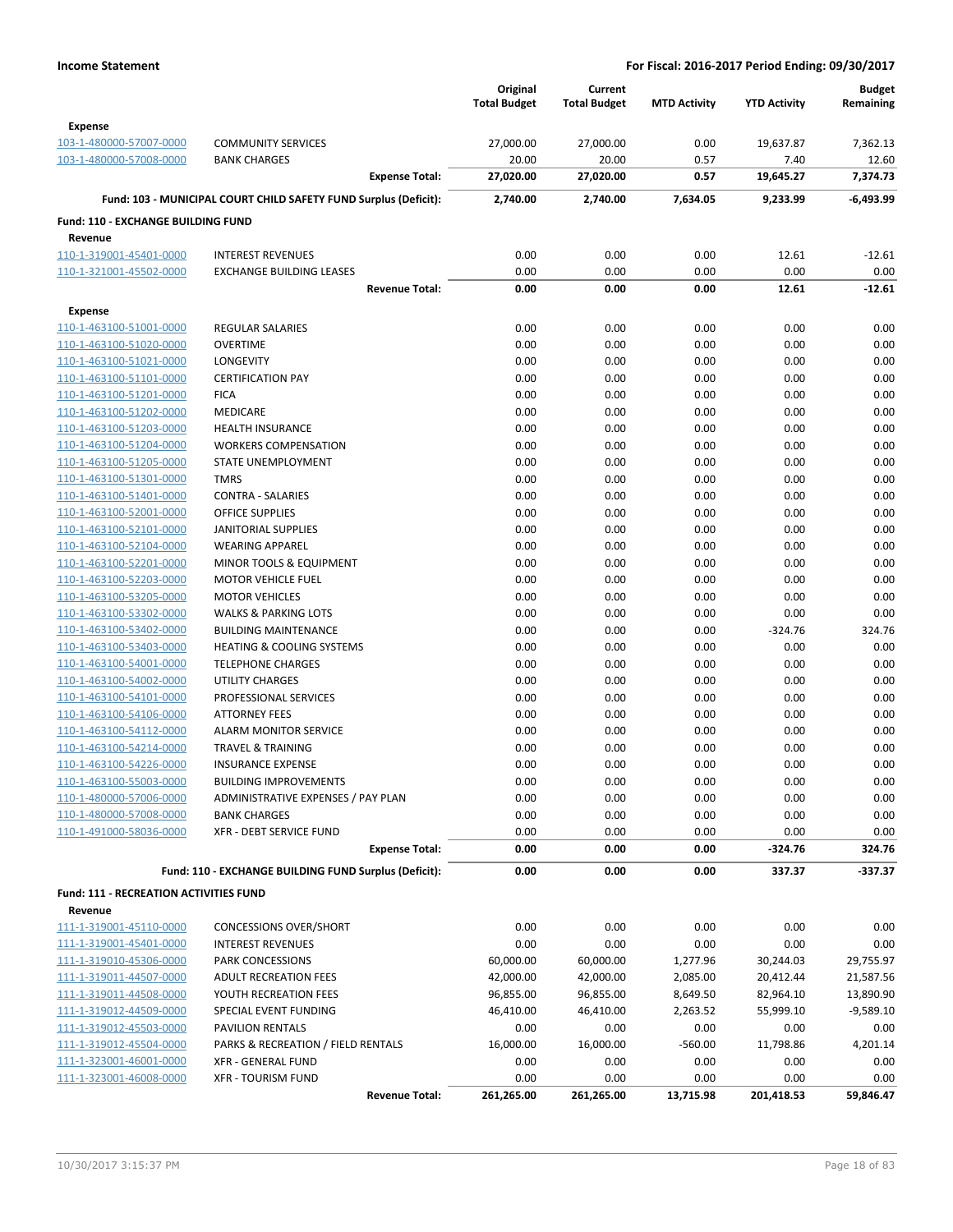|                                               |                                                                  | Original<br><b>Total Budget</b> | Current<br><b>Total Budget</b> | <b>MTD Activity</b> | <b>YTD Activity</b> | <b>Budget</b><br>Remaining |
|-----------------------------------------------|------------------------------------------------------------------|---------------------------------|--------------------------------|---------------------|---------------------|----------------------------|
| <b>Expense</b>                                |                                                                  |                                 |                                |                     |                     |                            |
| 103-1-480000-57007-0000                       | <b>COMMUNITY SERVICES</b>                                        | 27,000.00                       | 27,000.00                      | 0.00                | 19,637.87           | 7,362.13                   |
| 103-1-480000-57008-0000                       | <b>BANK CHARGES</b>                                              | 20.00                           | 20.00                          | 0.57                | 7.40                | 12.60                      |
|                                               | <b>Expense Total:</b>                                            | 27,020.00                       | 27,020.00                      | 0.57                | 19,645.27           | 7,374.73                   |
|                                               | Fund: 103 - MUNICIPAL COURT CHILD SAFETY FUND Surplus (Deficit): | 2,740.00                        | 2,740.00                       | 7,634.05            | 9,233.99            | $-6,493.99$                |
| Fund: 110 - EXCHANGE BUILDING FUND            |                                                                  |                                 |                                |                     |                     |                            |
| Revenue                                       |                                                                  |                                 |                                |                     |                     |                            |
| 110-1-319001-45401-0000                       | <b>INTEREST REVENUES</b>                                         | 0.00                            | 0.00                           | 0.00                | 12.61               | $-12.61$                   |
| 110-1-321001-45502-0000                       | <b>EXCHANGE BUILDING LEASES</b>                                  | 0.00                            | 0.00                           | 0.00                | 0.00                | 0.00                       |
|                                               | <b>Revenue Total:</b>                                            | 0.00                            | 0.00                           | 0.00                | 12.61               | $-12.61$                   |
| Expense                                       |                                                                  |                                 |                                |                     |                     |                            |
| 110-1-463100-51001-0000                       | <b>REGULAR SALARIES</b>                                          | 0.00                            | 0.00                           | 0.00                | 0.00                | 0.00                       |
| 110-1-463100-51020-0000                       | <b>OVERTIME</b>                                                  | 0.00                            | 0.00                           | 0.00                | 0.00                | 0.00                       |
| 110-1-463100-51021-0000                       | LONGEVITY                                                        | 0.00                            | 0.00                           | 0.00                | 0.00                | 0.00                       |
| 110-1-463100-51101-0000                       | <b>CERTIFICATION PAY</b>                                         | 0.00                            | 0.00                           | 0.00                | 0.00                | 0.00                       |
| 110-1-463100-51201-0000                       | <b>FICA</b>                                                      | 0.00                            | 0.00                           | 0.00                | 0.00                | 0.00                       |
| 110-1-463100-51202-0000                       | <b>MEDICARE</b>                                                  | 0.00                            | 0.00                           | 0.00                | 0.00                | 0.00                       |
| 110-1-463100-51203-0000                       | <b>HEALTH INSURANCE</b>                                          | 0.00                            | 0.00                           | 0.00                | 0.00                | 0.00                       |
| 110-1-463100-51204-0000                       | <b>WORKERS COMPENSATION</b>                                      | 0.00                            | 0.00                           | 0.00                | 0.00                | 0.00                       |
| 110-1-463100-51205-0000                       | STATE UNEMPLOYMENT                                               | 0.00                            | 0.00                           | 0.00                | 0.00                | 0.00                       |
| 110-1-463100-51301-0000                       | <b>TMRS</b>                                                      | 0.00                            | 0.00                           | 0.00                | 0.00                | 0.00                       |
| 110-1-463100-51401-0000                       | <b>CONTRA - SALARIES</b>                                         | 0.00                            | 0.00                           | 0.00                | 0.00                | 0.00                       |
| 110-1-463100-52001-0000                       | OFFICE SUPPLIES                                                  | 0.00                            | 0.00                           | 0.00                | 0.00                | 0.00                       |
| 110-1-463100-52101-0000                       | <b>JANITORIAL SUPPLIES</b>                                       | 0.00                            | 0.00                           | 0.00                | 0.00                | 0.00                       |
| 110-1-463100-52104-0000                       | <b>WEARING APPAREL</b>                                           | 0.00                            | 0.00                           | 0.00                | 0.00                | 0.00                       |
| 110-1-463100-52201-0000                       | <b>MINOR TOOLS &amp; EQUIPMENT</b>                               | 0.00                            | 0.00                           | 0.00                | 0.00                | 0.00                       |
| 110-1-463100-52203-0000                       | <b>MOTOR VEHICLE FUEL</b>                                        | 0.00                            | 0.00                           | 0.00                | 0.00                | 0.00                       |
| 110-1-463100-53205-0000                       | <b>MOTOR VEHICLES</b>                                            | 0.00                            | 0.00                           | 0.00                | 0.00                | 0.00                       |
| 110-1-463100-53302-0000                       | <b>WALKS &amp; PARKING LOTS</b>                                  | 0.00                            | 0.00                           | 0.00                | 0.00                | 0.00                       |
| 110-1-463100-53402-0000                       | <b>BUILDING MAINTENANCE</b>                                      | 0.00                            | 0.00                           | 0.00                | $-324.76$           | 324.76                     |
| 110-1-463100-53403-0000                       | <b>HEATING &amp; COOLING SYSTEMS</b>                             | 0.00                            | 0.00                           | 0.00                | 0.00                | 0.00                       |
| 110-1-463100-54001-0000                       | <b>TELEPHONE CHARGES</b>                                         | 0.00                            | 0.00                           | 0.00                | 0.00                | 0.00                       |
| 110-1-463100-54002-0000                       | <b>UTILITY CHARGES</b>                                           | 0.00                            | 0.00                           | 0.00                | 0.00                | 0.00                       |
| 110-1-463100-54101-0000                       | PROFESSIONAL SERVICES                                            | 0.00                            | 0.00                           | 0.00                | 0.00                | 0.00                       |
| 110-1-463100-54106-0000                       | <b>ATTORNEY FEES</b>                                             | 0.00                            | 0.00                           | 0.00                | 0.00                | 0.00                       |
| 110-1-463100-54112-0000                       | <b>ALARM MONITOR SERVICE</b>                                     | 0.00                            | 0.00                           | 0.00                | 0.00                | 0.00                       |
| 110-1-463100-54214-0000                       | <b>TRAVEL &amp; TRAINING</b>                                     | 0.00                            | 0.00                           | 0.00                | 0.00                | 0.00                       |
| 110-1-463100-54226-0000                       | <b>INSURANCE EXPENSE</b>                                         | 0.00                            | 0.00                           | 0.00                | 0.00                | 0.00                       |
| 110-1-463100-55003-0000                       | <b>BUILDING IMPROVEMENTS</b>                                     | 0.00                            | 0.00                           | 0.00                | 0.00                | 0.00                       |
| 110-1-480000-57006-0000                       | ADMINISTRATIVE EXPENSES / PAY PLAN                               | 0.00                            | 0.00                           | 0.00                | 0.00                | 0.00                       |
| 110-1-480000-57008-0000                       | <b>BANK CHARGES</b>                                              | 0.00                            | 0.00                           | 0.00                | 0.00                | 0.00                       |
| 110-1-491000-58036-0000                       | <b>XFR - DEBT SERVICE FUND</b>                                   | 0.00                            | 0.00                           | 0.00                | 0.00                | 0.00                       |
|                                               | <b>Expense Total:</b>                                            | 0.00                            | 0.00                           | 0.00                | $-324.76$           | 324.76                     |
|                                               | Fund: 110 - EXCHANGE BUILDING FUND Surplus (Deficit):            | 0.00                            | 0.00                           | 0.00                | 337.37              | $-337.37$                  |
| <b>Fund: 111 - RECREATION ACTIVITIES FUND</b> |                                                                  |                                 |                                |                     |                     |                            |
| Revenue                                       |                                                                  |                                 |                                |                     |                     |                            |
| 111-1-319001-45110-0000                       | <b>CONCESSIONS OVER/SHORT</b>                                    | 0.00                            | 0.00                           | 0.00                | 0.00                | 0.00                       |
| 111-1-319001-45401-0000                       | <b>INTEREST REVENUES</b>                                         | 0.00                            | 0.00                           | 0.00                | 0.00                | 0.00                       |
| 111-1-319010-45306-0000                       | PARK CONCESSIONS                                                 | 60,000.00                       | 60,000.00                      | 1,277.96            | 30,244.03           | 29,755.97                  |
| 111-1-319011-44507-0000                       | <b>ADULT RECREATION FEES</b>                                     | 42,000.00                       | 42,000.00                      | 2,085.00            | 20,412.44           | 21,587.56                  |
| 111-1-319011-44508-0000                       | YOUTH RECREATION FEES                                            | 96,855.00                       | 96,855.00                      | 8,649.50            | 82,964.10           | 13,890.90                  |
| 111-1-319012-44509-0000                       | SPECIAL EVENT FUNDING                                            | 46,410.00                       | 46,410.00                      | 2,263.52            | 55,999.10           | $-9,589.10$                |
| 111-1-319012-45503-0000                       | PAVILION RENTALS                                                 | 0.00                            | 0.00                           | 0.00                | 0.00                | 0.00                       |
| 111-1-319012-45504-0000                       | PARKS & RECREATION / FIELD RENTALS                               | 16,000.00                       | 16,000.00                      | $-560.00$           | 11,798.86           | 4,201.14                   |
| 111-1-323001-46001-0000                       | <b>XFR - GENERAL FUND</b>                                        | 0.00                            | 0.00                           | 0.00                | 0.00                | 0.00                       |
| 111-1-323001-46008-0000                       | <b>XFR - TOURISM FUND</b>                                        | 0.00                            | 0.00                           | 0.00                | 0.00                | 0.00                       |
|                                               | <b>Revenue Total:</b>                                            | 261,265.00                      | 261,265.00                     | 13,715.98           | 201,418.53          | 59,846.47                  |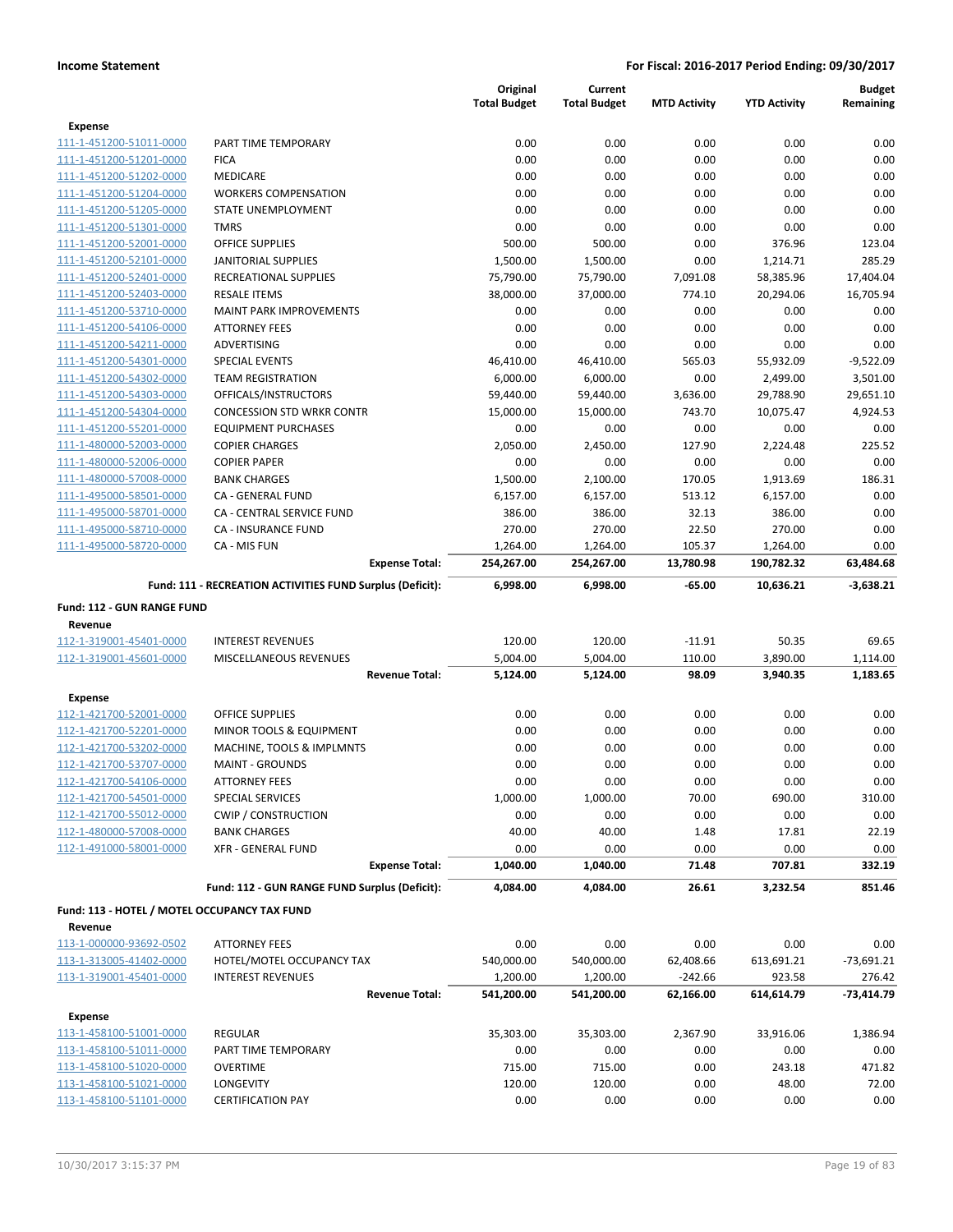|                                                    |                                                           | Original<br><b>Total Budget</b> | Current<br><b>Total Budget</b> | <b>MTD Activity</b> | <b>YTD Activity</b> | <b>Budget</b><br>Remaining |
|----------------------------------------------------|-----------------------------------------------------------|---------------------------------|--------------------------------|---------------------|---------------------|----------------------------|
| <b>Expense</b>                                     |                                                           |                                 |                                |                     |                     |                            |
| 111-1-451200-51011-0000                            | PART TIME TEMPORARY                                       | 0.00                            | 0.00                           | 0.00                | 0.00                | 0.00                       |
| 111-1-451200-51201-0000                            | <b>FICA</b>                                               | 0.00                            | 0.00                           | 0.00                | 0.00                | 0.00                       |
| 111-1-451200-51202-0000                            | <b>MEDICARE</b>                                           | 0.00                            | 0.00                           | 0.00                | 0.00                | 0.00                       |
| 111-1-451200-51204-0000                            | <b>WORKERS COMPENSATION</b>                               | 0.00                            | 0.00                           | 0.00                | 0.00                | 0.00                       |
| 111-1-451200-51205-0000                            | STATE UNEMPLOYMENT                                        | 0.00                            | 0.00                           | 0.00                | 0.00                | 0.00                       |
| 111-1-451200-51301-0000                            | <b>TMRS</b>                                               | 0.00                            | 0.00                           | 0.00                | 0.00                | 0.00                       |
| 111-1-451200-52001-0000                            | <b>OFFICE SUPPLIES</b>                                    | 500.00                          | 500.00                         | 0.00                | 376.96              | 123.04                     |
| 111-1-451200-52101-0000                            | <b>JANITORIAL SUPPLIES</b>                                | 1,500.00                        | 1,500.00                       | 0.00                | 1,214.71            | 285.29                     |
| 111-1-451200-52401-0000                            | <b>RECREATIONAL SUPPLIES</b>                              | 75,790.00                       | 75,790.00                      | 7,091.08            | 58,385.96           | 17,404.04                  |
| 111-1-451200-52403-0000                            | <b>RESALE ITEMS</b>                                       | 38,000.00                       | 37,000.00                      | 774.10              | 20,294.06           | 16,705.94                  |
| 111-1-451200-53710-0000                            | <b>MAINT PARK IMPROVEMENTS</b>                            | 0.00                            | 0.00                           | 0.00                | 0.00                | 0.00                       |
| 111-1-451200-54106-0000                            | <b>ATTORNEY FEES</b>                                      | 0.00                            | 0.00                           | 0.00                | 0.00                | 0.00                       |
| 111-1-451200-54211-0000                            | ADVERTISING                                               | 0.00                            | 0.00                           | 0.00                | 0.00                | 0.00                       |
| 111-1-451200-54301-0000                            | <b>SPECIAL EVENTS</b>                                     | 46,410.00                       | 46,410.00                      | 565.03              | 55,932.09           | $-9,522.09$                |
| 111-1-451200-54302-0000                            | <b>TEAM REGISTRATION</b>                                  | 6,000.00                        | 6,000.00                       | 0.00                | 2,499.00            | 3,501.00                   |
| 111-1-451200-54303-0000                            | OFFICALS/INSTRUCTORS                                      | 59,440.00                       | 59,440.00                      | 3,636.00            | 29,788.90           | 29,651.10                  |
| 111-1-451200-54304-0000                            | <b>CONCESSION STD WRKR CONTR</b>                          | 15,000.00                       | 15,000.00                      | 743.70              | 10,075.47           | 4,924.53                   |
| 111-1-451200-55201-0000                            | <b>EQUIPMENT PURCHASES</b>                                | 0.00                            | 0.00                           | 0.00                | 0.00                | 0.00                       |
| 111-1-480000-52003-0000                            | <b>COPIER CHARGES</b>                                     | 2,050.00                        | 2,450.00                       | 127.90              | 2,224.48            | 225.52                     |
| 111-1-480000-52006-0000                            | <b>COPIER PAPER</b>                                       | 0.00                            | 0.00                           | 0.00                | 0.00                | 0.00                       |
| 111-1-480000-57008-0000                            | <b>BANK CHARGES</b>                                       | 1,500.00                        | 2,100.00                       | 170.05              | 1,913.69            | 186.31                     |
| 111-1-495000-58501-0000                            | CA - GENERAL FUND                                         | 6,157.00                        | 6,157.00                       | 513.12              | 6,157.00            | 0.00                       |
| 111-1-495000-58701-0000                            | CA - CENTRAL SERVICE FUND                                 | 386.00                          | 386.00                         | 32.13               | 386.00              | 0.00                       |
| 111-1-495000-58710-0000                            | <b>CA - INSURANCE FUND</b>                                | 270.00                          | 270.00                         | 22.50               | 270.00              | 0.00                       |
| 111-1-495000-58720-0000                            | CA - MIS FUN                                              | 1,264.00                        | 1,264.00                       | 105.37              | 1,264.00            | 0.00                       |
|                                                    | <b>Expense Total:</b>                                     | 254,267.00                      | 254,267.00                     | 13,780.98           | 190,782.32          | 63,484.68                  |
|                                                    | Fund: 111 - RECREATION ACTIVITIES FUND Surplus (Deficit): | 6,998.00                        | 6,998.00                       | $-65.00$            | 10,636.21           | $-3,638.21$                |
| Fund: 112 - GUN RANGE FUND                         |                                                           |                                 |                                |                     |                     |                            |
| Revenue                                            |                                                           |                                 |                                |                     |                     |                            |
| 112-1-319001-45401-0000                            | <b>INTEREST REVENUES</b>                                  | 120.00                          | 120.00                         | $-11.91$            | 50.35               | 69.65                      |
| 112-1-319001-45601-0000                            | MISCELLANEOUS REVENUES                                    | 5,004.00                        | 5,004.00                       | 110.00              | 3,890.00            | 1,114.00                   |
|                                                    | <b>Revenue Total:</b>                                     | 5,124.00                        | 5,124.00                       | 98.09               | 3,940.35            | 1,183.65                   |
| <b>Expense</b>                                     |                                                           |                                 |                                |                     |                     |                            |
| 112-1-421700-52001-0000                            | OFFICE SUPPLIES                                           | 0.00                            | 0.00                           | 0.00                | 0.00                | 0.00                       |
| 112-1-421700-52201-0000                            | MINOR TOOLS & EQUIPMENT                                   | 0.00                            | 0.00                           | 0.00                | 0.00                | 0.00                       |
| 112-1-421700-53202-0000                            | MACHINE, TOOLS & IMPLMNTS                                 | 0.00                            | 0.00                           | 0.00                | 0.00                | 0.00                       |
| 112-1-421700-53707-0000                            | <b>MAINT - GROUNDS</b>                                    | 0.00                            | 0.00                           | 0.00                | 0.00                | 0.00                       |
| 112-1-421700-54106-0000                            | <b>ATTORNEY FEES</b>                                      | 0.00                            | 0.00                           | 0.00                | 0.00                | 0.00                       |
| 112-1-421700-54501-0000                            | <b>SPECIAL SERVICES</b>                                   | 1,000.00                        | 1,000.00                       | 70.00               | 690.00              | 310.00                     |
| 112-1-421700-55012-0000                            | <b>CWIP / CONSTRUCTION</b>                                | 0.00                            | 0.00                           | 0.00                | 0.00                | 0.00                       |
| 112-1-480000-57008-0000                            | <b>BANK CHARGES</b>                                       | 40.00                           | 40.00                          | 1.48                | 17.81               | 22.19                      |
| 112-1-491000-58001-0000                            | XFR - GENERAL FUND                                        | 0.00                            | 0.00                           | 0.00                | 0.00                | 0.00                       |
|                                                    | <b>Expense Total:</b>                                     | 1,040.00                        | 1,040.00                       | 71.48               | 707.81              | 332.19                     |
|                                                    | Fund: 112 - GUN RANGE FUND Surplus (Deficit):             | 4,084.00                        | 4,084.00                       | 26.61               | 3,232.54            | 851.46                     |
| Fund: 113 - HOTEL / MOTEL OCCUPANCY TAX FUND       |                                                           |                                 |                                |                     |                     |                            |
| Revenue                                            |                                                           |                                 |                                |                     |                     |                            |
| 113-1-000000-93692-0502                            | <b>ATTORNEY FEES</b>                                      | 0.00                            | 0.00                           | 0.00                | 0.00                | 0.00                       |
| 113-1-313005-41402-0000                            | HOTEL/MOTEL OCCUPANCY TAX                                 | 540,000.00                      | 540,000.00                     | 62,408.66           | 613,691.21          | $-73,691.21$               |
| 113-1-319001-45401-0000                            | <b>INTEREST REVENUES</b>                                  | 1,200.00                        | 1,200.00                       | $-242.66$           | 923.58              | 276.42                     |
|                                                    | <b>Revenue Total:</b>                                     | 541,200.00                      | 541,200.00                     | 62,166.00           | 614,614.79          | $-73,414.79$               |
|                                                    |                                                           |                                 |                                |                     |                     |                            |
| <b>Expense</b><br>113-1-458100-51001-0000          | REGULAR                                                   | 35,303.00                       | 35,303.00                      | 2,367.90            | 33,916.06           | 1,386.94                   |
|                                                    |                                                           |                                 |                                |                     |                     | 0.00                       |
| 113-1-458100-51011-0000                            | PART TIME TEMPORARY                                       | 0.00                            | 0.00                           | 0.00                | 0.00                |                            |
| 113-1-458100-51020-0000                            | <b>OVERTIME</b>                                           | 715.00                          | 715.00                         | 0.00                | 243.18              | 471.82                     |
| 113-1-458100-51021-0000<br>113-1-458100-51101-0000 | LONGEVITY                                                 | 120.00                          | 120.00                         | 0.00                | 48.00               | 72.00                      |
|                                                    | <b>CERTIFICATION PAY</b>                                  | 0.00                            | 0.00                           | 0.00                | 0.00                | 0.00                       |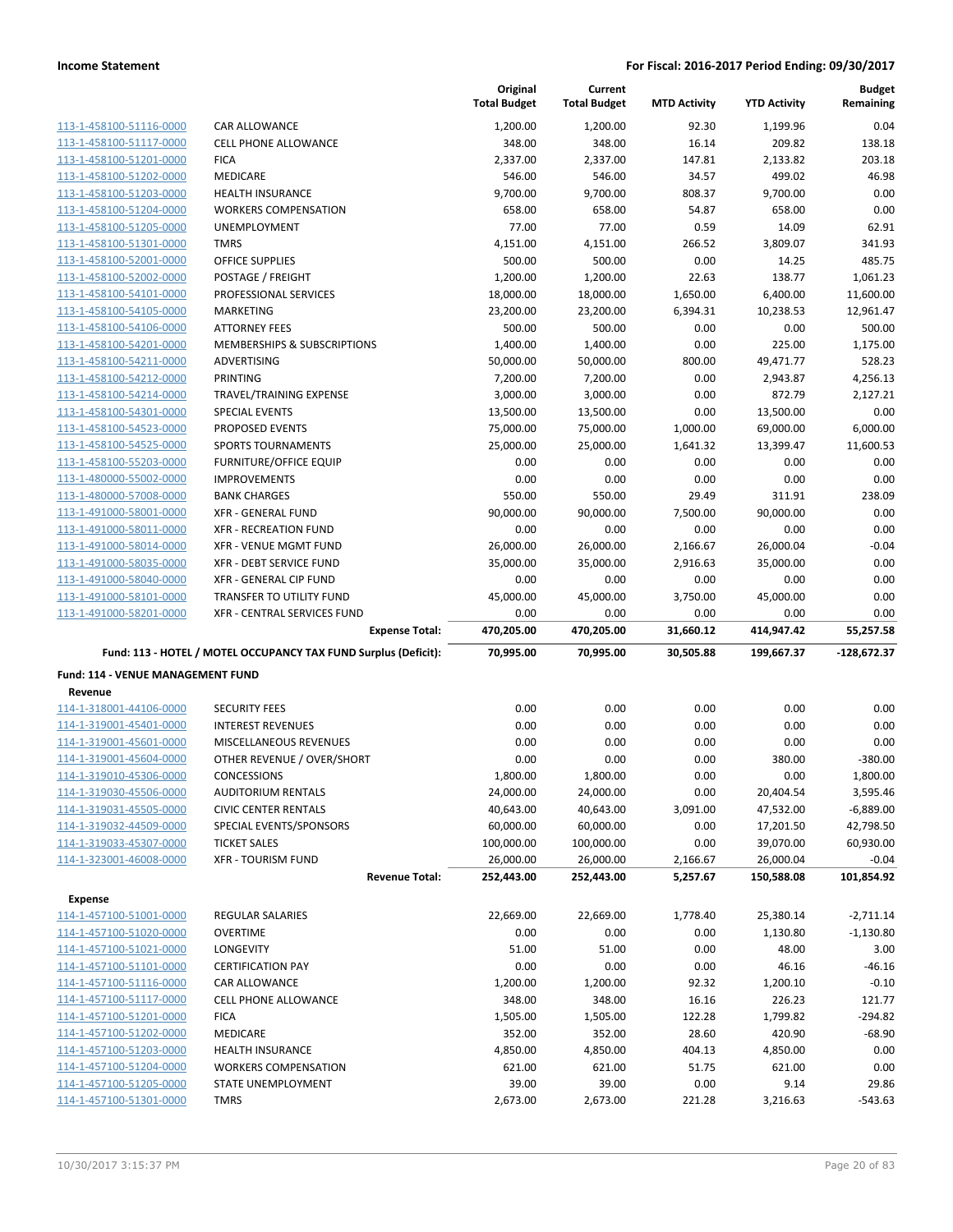|                                                    |                                                                 | Original<br><b>Total Budget</b> | Current<br><b>Total Budget</b> | <b>MTD Activity</b> | <b>YTD Activity</b> | <b>Budget</b><br>Remaining |
|----------------------------------------------------|-----------------------------------------------------------------|---------------------------------|--------------------------------|---------------------|---------------------|----------------------------|
| 113-1-458100-51116-0000                            | CAR ALLOWANCE                                                   | 1,200.00                        | 1,200.00                       | 92.30               | 1,199.96            | 0.04                       |
| 113-1-458100-51117-0000                            | <b>CELL PHONE ALLOWANCE</b>                                     | 348.00                          | 348.00                         | 16.14               | 209.82              | 138.18                     |
| 113-1-458100-51201-0000                            | <b>FICA</b>                                                     | 2,337.00                        | 2,337.00                       | 147.81              | 2,133.82            | 203.18                     |
| 113-1-458100-51202-0000                            | MEDICARE                                                        | 546.00                          | 546.00                         | 34.57               | 499.02              | 46.98                      |
| 113-1-458100-51203-0000                            | <b>HEALTH INSURANCE</b>                                         | 9,700.00                        | 9,700.00                       | 808.37              | 9,700.00            | 0.00                       |
| 113-1-458100-51204-0000                            | <b>WORKERS COMPENSATION</b>                                     | 658.00                          | 658.00                         | 54.87               | 658.00              | 0.00                       |
| 113-1-458100-51205-0000                            | <b>UNEMPLOYMENT</b>                                             | 77.00                           | 77.00                          | 0.59                | 14.09               | 62.91                      |
| 113-1-458100-51301-0000                            | <b>TMRS</b>                                                     | 4,151.00                        | 4,151.00                       | 266.52              | 3,809.07            | 341.93                     |
| 113-1-458100-52001-0000                            | <b>OFFICE SUPPLIES</b>                                          | 500.00                          | 500.00                         | 0.00                | 14.25               | 485.75                     |
| 113-1-458100-52002-0000                            | POSTAGE / FREIGHT                                               | 1,200.00                        | 1,200.00                       | 22.63               | 138.77              | 1,061.23                   |
| 113-1-458100-54101-0000                            | PROFESSIONAL SERVICES                                           | 18,000.00                       | 18,000.00                      | 1,650.00            | 6,400.00            | 11,600.00                  |
| 113-1-458100-54105-0000                            | MARKETING                                                       | 23,200.00                       | 23,200.00                      | 6,394.31            | 10,238.53           | 12,961.47                  |
| 113-1-458100-54106-0000                            | <b>ATTORNEY FEES</b>                                            | 500.00                          | 500.00                         | 0.00                | 0.00                | 500.00                     |
| 113-1-458100-54201-0000                            | MEMBERSHIPS & SUBSCRIPTIONS                                     | 1,400.00                        | 1,400.00                       | 0.00                | 225.00              | 1,175.00                   |
| 113-1-458100-54211-0000                            | ADVERTISING                                                     | 50,000.00                       | 50,000.00                      | 800.00              | 49,471.77           | 528.23                     |
| 113-1-458100-54212-0000                            | <b>PRINTING</b>                                                 | 7,200.00                        | 7,200.00                       | 0.00                | 2,943.87            | 4,256.13                   |
| 113-1-458100-54214-0000                            | TRAVEL/TRAINING EXPENSE                                         | 3,000.00                        | 3,000.00                       | 0.00                | 872.79              | 2,127.21                   |
| 113-1-458100-54301-0000                            | <b>SPECIAL EVENTS</b>                                           | 13,500.00                       | 13,500.00                      | 0.00                | 13,500.00           | 0.00                       |
| 113-1-458100-54523-0000                            | PROPOSED EVENTS                                                 | 75,000.00                       | 75,000.00                      | 1,000.00            | 69,000.00           | 6.000.00                   |
| 113-1-458100-54525-0000                            | <b>SPORTS TOURNAMENTS</b>                                       | 25,000.00                       | 25,000.00                      | 1,641.32            | 13,399.47           | 11,600.53                  |
| 113-1-458100-55203-0000                            | <b>FURNITURE/OFFICE EQUIP</b>                                   | 0.00                            | 0.00                           | 0.00                | 0.00                | 0.00                       |
| 113-1-480000-55002-0000                            | <b>IMPROVEMENTS</b>                                             | 0.00                            | 0.00                           | 0.00                | 0.00                | 0.00                       |
| 113-1-480000-57008-0000<br>113-1-491000-58001-0000 | <b>BANK CHARGES</b><br><b>XFR - GENERAL FUND</b>                | 550.00                          | 550.00                         | 29.49               | 311.91              | 238.09<br>0.00             |
| 113-1-491000-58011-0000                            | <b>XFR - RECREATION FUND</b>                                    | 90,000.00<br>0.00               | 90,000.00<br>0.00              | 7,500.00<br>0.00    | 90,000.00<br>0.00   | 0.00                       |
| 113-1-491000-58014-0000                            | <b>XFR - VENUE MGMT FUND</b>                                    | 26,000.00                       | 26,000.00                      | 2,166.67            | 26,000.04           | $-0.04$                    |
| 113-1-491000-58035-0000                            | XFR - DEBT SERVICE FUND                                         | 35,000.00                       | 35,000.00                      | 2,916.63            | 35,000.00           | 0.00                       |
| 113-1-491000-58040-0000                            | XFR - GENERAL CIP FUND                                          | 0.00                            | 0.00                           | 0.00                | 0.00                | 0.00                       |
| 113-1-491000-58101-0000                            | TRANSFER TO UTILITY FUND                                        | 45,000.00                       | 45,000.00                      | 3,750.00            | 45,000.00           | 0.00                       |
| 113-1-491000-58201-0000                            | XFR - CENTRAL SERVICES FUND                                     | 0.00                            | 0.00                           | 0.00                | 0.00                | 0.00                       |
|                                                    | <b>Expense Total:</b>                                           | 470,205.00                      | 470,205.00                     | 31,660.12           | 414,947.42          | 55,257.58                  |
|                                                    | Fund: 113 - HOTEL / MOTEL OCCUPANCY TAX FUND Surplus (Deficit): | 70,995.00                       | 70,995.00                      | 30,505.88           | 199,667.37          | $-128,672.37$              |
| Fund: 114 - VENUE MANAGEMENT FUND                  |                                                                 |                                 |                                |                     |                     |                            |
| Revenue                                            |                                                                 |                                 |                                |                     |                     |                            |
| 114-1-318001-44106-0000                            | <b>SECURITY FEES</b>                                            | 0.00                            | 0.00                           | 0.00                | 0.00                | 0.00                       |
| 114-1-319001-45401-0000                            | <b>INTEREST REVENUES</b>                                        | 0.00                            | 0.00                           | 0.00                | 0.00                | 0.00                       |
| 114-1-319001-45601-0000                            | MISCELLANEOUS REVENUES                                          | 0.00                            | 0.00                           | 0.00                | 0.00                | 0.00                       |
| 114-1-319001-45604-0000                            | OTHER REVENUE / OVER/SHORT                                      | 0.00                            | 0.00                           | 0.00                | 380.00              | $-380.00$                  |
| 114-1-319010-45306-0000                            | CONCESSIONS                                                     | 1,800.00                        | 1,800.00                       | 0.00                | 0.00                | 1,800.00                   |
| 114-1-319030-45506-0000                            | <b>AUDITORIUM RENTALS</b>                                       | 24,000.00                       | 24,000.00                      | 0.00                | 20,404.54           | 3,595.46                   |
| 114-1-319031-45505-0000                            | <b>CIVIC CENTER RENTALS</b>                                     | 40,643.00                       | 40,643.00                      | 3,091.00            | 47,532.00           | $-6,889.00$                |
| 114-1-319032-44509-0000                            | SPECIAL EVENTS/SPONSORS                                         | 60,000.00                       | 60,000.00                      | 0.00                | 17,201.50           | 42,798.50                  |
| 114-1-319033-45307-0000                            | <b>TICKET SALES</b>                                             | 100,000.00                      | 100,000.00                     | 0.00                | 39,070.00           | 60,930.00                  |
| 114-1-323001-46008-0000                            | <b>XFR - TOURISM FUND</b>                                       | 26,000.00                       | 26,000.00                      | 2,166.67            | 26,000.04           | $-0.04$                    |
|                                                    | <b>Revenue Total:</b>                                           | 252,443.00                      | 252,443.00                     | 5,257.67            | 150,588.08          | 101,854.92                 |
| <b>Expense</b>                                     |                                                                 |                                 |                                |                     |                     |                            |
| 114-1-457100-51001-0000                            | REGULAR SALARIES                                                | 22,669.00                       | 22,669.00                      | 1,778.40            | 25,380.14           | $-2,711.14$                |
| 114-1-457100-51020-0000                            | <b>OVERTIME</b>                                                 | 0.00                            | 0.00                           | 0.00                | 1,130.80            | $-1,130.80$                |
| 114-1-457100-51021-0000                            | LONGEVITY                                                       | 51.00                           | 51.00                          | 0.00                | 48.00               | 3.00                       |
| 114-1-457100-51101-0000                            | <b>CERTIFICATION PAY</b>                                        | 0.00                            | 0.00                           | 0.00                | 46.16               | $-46.16$                   |
| 114-1-457100-51116-0000                            | CAR ALLOWANCE                                                   | 1,200.00                        | 1,200.00                       | 92.32               | 1,200.10            | $-0.10$                    |
| 114-1-457100-51117-0000                            | CELL PHONE ALLOWANCE                                            | 348.00                          | 348.00                         | 16.16               | 226.23              | 121.77                     |
| 114-1-457100-51201-0000                            | <b>FICA</b>                                                     | 1,505.00                        | 1,505.00                       | 122.28              | 1,799.82            | $-294.82$                  |
| 114-1-457100-51202-0000                            | MEDICARE                                                        | 352.00                          | 352.00                         | 28.60               | 420.90              | $-68.90$                   |
| 114-1-457100-51203-0000<br>114-1-457100-51204-0000 | <b>HEALTH INSURANCE</b><br><b>WORKERS COMPENSATION</b>          | 4,850.00<br>621.00              | 4,850.00<br>621.00             | 404.13<br>51.75     | 4,850.00<br>621.00  | 0.00<br>0.00               |
| 114-1-457100-51205-0000                            | STATE UNEMPLOYMENT                                              | 39.00                           | 39.00                          | 0.00                | 9.14                | 29.86                      |
| 114-1-457100-51301-0000                            | <b>TMRS</b>                                                     | 2,673.00                        | 2,673.00                       | 221.28              | 3,216.63            | $-543.63$                  |
|                                                    |                                                                 |                                 |                                |                     |                     |                            |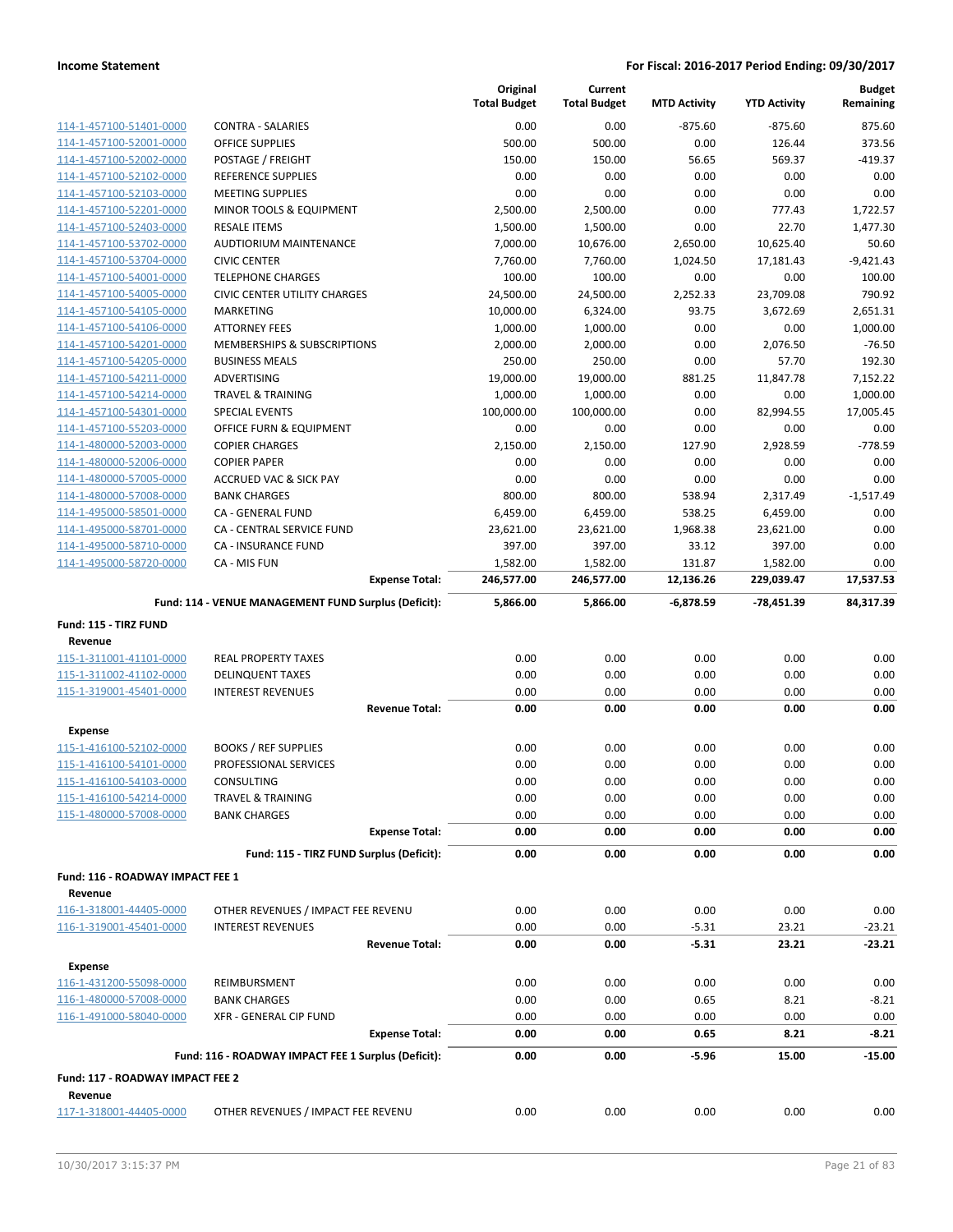|                                                    |                                                      | Original<br><b>Total Budget</b> | Current<br><b>Total Budget</b> | <b>MTD Activity</b> | <b>YTD Activity</b> | <b>Budget</b><br>Remaining |
|----------------------------------------------------|------------------------------------------------------|---------------------------------|--------------------------------|---------------------|---------------------|----------------------------|
| 114-1-457100-51401-0000                            | <b>CONTRA - SALARIES</b>                             | 0.00                            | 0.00                           | $-875.60$           | $-875.60$           | 875.60                     |
| 114-1-457100-52001-0000                            | <b>OFFICE SUPPLIES</b>                               | 500.00                          | 500.00                         | 0.00                | 126.44              | 373.56                     |
| 114-1-457100-52002-0000                            | POSTAGE / FREIGHT                                    | 150.00                          | 150.00                         | 56.65               | 569.37              | $-419.37$                  |
| 114-1-457100-52102-0000                            | <b>REFERENCE SUPPLIES</b>                            | 0.00                            | 0.00                           | 0.00                | 0.00                | 0.00                       |
| 114-1-457100-52103-0000                            | <b>MEETING SUPPLIES</b>                              | 0.00                            | 0.00                           | 0.00                | 0.00                | 0.00                       |
| 114-1-457100-52201-0000                            | MINOR TOOLS & EQUIPMENT                              | 2,500.00                        | 2,500.00                       | 0.00                | 777.43              | 1,722.57                   |
| 114-1-457100-52403-0000                            | <b>RESALE ITEMS</b>                                  | 1,500.00                        | 1,500.00                       | 0.00                | 22.70               | 1,477.30                   |
| 114-1-457100-53702-0000                            | <b>AUDTIORIUM MAINTENANCE</b>                        | 7,000.00                        | 10,676.00                      | 2,650.00            | 10,625.40           | 50.60                      |
| 114-1-457100-53704-0000                            | <b>CIVIC CENTER</b>                                  | 7,760.00                        | 7,760.00                       | 1,024.50            | 17,181.43           | $-9,421.43$                |
| 114-1-457100-54001-0000                            | <b>TELEPHONE CHARGES</b>                             | 100.00                          | 100.00                         | 0.00                | 0.00                | 100.00                     |
| 114-1-457100-54005-0000                            | <b>CIVIC CENTER UTILITY CHARGES</b>                  | 24,500.00                       | 24,500.00                      | 2,252.33            | 23,709.08           | 790.92                     |
| 114-1-457100-54105-0000                            | <b>MARKETING</b>                                     | 10,000.00                       | 6,324.00                       | 93.75               | 3,672.69            | 2,651.31                   |
| 114-1-457100-54106-0000                            | <b>ATTORNEY FEES</b>                                 | 1,000.00                        | 1,000.00                       | 0.00                | 0.00                | 1,000.00                   |
| 114-1-457100-54201-0000                            | MEMBERSHIPS & SUBSCRIPTIONS                          | 2,000.00                        | 2,000.00                       | 0.00                | 2,076.50            | $-76.50$                   |
| 114-1-457100-54205-0000                            | <b>BUSINESS MEALS</b>                                | 250.00                          | 250.00                         | 0.00                | 57.70               | 192.30                     |
| 114-1-457100-54211-0000                            | ADVERTISING                                          | 19,000.00                       | 19,000.00                      | 881.25              | 11,847.78           | 7,152.22                   |
| 114-1-457100-54214-0000                            | <b>TRAVEL &amp; TRAINING</b>                         | 1,000.00                        | 1,000.00                       | 0.00                | 0.00                | 1,000.00                   |
| 114-1-457100-54301-0000                            | <b>SPECIAL EVENTS</b>                                | 100,000.00                      | 100,000.00                     | 0.00                | 82,994.55           | 17,005.45                  |
| 114-1-457100-55203-0000                            | OFFICE FURN & EQUIPMENT                              | 0.00                            | 0.00                           | 0.00                | 0.00                | 0.00                       |
| 114-1-480000-52003-0000                            | <b>COPIER CHARGES</b>                                | 2,150.00                        | 2,150.00                       | 127.90              | 2,928.59            | $-778.59$                  |
| 114-1-480000-52006-0000                            | <b>COPIER PAPER</b>                                  | 0.00                            | 0.00                           | 0.00                | 0.00                | 0.00                       |
| 114-1-480000-57005-0000                            | <b>ACCRUED VAC &amp; SICK PAY</b>                    | 0.00                            | 0.00                           | 0.00                | 0.00                | 0.00                       |
| 114-1-480000-57008-0000                            | <b>BANK CHARGES</b>                                  | 800.00                          | 800.00                         | 538.94              | 2,317.49            | $-1,517.49$                |
| 114-1-495000-58501-0000                            | CA - GENERAL FUND                                    | 6,459.00                        | 6,459.00                       | 538.25              | 6,459.00            | 0.00                       |
| 114-1-495000-58701-0000                            | CA - CENTRAL SERVICE FUND                            | 23,621.00                       | 23,621.00                      | 1,968.38            | 23,621.00           | 0.00                       |
| 114-1-495000-58710-0000                            | <b>CA - INSURANCE FUND</b>                           | 397.00                          | 397.00                         | 33.12               | 397.00              | 0.00                       |
| 114-1-495000-58720-0000                            | CA - MIS FUN                                         | 1,582.00                        | 1,582.00                       | 131.87              | 1,582.00            | 0.00                       |
|                                                    | <b>Expense Total:</b>                                | 246,577.00                      | 246,577.00                     | 12,136.26           | 229,039.47          | 17,537.53                  |
| Fund: 115 - TIRZ FUND                              | Fund: 114 - VENUE MANAGEMENT FUND Surplus (Deficit): | 5,866.00                        | 5,866.00                       | $-6,878.59$         | -78,451.39          | 84,317.39                  |
| Revenue                                            |                                                      |                                 |                                |                     |                     |                            |
| 115-1-311001-41101-0000                            | <b>REAL PROPERTY TAXES</b>                           | 0.00                            | 0.00                           | 0.00                | 0.00                | 0.00                       |
| 115-1-311002-41102-0000                            | <b>DELINQUENT TAXES</b>                              | 0.00                            | 0.00                           | 0.00                | 0.00                | 0.00                       |
| 115-1-319001-45401-0000                            | <b>INTEREST REVENUES</b>                             | 0.00                            | 0.00                           | 0.00                | 0.00                | 0.00                       |
|                                                    | <b>Revenue Total:</b>                                | 0.00                            | 0.00                           | 0.00                | 0.00                | 0.00                       |
|                                                    |                                                      |                                 |                                |                     |                     |                            |
| Expense                                            |                                                      |                                 |                                |                     |                     |                            |
| 115-1-416100-52102-0000                            | <b>BOOKS / REF SUPPLIES</b>                          | 0.00                            | 0.00                           | 0.00                | 0.00                | 0.00                       |
| 115-1-416100-54101-0000<br>115-1-416100-54103-0000 | PROFESSIONAL SERVICES<br>CONSULTING                  | 0.00<br>0.00                    | 0.00<br>0.00                   | 0.00<br>0.00        | 0.00<br>0.00        | 0.00<br>0.00               |
| 115-1-416100-54214-0000                            | <b>TRAVEL &amp; TRAINING</b>                         | 0.00                            | 0.00                           | 0.00                | 0.00                | 0.00                       |
| 115-1-480000-57008-0000                            | <b>BANK CHARGES</b>                                  | 0.00                            | 0.00                           | 0.00                | 0.00                | 0.00                       |
|                                                    | <b>Expense Total:</b>                                | 0.00                            | 0.00                           | 0.00                | 0.00                | 0.00                       |
|                                                    |                                                      |                                 |                                |                     |                     |                            |
|                                                    | Fund: 115 - TIRZ FUND Surplus (Deficit):             | 0.00                            | 0.00                           | 0.00                | 0.00                | 0.00                       |
| Fund: 116 - ROADWAY IMPACT FEE 1                   |                                                      |                                 |                                |                     |                     |                            |
| Revenue                                            |                                                      |                                 |                                |                     |                     |                            |
| 116-1-318001-44405-0000<br>116-1-319001-45401-0000 | OTHER REVENUES / IMPACT FEE REVENU                   | 0.00                            | 0.00                           | 0.00                | 0.00                | 0.00                       |
|                                                    | <b>INTEREST REVENUES</b><br><b>Revenue Total:</b>    | 0.00<br>0.00                    | 0.00<br>0.00                   | $-5.31$<br>$-5.31$  | 23.21<br>23.21      | $-23.21$<br>$-23.21$       |
|                                                    |                                                      |                                 |                                |                     |                     |                            |
| <b>Expense</b>                                     |                                                      |                                 |                                |                     |                     |                            |
| 116-1-431200-55098-0000                            | REIMBURSMENT                                         | 0.00                            | 0.00                           | 0.00                | 0.00                | 0.00                       |
| 116-1-480000-57008-0000                            | <b>BANK CHARGES</b>                                  | 0.00                            | 0.00                           | 0.65                | 8.21                | $-8.21$                    |
| 116-1-491000-58040-0000                            | XFR - GENERAL CIP FUND                               | 0.00                            | 0.00                           | 0.00                | 0.00                | 0.00                       |
|                                                    | <b>Expense Total:</b>                                | 0.00                            | 0.00                           | 0.65                | 8.21                | $-8.21$                    |
|                                                    | Fund: 116 - ROADWAY IMPACT FEE 1 Surplus (Deficit):  | 0.00                            | 0.00                           | $-5.96$             | 15.00               | $-15.00$                   |
| Fund: 117 - ROADWAY IMPACT FEE 2<br>Revenue        |                                                      |                                 |                                |                     |                     |                            |
| 117-1-318001-44405-0000                            | OTHER REVENUES / IMPACT FEE REVENU                   | 0.00                            | 0.00                           | 0.00                | 0.00                | 0.00                       |
|                                                    |                                                      |                                 |                                |                     |                     |                            |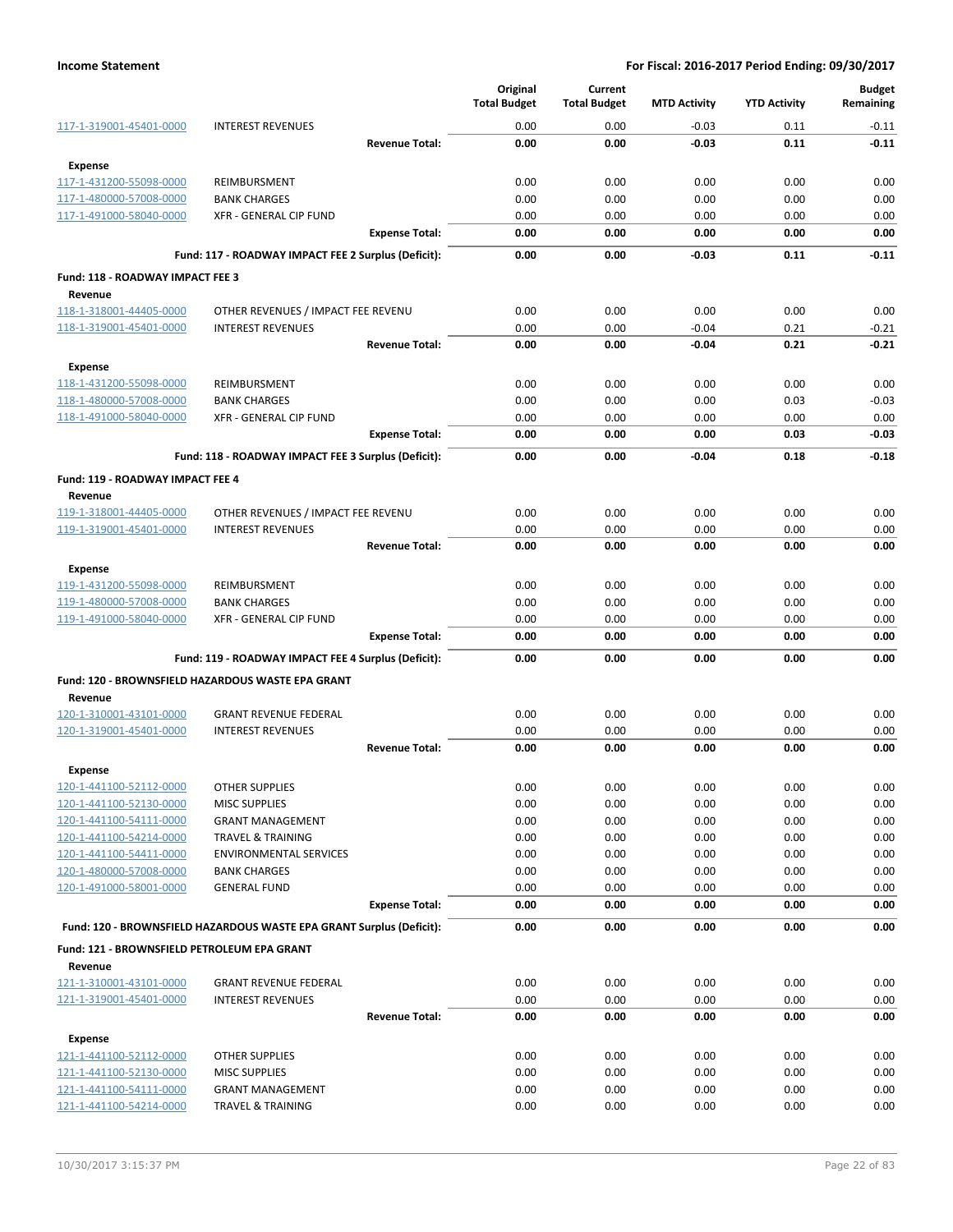|                                                    |                                                                      |                       | Original<br><b>Total Budget</b> | Current<br><b>Total Budget</b> | <b>MTD Activity</b> | <b>YTD Activity</b> | <b>Budget</b><br>Remaining |
|----------------------------------------------------|----------------------------------------------------------------------|-----------------------|---------------------------------|--------------------------------|---------------------|---------------------|----------------------------|
| 117-1-319001-45401-0000                            | <b>INTEREST REVENUES</b>                                             |                       | 0.00                            | 0.00                           | $-0.03$             | 0.11                | $-0.11$                    |
|                                                    |                                                                      | <b>Revenue Total:</b> | 0.00                            | 0.00                           | $-0.03$             | 0.11                | $-0.11$                    |
| <b>Expense</b>                                     |                                                                      |                       |                                 |                                |                     |                     |                            |
| 117-1-431200-55098-0000                            | REIMBURSMENT                                                         |                       | 0.00                            | 0.00                           | 0.00                | 0.00                | 0.00                       |
| 117-1-480000-57008-0000                            | <b>BANK CHARGES</b>                                                  |                       | 0.00                            | 0.00                           | 0.00                | 0.00                | 0.00                       |
| 117-1-491000-58040-0000                            | XFR - GENERAL CIP FUND                                               |                       | 0.00                            | 0.00                           | 0.00                | 0.00                | 0.00                       |
|                                                    |                                                                      | <b>Expense Total:</b> | 0.00                            | 0.00                           | 0.00                | 0.00                | 0.00                       |
|                                                    | Fund: 117 - ROADWAY IMPACT FEE 2 Surplus (Deficit):                  |                       | 0.00                            | 0.00                           | $-0.03$             | 0.11                | $-0.11$                    |
| Fund: 118 - ROADWAY IMPACT FEE 3                   |                                                                      |                       |                                 |                                |                     |                     |                            |
| Revenue                                            |                                                                      |                       |                                 |                                |                     |                     |                            |
| 118-1-318001-44405-0000                            | OTHER REVENUES / IMPACT FEE REVENU                                   |                       | 0.00                            | 0.00                           | 0.00                | 0.00                | 0.00                       |
| 118-1-319001-45401-0000                            | <b>INTEREST REVENUES</b>                                             |                       | 0.00                            | 0.00                           | $-0.04$             | 0.21                | $-0.21$                    |
|                                                    |                                                                      | <b>Revenue Total:</b> | 0.00                            | 0.00                           | $-0.04$             | 0.21                | $-0.21$                    |
| <b>Expense</b>                                     |                                                                      |                       |                                 |                                |                     |                     |                            |
| 118-1-431200-55098-0000                            | REIMBURSMENT                                                         |                       | 0.00                            | 0.00                           | 0.00                | 0.00                | 0.00                       |
| 118-1-480000-57008-0000                            | <b>BANK CHARGES</b>                                                  |                       | 0.00                            | 0.00                           | 0.00                | 0.03                | $-0.03$                    |
| 118-1-491000-58040-0000                            | <b>XFR - GENERAL CIP FUND</b>                                        |                       | 0.00                            | 0.00                           | 0.00                | 0.00                | 0.00                       |
|                                                    |                                                                      | <b>Expense Total:</b> | 0.00                            | 0.00                           | 0.00                | 0.03                | $-0.03$                    |
|                                                    | Fund: 118 - ROADWAY IMPACT FEE 3 Surplus (Deficit):                  |                       | 0.00                            | 0.00                           | $-0.04$             | 0.18                | $-0.18$                    |
| Fund: 119 - ROADWAY IMPACT FEE 4                   |                                                                      |                       |                                 |                                |                     |                     |                            |
| Revenue                                            |                                                                      |                       |                                 |                                |                     |                     |                            |
| 119-1-318001-44405-0000                            | OTHER REVENUES / IMPACT FEE REVENU                                   |                       | 0.00                            | 0.00                           | 0.00                | 0.00                | 0.00                       |
| 119-1-319001-45401-0000                            | <b>INTEREST REVENUES</b>                                             |                       | 0.00                            | 0.00                           | 0.00                | 0.00                | 0.00                       |
|                                                    |                                                                      | <b>Revenue Total:</b> | 0.00                            | 0.00                           | 0.00                | 0.00                | 0.00                       |
| Expense                                            |                                                                      |                       |                                 |                                |                     |                     |                            |
| 119-1-431200-55098-0000                            | REIMBURSMENT                                                         |                       | 0.00                            | 0.00                           | 0.00                | 0.00                | 0.00                       |
| 119-1-480000-57008-0000                            | <b>BANK CHARGES</b>                                                  |                       | 0.00                            | 0.00                           | 0.00                | 0.00                | 0.00                       |
| 119-1-491000-58040-0000                            | XFR - GENERAL CIP FUND                                               |                       | 0.00                            | 0.00                           | 0.00                | 0.00                | 0.00                       |
|                                                    |                                                                      | <b>Expense Total:</b> | 0.00                            | 0.00                           | 0.00                | 0.00                | 0.00                       |
|                                                    | Fund: 119 - ROADWAY IMPACT FEE 4 Surplus (Deficit):                  |                       | 0.00                            | 0.00                           | 0.00                | 0.00                | 0.00                       |
|                                                    | Fund: 120 - BROWNSFIELD HAZARDOUS WASTE EPA GRANT                    |                       |                                 |                                |                     |                     |                            |
| Revenue                                            |                                                                      |                       |                                 |                                |                     |                     |                            |
| 120-1-310001-43101-0000                            | <b>GRANT REVENUE FEDERAL</b>                                         |                       | 0.00                            | 0.00                           | 0.00                | 0.00                | 0.00                       |
| 120-1-319001-45401-0000                            | <b>INTEREST REVENUES</b>                                             | <b>Revenue Total:</b> | 0.00<br>0.00                    | 0.00<br>0.00                   | 0.00<br>0.00        | 0.00<br>0.00        | 0.00<br>0.00               |
|                                                    |                                                                      |                       |                                 |                                |                     |                     |                            |
| Expense                                            |                                                                      |                       |                                 |                                |                     |                     |                            |
| 120-1-441100-52112-0000<br>120-1-441100-52130-0000 | OTHER SUPPLIES<br><b>MISC SUPPLIES</b>                               |                       | 0.00<br>0.00                    | 0.00<br>0.00                   | 0.00<br>0.00        | 0.00<br>0.00        | 0.00<br>0.00               |
| 120-1-441100-54111-0000                            | <b>GRANT MANAGEMENT</b>                                              |                       | 0.00                            | 0.00                           | 0.00                | 0.00                | 0.00                       |
| 120-1-441100-54214-0000                            | <b>TRAVEL &amp; TRAINING</b>                                         |                       | 0.00                            | 0.00                           | 0.00                | 0.00                | 0.00                       |
| 120-1-441100-54411-0000                            | <b>ENVIRONMENTAL SERVICES</b>                                        |                       | 0.00                            | 0.00                           | 0.00                | 0.00                | 0.00                       |
| 120-1-480000-57008-0000                            | <b>BANK CHARGES</b>                                                  |                       | 0.00                            | 0.00                           | 0.00                | 0.00                | 0.00                       |
| 120-1-491000-58001-0000                            | <b>GENERAL FUND</b>                                                  |                       | 0.00                            | 0.00                           | 0.00                | 0.00                | 0.00                       |
|                                                    |                                                                      | <b>Expense Total:</b> | 0.00                            | 0.00                           | 0.00                | 0.00                | 0.00                       |
|                                                    | Fund: 120 - BROWNSFIELD HAZARDOUS WASTE EPA GRANT Surplus (Deficit): |                       | 0.00                            | 0.00                           | 0.00                | 0.00                | 0.00                       |
| Fund: 121 - BROWNSFIELD PETROLEUM EPA GRANT        |                                                                      |                       |                                 |                                |                     |                     |                            |
| Revenue                                            |                                                                      |                       |                                 |                                |                     |                     |                            |
| 121-1-310001-43101-0000                            | <b>GRANT REVENUE FEDERAL</b>                                         |                       | 0.00                            | 0.00                           | 0.00                | 0.00                | 0.00                       |
| 121-1-319001-45401-0000                            | <b>INTEREST REVENUES</b>                                             |                       | 0.00                            | 0.00                           | 0.00                | 0.00                | 0.00                       |
|                                                    |                                                                      | <b>Revenue Total:</b> | 0.00                            | 0.00                           | 0.00                | 0.00                | 0.00                       |
| <b>Expense</b>                                     |                                                                      |                       |                                 |                                |                     |                     |                            |
| 121-1-441100-52112-0000                            | <b>OTHER SUPPLIES</b>                                                |                       | 0.00                            | 0.00                           | 0.00                | 0.00                | 0.00                       |
| 121-1-441100-52130-0000                            | <b>MISC SUPPLIES</b>                                                 |                       | 0.00                            | 0.00                           | 0.00                | 0.00                | 0.00                       |
| 121-1-441100-54111-0000                            | <b>GRANT MANAGEMENT</b>                                              |                       | 0.00                            | 0.00                           | 0.00                | 0.00                | 0.00                       |
| 121-1-441100-54214-0000                            | <b>TRAVEL &amp; TRAINING</b>                                         |                       | 0.00                            | 0.00                           | 0.00                | 0.00                | 0.00                       |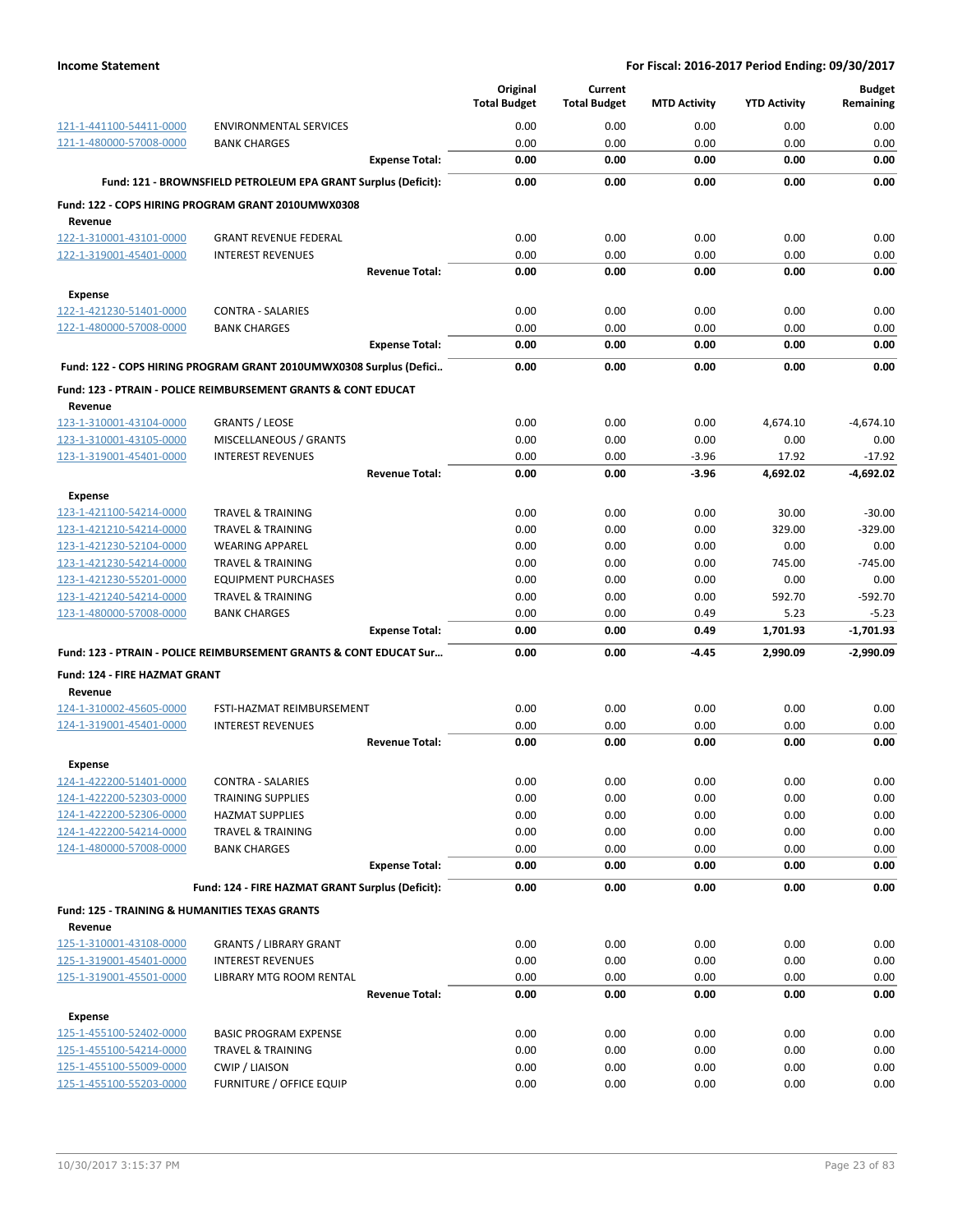|                                                           |                                                                           |                       | Original<br><b>Total Budget</b> | Current<br><b>Total Budget</b> | <b>MTD Activity</b> | <b>YTD Activity</b> | <b>Budget</b><br>Remaining |
|-----------------------------------------------------------|---------------------------------------------------------------------------|-----------------------|---------------------------------|--------------------------------|---------------------|---------------------|----------------------------|
| 121-1-441100-54411-0000                                   | <b>ENVIRONMENTAL SERVICES</b>                                             |                       | 0.00                            | 0.00                           | 0.00                | 0.00                | 0.00                       |
| 121-1-480000-57008-0000                                   | <b>BANK CHARGES</b>                                                       |                       | 0.00                            | 0.00                           | 0.00                | 0.00                | 0.00                       |
|                                                           |                                                                           | <b>Expense Total:</b> | 0.00                            | 0.00                           | 0.00                | 0.00                | 0.00                       |
|                                                           | Fund: 121 - BROWNSFIELD PETROLEUM EPA GRANT Surplus (Deficit):            |                       | 0.00                            | 0.00                           | 0.00                | 0.00                | 0.00                       |
|                                                           | Fund: 122 - COPS HIRING PROGRAM GRANT 2010UMWX0308                        |                       |                                 |                                |                     |                     |                            |
| Revenue                                                   |                                                                           |                       |                                 |                                |                     |                     |                            |
| 122-1-310001-43101-0000                                   | <b>GRANT REVENUE FEDERAL</b>                                              |                       | 0.00                            | 0.00                           | 0.00                | 0.00                | 0.00                       |
| 122-1-319001-45401-0000                                   | <b>INTEREST REVENUES</b>                                                  |                       | 0.00                            | 0.00                           | 0.00                | 0.00                | 0.00                       |
|                                                           |                                                                           | <b>Revenue Total:</b> | 0.00                            | 0.00                           | 0.00                | 0.00                | 0.00                       |
| <b>Expense</b>                                            |                                                                           |                       |                                 |                                |                     |                     |                            |
| 122-1-421230-51401-0000                                   | <b>CONTRA - SALARIES</b>                                                  |                       | 0.00                            | 0.00                           | 0.00                | 0.00                | 0.00                       |
| 122-1-480000-57008-0000                                   | <b>BANK CHARGES</b>                                                       |                       | 0.00                            | 0.00                           | 0.00                | 0.00                | 0.00                       |
|                                                           |                                                                           | <b>Expense Total:</b> | 0.00                            | 0.00                           | 0.00                | 0.00                | 0.00                       |
|                                                           | Fund: 122 - COPS HIRING PROGRAM GRANT 2010UMWX0308 Surplus (Defici        |                       | 0.00                            | 0.00                           | 0.00                | 0.00                | 0.00                       |
| Revenue                                                   | <b>Fund: 123 - PTRAIN - POLICE REIMBURSEMENT GRANTS &amp; CONT EDUCAT</b> |                       |                                 |                                |                     |                     |                            |
| 123-1-310001-43104-0000                                   | <b>GRANTS / LEOSE</b>                                                     |                       | 0.00                            | 0.00                           | 0.00                | 4,674.10            | $-4,674.10$                |
| 123-1-310001-43105-0000                                   | MISCELLANEOUS / GRANTS                                                    |                       | 0.00                            | 0.00                           | 0.00                | 0.00                | 0.00                       |
| 123-1-319001-45401-0000                                   | <b>INTEREST REVENUES</b>                                                  |                       | 0.00                            | 0.00                           | $-3.96$             | 17.92               | $-17.92$                   |
|                                                           |                                                                           | <b>Revenue Total:</b> | 0.00                            | 0.00                           | $-3.96$             | 4,692.02            | $-4,692.02$                |
| <b>Expense</b>                                            |                                                                           |                       |                                 |                                |                     |                     |                            |
| 123-1-421100-54214-0000                                   | <b>TRAVEL &amp; TRAINING</b>                                              |                       | 0.00                            | 0.00                           | 0.00                | 30.00               | $-30.00$                   |
| 123-1-421210-54214-0000                                   | TRAVEL & TRAINING                                                         |                       | 0.00                            | 0.00                           | 0.00                | 329.00              | $-329.00$                  |
| 123-1-421230-52104-0000                                   | <b>WEARING APPAREL</b>                                                    |                       | 0.00                            | 0.00                           | 0.00                | 0.00                | 0.00                       |
| 123-1-421230-54214-0000                                   | TRAVEL & TRAINING                                                         |                       | 0.00                            | 0.00                           | 0.00                | 745.00              | $-745.00$                  |
| 123-1-421230-55201-0000                                   | <b>EQUIPMENT PURCHASES</b>                                                |                       | 0.00                            | 0.00                           | 0.00                | 0.00                | 0.00                       |
| 123-1-421240-54214-0000                                   | <b>TRAVEL &amp; TRAINING</b>                                              |                       | 0.00                            | 0.00                           | 0.00                | 592.70              | $-592.70$                  |
| 123-1-480000-57008-0000                                   | <b>BANK CHARGES</b>                                                       |                       | 0.00                            | 0.00                           | 0.49                | 5.23                | $-5.23$                    |
|                                                           |                                                                           | <b>Expense Total:</b> | 0.00                            | 0.00                           | 0.49                | 1,701.93            | $-1,701.93$                |
|                                                           | Fund: 123 - PTRAIN - POLICE REIMBURSEMENT GRANTS & CONT EDUCAT Sur        |                       | 0.00                            | 0.00                           | $-4.45$             | 2,990.09            | $-2,990.09$                |
| Fund: 124 - FIRE HAZMAT GRANT                             |                                                                           |                       |                                 |                                |                     |                     |                            |
| Revenue                                                   |                                                                           |                       |                                 |                                |                     |                     |                            |
| 124-1-310002-45605-0000                                   | FSTI-HAZMAT REIMBURSEMENT                                                 |                       | 0.00                            | 0.00                           | 0.00                | 0.00                | 0.00<br>0.00               |
| 124-1-319001-45401-0000                                   | <b>INTEREST REVENUES</b>                                                  | <b>Revenue Total:</b> | 0.00<br>0.00                    | 0.00<br>0.00                   | 0.00<br>0.00        | 0.00<br>0.00        | 0.00                       |
|                                                           |                                                                           |                       |                                 |                                |                     |                     |                            |
| Expense                                                   |                                                                           |                       |                                 |                                |                     |                     |                            |
| 124-1-422200-51401-0000                                   | <b>CONTRA - SALARIES</b>                                                  |                       | 0.00                            | 0.00                           | 0.00                | 0.00                | 0.00                       |
| 124-1-422200-52303-0000<br>124-1-422200-52306-0000        | <b>TRAINING SUPPLIES</b><br><b>HAZMAT SUPPLIES</b>                        |                       | 0.00<br>0.00                    | 0.00<br>0.00                   | 0.00<br>0.00        | 0.00<br>0.00        | 0.00<br>0.00               |
| 124-1-422200-54214-0000                                   | <b>TRAVEL &amp; TRAINING</b>                                              |                       | 0.00                            | 0.00                           | 0.00                | 0.00                | 0.00                       |
| 124-1-480000-57008-0000                                   | <b>BANK CHARGES</b>                                                       |                       | 0.00                            | 0.00                           | 0.00                | 0.00                | 0.00                       |
|                                                           |                                                                           | <b>Expense Total:</b> | 0.00                            | 0.00                           | 0.00                | 0.00                | 0.00                       |
|                                                           | Fund: 124 - FIRE HAZMAT GRANT Surplus (Deficit):                          |                       | 0.00                            | 0.00                           | 0.00                | 0.00                | 0.00                       |
| <b>Fund: 125 - TRAINING &amp; HUMANITIES TEXAS GRANTS</b> |                                                                           |                       |                                 |                                |                     |                     |                            |
| Revenue                                                   |                                                                           |                       |                                 |                                |                     |                     |                            |
| 125-1-310001-43108-0000                                   | <b>GRANTS / LIBRARY GRANT</b>                                             |                       | 0.00                            | 0.00                           | 0.00                | 0.00                | 0.00                       |
| 125-1-319001-45401-0000                                   | <b>INTEREST REVENUES</b>                                                  |                       | 0.00                            | 0.00                           | 0.00                | 0.00                | 0.00                       |
| 125-1-319001-45501-0000                                   | LIBRARY MTG ROOM RENTAL                                                   |                       | 0.00                            | 0.00                           | 0.00                | 0.00                | 0.00                       |
|                                                           |                                                                           | <b>Revenue Total:</b> | 0.00                            | 0.00                           | 0.00                | 0.00                | 0.00                       |
| Expense                                                   |                                                                           |                       |                                 |                                |                     |                     |                            |
| 125-1-455100-52402-0000                                   | <b>BASIC PROGRAM EXPENSE</b>                                              |                       | 0.00                            | 0.00                           | 0.00                | 0.00                | 0.00                       |
| 125-1-455100-54214-0000                                   | TRAVEL & TRAINING                                                         |                       | 0.00                            | 0.00                           | 0.00                | 0.00                | 0.00                       |
| 125-1-455100-55009-0000                                   | CWIP / LIAISON                                                            |                       | 0.00                            | 0.00                           | 0.00                | 0.00                | 0.00                       |
| 125-1-455100-55203-0000                                   | <b>FURNITURE / OFFICE EQUIP</b>                                           |                       | 0.00                            | 0.00                           | 0.00                | 0.00                | 0.00                       |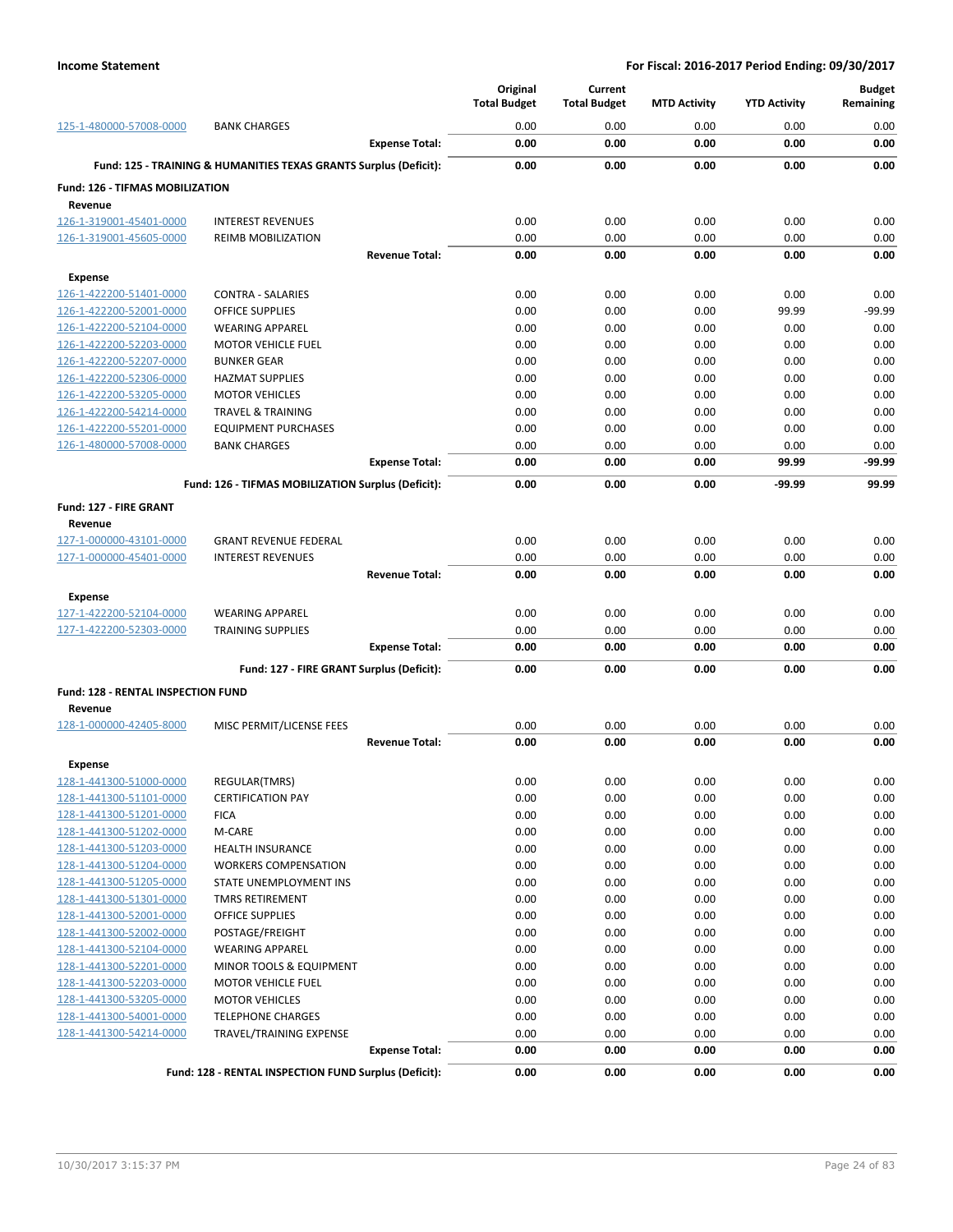|                                    |                                                                   |                       | Original<br><b>Total Budget</b> | Current<br><b>Total Budget</b> | <b>MTD Activity</b> | <b>YTD Activity</b> | <b>Budget</b><br>Remaining |
|------------------------------------|-------------------------------------------------------------------|-----------------------|---------------------------------|--------------------------------|---------------------|---------------------|----------------------------|
| 125-1-480000-57008-0000            | <b>BANK CHARGES</b>                                               |                       | 0.00                            | 0.00                           | 0.00                | 0.00                | 0.00                       |
|                                    |                                                                   | <b>Expense Total:</b> | 0.00                            | 0.00                           | 0.00                | 0.00                | 0.00                       |
|                                    | Fund: 125 - TRAINING & HUMANITIES TEXAS GRANTS Surplus (Deficit): |                       | 0.00                            | 0.00                           | 0.00                | 0.00                | 0.00                       |
| Fund: 126 - TIFMAS MOBILIZATION    |                                                                   |                       |                                 |                                |                     |                     |                            |
| Revenue<br>126-1-319001-45401-0000 | <b>INTEREST REVENUES</b>                                          |                       | 0.00                            | 0.00                           | 0.00                | 0.00                | 0.00                       |
| 126-1-319001-45605-0000            | <b>REIMB MOBILIZATION</b>                                         |                       | 0.00                            | 0.00                           | 0.00                | 0.00                | 0.00                       |
|                                    |                                                                   | <b>Revenue Total:</b> | 0.00                            | 0.00                           | 0.00                | 0.00                | 0.00                       |
| <b>Expense</b>                     |                                                                   |                       |                                 |                                |                     |                     |                            |
| 126-1-422200-51401-0000            | <b>CONTRA - SALARIES</b>                                          |                       | 0.00                            | 0.00                           | 0.00                | 0.00                | 0.00                       |
| 126-1-422200-52001-0000            | <b>OFFICE SUPPLIES</b>                                            |                       | 0.00                            | 0.00                           | 0.00                | 99.99               | $-99.99$                   |
| 126-1-422200-52104-0000            | <b>WEARING APPAREL</b>                                            |                       | 0.00                            | 0.00                           | 0.00                | 0.00                | 0.00                       |
| 126-1-422200-52203-0000            | <b>MOTOR VEHICLE FUEL</b>                                         |                       | 0.00                            | 0.00                           | 0.00                | 0.00                | 0.00                       |
| 126-1-422200-52207-0000            | <b>BUNKER GEAR</b>                                                |                       | 0.00                            | 0.00                           | 0.00                | 0.00                | 0.00                       |
| 126-1-422200-52306-0000            | <b>HAZMAT SUPPLIES</b>                                            |                       | 0.00                            | 0.00                           | 0.00                | 0.00                | 0.00                       |
| 126-1-422200-53205-0000            | <b>MOTOR VEHICLES</b>                                             |                       | 0.00                            | 0.00                           | 0.00                | 0.00                | 0.00                       |
| 126-1-422200-54214-0000            | <b>TRAVEL &amp; TRAINING</b>                                      |                       | 0.00                            | 0.00                           | 0.00                | 0.00                | 0.00                       |
| 126-1-422200-55201-0000            | <b>EQUIPMENT PURCHASES</b>                                        |                       | 0.00                            | 0.00                           | 0.00                | 0.00                | 0.00                       |
| 126-1-480000-57008-0000            | <b>BANK CHARGES</b>                                               |                       | 0.00                            | 0.00                           | 0.00                | 0.00                | 0.00                       |
|                                    |                                                                   | <b>Expense Total:</b> | 0.00                            | 0.00                           | 0.00                | 99.99               | -99.99                     |
|                                    | Fund: 126 - TIFMAS MOBILIZATION Surplus (Deficit):                |                       | 0.00                            | 0.00                           | 0.00                | -99.99              | 99.99                      |
| Fund: 127 - FIRE GRANT             |                                                                   |                       |                                 |                                |                     |                     |                            |
| Revenue                            |                                                                   |                       |                                 |                                |                     |                     |                            |
| 127-1-000000-43101-0000            | <b>GRANT REVENUE FEDERAL</b>                                      |                       | 0.00                            | 0.00                           | 0.00                | 0.00                | 0.00                       |
| 127-1-000000-45401-0000            | <b>INTEREST REVENUES</b>                                          |                       | 0.00                            | 0.00                           | 0.00                | 0.00                | 0.00                       |
|                                    |                                                                   | <b>Revenue Total:</b> | 0.00                            | 0.00                           | 0.00                | 0.00                | 0.00                       |
| <b>Expense</b>                     |                                                                   |                       |                                 |                                |                     |                     |                            |
| 127-1-422200-52104-0000            | <b>WEARING APPAREL</b>                                            |                       | 0.00                            | 0.00                           | 0.00                | 0.00                | 0.00                       |
| 127-1-422200-52303-0000            | <b>TRAINING SUPPLIES</b>                                          |                       | 0.00                            | 0.00                           | 0.00                | 0.00                | 0.00                       |
|                                    |                                                                   | <b>Expense Total:</b> | 0.00                            | 0.00                           | 0.00                | 0.00                | 0.00                       |
|                                    | Fund: 127 - FIRE GRANT Surplus (Deficit):                         |                       | 0.00                            | 0.00                           | 0.00                | 0.00                | 0.00                       |
| Fund: 128 - RENTAL INSPECTION FUND |                                                                   |                       |                                 |                                |                     |                     |                            |
| Revenue<br>128-1-000000-42405-8000 | MISC PERMIT/LICENSE FEES                                          |                       | 0.00                            | 0.00                           | 0.00                | 0.00                | 0.00                       |
|                                    |                                                                   | <b>Revenue Total:</b> | 0.00                            | 0.00                           | 0.00                | 0.00                | 0.00                       |
| <b>Expense</b>                     |                                                                   |                       |                                 |                                |                     |                     |                            |
| 128-1-441300-51000-0000            | REGULAR(TMRS)                                                     |                       | 0.00                            | 0.00                           | 0.00                | 0.00                | 0.00                       |
| 128-1-441300-51101-0000            | <b>CERTIFICATION PAY</b>                                          |                       | 0.00                            | 0.00                           | 0.00                | 0.00                | 0.00                       |
| 128-1-441300-51201-0000            | <b>FICA</b>                                                       |                       | 0.00                            | 0.00                           | 0.00                | 0.00                | 0.00                       |
| 128-1-441300-51202-0000            | M-CARE                                                            |                       | 0.00                            | 0.00                           | 0.00                | 0.00                | 0.00                       |
| 128-1-441300-51203-0000            | HEALTH INSURANCE                                                  |                       | 0.00                            | 0.00                           | 0.00                | 0.00                | 0.00                       |
| 128-1-441300-51204-0000            | <b>WORKERS COMPENSATION</b>                                       |                       | 0.00                            | 0.00                           | 0.00                | 0.00                | 0.00                       |
| 128-1-441300-51205-0000            | STATE UNEMPLOYMENT INS                                            |                       | 0.00                            | 0.00                           | 0.00                | 0.00                | 0.00                       |
| 128-1-441300-51301-0000            | <b>TMRS RETIREMENT</b>                                            |                       | 0.00                            | 0.00                           | 0.00                | 0.00                | 0.00                       |
| 128-1-441300-52001-0000            | OFFICE SUPPLIES                                                   |                       | 0.00                            | 0.00                           | 0.00                | 0.00                | 0.00                       |
| 128-1-441300-52002-0000            | POSTAGE/FREIGHT                                                   |                       | 0.00                            | 0.00                           | 0.00                | 0.00                | 0.00                       |
| 128-1-441300-52104-0000            | <b>WEARING APPAREL</b>                                            |                       | 0.00                            | 0.00                           | 0.00                | 0.00                | 0.00                       |
| 128-1-441300-52201-0000            | MINOR TOOLS & EQUIPMENT                                           |                       | 0.00                            | 0.00                           | 0.00                | 0.00                | 0.00                       |
| 128-1-441300-52203-0000            | <b>MOTOR VEHICLE FUEL</b>                                         |                       | 0.00                            | 0.00                           | 0.00                | 0.00                | 0.00                       |
| 128-1-441300-53205-0000            | <b>MOTOR VEHICLES</b>                                             |                       | 0.00                            | 0.00                           | 0.00                | 0.00                | 0.00                       |
| 128-1-441300-54001-0000            | <b>TELEPHONE CHARGES</b>                                          |                       | 0.00                            | 0.00                           | 0.00                | 0.00                | 0.00                       |
| 128-1-441300-54214-0000            | TRAVEL/TRAINING EXPENSE                                           |                       | 0.00                            | 0.00                           | 0.00                | 0.00                | 0.00                       |
|                                    |                                                                   | <b>Expense Total:</b> | 0.00                            | 0.00                           | 0.00                | 0.00                | 0.00                       |
|                                    | Fund: 128 - RENTAL INSPECTION FUND Surplus (Deficit):             |                       | 0.00                            | 0.00                           | 0.00                | 0.00                | 0.00                       |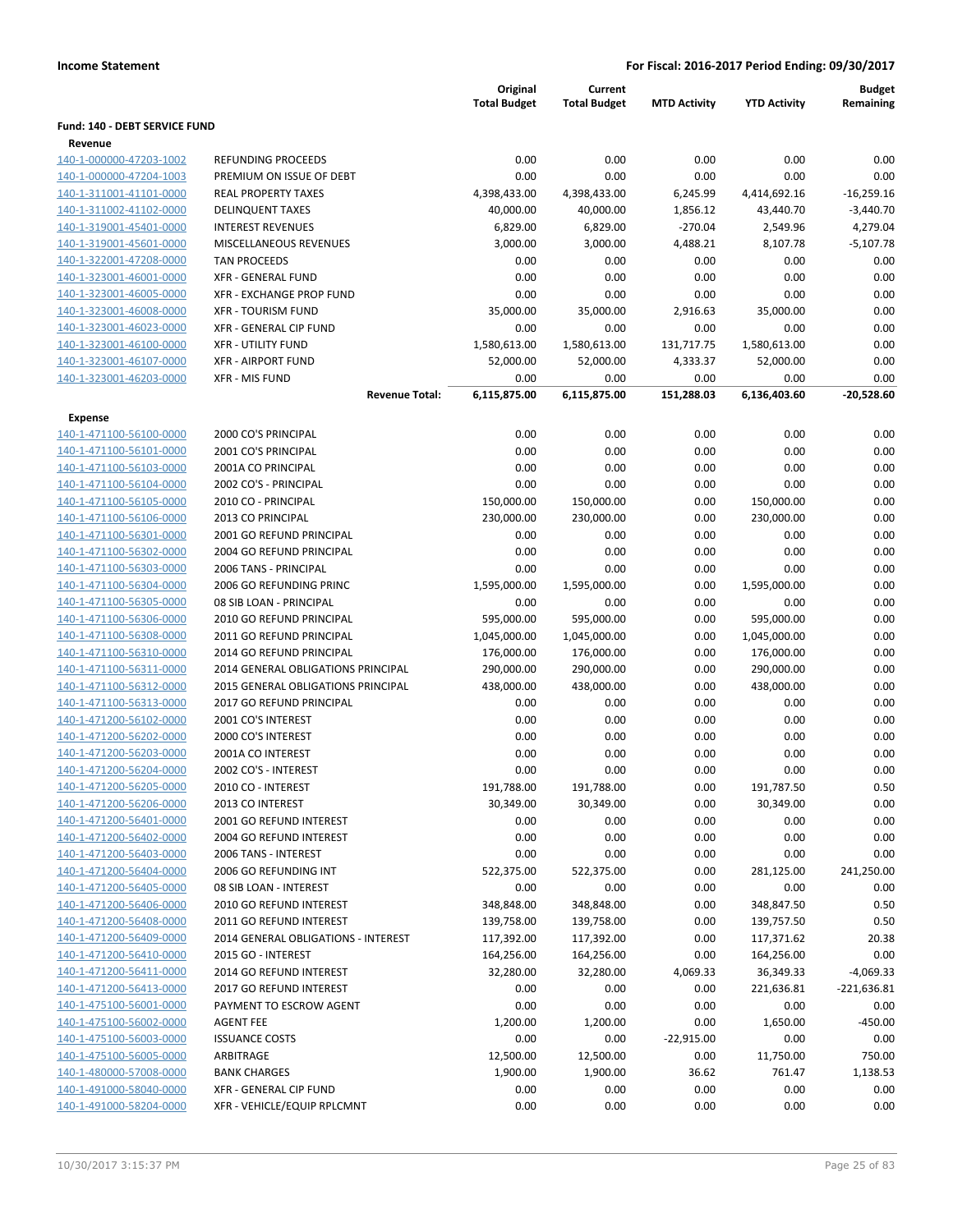|                                    |                                     | Original            | Current             |                     |                     | <b>Budget</b> |
|------------------------------------|-------------------------------------|---------------------|---------------------|---------------------|---------------------|---------------|
|                                    |                                     | <b>Total Budget</b> | <b>Total Budget</b> | <b>MTD Activity</b> | <b>YTD Activity</b> | Remaining     |
| Fund: 140 - DEBT SERVICE FUND      |                                     |                     |                     |                     |                     |               |
| Revenue<br>140-1-000000-47203-1002 | REFUNDING PROCEEDS                  | 0.00                | 0.00                | 0.00                | 0.00                | 0.00          |
| 140-1-000000-47204-1003            | PREMIUM ON ISSUE OF DEBT            | 0.00                | 0.00                | 0.00                | 0.00                | 0.00          |
| 140-1-311001-41101-0000            | <b>REAL PROPERTY TAXES</b>          | 4,398,433.00        | 4,398,433.00        | 6,245.99            | 4,414,692.16        | $-16,259.16$  |
| 140-1-311002-41102-0000            | <b>DELINQUENT TAXES</b>             | 40,000.00           | 40,000.00           | 1,856.12            | 43,440.70           | $-3,440.70$   |
| 140-1-319001-45401-0000            | <b>INTEREST REVENUES</b>            | 6,829.00            | 6,829.00            | $-270.04$           | 2,549.96            | 4,279.04      |
| 140-1-319001-45601-0000            | MISCELLANEOUS REVENUES              | 3,000.00            | 3,000.00            | 4,488.21            | 8,107.78            | $-5,107.78$   |
| 140-1-322001-47208-0000            | <b>TAN PROCEEDS</b>                 | 0.00                | 0.00                | 0.00                | 0.00                | 0.00          |
| 140-1-323001-46001-0000            | <b>XFR - GENERAL FUND</b>           | 0.00                | 0.00                | 0.00                | 0.00                | 0.00          |
| 140-1-323001-46005-0000            | <b>XFR - EXCHANGE PROP FUND</b>     | 0.00                | 0.00                | 0.00                | 0.00                | 0.00          |
| 140-1-323001-46008-0000            | <b>XFR - TOURISM FUND</b>           | 35,000.00           | 35,000.00           | 2,916.63            | 35,000.00           | 0.00          |
| 140-1-323001-46023-0000            | XFR - GENERAL CIP FUND              | 0.00                | 0.00                | 0.00                | 0.00                | 0.00          |
| 140-1-323001-46100-0000            | <b>XFR - UTILITY FUND</b>           | 1,580,613.00        | 1,580,613.00        | 131,717.75          | 1,580,613.00        | 0.00          |
| 140-1-323001-46107-0000            | <b>XFR - AIRPORT FUND</b>           | 52,000.00           | 52,000.00           | 4,333.37            | 52,000.00           | 0.00          |
| 140-1-323001-46203-0000            | XFR - MIS FUND                      | 0.00                | 0.00                | 0.00                | 0.00                | 0.00          |
|                                    | <b>Revenue Total:</b>               | 6,115,875.00        | 6,115,875.00        | 151,288.03          | 6,136,403.60        | $-20,528.60$  |
| <b>Expense</b>                     |                                     |                     |                     |                     |                     |               |
| 140-1-471100-56100-0000            | 2000 CO'S PRINCIPAL                 | 0.00                | 0.00                | 0.00                | 0.00                | 0.00          |
| 140-1-471100-56101-0000            | 2001 CO'S PRINCIPAL                 | 0.00                | 0.00                | 0.00                | 0.00                | 0.00          |
| 140-1-471100-56103-0000            | 2001A CO PRINCIPAL                  | 0.00                | 0.00                | 0.00                | 0.00                | 0.00          |
| 140-1-471100-56104-0000            | 2002 CO'S - PRINCIPAL               | 0.00                | 0.00                | 0.00                | 0.00                | 0.00          |
| 140-1-471100-56105-0000            | 2010 CO - PRINCIPAL                 | 150,000.00          | 150,000.00          | 0.00                | 150,000.00          | 0.00          |
| 140-1-471100-56106-0000            | 2013 CO PRINCIPAL                   | 230,000.00          | 230,000.00          | 0.00                | 230,000.00          | 0.00          |
| 140-1-471100-56301-0000            | 2001 GO REFUND PRINCIPAL            | 0.00                | 0.00                | 0.00                | 0.00                | 0.00          |
| 140-1-471100-56302-0000            | 2004 GO REFUND PRINCIPAL            | 0.00                | 0.00                | 0.00                | 0.00                | 0.00          |
| 140-1-471100-56303-0000            | 2006 TANS - PRINCIPAL               | 0.00                | 0.00                | 0.00                | 0.00                | 0.00          |
| 140-1-471100-56304-0000            | 2006 GO REFUNDING PRINC             | 1,595,000.00        | 1,595,000.00        | 0.00                | 1,595,000.00        | 0.00          |
| 140-1-471100-56305-0000            | 08 SIB LOAN - PRINCIPAL             | 0.00                | 0.00                | 0.00                | 0.00                | 0.00          |
| 140-1-471100-56306-0000            | 2010 GO REFUND PRINCIPAL            | 595,000.00          | 595,000.00          | 0.00                | 595,000.00          | 0.00          |
| 140-1-471100-56308-0000            | 2011 GO REFUND PRINCIPAL            | 1,045,000.00        | 1,045,000.00        | 0.00                | 1,045,000.00        | 0.00          |
| 140-1-471100-56310-0000            | 2014 GO REFUND PRINCIPAL            | 176,000.00          | 176,000.00          | 0.00                | 176,000.00          | 0.00          |
| 140-1-471100-56311-0000            | 2014 GENERAL OBLIGATIONS PRINCIPAL  | 290,000.00          | 290,000.00          | 0.00                | 290,000.00          | 0.00          |
| 140-1-471100-56312-0000            | 2015 GENERAL OBLIGATIONS PRINCIPAL  | 438,000.00          | 438,000.00          | 0.00                | 438,000.00          | 0.00          |
| 140-1-471100-56313-0000            | 2017 GO REFUND PRINCIPAL            | 0.00                | 0.00                | 0.00                | 0.00                | 0.00          |
| 140-1-471200-56102-0000            | 2001 CO'S INTEREST                  | 0.00                | 0.00                | 0.00                | 0.00                | 0.00          |
| 140-1-471200-56202-0000            | 2000 CO'S INTEREST                  | 0.00                | 0.00                | 0.00                | 0.00                | 0.00          |
| 140-1-471200-56203-0000            | 2001A CO INTEREST                   | 0.00                | 0.00                | 0.00                | 0.00                | 0.00          |
| 140-1-471200-56204-0000            | 2002 CO'S - INTEREST                | 0.00                | 0.00                | 0.00                | 0.00                | 0.00          |
| 140-1-471200-56205-0000            | 2010 CO - INTEREST                  | 191,788.00          | 191,788.00          | 0.00                | 191,787.50          | 0.50          |
| 140-1-471200-56206-0000            | 2013 CO INTEREST                    | 30,349.00           | 30,349.00           | 0.00                | 30,349.00           | 0.00          |
| 140-1-471200-56401-0000            | 2001 GO REFUND INTEREST             | 0.00                | 0.00                | 0.00                | 0.00                | 0.00          |
| 140-1-471200-56402-0000            | 2004 GO REFUND INTEREST             | 0.00                | 0.00                | 0.00                | 0.00                | 0.00          |
| 140-1-471200-56403-0000            | 2006 TANS - INTEREST                | 0.00                | 0.00                | 0.00                | 0.00                | 0.00          |
| 140-1-471200-56404-0000            | 2006 GO REFUNDING INT               | 522,375.00          | 522,375.00          | 0.00                | 281,125.00          | 241,250.00    |
| 140-1-471200-56405-0000            | 08 SIB LOAN - INTEREST              | 0.00                | 0.00                | 0.00                | 0.00                | 0.00          |
| 140-1-471200-56406-0000            | 2010 GO REFUND INTEREST             | 348,848.00          | 348,848.00          | 0.00                | 348,847.50          | 0.50          |
| 140-1-471200-56408-0000            | 2011 GO REFUND INTEREST             | 139,758.00          | 139,758.00          | 0.00                | 139,757.50          | 0.50          |
| 140-1-471200-56409-0000            | 2014 GENERAL OBLIGATIONS - INTEREST | 117,392.00          | 117,392.00          | 0.00                | 117,371.62          | 20.38         |
| 140-1-471200-56410-0000            | 2015 GO - INTEREST                  | 164,256.00          | 164,256.00          | 0.00                | 164,256.00          | 0.00          |
| 140-1-471200-56411-0000            | 2014 GO REFUND INTEREST             | 32,280.00           | 32,280.00           | 4,069.33            | 36,349.33           | $-4,069.33$   |
| 140-1-471200-56413-0000            | 2017 GO REFUND INTEREST             | 0.00                | 0.00                | 0.00                | 221,636.81          | $-221,636.81$ |
| 140-1-475100-56001-0000            | PAYMENT TO ESCROW AGENT             | 0.00                | 0.00                | 0.00                | 0.00                | 0.00          |
| 140-1-475100-56002-0000            | <b>AGENT FEE</b>                    | 1,200.00            | 1,200.00            | 0.00                | 1,650.00            | $-450.00$     |
| 140-1-475100-56003-0000            | <b>ISSUANCE COSTS</b>               | 0.00                | 0.00                | $-22,915.00$        | 0.00                | 0.00          |
| 140-1-475100-56005-0000            | ARBITRAGE                           | 12,500.00           | 12,500.00           | 0.00                | 11,750.00           | 750.00        |
| 140-1-480000-57008-0000            | <b>BANK CHARGES</b>                 | 1,900.00            | 1,900.00            | 36.62               | 761.47              | 1,138.53      |
| 140-1-491000-58040-0000            | XFR - GENERAL CIP FUND              | 0.00                | 0.00                | 0.00                | 0.00                | 0.00          |
| 140-1-491000-58204-0000            | XFR - VEHICLE/EQUIP RPLCMNT         | 0.00                | 0.00                | 0.00                | 0.00                | 0.00          |
|                                    |                                     |                     |                     |                     |                     |               |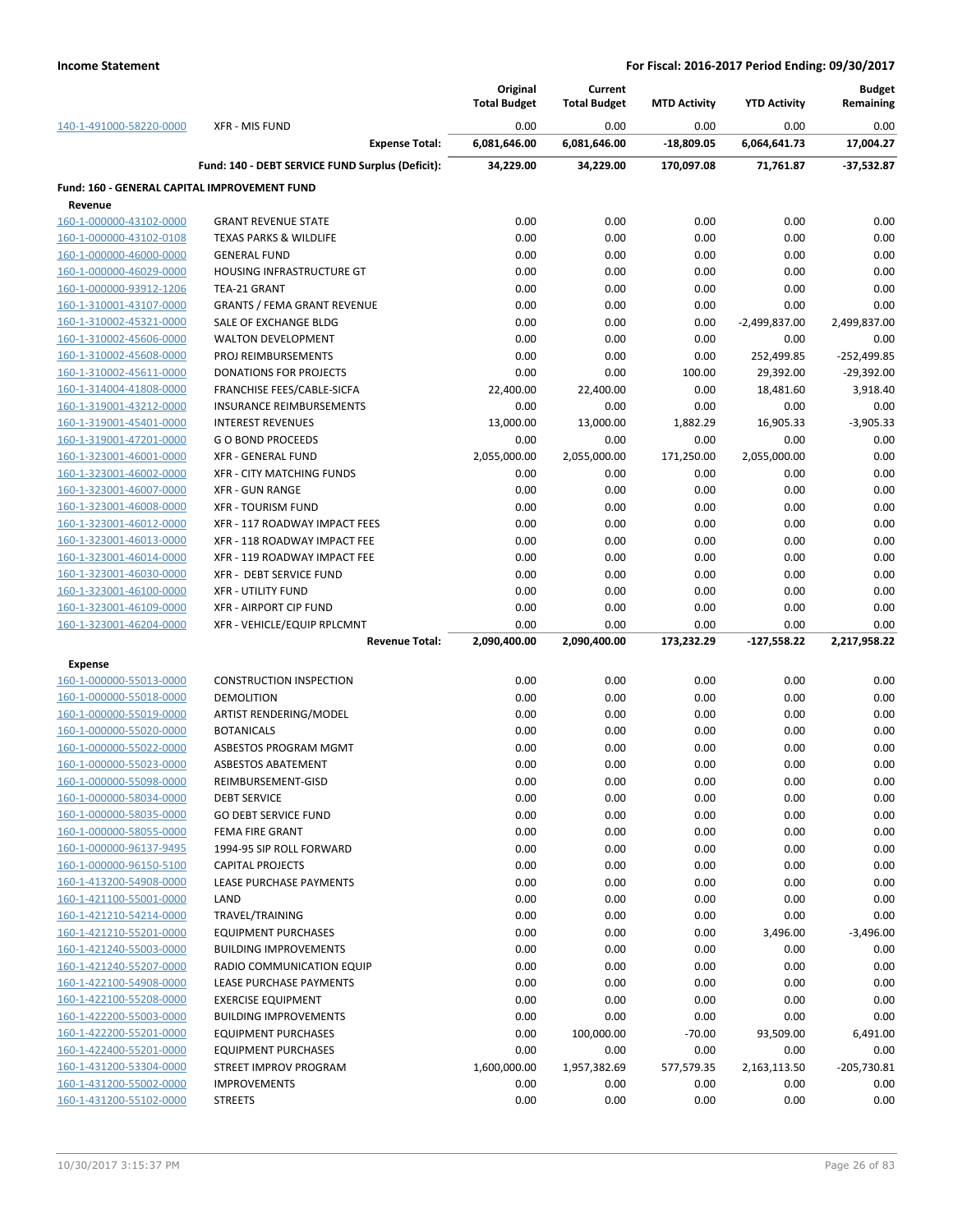|                                                    |                                                  | Original<br><b>Total Budget</b> | Current<br><b>Total Budget</b> | <b>MTD Activity</b> | <b>YTD Activity</b> | <b>Budget</b><br>Remaining |
|----------------------------------------------------|--------------------------------------------------|---------------------------------|--------------------------------|---------------------|---------------------|----------------------------|
| 140-1-491000-58220-0000                            | <b>XFR - MIS FUND</b>                            | 0.00                            | 0.00                           | 0.00                | 0.00                | 0.00                       |
|                                                    | <b>Expense Total:</b>                            | 6,081,646.00                    | 6,081,646.00                   | $-18,809.05$        | 6,064,641.73        | 17,004.27                  |
|                                                    | Fund: 140 - DEBT SERVICE FUND Surplus (Deficit): | 34,229.00                       | 34,229.00                      | 170,097.08          | 71,761.87           | $-37,532.87$               |
| Fund: 160 - GENERAL CAPITAL IMPROVEMENT FUND       |                                                  |                                 |                                |                     |                     |                            |
| Revenue                                            |                                                  |                                 |                                |                     |                     |                            |
| 160-1-000000-43102-0000                            | <b>GRANT REVENUE STATE</b>                       | 0.00                            | 0.00                           | 0.00                | 0.00                | 0.00                       |
| 160-1-000000-43102-0108                            | <b>TEXAS PARKS &amp; WILDLIFE</b>                | 0.00<br>0.00                    | 0.00<br>0.00                   | 0.00                | 0.00                | 0.00<br>0.00               |
| 160-1-000000-46000-0000<br>160-1-000000-46029-0000 | <b>GENERAL FUND</b>                              |                                 |                                | 0.00                | 0.00                |                            |
|                                                    | HOUSING INFRASTRUCTURE GT                        | 0.00                            | 0.00                           | 0.00                | 0.00                | 0.00                       |
| 160-1-000000-93912-1206                            | TEA-21 GRANT                                     | 0.00                            | 0.00                           | 0.00                | 0.00                | 0.00                       |
| 160-1-310001-43107-0000                            | <b>GRANTS / FEMA GRANT REVENUE</b>               | 0.00                            | 0.00                           | 0.00                | 0.00                | 0.00                       |
| 160-1-310002-45321-0000                            | SALE OF EXCHANGE BLDG                            | 0.00                            | 0.00                           | 0.00                | $-2,499,837.00$     | 2,499,837.00               |
| 160-1-310002-45606-0000                            | <b>WALTON DEVELOPMENT</b>                        | 0.00                            | 0.00                           | 0.00                | 0.00                | 0.00                       |
| 160-1-310002-45608-0000                            | PROJ REIMBURSEMENTS                              | 0.00                            | 0.00                           | 0.00                | 252,499.85          | -252,499.85                |
| 160-1-310002-45611-0000                            | <b>DONATIONS FOR PROJECTS</b>                    | 0.00                            | 0.00                           | 100.00              | 29,392.00           | $-29,392.00$               |
| 160-1-314004-41808-0000                            | FRANCHISE FEES/CABLE-SICFA                       | 22,400.00                       | 22,400.00                      | 0.00                | 18,481.60           | 3,918.40                   |
| 160-1-319001-43212-0000                            | <b>INSURANCE REIMBURSEMENTS</b>                  | 0.00                            | 0.00                           | 0.00                | 0.00                | 0.00                       |
| 160-1-319001-45401-0000                            | <b>INTEREST REVENUES</b>                         | 13,000.00                       | 13,000.00                      | 1,882.29            | 16,905.33           | $-3,905.33$                |
| 160-1-319001-47201-0000                            | <b>GO BOND PROCEEDS</b>                          | 0.00                            | 0.00                           | 0.00                | 0.00                | 0.00                       |
| 160-1-323001-46001-0000                            | <b>XFR - GENERAL FUND</b>                        | 2,055,000.00                    | 2,055,000.00                   | 171,250.00          | 2,055,000.00        | 0.00                       |
| 160-1-323001-46002-0000                            | <b>XFR - CITY MATCHING FUNDS</b>                 | 0.00                            | 0.00                           | 0.00                | 0.00                | 0.00                       |
| 160-1-323001-46007-0000                            | <b>XFR - GUN RANGE</b>                           | 0.00                            | 0.00                           | 0.00                | 0.00                | 0.00                       |
| 160-1-323001-46008-0000                            | <b>XFR - TOURISM FUND</b>                        | 0.00                            | 0.00                           | 0.00                | 0.00                | 0.00                       |
| 160-1-323001-46012-0000                            | XFR - 117 ROADWAY IMPACT FEES                    | 0.00                            | 0.00                           | 0.00                | 0.00                | 0.00                       |
| 160-1-323001-46013-0000                            | XFR - 118 ROADWAY IMPACT FEE                     | 0.00                            | 0.00                           | 0.00                | 0.00                | 0.00                       |
| 160-1-323001-46014-0000                            | XFR - 119 ROADWAY IMPACT FEE                     | 0.00                            | 0.00                           | 0.00                | 0.00                | 0.00                       |
| 160-1-323001-46030-0000                            | XFR - DEBT SERVICE FUND                          | 0.00                            | 0.00                           | 0.00                | 0.00                | 0.00                       |
| 160-1-323001-46100-0000                            | <b>XFR - UTILITY FUND</b>                        | 0.00                            | 0.00                           | 0.00                | 0.00                | 0.00                       |
| 160-1-323001-46109-0000                            | <b>XFR - AIRPORT CIP FUND</b>                    | 0.00                            | 0.00                           | 0.00                | 0.00                | 0.00                       |
| 160-1-323001-46204-0000                            | XFR - VEHICLE/EQUIP RPLCMNT                      | 0.00                            | 0.00                           | 0.00                | 0.00                | 0.00                       |
|                                                    | <b>Revenue Total:</b>                            | 2,090,400.00                    | 2,090,400.00                   | 173,232.29          | $-127,558.22$       | 2,217,958.22               |
| <b>Expense</b>                                     |                                                  |                                 |                                |                     |                     |                            |
| 160-1-000000-55013-0000                            | <b>CONSTRUCTION INSPECTION</b>                   | 0.00                            | 0.00                           | 0.00                | 0.00                | 0.00                       |
| 160-1-000000-55018-0000                            | DEMOLITION                                       | 0.00                            | 0.00                           | 0.00                | 0.00                | 0.00                       |
| 160-1-000000-55019-0000                            | ARTIST RENDERING/MODEL                           | 0.00                            | 0.00                           | 0.00                | 0.00                | 0.00                       |
| 160-1-000000-55020-0000                            | <b>BOTANICALS</b>                                | 0.00                            | 0.00                           | 0.00                | 0.00                | 0.00                       |
| 160-1-000000-55022-0000                            | ASBESTOS PROGRAM MGMT                            | 0.00                            | 0.00                           | 0.00                | 0.00                | 0.00                       |
| 160-1-000000-55023-0000                            | <b>ASBESTOS ABATEMENT</b>                        | 0.00                            | 0.00                           | 0.00                | 0.00                | 0.00                       |
| 160-1-000000-55098-0000                            | REIMBURSEMENT-GISD                               | 0.00                            | 0.00                           | 0.00                | 0.00                | 0.00                       |
| 160-1-000000-58034-0000                            | <b>DEBT SERVICE</b>                              | 0.00                            | 0.00                           | 0.00                | 0.00                | 0.00                       |
| 160-1-000000-58035-0000                            | <b>GO DEBT SERVICE FUND</b>                      | 0.00                            | 0.00                           | 0.00                | 0.00                | 0.00                       |
| 160-1-000000-58055-0000                            | FEMA FIRE GRANT                                  | 0.00                            | 0.00                           | 0.00                | 0.00                | 0.00                       |
| 160-1-000000-96137-9495                            | 1994-95 SIP ROLL FORWARD                         | 0.00                            | 0.00                           | 0.00                | 0.00                | 0.00                       |
| 160-1-000000-96150-5100                            | <b>CAPITAL PROJECTS</b>                          | 0.00                            | 0.00                           | 0.00                | 0.00                | 0.00                       |
| 160-1-413200-54908-0000                            | LEASE PURCHASE PAYMENTS                          | 0.00                            | 0.00                           | 0.00                | 0.00                | 0.00                       |
| 160-1-421100-55001-0000                            | LAND                                             | 0.00                            | 0.00                           | 0.00                | 0.00                | 0.00                       |
| 160-1-421210-54214-0000                            | TRAVEL/TRAINING                                  | 0.00                            | 0.00                           | 0.00                | 0.00                | 0.00                       |
| 160-1-421210-55201-0000                            | <b>EQUIPMENT PURCHASES</b>                       | 0.00                            | 0.00                           | 0.00                | 3,496.00            | $-3,496.00$                |
| 160-1-421240-55003-0000                            | <b>BUILDING IMPROVEMENTS</b>                     | 0.00                            | 0.00                           | 0.00                | 0.00                | 0.00                       |
| 160-1-421240-55207-0000                            | RADIO COMMUNICATION EQUIP                        | 0.00                            | 0.00                           | 0.00                | 0.00                | 0.00                       |
| 160-1-422100-54908-0000                            | LEASE PURCHASE PAYMENTS                          | 0.00                            | 0.00                           | 0.00                | 0.00                | 0.00                       |
| 160-1-422100-55208-0000                            | <b>EXERCISE EQUIPMENT</b>                        | 0.00                            | 0.00                           | 0.00                | 0.00                | 0.00                       |
| 160-1-422200-55003-0000                            | <b>BUILDING IMPROVEMENTS</b>                     | 0.00                            | 0.00                           | 0.00                | 0.00                | 0.00                       |
| 160-1-422200-55201-0000                            | <b>EQUIPMENT PURCHASES</b>                       | 0.00                            | 100,000.00                     | $-70.00$            | 93,509.00           | 6,491.00                   |
| 160-1-422400-55201-0000                            | <b>EQUIPMENT PURCHASES</b>                       | 0.00                            | 0.00                           | 0.00                | 0.00                | 0.00                       |
| 160-1-431200-53304-0000                            | STREET IMPROV PROGRAM                            | 1,600,000.00                    | 1,957,382.69                   | 577,579.35          | 2,163,113.50        | $-205,730.81$              |
| 160-1-431200-55002-0000                            | <b>IMPROVEMENTS</b>                              | 0.00                            | 0.00                           | 0.00                | 0.00                | 0.00                       |
| 160-1-431200-55102-0000                            | <b>STREETS</b>                                   | 0.00                            | 0.00                           | 0.00                | 0.00                | 0.00                       |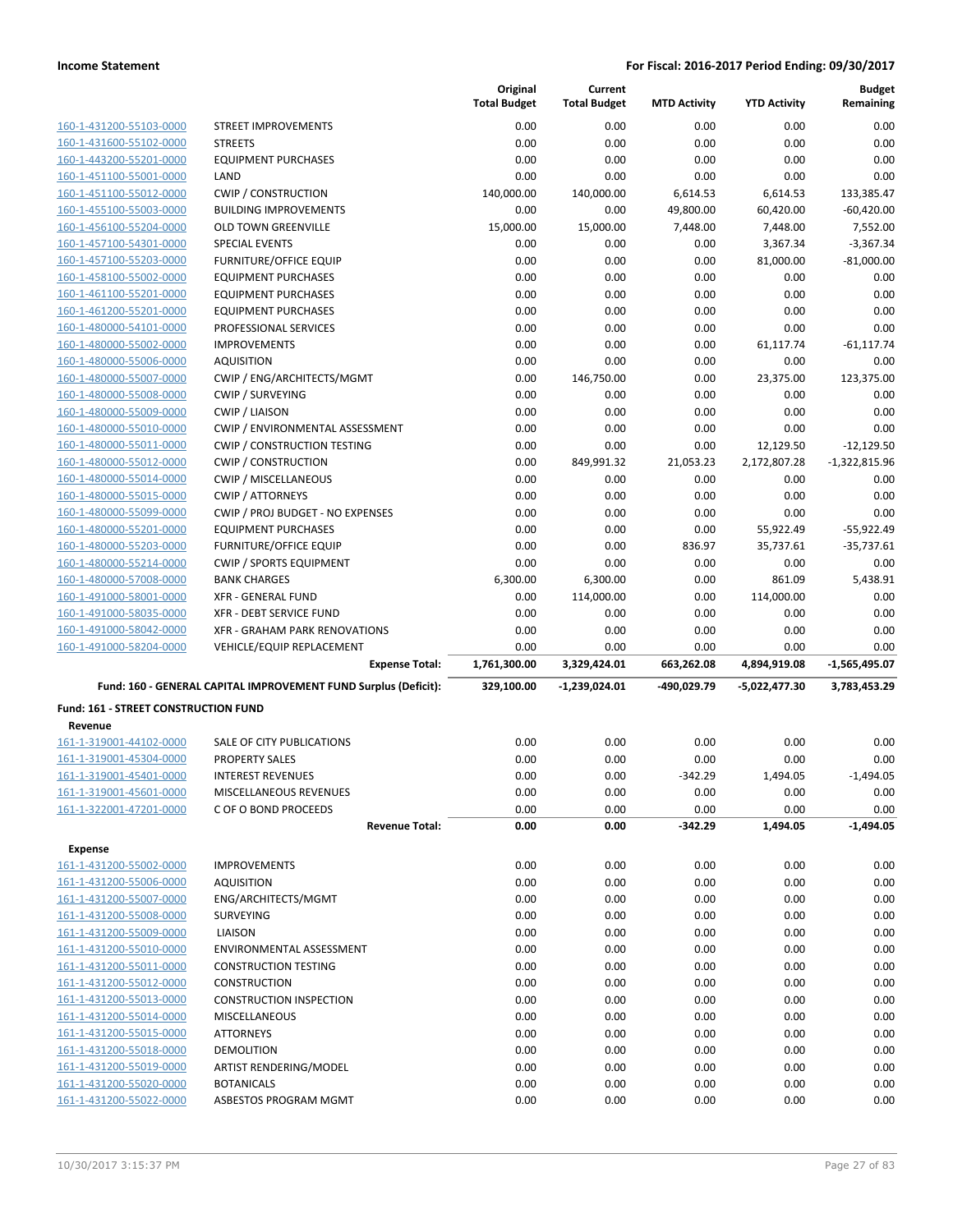|                                                    |                                                                 | Original<br><b>Total Budget</b> | Current<br><b>Total Budget</b> | <b>MTD Activity</b> | <b>YTD Activity</b> | <b>Budget</b><br>Remaining |
|----------------------------------------------------|-----------------------------------------------------------------|---------------------------------|--------------------------------|---------------------|---------------------|----------------------------|
| 160-1-431200-55103-0000                            | STREET IMPROVEMENTS                                             | 0.00                            | 0.00                           | 0.00                | 0.00                | 0.00                       |
| 160-1-431600-55102-0000                            | <b>STREETS</b>                                                  | 0.00                            | 0.00                           | 0.00                | 0.00                | 0.00                       |
| 160-1-443200-55201-0000                            | <b>EQUIPMENT PURCHASES</b>                                      | 0.00                            | 0.00                           | 0.00                | 0.00                | 0.00                       |
| 160-1-451100-55001-0000                            | LAND                                                            | 0.00                            | 0.00                           | 0.00                | 0.00                | 0.00                       |
| 160-1-451100-55012-0000                            | <b>CWIP / CONSTRUCTION</b>                                      | 140,000.00                      | 140,000.00                     | 6,614.53            | 6,614.53            | 133,385.47                 |
| 160-1-455100-55003-0000                            | <b>BUILDING IMPROVEMENTS</b>                                    | 0.00                            | 0.00                           | 49,800.00           | 60,420.00           | $-60,420.00$               |
| 160-1-456100-55204-0000                            | <b>OLD TOWN GREENVILLE</b>                                      | 15,000.00                       | 15,000.00                      | 7,448.00            | 7,448.00            | 7,552.00                   |
| 160-1-457100-54301-0000                            | <b>SPECIAL EVENTS</b>                                           | 0.00                            | 0.00                           | 0.00                | 3,367.34            | $-3,367.34$                |
| 160-1-457100-55203-0000                            | <b>FURNITURE/OFFICE EQUIP</b>                                   | 0.00                            | 0.00                           | 0.00                | 81,000.00           | $-81,000.00$               |
| 160-1-458100-55002-0000                            | <b>EQUIPMENT PURCHASES</b>                                      | 0.00                            | 0.00                           | 0.00                | 0.00                | 0.00                       |
| 160-1-461100-55201-0000                            | <b>EQUIPMENT PURCHASES</b>                                      | 0.00                            | 0.00                           | 0.00                | 0.00                | 0.00                       |
| 160-1-461200-55201-0000                            | <b>EQUIPMENT PURCHASES</b>                                      | 0.00                            | 0.00                           | 0.00                | 0.00                | 0.00                       |
| 160-1-480000-54101-0000                            | PROFESSIONAL SERVICES                                           | 0.00                            | 0.00                           | 0.00                | 0.00                | 0.00                       |
| 160-1-480000-55002-0000                            | <b>IMPROVEMENTS</b>                                             | 0.00                            | 0.00                           | 0.00                | 61,117.74           | $-61, 117.74$              |
| 160-1-480000-55006-0000                            | <b>AQUISITION</b>                                               | 0.00                            | 0.00                           | 0.00                | 0.00                | 0.00                       |
| 160-1-480000-55007-0000                            | CWIP / ENG/ARCHITECTS/MGMT                                      | 0.00                            | 146,750.00                     | 0.00                | 23,375.00           | 123,375.00                 |
| 160-1-480000-55008-0000                            | <b>CWIP / SURVEYING</b>                                         | 0.00                            | 0.00                           | 0.00                | 0.00                | 0.00                       |
| 160-1-480000-55009-0000<br>160-1-480000-55010-0000 | <b>CWIP / LIAISON</b><br>CWIP / ENVIRONMENTAL ASSESSMENT        | 0.00<br>0.00                    | 0.00<br>0.00                   | 0.00<br>0.00        | 0.00<br>0.00        | 0.00<br>0.00               |
| 160-1-480000-55011-0000                            | <b>CWIP / CONSTRUCTION TESTING</b>                              | 0.00                            | 0.00                           | 0.00                | 12,129.50           | $-12,129.50$               |
| 160-1-480000-55012-0000                            | <b>CWIP / CONSTRUCTION</b>                                      | 0.00                            | 849,991.32                     | 21,053.23           | 2,172,807.28        | $-1,322,815.96$            |
| 160-1-480000-55014-0000                            | <b>CWIP / MISCELLANEOUS</b>                                     | 0.00                            | 0.00                           | 0.00                | 0.00                | 0.00                       |
| 160-1-480000-55015-0000                            | <b>CWIP / ATTORNEYS</b>                                         | 0.00                            | 0.00                           | 0.00                | 0.00                | 0.00                       |
| 160-1-480000-55099-0000                            | CWIP / PROJ BUDGET - NO EXPENSES                                | 0.00                            | 0.00                           | 0.00                | 0.00                | 0.00                       |
| 160-1-480000-55201-0000                            | <b>EQUIPMENT PURCHASES</b>                                      | 0.00                            | 0.00                           | 0.00                | 55,922.49           | $-55,922.49$               |
| 160-1-480000-55203-0000                            | <b>FURNITURE/OFFICE EQUIP</b>                                   | 0.00                            | 0.00                           | 836.97              | 35,737.61           | $-35,737.61$               |
| 160-1-480000-55214-0000                            | <b>CWIP / SPORTS EQUIPMENT</b>                                  | 0.00                            | 0.00                           | 0.00                | 0.00                | 0.00                       |
| 160-1-480000-57008-0000                            | <b>BANK CHARGES</b>                                             | 6,300.00                        | 6,300.00                       | 0.00                | 861.09              | 5,438.91                   |
| 160-1-491000-58001-0000                            | <b>XFR - GENERAL FUND</b>                                       | 0.00                            | 114,000.00                     | 0.00                | 114,000.00          | 0.00                       |
| 160-1-491000-58035-0000                            | XFR - DEBT SERVICE FUND                                         | 0.00                            | 0.00                           | 0.00                | 0.00                | 0.00                       |
| 160-1-491000-58042-0000                            | XFR - GRAHAM PARK RENOVATIONS                                   | 0.00                            | 0.00                           | 0.00                | 0.00                | 0.00                       |
| 160-1-491000-58204-0000                            | VEHICLE/EQUIP REPLACEMENT                                       | 0.00                            | 0.00                           | 0.00                | 0.00                | 0.00                       |
|                                                    | <b>Expense Total:</b>                                           | 1,761,300.00                    | 3,329,424.01                   | 663,262.08          | 4,894,919.08        | $-1,565,495.07$            |
|                                                    | Fund: 160 - GENERAL CAPITAL IMPROVEMENT FUND Surplus (Deficit): | 329,100.00                      | -1,239,024.01                  | -490,029.79         | -5,022,477.30       | 3,783,453.29               |
| Fund: 161 - STREET CONSTRUCTION FUND               |                                                                 |                                 |                                |                     |                     |                            |
| Revenue                                            |                                                                 |                                 |                                |                     |                     |                            |
| 161-1-319001-44102-0000                            | SALE OF CITY PUBLICATIONS                                       | 0.00                            | 0.00                           | 0.00                | 0.00                | 0.00                       |
| 161-1-319001-45304-0000                            | <b>PROPERTY SALES</b>                                           | 0.00                            | 0.00                           | 0.00                | 0.00                | 0.00                       |
| 161-1-319001-45401-0000<br>161-1-319001-45601-0000 | <b>INTEREST REVENUES</b><br>MISCELLANEOUS REVENUES              | 0.00                            | 0.00                           | $-342.29$           | 1,494.05            | $-1,494.05$                |
| 161-1-322001-47201-0000                            | C OF O BOND PROCEEDS                                            | 0.00<br>0.00                    | 0.00<br>0.00                   | 0.00<br>0.00        | 0.00<br>0.00        | 0.00<br>0.00               |
|                                                    | <b>Revenue Total:</b>                                           | 0.00                            | 0.00                           | -342.29             | 1,494.05            | -1,494.05                  |
|                                                    |                                                                 |                                 |                                |                     |                     |                            |
| <b>Expense</b><br>161-1-431200-55002-0000          |                                                                 |                                 |                                | 0.00                | 0.00                | 0.00                       |
| 161-1-431200-55006-0000                            |                                                                 |                                 |                                |                     |                     |                            |
| 161-1-431200-55007-0000                            | <b>IMPROVEMENTS</b>                                             | 0.00                            | 0.00                           |                     |                     |                            |
|                                                    | <b>AQUISITION</b>                                               | 0.00                            | 0.00                           | 0.00                | 0.00                | 0.00                       |
|                                                    | ENG/ARCHITECTS/MGMT                                             | 0.00                            | 0.00                           | 0.00                | 0.00                | 0.00                       |
| 161-1-431200-55008-0000                            | <b>SURVEYING</b>                                                | 0.00                            | 0.00                           | 0.00                | 0.00                | 0.00                       |
| 161-1-431200-55009-0000                            | <b>LIAISON</b>                                                  | 0.00                            | 0.00                           | 0.00                | 0.00                | 0.00                       |
| 161-1-431200-55010-0000<br>161-1-431200-55011-0000 | ENVIRONMENTAL ASSESSMENT                                        | 0.00                            | 0.00                           | 0.00                | 0.00                | 0.00                       |
| 161-1-431200-55012-0000                            | <b>CONSTRUCTION TESTING</b><br><b>CONSTRUCTION</b>              | 0.00<br>0.00                    | 0.00<br>0.00                   | 0.00<br>0.00        | 0.00<br>0.00        | 0.00<br>0.00               |
| 161-1-431200-55013-0000                            | <b>CONSTRUCTION INSPECTION</b>                                  | 0.00                            | 0.00                           | 0.00                | 0.00                | 0.00                       |
| 161-1-431200-55014-0000                            | <b>MISCELLANEOUS</b>                                            | 0.00                            | 0.00                           | 0.00                | 0.00                | 0.00                       |
| 161-1-431200-55015-0000                            | <b>ATTORNEYS</b>                                                | 0.00                            | 0.00                           | 0.00                | 0.00                | 0.00                       |
| 161-1-431200-55018-0000                            | <b>DEMOLITION</b>                                               | 0.00                            | 0.00                           | 0.00                | 0.00                | 0.00                       |
| 161-1-431200-55019-0000                            | ARTIST RENDERING/MODEL                                          | 0.00                            | 0.00                           | 0.00                | 0.00                | 0.00                       |
| 161-1-431200-55020-0000                            | <b>BOTANICALS</b>                                               | 0.00                            | 0.00                           | 0.00                | 0.00                | 0.00                       |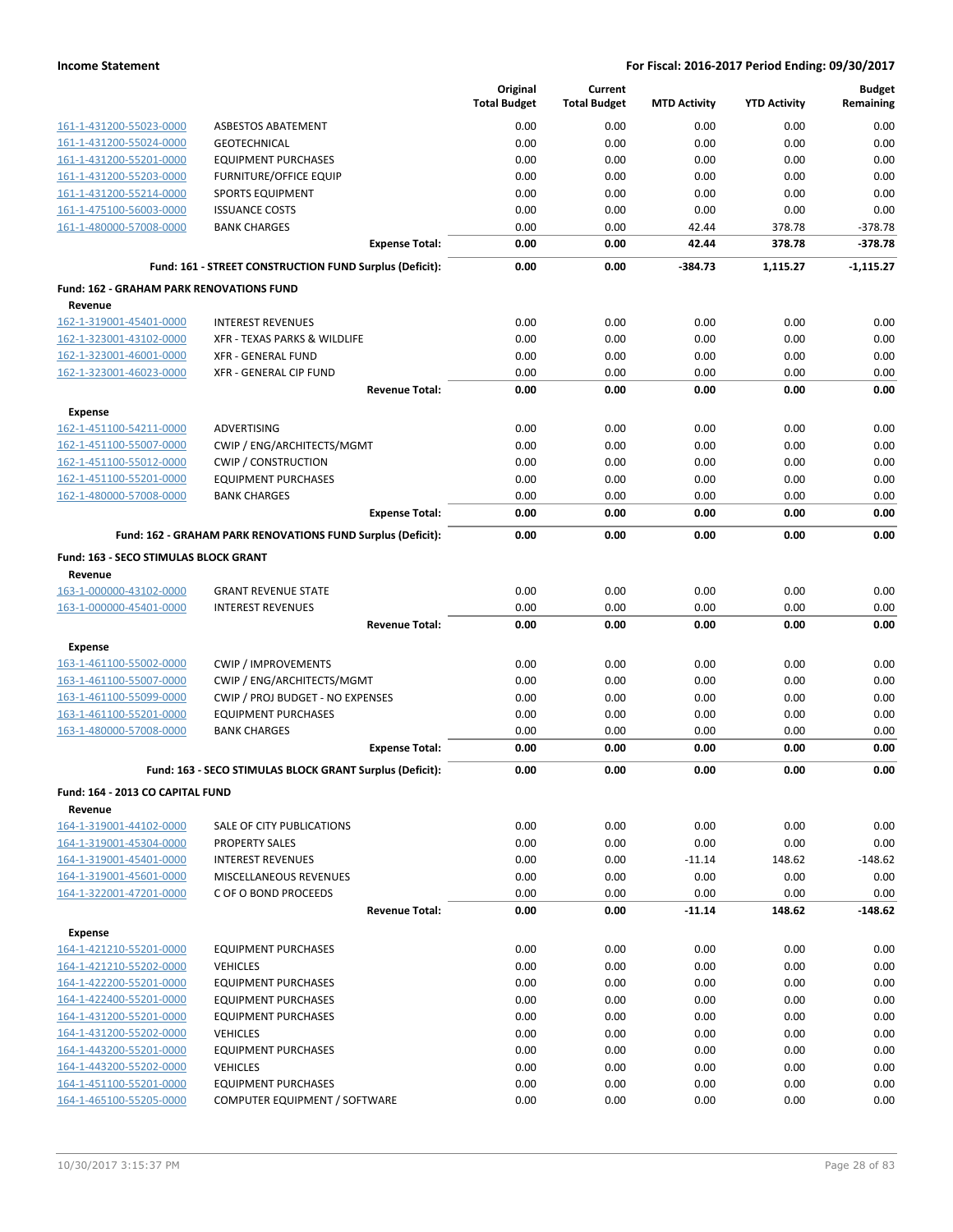|                                                            |                                                             | Original<br><b>Total Budget</b> | Current<br><b>Total Budget</b> | <b>MTD Activity</b> | <b>YTD Activity</b> | <b>Budget</b><br>Remaining |
|------------------------------------------------------------|-------------------------------------------------------------|---------------------------------|--------------------------------|---------------------|---------------------|----------------------------|
| 161-1-431200-55023-0000                                    | <b>ASBESTOS ABATEMENT</b>                                   | 0.00                            | 0.00                           | 0.00                | 0.00                | 0.00                       |
| 161-1-431200-55024-0000                                    | <b>GEOTECHNICAL</b>                                         | 0.00                            | 0.00                           | 0.00                | 0.00                | 0.00                       |
| 161-1-431200-55201-0000                                    | <b>EQUIPMENT PURCHASES</b>                                  | 0.00                            | 0.00                           | 0.00                | 0.00                | 0.00                       |
| 161-1-431200-55203-0000                                    | <b>FURNITURE/OFFICE EQUIP</b>                               | 0.00                            | 0.00                           | 0.00                | 0.00                | 0.00                       |
| 161-1-431200-55214-0000                                    | <b>SPORTS EQUIPMENT</b>                                     | 0.00                            | 0.00                           | 0.00                | 0.00                | 0.00                       |
| 161-1-475100-56003-0000                                    | <b>ISSUANCE COSTS</b>                                       | 0.00                            | 0.00                           | 0.00                | 0.00                | 0.00                       |
| 161-1-480000-57008-0000                                    | <b>BANK CHARGES</b>                                         | 0.00                            | 0.00                           | 42.44               | 378.78              | $-378.78$                  |
|                                                            | <b>Expense Total:</b>                                       | 0.00                            | 0.00                           | 42.44               | 378.78              | $-378.78$                  |
|                                                            | Fund: 161 - STREET CONSTRUCTION FUND Surplus (Deficit):     | 0.00                            | 0.00                           | -384.73             | 1,115.27            | $-1,115.27$                |
| <b>Fund: 162 - GRAHAM PARK RENOVATIONS FUND</b><br>Revenue |                                                             |                                 |                                |                     |                     |                            |
| 162-1-319001-45401-0000                                    | <b>INTEREST REVENUES</b>                                    | 0.00                            | 0.00                           | 0.00                | 0.00                | 0.00                       |
| 162-1-323001-43102-0000                                    | XFR - TEXAS PARKS & WILDLIFE                                | 0.00                            | 0.00                           | 0.00                | 0.00                | 0.00                       |
| 162-1-323001-46001-0000                                    | <b>XFR - GENERAL FUND</b>                                   | 0.00                            | 0.00                           | 0.00                | 0.00                | 0.00                       |
| 162-1-323001-46023-0000                                    | XFR - GENERAL CIP FUND                                      | 0.00                            | 0.00                           | 0.00                | 0.00                | 0.00                       |
|                                                            | <b>Revenue Total:</b>                                       | 0.00                            | 0.00                           | 0.00                | 0.00                | 0.00                       |
| <b>Expense</b>                                             |                                                             |                                 |                                |                     |                     |                            |
| 162-1-451100-54211-0000                                    | ADVERTISING                                                 | 0.00                            | 0.00                           | 0.00                | 0.00                | 0.00                       |
| 162-1-451100-55007-0000                                    | CWIP / ENG/ARCHITECTS/MGMT                                  | 0.00                            | 0.00                           | 0.00                | 0.00                | 0.00                       |
| 162-1-451100-55012-0000                                    | <b>CWIP / CONSTRUCTION</b>                                  | 0.00                            | 0.00                           | 0.00                | 0.00                | 0.00                       |
| 162-1-451100-55201-0000                                    | <b>EQUIPMENT PURCHASES</b>                                  | 0.00                            | 0.00                           | 0.00                | 0.00                | 0.00                       |
| 162-1-480000-57008-0000                                    | <b>BANK CHARGES</b>                                         | 0.00                            | 0.00                           | 0.00                | 0.00                | 0.00                       |
|                                                            | <b>Expense Total:</b>                                       | 0.00                            | 0.00                           | 0.00                | 0.00                | 0.00                       |
|                                                            | Fund: 162 - GRAHAM PARK RENOVATIONS FUND Surplus (Deficit): | 0.00                            | 0.00                           | 0.00                | 0.00                | 0.00                       |
| Fund: 163 - SECO STIMULAS BLOCK GRANT                      |                                                             |                                 |                                |                     |                     |                            |
| Revenue<br>163-1-000000-43102-0000                         | <b>GRANT REVENUE STATE</b>                                  | 0.00                            | 0.00                           | 0.00                | 0.00                | 0.00                       |
| 163-1-000000-45401-0000                                    | <b>INTEREST REVENUES</b>                                    | 0.00                            | 0.00                           | 0.00                | 0.00                | 0.00                       |
|                                                            | <b>Revenue Total:</b>                                       | 0.00                            | 0.00                           | 0.00                | 0.00                | 0.00                       |
|                                                            |                                                             |                                 |                                |                     |                     |                            |
| <b>Expense</b><br>163-1-461100-55002-0000                  | <b>CWIP / IMPROVEMENTS</b>                                  | 0.00                            | 0.00                           | 0.00                | 0.00                | 0.00                       |
| 163-1-461100-55007-0000                                    | CWIP / ENG/ARCHITECTS/MGMT                                  | 0.00                            | 0.00                           | 0.00                | 0.00                | 0.00                       |
| 163-1-461100-55099-0000                                    | CWIP / PROJ BUDGET - NO EXPENSES                            | 0.00                            | 0.00                           | 0.00                | 0.00                | 0.00                       |
| 163-1-461100-55201-0000                                    | <b>EQUIPMENT PURCHASES</b>                                  | 0.00                            | 0.00                           | 0.00                | 0.00                | 0.00                       |
| 163-1-480000-57008-0000                                    | <b>BANK CHARGES</b>                                         | 0.00                            | 0.00                           | 0.00                | 0.00                | 0.00                       |
|                                                            | <b>Expense Total:</b>                                       | 0.00                            | 0.00                           | 0.00                | 0.00                | 0.00                       |
|                                                            | Fund: 163 - SECO STIMULAS BLOCK GRANT Surplus (Deficit):    | 0.00                            | 0.00                           | 0.00                | 0.00                | 0.00                       |
| Fund: 164 - 2013 CO CAPITAL FUND                           |                                                             |                                 |                                |                     |                     |                            |
| Revenue<br>164-1-319001-44102-0000                         | SALE OF CITY PUBLICATIONS                                   | 0.00                            | 0.00                           | 0.00                | 0.00                | 0.00                       |
| 164-1-319001-45304-0000                                    | PROPERTY SALES                                              | 0.00                            | 0.00                           | 0.00                | 0.00                | 0.00                       |
| 164-1-319001-45401-0000                                    | <b>INTEREST REVENUES</b>                                    | 0.00                            | 0.00                           | $-11.14$            | 148.62              | $-148.62$                  |
| 164-1-319001-45601-0000                                    | MISCELLANEOUS REVENUES                                      | 0.00                            | 0.00                           | 0.00                | 0.00                | 0.00                       |
| 164-1-322001-47201-0000                                    | C OF O BOND PROCEEDS                                        | 0.00                            | 0.00                           | 0.00                | 0.00                | 0.00                       |
|                                                            | <b>Revenue Total:</b>                                       | 0.00                            | 0.00                           | $-11.14$            | 148.62              | $-148.62$                  |
| Expense                                                    |                                                             |                                 |                                |                     |                     |                            |
| 164-1-421210-55201-0000                                    | <b>EQUIPMENT PURCHASES</b>                                  | 0.00                            | 0.00                           | 0.00                | 0.00                | 0.00                       |
| 164-1-421210-55202-0000                                    | <b>VEHICLES</b>                                             | 0.00                            | 0.00                           | 0.00                | 0.00                | 0.00                       |
| 164-1-422200-55201-0000                                    | <b>EQUIPMENT PURCHASES</b>                                  | 0.00                            | 0.00                           | 0.00                | 0.00                | 0.00                       |
| 164-1-422400-55201-0000                                    | <b>EQUIPMENT PURCHASES</b>                                  | 0.00                            | 0.00                           | 0.00                | 0.00                | 0.00                       |
| 164-1-431200-55201-0000                                    | <b>EQUIPMENT PURCHASES</b>                                  | 0.00                            | 0.00                           | 0.00                | 0.00                | 0.00                       |
| 164-1-431200-55202-0000                                    | <b>VEHICLES</b>                                             | 0.00                            | 0.00                           | 0.00                | 0.00                | 0.00                       |
| 164-1-443200-55201-0000                                    | <b>EQUIPMENT PURCHASES</b>                                  | 0.00                            | 0.00                           | 0.00                | 0.00                | 0.00                       |
| 164-1-443200-55202-0000                                    | <b>VEHICLES</b>                                             | 0.00                            | 0.00                           | 0.00                | 0.00                | 0.00                       |
| 164-1-451100-55201-0000                                    | <b>EQUIPMENT PURCHASES</b>                                  | 0.00                            | 0.00                           | 0.00                | 0.00                | 0.00                       |
| 164-1-465100-55205-0000                                    | COMPUTER EQUIPMENT / SOFTWARE                               | 0.00                            | 0.00                           | 0.00                | 0.00                | 0.00                       |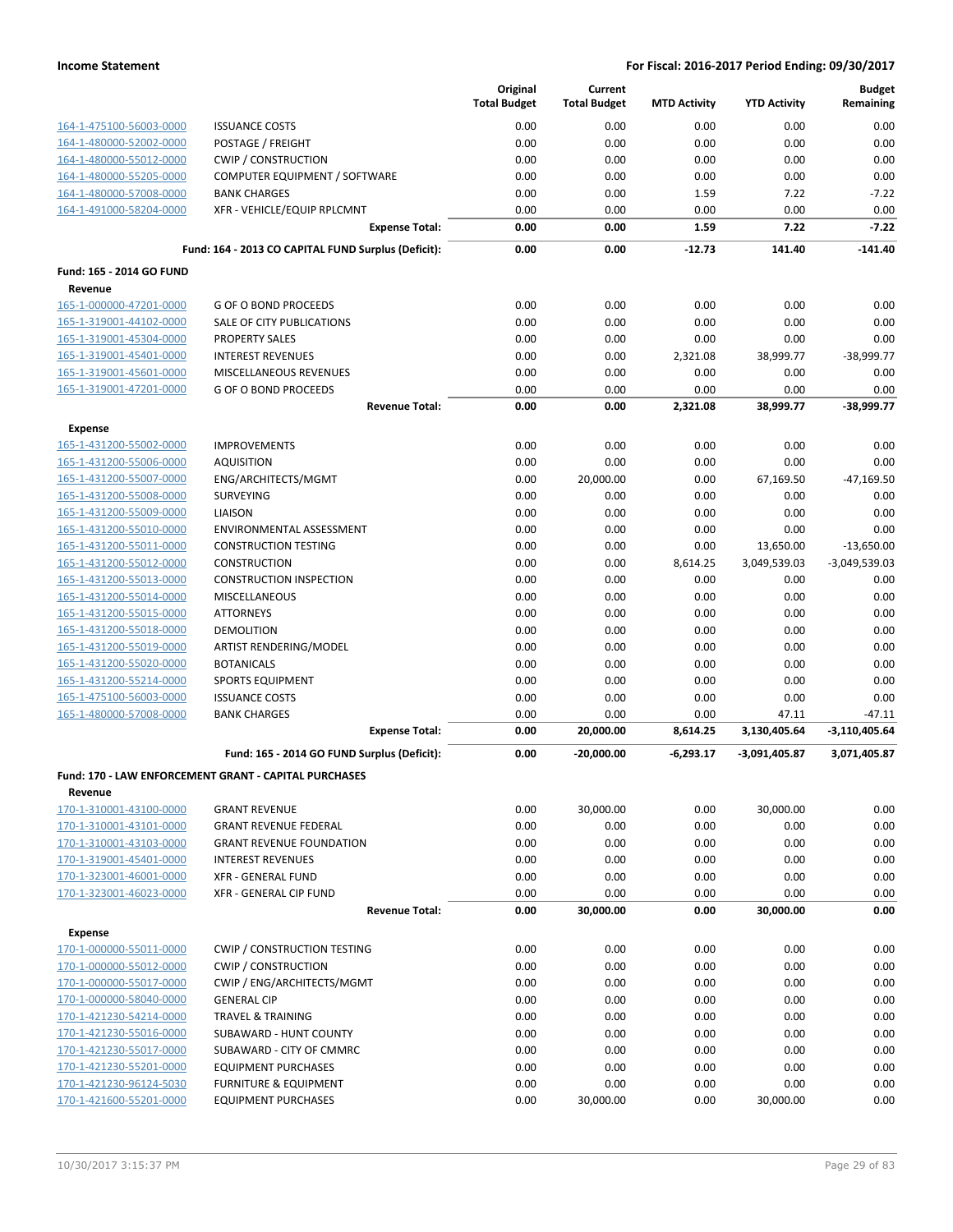|                                    |                                                              | Original<br><b>Total Budget</b> | Current<br><b>Total Budget</b> | <b>MTD Activity</b> | <b>YTD Activity</b> | <b>Budget</b><br>Remaining    |
|------------------------------------|--------------------------------------------------------------|---------------------------------|--------------------------------|---------------------|---------------------|-------------------------------|
| 164-1-475100-56003-0000            | <b>ISSUANCE COSTS</b>                                        | 0.00                            | 0.00                           | 0.00                | 0.00                | 0.00                          |
| 164-1-480000-52002-0000            | POSTAGE / FREIGHT                                            | 0.00                            | 0.00                           | 0.00                | 0.00                | 0.00                          |
| 164-1-480000-55012-0000            | <b>CWIP / CONSTRUCTION</b>                                   | 0.00                            | 0.00                           | 0.00                | 0.00                | 0.00                          |
| 164-1-480000-55205-0000            | COMPUTER EQUIPMENT / SOFTWARE                                | 0.00                            | 0.00                           | 0.00                | 0.00                | 0.00                          |
| 164-1-480000-57008-0000            | <b>BANK CHARGES</b>                                          | 0.00                            | 0.00                           | 1.59                | 7.22                | $-7.22$                       |
| 164-1-491000-58204-0000            | XFR - VEHICLE/EQUIP RPLCMNT                                  | 0.00                            | 0.00                           | 0.00                | 0.00                | 0.00                          |
|                                    | <b>Expense Total:</b>                                        | 0.00                            | 0.00                           | 1.59                | 7.22                | $-7.22$                       |
|                                    | Fund: 164 - 2013 CO CAPITAL FUND Surplus (Deficit):          | 0.00                            | 0.00                           | $-12.73$            | 141.40              | $-141.40$                     |
| Fund: 165 - 2014 GO FUND           |                                                              |                                 |                                |                     |                     |                               |
| Revenue<br>165-1-000000-47201-0000 | <b>G OF O BOND PROCEEDS</b>                                  | 0.00                            | 0.00                           | 0.00                | 0.00                | 0.00                          |
| 165-1-319001-44102-0000            | SALE OF CITY PUBLICATIONS                                    | 0.00                            | 0.00                           | 0.00                | 0.00                | 0.00                          |
| 165-1-319001-45304-0000            | PROPERTY SALES                                               | 0.00                            | 0.00                           | 0.00                | 0.00                | 0.00                          |
| 165-1-319001-45401-0000            | <b>INTEREST REVENUES</b>                                     | 0.00                            | 0.00                           | 2,321.08            | 38,999.77           | $-38,999.77$                  |
| 165-1-319001-45601-0000            | MISCELLANEOUS REVENUES                                       | 0.00                            | 0.00                           | 0.00                | 0.00                | 0.00                          |
| 165-1-319001-47201-0000            | <b>G OF O BOND PROCEEDS</b>                                  | 0.00                            | 0.00                           | 0.00                | 0.00                | 0.00                          |
|                                    | <b>Revenue Total:</b>                                        | 0.00                            | 0.00                           | 2,321.08            | 38,999.77           | -38,999.77                    |
| <b>Expense</b>                     |                                                              |                                 |                                |                     |                     |                               |
| 165-1-431200-55002-0000            | <b>IMPROVEMENTS</b>                                          | 0.00                            | 0.00                           | 0.00                | 0.00                | 0.00                          |
| 165-1-431200-55006-0000            | <b>AQUISITION</b>                                            | 0.00                            | 0.00                           | 0.00                | 0.00                | 0.00                          |
| 165-1-431200-55007-0000            | ENG/ARCHITECTS/MGMT                                          | 0.00                            | 20,000.00                      | 0.00                | 67,169.50           | $-47,169.50$                  |
| 165-1-431200-55008-0000            | <b>SURVEYING</b>                                             | 0.00                            | 0.00                           | 0.00                | 0.00                | 0.00                          |
| 165-1-431200-55009-0000            | <b>LIAISON</b>                                               | 0.00                            | 0.00                           | 0.00                | 0.00                | 0.00                          |
| 165-1-431200-55010-0000            | ENVIRONMENTAL ASSESSMENT                                     | 0.00                            | 0.00                           | 0.00                | 0.00                | 0.00                          |
| 165-1-431200-55011-0000            | <b>CONSTRUCTION TESTING</b>                                  | 0.00                            | 0.00                           | 0.00                | 13,650.00           | $-13,650.00$                  |
| 165-1-431200-55012-0000            | <b>CONSTRUCTION</b>                                          | 0.00                            | 0.00                           | 8,614.25            | 3,049,539.03        | $-3,049,539.03$               |
| 165-1-431200-55013-0000            | <b>CONSTRUCTION INSPECTION</b>                               | 0.00                            | 0.00                           | 0.00                | 0.00                | 0.00                          |
| 165-1-431200-55014-0000            | <b>MISCELLANEOUS</b>                                         | 0.00                            | 0.00                           | 0.00                | 0.00                | 0.00                          |
| 165-1-431200-55015-0000            | <b>ATTORNEYS</b>                                             | 0.00                            | 0.00                           | 0.00                | 0.00                | 0.00                          |
| 165-1-431200-55018-0000            | <b>DEMOLITION</b>                                            | 0.00                            | 0.00                           | 0.00                | 0.00                | 0.00                          |
| 165-1-431200-55019-0000            | ARTIST RENDERING/MODEL                                       | 0.00                            | 0.00                           | 0.00                | 0.00                | 0.00                          |
| 165-1-431200-55020-0000            | <b>BOTANICALS</b>                                            | 0.00                            | 0.00                           | 0.00                | 0.00                | 0.00                          |
| 165-1-431200-55214-0000            | <b>SPORTS EQUIPMENT</b>                                      | 0.00                            | 0.00                           | 0.00                | 0.00                | 0.00                          |
| 165-1-475100-56003-0000            | <b>ISSUANCE COSTS</b>                                        | 0.00                            | 0.00                           | 0.00                | 0.00                | 0.00                          |
| 165-1-480000-57008-0000            | <b>BANK CHARGES</b>                                          | 0.00                            | 0.00                           | 0.00                | 47.11               | $-47.11$                      |
|                                    | <b>Expense Total:</b>                                        | 0.00<br>0.00                    | 20,000.00                      | 8,614.25            | 3,130,405.64        | -3,110,405.64<br>3,071,405.87 |
|                                    | Fund: 165 - 2014 GO FUND Surplus (Deficit):                  |                                 | $-20,000.00$                   | $-6,293.17$         | -3,091,405.87       |                               |
|                                    | <b>Fund: 170 - LAW ENFORCEMENT GRANT - CAPITAL PURCHASES</b> |                                 |                                |                     |                     |                               |
| Revenue<br>170-1-310001-43100-0000 | <b>GRANT REVENUE</b>                                         | 0.00                            | 30,000.00                      | 0.00                | 30,000.00           | 0.00                          |
| 170-1-310001-43101-0000            | <b>GRANT REVENUE FEDERAL</b>                                 | 0.00                            | 0.00                           | 0.00                | 0.00                | 0.00                          |
| 170-1-310001-43103-0000            | <b>GRANT REVENUE FOUNDATION</b>                              | 0.00                            | 0.00                           | 0.00                | 0.00                | 0.00                          |
| 170-1-319001-45401-0000            | <b>INTEREST REVENUES</b>                                     | 0.00                            | 0.00                           | 0.00                | 0.00                | 0.00                          |
| 170-1-323001-46001-0000            | <b>XFR - GENERAL FUND</b>                                    | 0.00                            | 0.00                           | 0.00                | 0.00                | 0.00                          |
| 170-1-323001-46023-0000            | <b>XFR - GENERAL CIP FUND</b>                                | 0.00                            | 0.00                           | 0.00                | 0.00                | 0.00                          |
|                                    | <b>Revenue Total:</b>                                        | 0.00                            | 30,000.00                      | 0.00                | 30,000.00           | 0.00                          |
| <b>Expense</b>                     |                                                              |                                 |                                |                     |                     |                               |
| 170-1-000000-55011-0000            | <b>CWIP / CONSTRUCTION TESTING</b>                           | 0.00                            | 0.00                           | 0.00                | 0.00                | 0.00                          |
| 170-1-000000-55012-0000            | <b>CWIP / CONSTRUCTION</b>                                   | 0.00                            | 0.00                           | 0.00                | 0.00                | 0.00                          |
| 170-1-000000-55017-0000            | CWIP / ENG/ARCHITECTS/MGMT                                   | 0.00                            | 0.00                           | 0.00                | 0.00                | 0.00                          |
| 170-1-000000-58040-0000            | <b>GENERAL CIP</b>                                           | 0.00                            | 0.00                           | 0.00                | 0.00                | 0.00                          |
| 170-1-421230-54214-0000            | <b>TRAVEL &amp; TRAINING</b>                                 | 0.00                            | 0.00                           | 0.00                | 0.00                | 0.00                          |
| 170-1-421230-55016-0000            | SUBAWARD - HUNT COUNTY                                       | 0.00                            | 0.00                           | 0.00                | 0.00                | 0.00                          |
| 170-1-421230-55017-0000            | SUBAWARD - CITY OF CMMRC                                     | 0.00                            | 0.00                           | 0.00                | 0.00                | 0.00                          |
| 170-1-421230-55201-0000            | <b>EQUIPMENT PURCHASES</b>                                   | 0.00                            | 0.00                           | 0.00                | 0.00                | 0.00                          |
| 170-1-421230-96124-5030            | <b>FURNITURE &amp; EQUIPMENT</b>                             | 0.00                            | 0.00                           | 0.00                | 0.00                | 0.00                          |
| 170-1-421600-55201-0000            | <b>EQUIPMENT PURCHASES</b>                                   | 0.00                            | 30,000.00                      | 0.00                | 30,000.00           | 0.00                          |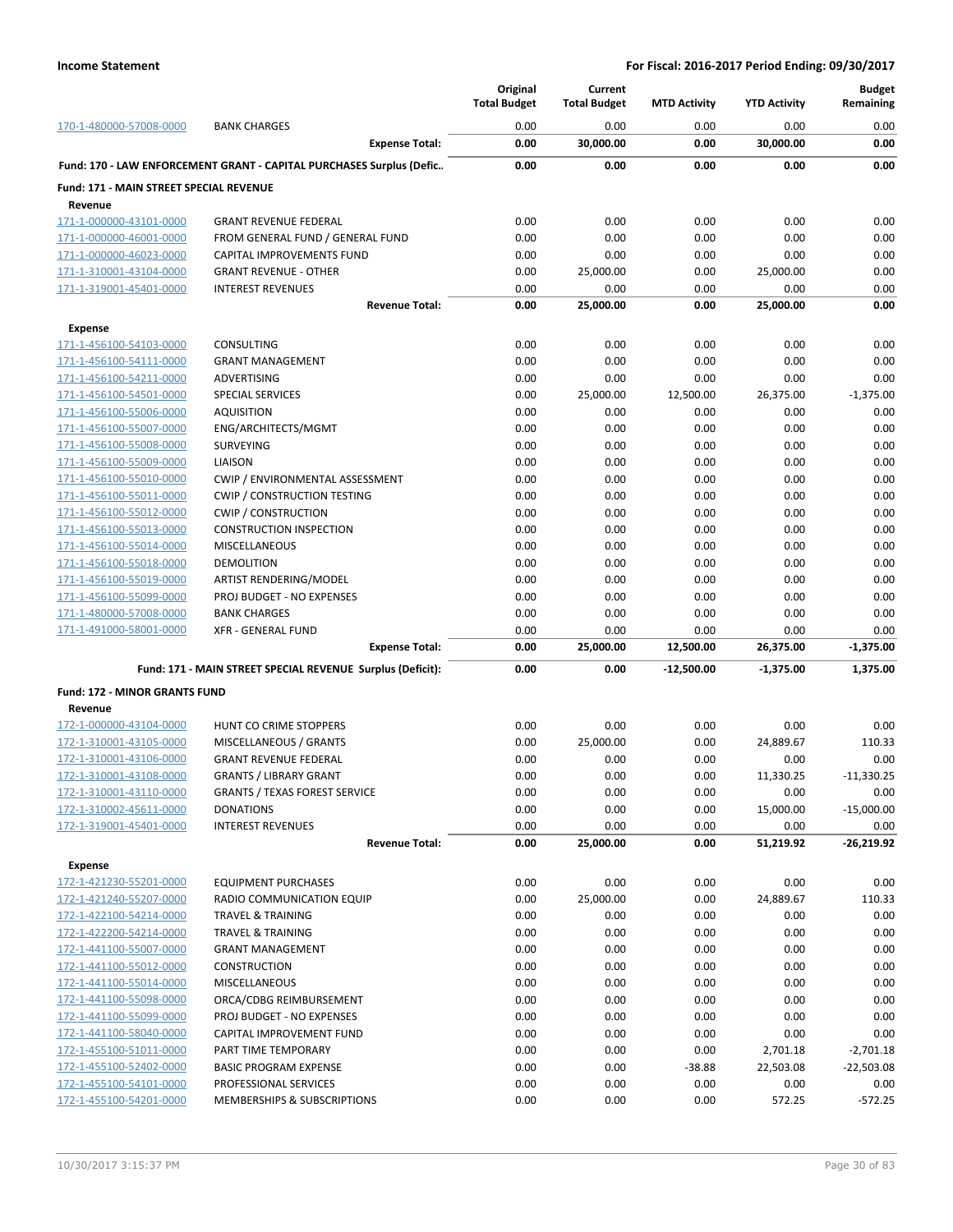|                                                    |                                                                      | Original<br><b>Total Budget</b> | Current<br><b>Total Budget</b> | <b>MTD Activity</b> | <b>YTD Activity</b> | <b>Budget</b><br>Remaining |
|----------------------------------------------------|----------------------------------------------------------------------|---------------------------------|--------------------------------|---------------------|---------------------|----------------------------|
| 170-1-480000-57008-0000                            | <b>BANK CHARGES</b>                                                  | 0.00                            | 0.00                           | 0.00                | 0.00                | 0.00                       |
|                                                    | <b>Expense Total:</b>                                                | 0.00                            | 30,000.00                      | 0.00                | 30,000.00           | 0.00                       |
|                                                    | Fund: 170 - LAW ENFORCEMENT GRANT - CAPITAL PURCHASES Surplus (Defic | 0.00                            | 0.00                           | 0.00                | 0.00                | 0.00                       |
| Fund: 171 - MAIN STREET SPECIAL REVENUE<br>Revenue |                                                                      |                                 |                                |                     |                     |                            |
| 171-1-000000-43101-0000                            | <b>GRANT REVENUE FEDERAL</b>                                         | 0.00                            | 0.00                           | 0.00                | 0.00                | 0.00                       |
| 171-1-000000-46001-0000                            | FROM GENERAL FUND / GENERAL FUND                                     | 0.00                            | 0.00                           | 0.00                | 0.00                | 0.00                       |
| 171-1-000000-46023-0000                            | <b>CAPITAL IMPROVEMENTS FUND</b>                                     | 0.00                            | 0.00                           | 0.00                | 0.00                | 0.00                       |
| 171-1-310001-43104-0000                            | <b>GRANT REVENUE - OTHER</b>                                         | 0.00                            | 25,000.00                      | 0.00                | 25,000.00           | 0.00                       |
| 171-1-319001-45401-0000                            | <b>INTEREST REVENUES</b>                                             | 0.00                            | 0.00                           | 0.00                | 0.00                | 0.00                       |
|                                                    | <b>Revenue Total:</b>                                                | 0.00                            | 25,000.00                      | 0.00                | 25,000.00           | 0.00                       |
| <b>Expense</b>                                     |                                                                      |                                 |                                |                     |                     |                            |
| 171-1-456100-54103-0000                            | CONSULTING                                                           | 0.00                            | 0.00                           | 0.00                | 0.00                | 0.00                       |
| 171-1-456100-54111-0000                            | <b>GRANT MANAGEMENT</b>                                              | 0.00                            | 0.00                           | 0.00                | 0.00                | 0.00                       |
| 171-1-456100-54211-0000                            | ADVERTISING                                                          | 0.00                            | 0.00                           | 0.00                | 0.00                | 0.00                       |
| 171-1-456100-54501-0000                            | <b>SPECIAL SERVICES</b>                                              | 0.00                            | 25,000.00                      | 12,500.00           | 26,375.00           | $-1,375.00$                |
| 171-1-456100-55006-0000                            | <b>AQUISITION</b>                                                    | 0.00                            | 0.00                           | 0.00                | 0.00                | 0.00                       |
| 171-1-456100-55007-0000                            | ENG/ARCHITECTS/MGMT                                                  | 0.00                            | 0.00                           | 0.00                | 0.00                | 0.00                       |
| 171-1-456100-55008-0000                            | <b>SURVEYING</b>                                                     | 0.00                            | 0.00                           | 0.00                | 0.00                | 0.00                       |
| 171-1-456100-55009-0000                            | LIAISON                                                              | 0.00                            | 0.00                           | 0.00                | 0.00                | 0.00                       |
| 171-1-456100-55010-0000                            | CWIP / ENVIRONMENTAL ASSESSMENT                                      | 0.00                            | 0.00                           | 0.00                | 0.00                | 0.00                       |
| 171-1-456100-55011-0000                            | <b>CWIP / CONSTRUCTION TESTING</b>                                   | 0.00                            | 0.00                           | 0.00                | 0.00                | 0.00                       |
| 171-1-456100-55012-0000                            | <b>CWIP / CONSTRUCTION</b>                                           | 0.00                            | 0.00                           | 0.00                | 0.00                | 0.00                       |
| 171-1-456100-55013-0000                            | <b>CONSTRUCTION INSPECTION</b>                                       | 0.00<br>0.00                    | 0.00<br>0.00                   | 0.00<br>0.00        | 0.00<br>0.00        | 0.00<br>0.00               |
| 171-1-456100-55014-0000<br>171-1-456100-55018-0000 | <b>MISCELLANEOUS</b><br><b>DEMOLITION</b>                            | 0.00                            | 0.00                           | 0.00                | 0.00                | 0.00                       |
| 171-1-456100-55019-0000                            | ARTIST RENDERING/MODEL                                               | 0.00                            | 0.00                           | 0.00                | 0.00                | 0.00                       |
| 171-1-456100-55099-0000                            | PROJ BUDGET - NO EXPENSES                                            | 0.00                            | 0.00                           | 0.00                | 0.00                | 0.00                       |
| 171-1-480000-57008-0000                            | <b>BANK CHARGES</b>                                                  | 0.00                            | 0.00                           | 0.00                | 0.00                | 0.00                       |
| 171-1-491000-58001-0000                            | <b>XFR - GENERAL FUND</b>                                            | 0.00                            | 0.00                           | 0.00                | 0.00                | 0.00                       |
|                                                    | <b>Expense Total:</b>                                                | 0.00                            | 25,000.00                      | 12,500.00           | 26,375.00           | $-1,375.00$                |
|                                                    | Fund: 171 - MAIN STREET SPECIAL REVENUE Surplus (Deficit):           | 0.00                            | 0.00                           | $-12,500.00$        | $-1,375.00$         | 1,375.00                   |
| <b>Fund: 172 - MINOR GRANTS FUND</b>               |                                                                      |                                 |                                |                     |                     |                            |
| Revenue                                            |                                                                      |                                 |                                |                     |                     |                            |
| 172-1-000000-43104-0000                            | <b>HUNT CO CRIME STOPPERS</b>                                        | 0.00                            | 0.00                           | 0.00                | 0.00                | 0.00                       |
| 172-1-310001-43105-0000                            | MISCELLANEOUS / GRANTS                                               | 0.00                            | 25,000.00                      | 0.00                | 24,889.67           | 110.33                     |
| 172-1-310001-43106-0000                            | <b>GRANT REVENUE FEDERAL</b>                                         | 0.00                            | 0.00                           | 0.00                | 0.00                | 0.00                       |
| 172-1-310001-43108-0000                            | <b>GRANTS / LIBRARY GRANT</b>                                        | 0.00                            | 0.00                           | 0.00                | 11,330.25           | $-11,330.25$               |
| 172-1-310001-43110-0000                            | <b>GRANTS / TEXAS FOREST SERVICE</b>                                 | 0.00                            | 0.00                           | 0.00                | 0.00                | 0.00                       |
| 172-1-310002-45611-0000                            | <b>DONATIONS</b>                                                     | 0.00                            | 0.00                           | 0.00                | 15,000.00           | $-15,000.00$               |
| 172-1-319001-45401-0000                            | <b>INTEREST REVENUES</b>                                             | 0.00                            | 0.00                           | 0.00                | 0.00                | 0.00                       |
|                                                    | <b>Revenue Total:</b>                                                | 0.00                            | 25,000.00                      | 0.00                | 51,219.92           | -26,219.92                 |
| <b>Expense</b>                                     |                                                                      |                                 |                                |                     |                     |                            |
| 172-1-421230-55201-0000                            | <b>EQUIPMENT PURCHASES</b>                                           | 0.00                            | 0.00                           | 0.00                | 0.00                | 0.00                       |
| 172-1-421240-55207-0000                            | RADIO COMMUNICATION EQUIP                                            | 0.00                            | 25,000.00                      | 0.00                | 24,889.67           | 110.33                     |
| 172-1-422100-54214-0000                            | TRAVEL & TRAINING                                                    | 0.00                            | 0.00                           | 0.00                | 0.00                | 0.00                       |
| 172-1-422200-54214-0000                            | <b>TRAVEL &amp; TRAINING</b>                                         | 0.00                            | 0.00                           | 0.00                | 0.00                | 0.00                       |
| 172-1-441100-55007-0000                            | <b>GRANT MANAGEMENT</b>                                              | 0.00                            | 0.00                           | 0.00                | 0.00                | 0.00                       |
| 172-1-441100-55012-0000                            | <b>CONSTRUCTION</b>                                                  | 0.00                            | 0.00                           | 0.00                | 0.00                | 0.00                       |
| 172-1-441100-55014-0000                            | <b>MISCELLANEOUS</b>                                                 | 0.00                            | 0.00                           | 0.00                | 0.00                | 0.00                       |
| 172-1-441100-55098-0000                            | ORCA/CDBG REIMBURSEMENT                                              | 0.00                            | 0.00                           | 0.00                | 0.00                | 0.00                       |
| 172-1-441100-55099-0000                            | PROJ BUDGET - NO EXPENSES                                            | 0.00                            | 0.00                           | 0.00                | 0.00                | 0.00                       |
| 172-1-441100-58040-0000                            | CAPITAL IMPROVEMENT FUND                                             | 0.00                            | 0.00                           | 0.00                | 0.00                | 0.00                       |
| 172-1-455100-51011-0000                            | PART TIME TEMPORARY                                                  | 0.00                            | 0.00                           | 0.00                | 2,701.18            | $-2,701.18$                |
| 172-1-455100-52402-0000                            | <b>BASIC PROGRAM EXPENSE</b>                                         | 0.00                            | 0.00                           | $-38.88$            | 22,503.08           | $-22,503.08$               |
| 172-1-455100-54101-0000<br>172-1-455100-54201-0000 | PROFESSIONAL SERVICES<br>MEMBERSHIPS & SUBSCRIPTIONS                 | 0.00<br>0.00                    | 0.00<br>0.00                   | 0.00<br>0.00        | 0.00                | 0.00                       |
|                                                    |                                                                      |                                 |                                |                     | 572.25              | $-572.25$                  |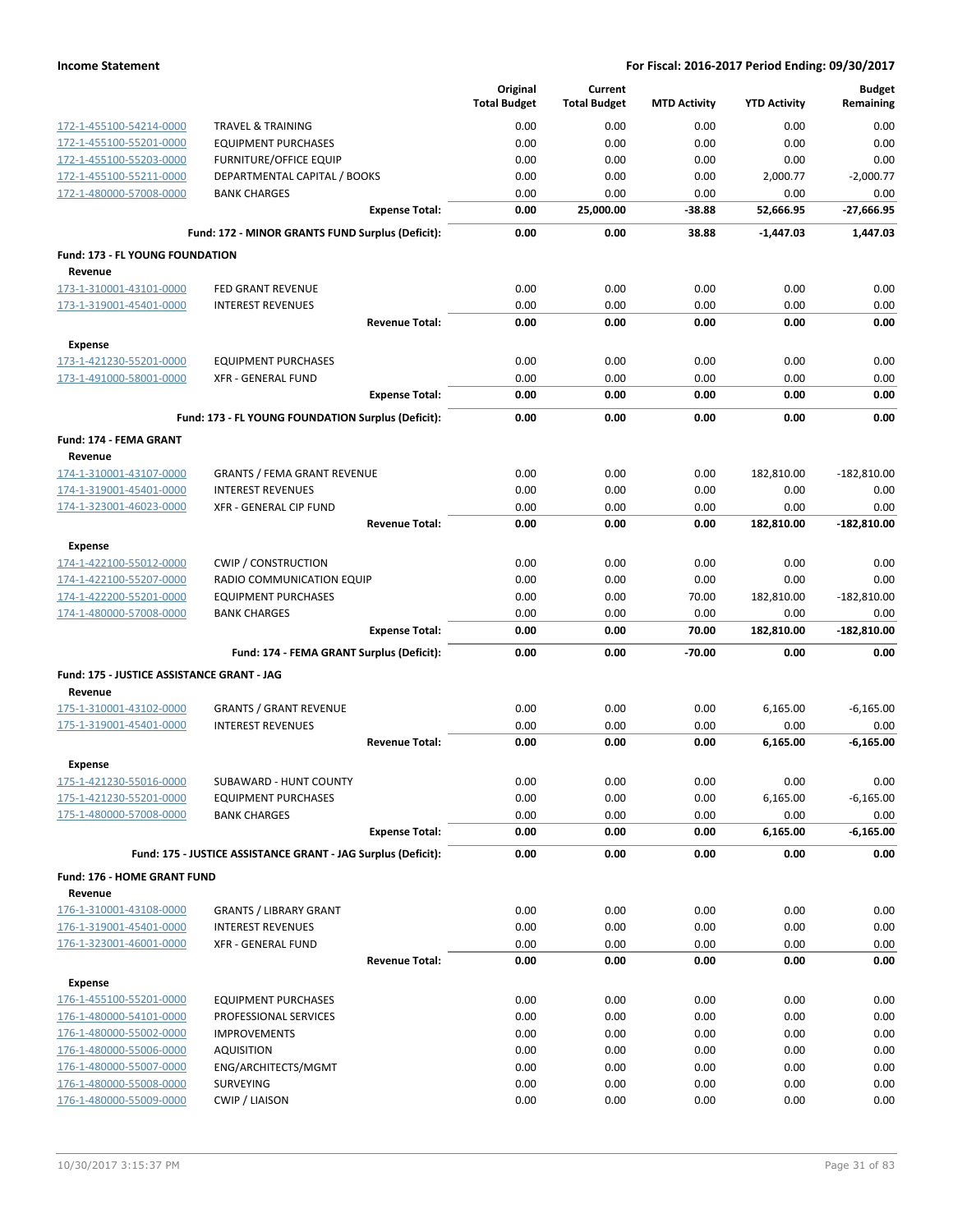|                                                    |                                                                | Original<br><b>Total Budget</b> | Current<br><b>Total Budget</b> | <b>MTD Activity</b> | <b>YTD Activity</b> | <b>Budget</b><br>Remaining |
|----------------------------------------------------|----------------------------------------------------------------|---------------------------------|--------------------------------|---------------------|---------------------|----------------------------|
| 172-1-455100-54214-0000                            | <b>TRAVEL &amp; TRAINING</b>                                   | 0.00                            | 0.00                           | 0.00                | 0.00                | 0.00                       |
| 172-1-455100-55201-0000                            | <b>EQUIPMENT PURCHASES</b>                                     | 0.00                            | 0.00                           | 0.00                | 0.00                | 0.00                       |
| 172-1-455100-55203-0000                            | <b>FURNITURE/OFFICE EQUIP</b>                                  | 0.00                            | 0.00                           | 0.00                | 0.00                | 0.00                       |
| 172-1-455100-55211-0000                            | DEPARTMENTAL CAPITAL / BOOKS                                   | 0.00                            | 0.00                           | 0.00                | 2,000.77            | $-2,000.77$                |
| 172-1-480000-57008-0000                            | <b>BANK CHARGES</b>                                            | 0.00                            | 0.00                           | 0.00                | 0.00                | 0.00                       |
|                                                    | <b>Expense Total:</b>                                          | 0.00                            | 25,000.00                      | $-38.88$            | 52,666.95           | $-27,666.95$               |
|                                                    | Fund: 172 - MINOR GRANTS FUND Surplus (Deficit):               | 0.00                            | 0.00                           | 38.88               | $-1,447.03$         | 1,447.03                   |
| Fund: 173 - FL YOUNG FOUNDATION                    |                                                                |                                 |                                |                     |                     |                            |
| Revenue<br>173-1-310001-43101-0000                 | FED GRANT REVENUE                                              | 0.00                            | 0.00                           | 0.00                | 0.00                | 0.00                       |
| 173-1-319001-45401-0000                            | <b>INTEREST REVENUES</b>                                       | 0.00                            | 0.00                           | 0.00                | 0.00                | 0.00                       |
|                                                    | <b>Revenue Total:</b>                                          | 0.00                            | 0.00                           | 0.00                | 0.00                | 0.00                       |
| <b>Expense</b>                                     |                                                                |                                 |                                |                     |                     |                            |
| 173-1-421230-55201-0000                            | <b>EQUIPMENT PURCHASES</b>                                     | 0.00                            | 0.00                           | 0.00                | 0.00                | 0.00                       |
| 173-1-491000-58001-0000                            | <b>XFR - GENERAL FUND</b>                                      | 0.00                            | 0.00                           | 0.00                | 0.00                | 0.00                       |
|                                                    | <b>Expense Total:</b>                                          | 0.00                            | 0.00                           | 0.00                | 0.00                | 0.00                       |
|                                                    | Fund: 173 - FL YOUNG FOUNDATION Surplus (Deficit):             | 0.00                            | 0.00                           | 0.00                | 0.00                | 0.00                       |
| Fund: 174 - FEMA GRANT                             |                                                                |                                 |                                |                     |                     |                            |
| Revenue                                            |                                                                |                                 |                                |                     |                     |                            |
| 174-1-310001-43107-0000                            | <b>GRANTS / FEMA GRANT REVENUE</b><br><b>INTEREST REVENUES</b> | 0.00<br>0.00                    | 0.00<br>0.00                   | 0.00<br>0.00        | 182,810.00<br>0.00  | $-182,810.00$<br>0.00      |
| 174-1-319001-45401-0000<br>174-1-323001-46023-0000 | XFR - GENERAL CIP FUND                                         | 0.00                            | 0.00                           | 0.00                | 0.00                | 0.00                       |
|                                                    | <b>Revenue Total:</b>                                          | 0.00                            | 0.00                           | 0.00                | 182,810.00          | $-182,810.00$              |
| <b>Expense</b>                                     |                                                                |                                 |                                |                     |                     |                            |
| 174-1-422100-55012-0000                            | <b>CWIP / CONSTRUCTION</b>                                     | 0.00                            | 0.00                           | 0.00                | 0.00                | 0.00                       |
| 174-1-422100-55207-0000                            | RADIO COMMUNICATION EQUIP                                      | 0.00                            | 0.00                           | 0.00                | 0.00                | 0.00                       |
| 174-1-422200-55201-0000                            | <b>EQUIPMENT PURCHASES</b>                                     | 0.00                            | 0.00                           | 70.00               | 182,810.00          | $-182,810.00$              |
| 174-1-480000-57008-0000                            | <b>BANK CHARGES</b>                                            | 0.00                            | 0.00                           | 0.00                | 0.00                | 0.00                       |
|                                                    | <b>Expense Total:</b>                                          | 0.00                            | 0.00                           | 70.00               | 182,810.00          | $-182,810.00$              |
|                                                    | Fund: 174 - FEMA GRANT Surplus (Deficit):                      | 0.00                            | 0.00                           | $-70.00$            | 0.00                | 0.00                       |
| Fund: 175 - JUSTICE ASSISTANCE GRANT - JAG         |                                                                |                                 |                                |                     |                     |                            |
| Revenue                                            |                                                                |                                 |                                |                     |                     |                            |
| 175-1-310001-43102-0000<br>175-1-319001-45401-0000 | <b>GRANTS / GRANT REVENUE</b><br><b>INTEREST REVENUES</b>      | 0.00<br>0.00                    | 0.00<br>0.00                   | 0.00<br>0.00        | 6,165.00<br>0.00    | $-6,165.00$<br>0.00        |
|                                                    | <b>Revenue Total:</b>                                          | 0.00                            | 0.00                           | 0.00                | 6,165.00            | $-6,165.00$                |
| <b>Expense</b>                                     |                                                                |                                 |                                |                     |                     |                            |
| 175-1-421230-55016-0000                            | SUBAWARD - HUNT COUNTY                                         | 0.00                            | 0.00                           | 0.00                | 0.00                | 0.00                       |
| 175-1-421230-55201-0000                            | <b>EQUIPMENT PURCHASES</b>                                     | 0.00                            | 0.00                           | 0.00                | 6,165.00            | $-6,165.00$                |
| 175-1-480000-57008-0000                            | <b>BANK CHARGES</b>                                            | 0.00                            | 0.00                           | 0.00                | 0.00                | 0.00                       |
|                                                    | <b>Expense Total:</b>                                          | 0.00                            | 0.00                           | 0.00                | 6,165.00            | $-6,165.00$                |
|                                                    | Fund: 175 - JUSTICE ASSISTANCE GRANT - JAG Surplus (Deficit):  | 0.00                            | 0.00                           | 0.00                | 0.00                | 0.00                       |
| Fund: 176 - HOME GRANT FUND                        |                                                                |                                 |                                |                     |                     |                            |
| Revenue                                            |                                                                |                                 |                                |                     |                     | 0.00                       |
| 176-1-310001-43108-0000<br>176-1-319001-45401-0000 | <b>GRANTS / LIBRARY GRANT</b><br><b>INTEREST REVENUES</b>      | 0.00<br>0.00                    | 0.00<br>0.00                   | 0.00<br>0.00        | 0.00<br>0.00        | 0.00                       |
| 176-1-323001-46001-0000                            | <b>XFR - GENERAL FUND</b>                                      | 0.00                            | 0.00                           | 0.00                | 0.00                | 0.00                       |
|                                                    | <b>Revenue Total:</b>                                          | 0.00                            | 0.00                           | 0.00                | 0.00                | 0.00                       |
| <b>Expense</b>                                     |                                                                |                                 |                                |                     |                     |                            |
| 176-1-455100-55201-0000                            | <b>EQUIPMENT PURCHASES</b>                                     | 0.00                            | 0.00                           | 0.00                | 0.00                | 0.00                       |
| 176-1-480000-54101-0000                            | PROFESSIONAL SERVICES                                          | 0.00                            | 0.00                           | 0.00                | 0.00                | 0.00                       |
| 176-1-480000-55002-0000                            | <b>IMPROVEMENTS</b>                                            | 0.00                            | 0.00                           | 0.00                | 0.00                | 0.00                       |
| 176-1-480000-55006-0000                            | <b>AQUISITION</b>                                              | 0.00                            | 0.00                           | 0.00                | 0.00                | 0.00                       |
| 176-1-480000-55007-0000                            | ENG/ARCHITECTS/MGMT                                            | 0.00                            | 0.00                           | 0.00                | 0.00                | 0.00                       |
| 176-1-480000-55008-0000                            | <b>SURVEYING</b>                                               | 0.00                            | 0.00                           | 0.00                | 0.00                | 0.00                       |
| 176-1-480000-55009-0000                            | <b>CWIP / LIAISON</b>                                          | 0.00                            | 0.00                           | 0.00                | 0.00                | 0.00                       |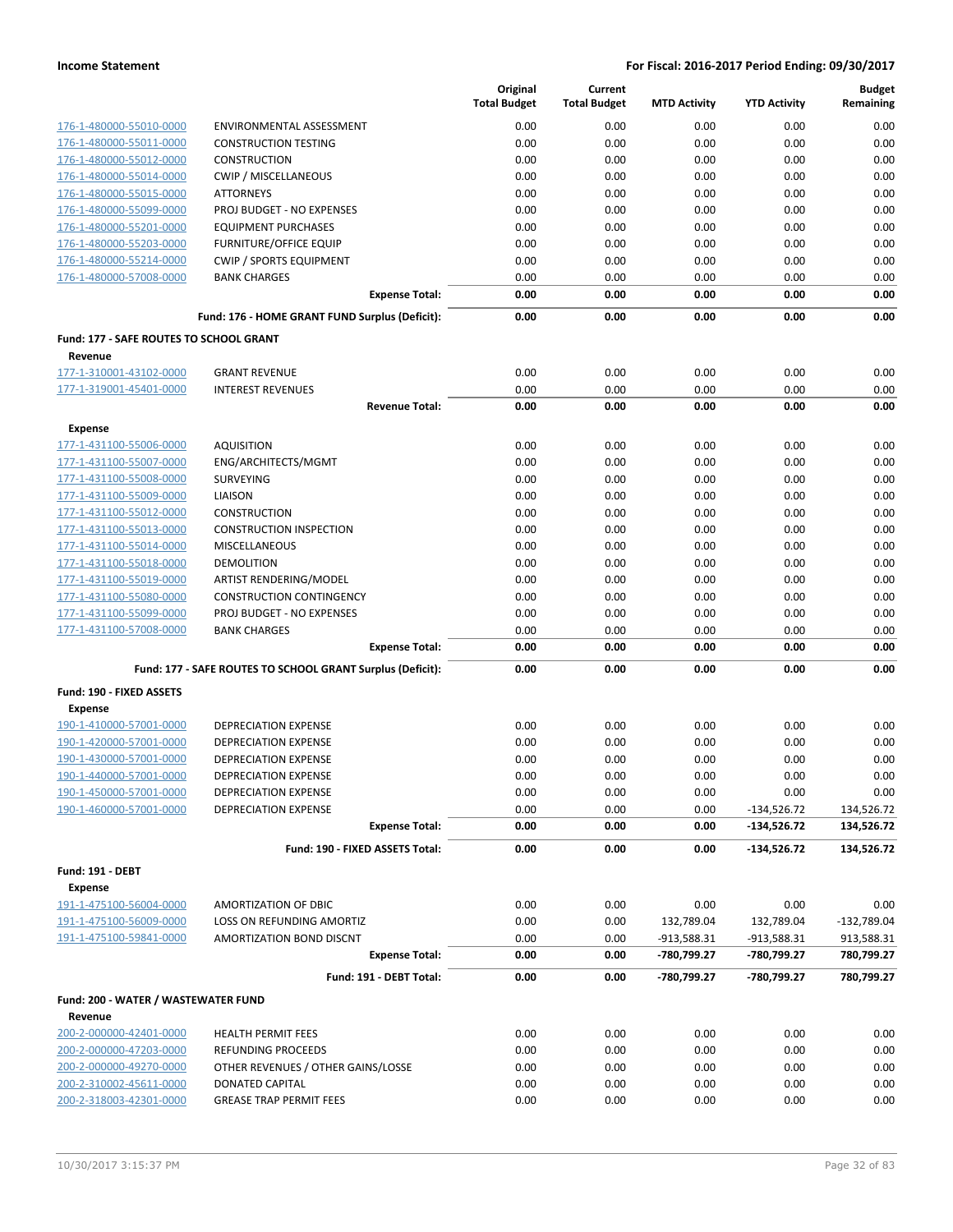|                                                |                                                            | Original<br><b>Total Budget</b> | Current<br><b>Total Budget</b> | <b>MTD Activity</b>        | <b>YTD Activity</b>        | <b>Budget</b><br>Remaining |
|------------------------------------------------|------------------------------------------------------------|---------------------------------|--------------------------------|----------------------------|----------------------------|----------------------------|
| 176-1-480000-55010-0000                        | ENVIRONMENTAL ASSESSMENT                                   | 0.00                            | 0.00                           | 0.00                       | 0.00                       | 0.00                       |
| 176-1-480000-55011-0000                        | <b>CONSTRUCTION TESTING</b>                                | 0.00                            | 0.00                           | 0.00                       | 0.00                       | 0.00                       |
| 176-1-480000-55012-0000                        | <b>CONSTRUCTION</b>                                        | 0.00                            | 0.00                           | 0.00                       | 0.00                       | 0.00                       |
| 176-1-480000-55014-0000                        | CWIP / MISCELLANEOUS                                       | 0.00                            | 0.00                           | 0.00                       | 0.00                       | 0.00                       |
| 176-1-480000-55015-0000                        | <b>ATTORNEYS</b>                                           | 0.00                            | 0.00                           | 0.00                       | 0.00                       | 0.00                       |
| 176-1-480000-55099-0000                        | PROJ BUDGET - NO EXPENSES                                  | 0.00                            | 0.00                           | 0.00                       | 0.00                       | 0.00                       |
| 176-1-480000-55201-0000                        | <b>EQUIPMENT PURCHASES</b>                                 | 0.00                            | 0.00                           | 0.00                       | 0.00                       | 0.00                       |
| 176-1-480000-55203-0000                        | <b>FURNITURE/OFFICE EQUIP</b>                              | 0.00                            | 0.00                           | 0.00                       | 0.00                       | 0.00                       |
| 176-1-480000-55214-0000                        | <b>CWIP / SPORTS EQUIPMENT</b>                             | 0.00                            | 0.00                           | 0.00                       | 0.00                       | 0.00                       |
| 176-1-480000-57008-0000                        | <b>BANK CHARGES</b>                                        | 0.00                            | 0.00                           | 0.00                       | 0.00                       | 0.00                       |
|                                                | <b>Expense Total:</b>                                      | 0.00                            | 0.00                           | 0.00                       | 0.00                       | 0.00                       |
|                                                | Fund: 176 - HOME GRANT FUND Surplus (Deficit):             | 0.00                            | 0.00                           | 0.00                       | 0.00                       | 0.00                       |
| Fund: 177 - SAFE ROUTES TO SCHOOL GRANT        |                                                            |                                 |                                |                            |                            |                            |
| Revenue                                        |                                                            |                                 |                                |                            |                            |                            |
| 177-1-310001-43102-0000                        | <b>GRANT REVENUE</b>                                       | 0.00                            | 0.00                           | 0.00                       | 0.00                       | 0.00                       |
| 177-1-319001-45401-0000                        | <b>INTEREST REVENUES</b><br><b>Revenue Total:</b>          | 0.00<br>0.00                    | 0.00<br>0.00                   | 0.00<br>0.00               | 0.00<br>0.00               | 0.00<br>0.00               |
| <b>Expense</b>                                 |                                                            |                                 |                                |                            |                            |                            |
| 177-1-431100-55006-0000                        | <b>AQUISITION</b>                                          | 0.00                            | 0.00                           | 0.00                       | 0.00                       | 0.00                       |
| 177-1-431100-55007-0000                        | ENG/ARCHITECTS/MGMT                                        | 0.00                            | 0.00                           | 0.00                       | 0.00                       | 0.00                       |
| 177-1-431100-55008-0000                        | <b>SURVEYING</b>                                           | 0.00                            | 0.00                           | 0.00                       | 0.00                       | 0.00                       |
| 177-1-431100-55009-0000                        | LIAISON                                                    | 0.00                            | 0.00                           | 0.00                       | 0.00                       | 0.00                       |
| 177-1-431100-55012-0000                        | <b>CONSTRUCTION</b>                                        | 0.00                            | 0.00                           | 0.00                       | 0.00                       | 0.00                       |
| 177-1-431100-55013-0000                        | <b>CONSTRUCTION INSPECTION</b>                             | 0.00                            | 0.00                           | 0.00                       | 0.00                       | 0.00                       |
| 177-1-431100-55014-0000                        | <b>MISCELLANEOUS</b>                                       | 0.00                            | 0.00                           | 0.00                       | 0.00                       | 0.00                       |
| 177-1-431100-55018-0000                        | <b>DEMOLITION</b>                                          | 0.00                            | 0.00                           | 0.00                       | 0.00                       | 0.00                       |
| 177-1-431100-55019-0000                        | ARTIST RENDERING/MODEL                                     | 0.00                            | 0.00                           | 0.00                       | 0.00                       | 0.00                       |
| 177-1-431100-55080-0000                        | <b>CONSTRUCTION CONTINGENCY</b>                            | 0.00                            | 0.00                           | 0.00                       | 0.00                       | 0.00                       |
| 177-1-431100-55099-0000                        | PROJ BUDGET - NO EXPENSES                                  | 0.00                            | 0.00                           | 0.00                       | 0.00                       | 0.00                       |
| 177-1-431100-57008-0000                        | <b>BANK CHARGES</b>                                        | 0.00                            | 0.00                           | 0.00                       | 0.00                       | 0.00                       |
|                                                | <b>Expense Total:</b>                                      | 0.00                            | 0.00                           | 0.00                       | 0.00                       | 0.00                       |
|                                                | Fund: 177 - SAFE ROUTES TO SCHOOL GRANT Surplus (Deficit): | 0.00                            | 0.00                           | 0.00                       | 0.00                       | 0.00                       |
| Fund: 190 - FIXED ASSETS                       |                                                            |                                 |                                |                            |                            |                            |
| <b>Expense</b>                                 |                                                            |                                 |                                |                            |                            |                            |
| 190-1-410000-57001-0000                        | <b>DEPRECIATION EXPENSE</b>                                | 0.00                            | 0.00                           | 0.00                       | 0.00                       | 0.00                       |
| 190-1-420000-57001-0000                        | <b>DEPRECIATION EXPENSE</b>                                | 0.00                            | 0.00                           | 0.00                       | 0.00                       | 0.00                       |
| 190-1-430000-57001-0000                        | <b>DEPRECIATION EXPENSE</b>                                | 0.00                            | 0.00                           | 0.00                       | 0.00                       | 0.00                       |
| 190-1-440000-57001-0000                        | <b>DEPRECIATION EXPENSE</b>                                | 0.00                            | 0.00                           | 0.00                       | 0.00                       | 0.00                       |
| 190-1-450000-57001-0000                        | <b>DEPRECIATION EXPENSE</b>                                | 0.00                            | 0.00                           | 0.00                       | 0.00                       | 0.00                       |
| 190-1-460000-57001-0000                        | DEPRECIATION EXPENSE                                       | 0.00                            | 0.00                           | 0.00                       | $-134,526.72$              | 134,526.72                 |
|                                                | <b>Expense Total:</b>                                      | 0.00                            | 0.00                           | 0.00                       | -134,526.72                | 134,526.72                 |
|                                                | Fund: 190 - FIXED ASSETS Total:                            | 0.00                            | 0.00                           | 0.00                       | $-134,526.72$              | 134,526.72                 |
| <b>Fund: 191 - DEBT</b>                        |                                                            |                                 |                                |                            |                            |                            |
| <b>Expense</b>                                 |                                                            |                                 |                                |                            |                            |                            |
| 191-1-475100-56004-0000                        | AMORTIZATION OF DBIC<br>LOSS ON REFUNDING AMORTIZ          | 0.00                            | 0.00                           | 0.00                       | 0.00                       | 0.00                       |
| 191-1-475100-56009-0000                        | AMORTIZATION BOND DISCNT                                   | 0.00                            | 0.00                           | 132,789.04                 | 132,789.04                 | $-132,789.04$              |
| 191-1-475100-59841-0000                        | <b>Expense Total:</b>                                      | 0.00<br>0.00                    | 0.00<br>0.00                   | -913,588.31<br>-780,799.27 | -913,588.31<br>-780,799.27 | 913,588.31<br>780,799.27   |
|                                                | Fund: 191 - DEBT Total:                                    | 0.00                            | 0.00                           | -780,799.27                | -780,799.27                | 780,799.27                 |
|                                                |                                                            |                                 |                                |                            |                            |                            |
| Fund: 200 - WATER / WASTEWATER FUND<br>Revenue |                                                            |                                 |                                |                            |                            |                            |
| 200-2-000000-42401-0000                        | <b>HEALTH PERMIT FEES</b>                                  | 0.00                            | 0.00                           | 0.00                       | 0.00                       | 0.00                       |
| 200-2-000000-47203-0000                        | <b>REFUNDING PROCEEDS</b>                                  | 0.00                            | 0.00                           | 0.00                       | 0.00                       | 0.00                       |
| 200-2-000000-49270-0000                        | OTHER REVENUES / OTHER GAINS/LOSSE                         | 0.00                            | 0.00                           | 0.00                       | 0.00                       | 0.00                       |
| 200-2-310002-45611-0000                        | <b>DONATED CAPITAL</b>                                     | 0.00                            | 0.00                           | 0.00                       | 0.00                       | 0.00                       |
| 200-2-318003-42301-0000                        | <b>GREASE TRAP PERMIT FEES</b>                             | 0.00                            | 0.00                           | 0.00                       | 0.00                       | 0.00                       |
|                                                |                                                            |                                 |                                |                            |                            |                            |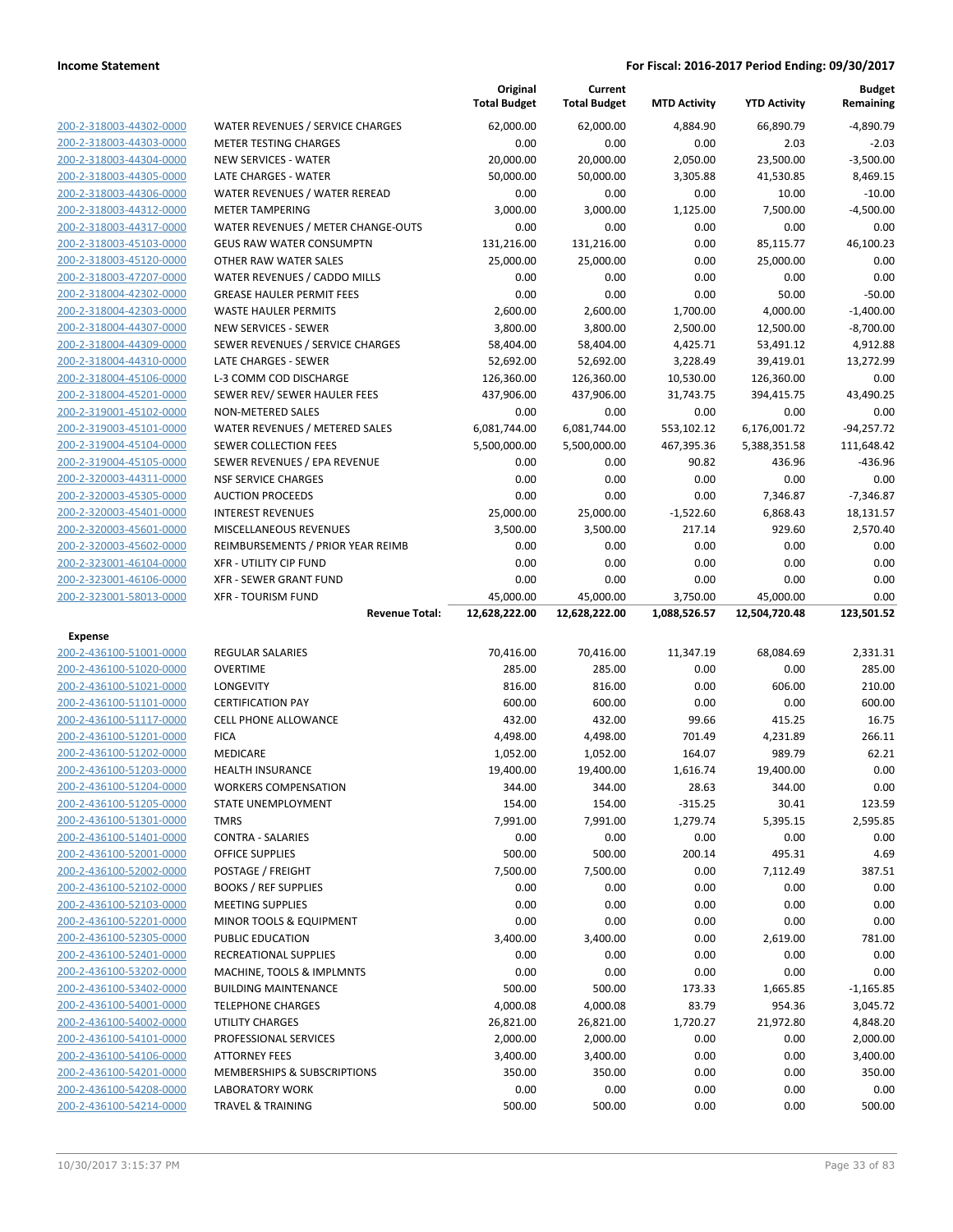|                                                    |                                                    | Original<br><b>Total Budget</b> | Current<br><b>Total Budget</b> | <b>MTD Activity</b> | <b>YTD Activity</b> | <b>Budget</b><br>Remaining |
|----------------------------------------------------|----------------------------------------------------|---------------------------------|--------------------------------|---------------------|---------------------|----------------------------|
| 200-2-318003-44302-0000                            | <b>WATER REVENUES / SERVICE CHARGES</b>            | 62,000.00                       | 62,000.00                      | 4,884.90            | 66,890.79           | $-4.890.79$                |
| 200-2-318003-44303-0000                            | <b>METER TESTING CHARGES</b>                       | 0.00                            | 0.00                           | 0.00                | 2.03                | $-2.03$                    |
| 200-2-318003-44304-0000                            | <b>NEW SERVICES - WATER</b>                        | 20,000.00                       | 20,000.00                      | 2,050.00            | 23,500.00           | $-3,500.00$                |
| 200-2-318003-44305-0000                            | LATE CHARGES - WATER                               | 50,000.00                       | 50,000.00                      | 3,305.88            | 41,530.85           | 8,469.15                   |
| 200-2-318003-44306-0000                            | WATER REVENUES / WATER REREAD                      | 0.00                            | 0.00                           | 0.00                | 10.00               | $-10.00$                   |
| 200-2-318003-44312-0000                            | <b>METER TAMPERING</b>                             | 3,000.00                        | 3,000.00                       | 1,125.00            | 7,500.00            | $-4,500.00$                |
| 200-2-318003-44317-0000                            | WATER REVENUES / METER CHANGE-OUTS                 | 0.00                            | 0.00                           | 0.00                | 0.00                | 0.00                       |
| 200-2-318003-45103-0000                            | <b>GEUS RAW WATER CONSUMPTN</b>                    | 131,216.00                      | 131,216.00                     | 0.00                | 85,115.77           | 46,100.23                  |
| 200-2-318003-45120-0000                            | OTHER RAW WATER SALES                              | 25,000.00                       | 25,000.00                      | 0.00                | 25,000.00           | 0.00                       |
| 200-2-318003-47207-0000                            | WATER REVENUES / CADDO MILLS                       | 0.00                            | 0.00                           | 0.00                | 0.00                | 0.00                       |
| 200-2-318004-42302-0000                            | <b>GREASE HAULER PERMIT FEES</b>                   | 0.00                            | 0.00                           | 0.00                | 50.00               | $-50.00$                   |
| 200-2-318004-42303-0000                            | <b>WASTE HAULER PERMITS</b>                        | 2,600.00                        | 2,600.00                       | 1,700.00            | 4,000.00            | $-1,400.00$                |
| 200-2-318004-44307-0000                            | <b>NEW SERVICES - SEWER</b>                        | 3,800.00                        | 3,800.00                       | 2,500.00            | 12,500.00           | $-8,700.00$                |
| 200-2-318004-44309-0000                            | SEWER REVENUES / SERVICE CHARGES                   | 58,404.00                       | 58,404.00                      | 4,425.71            | 53,491.12           | 4,912.88                   |
| 200-2-318004-44310-0000                            | LATE CHARGES - SEWER                               | 52,692.00                       | 52,692.00                      | 3,228.49            | 39,419.01           | 13,272.99                  |
| 200-2-318004-45106-0000                            | L-3 COMM COD DISCHARGE                             | 126,360.00                      | 126,360.00                     | 10,530.00           | 126,360.00          | 0.00                       |
| 200-2-318004-45201-0000                            | SEWER REV/ SEWER HAULER FEES                       | 437,906.00                      | 437,906.00                     | 31,743.75           | 394,415.75          | 43,490.25                  |
| 200-2-319001-45102-0000                            | NON-METERED SALES                                  | 0.00                            | 0.00                           | 0.00                | 0.00                | 0.00                       |
| 200-2-319003-45101-0000                            | WATER REVENUES / METERED SALES                     | 6,081,744.00                    | 6,081,744.00                   | 553,102.12          | 6,176,001.72        | $-94,257.72$               |
| 200-2-319004-45104-0000                            | SEWER COLLECTION FEES                              | 5,500,000.00                    | 5,500,000.00                   | 467,395.36          | 5,388,351.58        | 111,648.42                 |
| 200-2-319004-45105-0000                            | SEWER REVENUES / EPA REVENUE                       | 0.00                            | 0.00                           | 90.82               | 436.96              | $-436.96$                  |
| 200-2-320003-44311-0000                            | <b>NSF SERVICE CHARGES</b>                         | 0.00                            | 0.00                           | 0.00                | 0.00                | 0.00                       |
| 200-2-320003-45305-0000                            | <b>AUCTION PROCEEDS</b>                            | 0.00                            | 0.00                           | 0.00                | 7,346.87            | $-7,346.87$                |
| 200-2-320003-45401-0000                            | <b>INTEREST REVENUES</b>                           | 25,000.00                       | 25,000.00                      | $-1,522.60$         | 6,868.43            | 18,131.57                  |
| 200-2-320003-45601-0000                            | MISCELLANEOUS REVENUES                             | 3,500.00                        | 3,500.00                       | 217.14              | 929.60              | 2,570.40                   |
| 200-2-320003-45602-0000                            | REIMBURSEMENTS / PRIOR YEAR REIMB                  | 0.00                            | 0.00                           | 0.00                | 0.00                | 0.00                       |
| 200-2-323001-46104-0000                            | <b>XFR - UTILITY CIP FUND</b>                      | 0.00                            | 0.00                           | 0.00                | 0.00                | 0.00                       |
| 200-2-323001-46106-0000                            | <b>XFR - SEWER GRANT FUND</b>                      | 0.00                            | 0.00                           | 0.00                | 0.00                | 0.00                       |
| 200-2-323001-58013-0000                            | <b>XFR - TOURISM FUND</b>                          | 45,000.00                       | 45,000.00                      | 3,750.00            | 45,000.00           | 0.00                       |
|                                                    |                                                    |                                 |                                |                     |                     |                            |
|                                                    | <b>Revenue Total:</b>                              | 12,628,222.00                   | 12,628,222.00                  | 1,088,526.57        | 12,504,720.48       | 123,501.52                 |
| <b>Expense</b>                                     |                                                    |                                 |                                |                     |                     |                            |
| 200-2-436100-51001-0000                            | <b>REGULAR SALARIES</b>                            | 70,416.00                       | 70,416.00                      | 11,347.19           | 68,084.69           | 2,331.31                   |
| 200-2-436100-51020-0000                            | <b>OVERTIME</b>                                    | 285.00                          | 285.00                         | 0.00                | 0.00                | 285.00                     |
| 200-2-436100-51021-0000                            | <b>LONGEVITY</b>                                   | 816.00                          | 816.00                         | 0.00                | 606.00              | 210.00                     |
| 200-2-436100-51101-0000                            | <b>CERTIFICATION PAY</b>                           | 600.00                          | 600.00                         | 0.00                | 0.00                | 600.00                     |
| 200-2-436100-51117-0000                            | <b>CELL PHONE ALLOWANCE</b>                        | 432.00                          | 432.00                         | 99.66               | 415.25              | 16.75                      |
| 200-2-436100-51201-0000                            | <b>FICA</b>                                        | 4,498.00                        | 4,498.00                       | 701.49              | 4,231.89            | 266.11                     |
| 200-2-436100-51202-0000                            | MEDICARE                                           | 1,052.00                        | 1,052.00                       | 164.07              | 989.79              | 62.21                      |
| 200-2-436100-51203-0000                            | <b>HEALTH INSURANCE</b>                            | 19,400.00                       | 19,400.00                      | 1,616.74            | 19,400.00           | 0.00                       |
| 200-2-436100-51204-0000                            | <b>WORKERS COMPENSATION</b>                        | 344.00                          | 344.00                         | 28.63               | 344.00              | 0.00                       |
| 200-2-436100-51205-0000                            | STATE UNEMPLOYMENT                                 | 154.00                          | 154.00                         | $-315.25$           | 30.41               | 123.59                     |
| 200-2-436100-51301-0000                            | <b>TMRS</b>                                        | 7,991.00                        | 7,991.00                       | 1,279.74            | 5,395.15            | 2,595.85                   |
| 200-2-436100-51401-0000                            | <b>CONTRA - SALARIES</b>                           | 0.00                            | 0.00                           | 0.00                | 0.00                | 0.00                       |
| 200-2-436100-52001-0000                            | <b>OFFICE SUPPLIES</b>                             | 500.00                          | 500.00                         | 200.14              | 495.31              | 4.69                       |
| 200-2-436100-52002-0000                            | POSTAGE / FREIGHT                                  | 7,500.00                        | 7,500.00                       | 0.00                | 7,112.49            | 387.51                     |
| 200-2-436100-52102-0000                            | <b>BOOKS / REF SUPPLIES</b>                        | 0.00                            | 0.00                           | 0.00                | 0.00                | 0.00                       |
| 200-2-436100-52103-0000                            | <b>MEETING SUPPLIES</b>                            | 0.00                            | 0.00                           | 0.00                | 0.00                | 0.00                       |
| 200-2-436100-52201-0000                            | MINOR TOOLS & EQUIPMENT                            | 0.00                            | 0.00                           | 0.00                | 0.00                | 0.00                       |
| 200-2-436100-52305-0000                            | PUBLIC EDUCATION                                   | 3,400.00                        | 3,400.00                       | 0.00                | 2,619.00            | 781.00                     |
| 200-2-436100-52401-0000<br>200-2-436100-53202-0000 | RECREATIONAL SUPPLIES<br>MACHINE, TOOLS & IMPLMNTS | 0.00<br>0.00                    | 0.00<br>0.00                   | 0.00<br>0.00        | 0.00<br>0.00        | 0.00<br>0.00               |
| 200-2-436100-53402-0000                            | <b>BUILDING MAINTENANCE</b>                        | 500.00                          | 500.00                         | 173.33              | 1,665.85            | $-1,165.85$                |
| 200-2-436100-54001-0000                            | <b>TELEPHONE CHARGES</b>                           | 4,000.08                        | 4,000.08                       | 83.79               | 954.36              | 3,045.72                   |
| 200-2-436100-54002-0000                            | UTILITY CHARGES                                    | 26,821.00                       | 26,821.00                      | 1,720.27            | 21,972.80           | 4,848.20                   |
| 200-2-436100-54101-0000                            | PROFESSIONAL SERVICES                              | 2,000.00                        | 2,000.00                       | 0.00                | 0.00                | 2,000.00                   |
| 200-2-436100-54106-0000                            | <b>ATTORNEY FEES</b>                               | 3,400.00                        | 3,400.00                       | 0.00                | 0.00                | 3,400.00                   |
| 200-2-436100-54201-0000                            | MEMBERSHIPS & SUBSCRIPTIONS                        | 350.00                          | 350.00                         | 0.00                | 0.00                | 350.00                     |
| 200-2-436100-54208-0000                            | LABORATORY WORK                                    | 0.00                            | 0.00                           | 0.00                | 0.00                | 0.00                       |
| 200-2-436100-54214-0000                            | <b>TRAVEL &amp; TRAINING</b>                       | 500.00                          | 500.00                         | 0.00                | 0.00                | 500.00                     |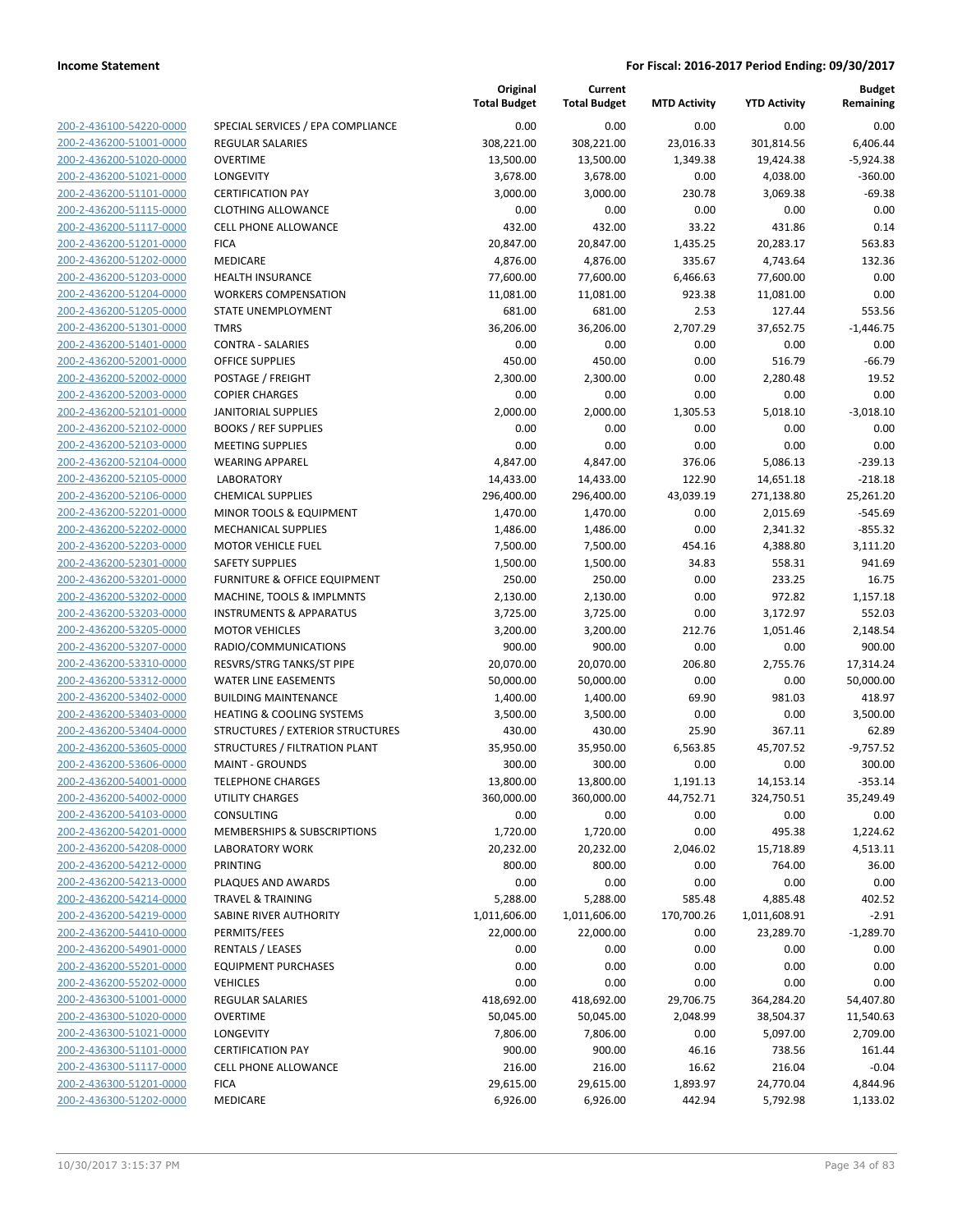|                                                    |                                        | Original<br><b>Total Budget</b> | Current<br><b>Total Budget</b> | <b>MTD Activity</b>   | <b>YTD Activity</b> | <b>Budget</b><br>Remaining |
|----------------------------------------------------|----------------------------------------|---------------------------------|--------------------------------|-----------------------|---------------------|----------------------------|
| 200-2-436100-54220-0000                            | SPECIAL SERVICES / EPA COMPLIANCE      | 0.00                            | 0.00                           | 0.00                  | 0.00                | 0.00                       |
| 200-2-436200-51001-0000                            | <b>REGULAR SALARIES</b>                | 308,221.00                      | 308,221.00                     | 23,016.33             | 301,814.56          | 6,406.44                   |
| 200-2-436200-51020-0000                            | <b>OVERTIME</b>                        | 13,500.00                       | 13,500.00                      | 1,349.38              | 19,424.38           | $-5,924.38$                |
| 200-2-436200-51021-0000                            | LONGEVITY                              | 3,678.00                        | 3,678.00                       | 0.00                  | 4,038.00            | $-360.00$                  |
| 200-2-436200-51101-0000                            | <b>CERTIFICATION PAY</b>               | 3,000.00                        | 3,000.00                       | 230.78                | 3,069.38            | $-69.38$                   |
| 200-2-436200-51115-0000                            | <b>CLOTHING ALLOWANCE</b>              | 0.00                            | 0.00                           | 0.00                  | 0.00                | 0.00                       |
| 200-2-436200-51117-0000                            | <b>CELL PHONE ALLOWANCE</b>            | 432.00                          | 432.00                         | 33.22                 | 431.86              | 0.14                       |
| 200-2-436200-51201-0000                            | <b>FICA</b>                            | 20,847.00                       | 20,847.00                      | 1,435.25              | 20,283.17           | 563.83                     |
| 200-2-436200-51202-0000                            | MEDICARE                               | 4,876.00                        | 4,876.00                       | 335.67                | 4,743.64            | 132.36                     |
| 200-2-436200-51203-0000                            | <b>HEALTH INSURANCE</b>                | 77,600.00                       | 77,600.00                      | 6,466.63              | 77,600.00           | 0.00                       |
| 200-2-436200-51204-0000                            | <b>WORKERS COMPENSATION</b>            | 11,081.00                       | 11,081.00                      | 923.38                | 11,081.00           | 0.00                       |
| 200-2-436200-51205-0000                            | STATE UNEMPLOYMENT                     | 681.00                          | 681.00                         | 2.53                  | 127.44              | 553.56                     |
| 200-2-436200-51301-0000                            | <b>TMRS</b>                            | 36,206.00                       | 36,206.00                      | 2,707.29              | 37,652.75           | $-1,446.75$                |
| 200-2-436200-51401-0000                            | <b>CONTRA - SALARIES</b>               | 0.00                            | 0.00                           | 0.00                  | 0.00                | 0.00                       |
| 200-2-436200-52001-0000                            | OFFICE SUPPLIES                        | 450.00                          | 450.00                         | 0.00                  | 516.79              | $-66.79$                   |
| 200-2-436200-52002-0000                            | POSTAGE / FREIGHT                      | 2,300.00                        | 2,300.00                       | 0.00                  | 2,280.48            | 19.52                      |
| 200-2-436200-52003-0000                            | <b>COPIER CHARGES</b>                  | 0.00                            | 0.00                           | 0.00                  | 0.00                | 0.00                       |
| 200-2-436200-52101-0000                            | <b>JANITORIAL SUPPLIES</b>             | 2,000.00                        | 2,000.00                       | 1,305.53              | 5,018.10            | $-3,018.10$                |
| 200-2-436200-52102-0000                            | <b>BOOKS / REF SUPPLIES</b>            | 0.00                            | 0.00                           | 0.00                  | 0.00                | 0.00                       |
| 200-2-436200-52103-0000                            | <b>MEETING SUPPLIES</b>                | 0.00                            | 0.00                           | 0.00                  | 0.00                | 0.00                       |
| 200-2-436200-52104-0000                            | <b>WEARING APPAREL</b>                 | 4,847.00                        | 4,847.00                       | 376.06                | 5,086.13            | $-239.13$                  |
| 200-2-436200-52105-0000                            | <b>LABORATORY</b>                      | 14,433.00                       | 14,433.00                      | 122.90                | 14,651.18           | $-218.18$                  |
| 200-2-436200-52106-0000                            | <b>CHEMICAL SUPPLIES</b>               | 296,400.00                      | 296,400.00                     | 43,039.19             | 271,138.80          | 25,261.20                  |
| 200-2-436200-52201-0000                            | MINOR TOOLS & EQUIPMENT                | 1,470.00                        | 1,470.00                       | 0.00                  | 2,015.69            | $-545.69$                  |
| 200-2-436200-52202-0000                            | MECHANICAL SUPPLIES                    | 1,486.00                        | 1,486.00                       | 0.00                  | 2,341.32            | $-855.32$                  |
| 200-2-436200-52203-0000                            | <b>MOTOR VEHICLE FUEL</b>              | 7,500.00                        | 7,500.00                       | 454.16                | 4,388.80            | 3,111.20                   |
| 200-2-436200-52301-0000                            | <b>SAFETY SUPPLIES</b>                 | 1,500.00                        | 1,500.00                       | 34.83                 | 558.31              | 941.69                     |
| 200-2-436200-53201-0000                            | FURNITURE & OFFICE EQUIPMENT           | 250.00                          | 250.00                         | 0.00                  | 233.25              | 16.75                      |
| 200-2-436200-53202-0000                            | MACHINE, TOOLS & IMPLMNTS              | 2,130.00                        | 2,130.00                       | 0.00                  | 972.82              | 1,157.18                   |
| 200-2-436200-53203-0000                            | <b>INSTRUMENTS &amp; APPARATUS</b>     | 3,725.00                        | 3,725.00                       | 0.00                  | 3,172.97            | 552.03                     |
| 200-2-436200-53205-0000                            | <b>MOTOR VEHICLES</b>                  | 3,200.00                        | 3,200.00                       | 212.76                | 1,051.46            | 2,148.54                   |
| 200-2-436200-53207-0000                            | RADIO/COMMUNICATIONS                   | 900.00                          | 900.00                         | 0.00                  | 0.00                | 900.00                     |
| 200-2-436200-53310-0000                            | RESVRS/STRG TANKS/ST PIPE              | 20,070.00                       | 20,070.00                      | 206.80                | 2,755.76            | 17,314.24                  |
| 200-2-436200-53312-0000                            | WATER LINE EASEMENTS                   | 50,000.00                       | 50,000.00                      | 0.00                  | 0.00                | 50,000.00                  |
| 200-2-436200-53402-0000                            | <b>BUILDING MAINTENANCE</b>            | 1,400.00                        | 1,400.00                       | 69.90                 | 981.03              | 418.97                     |
| 200-2-436200-53403-0000                            | HEATING & COOLING SYSTEMS              | 3,500.00                        | 3,500.00                       | 0.00                  | 0.00                | 3,500.00                   |
| 200-2-436200-53404-0000                            | STRUCTURES / EXTERIOR STRUCTURES       | 430.00                          | 430.00                         | 25.90                 | 367.11              | 62.89                      |
| 200-2-436200-53605-0000                            | STRUCTURES / FILTRATION PLANT          | 35,950.00                       | 35,950.00                      | 6,563.85              | 45,707.52           | $-9,757.52$                |
| 200-2-436200-53606-0000                            | <b>MAINT - GROUNDS</b>                 | 300.00                          | 300.00                         | 0.00                  | 0.00                | 300.00                     |
| 200-2-436200-54001-0000                            | <b>TELEPHONE CHARGES</b>               | 13,800.00                       | 13,800.00                      | 1,191.13<br>44,752.71 | 14,153.14           | $-353.14$<br>35,249.49     |
| 200-2-436200-54002-0000<br>200-2-436200-54103-0000 | UTILITY CHARGES<br><b>CONSULTING</b>   | 360,000.00<br>0.00              | 360,000.00                     | 0.00                  | 324,750.51          | 0.00                       |
| 200-2-436200-54201-0000                            | <b>MEMBERSHIPS &amp; SUBSCRIPTIONS</b> | 1,720.00                        | 0.00                           | 0.00                  | 0.00<br>495.38      |                            |
| 200-2-436200-54208-0000                            | <b>LABORATORY WORK</b>                 | 20,232.00                       | 1,720.00<br>20,232.00          | 2,046.02              | 15,718.89           | 1,224.62<br>4,513.11       |
| 200-2-436200-54212-0000                            | <b>PRINTING</b>                        | 800.00                          | 800.00                         | 0.00                  | 764.00              | 36.00                      |
| 200-2-436200-54213-0000                            | PLAQUES AND AWARDS                     | 0.00                            | 0.00                           | 0.00                  | 0.00                | 0.00                       |
| 200-2-436200-54214-0000                            | <b>TRAVEL &amp; TRAINING</b>           | 5,288.00                        | 5,288.00                       | 585.48                | 4,885.48            | 402.52                     |
| 200-2-436200-54219-0000                            | SABINE RIVER AUTHORITY                 | 1,011,606.00                    | 1,011,606.00                   | 170,700.26            | 1,011,608.91        | $-2.91$                    |
| 200-2-436200-54410-0000                            | PERMITS/FEES                           | 22,000.00                       | 22,000.00                      | 0.00                  | 23,289.70           | $-1,289.70$                |
| 200-2-436200-54901-0000                            | RENTALS / LEASES                       | 0.00                            | 0.00                           | 0.00                  | 0.00                | 0.00                       |
| 200-2-436200-55201-0000                            | <b>EQUIPMENT PURCHASES</b>             | 0.00                            | 0.00                           | 0.00                  | 0.00                | 0.00                       |
| 200-2-436200-55202-0000                            | <b>VEHICLES</b>                        | 0.00                            | 0.00                           | 0.00                  | 0.00                | 0.00                       |
| 200-2-436300-51001-0000                            | REGULAR SALARIES                       | 418,692.00                      | 418,692.00                     | 29,706.75             | 364,284.20          | 54,407.80                  |
| 200-2-436300-51020-0000                            | <b>OVERTIME</b>                        | 50,045.00                       | 50,045.00                      | 2,048.99              | 38,504.37           | 11,540.63                  |
| 200-2-436300-51021-0000                            | LONGEVITY                              | 7,806.00                        | 7,806.00                       | 0.00                  | 5,097.00            | 2,709.00                   |
| 200-2-436300-51101-0000                            | <b>CERTIFICATION PAY</b>               | 900.00                          | 900.00                         | 46.16                 | 738.56              | 161.44                     |
| 200-2-436300-51117-0000                            | <b>CELL PHONE ALLOWANCE</b>            | 216.00                          | 216.00                         | 16.62                 | 216.04              | $-0.04$                    |
| 200-2-436300-51201-0000                            | <b>FICA</b>                            | 29,615.00                       | 29,615.00                      | 1,893.97              | 24,770.04           | 4,844.96                   |
| 200-2-436300-51202-0000                            | MEDICARE                               | 6,926.00                        | 6,926.00                       | 442.94                | 5,792.98            | 1,133.02                   |
|                                                    |                                        |                                 |                                |                       |                     |                            |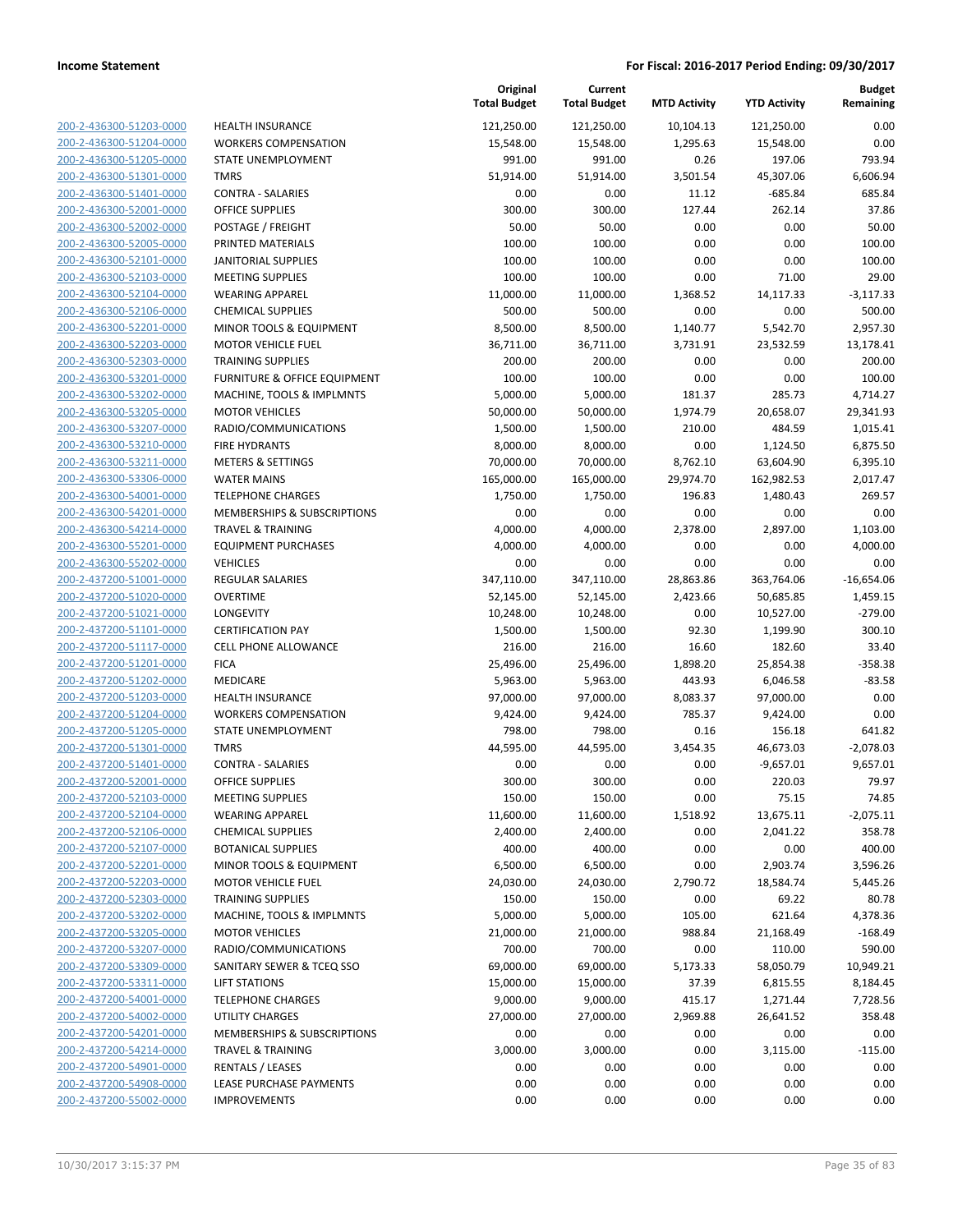| 200-2-436300-51203-0000                                   |
|-----------------------------------------------------------|
| 200-2-436300-51204-0000                                   |
| 200-2-436300-51205-0000                                   |
| <u>200-2-436300-51301-0000</u>                            |
| 200-2-436300-51401-0000                                   |
| 200-2-436300-52001-0000                                   |
| 200-2-436300-52002-0000                                   |
| 200-2-436300-52005-0000                                   |
|                                                           |
| <u>200-2-436300-52101-0000</u>                            |
| 200-2-436300-52103-0000                                   |
| 2-436300-52104-0000<br>200-                               |
| 200-2-436300-52106-0000                                   |
| 200-2-436300-52201-0000                                   |
| <u>200-2-436300-52203-0000</u>                            |
| 200-2-436300-52303-0000                                   |
| 2-436300-53201-0000<br>200-                               |
| 200-2-436300-53202-0000                                   |
| 200-2-436300-53205-0000                                   |
| <u>200-2-436300-53207-0000</u>                            |
| 200-2-436300-53210-0000                                   |
| 2-436300-53211-0000<br>200-                               |
|                                                           |
| 200-2-436300-53306-0000                                   |
| 200-2-436300-54001-0000                                   |
| <u>200-2-436300-54201-0000</u>                            |
| 200-2-436300-54214-0000                                   |
| 2-436300-55201-0000<br>200-                               |
| 200-2-436300-55202-0000                                   |
| 200-2-437200-51001-0000                                   |
| <u>200-2-437200-51020-0000</u>                            |
| 200-2-437200-51021-0000                                   |
| 2-437200-51101-0000<br>200-                               |
| 200-2-437200-51117-0000                                   |
| 200-2-437200-51201-0000                                   |
|                                                           |
| <u>200-2-437200-51202-0000</u>                            |
| 200-2-437200-51203-0000                                   |
| 200-2-437200-51204-0000                                   |
| 200-2-437200-51205-0000                                   |
| 200-2-437200-51301-0000                                   |
| <u>200-2-437200-51401-0000</u>                            |
| 200-2-437200-52001-0000                                   |
| 200-2-437200-52103-0000                                   |
| <u>200-2-437200-52104-0000</u>                            |
| 200-2-437200-52106-0000                                   |
| <u>200-2-437200-52107-0000</u>                            |
| 200-2-437200-52201-0000                                   |
| 200-2-437200-52203-0000                                   |
| 200-2-437200-52303-0000                                   |
|                                                           |
| 200-2-437200-53202-0000                                   |
| <u>200-2-437200-53205-0000</u>                            |
| 200-2-437200-53207-0000                                   |
| 200-2-437200-53309-0000                                   |
| 200-2-437200-53311-0000                                   |
| 200-2-437200-54001-0000                                   |
| <u>200-2-437200-54002-0000</u>                            |
| 200-2-437200-54201-0000                                   |
| 200-2-437200-54214-0000                                   |
| 200-2-437200-54901-0000                                   |
|                                                           |
|                                                           |
| 200-2-437200-54908-0000<br><u>200-2-437200-55002-0000</u> |

| IEALTH INSURANCE                              |
|-----------------------------------------------|
| <b>VORKERS COMPENSATION</b>                   |
| TATE UNEMPLOYMENT                             |
| <b>MRS</b>                                    |
| <b>CONTRA - SALARIES</b>                      |
| )FFICE SUPPLIES                               |
| 'OSTAGE / FREIGHT                             |
| RINTED MATERIALS                              |
| <b>ANITORIAL SUPPLIES</b>                     |
| <i><b>/IEETING SUPPLIES</b></i>               |
| VEARING APPAREL                               |
| <b>HEMICAL SUPPLIES</b>                       |
| <i><b>IINOR TOOLS &amp; EQUIPMENT</b></i>     |
| <b><i>AOTOR VEHICLE FUEL</i></b>              |
| RAINING SUPPLIES                              |
| URNITURE & OFFICE EQUIPMENT                   |
| AACHINE, TOOLS & IMPLMNTS                     |
| <b><i>AOTOR VEHICLES</i></b>                  |
| :ADIO/COMMUNICATIONS                          |
| <b>IRE HYDRANTS</b>                           |
| AETERS & SETTINGS                             |
| VATER MAINS                                   |
| <b>ELEPHONE CHARGES</b>                       |
| <b><i>MEMBERSHIPS &amp; SUBSCRIPTIONS</i></b> |
| <b>RAVEL &amp; TRAINING</b>                   |
| QUIPMENT PURCHASES                            |
| <b>EHICLES</b>                                |
| <b>EGULAR SALARIES</b>                        |
| )VERTIME                                      |
| ONGEVITY                                      |
| ERTIFICATION PAY                              |
| <b>ELL PHONE ALLOWANCE</b>                    |
| ICA                                           |
| <b>AEDICARE</b>                               |
| IEALTH INSURANCE                              |
| VORKERS COMPENSATION                          |
| <b>TATE UNEMPLOYMENT</b>                      |
| <b>MRS</b>                                    |
| <b>CONTRA - SALARIES</b>                      |
| <b>DEFICE SUPPLIES</b>                        |
| <b><i>MEETING SUPPLIES</i></b>                |
| VEARING APPAREL                               |
| <b>HEMICAL SUPPLIES</b>                       |
| <b>OTANICAL SUPPLIES</b>                      |
| AINOR TOOLS & EQUIPMENT                       |
| <i><b>IOTOR VEHICLE FUEL</b></i>              |
| RAINING SUPPLIES                              |
| <b><i>AACHINE, TOOLS &amp; IMPLMNTS</i></b>   |
| <b><i>AOTOR VEHICLES</i></b>                  |
| ADIO/COMMUNICATIONS                           |
| ANITARY SEWER & TCEQ SSO                      |
| <b>IFT STATIONS</b>                           |
| <b>ELEPHONE CHARGES</b>                       |
| <b>JTILITY CHARGES</b>                        |
| <b><i>MEMBERSHIPS &amp; SUBSCRIPTIONS</i></b> |
| <b>RAVEL &amp; TRAINING</b>                   |
| <b>ENTALS / LEASES</b>                        |
|                                               |

|                                                    |                                        | Original<br><b>Total Budget</b> | Current<br><b>Total Budget</b> | <b>MTD Activity</b> | <b>YTD Activity</b> | <b>Budget</b><br>Remaining |
|----------------------------------------------------|----------------------------------------|---------------------------------|--------------------------------|---------------------|---------------------|----------------------------|
| 200-2-436300-51203-0000                            | <b>HEALTH INSURANCE</b>                | 121,250.00                      | 121,250.00                     | 10,104.13           | 121,250.00          | 0.00                       |
| 200-2-436300-51204-0000                            | <b>WORKERS COMPENSATION</b>            | 15,548.00                       | 15,548.00                      | 1,295.63            | 15,548.00           | 0.00                       |
| 200-2-436300-51205-0000                            | STATE UNEMPLOYMENT                     | 991.00                          | 991.00                         | 0.26                | 197.06              | 793.94                     |
| 200-2-436300-51301-0000                            | <b>TMRS</b>                            | 51,914.00                       | 51,914.00                      | 3,501.54            | 45,307.06           | 6,606.94                   |
| 200-2-436300-51401-0000                            | <b>CONTRA - SALARIES</b>               | 0.00                            | 0.00                           | 11.12               | $-685.84$           | 685.84                     |
| 200-2-436300-52001-0000                            | <b>OFFICE SUPPLIES</b>                 | 300.00                          | 300.00                         | 127.44              | 262.14              | 37.86                      |
| 200-2-436300-52002-0000                            | POSTAGE / FREIGHT                      | 50.00                           | 50.00                          | 0.00                | 0.00                | 50.00                      |
| 200-2-436300-52005-0000                            | PRINTED MATERIALS                      | 100.00                          | 100.00                         | 0.00                | 0.00                | 100.00                     |
| 200-2-436300-52101-0000                            | <b>JANITORIAL SUPPLIES</b>             | 100.00                          | 100.00                         | 0.00                | 0.00                | 100.00                     |
| 200-2-436300-52103-0000                            | <b>MEETING SUPPLIES</b>                | 100.00                          | 100.00                         | 0.00                | 71.00               | 29.00                      |
| 200-2-436300-52104-0000                            | <b>WEARING APPAREL</b>                 | 11,000.00                       | 11,000.00                      | 1,368.52            | 14,117.33           | $-3,117.33$                |
| 200-2-436300-52106-0000                            | <b>CHEMICAL SUPPLIES</b>               | 500.00                          | 500.00                         | 0.00                | 0.00                | 500.00                     |
| 200-2-436300-52201-0000                            | MINOR TOOLS & EQUIPMENT                | 8,500.00                        | 8,500.00                       | 1,140.77            | 5,542.70            | 2,957.30                   |
| 200-2-436300-52203-0000                            | <b>MOTOR VEHICLE FUEL</b>              | 36,711.00                       | 36,711.00                      | 3,731.91            | 23,532.59           | 13,178.41                  |
| 200-2-436300-52303-0000                            | <b>TRAINING SUPPLIES</b>               | 200.00                          | 200.00                         | 0.00                | 0.00                | 200.00                     |
| 200-2-436300-53201-0000                            | FURNITURE & OFFICE EQUIPMENT           | 100.00                          | 100.00                         | 0.00                | 0.00                | 100.00                     |
| 200-2-436300-53202-0000                            | MACHINE, TOOLS & IMPLMNTS              | 5,000.00                        | 5,000.00                       | 181.37              | 285.73              | 4,714.27                   |
| 200-2-436300-53205-0000                            | <b>MOTOR VEHICLES</b>                  | 50,000.00                       | 50,000.00                      | 1,974.79            | 20,658.07           | 29,341.93                  |
| 200-2-436300-53207-0000                            | RADIO/COMMUNICATIONS                   | 1,500.00                        | 1,500.00                       | 210.00              | 484.59              | 1,015.41                   |
| 200-2-436300-53210-0000                            | <b>FIRE HYDRANTS</b>                   | 8,000.00                        | 8,000.00                       | 0.00                | 1,124.50            | 6,875.50                   |
| 200-2-436300-53211-0000                            | <b>METERS &amp; SETTINGS</b>           | 70,000.00                       | 70,000.00                      | 8,762.10            | 63,604.90           | 6,395.10                   |
| 200-2-436300-53306-0000                            | <b>WATER MAINS</b>                     | 165,000.00                      | 165,000.00                     | 29,974.70           | 162,982.53          | 2,017.47                   |
| 200-2-436300-54001-0000                            | <b>TELEPHONE CHARGES</b>               | 1,750.00                        | 1,750.00                       | 196.83              | 1,480.43            | 269.57                     |
| 200-2-436300-54201-0000                            | <b>MEMBERSHIPS &amp; SUBSCRIPTIONS</b> | 0.00                            | 0.00                           | 0.00                | 0.00                | 0.00                       |
| 200-2-436300-54214-0000                            | <b>TRAVEL &amp; TRAINING</b>           | 4,000.00                        | 4,000.00                       | 2,378.00            | 2,897.00            | 1,103.00                   |
| 200-2-436300-55201-0000                            | <b>EQUIPMENT PURCHASES</b>             | 4,000.00                        | 4,000.00                       | 0.00                | 0.00                | 4,000.00                   |
| 200-2-436300-55202-0000                            | <b>VEHICLES</b>                        | 0.00                            | 0.00                           | 0.00                | 0.00                | 0.00                       |
| 200-2-437200-51001-0000                            | <b>REGULAR SALARIES</b>                | 347,110.00                      | 347,110.00                     | 28,863.86           | 363,764.06          | $-16,654.06$               |
| 200-2-437200-51020-0000                            | <b>OVERTIME</b>                        | 52,145.00                       | 52,145.00                      | 2,423.66            | 50,685.85           | 1,459.15<br>$-279.00$      |
| 200-2-437200-51021-0000                            | LONGEVITY<br><b>CERTIFICATION PAY</b>  | 10,248.00                       | 10,248.00                      | 0.00<br>92.30       | 10,527.00           | 300.10                     |
| 200-2-437200-51101-0000<br>200-2-437200-51117-0000 | <b>CELL PHONE ALLOWANCE</b>            | 1,500.00<br>216.00              | 1,500.00<br>216.00             | 16.60               | 1,199.90<br>182.60  | 33.40                      |
| 200-2-437200-51201-0000                            | <b>FICA</b>                            | 25,496.00                       | 25,496.00                      | 1,898.20            | 25,854.38           | $-358.38$                  |
| 200-2-437200-51202-0000                            | MEDICARE                               | 5,963.00                        | 5,963.00                       | 443.93              | 6,046.58            | $-83.58$                   |
| 200-2-437200-51203-0000                            | <b>HEALTH INSURANCE</b>                | 97,000.00                       | 97,000.00                      | 8,083.37            | 97,000.00           | 0.00                       |
| 200-2-437200-51204-0000                            | <b>WORKERS COMPENSATION</b>            | 9,424.00                        | 9,424.00                       | 785.37              | 9,424.00            | 0.00                       |
| 200-2-437200-51205-0000                            | STATE UNEMPLOYMENT                     | 798.00                          | 798.00                         | 0.16                | 156.18              | 641.82                     |
| 200-2-437200-51301-0000                            | <b>TMRS</b>                            | 44,595.00                       | 44,595.00                      | 3,454.35            | 46,673.03           | $-2,078.03$                |
| 200-2-437200-51401-0000                            | <b>CONTRA - SALARIES</b>               | 0.00                            | 0.00                           | 0.00                | $-9,657.01$         | 9,657.01                   |
| 200-2-437200-52001-0000                            | <b>OFFICE SUPPLIES</b>                 | 300.00                          | 300.00                         | 0.00                | 220.03              | 79.97                      |
| 200-2-437200-52103-0000                            | <b>MEETING SUPPLIES</b>                | 150.00                          | 150.00                         | 0.00                | 75.15               | 74.85                      |
| 200-2-437200-52104-0000                            | <b>WEARING APPAREL</b>                 | 11,600.00                       | 11,600.00                      | 1,518.92            | 13,675.11           | $-2,075.11$                |
| 200-2-437200-52106-0000                            | <b>CHEMICAL SUPPLIES</b>               | 2,400.00                        | 2,400.00                       | 0.00                | 2,041.22            | 358.78                     |
| 200-2-437200-52107-0000                            | <b>BOTANICAL SUPPLIES</b>              | 400.00                          | 400.00                         | 0.00                | 0.00                | 400.00                     |
| 200-2-437200-52201-0000                            | MINOR TOOLS & EQUIPMENT                | 6,500.00                        | 6,500.00                       | 0.00                | 2,903.74            | 3,596.26                   |
| 200-2-437200-52203-0000                            | <b>MOTOR VEHICLE FUEL</b>              | 24,030.00                       | 24,030.00                      | 2,790.72            | 18,584.74           | 5,445.26                   |
| 200-2-437200-52303-0000                            | <b>TRAINING SUPPLIES</b>               | 150.00                          | 150.00                         | 0.00                | 69.22               | 80.78                      |
| 200-2-437200-53202-0000                            | MACHINE, TOOLS & IMPLMNTS              | 5,000.00                        | 5,000.00                       | 105.00              | 621.64              | 4,378.36                   |
| 200-2-437200-53205-0000                            | <b>MOTOR VEHICLES</b>                  | 21,000.00                       | 21,000.00                      | 988.84              | 21,168.49           | $-168.49$                  |
| 200-2-437200-53207-0000                            | RADIO/COMMUNICATIONS                   | 700.00                          | 700.00                         | 0.00                | 110.00              | 590.00                     |
| 200-2-437200-53309-0000                            | SANITARY SEWER & TCEQ SSO              | 69,000.00                       | 69,000.00                      | 5,173.33            | 58,050.79           | 10,949.21                  |
| 200-2-437200-53311-0000                            | <b>LIFT STATIONS</b>                   | 15,000.00                       | 15,000.00                      | 37.39               | 6,815.55            | 8,184.45                   |
| 200-2-437200-54001-0000                            | <b>TELEPHONE CHARGES</b>               | 9,000.00                        | 9,000.00                       | 415.17              | 1,271.44            | 7,728.56                   |
| 200-2-437200-54002-0000                            | <b>UTILITY CHARGES</b>                 | 27,000.00                       | 27,000.00                      | 2,969.88            | 26,641.52           | 358.48                     |
| 200-2-437200-54201-0000                            | MEMBERSHIPS & SUBSCRIPTIONS            | 0.00                            | 0.00                           | 0.00                | 0.00                | 0.00                       |
| 200-2-437200-54214-0000                            | <b>TRAVEL &amp; TRAINING</b>           | 3,000.00                        | 3,000.00                       | 0.00                | 3,115.00            | $-115.00$                  |
| 200-2-437200-54901-0000                            | RENTALS / LEASES                       | 0.00                            | 0.00                           | 0.00                | 0.00                | 0.00                       |
| 200-2-437200-54908-0000                            | LEASE PURCHASE PAYMENTS                | 0.00                            | 0.00                           | 0.00                | 0.00                | 0.00                       |
| 200-2-437200-55002-0000                            | <b>IMPROVEMENTS</b>                    | 0.00                            | 0.00                           | 0.00                | 0.00                | 0.00                       |
|                                                    |                                        |                                 |                                |                     |                     |                            |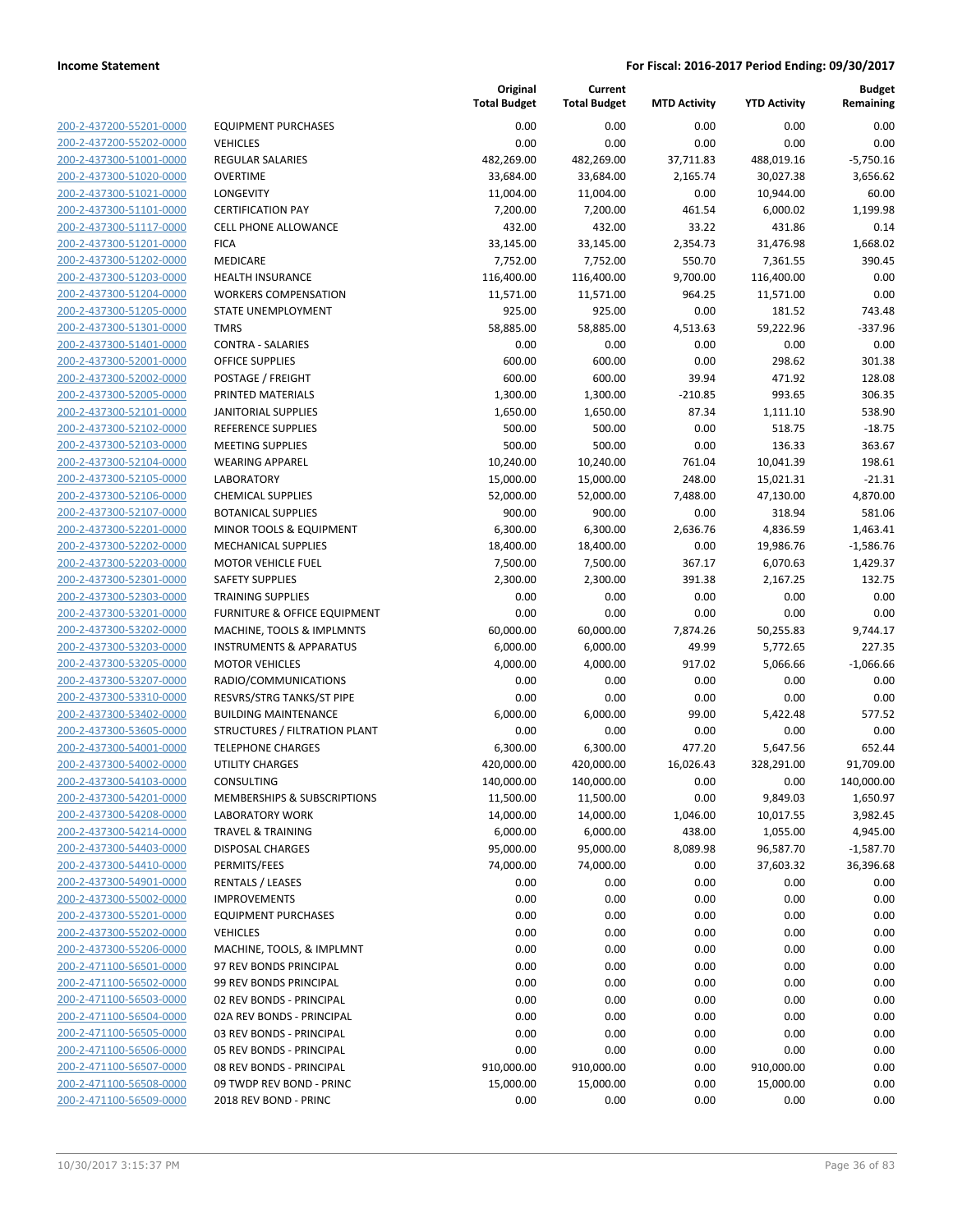| 200-2-437200-55201-0000        |
|--------------------------------|
| 200-2-437200-55202-0000        |
| 200-2-437300-51001-0000        |
| 200-2-437300-51020-0000        |
| 200-2-437300-51021-0000        |
| 200-2-437300-51101-0000        |
| 200-2-437300-51117-0000        |
| 200-2-437300-51201-0000        |
| 200-2-437300-51202-0000        |
| 200-2-437300-51203-0000        |
| 200-2-437300-51204-0000        |
| 200-2-437300-51205-0000        |
| 200-2-437300-51301-0000        |
| 200-2-437300-51401-0000        |
| <u>200-2-437300-52001-0000</u> |
| 200-2-437300-52002-0000        |
| 200-2-437300-52005-0000        |
| 200-2-437300-52101-0000        |
| 200-2-437300-52102-0000        |
| 200-2-437300-52103-0000        |
| 200-2-437300-52104-0000        |
| 200-2-437300-52105-0000        |
| 200-2-437300-52106-0000        |
| 200-2-437300-52107-0000        |
| 200-2-437300-52201-0000        |
| 200-2-437300-52202-0000        |
| 200-2-437300-52203-0000        |
| 200-2-437300-52301-0000        |
| 200-2-437300-52303-0000        |
| 200-2-437300-53201-0000        |
| 200-2-437300-53202-0000        |
| 200-2-437300-53203-0000        |
| 200-2-437300-53205-0000        |
| 200-2-437300-53207-0000        |
| <u>200-2-437300-53310-0000</u> |
| 200-2-437300-53402-0000        |
| 200-2-437300-53605-0000        |
| 200-2-437300-54001-0000        |
| 200-2-437300-54002-0000        |
| 200-2-437300-54103-0000        |
| 200-2-437300-54201-0000        |
| <u>200-2-437300-54208-0000</u> |
| 200-2-437300-54214-0000        |
| 200-2-437300-54403-0000        |
| <u>200-2-437300-54410-0000</u> |
| <u>200-2-437300-54901-0000</u> |
| 200-2-437300-55002-0000        |
| 200-2-437300-55201-0000        |
| 200-2-437300-55202-0000        |
| <u>200-2-437300-55206-0000</u> |
| <u>200-2-471100-56501-0000</u> |
| 200-2-471100-56502-0000        |
| 200-2-471100-56503-0000        |
| 200-2-471100-56504-0000        |
| <u>200-2-471100-56505-0000</u> |
| <u>200-2-471100-56506-0000</u> |
| 200-2-471100-56507-0000        |
| 200-2-471100-56508-0000        |
| 200-2-471100-56509-0000        |
|                                |

| EQUIPMENT PURCHASES                    |
|----------------------------------------|
| VEHICLES                               |
| REGULAR SALARIES                       |
| OVERTIME                               |
| LONGEVITY<br><b>CERTIFICATION PAY</b>  |
| CELL PHONE ALLOWANCE                   |
| FICA                                   |
| MEDICARE                               |
| HEALTH INSURANCE                       |
| WORKERS COMPENSATION                   |
| STATE UNEMPLOYMENT                     |
| TMRS                                   |
| CONTRA - SALARIES                      |
| OFFICE SUPPLIES                        |
| POSTAGE / FREIGHT                      |
| PRINTED MATERIALS                      |
| IANITORIAL SUPPLIES                    |
| REFERENCE SUPPLIES                     |
| MEETING SUPPLIES                       |
| WEARING APPAREL                        |
| LABORATORY                             |
| CHEMICAL SUPPLIES                      |
| BOTANICAL SUPPLIES                     |
| MINOR TOOLS & EQUIPMENT                |
| MECHANICAL SUPPLIES                    |
| MOTOR VEHICLE FUEL                     |
| SAFETY SUPPLIES                        |
| TRAINING SUPPLIES                      |
| FURNITURE & OFFICE EQUIPMENT           |
| MACHINE, TOOLS & IMPLMNTS              |
| <b>NSTRUMENTS &amp; APPARATUS</b>      |
| MOTOR VEHICLES                         |
| RADIO/COMMUNICATIONS                   |
| RESVRS/STRG TANKS/ST PIPE              |
| BUILDING MAINTENANCE                   |
| STRUCTURES / FILTRATION PLANT          |
| TELEPHONE CHARGES                      |
| UTILITY CHARGES                        |
| CONSULTING                             |
| MEMBERSHIPS & SUBSCRIPTIONS            |
| LABORATORY WORK                        |
| <b>TRAVEL &amp; TRAINING</b>           |
| DISPOSAL CHARGES                       |
| PERMITS/FEES                           |
| RENTALS / LEASES<br><b>MPROVEMENTS</b> |
|                                        |
| EQUIPMENT PURCHASES<br><b>VEHICLES</b> |
| MACHINE, TOOLS, & IMPLMNT              |
| 97 REV BONDS PRINCIPAL                 |
| 99 REV BONDS PRINCIPAL                 |
| 02 REV BONDS - PRINCIPAL               |
| 02A REV BONDS - PRINCIPAL              |
| 03 REV BONDS - PRINCIPAL               |
| 05 REV BONDS - PRINCIPAL               |
| 08 REV BONDS - PRINCIPAL               |
| 09 TWDP REV BOND - PRINC               |
| 2018 REV BOND - PRINC                  |
|                                        |

|                                                    |                                         | Original<br><b>Total Budget</b> | Current<br><b>Total Budget</b> | <b>MTD Activity</b> | <b>YTD Activity</b> | <b>Budget</b><br>Remaining |
|----------------------------------------------------|-----------------------------------------|---------------------------------|--------------------------------|---------------------|---------------------|----------------------------|
| 200-2-437200-55201-0000                            | <b>EQUIPMENT PURCHASES</b>              | 0.00                            | 0.00                           | 0.00                | 0.00                | 0.00                       |
| 200-2-437200-55202-0000                            | <b>VEHICLES</b>                         | 0.00                            | 0.00                           | 0.00                | 0.00                | 0.00                       |
| 200-2-437300-51001-0000                            | <b>REGULAR SALARIES</b>                 | 482,269.00                      | 482,269.00                     | 37,711.83           | 488,019.16          | $-5,750.16$                |
| 200-2-437300-51020-0000                            | <b>OVERTIME</b>                         | 33,684.00                       | 33,684.00                      | 2,165.74            | 30,027.38           | 3,656.62                   |
| 200-2-437300-51021-0000                            | LONGEVITY                               | 11,004.00                       | 11,004.00                      | 0.00                | 10,944.00           | 60.00                      |
| 200-2-437300-51101-0000                            | <b>CERTIFICATION PAY</b>                | 7,200.00                        | 7,200.00                       | 461.54              | 6,000.02            | 1,199.98                   |
| 200-2-437300-51117-0000                            | CELL PHONE ALLOWANCE                    | 432.00                          | 432.00                         | 33.22               | 431.86              | 0.14                       |
| 200-2-437300-51201-0000                            | <b>FICA</b>                             | 33,145.00                       | 33,145.00                      | 2,354.73            | 31,476.98           | 1,668.02                   |
| 200-2-437300-51202-0000                            | <b>MEDICARE</b>                         | 7,752.00                        | 7,752.00                       | 550.70              | 7,361.55            | 390.45                     |
| 200-2-437300-51203-0000                            | <b>HEALTH INSURANCE</b>                 | 116,400.00                      | 116,400.00                     | 9,700.00            | 116,400.00          | 0.00                       |
| 200-2-437300-51204-0000                            | <b>WORKERS COMPENSATION</b>             | 11,571.00                       | 11,571.00                      | 964.25              | 11,571.00           | 0.00                       |
| 200-2-437300-51205-0000                            | <b>STATE UNEMPLOYMENT</b>               | 925.00                          | 925.00                         | 0.00                | 181.52              | 743.48                     |
| 200-2-437300-51301-0000                            | <b>TMRS</b>                             | 58,885.00                       | 58,885.00                      | 4,513.63            | 59,222.96           | $-337.96$                  |
| 200-2-437300-51401-0000                            | <b>CONTRA - SALARIES</b>                | 0.00                            | 0.00                           | 0.00                | 0.00                | 0.00                       |
| 200-2-437300-52001-0000                            | <b>OFFICE SUPPLIES</b>                  | 600.00                          | 600.00                         | 0.00                | 298.62              | 301.38                     |
| 200-2-437300-52002-0000                            | POSTAGE / FREIGHT                       | 600.00                          | 600.00                         | 39.94               | 471.92              | 128.08                     |
| 200-2-437300-52005-0000                            | PRINTED MATERIALS                       | 1,300.00                        | 1,300.00                       | $-210.85$           | 993.65              | 306.35                     |
| 200-2-437300-52101-0000                            | <b>JANITORIAL SUPPLIES</b>              | 1,650.00                        | 1,650.00                       | 87.34               | 1,111.10            | 538.90                     |
| 200-2-437300-52102-0000                            | <b>REFERENCE SUPPLIES</b>               | 500.00                          | 500.00                         | 0.00                | 518.75              | $-18.75$                   |
| 200-2-437300-52103-0000                            | <b>MEETING SUPPLIES</b>                 | 500.00                          | 500.00                         | 0.00                | 136.33              | 363.67                     |
| 200-2-437300-52104-0000                            | <b>WEARING APPAREL</b>                  | 10,240.00                       | 10,240.00                      | 761.04              | 10,041.39           | 198.61                     |
| 200-2-437300-52105-0000                            | <b>LABORATORY</b>                       | 15,000.00                       | 15,000.00                      | 248.00              | 15,021.31           | $-21.31$                   |
| 200-2-437300-52106-0000                            | <b>CHEMICAL SUPPLIES</b>                | 52,000.00                       | 52,000.00                      | 7,488.00            | 47,130.00           | 4,870.00                   |
| 200-2-437300-52107-0000                            | <b>BOTANICAL SUPPLIES</b>               | 900.00                          | 900.00                         | 0.00                | 318.94              | 581.06                     |
| 200-2-437300-52201-0000                            | MINOR TOOLS & EQUIPMENT                 | 6,300.00                        | 6,300.00                       | 2,636.76            | 4,836.59            | 1,463.41                   |
| 200-2-437300-52202-0000                            | <b>MECHANICAL SUPPLIES</b>              | 18,400.00                       | 18,400.00                      | 0.00                | 19,986.76           | $-1,586.76$                |
| 200-2-437300-52203-0000                            | <b>MOTOR VEHICLE FUEL</b>               | 7,500.00                        | 7,500.00                       | 367.17              | 6,070.63            | 1,429.37                   |
| 200-2-437300-52301-0000                            | <b>SAFETY SUPPLIES</b>                  | 2,300.00                        | 2,300.00                       | 391.38              | 2,167.25            | 132.75                     |
| 200-2-437300-52303-0000                            | <b>TRAINING SUPPLIES</b>                | 0.00                            | 0.00                           | 0.00                | 0.00                | 0.00                       |
| 200-2-437300-53201-0000                            | <b>FURNITURE &amp; OFFICE EQUIPMENT</b> | 0.00                            | 0.00                           | 0.00                | 0.00                | 0.00                       |
| 200-2-437300-53202-0000                            | MACHINE, TOOLS & IMPLMNTS               | 60,000.00                       | 60,000.00                      | 7,874.26            | 50,255.83           | 9,744.17                   |
| 200-2-437300-53203-0000                            | <b>INSTRUMENTS &amp; APPARATUS</b>      | 6,000.00                        | 6,000.00                       | 49.99               | 5,772.65            | 227.35                     |
| 200-2-437300-53205-0000                            | <b>MOTOR VEHICLES</b>                   | 4,000.00                        | 4,000.00                       | 917.02              | 5,066.66            | $-1,066.66$                |
| 200-2-437300-53207-0000                            | RADIO/COMMUNICATIONS                    | 0.00                            | 0.00                           | 0.00                | 0.00                | 0.00                       |
| 200-2-437300-53310-0000                            | RESVRS/STRG TANKS/ST PIPE               | 0.00                            | 0.00                           | 0.00                | 0.00                | 0.00                       |
| 200-2-437300-53402-0000                            | <b>BUILDING MAINTENANCE</b>             | 6,000.00                        | 6,000.00                       | 99.00               | 5,422.48            | 577.52                     |
| 200-2-437300-53605-0000                            | STRUCTURES / FILTRATION PLANT           | 0.00                            | 0.00                           | 0.00                | 0.00                | 0.00                       |
| 200-2-437300-54001-0000                            | <b>TELEPHONE CHARGES</b>                | 6,300.00                        | 6,300.00                       | 477.20              | 5,647.56            | 652.44                     |
| 200-2-437300-54002-0000                            | <b>UTILITY CHARGES</b>                  | 420,000.00                      | 420,000.00                     | 16,026.43           | 328,291.00          | 91,709.00                  |
| 200-2-437300-54103-0000                            | CONSULTING                              | 140,000.00                      | 140,000.00                     | 0.00                | 0.00                | 140,000.00                 |
| 200-2-437300-54201-0000                            | MEMBERSHIPS & SUBSCRIPTIONS             | 11,500.00                       | 11,500.00                      | 0.00                | 9,849.03            | 1,650.97                   |
| 200-2-437300-54208-0000                            | <b>LABORATORY WORK</b>                  | 14,000.00                       | 14,000.00                      | 1,046.00            | 10,017.55           | 3,982.45                   |
| 200-2-437300-54214-0000                            | <b>TRAVEL &amp; TRAINING</b>            | 6,000.00                        | 6,000.00                       | 438.00              | 1,055.00            | 4,945.00                   |
| 200-2-437300-54403-0000                            | <b>DISPOSAL CHARGES</b>                 | 95,000.00                       | 95,000.00                      | 8,089.98            | 96,587.70           | $-1,587.70$                |
| 200-2-437300-54410-0000                            | PERMITS/FEES                            | 74,000.00                       | 74,000.00                      | 0.00                | 37,603.32           | 36,396.68                  |
| 200-2-437300-54901-0000                            | <b>RENTALS / LEASES</b>                 | 0.00                            | 0.00                           | 0.00                | 0.00                | 0.00                       |
| 200-2-437300-55002-0000                            | <b>IMPROVEMENTS</b>                     | 0.00                            | 0.00                           | 0.00                | 0.00                | 0.00                       |
| 200-2-437300-55201-0000                            | <b>EQUIPMENT PURCHASES</b>              | 0.00                            | 0.00                           | 0.00                | 0.00                | 0.00                       |
| 200-2-437300-55202-0000                            | <b>VEHICLES</b>                         | 0.00                            | 0.00                           | 0.00                | 0.00                | 0.00                       |
| 200-2-437300-55206-0000                            | MACHINE, TOOLS, & IMPLMNT               | 0.00                            | 0.00                           | 0.00                | 0.00                | 0.00                       |
| 200-2-471100-56501-0000                            | 97 REV BONDS PRINCIPAL                  | 0.00                            | 0.00                           | 0.00                | 0.00                | 0.00                       |
| 200-2-471100-56502-0000                            | 99 REV BONDS PRINCIPAL                  | 0.00                            | 0.00                           | 0.00                | 0.00                | 0.00                       |
| 200-2-471100-56503-0000                            | 02 REV BONDS - PRINCIPAL                | 0.00                            | 0.00                           | 0.00                | 0.00                | 0.00                       |
| 200-2-471100-56504-0000                            | 02A REV BONDS - PRINCIPAL               | 0.00                            | 0.00                           | 0.00                | 0.00                | 0.00                       |
| 200-2-471100-56505-0000                            | 03 REV BONDS - PRINCIPAL                | 0.00                            | 0.00                           | 0.00                | 0.00                | 0.00                       |
| 200-2-471100-56506-0000                            | 05 REV BONDS - PRINCIPAL                | 0.00                            | 0.00                           | 0.00                | 0.00                | 0.00                       |
|                                                    |                                         |                                 |                                |                     |                     |                            |
| 200-2-471100-56507-0000                            | 08 REV BONDS - PRINCIPAL                | 910,000.00                      | 910,000.00                     | 0.00                | 910,000.00          | 0.00                       |
| 200-2-471100-56508-0000<br>200-2-471100-56509-0000 | 09 TWDP REV BOND - PRINC                | 15,000.00                       | 15,000.00                      | 0.00                | 15,000.00           | 0.00                       |
|                                                    | 2018 REV BOND - PRINC                   | 0.00                            | 0.00                           | 0.00                | 0.00                | 0.00                       |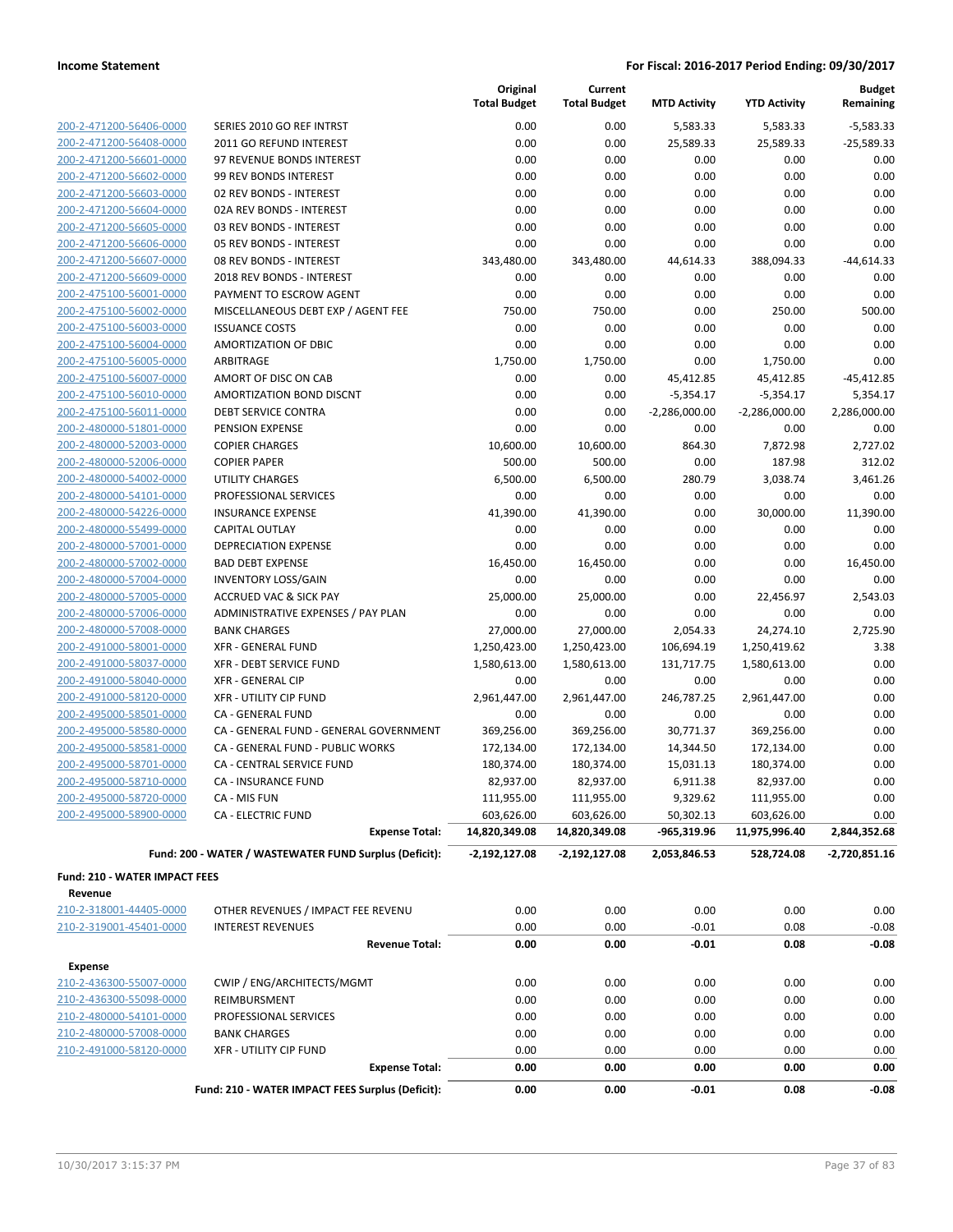|                                      |                                                                           | Original<br><b>Total Budget</b> | Current<br><b>Total Budget</b> | <b>MTD Activity</b> | <b>YTD Activity</b> | <b>Budget</b><br>Remaining |
|--------------------------------------|---------------------------------------------------------------------------|---------------------------------|--------------------------------|---------------------|---------------------|----------------------------|
| 200-2-471200-56406-0000              | SERIES 2010 GO REF INTRST                                                 | 0.00                            | 0.00                           | 5,583.33            | 5,583.33            | $-5,583.33$                |
| 200-2-471200-56408-0000              | 2011 GO REFUND INTEREST                                                   | 0.00                            | 0.00                           | 25,589.33           | 25,589.33           | $-25,589.33$               |
| 200-2-471200-56601-0000              | 97 REVENUE BONDS INTEREST                                                 | 0.00                            | 0.00                           | 0.00                | 0.00                | 0.00                       |
| 200-2-471200-56602-0000              | 99 REV BONDS INTEREST                                                     | 0.00                            | 0.00                           | 0.00                | 0.00                | 0.00                       |
| 200-2-471200-56603-0000              | 02 REV BONDS - INTEREST                                                   | 0.00                            | 0.00                           | 0.00                | 0.00                | 0.00                       |
| 200-2-471200-56604-0000              | 02A REV BONDS - INTEREST                                                  | 0.00                            | 0.00                           | 0.00                | 0.00                | 0.00                       |
| 200-2-471200-56605-0000              | 03 REV BONDS - INTEREST                                                   | 0.00                            | 0.00                           | 0.00                | 0.00                | 0.00                       |
| 200-2-471200-56606-0000              | 05 REV BONDS - INTEREST                                                   | 0.00                            | 0.00                           | 0.00                | 0.00                | 0.00                       |
| 200-2-471200-56607-0000              | 08 REV BONDS - INTEREST                                                   | 343,480.00                      | 343,480.00                     | 44,614.33           | 388,094.33          | $-44,614.33$               |
| 200-2-471200-56609-0000              | 2018 REV BONDS - INTEREST                                                 | 0.00                            | 0.00                           | 0.00                | 0.00                | 0.00                       |
| 200-2-475100-56001-0000              | PAYMENT TO ESCROW AGENT                                                   | 0.00                            | 0.00                           | 0.00                | 0.00                | 0.00                       |
| 200-2-475100-56002-0000              | MISCELLANEOUS DEBT EXP / AGENT FEE                                        | 750.00                          | 750.00                         | 0.00                | 250.00              | 500.00                     |
| 200-2-475100-56003-0000              | <b>ISSUANCE COSTS</b>                                                     | 0.00                            | 0.00                           | 0.00                | 0.00                | 0.00                       |
| 200-2-475100-56004-0000              | AMORTIZATION OF DBIC                                                      | 0.00                            | 0.00                           | 0.00                | 0.00                | 0.00                       |
| 200-2-475100-56005-0000              | ARBITRAGE                                                                 | 1,750.00                        | 1,750.00                       | 0.00                | 1,750.00            | 0.00                       |
| 200-2-475100-56007-0000              | AMORT OF DISC ON CAB                                                      | 0.00                            | 0.00                           | 45,412.85           | 45,412.85           | $-45,412.85$               |
| 200-2-475100-56010-0000              | <b>AMORTIZATION BOND DISCNT</b>                                           | 0.00                            | 0.00                           | $-5,354.17$         | $-5,354.17$         | 5,354.17                   |
| 200-2-475100-56011-0000              | <b>DEBT SERVICE CONTRA</b>                                                | 0.00                            | 0.00                           | $-2,286,000.00$     | $-2,286,000.00$     | 2,286,000.00               |
| 200-2-480000-51801-0000              | PENSION EXPENSE                                                           | 0.00                            | 0.00                           | 0.00                | 0.00                | 0.00                       |
| 200-2-480000-52003-0000              | <b>COPIER CHARGES</b>                                                     | 10,600.00                       | 10,600.00                      | 864.30              | 7,872.98            | 2,727.02                   |
| 200-2-480000-52006-0000              | <b>COPIER PAPER</b>                                                       | 500.00                          | 500.00                         | 0.00                | 187.98              | 312.02                     |
| 200-2-480000-54002-0000              | <b>UTILITY CHARGES</b>                                                    | 6,500.00                        | 6,500.00                       | 280.79              | 3,038.74            | 3,461.26                   |
| 200-2-480000-54101-0000              | PROFESSIONAL SERVICES                                                     | 0.00                            | 0.00                           | 0.00                | 0.00                | 0.00                       |
| 200-2-480000-54226-0000              | <b>INSURANCE EXPENSE</b>                                                  | 41,390.00                       | 41,390.00                      | 0.00                | 30,000.00           | 11,390.00                  |
| 200-2-480000-55499-0000              | <b>CAPITAL OUTLAY</b>                                                     | 0.00                            | 0.00                           | 0.00                | 0.00                | 0.00                       |
| 200-2-480000-57001-0000              | <b>DEPRECIATION EXPENSE</b>                                               | 0.00                            | 0.00                           | 0.00                | 0.00                | 0.00                       |
| 200-2-480000-57002-0000              | <b>BAD DEBT EXPENSE</b>                                                   | 16,450.00                       | 16,450.00                      | 0.00                | 0.00                | 16,450.00                  |
| 200-2-480000-57004-0000              | <b>INVENTORY LOSS/GAIN</b>                                                | 0.00                            | 0.00                           | 0.00                | 0.00                | 0.00                       |
| 200-2-480000-57005-0000              | <b>ACCRUED VAC &amp; SICK PAY</b>                                         | 25,000.00                       | 25,000.00                      | 0.00                | 22,456.97           | 2,543.03                   |
| 200-2-480000-57006-0000              | ADMINISTRATIVE EXPENSES / PAY PLAN                                        | 0.00                            | 0.00                           | 0.00                | 0.00                | 0.00                       |
| 200-2-480000-57008-0000              | <b>BANK CHARGES</b>                                                       | 27,000.00                       | 27,000.00                      | 2,054.33            | 24,274.10           | 2,725.90                   |
| 200-2-491000-58001-0000              | <b>XFR - GENERAL FUND</b>                                                 | 1,250,423.00                    | 1,250,423.00                   | 106,694.19          | 1,250,419.62        | 3.38                       |
| 200-2-491000-58037-0000              | <b>XFR - DEBT SERVICE FUND</b>                                            | 1,580,613.00                    | 1,580,613.00                   | 131,717.75          | 1,580,613.00        | 0.00                       |
| 200-2-491000-58040-0000              | <b>XFR - GENERAL CIP</b>                                                  | 0.00                            | 0.00                           | 0.00                | 0.00                | 0.00                       |
| 200-2-491000-58120-0000              | <b>XFR - UTILITY CIP FUND</b>                                             | 2,961,447.00                    | 2,961,447.00                   | 246,787.25          | 2,961,447.00        | 0.00                       |
| 200-2-495000-58501-0000              | CA - GENERAL FUND                                                         | 0.00                            | 0.00                           | 0.00                | 0.00                | 0.00                       |
| 200-2-495000-58580-0000              | CA - GENERAL FUND - GENERAL GOVERNMENT                                    | 369,256.00                      | 369,256.00                     | 30,771.37           | 369,256.00          | 0.00                       |
| 200-2-495000-58581-0000              | CA - GENERAL FUND - PUBLIC WORKS                                          | 172,134.00                      | 172,134.00                     | 14,344.50           | 172,134.00          | 0.00                       |
| 200-2-495000-58701-0000              | CA - CENTRAL SERVICE FUND                                                 | 180,374.00                      | 180,374.00                     | 15,031.13           | 180,374.00          | 0.00                       |
| 200-2-495000-58710-0000              | CA - INSURANCE FUND                                                       | 82,937.00                       | 82,937.00                      | 6,911.38            | 82,937.00           | 0.00                       |
| 200-2-495000-58720-0000              | CA - MIS FUN                                                              | 111,955.00                      | 111,955.00                     | 9,329.62            | 111,955.00          | 0.00                       |
| 200-2-495000-58900-0000              | <b>CA - ELECTRIC FUND</b>                                                 | 603,626.00                      | 603,626.00                     | 50,302.13           | 603,626.00          | 0.00                       |
|                                      | <b>Expense Total:</b>                                                     | 14,820,349.08                   | 14,820,349.08                  | -965,319.96         | 11,975,996.40       | 2,844,352.68               |
|                                      | Fund: 200 - WATER / WASTEWATER FUND Surplus (Deficit):                    | $-2,192,127.08$                 | $-2,192,127.08$                | 2,053,846.53        | 528,724.08          | -2,720,851.16              |
| <b>Fund: 210 - WATER IMPACT FEES</b> |                                                                           |                                 |                                |                     |                     |                            |
| Revenue                              |                                                                           |                                 |                                |                     |                     |                            |
| 210-2-318001-44405-0000              | OTHER REVENUES / IMPACT FEE REVENU                                        | 0.00                            | 0.00                           | 0.00                | 0.00                | 0.00                       |
| 210-2-319001-45401-0000              | <b>INTEREST REVENUES</b>                                                  | 0.00                            | 0.00                           | $-0.01$             | 0.08                | $-0.08$                    |
|                                      | <b>Revenue Total:</b>                                                     | 0.00                            | 0.00                           | $-0.01$             | 0.08                | -0.08                      |
| <b>Expense</b>                       |                                                                           |                                 |                                |                     |                     |                            |
| 210-2-436300-55007-0000              | CWIP / ENG/ARCHITECTS/MGMT                                                | 0.00                            | 0.00                           | 0.00                | 0.00                | 0.00                       |
| 210-2-436300-55098-0000              | REIMBURSMENT                                                              | 0.00                            | 0.00                           | 0.00                | 0.00                | 0.00                       |
| 210-2-480000-54101-0000              | PROFESSIONAL SERVICES                                                     | 0.00                            | 0.00                           | 0.00                | 0.00                | 0.00                       |
| 210-2-480000-57008-0000              | <b>BANK CHARGES</b>                                                       | 0.00                            | 0.00                           | 0.00                | 0.00                | 0.00                       |
| 210-2-491000-58120-0000              | XFR - UTILITY CIP FUND                                                    | 0.00                            | 0.00                           | 0.00                | 0.00                | 0.00                       |
|                                      | <b>Expense Total:</b><br>Fund: 210 - WATER IMPACT FEES Surplus (Deficit): | 0.00<br>0.00                    | 0.00<br>0.00                   | 0.00<br>$-0.01$     | 0.00<br>0.08        | 0.00<br>$-0.08$            |
|                                      |                                                                           |                                 |                                |                     |                     |                            |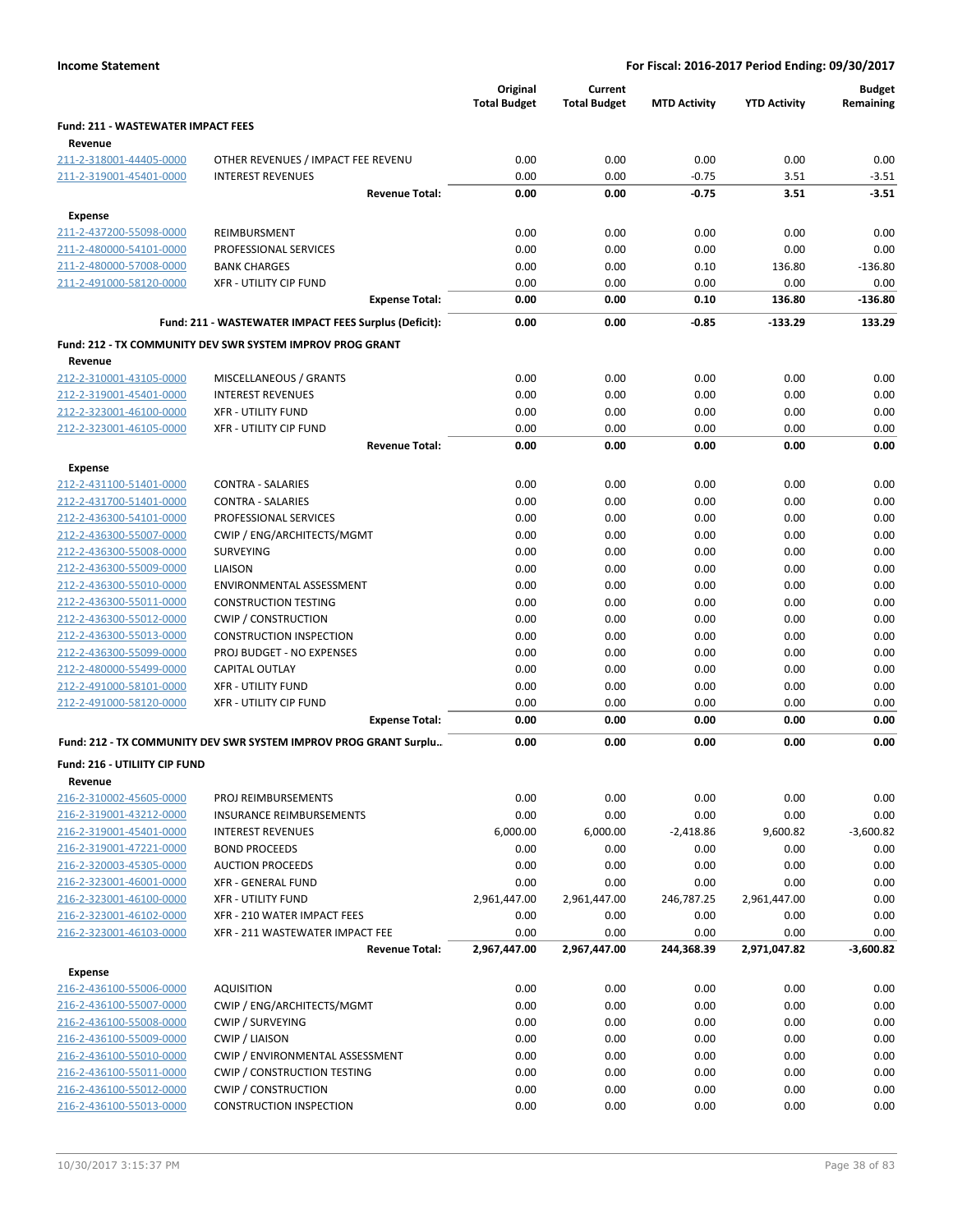|                                           |                                                                  | Original<br><b>Total Budget</b> | Current<br><b>Total Budget</b> | <b>MTD Activity</b> | <b>YTD Activity</b> | <b>Budget</b><br>Remaining |
|-------------------------------------------|------------------------------------------------------------------|---------------------------------|--------------------------------|---------------------|---------------------|----------------------------|
| <b>Fund: 211 - WASTEWATER IMPACT FEES</b> |                                                                  |                                 |                                |                     |                     |                            |
| Revenue                                   |                                                                  |                                 |                                |                     |                     |                            |
| 211-2-318001-44405-0000                   | OTHER REVENUES / IMPACT FEE REVENU                               | 0.00                            | 0.00                           | 0.00                | 0.00                | 0.00                       |
| 211-2-319001-45401-0000                   | <b>INTEREST REVENUES</b>                                         | 0.00                            | 0.00                           | $-0.75$             | 3.51                | $-3.51$                    |
|                                           | <b>Revenue Total:</b>                                            | 0.00                            | 0.00                           | $-0.75$             | 3.51                | $-3.51$                    |
| Expense                                   |                                                                  |                                 |                                |                     |                     |                            |
| 211-2-437200-55098-0000                   | REIMBURSMENT                                                     | 0.00                            | 0.00                           | 0.00                | 0.00                | 0.00                       |
| 211-2-480000-54101-0000                   | PROFESSIONAL SERVICES                                            | 0.00                            | 0.00                           | 0.00                | 0.00                | 0.00                       |
| 211-2-480000-57008-0000                   | <b>BANK CHARGES</b>                                              | 0.00                            | 0.00                           | 0.10                | 136.80              | $-136.80$                  |
| 211-2-491000-58120-0000                   | <b>XFR - UTILITY CIP FUND</b>                                    | 0.00                            | 0.00                           | 0.00                | 0.00                | 0.00                       |
|                                           | <b>Expense Total:</b>                                            | 0.00                            | 0.00                           | 0.10                | 136.80              | -136.80                    |
|                                           | Fund: 211 - WASTEWATER IMPACT FEES Surplus (Deficit):            | 0.00                            | 0.00                           | $-0.85$             | $-133.29$           | 133.29                     |
|                                           | Fund: 212 - TX COMMUNITY DEV SWR SYSTEM IMPROV PROG GRANT        |                                 |                                |                     |                     |                            |
| Revenue                                   |                                                                  |                                 |                                |                     |                     |                            |
| 212-2-310001-43105-0000                   | MISCELLANEOUS / GRANTS                                           | 0.00                            | 0.00                           | 0.00                | 0.00                | 0.00                       |
| 212-2-319001-45401-0000                   | <b>INTEREST REVENUES</b>                                         | 0.00                            | 0.00                           | 0.00                | 0.00                | 0.00                       |
| 212-2-323001-46100-0000                   | <b>XFR - UTILITY FUND</b>                                        | 0.00                            | 0.00                           | 0.00                | 0.00                | 0.00                       |
| 212-2-323001-46105-0000                   | <b>XFR - UTILITY CIP FUND</b>                                    | 0.00                            | 0.00                           | 0.00                | 0.00                | 0.00                       |
|                                           | <b>Revenue Total:</b>                                            | 0.00                            | 0.00                           | 0.00                | 0.00                | 0.00                       |
| Expense                                   |                                                                  |                                 |                                |                     |                     |                            |
| 212-2-431100-51401-0000                   | <b>CONTRA - SALARIES</b>                                         | 0.00                            | 0.00                           | 0.00                | 0.00                | 0.00                       |
| 212-2-431700-51401-0000                   | <b>CONTRA - SALARIES</b>                                         | 0.00                            | 0.00                           | 0.00                | 0.00                | 0.00                       |
| 212-2-436300-54101-0000                   | PROFESSIONAL SERVICES                                            | 0.00                            | 0.00                           | 0.00                | 0.00                | 0.00                       |
| 212-2-436300-55007-0000                   | CWIP / ENG/ARCHITECTS/MGMT                                       | 0.00                            | 0.00                           | 0.00                | 0.00                | 0.00                       |
| 212-2-436300-55008-0000                   | <b>SURVEYING</b>                                                 | 0.00                            | 0.00                           | 0.00                | 0.00                | 0.00                       |
| 212-2-436300-55009-0000                   | LIAISON                                                          | 0.00                            | 0.00                           | 0.00                | 0.00                | 0.00                       |
| 212-2-436300-55010-0000                   | ENVIRONMENTAL ASSESSMENT                                         | 0.00                            | 0.00                           | 0.00                | 0.00                | 0.00                       |
| 212-2-436300-55011-0000                   | <b>CONSTRUCTION TESTING</b>                                      | 0.00                            | 0.00                           | 0.00                | 0.00                | 0.00                       |
| 212-2-436300-55012-0000                   | <b>CWIP / CONSTRUCTION</b>                                       | 0.00                            | 0.00                           | 0.00                | 0.00                | 0.00                       |
| 212-2-436300-55013-0000                   | <b>CONSTRUCTION INSPECTION</b>                                   | 0.00                            | 0.00                           | 0.00                | 0.00                | 0.00                       |
| 212-2-436300-55099-0000                   | PROJ BUDGET - NO EXPENSES                                        | 0.00                            | 0.00                           | 0.00                | 0.00                | 0.00                       |
| 212-2-480000-55499-0000                   | <b>CAPITAL OUTLAY</b>                                            | 0.00                            | 0.00                           | 0.00                | 0.00                | 0.00                       |
| 212-2-491000-58101-0000                   | <b>XFR - UTILITY FUND</b>                                        | 0.00                            | 0.00                           | 0.00                | 0.00                | 0.00                       |
| 212-2-491000-58120-0000                   | <b>XFR - UTILITY CIP FUND</b>                                    | 0.00                            | 0.00                           | 0.00                | 0.00                | 0.00                       |
|                                           | <b>Expense Total:</b>                                            | 0.00                            | 0.00                           | 0.00                | 0.00                | 0.00                       |
|                                           | Fund: 212 - TX COMMUNITY DEV SWR SYSTEM IMPROV PROG GRANT Surplu | 0.00                            | 0.00                           | 0.00                | 0.00                | 0.00                       |
| <b>Fund: 216 - UTILIITY CIP FUND</b>      |                                                                  |                                 |                                |                     |                     |                            |
| Revenue                                   |                                                                  |                                 |                                |                     |                     |                            |
| 216-2-310002-45605-0000                   | PROJ REIMBURSEMENTS                                              | 0.00                            | 0.00                           | 0.00                | 0.00                | 0.00                       |
| 216-2-319001-43212-0000                   | <b>INSURANCE REIMBURSEMENTS</b>                                  | 0.00                            | 0.00                           | 0.00                | 0.00                | 0.00                       |
| 216-2-319001-45401-0000                   | <b>INTEREST REVENUES</b>                                         | 6,000.00                        | 6,000.00                       | $-2,418.86$         | 9,600.82            | $-3,600.82$                |
| 216-2-319001-47221-0000                   | <b>BOND PROCEEDS</b>                                             | 0.00                            | 0.00                           | 0.00                | 0.00                | 0.00                       |
| 216-2-320003-45305-0000                   | <b>AUCTION PROCEEDS</b>                                          | 0.00                            | 0.00                           | 0.00                | 0.00                | 0.00                       |
| 216-2-323001-46001-0000                   | XFR - GENERAL FUND                                               | 0.00                            | 0.00                           | 0.00                | 0.00                | 0.00                       |
| 216-2-323001-46100-0000                   | <b>XFR - UTILITY FUND</b>                                        | 2,961,447.00                    | 2,961,447.00                   | 246,787.25          | 2,961,447.00        | 0.00                       |
| 216-2-323001-46102-0000                   | XFR - 210 WATER IMPACT FEES                                      | 0.00                            | 0.00                           | 0.00                | 0.00                | 0.00                       |
| 216-2-323001-46103-0000                   | XFR - 211 WASTEWATER IMPACT FEE                                  | 0.00                            | 0.00                           | 0.00                | 0.00                | 0.00                       |
|                                           | <b>Revenue Total:</b>                                            | 2,967,447.00                    | 2,967,447.00                   | 244,368.39          | 2,971,047.82        | $-3,600.82$                |
| <b>Expense</b>                            |                                                                  |                                 |                                |                     |                     |                            |
| 216-2-436100-55006-0000                   | <b>AQUISITION</b>                                                | 0.00                            | 0.00                           | 0.00                | 0.00                | 0.00                       |
| 216-2-436100-55007-0000                   | CWIP / ENG/ARCHITECTS/MGMT                                       | 0.00                            | 0.00                           | 0.00                | 0.00                | 0.00                       |
| 216-2-436100-55008-0000                   | CWIP / SURVEYING                                                 | 0.00                            | 0.00                           | 0.00                | 0.00                | 0.00                       |
| 216-2-436100-55009-0000                   | <b>CWIP / LIAISON</b>                                            | 0.00                            | 0.00                           | 0.00                | 0.00                | 0.00                       |
| 216-2-436100-55010-0000                   | CWIP / ENVIRONMENTAL ASSESSMENT                                  | 0.00                            | 0.00                           | 0.00                | 0.00                | 0.00                       |
| 216-2-436100-55011-0000                   | <b>CWIP / CONSTRUCTION TESTING</b>                               | 0.00                            | 0.00                           | 0.00                | 0.00                | 0.00                       |
| 216-2-436100-55012-0000                   | <b>CWIP / CONSTRUCTION</b>                                       | 0.00                            | 0.00                           | 0.00                | 0.00                | 0.00                       |
| 216-2-436100-55013-0000                   | <b>CONSTRUCTION INSPECTION</b>                                   | 0.00                            | 0.00                           | 0.00                | 0.00                | 0.00                       |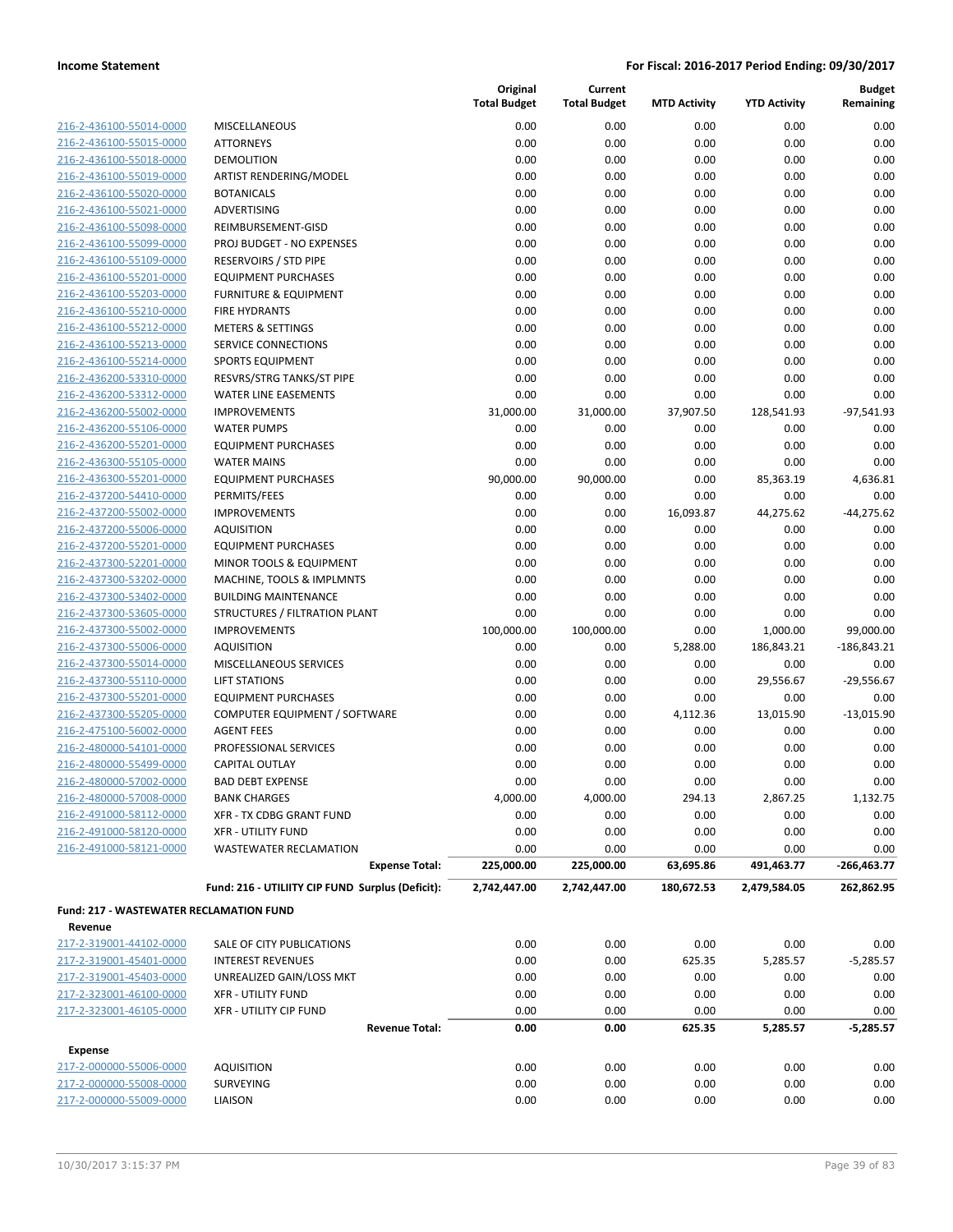|                                                |                                                  | Original<br><b>Total Budget</b> | Current<br><b>Total Budget</b> | <b>MTD Activity</b> | <b>YTD Activity</b> | <b>Budget</b><br>Remaining |
|------------------------------------------------|--------------------------------------------------|---------------------------------|--------------------------------|---------------------|---------------------|----------------------------|
| 216-2-436100-55014-0000                        | <b>MISCELLANEOUS</b>                             | 0.00                            | 0.00                           | 0.00                | 0.00                | 0.00                       |
| 216-2-436100-55015-0000                        | <b>ATTORNEYS</b>                                 | 0.00                            | 0.00                           | 0.00                | 0.00                | 0.00                       |
| 216-2-436100-55018-0000                        | <b>DEMOLITION</b>                                | 0.00                            | 0.00                           | 0.00                | 0.00                | 0.00                       |
| 216-2-436100-55019-0000                        | ARTIST RENDERING/MODEL                           | 0.00                            | 0.00                           | 0.00                | 0.00                | 0.00                       |
| 216-2-436100-55020-0000                        | <b>BOTANICALS</b>                                | 0.00                            | 0.00                           | 0.00                | 0.00                | 0.00                       |
| 216-2-436100-55021-0000                        | ADVERTISING                                      | 0.00                            | 0.00                           | 0.00                | 0.00                | 0.00                       |
| 216-2-436100-55098-0000                        | REIMBURSEMENT-GISD                               | 0.00                            | 0.00                           | 0.00                | 0.00                | 0.00                       |
| 216-2-436100-55099-0000                        | PROJ BUDGET - NO EXPENSES                        | 0.00                            | 0.00                           | 0.00                | 0.00                | 0.00                       |
| 216-2-436100-55109-0000                        | <b>RESERVOIRS / STD PIPE</b>                     | 0.00                            | 0.00                           | 0.00                | 0.00                | 0.00                       |
| 216-2-436100-55201-0000                        | <b>EQUIPMENT PURCHASES</b>                       | 0.00                            | 0.00                           | 0.00                | 0.00                | 0.00                       |
| 216-2-436100-55203-0000                        | <b>FURNITURE &amp; EQUIPMENT</b>                 | 0.00                            | 0.00                           | 0.00                | 0.00                | 0.00                       |
| 216-2-436100-55210-0000                        | <b>FIRE HYDRANTS</b>                             | 0.00                            | 0.00                           | 0.00                | 0.00                | 0.00                       |
| 216-2-436100-55212-0000                        | <b>METERS &amp; SETTINGS</b>                     | 0.00                            | 0.00                           | 0.00                | 0.00                | 0.00                       |
| 216-2-436100-55213-0000                        | SERVICE CONNECTIONS                              | 0.00                            | 0.00                           | 0.00                | 0.00                | 0.00                       |
| 216-2-436100-55214-0000                        | <b>SPORTS EQUIPMENT</b>                          | 0.00                            | 0.00                           | 0.00                | 0.00                | 0.00                       |
| 216-2-436200-53310-0000                        | RESVRS/STRG TANKS/ST PIPE                        | 0.00                            | 0.00                           | 0.00                | 0.00                | 0.00                       |
| 216-2-436200-53312-0000                        | WATER LINE EASEMENTS                             | 0.00                            | 0.00                           | 0.00                | 0.00                | 0.00                       |
| 216-2-436200-55002-0000                        | <b>IMPROVEMENTS</b>                              | 31,000.00                       | 31,000.00                      | 37,907.50           | 128,541.93          | $-97,541.93$               |
| 216-2-436200-55106-0000                        | <b>WATER PUMPS</b>                               | 0.00                            | 0.00                           | 0.00                | 0.00                | 0.00                       |
| 216-2-436200-55201-0000                        | <b>EQUIPMENT PURCHASES</b>                       | 0.00                            | 0.00                           | 0.00                | 0.00                | 0.00                       |
| 216-2-436300-55105-0000                        | <b>WATER MAINS</b>                               | 0.00                            | 0.00                           | 0.00                | 0.00                | 0.00                       |
| 216-2-436300-55201-0000                        | <b>EQUIPMENT PURCHASES</b>                       | 90,000.00                       | 90,000.00                      | 0.00                | 85,363.19           | 4,636.81                   |
| 216-2-437200-54410-0000                        | PERMITS/FEES                                     | 0.00                            | 0.00                           | 0.00                | 0.00                | 0.00                       |
| 216-2-437200-55002-0000                        | <b>IMPROVEMENTS</b>                              | 0.00                            | 0.00                           | 16,093.87           | 44,275.62           | $-44,275.62$               |
| 216-2-437200-55006-0000                        | <b>AQUISITION</b>                                | 0.00                            | 0.00                           | 0.00                | 0.00                | 0.00                       |
| 216-2-437200-55201-0000                        | <b>EQUIPMENT PURCHASES</b>                       | 0.00                            | 0.00                           | 0.00                | 0.00                | 0.00                       |
| 216-2-437300-52201-0000                        | MINOR TOOLS & EQUIPMENT                          | 0.00                            | 0.00                           | 0.00                | 0.00                | 0.00                       |
| 216-2-437300-53202-0000                        | MACHINE, TOOLS & IMPLMNTS                        | 0.00                            | 0.00                           | 0.00                | 0.00                | 0.00                       |
| 216-2-437300-53402-0000                        | <b>BUILDING MAINTENANCE</b>                      | 0.00                            | 0.00                           | 0.00                | 0.00                | 0.00                       |
| 216-2-437300-53605-0000                        | STRUCTURES / FILTRATION PLANT                    | 0.00                            | 0.00                           | 0.00                | 0.00                | 0.00                       |
| 216-2-437300-55002-0000                        | <b>IMPROVEMENTS</b>                              | 100,000.00                      | 100,000.00                     | 0.00                | 1,000.00            | 99,000.00                  |
| 216-2-437300-55006-0000                        | <b>AQUISITION</b>                                | 0.00                            | 0.00                           | 5,288.00            | 186,843.21          | $-186,843.21$              |
| 216-2-437300-55014-0000                        | MISCELLANEOUS SERVICES                           | 0.00                            | 0.00                           | 0.00                | 0.00                | 0.00                       |
| 216-2-437300-55110-0000                        | <b>LIFT STATIONS</b>                             | 0.00                            | 0.00                           | 0.00                | 29,556.67           | $-29,556.67$               |
| 216-2-437300-55201-0000                        | <b>EQUIPMENT PURCHASES</b>                       | 0.00                            | 0.00                           | 0.00                | 0.00                | 0.00                       |
| 216-2-437300-55205-0000                        | COMPUTER EQUIPMENT / SOFTWARE                    | 0.00                            | 0.00                           | 4,112.36            | 13,015.90           | $-13,015.90$               |
| 216-2-475100-56002-0000                        | <b>AGENT FEES</b>                                | 0.00                            | 0.00                           | 0.00                | 0.00                | 0.00                       |
| 216-2-480000-54101-0000                        | PROFESSIONAL SERVICES                            | 0.00                            | 0.00                           | 0.00                | 0.00                | 0.00                       |
| 216-2-480000-55499-0000                        | CAPITAL OUTLAY                                   | 0.00                            | 0.00                           | 0.00                | 0.00                | 0.00                       |
| 216-2-480000-57002-0000                        | <b>BAD DEBT EXPENSE</b>                          | 0.00                            | 0.00                           | 0.00                | 0.00                | 0.00                       |
| 216-2-480000-57008-0000                        | <b>BANK CHARGES</b>                              | 4,000.00                        | 4,000.00                       | 294.13              | 2,867.25            | 1,132.75                   |
| 216-2-491000-58112-0000                        | XFR - TX CDBG GRANT FUND                         | 0.00                            | 0.00                           | 0.00                | 0.00                | 0.00                       |
| 216-2-491000-58120-0000                        | <b>XFR - UTILITY FUND</b>                        | 0.00                            | 0.00                           | 0.00                | 0.00                | 0.00                       |
| 216-2-491000-58121-0000                        | WASTEWATER RECLAMATION                           | 0.00                            | 0.00                           | 0.00                | 0.00                | 0.00                       |
|                                                | <b>Expense Total:</b>                            | 225,000.00                      | 225,000.00                     | 63,695.86           | 491,463.77          | $-266,463.77$              |
|                                                | Fund: 216 - UTILIITY CIP FUND Surplus (Deficit): | 2,742,447.00                    | 2,742,447.00                   | 180,672.53          | 2,479,584.05        | 262,862.95                 |
| <b>Fund: 217 - WASTEWATER RECLAMATION FUND</b> |                                                  |                                 |                                |                     |                     |                            |
| Revenue                                        |                                                  |                                 |                                |                     |                     |                            |
| 217-2-319001-44102-0000                        | SALE OF CITY PUBLICATIONS                        | 0.00                            | 0.00                           | 0.00                | 0.00                | 0.00                       |
| 217-2-319001-45401-0000                        | <b>INTEREST REVENUES</b>                         | 0.00                            | 0.00                           | 625.35              | 5,285.57            | $-5,285.57$                |
| 217-2-319001-45403-0000                        | UNREALIZED GAIN/LOSS MKT                         | 0.00                            | 0.00                           | 0.00                | 0.00                | 0.00                       |
| 217-2-323001-46100-0000                        | <b>XFR - UTILITY FUND</b>                        | 0.00                            | 0.00                           | 0.00                | 0.00                | 0.00                       |
| 217-2-323001-46105-0000                        | <b>XFR - UTILITY CIP FUND</b>                    | 0.00                            | 0.00                           | 0.00                | 0.00                | 0.00                       |
|                                                | <b>Revenue Total:</b>                            | 0.00                            | 0.00                           | 625.35              | 5,285.57            | $-5,285.57$                |
| <b>Expense</b>                                 |                                                  |                                 |                                |                     |                     |                            |
| 217-2-000000-55006-0000                        | <b>AQUISITION</b>                                | 0.00                            | 0.00                           | 0.00                | 0.00                | 0.00                       |
| 217-2-000000-55008-0000                        | SURVEYING                                        | 0.00                            | 0.00                           | 0.00                | 0.00                | 0.00                       |
| 217-2-000000-55009-0000                        | LIAISON                                          | 0.00                            | 0.00                           | 0.00                | 0.00                | 0.00                       |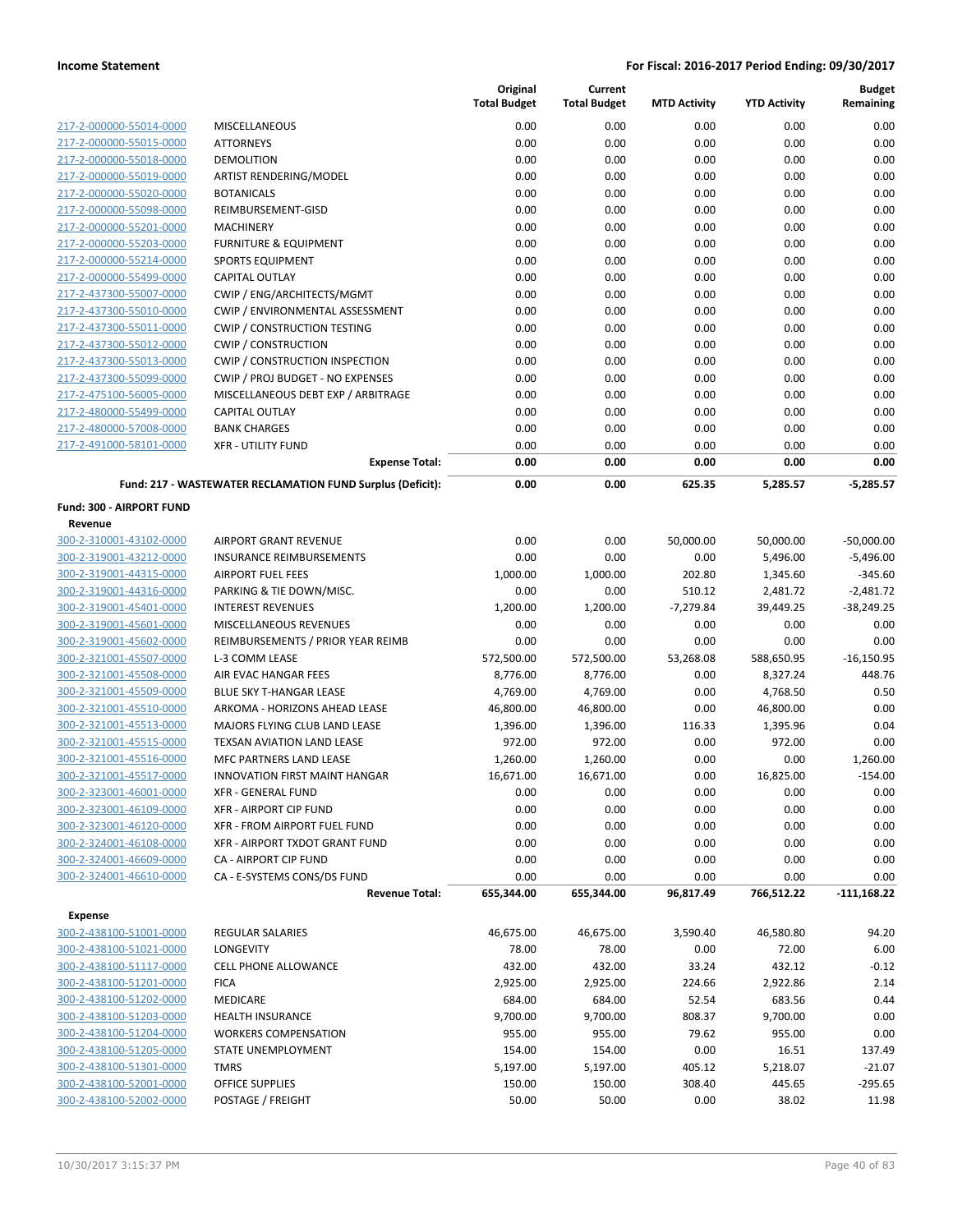|                                    |                                                            | Original<br><b>Total Budget</b> | Current<br><b>Total Budget</b> | <b>MTD Activity</b> | <b>YTD Activity</b> | <b>Budget</b><br>Remaining |
|------------------------------------|------------------------------------------------------------|---------------------------------|--------------------------------|---------------------|---------------------|----------------------------|
| 217-2-000000-55014-0000            | <b>MISCELLANEOUS</b>                                       | 0.00                            | 0.00                           | 0.00                | 0.00                | 0.00                       |
| 217-2-000000-55015-0000            | <b>ATTORNEYS</b>                                           | 0.00                            | 0.00                           | 0.00                | 0.00                | 0.00                       |
| 217-2-000000-55018-0000            | <b>DEMOLITION</b>                                          | 0.00                            | 0.00                           | 0.00                | 0.00                | 0.00                       |
| 217-2-000000-55019-0000            | ARTIST RENDERING/MODEL                                     | 0.00                            | 0.00                           | 0.00                | 0.00                | 0.00                       |
| 217-2-000000-55020-0000            | <b>BOTANICALS</b>                                          | 0.00                            | 0.00                           | 0.00                | 0.00                | 0.00                       |
| 217-2-000000-55098-0000            | REIMBURSEMENT-GISD                                         | 0.00                            | 0.00                           | 0.00                | 0.00                | 0.00                       |
| 217-2-000000-55201-0000            | <b>MACHINERY</b>                                           | 0.00                            | 0.00                           | 0.00                | 0.00                | 0.00                       |
| 217-2-000000-55203-0000            | <b>FURNITURE &amp; EQUIPMENT</b>                           | 0.00                            | 0.00                           | 0.00                | 0.00                | 0.00                       |
| 217-2-000000-55214-0000            | <b>SPORTS EQUIPMENT</b>                                    | 0.00                            | 0.00                           | 0.00                | 0.00                | 0.00                       |
| 217-2-000000-55499-0000            | <b>CAPITAL OUTLAY</b>                                      | 0.00                            | 0.00                           | 0.00                | 0.00                | 0.00                       |
| 217-2-437300-55007-0000            | CWIP / ENG/ARCHITECTS/MGMT                                 | 0.00                            | 0.00                           | 0.00                | 0.00                | 0.00                       |
| 217-2-437300-55010-0000            | CWIP / ENVIRONMENTAL ASSESSMENT                            | 0.00                            | 0.00                           | 0.00                | 0.00                | 0.00                       |
| 217-2-437300-55011-0000            | <b>CWIP / CONSTRUCTION TESTING</b>                         | 0.00                            | 0.00                           | 0.00                | 0.00                | 0.00                       |
| 217-2-437300-55012-0000            | <b>CWIP / CONSTRUCTION</b>                                 | 0.00                            | 0.00                           | 0.00                | 0.00                | 0.00                       |
| 217-2-437300-55013-0000            | <b>CWIP / CONSTRUCTION INSPECTION</b>                      | 0.00                            | 0.00                           | 0.00                | 0.00                | 0.00                       |
| 217-2-437300-55099-0000            | CWIP / PROJ BUDGET - NO EXPENSES                           | 0.00                            | 0.00                           | 0.00                | 0.00                | 0.00                       |
| 217-2-475100-56005-0000            | MISCELLANEOUS DEBT EXP / ARBITRAGE                         | 0.00                            | 0.00                           | 0.00                | 0.00                | 0.00                       |
| 217-2-480000-55499-0000            | <b>CAPITAL OUTLAY</b>                                      | 0.00                            | 0.00                           | 0.00                | 0.00                | 0.00                       |
| 217-2-480000-57008-0000            | <b>BANK CHARGES</b>                                        | 0.00                            | 0.00                           | 0.00                | 0.00                | 0.00                       |
| 217-2-491000-58101-0000            | <b>XFR - UTILITY FUND</b>                                  | 0.00                            | 0.00                           | 0.00                | 0.00                | 0.00                       |
|                                    | <b>Expense Total:</b>                                      | 0.00                            | 0.00                           | 0.00                | 0.00                | 0.00                       |
|                                    | Fund: 217 - WASTEWATER RECLAMATION FUND Surplus (Deficit): | 0.00                            | 0.00                           | 625.35              | 5,285.57            | $-5,285.57$                |
| Fund: 300 - AIRPORT FUND           |                                                            |                                 |                                |                     |                     |                            |
| Revenue                            |                                                            |                                 |                                |                     |                     |                            |
| 300-2-310001-43102-0000            | <b>AIRPORT GRANT REVENUE</b>                               | 0.00                            | 0.00                           | 50,000.00           | 50,000.00           | $-50,000.00$               |
| 300-2-319001-43212-0000            | <b>INSURANCE REIMBURSEMENTS</b>                            | 0.00                            | 0.00                           | 0.00                | 5,496.00            | $-5,496.00$                |
| 300-2-319001-44315-0000            | <b>AIRPORT FUEL FEES</b>                                   | 1,000.00                        | 1,000.00                       | 202.80              | 1,345.60            | $-345.60$                  |
| 300-2-319001-44316-0000            | PARKING & TIE DOWN/MISC.                                   | 0.00                            | 0.00                           | 510.12              | 2,481.72            | $-2,481.72$                |
| 300-2-319001-45401-0000            | <b>INTEREST REVENUES</b>                                   | 1,200.00                        | 1,200.00                       | $-7,279.84$         | 39,449.25           | $-38,249.25$               |
| 300-2-319001-45601-0000            | MISCELLANEOUS REVENUES                                     | 0.00                            | 0.00                           | 0.00                | 0.00                | 0.00                       |
| 300-2-319001-45602-0000            | REIMBURSEMENTS / PRIOR YEAR REIMB                          | 0.00                            | 0.00                           | 0.00                | 0.00                | 0.00                       |
| 300-2-321001-45507-0000            | L-3 COMM LEASE                                             | 572,500.00                      | 572,500.00                     | 53,268.08           | 588,650.95          | $-16,150.95$               |
| 300-2-321001-45508-0000            | AIR EVAC HANGAR FEES                                       | 8,776.00                        | 8,776.00                       | 0.00                | 8,327.24            | 448.76                     |
| 300-2-321001-45509-0000            | BLUE SKY T-HANGAR LEASE                                    | 4,769.00                        | 4,769.00                       | 0.00                | 4,768.50            | 0.50                       |
| 300-2-321001-45510-0000            | ARKOMA - HORIZONS AHEAD LEASE                              | 46,800.00                       | 46,800.00                      | 0.00                | 46,800.00           | 0.00                       |
| 300-2-321001-45513-0000            | MAJORS FLYING CLUB LAND LEASE                              | 1,396.00                        | 1,396.00                       | 116.33              | 1,395.96            | 0.04                       |
| 300-2-321001-45515-0000            | TEXSAN AVIATION LAND LEASE                                 | 972.00                          | 972.00                         | 0.00                | 972.00              | 0.00                       |
| 300-2-321001-45516-0000            | MFC PARTNERS LAND LEASE                                    | 1,260.00                        | 1,260.00                       | 0.00                | 0.00                | 1,260.00                   |
| 300-2-321001-45517-0000            | <b>INNOVATION FIRST MAINT HANGAR</b>                       | 16,671.00                       | 16,671.00                      | 0.00                | 16,825.00           | $-154.00$                  |
| 300-2-323001-46001-0000            | <b>XFR - GENERAL FUND</b>                                  | 0.00                            | 0.00                           | 0.00                | 0.00                | 0.00                       |
| 300-2-323001-46109-0000            | XFR - AIRPORT CIP FUND                                     | 0.00                            | 0.00                           | 0.00                | 0.00                | 0.00                       |
| 300-2-323001-46120-0000            | XFR - FROM AIRPORT FUEL FUND                               | 0.00                            | 0.00                           | 0.00                | 0.00                | 0.00                       |
| 300-2-324001-46108-0000            | XFR - AIRPORT TXDOT GRANT FUND                             | 0.00                            | 0.00                           | 0.00                | 0.00                | 0.00                       |
| 300-2-324001-46609-0000            | CA - AIRPORT CIP FUND                                      | 0.00                            | 0.00                           | 0.00                | 0.00                | 0.00                       |
| 300-2-324001-46610-0000            | CA - E-SYSTEMS CONS/DS FUND<br><b>Revenue Total:</b>       | 0.00<br>655,344.00              | 0.00<br>655,344.00             | 0.00<br>96,817.49   | 0.00<br>766,512.22  | 0.00<br>$-111,168.22$      |
|                                    |                                                            |                                 |                                |                     |                     |                            |
| Expense<br>300-2-438100-51001-0000 | <b>REGULAR SALARIES</b>                                    | 46,675.00                       | 46,675.00                      | 3,590.40            | 46,580.80           | 94.20                      |
|                                    |                                                            |                                 |                                |                     |                     |                            |
| 300-2-438100-51021-0000            | LONGEVITY                                                  | 78.00                           | 78.00                          | 0.00                | 72.00               | 6.00                       |
| 300-2-438100-51117-0000            | <b>CELL PHONE ALLOWANCE</b>                                | 432.00                          | 432.00                         | 33.24               | 432.12              | $-0.12$                    |
| 300-2-438100-51201-0000            | <b>FICA</b>                                                | 2,925.00                        | 2,925.00                       | 224.66              | 2,922.86            | 2.14                       |
| 300-2-438100-51202-0000            | MEDICARE                                                   | 684.00                          | 684.00                         | 52.54               | 683.56              | 0.44                       |
| 300-2-438100-51203-0000            | HEALTH INSURANCE                                           | 9,700.00                        | 9,700.00                       | 808.37              | 9,700.00            | 0.00                       |
| 300-2-438100-51204-0000            | <b>WORKERS COMPENSATION</b>                                | 955.00                          | 955.00                         | 79.62               | 955.00              | 0.00                       |
| 300-2-438100-51205-0000            | STATE UNEMPLOYMENT                                         | 154.00                          | 154.00                         | 0.00                | 16.51               | 137.49                     |
| 300-2-438100-51301-0000            | <b>TMRS</b>                                                | 5,197.00                        | 5,197.00                       | 405.12              | 5,218.07            | $-21.07$                   |
| 300-2-438100-52001-0000            | <b>OFFICE SUPPLIES</b>                                     | 150.00                          | 150.00                         | 308.40              | 445.65              | $-295.65$                  |
| 300-2-438100-52002-0000            | POSTAGE / FREIGHT                                          | 50.00                           | 50.00                          | 0.00                | 38.02               | 11.98                      |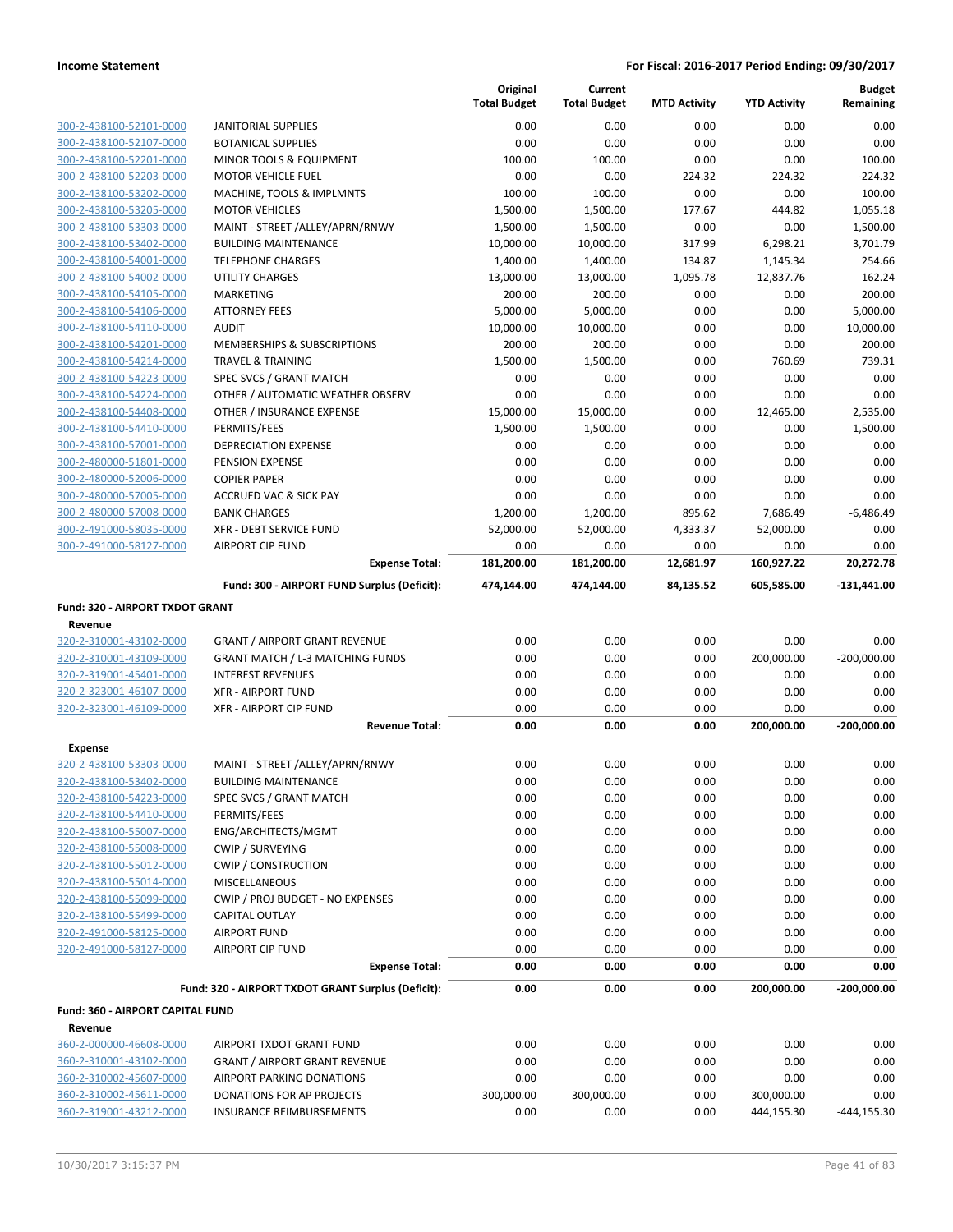|                                                    |                                                    | Original<br><b>Total Budget</b> | Current<br><b>Total Budget</b> | <b>MTD Activity</b> | <b>YTD Activity</b> | <b>Budget</b><br>Remaining |
|----------------------------------------------------|----------------------------------------------------|---------------------------------|--------------------------------|---------------------|---------------------|----------------------------|
| 300-2-438100-52101-0000                            | <b>JANITORIAL SUPPLIES</b>                         | 0.00                            | 0.00                           | 0.00                | 0.00                | 0.00                       |
| 300-2-438100-52107-0000                            | <b>BOTANICAL SUPPLIES</b>                          | 0.00                            | 0.00                           | 0.00                | 0.00                | 0.00                       |
| 300-2-438100-52201-0000                            | <b>MINOR TOOLS &amp; EQUIPMENT</b>                 | 100.00                          | 100.00                         | 0.00                | 0.00                | 100.00                     |
| 300-2-438100-52203-0000                            | <b>MOTOR VEHICLE FUEL</b>                          | 0.00                            | 0.00                           | 224.32              | 224.32              | $-224.32$                  |
| 300-2-438100-53202-0000                            | MACHINE, TOOLS & IMPLMNTS                          | 100.00                          | 100.00                         | 0.00                | 0.00                | 100.00                     |
| 300-2-438100-53205-0000                            | <b>MOTOR VEHICLES</b>                              | 1,500.00                        | 1,500.00                       | 177.67              | 444.82              | 1,055.18                   |
| 300-2-438100-53303-0000                            | MAINT - STREET /ALLEY/APRN/RNWY                    | 1,500.00                        | 1,500.00                       | 0.00                | 0.00                | 1,500.00                   |
| 300-2-438100-53402-0000                            | <b>BUILDING MAINTENANCE</b>                        | 10,000.00                       | 10,000.00                      | 317.99              | 6,298.21            | 3,701.79                   |
| 300-2-438100-54001-0000                            | <b>TELEPHONE CHARGES</b>                           | 1,400.00                        | 1,400.00                       | 134.87              | 1,145.34            | 254.66                     |
| 300-2-438100-54002-0000                            | <b>UTILITY CHARGES</b>                             | 13,000.00                       | 13,000.00                      | 1,095.78            | 12,837.76           | 162.24                     |
| 300-2-438100-54105-0000                            | <b>MARKETING</b>                                   | 200.00                          | 200.00                         | 0.00                | 0.00                | 200.00                     |
| 300-2-438100-54106-0000                            | <b>ATTORNEY FEES</b>                               | 5,000.00                        | 5,000.00                       | 0.00                | 0.00                | 5,000.00                   |
| 300-2-438100-54110-0000                            | <b>AUDIT</b>                                       | 10,000.00                       | 10,000.00                      | 0.00                | 0.00                | 10,000.00                  |
| 300-2-438100-54201-0000                            | MEMBERSHIPS & SUBSCRIPTIONS                        | 200.00                          | 200.00                         | 0.00                | 0.00                | 200.00                     |
| 300-2-438100-54214-0000                            | <b>TRAVEL &amp; TRAINING</b>                       | 1,500.00                        | 1,500.00                       | 0.00                | 760.69              | 739.31                     |
| 300-2-438100-54223-0000                            | SPEC SVCS / GRANT MATCH                            | 0.00                            | 0.00                           | 0.00                | 0.00                | 0.00                       |
| 300-2-438100-54224-0000                            | OTHER / AUTOMATIC WEATHER OBSERV                   | 0.00                            | 0.00                           | 0.00                | 0.00                | 0.00                       |
| 300-2-438100-54408-0000                            | OTHER / INSURANCE EXPENSE                          | 15,000.00                       | 15,000.00                      | 0.00                | 12,465.00           | 2,535.00                   |
| 300-2-438100-54410-0000                            | PERMITS/FEES                                       | 1,500.00                        | 1,500.00                       | 0.00                | 0.00                | 1,500.00                   |
| 300-2-438100-57001-0000                            | DEPRECIATION EXPENSE                               | 0.00                            | 0.00                           | 0.00                | 0.00                | 0.00                       |
| 300-2-480000-51801-0000                            | PENSION EXPENSE                                    | 0.00                            | 0.00                           | 0.00                | 0.00                | 0.00                       |
| 300-2-480000-52006-0000                            | <b>COPIER PAPER</b>                                | 0.00                            | 0.00                           | 0.00                | 0.00                | 0.00                       |
| 300-2-480000-57005-0000                            | <b>ACCRUED VAC &amp; SICK PAY</b>                  | 0.00                            | 0.00                           | 0.00                | 0.00                | 0.00                       |
| 300-2-480000-57008-0000                            | <b>BANK CHARGES</b>                                | 1,200.00                        | 1,200.00                       | 895.62<br>4,333.37  | 7,686.49            | $-6,486.49$                |
| 300-2-491000-58035-0000<br>300-2-491000-58127-0000 | XFR - DEBT SERVICE FUND<br><b>AIRPORT CIP FUND</b> | 52,000.00<br>0.00               | 52,000.00<br>0.00              | 0.00                | 52,000.00<br>0.00   | 0.00<br>0.00               |
|                                                    | <b>Expense Total:</b>                              | 181,200.00                      | 181,200.00                     | 12,681.97           | 160,927.22          | 20,272.78                  |
|                                                    | Fund: 300 - AIRPORT FUND Surplus (Deficit):        | 474,144.00                      | 474,144.00                     | 84,135.52           | 605,585.00          | $-131,441.00$              |
|                                                    |                                                    |                                 |                                |                     |                     |                            |
| <b>Fund: 320 - AIRPORT TXDOT GRANT</b>             |                                                    |                                 |                                |                     |                     |                            |
| Revenue                                            |                                                    |                                 |                                |                     |                     |                            |
| 320-2-310001-43102-0000                            | <b>GRANT / AIRPORT GRANT REVENUE</b>               | 0.00                            | 0.00                           | 0.00                | 0.00                | 0.00                       |
| 320-2-310001-43109-0000                            | <b>GRANT MATCH / L-3 MATCHING FUNDS</b>            | 0.00                            | 0.00                           | 0.00                | 200,000.00          | $-200,000.00$              |
| 320-2-319001-45401-0000                            | <b>INTEREST REVENUES</b>                           | 0.00                            | 0.00                           | 0.00                | 0.00                | 0.00                       |
| 320-2-323001-46107-0000                            | <b>XFR - AIRPORT FUND</b>                          | 0.00                            | 0.00                           | 0.00                | 0.00                | 0.00                       |
| 320-2-323001-46109-0000                            | <b>XFR - AIRPORT CIP FUND</b>                      | 0.00                            | 0.00                           | 0.00                | 0.00                | 0.00<br>$-200,000.00$      |
|                                                    | <b>Revenue Total:</b>                              | 0.00                            | 0.00                           | 0.00                | 200,000.00          |                            |
| <b>Expense</b>                                     |                                                    |                                 |                                |                     |                     |                            |
| 320-2-438100-53303-0000                            | MAINT - STREET /ALLEY/APRN/RNWY                    | 0.00                            | 0.00                           | 0.00                | 0.00                | 0.00                       |
| 320-2-438100-53402-0000                            | <b>BUILDING MAINTENANCE</b>                        | 0.00                            | 0.00                           | 0.00                | 0.00                | 0.00                       |
| 320-2-438100-54223-0000                            | SPEC SVCS / GRANT MATCH                            | 0.00                            | 0.00                           | 0.00                | 0.00                | 0.00                       |
| 320-2-438100-54410-0000                            | PERMITS/FEES                                       | 0.00                            | 0.00                           | 0.00                | 0.00                | 0.00                       |
| 320-2-438100-55007-0000                            | ENG/ARCHITECTS/MGMT                                | 0.00                            | 0.00                           | 0.00                | 0.00                | 0.00                       |
| 320-2-438100-55008-0000                            | <b>CWIP / SURVEYING</b>                            | 0.00                            | 0.00                           | 0.00                | 0.00                | 0.00                       |
| 320-2-438100-55012-0000                            | <b>CWIP / CONSTRUCTION</b>                         | 0.00                            | 0.00                           | 0.00                | 0.00                | 0.00                       |
| 320-2-438100-55014-0000                            | <b>MISCELLANEOUS</b>                               | 0.00                            | 0.00                           | 0.00                | 0.00                | 0.00                       |
| 320-2-438100-55099-0000                            | CWIP / PROJ BUDGET - NO EXPENSES                   | 0.00                            | 0.00                           | 0.00                | 0.00                | 0.00                       |
| 320-2-438100-55499-0000                            | CAPITAL OUTLAY                                     | 0.00                            | 0.00                           | 0.00                | 0.00                | 0.00                       |
| 320-2-491000-58125-0000                            | <b>AIRPORT FUND</b>                                | 0.00                            | 0.00                           | 0.00                | 0.00                | 0.00                       |
| 320-2-491000-58127-0000                            | <b>AIRPORT CIP FUND</b>                            | 0.00                            | 0.00                           | 0.00                | 0.00                | 0.00                       |
|                                                    | <b>Expense Total:</b>                              | 0.00                            | 0.00                           | 0.00                | 0.00                | 0.00                       |
|                                                    | Fund: 320 - AIRPORT TXDOT GRANT Surplus (Deficit): | 0.00                            | 0.00                           | 0.00                | 200,000.00          | $-200,000.00$              |
| Fund: 360 - AIRPORT CAPITAL FUND                   |                                                    |                                 |                                |                     |                     |                            |
| Revenue                                            |                                                    |                                 |                                |                     |                     |                            |
| 360-2-000000-46608-0000                            | AIRPORT TXDOT GRANT FUND                           | 0.00                            | 0.00                           | 0.00                | 0.00                | 0.00                       |
| 360-2-310001-43102-0000                            | <b>GRANT / AIRPORT GRANT REVENUE</b>               | 0.00                            | 0.00                           | 0.00                | 0.00                | 0.00                       |
| 360-2-310002-45607-0000                            | AIRPORT PARKING DONATIONS                          | 0.00                            | 0.00                           | 0.00                | 0.00                | 0.00                       |
| 360-2-310002-45611-0000                            | DONATIONS FOR AP PROJECTS                          | 300,000.00                      | 300,000.00                     | 0.00                | 300,000.00          | 0.00                       |
| 360-2-319001-43212-0000                            | <b>INSURANCE REIMBURSEMENTS</b>                    | 0.00                            | 0.00                           | 0.00                | 444,155.30          | $-444, 155.30$             |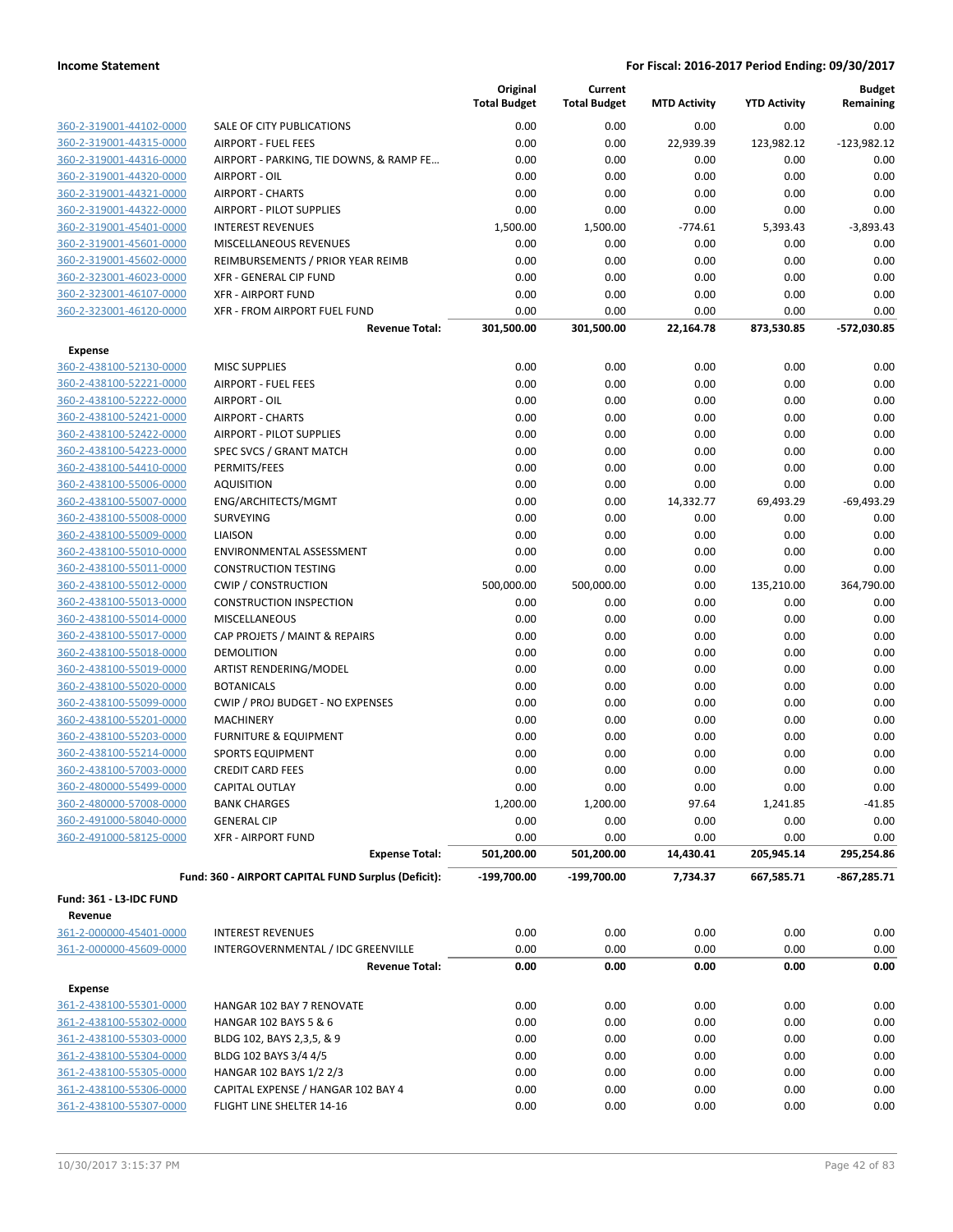|                                |                                                     | Original<br><b>Total Budget</b> | Current<br><b>Total Budget</b> | <b>MTD Activity</b> | <b>YTD Activity</b> | <b>Budget</b><br>Remaining |
|--------------------------------|-----------------------------------------------------|---------------------------------|--------------------------------|---------------------|---------------------|----------------------------|
| 360-2-319001-44102-0000        | SALE OF CITY PUBLICATIONS                           | 0.00                            | 0.00                           | 0.00                | 0.00                | 0.00                       |
| 360-2-319001-44315-0000        | <b>AIRPORT - FUEL FEES</b>                          | 0.00                            | 0.00                           | 22,939.39           | 123,982.12          | $-123,982.12$              |
| 360-2-319001-44316-0000        | AIRPORT - PARKING, TIE DOWNS, & RAMP FE             | 0.00                            | 0.00                           | 0.00                | 0.00                | 0.00                       |
| 360-2-319001-44320-0000        | AIRPORT - OIL                                       | 0.00                            | 0.00                           | 0.00                | 0.00                | 0.00                       |
| 360-2-319001-44321-0000        | <b>AIRPORT - CHARTS</b>                             | 0.00                            | 0.00                           | 0.00                | 0.00                | 0.00                       |
| 360-2-319001-44322-0000        | <b>AIRPORT - PILOT SUPPLIES</b>                     | 0.00                            | 0.00                           | 0.00                | 0.00                | 0.00                       |
| 360-2-319001-45401-0000        | <b>INTEREST REVENUES</b>                            | 1,500.00                        | 1,500.00                       | $-774.61$           | 5,393.43            | $-3,893.43$                |
| 360-2-319001-45601-0000        | MISCELLANEOUS REVENUES                              | 0.00                            | 0.00                           | 0.00                | 0.00                | 0.00                       |
| 360-2-319001-45602-0000        | <b>REIMBURSEMENTS / PRIOR YEAR REIMB</b>            | 0.00                            | 0.00                           | 0.00                | 0.00                | 0.00                       |
| 360-2-323001-46023-0000        | XFR - GENERAL CIP FUND                              | 0.00                            | 0.00                           | 0.00                | 0.00                | 0.00                       |
| 360-2-323001-46107-0000        | <b>XFR - AIRPORT FUND</b>                           | 0.00                            | 0.00                           | 0.00                | 0.00                | 0.00                       |
| 360-2-323001-46120-0000        | XFR - FROM AIRPORT FUEL FUND                        | 0.00                            | 0.00                           | 0.00                | 0.00                | 0.00                       |
|                                | <b>Revenue Total:</b>                               | 301,500.00                      | 301,500.00                     | 22,164.78           | 873,530.85          | -572,030.85                |
| <b>Expense</b>                 |                                                     |                                 |                                |                     |                     |                            |
| 360-2-438100-52130-0000        | <b>MISC SUPPLIES</b>                                | 0.00                            | 0.00                           | 0.00                | 0.00                | 0.00                       |
| 360-2-438100-52221-0000        | <b>AIRPORT - FUEL FEES</b>                          | 0.00                            | 0.00                           | 0.00                | 0.00                | 0.00                       |
| 360-2-438100-52222-0000        | AIRPORT - OIL                                       | 0.00                            | 0.00                           | 0.00                | 0.00                | 0.00                       |
| 360-2-438100-52421-0000        | <b>AIRPORT - CHARTS</b>                             | 0.00                            | 0.00                           | 0.00                | 0.00                | 0.00                       |
| 360-2-438100-52422-0000        | <b>AIRPORT - PILOT SUPPLIES</b>                     | 0.00                            | 0.00                           | 0.00                | 0.00                | 0.00                       |
| 360-2-438100-54223-0000        | SPEC SVCS / GRANT MATCH                             | 0.00                            | 0.00                           | 0.00                | 0.00                | 0.00                       |
| 360-2-438100-54410-0000        | PERMITS/FEES                                        | 0.00                            | 0.00                           | 0.00                | 0.00                | 0.00                       |
| 360-2-438100-55006-0000        | <b>AQUISITION</b>                                   | 0.00                            | 0.00                           | 0.00                | 0.00                | 0.00                       |
| 360-2-438100-55007-0000        | ENG/ARCHITECTS/MGMT                                 | 0.00                            | 0.00                           | 14,332.77           | 69,493.29           | $-69,493.29$               |
| 360-2-438100-55008-0000        | SURVEYING                                           | 0.00                            | 0.00                           | 0.00                | 0.00                | 0.00                       |
| 360-2-438100-55009-0000        | <b>LIAISON</b>                                      | 0.00                            | 0.00                           | 0.00                | 0.00                | 0.00                       |
| 360-2-438100-55010-0000        | ENVIRONMENTAL ASSESSMENT                            | 0.00                            | 0.00                           | 0.00                | 0.00                | 0.00                       |
| 360-2-438100-55011-0000        | <b>CONSTRUCTION TESTING</b>                         | 0.00                            | 0.00                           | 0.00                | 0.00                | 0.00                       |
| 360-2-438100-55012-0000        | <b>CWIP / CONSTRUCTION</b>                          | 500,000.00                      | 500,000.00                     | 0.00                | 135,210.00          | 364,790.00                 |
| 360-2-438100-55013-0000        | <b>CONSTRUCTION INSPECTION</b>                      | 0.00                            | 0.00                           | 0.00                | 0.00                | 0.00                       |
| 360-2-438100-55014-0000        | <b>MISCELLANEOUS</b>                                | 0.00                            | 0.00                           | 0.00                | 0.00                | 0.00                       |
| 360-2-438100-55017-0000        | CAP PROJETS / MAINT & REPAIRS                       | 0.00                            | 0.00                           | 0.00                | 0.00                | 0.00                       |
| 360-2-438100-55018-0000        | <b>DEMOLITION</b>                                   | 0.00                            | 0.00                           | 0.00                | 0.00                | 0.00                       |
| 360-2-438100-55019-0000        | ARTIST RENDERING/MODEL                              | 0.00                            | 0.00                           | 0.00                | 0.00                | 0.00                       |
| 360-2-438100-55020-0000        | <b>BOTANICALS</b>                                   | 0.00                            | 0.00                           | 0.00                | 0.00                | 0.00                       |
| 360-2-438100-55099-0000        | CWIP / PROJ BUDGET - NO EXPENSES                    | 0.00                            | 0.00                           | 0.00                | 0.00                | 0.00                       |
| 360-2-438100-55201-0000        | <b>MACHINERY</b>                                    | 0.00                            | 0.00                           | 0.00                | 0.00                | 0.00                       |
| 360-2-438100-55203-0000        | <b>FURNITURE &amp; EQUIPMENT</b>                    | 0.00                            | 0.00                           | 0.00                | 0.00                | 0.00                       |
| 360-2-438100-55214-0000        | <b>SPORTS EQUIPMENT</b>                             | 0.00                            | 0.00                           | 0.00                | 0.00                | 0.00                       |
| 360-2-438100-57003-0000        | <b>CREDIT CARD FEES</b>                             | 0.00                            | 0.00                           | 0.00                | 0.00                | 0.00                       |
| 360-2-480000-55499-0000        | CAPITAL OUTLAY                                      | 0.00                            | 0.00                           | 0.00                | 0.00                | 0.00                       |
| 360-2-480000-57008-0000        | <b>BANK CHARGES</b>                                 | 1,200.00                        | 1,200.00                       | 97.64               | 1,241.85            | $-41.85$                   |
| 360-2-491000-58040-0000        | <b>GENERAL CIP</b>                                  | 0.00                            | 0.00                           | 0.00                | 0.00                | 0.00                       |
| 360-2-491000-58125-0000        | <b>XFR - AIRPORT FUND</b>                           | 0.00                            | 0.00                           | 0.00                | 0.00                | 0.00                       |
|                                | <b>Expense Total:</b>                               | 501,200.00                      | 501,200.00                     | 14,430.41           | 205,945.14          | 295,254.86                 |
|                                | Fund: 360 - AIRPORT CAPITAL FUND Surplus (Deficit): | $-199,700.00$                   | $-199,700.00$                  | 7,734.37            | 667,585.71          | $-867,285.71$              |
| <b>Fund: 361 - L3-IDC FUND</b> |                                                     |                                 |                                |                     |                     |                            |
| Revenue                        |                                                     |                                 |                                |                     |                     |                            |
| 361-2-000000-45401-0000        | <b>INTEREST REVENUES</b>                            | 0.00                            | 0.00                           | 0.00                | 0.00                | 0.00                       |
| 361-2-000000-45609-0000        | INTERGOVERNMENTAL / IDC GREENVILLE                  | 0.00                            | 0.00                           | 0.00                | 0.00                | 0.00                       |
|                                | <b>Revenue Total:</b>                               | 0.00                            | 0.00                           | 0.00                | 0.00                | 0.00                       |
| <b>Expense</b>                 |                                                     |                                 |                                |                     |                     |                            |
| 361-2-438100-55301-0000        | HANGAR 102 BAY 7 RENOVATE                           | 0.00                            | 0.00                           | 0.00                | 0.00                | 0.00                       |
| 361-2-438100-55302-0000        | HANGAR 102 BAYS 5 & 6                               | 0.00                            | 0.00                           | 0.00                | 0.00                | 0.00                       |
| 361-2-438100-55303-0000        | BLDG 102, BAYS 2,3,5, & 9                           | 0.00                            | 0.00                           | 0.00                | 0.00                | 0.00                       |
| 361-2-438100-55304-0000        | BLDG 102 BAYS 3/4 4/5                               | 0.00                            | 0.00                           | 0.00                | 0.00                | 0.00                       |
| 361-2-438100-55305-0000        | HANGAR 102 BAYS 1/2 2/3                             | 0.00                            | 0.00                           | 0.00                | 0.00                | 0.00                       |
| 361-2-438100-55306-0000        | CAPITAL EXPENSE / HANGAR 102 BAY 4                  | 0.00                            | 0.00                           | 0.00                | 0.00                | 0.00                       |
| 361-2-438100-55307-0000        | FLIGHT LINE SHELTER 14-16                           | 0.00                            | 0.00                           | 0.00                | 0.00                | 0.00                       |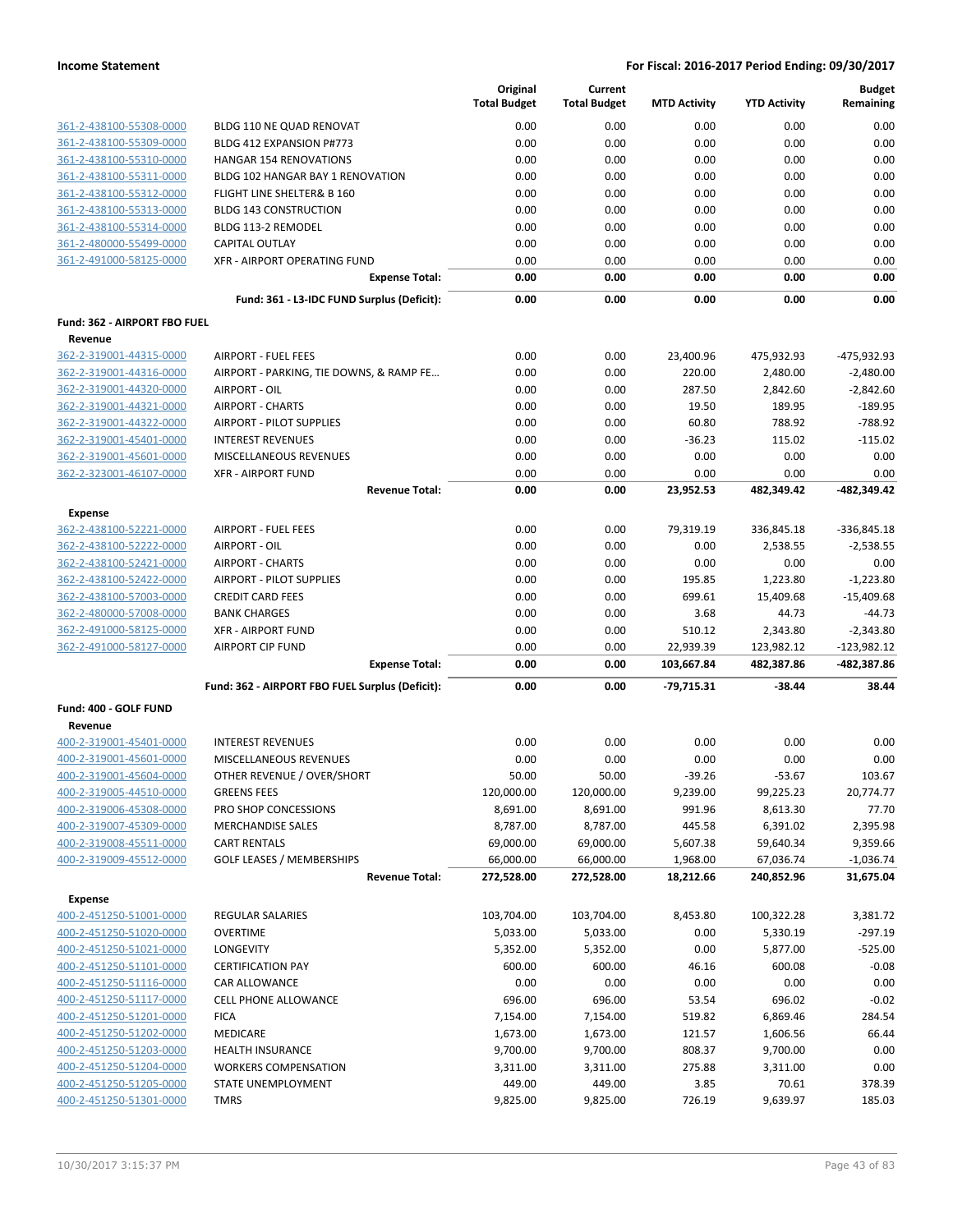|                                                    |                                                          | Original<br><b>Total Budget</b> | Current<br><b>Total Budget</b> | <b>MTD Activity</b> | <b>YTD Activity</b>  | <b>Budget</b><br>Remaining |
|----------------------------------------------------|----------------------------------------------------------|---------------------------------|--------------------------------|---------------------|----------------------|----------------------------|
| 361-2-438100-55308-0000                            | BLDG 110 NE QUAD RENOVAT                                 | 0.00                            | 0.00                           | 0.00                | 0.00                 | 0.00                       |
| 361-2-438100-55309-0000                            | BLDG 412 EXPANSION P#773                                 | 0.00                            | 0.00                           | 0.00                | 0.00                 | 0.00                       |
| 361-2-438100-55310-0000                            | <b>HANGAR 154 RENOVATIONS</b>                            | 0.00                            | 0.00                           | 0.00                | 0.00                 | 0.00                       |
| 361-2-438100-55311-0000                            | BLDG 102 HANGAR BAY 1 RENOVATION                         | 0.00                            | 0.00                           | 0.00                | 0.00                 | 0.00                       |
| 361-2-438100-55312-0000                            | FLIGHT LINE SHELTER& B 160                               | 0.00                            | 0.00                           | 0.00                | 0.00                 | 0.00                       |
| 361-2-438100-55313-0000                            | <b>BLDG 143 CONSTRUCTION</b>                             | 0.00                            | 0.00                           | 0.00                | 0.00                 | 0.00                       |
| 361-2-438100-55314-0000                            | BLDG 113-2 REMODEL                                       | 0.00                            | 0.00                           | 0.00                | 0.00                 | 0.00                       |
| 361-2-480000-55499-0000                            | <b>CAPITAL OUTLAY</b>                                    | 0.00                            | 0.00                           | 0.00                | 0.00                 | 0.00                       |
| 361-2-491000-58125-0000                            | XFR - AIRPORT OPERATING FUND                             | 0.00                            | 0.00                           | 0.00                | 0.00                 | 0.00                       |
|                                                    | <b>Expense Total:</b>                                    | 0.00                            | 0.00                           | 0.00                | 0.00                 | 0.00                       |
|                                                    | Fund: 361 - L3-IDC FUND Surplus (Deficit):               | 0.00                            | 0.00                           | 0.00                | 0.00                 | 0.00                       |
| Fund: 362 - AIRPORT FBO FUEL                       |                                                          |                                 |                                |                     |                      |                            |
| Revenue                                            |                                                          |                                 |                                |                     |                      |                            |
| 362-2-319001-44315-0000                            | <b>AIRPORT - FUEL FEES</b>                               | 0.00                            | 0.00                           | 23,400.96           | 475,932.93           | -475,932.93                |
| 362-2-319001-44316-0000<br>362-2-319001-44320-0000 | AIRPORT - PARKING, TIE DOWNS, & RAMP FE<br>AIRPORT - OIL | 0.00<br>0.00                    | 0.00<br>0.00                   | 220.00<br>287.50    | 2,480.00<br>2,842.60 | $-2,480.00$<br>$-2,842.60$ |
| 362-2-319001-44321-0000                            | <b>AIRPORT - CHARTS</b>                                  | 0.00                            | 0.00                           | 19.50               | 189.95               | $-189.95$                  |
| 362-2-319001-44322-0000                            | <b>AIRPORT - PILOT SUPPLIES</b>                          | 0.00                            | 0.00                           | 60.80               | 788.92               | $-788.92$                  |
| 362-2-319001-45401-0000                            | <b>INTEREST REVENUES</b>                                 | 0.00                            | 0.00                           | $-36.23$            | 115.02               | $-115.02$                  |
| 362-2-319001-45601-0000                            | MISCELLANEOUS REVENUES                                   | 0.00                            | 0.00                           | 0.00                | 0.00                 | 0.00                       |
| 362-2-323001-46107-0000                            | <b>XFR - AIRPORT FUND</b>                                | 0.00                            | 0.00                           | 0.00                | 0.00                 | 0.00                       |
|                                                    | <b>Revenue Total:</b>                                    | 0.00                            | 0.00                           | 23,952.53           | 482,349.42           | -482,349.42                |
| <b>Expense</b>                                     |                                                          |                                 |                                |                     |                      |                            |
| 362-2-438100-52221-0000                            | <b>AIRPORT - FUEL FEES</b>                               | 0.00                            | 0.00                           | 79,319.19           | 336,845.18           | $-336,845.18$              |
| 362-2-438100-52222-0000                            | AIRPORT - OIL                                            | 0.00                            | 0.00                           | 0.00                | 2,538.55             | $-2,538.55$                |
| 362-2-438100-52421-0000                            | <b>AIRPORT - CHARTS</b>                                  | 0.00                            | 0.00                           | 0.00                | 0.00                 | 0.00                       |
| 362-2-438100-52422-0000                            | <b>AIRPORT - PILOT SUPPLIES</b>                          | 0.00                            | 0.00                           | 195.85              | 1,223.80             | $-1,223.80$                |
| 362-2-438100-57003-0000                            | <b>CREDIT CARD FEES</b>                                  | 0.00                            | 0.00                           | 699.61              | 15,409.68            | $-15,409.68$               |
| 362-2-480000-57008-0000                            | <b>BANK CHARGES</b>                                      | 0.00                            | 0.00                           | 3.68                | 44.73                | $-44.73$                   |
| 362-2-491000-58125-0000                            | <b>XFR - AIRPORT FUND</b>                                | 0.00                            | 0.00                           | 510.12              | 2,343.80             | $-2,343.80$                |
| 362-2-491000-58127-0000                            | <b>AIRPORT CIP FUND</b>                                  | 0.00                            | 0.00                           | 22,939.39           | 123,982.12           | $-123,982.12$              |
|                                                    | <b>Expense Total:</b>                                    | 0.00                            | 0.00                           | 103,667.84          | 482,387.86           | -482,387.86                |
|                                                    | Fund: 362 - AIRPORT FBO FUEL Surplus (Deficit):          | 0.00                            | 0.00                           | -79,715.31          | -38.44               | 38.44                      |
| Fund: 400 - GOLF FUND<br>Revenue                   |                                                          |                                 |                                |                     |                      |                            |
| 400-2-319001-45401-0000                            | <b>INTEREST REVENUES</b>                                 | 0.00                            | 0.00                           | 0.00                | 0.00                 | 0.00                       |
| 400-2-319001-45601-0000                            | MISCELLANEOUS REVENUES                                   | 0.00                            | 0.00                           | 0.00                | 0.00                 | 0.00                       |
| 400-2-319001-45604-0000                            | OTHER REVENUE / OVER/SHORT                               | 50.00                           | 50.00                          | $-39.26$            | $-53.67$             | 103.67                     |
| 400-2-319005-44510-0000                            | <b>GREENS FEES</b>                                       | 120,000.00                      | 120,000.00                     | 9,239.00            | 99,225.23            | 20,774.77                  |
| 400-2-319006-45308-0000                            | PRO SHOP CONCESSIONS                                     | 8,691.00                        | 8,691.00                       | 991.96              | 8,613.30             | 77.70                      |
| 400-2-319007-45309-0000                            | <b>MERCHANDISE SALES</b>                                 | 8,787.00                        | 8,787.00                       | 445.58              | 6,391.02             | 2,395.98                   |
| 400-2-319008-45511-0000                            | <b>CART RENTALS</b>                                      | 69,000.00                       | 69,000.00                      | 5,607.38            | 59,640.34            | 9,359.66                   |
| 400-2-319009-45512-0000                            | <b>GOLF LEASES / MEMBERSHIPS</b>                         | 66,000.00                       | 66,000.00                      | 1,968.00            | 67,036.74            | $-1,036.74$                |
|                                                    | <b>Revenue Total:</b>                                    | 272,528.00                      | 272,528.00                     | 18,212.66           | 240,852.96           | 31,675.04                  |
| <b>Expense</b>                                     |                                                          |                                 |                                |                     |                      |                            |
| 400-2-451250-51001-0000                            | <b>REGULAR SALARIES</b>                                  | 103,704.00                      | 103,704.00                     | 8,453.80            | 100,322.28           | 3,381.72                   |
| 400-2-451250-51020-0000                            | <b>OVERTIME</b>                                          | 5,033.00                        | 5,033.00                       | 0.00                | 5,330.19             | $-297.19$                  |
| 400-2-451250-51021-0000                            | LONGEVITY                                                | 5,352.00                        | 5,352.00                       | 0.00                | 5,877.00             | $-525.00$                  |
| 400-2-451250-51101-0000                            | <b>CERTIFICATION PAY</b>                                 | 600.00                          | 600.00<br>0.00                 | 46.16<br>0.00       | 600.08<br>0.00       | $-0.08$<br>0.00            |
| 400-2-451250-51116-0000<br>400-2-451250-51117-0000 | CAR ALLOWANCE<br><b>CELL PHONE ALLOWANCE</b>             | 0.00<br>696.00                  | 696.00                         | 53.54               | 696.02               | $-0.02$                    |
| 400-2-451250-51201-0000                            | <b>FICA</b>                                              | 7,154.00                        | 7,154.00                       | 519.82              | 6,869.46             | 284.54                     |
| 400-2-451250-51202-0000                            | MEDICARE                                                 | 1,673.00                        | 1,673.00                       | 121.57              | 1,606.56             | 66.44                      |
| 400-2-451250-51203-0000                            | <b>HEALTH INSURANCE</b>                                  | 9,700.00                        | 9,700.00                       | 808.37              | 9,700.00             | 0.00                       |
| 400-2-451250-51204-0000                            | <b>WORKERS COMPENSATION</b>                              | 3,311.00                        | 3,311.00                       | 275.88              | 3,311.00             | 0.00                       |
| 400-2-451250-51205-0000                            | STATE UNEMPLOYMENT                                       | 449.00                          | 449.00                         | 3.85                | 70.61                | 378.39                     |
| 400-2-451250-51301-0000                            | <b>TMRS</b>                                              | 9,825.00                        | 9,825.00                       | 726.19              | 9,639.97             | 185.03                     |
|                                                    |                                                          |                                 |                                |                     |                      |                            |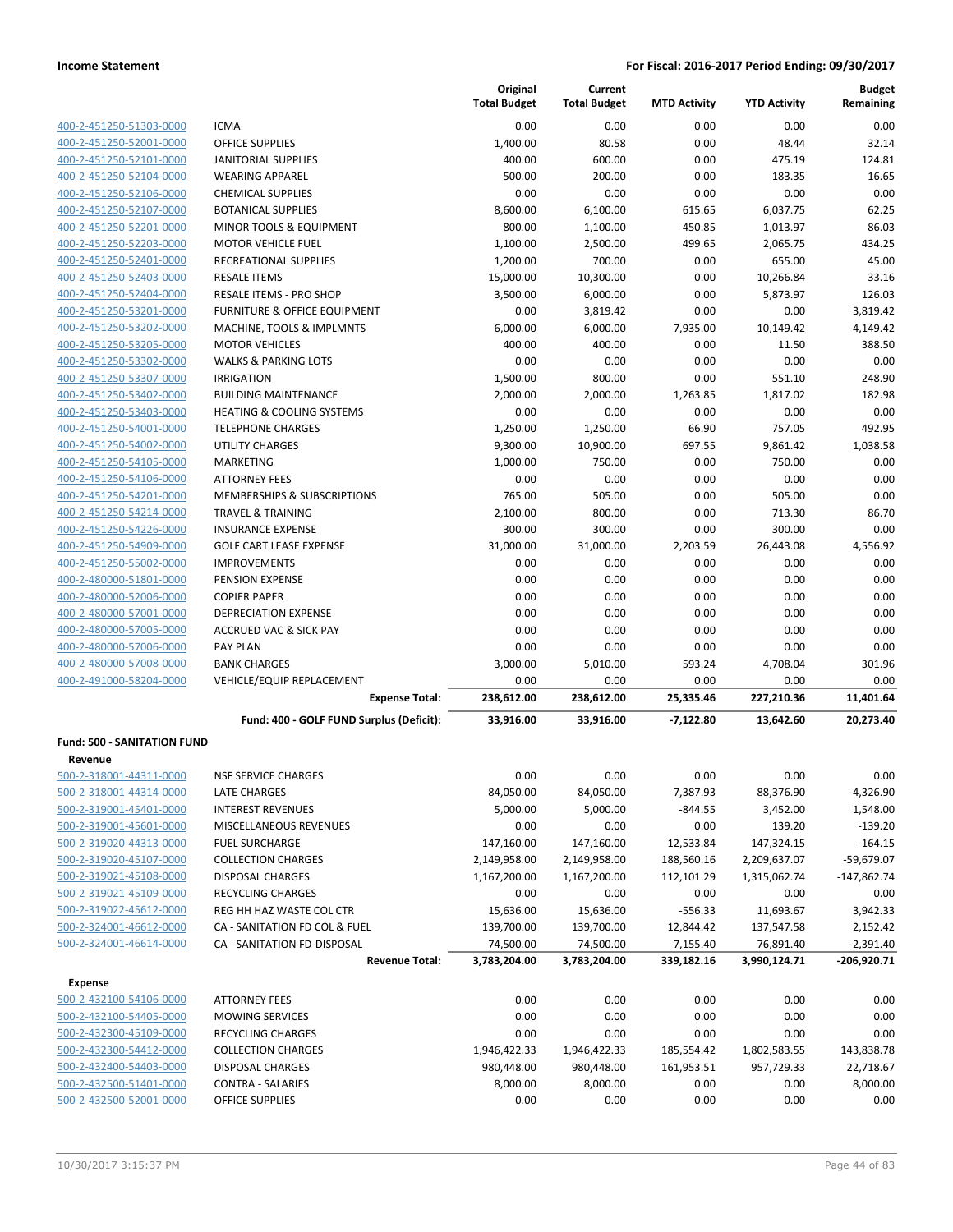| 400-2-451250-51303-0000 |
|-------------------------|
| 400-2-451250-52001-0000 |
| 400-2-451250-52101-0000 |
| 400-2-451250-52104-0000 |
| 400-2-451250-52106-0000 |
| 400-2-451250-52107-0000 |
| 400-2-451250-52201-0000 |
| 400-2-451250-52203-0000 |
| 400-2-451250-52401-0000 |
| 400-2-451250-52403-0000 |
| 400-2-451250-52404-0000 |
| 400-2-451250-53201-0000 |
| 400-2-451250-53202-0000 |
| 400-2-451250-53205-0000 |
| 400-2-451250-53302-0000 |
| 400-2-451250-53307-0000 |
| 400-2-451250-53402-0000 |
| 400-2-451250-53403-0000 |
| 400-2-451250-54001-0000 |
| 400-2-451250-54002-0000 |
| 400-2-451250-54105-0000 |
| 400-2-451250-54106-0000 |
| 400-2-451250-54201-0000 |
| 400-2-451250-54214-0000 |
| 400-2-451250-54226-0000 |
| 400-2-451250-54909-0000 |
| 400-2-451250-55002-0000 |
| 400-2-480000-51801-0000 |
| 400-2-480000-52006-0000 |
| 400-2-480000-57001-0000 |
| 400-2-480000-57005-0000 |
| 400-2-480000-57006-0000 |
| 400-2-480000-57008-0000 |
| 400-2-491000-58204-0000 |

|                                               |                                          | Original<br><b>Total Budget</b> | Current<br><b>Total Budget</b> | <b>MTD Activity</b> | <b>YTD Activity</b> | <b>Budget</b><br>Remaining |
|-----------------------------------------------|------------------------------------------|---------------------------------|--------------------------------|---------------------|---------------------|----------------------------|
| 400-2-451250-51303-0000                       | <b>ICMA</b>                              | 0.00                            | 0.00                           | 0.00                | 0.00                | 0.00                       |
| 400-2-451250-52001-0000                       | <b>OFFICE SUPPLIES</b>                   | 1,400.00                        | 80.58                          | 0.00                | 48.44               | 32.14                      |
| 400-2-451250-52101-0000                       | <b>JANITORIAL SUPPLIES</b>               | 400.00                          | 600.00                         | 0.00                | 475.19              | 124.81                     |
| 400-2-451250-52104-0000                       | <b>WEARING APPAREL</b>                   | 500.00                          | 200.00                         | 0.00                | 183.35              | 16.65                      |
| 400-2-451250-52106-0000                       | <b>CHEMICAL SUPPLIES</b>                 | 0.00                            | 0.00                           | 0.00                | 0.00                | 0.00                       |
| 400-2-451250-52107-0000                       | <b>BOTANICAL SUPPLIES</b>                | 8,600.00                        | 6,100.00                       | 615.65              | 6,037.75            | 62.25                      |
| 400-2-451250-52201-0000                       | <b>MINOR TOOLS &amp; EQUIPMENT</b>       | 800.00                          | 1,100.00                       | 450.85              | 1,013.97            | 86.03                      |
| 400-2-451250-52203-0000                       | <b>MOTOR VEHICLE FUEL</b>                | 1,100.00                        | 2,500.00                       | 499.65              | 2,065.75            | 434.25                     |
| 400-2-451250-52401-0000                       | RECREATIONAL SUPPLIES                    | 1,200.00                        | 700.00                         | 0.00                | 655.00              | 45.00                      |
| 400-2-451250-52403-0000                       | <b>RESALE ITEMS</b>                      | 15,000.00                       | 10,300.00                      | 0.00                | 10,266.84           | 33.16                      |
| 400-2-451250-52404-0000                       | <b>RESALE ITEMS - PRO SHOP</b>           | 3,500.00                        | 6,000.00                       | 0.00                | 5,873.97            | 126.03                     |
| 400-2-451250-53201-0000                       | <b>FURNITURE &amp; OFFICE EQUIPMENT</b>  | 0.00                            | 3,819.42                       | 0.00                | 0.00                | 3,819.42                   |
| 400-2-451250-53202-0000                       | MACHINE, TOOLS & IMPLMNTS                | 6,000.00                        | 6,000.00                       | 7,935.00            | 10,149.42           | $-4,149.42$                |
| 400-2-451250-53205-0000                       | <b>MOTOR VEHICLES</b>                    | 400.00                          | 400.00                         | 0.00                | 11.50               | 388.50                     |
| 400-2-451250-53302-0000                       | <b>WALKS &amp; PARKING LOTS</b>          | 0.00                            | 0.00                           | 0.00                | 0.00                | 0.00                       |
| 400-2-451250-53307-0000                       | <b>IRRIGATION</b>                        | 1,500.00                        | 800.00                         | 0.00                | 551.10              | 248.90                     |
| 400-2-451250-53402-0000                       | <b>BUILDING MAINTENANCE</b>              | 2,000.00                        | 2,000.00                       | 1,263.85            | 1,817.02            | 182.98                     |
| 400-2-451250-53403-0000                       | <b>HEATING &amp; COOLING SYSTEMS</b>     | 0.00                            | 0.00                           | 0.00                | 0.00                | 0.00                       |
| 400-2-451250-54001-0000                       | <b>TELEPHONE CHARGES</b>                 | 1.250.00                        | 1,250.00                       | 66.90               | 757.05              | 492.95                     |
| 400-2-451250-54002-0000                       | UTILITY CHARGES                          | 9,300.00                        | 10,900.00                      | 697.55              | 9,861.42            | 1,038.58                   |
| 400-2-451250-54105-0000                       | MARKETING                                | 1,000.00                        | 750.00                         | 0.00                | 750.00              | 0.00                       |
| 400-2-451250-54106-0000                       | <b>ATTORNEY FEES</b>                     | 0.00                            | 0.00                           | 0.00                | 0.00                | 0.00                       |
| 400-2-451250-54201-0000                       | <b>MEMBERSHIPS &amp; SUBSCRIPTIONS</b>   | 765.00                          | 505.00                         | 0.00                | 505.00              | 0.00                       |
| 400-2-451250-54214-0000                       | <b>TRAVEL &amp; TRAINING</b>             | 2,100.00                        | 800.00                         | 0.00                | 713.30              | 86.70                      |
| 400-2-451250-54226-0000                       | <b>INSURANCE EXPENSE</b>                 | 300.00                          | 300.00                         | 0.00                | 300.00              | 0.00                       |
| 400-2-451250-54909-0000                       | <b>GOLF CART LEASE EXPENSE</b>           | 31,000.00                       | 31,000.00                      | 2,203.59            | 26,443.08           | 4,556.92                   |
| 400-2-451250-55002-0000                       | <b>IMPROVEMENTS</b>                      | 0.00                            | 0.00                           | 0.00                | 0.00                | 0.00                       |
| 400-2-480000-51801-0000                       | PENSION EXPENSE                          | 0.00                            | 0.00                           | 0.00                | 0.00                | 0.00                       |
| 400-2-480000-52006-0000                       | <b>COPIER PAPER</b>                      | 0.00                            | 0.00                           | 0.00                | 0.00                | 0.00                       |
| 400-2-480000-57001-0000                       | <b>DEPRECIATION EXPENSE</b>              | 0.00                            | 0.00                           | 0.00                | 0.00                | 0.00                       |
| 400-2-480000-57005-0000                       | <b>ACCRUED VAC &amp; SICK PAY</b>        | 0.00                            | 0.00                           | 0.00                | 0.00                | 0.00                       |
| 400-2-480000-57006-0000                       | <b>PAY PLAN</b>                          | 0.00                            | 0.00                           | 0.00                | 0.00                | 0.00                       |
| 400-2-480000-57008-0000                       | <b>BANK CHARGES</b>                      | 3,000.00                        | 5,010.00                       | 593.24              | 4,708.04            | 301.96                     |
| 400-2-491000-58204-0000                       | <b>VEHICLE/EQUIP REPLACEMENT</b>         | 0.00                            | 0.00                           | 0.00                | 0.00                | 0.00                       |
|                                               | <b>Expense Total:</b>                    | 238,612.00                      | 238,612.00                     | 25,335.46           | 227,210.36          | 11,401.64                  |
|                                               | Fund: 400 - GOLF FUND Surplus (Deficit): | 33,916.00                       | 33,916.00                      | $-7,122.80$         | 13,642.60           | 20,273.40                  |
| <b>Fund: 500 - SANITATION FUND</b><br>Revenue |                                          |                                 |                                |                     |                     |                            |
| 500-2-318001-44311-0000                       | <b>NSF SERVICE CHARGES</b>               | 0.00                            | 0.00                           | 0.00                | 0.00                | 0.00                       |
| 500-2-318001-44314-0000                       | <b>LATE CHARGES</b>                      | 84,050.00                       | 84,050.00                      | 7,387.93            | 88,376.90           | $-4,326.90$                |
| 500-2-319001-45401-0000                       | <b>INTEREST REVENUES</b>                 | 5,000.00                        | 5,000.00                       | $-844.55$           | 3,452.00            | 1,548.00                   |
| 500-2-319001-45601-0000                       | MISCELLANEOUS REVENUES                   | 0.00                            | 0.00                           | 0.00                | 139.20              | $-139.20$                  |
| 500-2-319020-44313-0000                       | <b>FUEL SURCHARGE</b>                    | 147,160.00                      | 147,160.00                     | 12,533.84           | 147,324.15          | $-164.15$                  |
| 500-2-319020-45107-0000                       | <b>COLLECTION CHARGES</b>                | 2,149,958.00                    | 2,149,958.00                   | 188,560.16          | 2,209,637.07        | $-59,679.07$               |
| 500-2-319021-45108-0000                       | <b>DISPOSAL CHARGES</b>                  | 1,167,200.00                    | 1,167,200.00                   | 112,101.29          | 1,315,062.74        | $-147,862.74$              |
| 500-2-319021-45109-0000                       | <b>RECYCLING CHARGES</b>                 | 0.00                            | 0.00                           | 0.00                | 0.00                | 0.00                       |
| 500-2-319022-45612-0000                       | REG HH HAZ WASTE COL CTR                 | 15,636.00                       | 15,636.00                      | $-556.33$           | 11,693.67           | 3,942.33                   |
| 500-2-324001-46612-0000                       | CA - SANITATION FD COL & FUEL            | 139,700.00                      | 139,700.00                     | 12,844.42           | 137,547.58          | 2,152.42                   |
| 500-2-324001-46614-0000                       | CA - SANITATION FD-DISPOSAL              | 74,500.00                       | 74,500.00                      | 7,155.40            | 76,891.40           | $-2,391.40$                |
|                                               | <b>Revenue Total:</b>                    | 3,783,204.00                    | 3,783,204.00                   | 339,182.16          | 3,990,124.71        | -206,920.71                |
| <b>Expense</b>                                |                                          |                                 |                                |                     |                     |                            |
| 500-2-432100-54106-0000                       | <b>ATTORNEY FEES</b>                     | 0.00                            | 0.00                           | 0.00                | 0.00                | 0.00                       |
| 500-2-432100-54405-0000                       | <b>MOWING SERVICES</b>                   | 0.00                            | 0.00                           | 0.00                | 0.00                | 0.00                       |
| 500-2-432300-45109-0000                       | RECYCLING CHARGES                        | 0.00                            | 0.00                           | 0.00                | 0.00                | 0.00                       |
| 500-2-432300-54412-0000                       | <b>COLLECTION CHARGES</b>                | 1,946,422.33                    | 1,946,422.33                   | 185,554.42          | 1,802,583.55        | 143,838.78                 |
| 500-2-432400-54403-0000                       | DISPOSAL CHARGES                         | 980,448.00                      | 980,448.00                     | 161,953.51          | 957,729.33          | 22,718.67                  |
| 500-2-432500-51401-0000                       | <b>CONTRA - SALARIES</b>                 | 8,000.00                        | 8,000.00                       | 0.00                | 0.00                | 8,000.00                   |

500-2-432500-52001-0000 OFFICE SUPPLIES 0.00 0.00 0.00 0.00 0.00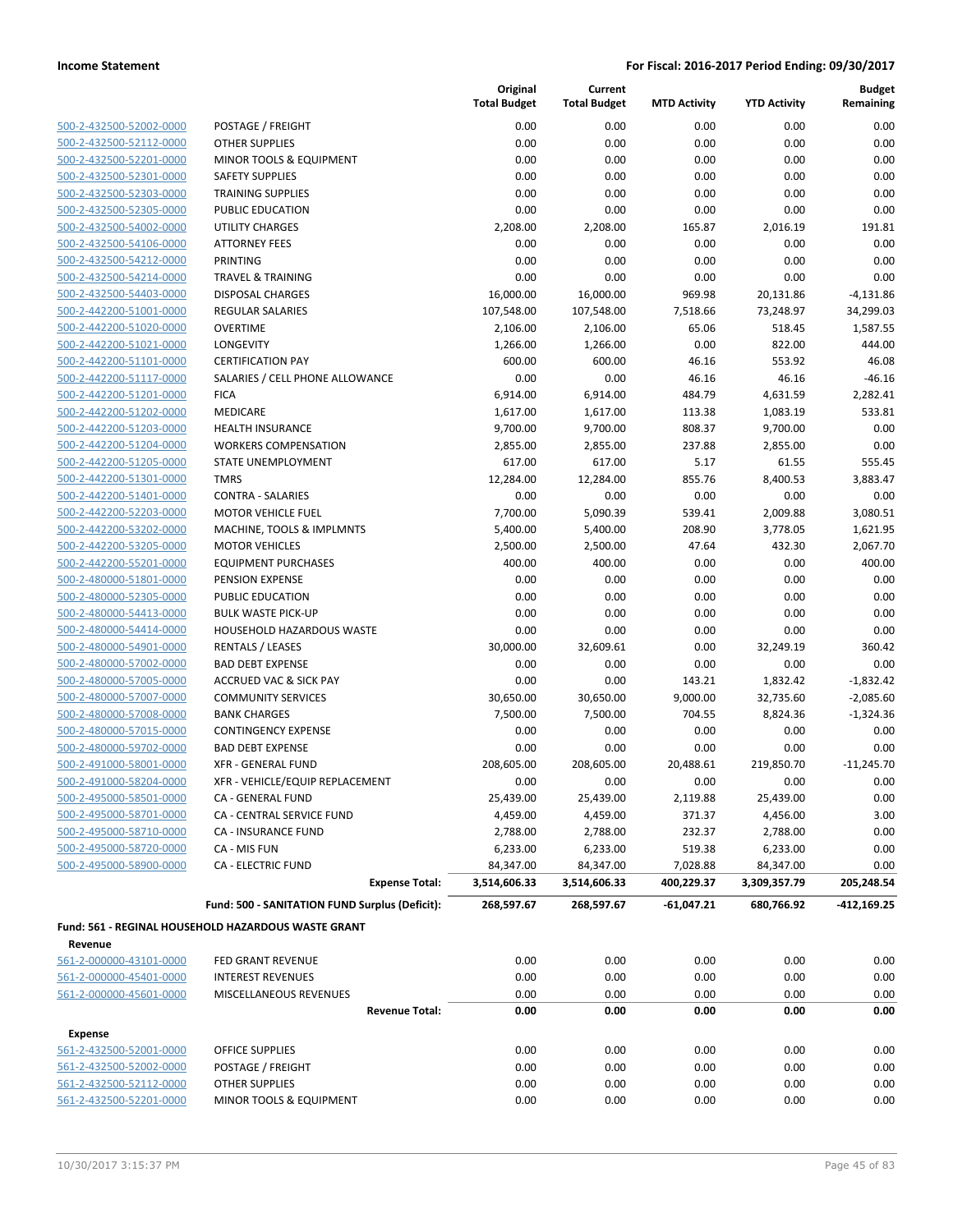| 500-2-432500-52002-0000        |
|--------------------------------|
| 500-2-432500-52112-0000        |
| 500-2-432500-52201-0000        |
| 500-2-432500-52301-0000        |
| 500-2-432500-52303-0000        |
| 500-2-432500-52305-0000        |
| 500-2-432500-54002-0000        |
| 500-2-432500-54106-0000        |
| 500-2-432500-54212-0000        |
| 500-2-432500-54214-0000        |
| 500-2-432500-54403-0000        |
| 500-2-442200-51001-0000        |
| 500-2-442200-51020-0000        |
| 500-2-442200-51021-0000        |
| 500-2-442200-51101-0000        |
| 500-2-442200-51117-0000        |
| <u>500-2-442200-51201-0000</u> |
| 500-2-442200-51202-0000        |
| 500-2-442200-51203-0000        |
| 500-2-442200-51204-0000        |
| 500-2-442200-51205-0000        |
| 500-2-442200-51301-0000        |
| 500-2-442200-51401-0000        |
| 500-2-442200-52203-0000        |
| 500-2-442200-53202-0000        |
| 500-2-442200-53205-0000        |
| 500-2-442200-55201-0000        |
| 500-2-480000-51801-0000        |
| 500-2-480000-52305-0000        |
| 500-2-480000-54413-0000        |
| 500-2-480000-54414-0000        |
| 500-2-480000-54901-0000        |
| 500-2-480000-57002-0000        |
| 500-2-480000-57005-0000        |
| <u>500-2-480000-57007-0000</u> |
| 500-2-480000-57008-0000        |
| 500-2-480000-57015-0000        |
| 500-2-480000-59702-0000        |
| <u>500-2-491000-58001-0000</u> |
| <u>500-2-491000-58204-0000</u> |
| 500-2-495000-58501-0000        |
| 500-2-495000-58701-0000        |
| 500-2-495000-58710-0000        |
| 500-2-495000-58720-0000        |
| 500-2-495000-58900-0000        |
|                                |

|                         |                                                     | Original<br><b>Total Budget</b> | Current<br><b>Total Budget</b> | <b>MTD Activity</b> | <b>YTD Activity</b> | <b>Budget</b><br>Remaining |
|-------------------------|-----------------------------------------------------|---------------------------------|--------------------------------|---------------------|---------------------|----------------------------|
| 500-2-432500-52002-0000 | POSTAGE / FREIGHT                                   | 0.00                            | 0.00                           | 0.00                | 0.00                | 0.00                       |
| 500-2-432500-52112-0000 | <b>OTHER SUPPLIES</b>                               | 0.00                            | 0.00                           | 0.00                | 0.00                | 0.00                       |
| 500-2-432500-52201-0000 | <b>MINOR TOOLS &amp; EQUIPMENT</b>                  | 0.00                            | 0.00                           | 0.00                | 0.00                | 0.00                       |
| 500-2-432500-52301-0000 | <b>SAFETY SUPPLIES</b>                              | 0.00                            | 0.00                           | 0.00                | 0.00                | 0.00                       |
| 500-2-432500-52303-0000 | <b>TRAINING SUPPLIES</b>                            | 0.00                            | 0.00                           | 0.00                | 0.00                | 0.00                       |
| 500-2-432500-52305-0000 | PUBLIC EDUCATION                                    | 0.00                            | 0.00                           | 0.00                | 0.00                | 0.00                       |
| 500-2-432500-54002-0000 | <b>UTILITY CHARGES</b>                              | 2,208.00                        | 2,208.00                       | 165.87              | 2,016.19            | 191.81                     |
| 500-2-432500-54106-0000 | <b>ATTORNEY FEES</b>                                | 0.00                            | 0.00                           | 0.00                | 0.00                | 0.00                       |
| 500-2-432500-54212-0000 | <b>PRINTING</b>                                     | 0.00                            | 0.00                           | 0.00                | 0.00                | 0.00                       |
| 500-2-432500-54214-0000 | <b>TRAVEL &amp; TRAINING</b>                        | 0.00                            | 0.00                           | 0.00                | 0.00                | 0.00                       |
| 500-2-432500-54403-0000 | <b>DISPOSAL CHARGES</b>                             | 16,000.00                       | 16,000.00                      | 969.98              | 20,131.86           | $-4,131.86$                |
| 500-2-442200-51001-0000 | <b>REGULAR SALARIES</b>                             | 107,548.00                      | 107,548.00                     | 7,518.66            | 73,248.97           | 34,299.03                  |
| 500-2-442200-51020-0000 | <b>OVERTIME</b>                                     | 2,106.00                        | 2,106.00                       | 65.06               | 518.45              | 1,587.55                   |
| 500-2-442200-51021-0000 | LONGEVITY                                           | 1,266.00                        | 1,266.00                       | 0.00                | 822.00              | 444.00                     |
| 500-2-442200-51101-0000 | <b>CERTIFICATION PAY</b>                            | 600.00                          | 600.00                         | 46.16               | 553.92              | 46.08                      |
| 500-2-442200-51117-0000 | SALARIES / CELL PHONE ALLOWANCE                     | 0.00                            | 0.00                           | 46.16               | 46.16               | $-46.16$                   |
| 500-2-442200-51201-0000 | <b>FICA</b>                                         | 6,914.00                        | 6,914.00                       | 484.79              | 4,631.59            | 2,282.41                   |
| 500-2-442200-51202-0000 | <b>MEDICARE</b>                                     | 1,617.00                        | 1,617.00                       | 113.38              | 1,083.19            | 533.81                     |
| 500-2-442200-51203-0000 | <b>HEALTH INSURANCE</b>                             | 9,700.00                        | 9,700.00                       | 808.37              | 9,700.00            | 0.00                       |
| 500-2-442200-51204-0000 | <b>WORKERS COMPENSATION</b>                         | 2,855.00                        | 2,855.00                       | 237.88              | 2,855.00            | 0.00                       |
| 500-2-442200-51205-0000 | STATE UNEMPLOYMENT                                  | 617.00                          | 617.00                         | 5.17                | 61.55               | 555.45                     |
| 500-2-442200-51301-0000 | <b>TMRS</b>                                         | 12,284.00                       | 12,284.00                      | 855.76              | 8,400.53            | 3,883.47                   |
| 500-2-442200-51401-0000 | <b>CONTRA - SALARIES</b>                            | 0.00                            | 0.00                           | 0.00                | 0.00                | 0.00                       |
| 500-2-442200-52203-0000 | <b>MOTOR VEHICLE FUEL</b>                           | 7,700.00                        | 5,090.39                       | 539.41              | 2,009.88            | 3,080.51                   |
| 500-2-442200-53202-0000 | MACHINE, TOOLS & IMPLMNTS                           | 5,400.00                        | 5,400.00                       | 208.90              | 3,778.05            | 1,621.95                   |
| 500-2-442200-53205-0000 | <b>MOTOR VEHICLES</b>                               | 2,500.00                        | 2,500.00                       | 47.64               | 432.30              | 2,067.70                   |
| 500-2-442200-55201-0000 | <b>EQUIPMENT PURCHASES</b>                          | 400.00                          | 400.00                         | 0.00                | 0.00                | 400.00                     |
| 500-2-480000-51801-0000 | PENSION EXPENSE                                     | 0.00                            | 0.00                           | 0.00                | 0.00                | 0.00                       |
| 500-2-480000-52305-0000 | PUBLIC EDUCATION                                    | 0.00                            | 0.00                           | 0.00                | 0.00                | 0.00                       |
| 500-2-480000-54413-0000 | <b>BULK WASTE PICK-UP</b>                           | 0.00                            | 0.00                           | 0.00                | 0.00                | 0.00                       |
| 500-2-480000-54414-0000 | HOUSEHOLD HAZARDOUS WASTE                           | 0.00                            | 0.00                           | 0.00                | 0.00                | 0.00                       |
| 500-2-480000-54901-0000 | <b>RENTALS / LEASES</b>                             | 30,000.00                       | 32,609.61                      | 0.00                | 32,249.19           | 360.42                     |
| 500-2-480000-57002-0000 | <b>BAD DEBT EXPENSE</b>                             | 0.00                            | 0.00                           | 0.00                | 0.00                | 0.00                       |
| 500-2-480000-57005-0000 | <b>ACCRUED VAC &amp; SICK PAY</b>                   | 0.00                            | 0.00                           | 143.21              | 1,832.42            | $-1,832.42$                |
| 500-2-480000-57007-0000 | <b>COMMUNITY SERVICES</b>                           | 30,650.00                       | 30,650.00                      | 9,000.00            | 32,735.60           | $-2,085.60$                |
| 500-2-480000-57008-0000 | <b>BANK CHARGES</b>                                 | 7,500.00                        | 7,500.00                       | 704.55              | 8,824.36            | $-1,324.36$                |
| 500-2-480000-57015-0000 | <b>CONTINGENCY EXPENSE</b>                          | 0.00                            | 0.00                           | 0.00                | 0.00                | 0.00                       |
| 500-2-480000-59702-0000 | <b>BAD DEBT EXPENSE</b>                             | 0.00                            | 0.00                           | 0.00                | 0.00                | 0.00                       |
| 500-2-491000-58001-0000 | <b>XFR - GENERAL FUND</b>                           | 208,605.00                      | 208,605.00                     | 20,488.61           | 219,850.70          | $-11,245.70$               |
| 500-2-491000-58204-0000 | XFR - VEHICLE/EQUIP REPLACEMENT                     | 0.00                            | 0.00                           | 0.00                | 0.00                | 0.00                       |
| 500-2-495000-58501-0000 | CA - GENERAL FUND                                   | 25,439.00                       | 25,439.00                      | 2,119.88            | 25,439.00           | 0.00                       |
| 500-2-495000-58701-0000 | CA - CENTRAL SERVICE FUND                           | 4,459.00                        | 4,459.00                       | 371.37              | 4,456.00            | 3.00                       |
| 500-2-495000-58710-0000 | <b>CA - INSURANCE FUND</b>                          | 2,788.00                        | 2,788.00                       | 232.37              | 2,788.00            | 0.00                       |
| 500-2-495000-58720-0000 | CA - MIS FUN                                        | 6,233.00                        | 6,233.00                       | 519.38              | 6,233.00            | 0.00                       |
| 500-2-495000-58900-0000 | <b>CA - ELECTRIC FUND</b>                           | 84,347.00                       | 84,347.00                      | 7,028.88            | 84,347.00           | 0.00                       |
|                         | <b>Expense Total:</b>                               | 3,514,606.33                    | 3,514,606.33                   | 400,229.37          | 3,309,357.79        | 205,248.54                 |
|                         | Fund: 500 - SANITATION FUND Surplus (Deficit):      | 268,597.67                      | 268,597.67                     | -61,047.21          | 680,766.92          | $-412,169.25$              |
|                         | Fund: 561 - REGINAL HOUSEHOLD HAZARDOUS WASTE GRANT |                                 |                                |                     |                     |                            |
| Revenue                 |                                                     |                                 |                                |                     |                     |                            |
| 561-2-000000-43101-0000 | FED GRANT REVENUE                                   | 0.00                            | 0.00                           | 0.00                | 0.00                | 0.00                       |
| 561-2-000000-45401-0000 | <b>INTEREST REVENUES</b>                            | 0.00                            | 0.00                           | 0.00                | 0.00                | 0.00                       |
| 561-2-000000-45601-0000 | MISCELLANEOUS REVENUES                              | 0.00                            | 0.00                           | 0.00                | 0.00                | 0.00                       |
|                         | <b>Revenue Total:</b>                               | 0.00                            | 0.00                           | 0.00                | 0.00                | 0.00                       |

| <b>Expense</b>          |
|-------------------------|
| 561-2-432500-52001-0000 |
| 561-2-432500-52002-0000 |
| 561-2-432500-52112-0000 |
| 561-2-432500-52201-0000 |

 $561-25$   $561-25$   $561-25$   $561-25$   $561-25$   $561-25$   $561-25$   $561-25$   $561-25$   $561-25$   $561-25$   $561-25$   $561-25$   $561-25$   $561-25$   $561-25$   $561-25$   $561-25$   $561-25$   $561-25$   $561-25$   $561-25$   $561-25$   $561-25$   $561-2$ 561-2-432500-52002-0000 POSTAGE / FREIGHT 0.00 0.00 0.00 0.00 0.00 561-2-432500-52112-0000 OTHER SUPPLIES 0.00 0.00 0.00 0.00 0.00 561-2-432500-52201-0000 MINOR TOOLS & EQUIPMENT 0.00 0.00 0.00 0.00 0.00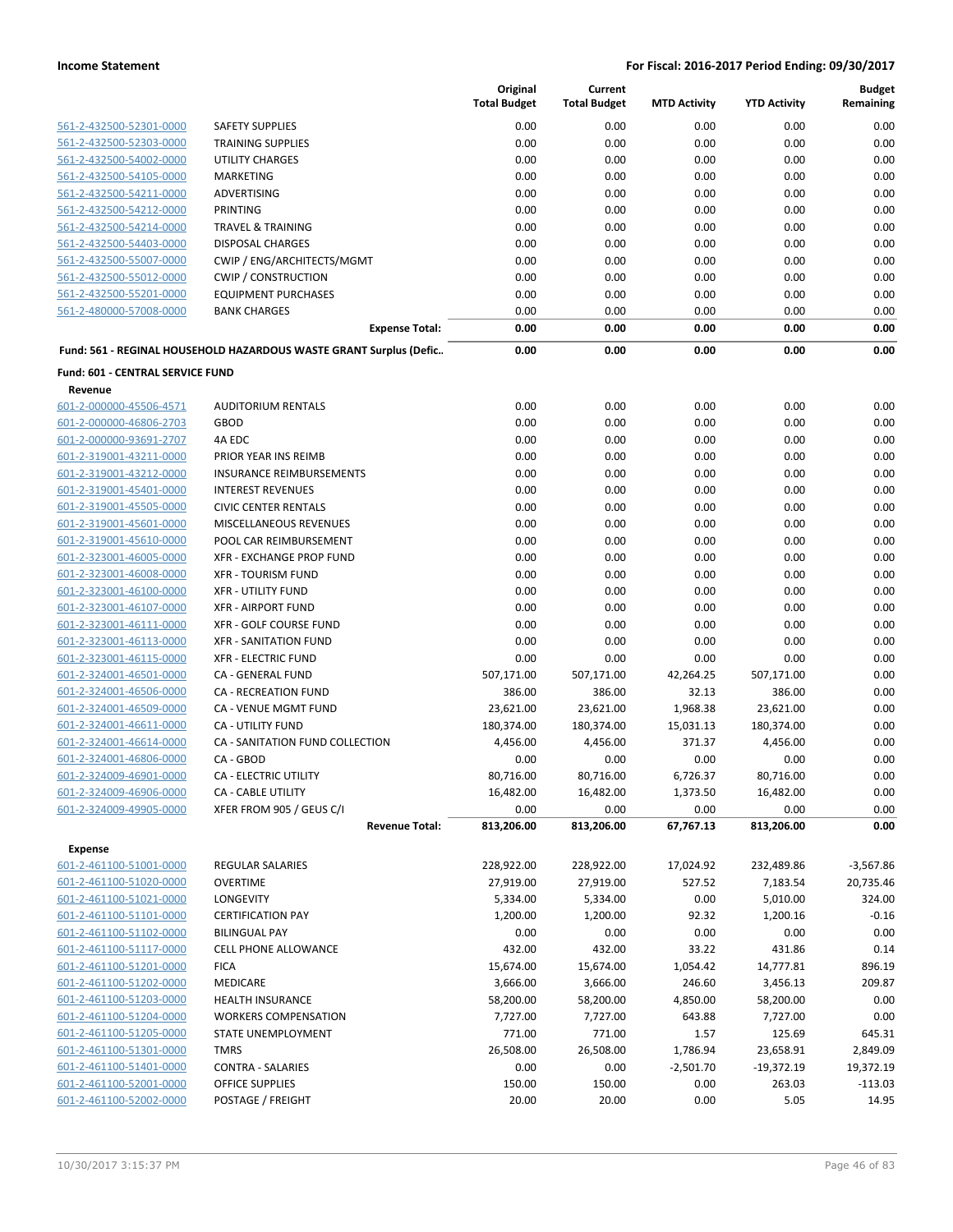|                                  |                                                                    | Original<br><b>Total Budget</b> | Current<br><b>Total Budget</b> | <b>MTD Activity</b> | <b>YTD Activity</b> | <b>Budget</b><br>Remaining |
|----------------------------------|--------------------------------------------------------------------|---------------------------------|--------------------------------|---------------------|---------------------|----------------------------|
| 561-2-432500-52301-0000          | <b>SAFETY SUPPLIES</b>                                             | 0.00                            | 0.00                           | 0.00                | 0.00                | 0.00                       |
| 561-2-432500-52303-0000          | <b>TRAINING SUPPLIES</b>                                           | 0.00                            | 0.00                           | 0.00                | 0.00                | 0.00                       |
| 561-2-432500-54002-0000          | <b>UTILITY CHARGES</b>                                             | 0.00                            | 0.00                           | 0.00                | 0.00                | 0.00                       |
| 561-2-432500-54105-0000          | MARKETING                                                          | 0.00                            | 0.00                           | 0.00                | 0.00                | 0.00                       |
| 561-2-432500-54211-0000          | <b>ADVERTISING</b>                                                 | 0.00                            | 0.00                           | 0.00                | 0.00                | 0.00                       |
| 561-2-432500-54212-0000          | PRINTING                                                           | 0.00                            | 0.00                           | 0.00                | 0.00                | 0.00                       |
| 561-2-432500-54214-0000          | <b>TRAVEL &amp; TRAINING</b>                                       | 0.00                            | 0.00                           | 0.00                | 0.00                | 0.00                       |
| 561-2-432500-54403-0000          | <b>DISPOSAL CHARGES</b>                                            | 0.00                            | 0.00                           | 0.00                | 0.00                | 0.00                       |
| 561-2-432500-55007-0000          | CWIP / ENG/ARCHITECTS/MGMT                                         | 0.00                            | 0.00                           | 0.00                | 0.00                | 0.00                       |
| 561-2-432500-55012-0000          | <b>CWIP / CONSTRUCTION</b>                                         | 0.00                            | 0.00                           | 0.00                | 0.00                | 0.00                       |
| 561-2-432500-55201-0000          | <b>EQUIPMENT PURCHASES</b>                                         | 0.00                            | 0.00                           | 0.00                | 0.00                | 0.00                       |
| 561-2-480000-57008-0000          | <b>BANK CHARGES</b>                                                | 0.00                            | 0.00                           | 0.00                | 0.00                | 0.00                       |
|                                  | <b>Expense Total:</b>                                              | 0.00                            | 0.00                           | 0.00                | 0.00                | 0.00                       |
|                                  | Fund: 561 - REGINAL HOUSEHOLD HAZARDOUS WASTE GRANT Surplus (Defic | 0.00                            | 0.00                           | 0.00                | 0.00                | 0.00                       |
| Fund: 601 - CENTRAL SERVICE FUND |                                                                    |                                 |                                |                     |                     |                            |
| Revenue                          |                                                                    |                                 |                                |                     |                     |                            |
| 601-2-000000-45506-4571          | <b>AUDITORIUM RENTALS</b>                                          | 0.00                            | 0.00                           | 0.00                | 0.00                | 0.00                       |
| 601-2-000000-46806-2703          | GBOD                                                               | 0.00                            | 0.00                           | 0.00                | 0.00                | 0.00                       |
| 601-2-000000-93691-2707          | 4A EDC                                                             | 0.00                            | 0.00                           | 0.00                | 0.00                | 0.00                       |
| 601-2-319001-43211-0000          | PRIOR YEAR INS REIMB                                               | 0.00                            | 0.00                           | 0.00                | 0.00                | 0.00                       |
| 601-2-319001-43212-0000          | <b>INSURANCE REIMBURSEMENTS</b>                                    | 0.00                            | 0.00                           | 0.00                | 0.00                | 0.00                       |
| 601-2-319001-45401-0000          | <b>INTEREST REVENUES</b>                                           | 0.00                            | 0.00                           | 0.00                | 0.00                | 0.00                       |
| 601-2-319001-45505-0000          | <b>CIVIC CENTER RENTALS</b>                                        | 0.00                            | 0.00                           | 0.00                | 0.00                | 0.00                       |
| 601-2-319001-45601-0000          | MISCELLANEOUS REVENUES                                             | 0.00                            | 0.00                           | 0.00                | 0.00                | 0.00                       |
| 601-2-319001-45610-0000          | POOL CAR REIMBURSEMENT                                             | 0.00                            | 0.00                           | 0.00                | 0.00                | 0.00                       |
| 601-2-323001-46005-0000          | XFR - EXCHANGE PROP FUND                                           | 0.00                            | 0.00                           | 0.00                | 0.00                | 0.00                       |
| 601-2-323001-46008-0000          | <b>XFR - TOURISM FUND</b>                                          | 0.00                            | 0.00                           | 0.00                | 0.00                | 0.00                       |
| 601-2-323001-46100-0000          | <b>XFR - UTILITY FUND</b>                                          | 0.00                            | 0.00                           | 0.00                | 0.00                | 0.00                       |
| 601-2-323001-46107-0000          | <b>XFR - AIRPORT FUND</b>                                          | 0.00                            | 0.00                           | 0.00                | 0.00                | 0.00                       |
| 601-2-323001-46111-0000          | <b>XFR - GOLF COURSE FUND</b>                                      | 0.00                            | 0.00                           | 0.00                | 0.00                | 0.00                       |
| 601-2-323001-46113-0000          | <b>XFR - SANITATION FUND</b>                                       | 0.00                            | 0.00                           | 0.00                | 0.00                | 0.00                       |
| 601-2-323001-46115-0000          | <b>XFR - ELECTRIC FUND</b>                                         | 0.00                            | 0.00                           | 0.00                | 0.00                | 0.00                       |
| 601-2-324001-46501-0000          | CA - GENERAL FUND                                                  | 507,171.00                      | 507,171.00                     | 42,264.25           | 507,171.00          | 0.00                       |
| 601-2-324001-46506-0000          | CA - RECREATION FUND                                               | 386.00                          | 386.00                         | 32.13               | 386.00              | 0.00                       |
| 601-2-324001-46509-0000          | CA - VENUE MGMT FUND                                               | 23,621.00                       | 23,621.00                      | 1,968.38            | 23,621.00           | 0.00                       |
| 601-2-324001-46611-0000          | <b>CA - UTILITY FUND</b>                                           | 180,374.00                      | 180,374.00                     | 15,031.13           | 180,374.00          | 0.00                       |
| 601-2-324001-46614-0000          | CA - SANITATION FUND COLLECTION                                    | 4,456.00                        | 4,456.00                       | 371.37              | 4,456.00            | 0.00                       |
| 601-2-324001-46806-0000          | CA - GBOD                                                          | 0.00                            | 0.00                           | 0.00                | 0.00                | 0.00                       |
| 601-2-324009-46901-0000          | <b>CA - ELECTRIC UTILITY</b>                                       | 80,716.00                       | 80,716.00                      | 6,726.37            | 80,716.00           | 0.00                       |
| 601-2-324009-46906-0000          | <b>CA - CABLE UTILITY</b>                                          | 16,482.00                       | 16,482.00                      | 1,373.50            | 16,482.00           | 0.00                       |
| 601-2-324009-49905-0000          | XFER FROM 905 / GEUS C/I                                           | 0.00                            | 0.00                           | 0.00                | 0.00                | 0.00                       |
|                                  | <b>Revenue Total:</b>                                              | 813,206.00                      | 813,206.00                     | 67,767.13           | 813,206.00          | 0.00                       |
| <b>Expense</b>                   |                                                                    |                                 |                                |                     |                     |                            |
| 601-2-461100-51001-0000          | REGULAR SALARIES                                                   | 228,922.00                      | 228,922.00                     | 17,024.92           | 232,489.86          | $-3,567.86$                |
| 601-2-461100-51020-0000          | <b>OVERTIME</b>                                                    | 27,919.00                       | 27,919.00                      | 527.52              | 7,183.54            | 20,735.46                  |
| 601-2-461100-51021-0000          | <b>LONGEVITY</b>                                                   | 5,334.00                        | 5,334.00                       | 0.00                | 5,010.00            | 324.00                     |
| 601-2-461100-51101-0000          | <b>CERTIFICATION PAY</b>                                           | 1,200.00                        | 1,200.00                       | 92.32               | 1,200.16            | $-0.16$                    |
| 601-2-461100-51102-0000          | <b>BILINGUAL PAY</b>                                               | 0.00                            | 0.00                           | 0.00                | 0.00                | 0.00                       |
| 601-2-461100-51117-0000          | CELL PHONE ALLOWANCE                                               | 432.00                          | 432.00                         | 33.22               | 431.86              | 0.14                       |
| 601-2-461100-51201-0000          | <b>FICA</b>                                                        | 15,674.00                       | 15,674.00                      | 1,054.42            | 14,777.81           | 896.19                     |
| 601-2-461100-51202-0000          | MEDICARE                                                           | 3,666.00                        | 3,666.00                       | 246.60              | 3,456.13            | 209.87                     |
| 601-2-461100-51203-0000          | <b>HEALTH INSURANCE</b>                                            | 58,200.00                       | 58,200.00                      | 4,850.00            | 58,200.00           | 0.00                       |
| 601-2-461100-51204-0000          | <b>WORKERS COMPENSATION</b>                                        | 7,727.00                        | 7,727.00                       | 643.88              | 7,727.00            | 0.00                       |
| 601-2-461100-51205-0000          | STATE UNEMPLOYMENT                                                 | 771.00                          | 771.00                         | 1.57                | 125.69              | 645.31                     |
| 601-2-461100-51301-0000          | <b>TMRS</b>                                                        | 26,508.00                       | 26,508.00                      | 1,786.94            | 23,658.91           | 2,849.09                   |
| 601-2-461100-51401-0000          | <b>CONTRA - SALARIES</b>                                           | 0.00                            | 0.00                           | $-2,501.70$         | $-19,372.19$        | 19,372.19                  |
| 601-2-461100-52001-0000          | <b>OFFICE SUPPLIES</b>                                             | 150.00                          | 150.00                         | 0.00                | 263.03              | $-113.03$                  |
| 601-2-461100-52002-0000          | POSTAGE / FREIGHT                                                  | 20.00                           | 20.00                          | 0.00                | 5.05                | 14.95                      |
|                                  |                                                                    |                                 |                                |                     |                     |                            |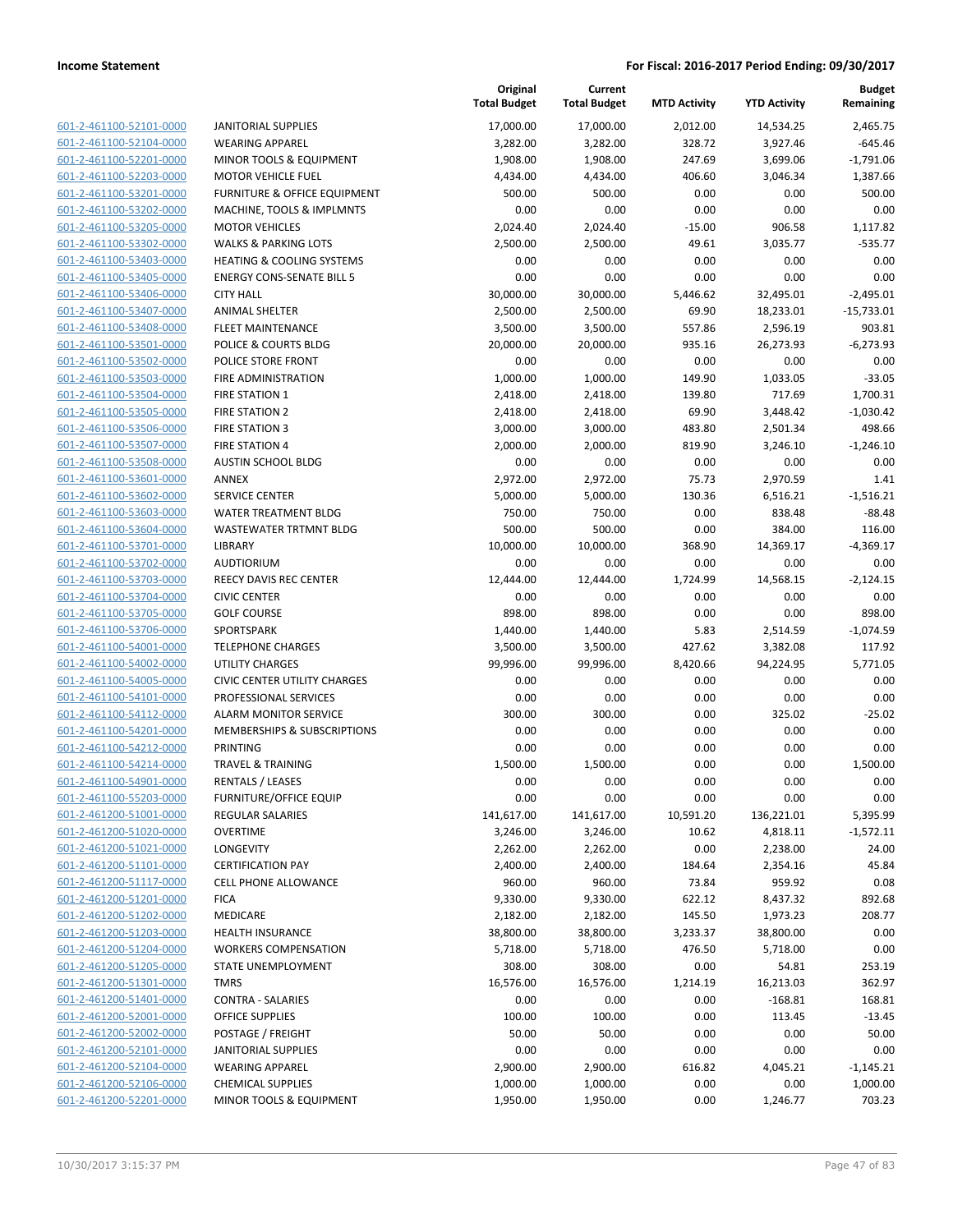|                                                    |                                                    | Original<br><b>Total Budget</b> | Current<br><b>Total Budget</b> | <b>MTD Activity</b> | <b>YTD Activity</b> | <b>Budget</b><br>Remaining |
|----------------------------------------------------|----------------------------------------------------|---------------------------------|--------------------------------|---------------------|---------------------|----------------------------|
| 601-2-461100-52101-0000                            | <b>JANITORIAL SUPPLIES</b>                         | 17,000.00                       | 17,000.00                      | 2,012.00            | 14,534.25           | 2,465.75                   |
| 601-2-461100-52104-0000                            | <b>WEARING APPAREL</b>                             | 3,282.00                        | 3,282.00                       | 328.72              | 3,927.46            | $-645.46$                  |
| 601-2-461100-52201-0000                            | MINOR TOOLS & EQUIPMENT                            | 1,908.00                        | 1,908.00                       | 247.69              | 3,699.06            | $-1,791.06$                |
| 601-2-461100-52203-0000                            | <b>MOTOR VEHICLE FUEL</b>                          | 4,434.00                        | 4,434.00                       | 406.60              | 3,046.34            | 1,387.66                   |
| 601-2-461100-53201-0000                            | FURNITURE & OFFICE EQUIPMENT                       | 500.00                          | 500.00                         | 0.00                | 0.00                | 500.00                     |
| 601-2-461100-53202-0000                            | MACHINE, TOOLS & IMPLMNTS                          | 0.00                            | 0.00                           | 0.00                | 0.00                | 0.00                       |
| 601-2-461100-53205-0000                            | <b>MOTOR VEHICLES</b>                              | 2,024.40                        | 2,024.40                       | $-15.00$            | 906.58              | 1,117.82                   |
| 601-2-461100-53302-0000                            | <b>WALKS &amp; PARKING LOTS</b>                    | 2,500.00                        | 2,500.00                       | 49.61               | 3,035.77            | $-535.77$                  |
| 601-2-461100-53403-0000                            | <b>HEATING &amp; COOLING SYSTEMS</b>               | 0.00                            | 0.00                           | 0.00                | 0.00                | 0.00                       |
| 601-2-461100-53405-0000                            | <b>ENERGY CONS-SENATE BILL 5</b>                   | 0.00                            | 0.00                           | 0.00                | 0.00                | 0.00                       |
| 601-2-461100-53406-0000                            | <b>CITY HALL</b>                                   | 30,000.00                       | 30,000.00                      | 5,446.62            | 32,495.01           | $-2,495.01$                |
| 601-2-461100-53407-0000                            | <b>ANIMAL SHELTER</b>                              | 2,500.00                        | 2,500.00                       | 69.90               | 18,233.01           | $-15,733.01$               |
| 601-2-461100-53408-0000                            | <b>FLEET MAINTENANCE</b>                           | 3,500.00                        | 3,500.00                       | 557.86              | 2,596.19            | 903.81                     |
| 601-2-461100-53501-0000                            | POLICE & COURTS BLDG                               | 20,000.00                       | 20,000.00                      | 935.16              | 26,273.93           | $-6,273.93$                |
| 601-2-461100-53502-0000                            | POLICE STORE FRONT                                 | 0.00                            | 0.00                           | 0.00                | 0.00                | 0.00                       |
| 601-2-461100-53503-0000                            | FIRE ADMINISTRATION                                | 1,000.00                        | 1,000.00                       | 149.90              | 1,033.05            | $-33.05$                   |
| 601-2-461100-53504-0000                            | <b>FIRE STATION 1</b>                              | 2,418.00                        | 2,418.00                       | 139.80              | 717.69              | 1,700.31                   |
| 601-2-461100-53505-0000                            | <b>FIRE STATION 2</b>                              | 2,418.00                        | 2,418.00                       | 69.90               | 3,448.42            | $-1,030.42$                |
| 601-2-461100-53506-0000                            | <b>FIRE STATION 3</b>                              | 3,000.00                        | 3,000.00                       | 483.80              | 2,501.34            | 498.66                     |
| 601-2-461100-53507-0000                            | <b>FIRE STATION 4</b>                              | 2,000.00                        | 2,000.00                       | 819.90              | 3,246.10            | $-1,246.10$                |
| 601-2-461100-53508-0000                            | AUSTIN SCHOOL BLDG                                 | 0.00                            | 0.00                           | 0.00                | 0.00                | 0.00                       |
| 601-2-461100-53601-0000                            | <b>ANNEX</b>                                       | 2,972.00                        | 2,972.00                       | 75.73               | 2,970.59            | 1.41                       |
| 601-2-461100-53602-0000                            | <b>SERVICE CENTER</b>                              | 5,000.00                        | 5,000.00                       | 130.36              | 6,516.21            | $-1,516.21$                |
| 601-2-461100-53603-0000                            | <b>WATER TREATMENT BLDG</b>                        | 750.00                          | 750.00                         | 0.00                | 838.48              | $-88.48$                   |
| 601-2-461100-53604-0000<br>601-2-461100-53701-0000 | WASTEWATER TRTMNT BLDG<br>LIBRARY                  | 500.00                          | 500.00                         | 0.00                | 384.00              | 116.00                     |
| 601-2-461100-53702-0000                            | <b>AUDTIORIUM</b>                                  | 10,000.00<br>0.00               | 10,000.00<br>0.00              | 368.90<br>0.00      | 14,369.17<br>0.00   | $-4,369.17$<br>0.00        |
| 601-2-461100-53703-0000                            | <b>REECY DAVIS REC CENTER</b>                      | 12,444.00                       | 12,444.00                      | 1,724.99            | 14,568.15           | $-2,124.15$                |
| 601-2-461100-53704-0000                            | <b>CIVIC CENTER</b>                                | 0.00                            | 0.00                           | 0.00                | 0.00                | 0.00                       |
| 601-2-461100-53705-0000                            | <b>GOLF COURSE</b>                                 | 898.00                          | 898.00                         | 0.00                | 0.00                | 898.00                     |
| 601-2-461100-53706-0000                            | SPORTSPARK                                         | 1,440.00                        | 1,440.00                       | 5.83                | 2,514.59            | $-1,074.59$                |
| 601-2-461100-54001-0000                            | <b>TELEPHONE CHARGES</b>                           | 3,500.00                        | 3,500.00                       | 427.62              | 3,382.08            | 117.92                     |
| 601-2-461100-54002-0000                            | <b>UTILITY CHARGES</b>                             | 99,996.00                       | 99,996.00                      | 8,420.66            | 94,224.95           | 5,771.05                   |
| 601-2-461100-54005-0000                            | <b>CIVIC CENTER UTILITY CHARGES</b>                | 0.00                            | 0.00                           | 0.00                | 0.00                | 0.00                       |
| 601-2-461100-54101-0000                            | PROFESSIONAL SERVICES                              | 0.00                            | 0.00                           | 0.00                | 0.00                | 0.00                       |
| 601-2-461100-54112-0000                            | <b>ALARM MONITOR SERVICE</b>                       | 300.00                          | 300.00                         | 0.00                | 325.02              | $-25.02$                   |
| 601-2-461100-54201-0000                            | <b>MEMBERSHIPS &amp; SUBSCRIPTIONS</b>             | 0.00                            | 0.00                           | 0.00                | 0.00                | 0.00                       |
| 601-2-461100-54212-0000                            | <b>PRINTING</b>                                    | 0.00                            | 0.00                           | 0.00                | 0.00                | 0.00                       |
| 601-2-461100-54214-0000                            | <b>TRAVEL &amp; TRAINING</b>                       | 1,500.00                        | 1,500.00                       | 0.00                | 0.00                | 1,500.00                   |
| 601-2-461100-54901-0000                            | <b>RENTALS / LEASES</b>                            | 0.00                            | 0.00                           | 0.00                | 0.00                | 0.00                       |
| 601-2-461100-55203-0000                            | <b>FURNITURE/OFFICE EQUIP</b>                      | 0.00                            | 0.00                           | 0.00                | 0.00                | 0.00                       |
| 601-2-461200-51001-0000                            | <b>REGULAR SALARIES</b>                            | 141,617.00                      | 141,617.00                     | 10,591.20           | 136,221.01          | 5,395.99                   |
| 601-2-461200-51020-0000                            | <b>OVERTIME</b>                                    | 3,246.00                        | 3,246.00                       | 10.62               | 4,818.11            | $-1,572.11$                |
| 601-2-461200-51021-0000                            | LONGEVITY                                          | 2,262.00                        | 2,262.00                       | 0.00                | 2,238.00            | 24.00                      |
| 601-2-461200-51101-0000                            | <b>CERTIFICATION PAY</b>                           | 2,400.00                        | 2,400.00                       | 184.64              | 2,354.16            | 45.84                      |
| 601-2-461200-51117-0000                            | <b>CELL PHONE ALLOWANCE</b>                        | 960.00                          | 960.00                         | 73.84               | 959.92              | 0.08                       |
| 601-2-461200-51201-0000                            | <b>FICA</b>                                        | 9,330.00                        | 9,330.00                       | 622.12              | 8,437.32            | 892.68                     |
| 601-2-461200-51202-0000                            | MEDICARE                                           | 2,182.00                        | 2,182.00                       | 145.50              | 1,973.23            | 208.77                     |
| 601-2-461200-51203-0000                            | <b>HEALTH INSURANCE</b>                            | 38,800.00                       | 38,800.00                      | 3,233.37            | 38,800.00           | 0.00                       |
| 601-2-461200-51204-0000                            | <b>WORKERS COMPENSATION</b>                        | 5,718.00                        | 5,718.00                       | 476.50              | 5,718.00            | 0.00                       |
| 601-2-461200-51205-0000                            | STATE UNEMPLOYMENT                                 | 308.00                          | 308.00                         | 0.00                | 54.81               | 253.19                     |
| 601-2-461200-51301-0000                            | <b>TMRS</b>                                        | 16,576.00                       | 16,576.00                      | 1,214.19            | 16,213.03           | 362.97                     |
| 601-2-461200-51401-0000                            | <b>CONTRA - SALARIES</b>                           | 0.00                            | 0.00                           | 0.00                | $-168.81$           | 168.81                     |
| 601-2-461200-52001-0000                            | <b>OFFICE SUPPLIES</b>                             | 100.00                          | 100.00                         | 0.00                | 113.45              | $-13.45$                   |
| 601-2-461200-52002-0000                            | POSTAGE / FREIGHT                                  | 50.00                           | 50.00                          | 0.00                | 0.00                | 50.00                      |
| 601-2-461200-52101-0000                            | <b>JANITORIAL SUPPLIES</b>                         | 0.00                            | 0.00                           | 0.00                | 0.00                | 0.00                       |
| 601-2-461200-52104-0000<br>601-2-461200-52106-0000 | <b>WEARING APPAREL</b><br><b>CHEMICAL SUPPLIES</b> | 2,900.00<br>1,000.00            | 2,900.00                       | 616.82<br>0.00      | 4,045.21<br>0.00    | $-1,145.21$<br>1,000.00    |
| 601-2-461200-52201-0000                            | MINOR TOOLS & EQUIPMENT                            | 1,950.00                        | 1,000.00<br>1,950.00           | 0.00                | 1,246.77            | 703.23                     |
|                                                    |                                                    |                                 |                                |                     |                     |                            |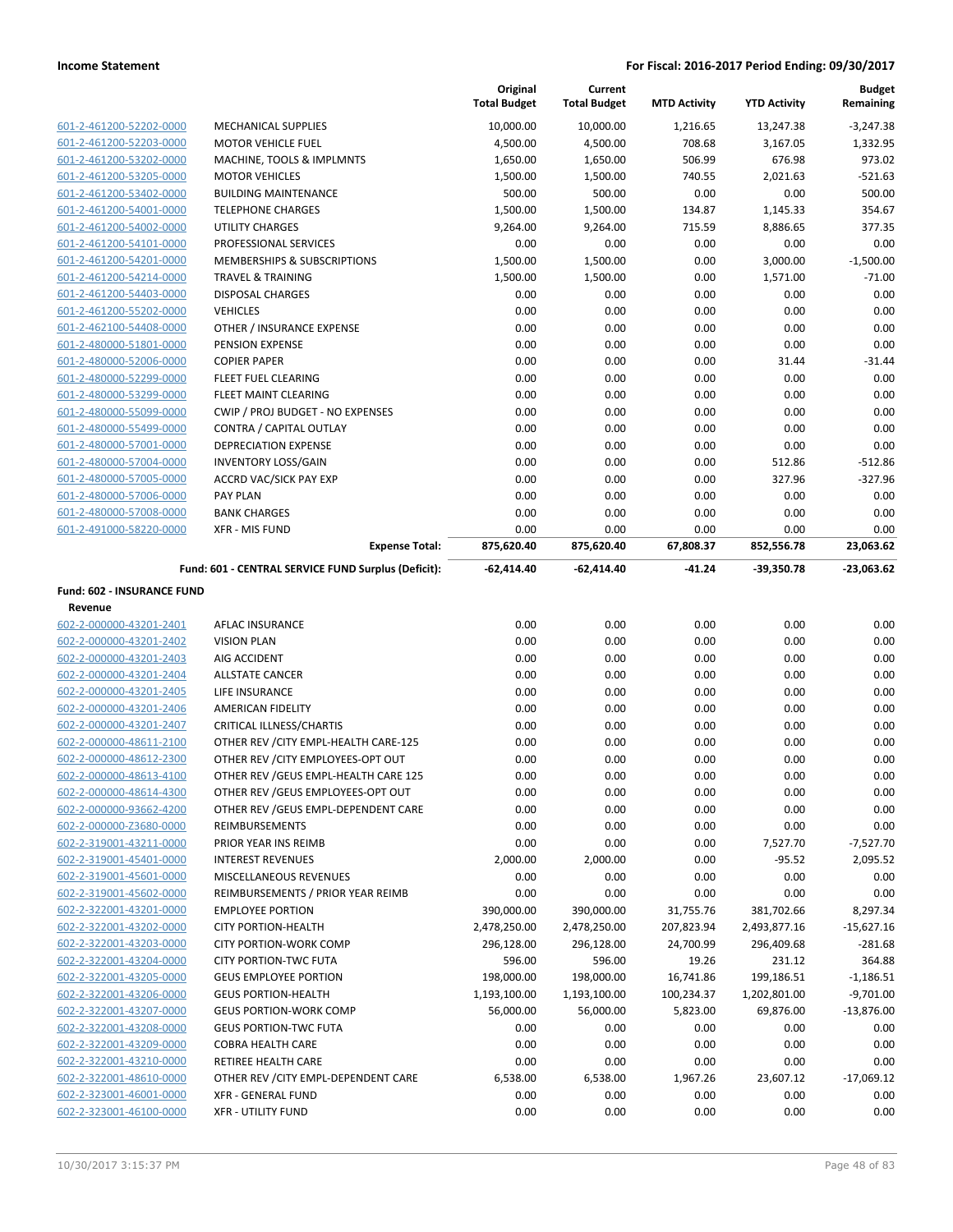|                                       |                                                     | Original<br><b>Total Budget</b> | Current<br><b>Total Budget</b> | <b>MTD Activity</b> | <b>YTD Activity</b> | <b>Budget</b><br>Remaining |
|---------------------------------------|-----------------------------------------------------|---------------------------------|--------------------------------|---------------------|---------------------|----------------------------|
| 601-2-461200-52202-0000               | <b>MECHANICAL SUPPLIES</b>                          | 10,000.00                       | 10,000.00                      | 1,216.65            | 13,247.38           | $-3,247.38$                |
| 601-2-461200-52203-0000               | <b>MOTOR VEHICLE FUEL</b>                           | 4,500.00                        | 4,500.00                       | 708.68              | 3,167.05            | 1,332.95                   |
| 601-2-461200-53202-0000               | MACHINE, TOOLS & IMPLMNTS                           | 1,650.00                        | 1,650.00                       | 506.99              | 676.98              | 973.02                     |
| 601-2-461200-53205-0000               | <b>MOTOR VEHICLES</b>                               | 1,500.00                        | 1,500.00                       | 740.55              | 2,021.63            | $-521.63$                  |
| 601-2-461200-53402-0000               | <b>BUILDING MAINTENANCE</b>                         | 500.00                          | 500.00                         | 0.00                | 0.00                | 500.00                     |
| 601-2-461200-54001-0000               | <b>TELEPHONE CHARGES</b>                            | 1,500.00                        | 1,500.00                       | 134.87              | 1,145.33            | 354.67                     |
| 601-2-461200-54002-0000               | UTILITY CHARGES                                     | 9,264.00                        | 9,264.00                       | 715.59              | 8,886.65            | 377.35                     |
| 601-2-461200-54101-0000               | PROFESSIONAL SERVICES                               | 0.00                            | 0.00                           | 0.00                | 0.00                | 0.00                       |
| 601-2-461200-54201-0000               | <b>MEMBERSHIPS &amp; SUBSCRIPTIONS</b>              | 1,500.00                        | 1,500.00                       | 0.00                | 3,000.00            | $-1,500.00$                |
| 601-2-461200-54214-0000               | <b>TRAVEL &amp; TRAINING</b>                        | 1,500.00                        | 1,500.00                       | 0.00                | 1,571.00            | $-71.00$                   |
| 601-2-461200-54403-0000               | <b>DISPOSAL CHARGES</b>                             | 0.00                            | 0.00                           | 0.00                | 0.00                | 0.00                       |
| 601-2-461200-55202-0000               | <b>VEHICLES</b>                                     | 0.00                            | 0.00                           | 0.00                | 0.00                | 0.00                       |
| 601-2-462100-54408-0000               | OTHER / INSURANCE EXPENSE                           | 0.00                            | 0.00                           | 0.00                | 0.00                | 0.00                       |
| 601-2-480000-51801-0000               | PENSION EXPENSE                                     | 0.00                            | 0.00                           | 0.00                | 0.00                | 0.00                       |
| 601-2-480000-52006-0000               | <b>COPIER PAPER</b>                                 | 0.00                            | 0.00                           | 0.00                | 31.44               | $-31.44$                   |
| 601-2-480000-52299-0000               | FLEET FUEL CLEARING                                 | 0.00                            | 0.00                           | 0.00                | 0.00                | 0.00                       |
| 601-2-480000-53299-0000               | FLEET MAINT CLEARING                                | 0.00                            | 0.00                           | 0.00                | 0.00                | 0.00                       |
| 601-2-480000-55099-0000               | CWIP / PROJ BUDGET - NO EXPENSES                    | 0.00                            | 0.00                           | 0.00                | 0.00                | 0.00                       |
| 601-2-480000-55499-0000               | CONTRA / CAPITAL OUTLAY                             | 0.00                            | 0.00                           | 0.00                | 0.00                | 0.00                       |
| 601-2-480000-57001-0000               | <b>DEPRECIATION EXPENSE</b>                         | 0.00                            | 0.00                           | 0.00                | 0.00                | 0.00                       |
| 601-2-480000-57004-0000               | <b>INVENTORY LOSS/GAIN</b>                          | 0.00                            | 0.00                           | 0.00                | 512.86              | $-512.86$                  |
| 601-2-480000-57005-0000               | ACCRD VAC/SICK PAY EXP                              | 0.00                            | 0.00                           | 0.00                | 327.96              | $-327.96$                  |
| 601-2-480000-57006-0000               | <b>PAY PLAN</b>                                     | 0.00                            | 0.00                           | 0.00                | 0.00                | 0.00                       |
| 601-2-480000-57008-0000               | <b>BANK CHARGES</b>                                 | 0.00                            | 0.00                           | 0.00                | 0.00                | 0.00                       |
| 601-2-491000-58220-0000               | <b>XFR - MIS FUND</b>                               | 0.00                            | 0.00                           | 0.00                | 0.00                | 0.00                       |
|                                       | <b>Expense Total:</b>                               | 875,620.40                      | 875,620.40                     | 67,808.37           | 852,556.78          | 23,063.62                  |
|                                       | Fund: 601 - CENTRAL SERVICE FUND Surplus (Deficit): | -62,414.40                      | -62,414.40                     | $-41.24$            | -39,350.78          | $-23,063.62$               |
| Fund: 602 - INSURANCE FUND<br>Revenue |                                                     |                                 |                                |                     |                     |                            |
| 602-2-000000-43201-2401               | AFLAC INSURANCE                                     | 0.00                            | 0.00                           | 0.00                | 0.00                | 0.00                       |
| 602-2-000000-43201-2402               | <b>VISION PLAN</b>                                  | 0.00                            | 0.00                           | 0.00                | 0.00                | 0.00                       |
| 602-2-000000-43201-2403               | AIG ACCIDENT                                        | 0.00                            | 0.00                           | 0.00                | 0.00                | 0.00                       |
| 602-2-000000-43201-2404               | <b>ALLSTATE CANCER</b>                              | 0.00                            | 0.00                           | 0.00                | 0.00                | 0.00                       |
| 602-2-000000-43201-2405               | LIFE INSURANCE                                      | 0.00                            | 0.00                           | 0.00                | 0.00                | 0.00                       |
| 602-2-000000-43201-2406               | <b>AMERICAN FIDELITY</b>                            | 0.00                            | 0.00                           | 0.00                | 0.00                | 0.00                       |
| 602-2-000000-43201-2407               | CRITICAL ILLNESS/CHARTIS                            | 0.00                            | 0.00                           | 0.00                | 0.00                | 0.00                       |
| 602-2-000000-48611-2100               | OTHER REV / CITY EMPL-HEALTH CARE-125               | 0.00                            | 0.00                           | 0.00                | 0.00                | 0.00                       |
| 602-2-000000-48612-2300               | OTHER REV / CITY EMPLOYEES-OPT OUT                  | 0.00                            | 0.00                           | 0.00                | 0.00                | 0.00                       |
| 602-2-000000-48613-4100               | OTHER REV / GEUS EMPL-HEALTH CARE 125               | 0.00                            | 0.00                           | 0.00                | 0.00                | 0.00                       |
| 602-2-000000-48614-4300               | OTHER REV / GEUS EMPLOYEES-OPT OUT                  | 0.00                            | 0.00                           | 0.00                | 0.00                | 0.00                       |
| 602-2-000000-93662-4200               | OTHER REV / GEUS EMPL-DEPENDENT CARE                | 0.00                            | 0.00                           | 0.00                | 0.00                | 0.00                       |
| 602-2-000000-Z3680-0000               | <b>REIMBURSEMENTS</b>                               | 0.00                            | 0.00                           | 0.00                | 0.00                | 0.00                       |
| 602-2-319001-43211-0000               | PRIOR YEAR INS REIMB                                | 0.00                            | 0.00                           | 0.00                | 7,527.70            | $-7,527.70$                |
| 602-2-319001-45401-0000               | <b>INTEREST REVENUES</b>                            | 2,000.00                        | 2,000.00                       | 0.00                | $-95.52$            | 2,095.52                   |
| 602-2-319001-45601-0000               | <b>MISCELLANEOUS REVENUES</b>                       | 0.00                            | 0.00                           | 0.00                | 0.00                | 0.00                       |
| 602-2-319001-45602-0000               | REIMBURSEMENTS / PRIOR YEAR REIMB                   | 0.00                            | 0.00                           | 0.00                | 0.00                | 0.00                       |
| 602-2-322001-43201-0000               | <b>EMPLOYEE PORTION</b>                             | 390,000.00                      | 390,000.00                     | 31,755.76           | 381,702.66          | 8,297.34                   |
| 602-2-322001-43202-0000               | <b>CITY PORTION-HEALTH</b>                          | 2,478,250.00                    | 2,478,250.00                   | 207,823.94          | 2,493,877.16        | $-15,627.16$               |
| 602-2-322001-43203-0000               | <b>CITY PORTION-WORK COMP</b>                       | 296,128.00                      | 296,128.00                     | 24,700.99           | 296,409.68          | $-281.68$                  |
| 602-2-322001-43204-0000               | <b>CITY PORTION-TWC FUTA</b>                        | 596.00                          | 596.00                         | 19.26               | 231.12              | 364.88                     |
| 602-2-322001-43205-0000               | <b>GEUS EMPLOYEE PORTION</b>                        | 198,000.00                      | 198,000.00                     | 16,741.86           | 199,186.51          | $-1,186.51$                |
| 602-2-322001-43206-0000               | <b>GEUS PORTION-HEALTH</b>                          | 1,193,100.00                    | 1,193,100.00                   | 100,234.37          | 1,202,801.00        | $-9,701.00$                |
| 602-2-322001-43207-0000               | <b>GEUS PORTION-WORK COMP</b>                       | 56,000.00                       | 56,000.00                      | 5,823.00            | 69,876.00           | $-13,876.00$               |
| 602-2-322001-43208-0000               | <b>GEUS PORTION-TWC FUTA</b>                        | 0.00                            | 0.00                           | 0.00                | 0.00                | 0.00                       |
| 602-2-322001-43209-0000               | <b>COBRA HEALTH CARE</b>                            | 0.00                            | 0.00                           | 0.00                | 0.00                | 0.00                       |
| 602-2-322001-43210-0000               | RETIREE HEALTH CARE                                 | 0.00                            | 0.00                           | 0.00                | 0.00                | 0.00                       |
| 602-2-322001-48610-0000               | OTHER REV / CITY EMPL-DEPENDENT CARE                | 6,538.00                        | 6,538.00                       | 1,967.26            | 23,607.12           | $-17,069.12$               |
| 602-2-323001-46001-0000               | XFR - GENERAL FUND                                  | 0.00                            | 0.00                           | 0.00                | 0.00                | 0.00                       |
| 602-2-323001-46100-0000               | <b>XFR - UTILITY FUND</b>                           | 0.00                            | 0.00                           | 0.00                | 0.00                | 0.00                       |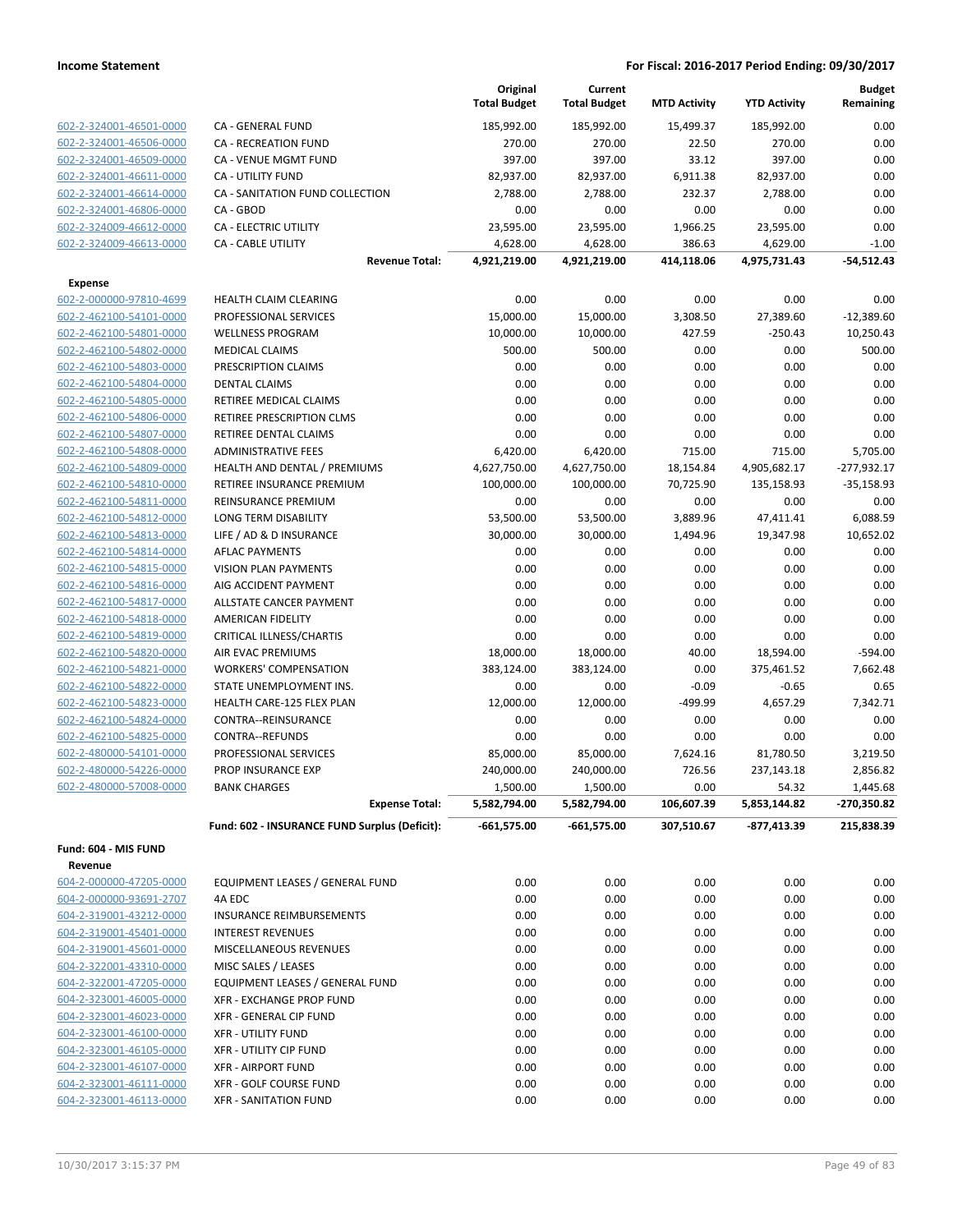| CA - GENERAL FUND<br>185,992.00<br>185,992.00<br>15,499.37<br>185,992.00<br>602-2-324001-46501-0000<br>602-2-324001-46506-0000<br><b>CA - RECREATION FUND</b><br>270.00<br>270.00<br>22.50<br>270.00<br>397.00<br>397.00<br>33.12<br>397.00<br>602-2-324001-46509-0000<br><b>CA - VENUE MGMT FUND</b><br><b>CA - UTILITY FUND</b><br>602-2-324001-46611-0000<br>82,937.00<br>82,937.00<br>6,911.38<br>82,937.00<br>CA - SANITATION FUND COLLECTION<br>2,788.00<br>2,788.00<br>232.37<br>2,788.00<br>602-2-324001-46614-0000<br>602-2-324001-46806-0000<br>CA - GBOD<br>0.00<br>0.00<br>0.00<br>0.00<br>602-2-324009-46612-0000<br><b>CA - ELECTRIC UTILITY</b><br>23,595.00<br>23,595.00<br>1,966.25<br>23,595.00<br>CA - CABLE UTILITY<br>386.63<br>602-2-324009-46613-0000<br>4,628.00<br>4,628.00<br>4,629.00<br>4,921,219.00<br>4,921,219.00<br>414,118.06<br>4,975,731.43<br><b>Revenue Total:</b><br><b>Expense</b><br>0.00<br>0.00<br>0.00<br>602-2-000000-97810-4699<br>HEALTH CLAIM CLEARING<br>0.00<br>602-2-462100-54101-0000<br>PROFESSIONAL SERVICES<br>15,000.00<br>15,000.00<br>3,308.50<br>27,389.60<br><b>WELLNESS PROGRAM</b><br>10,000.00<br>10,000.00<br>427.59<br>$-250.43$<br>602-2-462100-54801-0000<br>602-2-462100-54802-0000<br><b>MEDICAL CLAIMS</b><br>500.00<br>500.00<br>0.00<br>0.00<br>0.00<br>0.00<br>602-2-462100-54803-0000<br>PRESCRIPTION CLAIMS<br>0.00<br>0.00<br>0.00<br>0.00<br>0.00<br>0.00<br>602-2-462100-54804-0000<br><b>DENTAL CLAIMS</b><br>0.00<br>0.00<br>0.00<br>0.00<br>602-2-462100-54805-0000<br><b>RETIREE MEDICAL CLAIMS</b><br>0.00<br>0.00<br>0.00<br>RETIREE PRESCRIPTION CLMS<br>0.00<br>602-2-462100-54806-0000<br>0.00<br>0.00<br>0.00<br>602-2-462100-54807-0000<br>RETIREE DENTAL CLAIMS<br>0.00<br>602-2-462100-54808-0000<br><b>ADMINISTRATIVE FEES</b><br>6,420.00<br>6,420.00<br>715.00<br>715.00<br>602-2-462100-54809-0000<br>HEALTH AND DENTAL / PREMIUMS<br>4,627,750.00<br>4,627,750.00<br>18,154.84<br>4,905,682.17<br>100,000.00<br>100,000.00<br>602-2-462100-54810-0000<br>RETIREE INSURANCE PREMIUM<br>70,725.90<br>135,158.93<br>REINSURANCE PREMIUM<br>0.00<br>0.00<br>0.00<br>0.00<br>602-2-462100-54811-0000<br>602-2-462100-54812-0000<br>LONG TERM DISABILITY<br>53,500.00<br>53,500.00<br>3,889.96<br>47,411.41<br>602-2-462100-54813-0000<br>LIFE / AD & D INSURANCE<br>30,000.00<br>30,000.00<br>1,494.96<br>19,347.98<br>0.00<br>0.00<br>0.00<br>602-2-462100-54814-0000<br><b>AFLAC PAYMENTS</b><br>0.00<br>0.00<br>0.00<br>602-2-462100-54815-0000<br><b>VISION PLAN PAYMENTS</b><br>0.00<br>0.00<br>0.00<br>0.00<br>0.00<br>0.00<br>602-2-462100-54816-0000<br>AIG ACCIDENT PAYMENT<br>602-2-462100-54817-0000<br>ALLSTATE CANCER PAYMENT<br>0.00<br>0.00<br>0.00<br>0.00<br>602-2-462100-54818-0000<br>AMERICAN FIDELITY<br>0.00<br>0.00<br>0.00<br>0.00<br>0.00<br>0.00<br>0.00<br>602-2-462100-54819-0000<br>CRITICAL ILLNESS/CHARTIS<br>0.00<br>$-594.00$<br>602-2-462100-54820-0000<br>AIR EVAC PREMIUMS<br>18,000.00<br>18,000.00<br>40.00<br>18,594.00<br><b>WORKERS' COMPENSATION</b><br>383,124.00<br>383,124.00<br>0.00<br>375,461.52<br>7,662.48<br>602-2-462100-54821-0000<br>602-2-462100-54822-0000<br>STATE UNEMPLOYMENT INS.<br>0.00<br>0.00<br>$-0.09$<br>$-0.65$<br>12,000.00<br>-499.99<br>4,657.29<br>602-2-462100-54823-0000<br>HEALTH CARE-125 FLEX PLAN<br>12,000.00<br>0.00<br>0.00<br>0.00<br>0.00<br>602-2-462100-54824-0000<br>CONTRA--REINSURANCE<br>0.00<br>0.00<br>602-2-462100-54825-0000<br><b>CONTRA--REFUNDS</b><br>0.00<br>0.00<br>PROFESSIONAL SERVICES<br>85,000.00<br>85,000.00<br>7,624.16<br>81,780.50<br>602-2-480000-54101-0000<br>602-2-480000-54226-0000<br>PROP INSURANCE EXP<br>240,000.00<br>240,000.00<br>726.56<br>237,143.18<br>602-2-480000-57008-0000<br>1,500.00<br>1,500.00<br>0.00<br>54.32<br><b>BANK CHARGES</b><br>5,582,794.00<br>5,582,794.00<br>106,607.39<br>5,853,144.82<br><b>Expense Total:</b><br>Fund: 602 - INSURANCE FUND Surplus (Deficit):<br>$-661,575.00$<br>$-661,575.00$<br>307,510.67<br>$-877,413.39$<br>Fund: 604 - MIS FUND<br>Revenue<br>604-2-000000-47205-0000<br>EQUIPMENT LEASES / GENERAL FUND<br>0.00<br>0.00<br>0.00<br>0.00<br>604-2-000000-93691-2707<br>4A EDC<br>0.00<br>0.00<br>0.00<br>0.00<br>0.00<br>604-2-319001-43212-0000<br><b>INSURANCE REIMBURSEMENTS</b><br>0.00<br>0.00<br>0.00<br>604-2-319001-45401-0000<br>0.00<br>0.00<br>0.00<br>0.00<br><b>INTEREST REVENUES</b><br>0.00<br>0.00<br>0.00<br>0.00<br>604-2-319001-45601-0000<br>MISCELLANEOUS REVENUES<br>604-2-322001-43310-0000<br>MISC SALES / LEASES<br>0.00<br>0.00<br>0.00<br>0.00<br>604-2-322001-47205-0000<br>EQUIPMENT LEASES / GENERAL FUND<br>0.00<br>0.00<br>0.00<br>0.00<br>604-2-323001-46005-0000<br>XFR - EXCHANGE PROP FUND<br>0.00<br>0.00<br>0.00<br>0.00<br>604-2-323001-46023-0000<br>0.00<br>0.00<br>0.00<br>0.00<br>XFR - GENERAL CIP FUND<br>0.00<br>0.00<br>0.00<br>0.00<br>604-2-323001-46100-0000<br><b>XFR - UTILITY FUND</b><br>604-2-323001-46105-0000<br>XFR - UTILITY CIP FUND<br>0.00<br>0.00<br>0.00<br>0.00<br>604-2-323001-46107-0000<br><b>XFR - AIRPORT FUND</b><br>0.00<br>0.00<br>0.00<br>0.00<br>0.00<br>604-2-323001-46111-0000<br>XFR - GOLF COURSE FUND<br>0.00<br>0.00<br>0.00<br>604-2-323001-46113-0000<br><b>XFR - SANITATION FUND</b><br>0.00<br>0.00<br>0.00<br>0.00 |  | Original<br><b>Total Budget</b> | Current<br><b>Total Budget</b> | <b>MTD Activity</b> | <b>YTD Activity</b> | <b>Budget</b><br>Remaining |
|--------------------------------------------------------------------------------------------------------------------------------------------------------------------------------------------------------------------------------------------------------------------------------------------------------------------------------------------------------------------------------------------------------------------------------------------------------------------------------------------------------------------------------------------------------------------------------------------------------------------------------------------------------------------------------------------------------------------------------------------------------------------------------------------------------------------------------------------------------------------------------------------------------------------------------------------------------------------------------------------------------------------------------------------------------------------------------------------------------------------------------------------------------------------------------------------------------------------------------------------------------------------------------------------------------------------------------------------------------------------------------------------------------------------------------------------------------------------------------------------------------------------------------------------------------------------------------------------------------------------------------------------------------------------------------------------------------------------------------------------------------------------------------------------------------------------------------------------------------------------------------------------------------------------------------------------------------------------------------------------------------------------------------------------------------------------------------------------------------------------------------------------------------------------------------------------------------------------------------------------------------------------------------------------------------------------------------------------------------------------------------------------------------------------------------------------------------------------------------------------------------------------------------------------------------------------------------------------------------------------------------------------------------------------------------------------------------------------------------------------------------------------------------------------------------------------------------------------------------------------------------------------------------------------------------------------------------------------------------------------------------------------------------------------------------------------------------------------------------------------------------------------------------------------------------------------------------------------------------------------------------------------------------------------------------------------------------------------------------------------------------------------------------------------------------------------------------------------------------------------------------------------------------------------------------------------------------------------------------------------------------------------------------------------------------------------------------------------------------------------------------------------------------------------------------------------------------------------------------------------------------------------------------------------------------------------------------------------------------------------------------------------------------------------------------------------------------------------------------------------------------------------------------------------------------------------------------------------------------------------------------------------------------------------------------------------------------------------------------------------------------------------------------------------------------------------------------------------------------------------------------------------------------------------------------------------------------------------------------------------------------------------------------------------------------------------------------------------------------------------------------------------------------------------------------------------------------------------------------------------------------------------------------------------------------------------------------------------------------------------------------------------------------------------------------------------------------------------------------------------------------------------------------------------------------------------------------------------------------------------------------------------------------------------------------------------------------------------------------------------------------|--|---------------------------------|--------------------------------|---------------------|---------------------|----------------------------|
|                                                                                                                                                                                                                                                                                                                                                                                                                                                                                                                                                                                                                                                                                                                                                                                                                                                                                                                                                                                                                                                                                                                                                                                                                                                                                                                                                                                                                                                                                                                                                                                                                                                                                                                                                                                                                                                                                                                                                                                                                                                                                                                                                                                                                                                                                                                                                                                                                                                                                                                                                                                                                                                                                                                                                                                                                                                                                                                                                                                                                                                                                                                                                                                                                                                                                                                                                                                                                                                                                                                                                                                                                                                                                                                                                                                                                                                                                                                                                                                                                                                                                                                                                                                                                                                                                                                                                                                                                                                                                                                                                                                                                                                                                                                                                                                                                                                                                                                                                                                                                                                                                                                                                                                                                                                                                                                                                                                |  |                                 |                                |                     |                     |                            |
|                                                                                                                                                                                                                                                                                                                                                                                                                                                                                                                                                                                                                                                                                                                                                                                                                                                                                                                                                                                                                                                                                                                                                                                                                                                                                                                                                                                                                                                                                                                                                                                                                                                                                                                                                                                                                                                                                                                                                                                                                                                                                                                                                                                                                                                                                                                                                                                                                                                                                                                                                                                                                                                                                                                                                                                                                                                                                                                                                                                                                                                                                                                                                                                                                                                                                                                                                                                                                                                                                                                                                                                                                                                                                                                                                                                                                                                                                                                                                                                                                                                                                                                                                                                                                                                                                                                                                                                                                                                                                                                                                                                                                                                                                                                                                                                                                                                                                                                                                                                                                                                                                                                                                                                                                                                                                                                                                                                |  |                                 |                                |                     |                     | 0.00<br>0.00               |
|                                                                                                                                                                                                                                                                                                                                                                                                                                                                                                                                                                                                                                                                                                                                                                                                                                                                                                                                                                                                                                                                                                                                                                                                                                                                                                                                                                                                                                                                                                                                                                                                                                                                                                                                                                                                                                                                                                                                                                                                                                                                                                                                                                                                                                                                                                                                                                                                                                                                                                                                                                                                                                                                                                                                                                                                                                                                                                                                                                                                                                                                                                                                                                                                                                                                                                                                                                                                                                                                                                                                                                                                                                                                                                                                                                                                                                                                                                                                                                                                                                                                                                                                                                                                                                                                                                                                                                                                                                                                                                                                                                                                                                                                                                                                                                                                                                                                                                                                                                                                                                                                                                                                                                                                                                                                                                                                                                                |  |                                 |                                |                     |                     | 0.00                       |
|                                                                                                                                                                                                                                                                                                                                                                                                                                                                                                                                                                                                                                                                                                                                                                                                                                                                                                                                                                                                                                                                                                                                                                                                                                                                                                                                                                                                                                                                                                                                                                                                                                                                                                                                                                                                                                                                                                                                                                                                                                                                                                                                                                                                                                                                                                                                                                                                                                                                                                                                                                                                                                                                                                                                                                                                                                                                                                                                                                                                                                                                                                                                                                                                                                                                                                                                                                                                                                                                                                                                                                                                                                                                                                                                                                                                                                                                                                                                                                                                                                                                                                                                                                                                                                                                                                                                                                                                                                                                                                                                                                                                                                                                                                                                                                                                                                                                                                                                                                                                                                                                                                                                                                                                                                                                                                                                                                                |  |                                 |                                |                     |                     | 0.00                       |
|                                                                                                                                                                                                                                                                                                                                                                                                                                                                                                                                                                                                                                                                                                                                                                                                                                                                                                                                                                                                                                                                                                                                                                                                                                                                                                                                                                                                                                                                                                                                                                                                                                                                                                                                                                                                                                                                                                                                                                                                                                                                                                                                                                                                                                                                                                                                                                                                                                                                                                                                                                                                                                                                                                                                                                                                                                                                                                                                                                                                                                                                                                                                                                                                                                                                                                                                                                                                                                                                                                                                                                                                                                                                                                                                                                                                                                                                                                                                                                                                                                                                                                                                                                                                                                                                                                                                                                                                                                                                                                                                                                                                                                                                                                                                                                                                                                                                                                                                                                                                                                                                                                                                                                                                                                                                                                                                                                                |  |                                 |                                |                     |                     | 0.00                       |
|                                                                                                                                                                                                                                                                                                                                                                                                                                                                                                                                                                                                                                                                                                                                                                                                                                                                                                                                                                                                                                                                                                                                                                                                                                                                                                                                                                                                                                                                                                                                                                                                                                                                                                                                                                                                                                                                                                                                                                                                                                                                                                                                                                                                                                                                                                                                                                                                                                                                                                                                                                                                                                                                                                                                                                                                                                                                                                                                                                                                                                                                                                                                                                                                                                                                                                                                                                                                                                                                                                                                                                                                                                                                                                                                                                                                                                                                                                                                                                                                                                                                                                                                                                                                                                                                                                                                                                                                                                                                                                                                                                                                                                                                                                                                                                                                                                                                                                                                                                                                                                                                                                                                                                                                                                                                                                                                                                                |  |                                 |                                |                     |                     | 0.00                       |
|                                                                                                                                                                                                                                                                                                                                                                                                                                                                                                                                                                                                                                                                                                                                                                                                                                                                                                                                                                                                                                                                                                                                                                                                                                                                                                                                                                                                                                                                                                                                                                                                                                                                                                                                                                                                                                                                                                                                                                                                                                                                                                                                                                                                                                                                                                                                                                                                                                                                                                                                                                                                                                                                                                                                                                                                                                                                                                                                                                                                                                                                                                                                                                                                                                                                                                                                                                                                                                                                                                                                                                                                                                                                                                                                                                                                                                                                                                                                                                                                                                                                                                                                                                                                                                                                                                                                                                                                                                                                                                                                                                                                                                                                                                                                                                                                                                                                                                                                                                                                                                                                                                                                                                                                                                                                                                                                                                                |  |                                 |                                |                     |                     | 0.00                       |
|                                                                                                                                                                                                                                                                                                                                                                                                                                                                                                                                                                                                                                                                                                                                                                                                                                                                                                                                                                                                                                                                                                                                                                                                                                                                                                                                                                                                                                                                                                                                                                                                                                                                                                                                                                                                                                                                                                                                                                                                                                                                                                                                                                                                                                                                                                                                                                                                                                                                                                                                                                                                                                                                                                                                                                                                                                                                                                                                                                                                                                                                                                                                                                                                                                                                                                                                                                                                                                                                                                                                                                                                                                                                                                                                                                                                                                                                                                                                                                                                                                                                                                                                                                                                                                                                                                                                                                                                                                                                                                                                                                                                                                                                                                                                                                                                                                                                                                                                                                                                                                                                                                                                                                                                                                                                                                                                                                                |  |                                 |                                |                     |                     | $-1.00$                    |
|                                                                                                                                                                                                                                                                                                                                                                                                                                                                                                                                                                                                                                                                                                                                                                                                                                                                                                                                                                                                                                                                                                                                                                                                                                                                                                                                                                                                                                                                                                                                                                                                                                                                                                                                                                                                                                                                                                                                                                                                                                                                                                                                                                                                                                                                                                                                                                                                                                                                                                                                                                                                                                                                                                                                                                                                                                                                                                                                                                                                                                                                                                                                                                                                                                                                                                                                                                                                                                                                                                                                                                                                                                                                                                                                                                                                                                                                                                                                                                                                                                                                                                                                                                                                                                                                                                                                                                                                                                                                                                                                                                                                                                                                                                                                                                                                                                                                                                                                                                                                                                                                                                                                                                                                                                                                                                                                                                                |  |                                 |                                |                     |                     | $-54,512.43$               |
|                                                                                                                                                                                                                                                                                                                                                                                                                                                                                                                                                                                                                                                                                                                                                                                                                                                                                                                                                                                                                                                                                                                                                                                                                                                                                                                                                                                                                                                                                                                                                                                                                                                                                                                                                                                                                                                                                                                                                                                                                                                                                                                                                                                                                                                                                                                                                                                                                                                                                                                                                                                                                                                                                                                                                                                                                                                                                                                                                                                                                                                                                                                                                                                                                                                                                                                                                                                                                                                                                                                                                                                                                                                                                                                                                                                                                                                                                                                                                                                                                                                                                                                                                                                                                                                                                                                                                                                                                                                                                                                                                                                                                                                                                                                                                                                                                                                                                                                                                                                                                                                                                                                                                                                                                                                                                                                                                                                |  |                                 |                                |                     |                     |                            |
|                                                                                                                                                                                                                                                                                                                                                                                                                                                                                                                                                                                                                                                                                                                                                                                                                                                                                                                                                                                                                                                                                                                                                                                                                                                                                                                                                                                                                                                                                                                                                                                                                                                                                                                                                                                                                                                                                                                                                                                                                                                                                                                                                                                                                                                                                                                                                                                                                                                                                                                                                                                                                                                                                                                                                                                                                                                                                                                                                                                                                                                                                                                                                                                                                                                                                                                                                                                                                                                                                                                                                                                                                                                                                                                                                                                                                                                                                                                                                                                                                                                                                                                                                                                                                                                                                                                                                                                                                                                                                                                                                                                                                                                                                                                                                                                                                                                                                                                                                                                                                                                                                                                                                                                                                                                                                                                                                                                |  |                                 |                                |                     |                     | 0.00                       |
|                                                                                                                                                                                                                                                                                                                                                                                                                                                                                                                                                                                                                                                                                                                                                                                                                                                                                                                                                                                                                                                                                                                                                                                                                                                                                                                                                                                                                                                                                                                                                                                                                                                                                                                                                                                                                                                                                                                                                                                                                                                                                                                                                                                                                                                                                                                                                                                                                                                                                                                                                                                                                                                                                                                                                                                                                                                                                                                                                                                                                                                                                                                                                                                                                                                                                                                                                                                                                                                                                                                                                                                                                                                                                                                                                                                                                                                                                                                                                                                                                                                                                                                                                                                                                                                                                                                                                                                                                                                                                                                                                                                                                                                                                                                                                                                                                                                                                                                                                                                                                                                                                                                                                                                                                                                                                                                                                                                |  |                                 |                                |                     |                     | $-12,389.60$               |
|                                                                                                                                                                                                                                                                                                                                                                                                                                                                                                                                                                                                                                                                                                                                                                                                                                                                                                                                                                                                                                                                                                                                                                                                                                                                                                                                                                                                                                                                                                                                                                                                                                                                                                                                                                                                                                                                                                                                                                                                                                                                                                                                                                                                                                                                                                                                                                                                                                                                                                                                                                                                                                                                                                                                                                                                                                                                                                                                                                                                                                                                                                                                                                                                                                                                                                                                                                                                                                                                                                                                                                                                                                                                                                                                                                                                                                                                                                                                                                                                                                                                                                                                                                                                                                                                                                                                                                                                                                                                                                                                                                                                                                                                                                                                                                                                                                                                                                                                                                                                                                                                                                                                                                                                                                                                                                                                                                                |  |                                 |                                |                     |                     | 10,250.43                  |
|                                                                                                                                                                                                                                                                                                                                                                                                                                                                                                                                                                                                                                                                                                                                                                                                                                                                                                                                                                                                                                                                                                                                                                                                                                                                                                                                                                                                                                                                                                                                                                                                                                                                                                                                                                                                                                                                                                                                                                                                                                                                                                                                                                                                                                                                                                                                                                                                                                                                                                                                                                                                                                                                                                                                                                                                                                                                                                                                                                                                                                                                                                                                                                                                                                                                                                                                                                                                                                                                                                                                                                                                                                                                                                                                                                                                                                                                                                                                                                                                                                                                                                                                                                                                                                                                                                                                                                                                                                                                                                                                                                                                                                                                                                                                                                                                                                                                                                                                                                                                                                                                                                                                                                                                                                                                                                                                                                                |  |                                 |                                |                     |                     | 500.00                     |
|                                                                                                                                                                                                                                                                                                                                                                                                                                                                                                                                                                                                                                                                                                                                                                                                                                                                                                                                                                                                                                                                                                                                                                                                                                                                                                                                                                                                                                                                                                                                                                                                                                                                                                                                                                                                                                                                                                                                                                                                                                                                                                                                                                                                                                                                                                                                                                                                                                                                                                                                                                                                                                                                                                                                                                                                                                                                                                                                                                                                                                                                                                                                                                                                                                                                                                                                                                                                                                                                                                                                                                                                                                                                                                                                                                                                                                                                                                                                                                                                                                                                                                                                                                                                                                                                                                                                                                                                                                                                                                                                                                                                                                                                                                                                                                                                                                                                                                                                                                                                                                                                                                                                                                                                                                                                                                                                                                                |  |                                 |                                |                     |                     | 0.00                       |
|                                                                                                                                                                                                                                                                                                                                                                                                                                                                                                                                                                                                                                                                                                                                                                                                                                                                                                                                                                                                                                                                                                                                                                                                                                                                                                                                                                                                                                                                                                                                                                                                                                                                                                                                                                                                                                                                                                                                                                                                                                                                                                                                                                                                                                                                                                                                                                                                                                                                                                                                                                                                                                                                                                                                                                                                                                                                                                                                                                                                                                                                                                                                                                                                                                                                                                                                                                                                                                                                                                                                                                                                                                                                                                                                                                                                                                                                                                                                                                                                                                                                                                                                                                                                                                                                                                                                                                                                                                                                                                                                                                                                                                                                                                                                                                                                                                                                                                                                                                                                                                                                                                                                                                                                                                                                                                                                                                                |  |                                 |                                |                     |                     | 0.00                       |
|                                                                                                                                                                                                                                                                                                                                                                                                                                                                                                                                                                                                                                                                                                                                                                                                                                                                                                                                                                                                                                                                                                                                                                                                                                                                                                                                                                                                                                                                                                                                                                                                                                                                                                                                                                                                                                                                                                                                                                                                                                                                                                                                                                                                                                                                                                                                                                                                                                                                                                                                                                                                                                                                                                                                                                                                                                                                                                                                                                                                                                                                                                                                                                                                                                                                                                                                                                                                                                                                                                                                                                                                                                                                                                                                                                                                                                                                                                                                                                                                                                                                                                                                                                                                                                                                                                                                                                                                                                                                                                                                                                                                                                                                                                                                                                                                                                                                                                                                                                                                                                                                                                                                                                                                                                                                                                                                                                                |  |                                 |                                |                     |                     | 0.00                       |
|                                                                                                                                                                                                                                                                                                                                                                                                                                                                                                                                                                                                                                                                                                                                                                                                                                                                                                                                                                                                                                                                                                                                                                                                                                                                                                                                                                                                                                                                                                                                                                                                                                                                                                                                                                                                                                                                                                                                                                                                                                                                                                                                                                                                                                                                                                                                                                                                                                                                                                                                                                                                                                                                                                                                                                                                                                                                                                                                                                                                                                                                                                                                                                                                                                                                                                                                                                                                                                                                                                                                                                                                                                                                                                                                                                                                                                                                                                                                                                                                                                                                                                                                                                                                                                                                                                                                                                                                                                                                                                                                                                                                                                                                                                                                                                                                                                                                                                                                                                                                                                                                                                                                                                                                                                                                                                                                                                                |  |                                 |                                |                     |                     | 0.00                       |
|                                                                                                                                                                                                                                                                                                                                                                                                                                                                                                                                                                                                                                                                                                                                                                                                                                                                                                                                                                                                                                                                                                                                                                                                                                                                                                                                                                                                                                                                                                                                                                                                                                                                                                                                                                                                                                                                                                                                                                                                                                                                                                                                                                                                                                                                                                                                                                                                                                                                                                                                                                                                                                                                                                                                                                                                                                                                                                                                                                                                                                                                                                                                                                                                                                                                                                                                                                                                                                                                                                                                                                                                                                                                                                                                                                                                                                                                                                                                                                                                                                                                                                                                                                                                                                                                                                                                                                                                                                                                                                                                                                                                                                                                                                                                                                                                                                                                                                                                                                                                                                                                                                                                                                                                                                                                                                                                                                                |  |                                 |                                |                     |                     | 0.00                       |
|                                                                                                                                                                                                                                                                                                                                                                                                                                                                                                                                                                                                                                                                                                                                                                                                                                                                                                                                                                                                                                                                                                                                                                                                                                                                                                                                                                                                                                                                                                                                                                                                                                                                                                                                                                                                                                                                                                                                                                                                                                                                                                                                                                                                                                                                                                                                                                                                                                                                                                                                                                                                                                                                                                                                                                                                                                                                                                                                                                                                                                                                                                                                                                                                                                                                                                                                                                                                                                                                                                                                                                                                                                                                                                                                                                                                                                                                                                                                                                                                                                                                                                                                                                                                                                                                                                                                                                                                                                                                                                                                                                                                                                                                                                                                                                                                                                                                                                                                                                                                                                                                                                                                                                                                                                                                                                                                                                                |  |                                 |                                |                     |                     | 5,705.00                   |
|                                                                                                                                                                                                                                                                                                                                                                                                                                                                                                                                                                                                                                                                                                                                                                                                                                                                                                                                                                                                                                                                                                                                                                                                                                                                                                                                                                                                                                                                                                                                                                                                                                                                                                                                                                                                                                                                                                                                                                                                                                                                                                                                                                                                                                                                                                                                                                                                                                                                                                                                                                                                                                                                                                                                                                                                                                                                                                                                                                                                                                                                                                                                                                                                                                                                                                                                                                                                                                                                                                                                                                                                                                                                                                                                                                                                                                                                                                                                                                                                                                                                                                                                                                                                                                                                                                                                                                                                                                                                                                                                                                                                                                                                                                                                                                                                                                                                                                                                                                                                                                                                                                                                                                                                                                                                                                                                                                                |  |                                 |                                |                     |                     | $-277,932.17$              |
|                                                                                                                                                                                                                                                                                                                                                                                                                                                                                                                                                                                                                                                                                                                                                                                                                                                                                                                                                                                                                                                                                                                                                                                                                                                                                                                                                                                                                                                                                                                                                                                                                                                                                                                                                                                                                                                                                                                                                                                                                                                                                                                                                                                                                                                                                                                                                                                                                                                                                                                                                                                                                                                                                                                                                                                                                                                                                                                                                                                                                                                                                                                                                                                                                                                                                                                                                                                                                                                                                                                                                                                                                                                                                                                                                                                                                                                                                                                                                                                                                                                                                                                                                                                                                                                                                                                                                                                                                                                                                                                                                                                                                                                                                                                                                                                                                                                                                                                                                                                                                                                                                                                                                                                                                                                                                                                                                                                |  |                                 |                                |                     |                     | $-35.158.93$               |
|                                                                                                                                                                                                                                                                                                                                                                                                                                                                                                                                                                                                                                                                                                                                                                                                                                                                                                                                                                                                                                                                                                                                                                                                                                                                                                                                                                                                                                                                                                                                                                                                                                                                                                                                                                                                                                                                                                                                                                                                                                                                                                                                                                                                                                                                                                                                                                                                                                                                                                                                                                                                                                                                                                                                                                                                                                                                                                                                                                                                                                                                                                                                                                                                                                                                                                                                                                                                                                                                                                                                                                                                                                                                                                                                                                                                                                                                                                                                                                                                                                                                                                                                                                                                                                                                                                                                                                                                                                                                                                                                                                                                                                                                                                                                                                                                                                                                                                                                                                                                                                                                                                                                                                                                                                                                                                                                                                                |  |                                 |                                |                     |                     | 0.00                       |
|                                                                                                                                                                                                                                                                                                                                                                                                                                                                                                                                                                                                                                                                                                                                                                                                                                                                                                                                                                                                                                                                                                                                                                                                                                                                                                                                                                                                                                                                                                                                                                                                                                                                                                                                                                                                                                                                                                                                                                                                                                                                                                                                                                                                                                                                                                                                                                                                                                                                                                                                                                                                                                                                                                                                                                                                                                                                                                                                                                                                                                                                                                                                                                                                                                                                                                                                                                                                                                                                                                                                                                                                                                                                                                                                                                                                                                                                                                                                                                                                                                                                                                                                                                                                                                                                                                                                                                                                                                                                                                                                                                                                                                                                                                                                                                                                                                                                                                                                                                                                                                                                                                                                                                                                                                                                                                                                                                                |  |                                 |                                |                     |                     | 6,088.59                   |
|                                                                                                                                                                                                                                                                                                                                                                                                                                                                                                                                                                                                                                                                                                                                                                                                                                                                                                                                                                                                                                                                                                                                                                                                                                                                                                                                                                                                                                                                                                                                                                                                                                                                                                                                                                                                                                                                                                                                                                                                                                                                                                                                                                                                                                                                                                                                                                                                                                                                                                                                                                                                                                                                                                                                                                                                                                                                                                                                                                                                                                                                                                                                                                                                                                                                                                                                                                                                                                                                                                                                                                                                                                                                                                                                                                                                                                                                                                                                                                                                                                                                                                                                                                                                                                                                                                                                                                                                                                                                                                                                                                                                                                                                                                                                                                                                                                                                                                                                                                                                                                                                                                                                                                                                                                                                                                                                                                                |  |                                 |                                |                     |                     | 10,652.02                  |
|                                                                                                                                                                                                                                                                                                                                                                                                                                                                                                                                                                                                                                                                                                                                                                                                                                                                                                                                                                                                                                                                                                                                                                                                                                                                                                                                                                                                                                                                                                                                                                                                                                                                                                                                                                                                                                                                                                                                                                                                                                                                                                                                                                                                                                                                                                                                                                                                                                                                                                                                                                                                                                                                                                                                                                                                                                                                                                                                                                                                                                                                                                                                                                                                                                                                                                                                                                                                                                                                                                                                                                                                                                                                                                                                                                                                                                                                                                                                                                                                                                                                                                                                                                                                                                                                                                                                                                                                                                                                                                                                                                                                                                                                                                                                                                                                                                                                                                                                                                                                                                                                                                                                                                                                                                                                                                                                                                                |  |                                 |                                |                     |                     | 0.00                       |
|                                                                                                                                                                                                                                                                                                                                                                                                                                                                                                                                                                                                                                                                                                                                                                                                                                                                                                                                                                                                                                                                                                                                                                                                                                                                                                                                                                                                                                                                                                                                                                                                                                                                                                                                                                                                                                                                                                                                                                                                                                                                                                                                                                                                                                                                                                                                                                                                                                                                                                                                                                                                                                                                                                                                                                                                                                                                                                                                                                                                                                                                                                                                                                                                                                                                                                                                                                                                                                                                                                                                                                                                                                                                                                                                                                                                                                                                                                                                                                                                                                                                                                                                                                                                                                                                                                                                                                                                                                                                                                                                                                                                                                                                                                                                                                                                                                                                                                                                                                                                                                                                                                                                                                                                                                                                                                                                                                                |  |                                 |                                |                     |                     | 0.00                       |
|                                                                                                                                                                                                                                                                                                                                                                                                                                                                                                                                                                                                                                                                                                                                                                                                                                                                                                                                                                                                                                                                                                                                                                                                                                                                                                                                                                                                                                                                                                                                                                                                                                                                                                                                                                                                                                                                                                                                                                                                                                                                                                                                                                                                                                                                                                                                                                                                                                                                                                                                                                                                                                                                                                                                                                                                                                                                                                                                                                                                                                                                                                                                                                                                                                                                                                                                                                                                                                                                                                                                                                                                                                                                                                                                                                                                                                                                                                                                                                                                                                                                                                                                                                                                                                                                                                                                                                                                                                                                                                                                                                                                                                                                                                                                                                                                                                                                                                                                                                                                                                                                                                                                                                                                                                                                                                                                                                                |  |                                 |                                |                     |                     | 0.00                       |
|                                                                                                                                                                                                                                                                                                                                                                                                                                                                                                                                                                                                                                                                                                                                                                                                                                                                                                                                                                                                                                                                                                                                                                                                                                                                                                                                                                                                                                                                                                                                                                                                                                                                                                                                                                                                                                                                                                                                                                                                                                                                                                                                                                                                                                                                                                                                                                                                                                                                                                                                                                                                                                                                                                                                                                                                                                                                                                                                                                                                                                                                                                                                                                                                                                                                                                                                                                                                                                                                                                                                                                                                                                                                                                                                                                                                                                                                                                                                                                                                                                                                                                                                                                                                                                                                                                                                                                                                                                                                                                                                                                                                                                                                                                                                                                                                                                                                                                                                                                                                                                                                                                                                                                                                                                                                                                                                                                                |  |                                 |                                |                     |                     | 0.00                       |
|                                                                                                                                                                                                                                                                                                                                                                                                                                                                                                                                                                                                                                                                                                                                                                                                                                                                                                                                                                                                                                                                                                                                                                                                                                                                                                                                                                                                                                                                                                                                                                                                                                                                                                                                                                                                                                                                                                                                                                                                                                                                                                                                                                                                                                                                                                                                                                                                                                                                                                                                                                                                                                                                                                                                                                                                                                                                                                                                                                                                                                                                                                                                                                                                                                                                                                                                                                                                                                                                                                                                                                                                                                                                                                                                                                                                                                                                                                                                                                                                                                                                                                                                                                                                                                                                                                                                                                                                                                                                                                                                                                                                                                                                                                                                                                                                                                                                                                                                                                                                                                                                                                                                                                                                                                                                                                                                                                                |  |                                 |                                |                     |                     | 0.00                       |
|                                                                                                                                                                                                                                                                                                                                                                                                                                                                                                                                                                                                                                                                                                                                                                                                                                                                                                                                                                                                                                                                                                                                                                                                                                                                                                                                                                                                                                                                                                                                                                                                                                                                                                                                                                                                                                                                                                                                                                                                                                                                                                                                                                                                                                                                                                                                                                                                                                                                                                                                                                                                                                                                                                                                                                                                                                                                                                                                                                                                                                                                                                                                                                                                                                                                                                                                                                                                                                                                                                                                                                                                                                                                                                                                                                                                                                                                                                                                                                                                                                                                                                                                                                                                                                                                                                                                                                                                                                                                                                                                                                                                                                                                                                                                                                                                                                                                                                                                                                                                                                                                                                                                                                                                                                                                                                                                                                                |  |                                 |                                |                     |                     | 0.00                       |
|                                                                                                                                                                                                                                                                                                                                                                                                                                                                                                                                                                                                                                                                                                                                                                                                                                                                                                                                                                                                                                                                                                                                                                                                                                                                                                                                                                                                                                                                                                                                                                                                                                                                                                                                                                                                                                                                                                                                                                                                                                                                                                                                                                                                                                                                                                                                                                                                                                                                                                                                                                                                                                                                                                                                                                                                                                                                                                                                                                                                                                                                                                                                                                                                                                                                                                                                                                                                                                                                                                                                                                                                                                                                                                                                                                                                                                                                                                                                                                                                                                                                                                                                                                                                                                                                                                                                                                                                                                                                                                                                                                                                                                                                                                                                                                                                                                                                                                                                                                                                                                                                                                                                                                                                                                                                                                                                                                                |  |                                 |                                |                     |                     |                            |
|                                                                                                                                                                                                                                                                                                                                                                                                                                                                                                                                                                                                                                                                                                                                                                                                                                                                                                                                                                                                                                                                                                                                                                                                                                                                                                                                                                                                                                                                                                                                                                                                                                                                                                                                                                                                                                                                                                                                                                                                                                                                                                                                                                                                                                                                                                                                                                                                                                                                                                                                                                                                                                                                                                                                                                                                                                                                                                                                                                                                                                                                                                                                                                                                                                                                                                                                                                                                                                                                                                                                                                                                                                                                                                                                                                                                                                                                                                                                                                                                                                                                                                                                                                                                                                                                                                                                                                                                                                                                                                                                                                                                                                                                                                                                                                                                                                                                                                                                                                                                                                                                                                                                                                                                                                                                                                                                                                                |  |                                 |                                |                     |                     | 0.65                       |
|                                                                                                                                                                                                                                                                                                                                                                                                                                                                                                                                                                                                                                                                                                                                                                                                                                                                                                                                                                                                                                                                                                                                                                                                                                                                                                                                                                                                                                                                                                                                                                                                                                                                                                                                                                                                                                                                                                                                                                                                                                                                                                                                                                                                                                                                                                                                                                                                                                                                                                                                                                                                                                                                                                                                                                                                                                                                                                                                                                                                                                                                                                                                                                                                                                                                                                                                                                                                                                                                                                                                                                                                                                                                                                                                                                                                                                                                                                                                                                                                                                                                                                                                                                                                                                                                                                                                                                                                                                                                                                                                                                                                                                                                                                                                                                                                                                                                                                                                                                                                                                                                                                                                                                                                                                                                                                                                                                                |  |                                 |                                |                     |                     | 7.342.71                   |
|                                                                                                                                                                                                                                                                                                                                                                                                                                                                                                                                                                                                                                                                                                                                                                                                                                                                                                                                                                                                                                                                                                                                                                                                                                                                                                                                                                                                                                                                                                                                                                                                                                                                                                                                                                                                                                                                                                                                                                                                                                                                                                                                                                                                                                                                                                                                                                                                                                                                                                                                                                                                                                                                                                                                                                                                                                                                                                                                                                                                                                                                                                                                                                                                                                                                                                                                                                                                                                                                                                                                                                                                                                                                                                                                                                                                                                                                                                                                                                                                                                                                                                                                                                                                                                                                                                                                                                                                                                                                                                                                                                                                                                                                                                                                                                                                                                                                                                                                                                                                                                                                                                                                                                                                                                                                                                                                                                                |  |                                 |                                |                     |                     | 0.00                       |
|                                                                                                                                                                                                                                                                                                                                                                                                                                                                                                                                                                                                                                                                                                                                                                                                                                                                                                                                                                                                                                                                                                                                                                                                                                                                                                                                                                                                                                                                                                                                                                                                                                                                                                                                                                                                                                                                                                                                                                                                                                                                                                                                                                                                                                                                                                                                                                                                                                                                                                                                                                                                                                                                                                                                                                                                                                                                                                                                                                                                                                                                                                                                                                                                                                                                                                                                                                                                                                                                                                                                                                                                                                                                                                                                                                                                                                                                                                                                                                                                                                                                                                                                                                                                                                                                                                                                                                                                                                                                                                                                                                                                                                                                                                                                                                                                                                                                                                                                                                                                                                                                                                                                                                                                                                                                                                                                                                                |  |                                 |                                |                     |                     | 0.00                       |
|                                                                                                                                                                                                                                                                                                                                                                                                                                                                                                                                                                                                                                                                                                                                                                                                                                                                                                                                                                                                                                                                                                                                                                                                                                                                                                                                                                                                                                                                                                                                                                                                                                                                                                                                                                                                                                                                                                                                                                                                                                                                                                                                                                                                                                                                                                                                                                                                                                                                                                                                                                                                                                                                                                                                                                                                                                                                                                                                                                                                                                                                                                                                                                                                                                                                                                                                                                                                                                                                                                                                                                                                                                                                                                                                                                                                                                                                                                                                                                                                                                                                                                                                                                                                                                                                                                                                                                                                                                                                                                                                                                                                                                                                                                                                                                                                                                                                                                                                                                                                                                                                                                                                                                                                                                                                                                                                                                                |  |                                 |                                |                     |                     | 3,219.50                   |
|                                                                                                                                                                                                                                                                                                                                                                                                                                                                                                                                                                                                                                                                                                                                                                                                                                                                                                                                                                                                                                                                                                                                                                                                                                                                                                                                                                                                                                                                                                                                                                                                                                                                                                                                                                                                                                                                                                                                                                                                                                                                                                                                                                                                                                                                                                                                                                                                                                                                                                                                                                                                                                                                                                                                                                                                                                                                                                                                                                                                                                                                                                                                                                                                                                                                                                                                                                                                                                                                                                                                                                                                                                                                                                                                                                                                                                                                                                                                                                                                                                                                                                                                                                                                                                                                                                                                                                                                                                                                                                                                                                                                                                                                                                                                                                                                                                                                                                                                                                                                                                                                                                                                                                                                                                                                                                                                                                                |  |                                 |                                |                     |                     | 2,856.82                   |
|                                                                                                                                                                                                                                                                                                                                                                                                                                                                                                                                                                                                                                                                                                                                                                                                                                                                                                                                                                                                                                                                                                                                                                                                                                                                                                                                                                                                                                                                                                                                                                                                                                                                                                                                                                                                                                                                                                                                                                                                                                                                                                                                                                                                                                                                                                                                                                                                                                                                                                                                                                                                                                                                                                                                                                                                                                                                                                                                                                                                                                                                                                                                                                                                                                                                                                                                                                                                                                                                                                                                                                                                                                                                                                                                                                                                                                                                                                                                                                                                                                                                                                                                                                                                                                                                                                                                                                                                                                                                                                                                                                                                                                                                                                                                                                                                                                                                                                                                                                                                                                                                                                                                                                                                                                                                                                                                                                                |  |                                 |                                |                     |                     | 1,445.68                   |
|                                                                                                                                                                                                                                                                                                                                                                                                                                                                                                                                                                                                                                                                                                                                                                                                                                                                                                                                                                                                                                                                                                                                                                                                                                                                                                                                                                                                                                                                                                                                                                                                                                                                                                                                                                                                                                                                                                                                                                                                                                                                                                                                                                                                                                                                                                                                                                                                                                                                                                                                                                                                                                                                                                                                                                                                                                                                                                                                                                                                                                                                                                                                                                                                                                                                                                                                                                                                                                                                                                                                                                                                                                                                                                                                                                                                                                                                                                                                                                                                                                                                                                                                                                                                                                                                                                                                                                                                                                                                                                                                                                                                                                                                                                                                                                                                                                                                                                                                                                                                                                                                                                                                                                                                                                                                                                                                                                                |  |                                 |                                |                     |                     | -270,350.82                |
|                                                                                                                                                                                                                                                                                                                                                                                                                                                                                                                                                                                                                                                                                                                                                                                                                                                                                                                                                                                                                                                                                                                                                                                                                                                                                                                                                                                                                                                                                                                                                                                                                                                                                                                                                                                                                                                                                                                                                                                                                                                                                                                                                                                                                                                                                                                                                                                                                                                                                                                                                                                                                                                                                                                                                                                                                                                                                                                                                                                                                                                                                                                                                                                                                                                                                                                                                                                                                                                                                                                                                                                                                                                                                                                                                                                                                                                                                                                                                                                                                                                                                                                                                                                                                                                                                                                                                                                                                                                                                                                                                                                                                                                                                                                                                                                                                                                                                                                                                                                                                                                                                                                                                                                                                                                                                                                                                                                |  |                                 |                                |                     |                     | 215,838.39                 |
|                                                                                                                                                                                                                                                                                                                                                                                                                                                                                                                                                                                                                                                                                                                                                                                                                                                                                                                                                                                                                                                                                                                                                                                                                                                                                                                                                                                                                                                                                                                                                                                                                                                                                                                                                                                                                                                                                                                                                                                                                                                                                                                                                                                                                                                                                                                                                                                                                                                                                                                                                                                                                                                                                                                                                                                                                                                                                                                                                                                                                                                                                                                                                                                                                                                                                                                                                                                                                                                                                                                                                                                                                                                                                                                                                                                                                                                                                                                                                                                                                                                                                                                                                                                                                                                                                                                                                                                                                                                                                                                                                                                                                                                                                                                                                                                                                                                                                                                                                                                                                                                                                                                                                                                                                                                                                                                                                                                |  |                                 |                                |                     |                     |                            |
|                                                                                                                                                                                                                                                                                                                                                                                                                                                                                                                                                                                                                                                                                                                                                                                                                                                                                                                                                                                                                                                                                                                                                                                                                                                                                                                                                                                                                                                                                                                                                                                                                                                                                                                                                                                                                                                                                                                                                                                                                                                                                                                                                                                                                                                                                                                                                                                                                                                                                                                                                                                                                                                                                                                                                                                                                                                                                                                                                                                                                                                                                                                                                                                                                                                                                                                                                                                                                                                                                                                                                                                                                                                                                                                                                                                                                                                                                                                                                                                                                                                                                                                                                                                                                                                                                                                                                                                                                                                                                                                                                                                                                                                                                                                                                                                                                                                                                                                                                                                                                                                                                                                                                                                                                                                                                                                                                                                |  |                                 |                                |                     |                     |                            |
|                                                                                                                                                                                                                                                                                                                                                                                                                                                                                                                                                                                                                                                                                                                                                                                                                                                                                                                                                                                                                                                                                                                                                                                                                                                                                                                                                                                                                                                                                                                                                                                                                                                                                                                                                                                                                                                                                                                                                                                                                                                                                                                                                                                                                                                                                                                                                                                                                                                                                                                                                                                                                                                                                                                                                                                                                                                                                                                                                                                                                                                                                                                                                                                                                                                                                                                                                                                                                                                                                                                                                                                                                                                                                                                                                                                                                                                                                                                                                                                                                                                                                                                                                                                                                                                                                                                                                                                                                                                                                                                                                                                                                                                                                                                                                                                                                                                                                                                                                                                                                                                                                                                                                                                                                                                                                                                                                                                |  |                                 |                                |                     |                     | 0.00                       |
|                                                                                                                                                                                                                                                                                                                                                                                                                                                                                                                                                                                                                                                                                                                                                                                                                                                                                                                                                                                                                                                                                                                                                                                                                                                                                                                                                                                                                                                                                                                                                                                                                                                                                                                                                                                                                                                                                                                                                                                                                                                                                                                                                                                                                                                                                                                                                                                                                                                                                                                                                                                                                                                                                                                                                                                                                                                                                                                                                                                                                                                                                                                                                                                                                                                                                                                                                                                                                                                                                                                                                                                                                                                                                                                                                                                                                                                                                                                                                                                                                                                                                                                                                                                                                                                                                                                                                                                                                                                                                                                                                                                                                                                                                                                                                                                                                                                                                                                                                                                                                                                                                                                                                                                                                                                                                                                                                                                |  |                                 |                                |                     |                     | 0.00                       |
|                                                                                                                                                                                                                                                                                                                                                                                                                                                                                                                                                                                                                                                                                                                                                                                                                                                                                                                                                                                                                                                                                                                                                                                                                                                                                                                                                                                                                                                                                                                                                                                                                                                                                                                                                                                                                                                                                                                                                                                                                                                                                                                                                                                                                                                                                                                                                                                                                                                                                                                                                                                                                                                                                                                                                                                                                                                                                                                                                                                                                                                                                                                                                                                                                                                                                                                                                                                                                                                                                                                                                                                                                                                                                                                                                                                                                                                                                                                                                                                                                                                                                                                                                                                                                                                                                                                                                                                                                                                                                                                                                                                                                                                                                                                                                                                                                                                                                                                                                                                                                                                                                                                                                                                                                                                                                                                                                                                |  |                                 |                                |                     |                     | 0.00                       |
|                                                                                                                                                                                                                                                                                                                                                                                                                                                                                                                                                                                                                                                                                                                                                                                                                                                                                                                                                                                                                                                                                                                                                                                                                                                                                                                                                                                                                                                                                                                                                                                                                                                                                                                                                                                                                                                                                                                                                                                                                                                                                                                                                                                                                                                                                                                                                                                                                                                                                                                                                                                                                                                                                                                                                                                                                                                                                                                                                                                                                                                                                                                                                                                                                                                                                                                                                                                                                                                                                                                                                                                                                                                                                                                                                                                                                                                                                                                                                                                                                                                                                                                                                                                                                                                                                                                                                                                                                                                                                                                                                                                                                                                                                                                                                                                                                                                                                                                                                                                                                                                                                                                                                                                                                                                                                                                                                                                |  |                                 |                                |                     |                     | 0.00                       |
|                                                                                                                                                                                                                                                                                                                                                                                                                                                                                                                                                                                                                                                                                                                                                                                                                                                                                                                                                                                                                                                                                                                                                                                                                                                                                                                                                                                                                                                                                                                                                                                                                                                                                                                                                                                                                                                                                                                                                                                                                                                                                                                                                                                                                                                                                                                                                                                                                                                                                                                                                                                                                                                                                                                                                                                                                                                                                                                                                                                                                                                                                                                                                                                                                                                                                                                                                                                                                                                                                                                                                                                                                                                                                                                                                                                                                                                                                                                                                                                                                                                                                                                                                                                                                                                                                                                                                                                                                                                                                                                                                                                                                                                                                                                                                                                                                                                                                                                                                                                                                                                                                                                                                                                                                                                                                                                                                                                |  |                                 |                                |                     |                     | 0.00                       |
|                                                                                                                                                                                                                                                                                                                                                                                                                                                                                                                                                                                                                                                                                                                                                                                                                                                                                                                                                                                                                                                                                                                                                                                                                                                                                                                                                                                                                                                                                                                                                                                                                                                                                                                                                                                                                                                                                                                                                                                                                                                                                                                                                                                                                                                                                                                                                                                                                                                                                                                                                                                                                                                                                                                                                                                                                                                                                                                                                                                                                                                                                                                                                                                                                                                                                                                                                                                                                                                                                                                                                                                                                                                                                                                                                                                                                                                                                                                                                                                                                                                                                                                                                                                                                                                                                                                                                                                                                                                                                                                                                                                                                                                                                                                                                                                                                                                                                                                                                                                                                                                                                                                                                                                                                                                                                                                                                                                |  |                                 |                                |                     |                     | 0.00                       |
|                                                                                                                                                                                                                                                                                                                                                                                                                                                                                                                                                                                                                                                                                                                                                                                                                                                                                                                                                                                                                                                                                                                                                                                                                                                                                                                                                                                                                                                                                                                                                                                                                                                                                                                                                                                                                                                                                                                                                                                                                                                                                                                                                                                                                                                                                                                                                                                                                                                                                                                                                                                                                                                                                                                                                                                                                                                                                                                                                                                                                                                                                                                                                                                                                                                                                                                                                                                                                                                                                                                                                                                                                                                                                                                                                                                                                                                                                                                                                                                                                                                                                                                                                                                                                                                                                                                                                                                                                                                                                                                                                                                                                                                                                                                                                                                                                                                                                                                                                                                                                                                                                                                                                                                                                                                                                                                                                                                |  |                                 |                                |                     |                     | 0.00                       |
|                                                                                                                                                                                                                                                                                                                                                                                                                                                                                                                                                                                                                                                                                                                                                                                                                                                                                                                                                                                                                                                                                                                                                                                                                                                                                                                                                                                                                                                                                                                                                                                                                                                                                                                                                                                                                                                                                                                                                                                                                                                                                                                                                                                                                                                                                                                                                                                                                                                                                                                                                                                                                                                                                                                                                                                                                                                                                                                                                                                                                                                                                                                                                                                                                                                                                                                                                                                                                                                                                                                                                                                                                                                                                                                                                                                                                                                                                                                                                                                                                                                                                                                                                                                                                                                                                                                                                                                                                                                                                                                                                                                                                                                                                                                                                                                                                                                                                                                                                                                                                                                                                                                                                                                                                                                                                                                                                                                |  |                                 |                                |                     |                     | 0.00                       |
|                                                                                                                                                                                                                                                                                                                                                                                                                                                                                                                                                                                                                                                                                                                                                                                                                                                                                                                                                                                                                                                                                                                                                                                                                                                                                                                                                                                                                                                                                                                                                                                                                                                                                                                                                                                                                                                                                                                                                                                                                                                                                                                                                                                                                                                                                                                                                                                                                                                                                                                                                                                                                                                                                                                                                                                                                                                                                                                                                                                                                                                                                                                                                                                                                                                                                                                                                                                                                                                                                                                                                                                                                                                                                                                                                                                                                                                                                                                                                                                                                                                                                                                                                                                                                                                                                                                                                                                                                                                                                                                                                                                                                                                                                                                                                                                                                                                                                                                                                                                                                                                                                                                                                                                                                                                                                                                                                                                |  |                                 |                                |                     |                     | 0.00                       |
|                                                                                                                                                                                                                                                                                                                                                                                                                                                                                                                                                                                                                                                                                                                                                                                                                                                                                                                                                                                                                                                                                                                                                                                                                                                                                                                                                                                                                                                                                                                                                                                                                                                                                                                                                                                                                                                                                                                                                                                                                                                                                                                                                                                                                                                                                                                                                                                                                                                                                                                                                                                                                                                                                                                                                                                                                                                                                                                                                                                                                                                                                                                                                                                                                                                                                                                                                                                                                                                                                                                                                                                                                                                                                                                                                                                                                                                                                                                                                                                                                                                                                                                                                                                                                                                                                                                                                                                                                                                                                                                                                                                                                                                                                                                                                                                                                                                                                                                                                                                                                                                                                                                                                                                                                                                                                                                                                                                |  |                                 |                                |                     |                     | 0.00                       |
|                                                                                                                                                                                                                                                                                                                                                                                                                                                                                                                                                                                                                                                                                                                                                                                                                                                                                                                                                                                                                                                                                                                                                                                                                                                                                                                                                                                                                                                                                                                                                                                                                                                                                                                                                                                                                                                                                                                                                                                                                                                                                                                                                                                                                                                                                                                                                                                                                                                                                                                                                                                                                                                                                                                                                                                                                                                                                                                                                                                                                                                                                                                                                                                                                                                                                                                                                                                                                                                                                                                                                                                                                                                                                                                                                                                                                                                                                                                                                                                                                                                                                                                                                                                                                                                                                                                                                                                                                                                                                                                                                                                                                                                                                                                                                                                                                                                                                                                                                                                                                                                                                                                                                                                                                                                                                                                                                                                |  |                                 |                                |                     |                     | 0.00                       |
|                                                                                                                                                                                                                                                                                                                                                                                                                                                                                                                                                                                                                                                                                                                                                                                                                                                                                                                                                                                                                                                                                                                                                                                                                                                                                                                                                                                                                                                                                                                                                                                                                                                                                                                                                                                                                                                                                                                                                                                                                                                                                                                                                                                                                                                                                                                                                                                                                                                                                                                                                                                                                                                                                                                                                                                                                                                                                                                                                                                                                                                                                                                                                                                                                                                                                                                                                                                                                                                                                                                                                                                                                                                                                                                                                                                                                                                                                                                                                                                                                                                                                                                                                                                                                                                                                                                                                                                                                                                                                                                                                                                                                                                                                                                                                                                                                                                                                                                                                                                                                                                                                                                                                                                                                                                                                                                                                                                |  |                                 |                                |                     |                     | 0.00                       |
|                                                                                                                                                                                                                                                                                                                                                                                                                                                                                                                                                                                                                                                                                                                                                                                                                                                                                                                                                                                                                                                                                                                                                                                                                                                                                                                                                                                                                                                                                                                                                                                                                                                                                                                                                                                                                                                                                                                                                                                                                                                                                                                                                                                                                                                                                                                                                                                                                                                                                                                                                                                                                                                                                                                                                                                                                                                                                                                                                                                                                                                                                                                                                                                                                                                                                                                                                                                                                                                                                                                                                                                                                                                                                                                                                                                                                                                                                                                                                                                                                                                                                                                                                                                                                                                                                                                                                                                                                                                                                                                                                                                                                                                                                                                                                                                                                                                                                                                                                                                                                                                                                                                                                                                                                                                                                                                                                                                |  |                                 |                                |                     |                     | 0.00                       |
|                                                                                                                                                                                                                                                                                                                                                                                                                                                                                                                                                                                                                                                                                                                                                                                                                                                                                                                                                                                                                                                                                                                                                                                                                                                                                                                                                                                                                                                                                                                                                                                                                                                                                                                                                                                                                                                                                                                                                                                                                                                                                                                                                                                                                                                                                                                                                                                                                                                                                                                                                                                                                                                                                                                                                                                                                                                                                                                                                                                                                                                                                                                                                                                                                                                                                                                                                                                                                                                                                                                                                                                                                                                                                                                                                                                                                                                                                                                                                                                                                                                                                                                                                                                                                                                                                                                                                                                                                                                                                                                                                                                                                                                                                                                                                                                                                                                                                                                                                                                                                                                                                                                                                                                                                                                                                                                                                                                |  |                                 |                                |                     |                     | 0.00                       |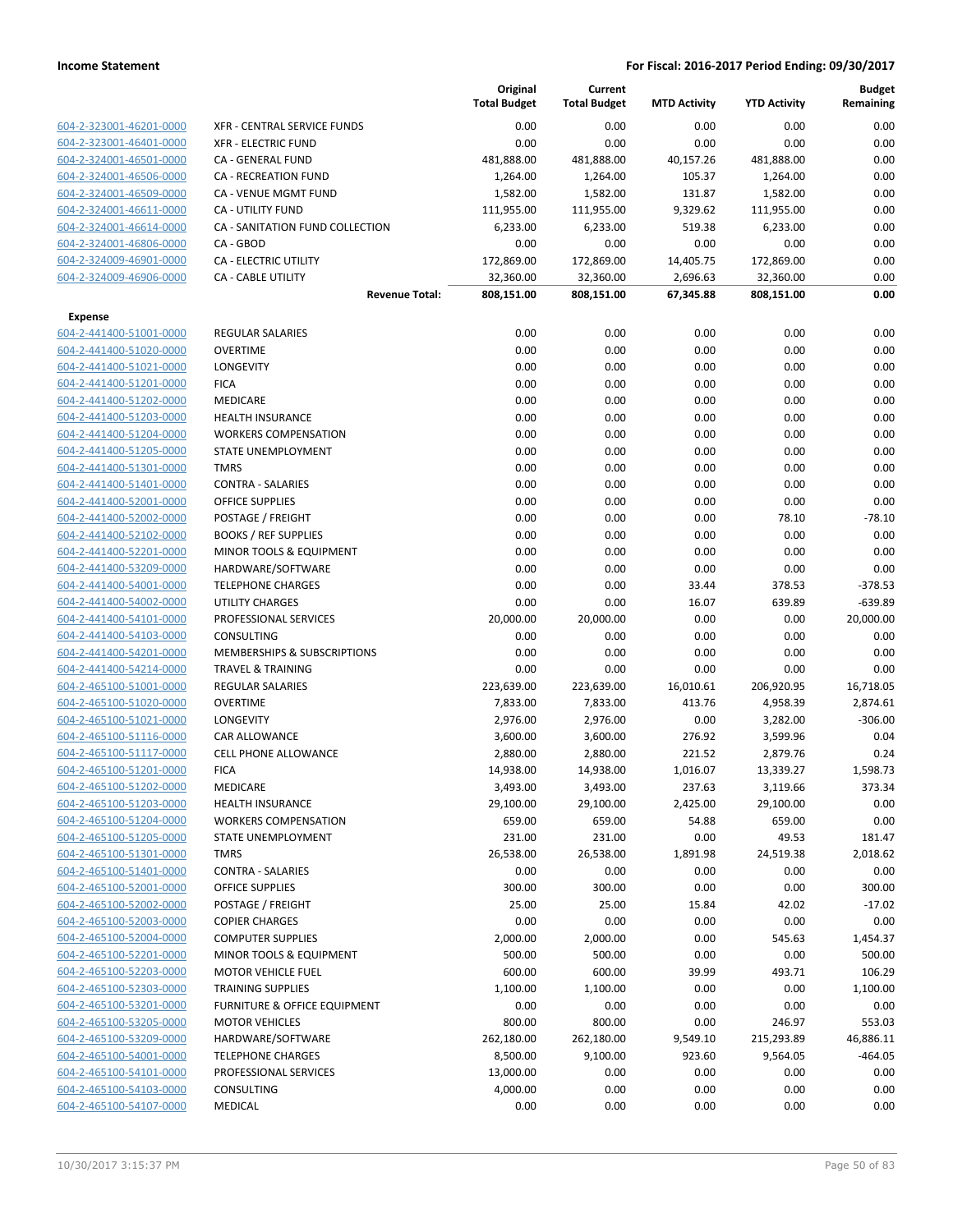|                                                    |                                                    | Original<br><b>Total Budget</b> | Current<br><b>Total Budget</b> | <b>MTD Activity</b> | <b>YTD Activity</b> | <b>Budget</b><br>Remaining |
|----------------------------------------------------|----------------------------------------------------|---------------------------------|--------------------------------|---------------------|---------------------|----------------------------|
| 604-2-323001-46201-0000                            | XFR - CENTRAL SERVICE FUNDS                        | 0.00                            | 0.00                           | 0.00                | 0.00                | 0.00                       |
| 604-2-323001-46401-0000                            | <b>XFR - ELECTRIC FUND</b>                         | 0.00                            | 0.00                           | 0.00                | 0.00                | 0.00                       |
| 604-2-324001-46501-0000                            | CA - GENERAL FUND                                  | 481,888.00                      | 481,888.00                     | 40,157.26           | 481,888.00          | 0.00                       |
| 604-2-324001-46506-0000                            | <b>CA - RECREATION FUND</b>                        | 1,264.00                        | 1,264.00                       | 105.37              | 1,264.00            | 0.00                       |
| 604-2-324001-46509-0000                            | CA - VENUE MGMT FUND                               | 1,582.00                        | 1,582.00                       | 131.87              | 1,582.00            | 0.00                       |
| 604-2-324001-46611-0000                            | CA - UTILITY FUND                                  | 111,955.00                      | 111,955.00                     | 9,329.62            | 111,955.00          | 0.00                       |
| 604-2-324001-46614-0000                            | CA - SANITATION FUND COLLECTION                    | 6,233.00                        | 6,233.00                       | 519.38              | 6,233.00            | 0.00                       |
| 604-2-324001-46806-0000                            | CA - GBOD                                          | 0.00                            | 0.00                           | 0.00                | 0.00                | 0.00                       |
| 604-2-324009-46901-0000                            | <b>CA - ELECTRIC UTILITY</b>                       | 172,869.00                      | 172,869.00                     | 14,405.75           | 172,869.00          | 0.00                       |
| 604-2-324009-46906-0000                            | <b>CA - CABLE UTILITY</b>                          | 32,360.00                       | 32,360.00                      | 2,696.63            | 32,360.00           | 0.00                       |
|                                                    | <b>Revenue Total:</b>                              | 808,151.00                      | 808,151.00                     | 67,345.88           | 808,151.00          | 0.00                       |
| Expense                                            |                                                    |                                 |                                |                     |                     |                            |
| 604-2-441400-51001-0000                            | REGULAR SALARIES                                   | 0.00                            | 0.00                           | 0.00                | 0.00                | 0.00                       |
| 604-2-441400-51020-0000                            | <b>OVERTIME</b>                                    | 0.00                            | 0.00                           | 0.00                | 0.00                | 0.00                       |
| 604-2-441400-51021-0000                            | LONGEVITY                                          | 0.00                            | 0.00                           | 0.00                | 0.00                | 0.00                       |
| 604-2-441400-51201-0000                            | <b>FICA</b>                                        | 0.00                            | 0.00                           | 0.00                | 0.00                | 0.00                       |
| 604-2-441400-51202-0000                            | MEDICARE                                           | 0.00                            | 0.00                           | 0.00                | 0.00                | 0.00                       |
| 604-2-441400-51203-0000                            | <b>HEALTH INSURANCE</b>                            | 0.00                            | 0.00                           | 0.00                | 0.00                | 0.00                       |
| 604-2-441400-51204-0000                            | <b>WORKERS COMPENSATION</b>                        | 0.00                            | 0.00                           | 0.00                | 0.00                | 0.00                       |
| 604-2-441400-51205-0000                            | STATE UNEMPLOYMENT                                 | 0.00                            | 0.00                           | 0.00                | 0.00                | 0.00                       |
| 604-2-441400-51301-0000                            | <b>TMRS</b>                                        | 0.00                            | 0.00                           | 0.00                | 0.00                | 0.00                       |
| 604-2-441400-51401-0000                            | <b>CONTRA - SALARIES</b>                           | 0.00                            | 0.00                           | 0.00                | 0.00                | 0.00                       |
| 604-2-441400-52001-0000                            | <b>OFFICE SUPPLIES</b>                             | 0.00                            | 0.00                           | 0.00                | 0.00                | 0.00                       |
| 604-2-441400-52002-0000                            | POSTAGE / FREIGHT                                  | 0.00                            | 0.00                           | 0.00                | 78.10               | $-78.10$                   |
| 604-2-441400-52102-0000                            | <b>BOOKS / REF SUPPLIES</b>                        | 0.00                            | 0.00                           | 0.00                | 0.00                | 0.00                       |
| 604-2-441400-52201-0000                            | MINOR TOOLS & EQUIPMENT                            | 0.00                            | 0.00                           | 0.00                | 0.00                | 0.00                       |
| 604-2-441400-53209-0000                            | HARDWARE/SOFTWARE                                  | 0.00                            | 0.00                           | 0.00                | 0.00                | 0.00                       |
| 604-2-441400-54001-0000                            | <b>TELEPHONE CHARGES</b><br><b>UTILITY CHARGES</b> | 0.00<br>0.00                    | 0.00<br>0.00                   | 33.44<br>16.07      | 378.53<br>639.89    | $-378.53$<br>$-639.89$     |
| 604-2-441400-54002-0000<br>604-2-441400-54101-0000 | PROFESSIONAL SERVICES                              | 20,000.00                       | 20,000.00                      | 0.00                | 0.00                | 20,000.00                  |
| 604-2-441400-54103-0000                            | CONSULTING                                         | 0.00                            | 0.00                           | 0.00                | 0.00                | 0.00                       |
| 604-2-441400-54201-0000                            | MEMBERSHIPS & SUBSCRIPTIONS                        | 0.00                            | 0.00                           | 0.00                | 0.00                | 0.00                       |
| 604-2-441400-54214-0000                            | <b>TRAVEL &amp; TRAINING</b>                       | 0.00                            | 0.00                           | 0.00                | 0.00                | 0.00                       |
| 604-2-465100-51001-0000                            | <b>REGULAR SALARIES</b>                            | 223,639.00                      | 223,639.00                     | 16,010.61           | 206,920.95          | 16,718.05                  |
| 604-2-465100-51020-0000                            | <b>OVERTIME</b>                                    | 7,833.00                        | 7,833.00                       | 413.76              | 4,958.39            | 2,874.61                   |
| 604-2-465100-51021-0000                            | LONGEVITY                                          | 2,976.00                        | 2,976.00                       | 0.00                | 3,282.00            | $-306.00$                  |
| 604-2-465100-51116-0000                            | CAR ALLOWANCE                                      | 3,600.00                        | 3,600.00                       | 276.92              | 3,599.96            | 0.04                       |
| 604-2-465100-51117-0000                            | <b>CELL PHONE ALLOWANCE</b>                        | 2,880.00                        | 2,880.00                       | 221.52              | 2,879.76            | 0.24                       |
| 604-2-465100-51201-0000                            | <b>FICA</b>                                        | 14,938.00                       | 14,938.00                      | 1,016.07            | 13,339.27           | 1,598.73                   |
| 604-2-465100-51202-0000                            | MEDICARE                                           | 3,493.00                        | 3,493.00                       | 237.63              | 3,119.66            | 373.34                     |
| 604-2-465100-51203-0000                            | <b>HEALTH INSURANCE</b>                            | 29,100.00                       | 29,100.00                      | 2,425.00            | 29,100.00           | 0.00                       |
| 604-2-465100-51204-0000                            | <b>WORKERS COMPENSATION</b>                        | 659.00                          | 659.00                         | 54.88               | 659.00              | 0.00                       |
| 604-2-465100-51205-0000                            | <b>STATE UNEMPLOYMENT</b>                          | 231.00                          | 231.00                         | 0.00                | 49.53               | 181.47                     |
| 604-2-465100-51301-0000                            | <b>TMRS</b>                                        | 26,538.00                       | 26,538.00                      | 1,891.98            | 24,519.38           | 2,018.62                   |
| 604-2-465100-51401-0000                            | <b>CONTRA - SALARIES</b>                           | 0.00                            | 0.00                           | 0.00                | 0.00                | 0.00                       |
| 604-2-465100-52001-0000                            | <b>OFFICE SUPPLIES</b>                             | 300.00                          | 300.00                         | 0.00                | 0.00                | 300.00                     |
| 604-2-465100-52002-0000                            | POSTAGE / FREIGHT                                  | 25.00                           | 25.00                          | 15.84               | 42.02               | $-17.02$                   |
| 604-2-465100-52003-0000                            | <b>COPIER CHARGES</b>                              | 0.00                            | 0.00                           | 0.00                | 0.00                | 0.00                       |
| 604-2-465100-52004-0000                            | <b>COMPUTER SUPPLIES</b>                           | 2,000.00                        | 2,000.00                       | 0.00                | 545.63              | 1,454.37                   |
| 604-2-465100-52201-0000                            | MINOR TOOLS & EQUIPMENT                            | 500.00                          | 500.00                         | 0.00                | 0.00                | 500.00                     |
| 604-2-465100-52203-0000                            | <b>MOTOR VEHICLE FUEL</b>                          | 600.00                          | 600.00                         | 39.99               | 493.71              | 106.29                     |
| 604-2-465100-52303-0000                            | <b>TRAINING SUPPLIES</b>                           | 1,100.00                        | 1,100.00                       | 0.00                | 0.00                | 1,100.00                   |
| 604-2-465100-53201-0000                            | FURNITURE & OFFICE EQUIPMENT                       | 0.00                            | 0.00                           | 0.00                | 0.00                | 0.00                       |
| 604-2-465100-53205-0000                            | <b>MOTOR VEHICLES</b>                              | 800.00                          | 800.00                         | 0.00                | 246.97              | 553.03                     |
| 604-2-465100-53209-0000                            | HARDWARE/SOFTWARE                                  | 262,180.00                      | 262,180.00                     | 9,549.10            | 215,293.89          | 46,886.11                  |
| 604-2-465100-54001-0000                            | <b>TELEPHONE CHARGES</b>                           | 8,500.00                        | 9,100.00                       | 923.60              | 9,564.05            | -464.05                    |
| 604-2-465100-54101-0000                            | PROFESSIONAL SERVICES                              | 13,000.00                       | 0.00                           | 0.00                | 0.00                | 0.00                       |
| 604-2-465100-54103-0000                            | CONSULTING                                         | 4,000.00                        | 0.00                           | 0.00                | 0.00                | 0.00                       |
| 604-2-465100-54107-0000                            | MEDICAL                                            | 0.00                            | 0.00                           | 0.00                | 0.00                | 0.00                       |
|                                                    |                                                    |                                 |                                |                     |                     |                            |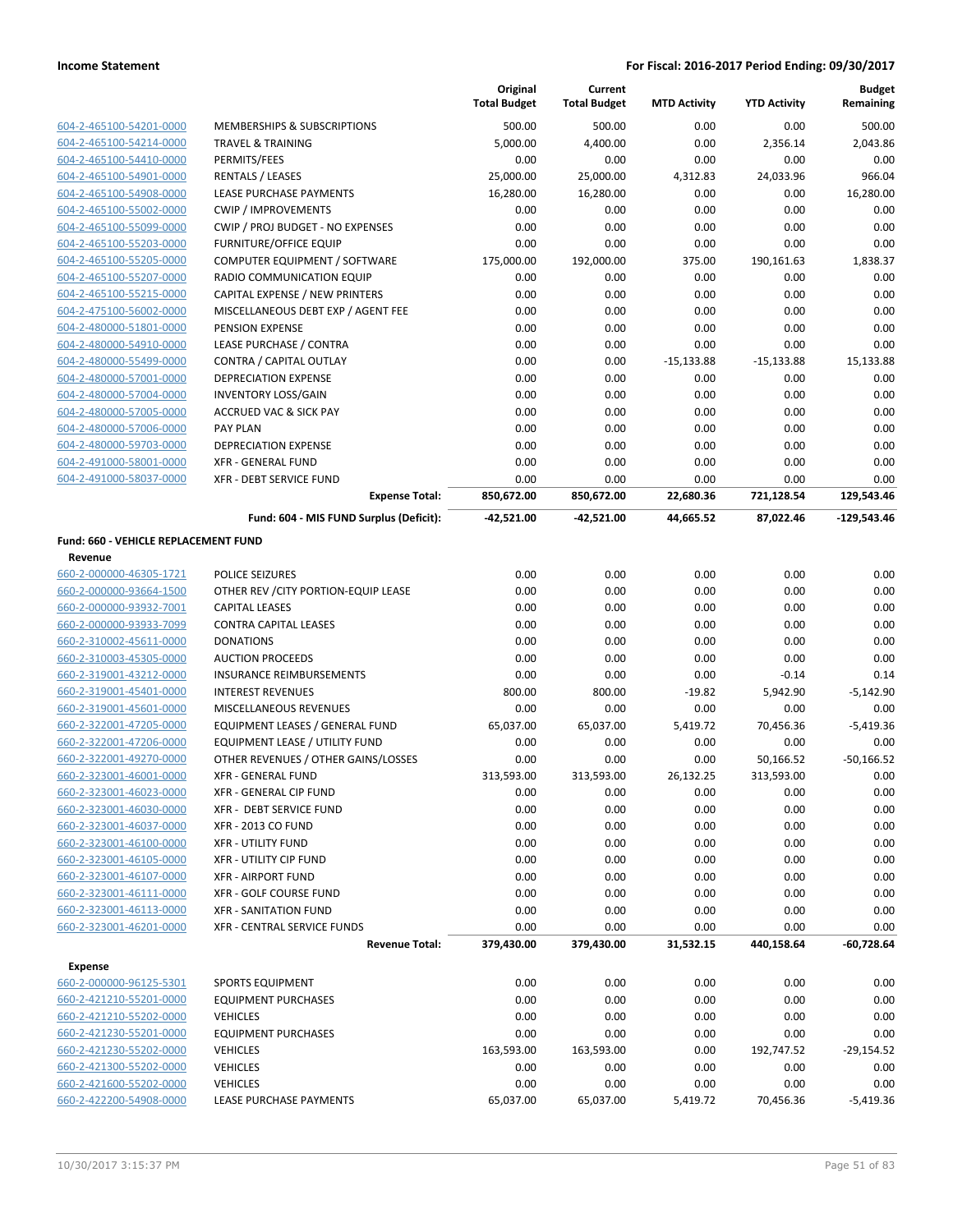|                                                 |                                         | Original<br><b>Total Budget</b> | Current<br><b>Total Budget</b> | <b>MTD Activity</b> | <b>YTD Activity</b> | <b>Budget</b><br>Remaining |
|-------------------------------------------------|-----------------------------------------|---------------------------------|--------------------------------|---------------------|---------------------|----------------------------|
| 604-2-465100-54201-0000                         | MEMBERSHIPS & SUBSCRIPTIONS             | 500.00                          | 500.00                         | 0.00                | 0.00                | 500.00                     |
| 604-2-465100-54214-0000                         | <b>TRAVEL &amp; TRAINING</b>            | 5,000.00                        | 4,400.00                       | 0.00                | 2,356.14            | 2,043.86                   |
| 604-2-465100-54410-0000                         | PERMITS/FEES                            | 0.00                            | 0.00                           | 0.00                | 0.00                | 0.00                       |
| 604-2-465100-54901-0000                         | <b>RENTALS / LEASES</b>                 | 25,000.00                       | 25,000.00                      | 4,312.83            | 24,033.96           | 966.04                     |
| 604-2-465100-54908-0000                         | <b>LEASE PURCHASE PAYMENTS</b>          | 16,280.00                       | 16,280.00                      | 0.00                | 0.00                | 16,280.00                  |
| 604-2-465100-55002-0000                         | <b>CWIP / IMPROVEMENTS</b>              | 0.00                            | 0.00                           | 0.00                | 0.00                | 0.00                       |
| 604-2-465100-55099-0000                         | CWIP / PROJ BUDGET - NO EXPENSES        | 0.00                            | 0.00                           | 0.00                | 0.00                | 0.00                       |
| 604-2-465100-55203-0000                         | <b>FURNITURE/OFFICE EQUIP</b>           | 0.00                            | 0.00                           | 0.00                | 0.00                | 0.00                       |
| 604-2-465100-55205-0000                         | COMPUTER EQUIPMENT / SOFTWARE           | 175,000.00                      | 192,000.00                     | 375.00              | 190,161.63          | 1,838.37                   |
| 604-2-465100-55207-0000                         | RADIO COMMUNICATION EQUIP               | 0.00                            | 0.00                           | 0.00                | 0.00                | 0.00                       |
| 604-2-465100-55215-0000                         | CAPITAL EXPENSE / NEW PRINTERS          | 0.00                            | 0.00                           | 0.00                | 0.00                | 0.00                       |
| 604-2-475100-56002-0000                         | MISCELLANEOUS DEBT EXP / AGENT FEE      | 0.00                            | 0.00                           | 0.00                | 0.00                | 0.00                       |
| 604-2-480000-51801-0000                         | PENSION EXPENSE                         | 0.00                            | 0.00                           | 0.00                | 0.00                | 0.00                       |
| 604-2-480000-54910-0000                         | LEASE PURCHASE / CONTRA                 | 0.00                            | 0.00                           | 0.00                | 0.00                | 0.00                       |
| 604-2-480000-55499-0000                         | CONTRA / CAPITAL OUTLAY                 | 0.00                            | 0.00                           | $-15,133.88$        | $-15,133.88$        | 15,133.88                  |
| 604-2-480000-57001-0000                         | DEPRECIATION EXPENSE                    | 0.00                            | 0.00                           | 0.00                | 0.00                | 0.00                       |
| 604-2-480000-57004-0000                         | <b>INVENTORY LOSS/GAIN</b>              | 0.00                            | 0.00                           | 0.00                | 0.00                | 0.00                       |
| 604-2-480000-57005-0000                         | <b>ACCRUED VAC &amp; SICK PAY</b>       | 0.00                            | 0.00                           | 0.00                | 0.00                | 0.00                       |
| 604-2-480000-57006-0000                         | <b>PAY PLAN</b>                         | 0.00                            | 0.00                           | 0.00                | 0.00                | 0.00                       |
| 604-2-480000-59703-0000                         | DEPRECIATION EXPENSE                    | 0.00                            | 0.00                           | 0.00                | 0.00                | 0.00                       |
| 604-2-491000-58001-0000                         | <b>XFR - GENERAL FUND</b>               | 0.00                            | 0.00                           | 0.00                | 0.00                | 0.00                       |
| 604-2-491000-58037-0000                         | <b>XFR - DEBT SERVICE FUND</b>          | 0.00                            | 0.00                           | 0.00                | 0.00                | 0.00                       |
|                                                 | <b>Expense Total:</b>                   | 850,672.00                      | 850,672.00                     | 22,680.36           | 721,128.54          | 129,543.46                 |
|                                                 | Fund: 604 - MIS FUND Surplus (Deficit): | $-42,521.00$                    | -42,521.00                     | 44,665.52           | 87,022.46           | $-129,543.46$              |
| Fund: 660 - VEHICLE REPLACEMENT FUND<br>Revenue |                                         |                                 |                                |                     |                     |                            |
| 660-2-000000-46305-1721                         | POLICE SEIZURES                         | 0.00                            | 0.00                           | 0.00                | 0.00                | 0.00                       |
| 660-2-000000-93664-1500                         | OTHER REV / CITY PORTION-EQUIP LEASE    | 0.00                            | 0.00                           | 0.00                | 0.00                | 0.00                       |
| 660-2-000000-93932-7001                         | <b>CAPITAL LEASES</b>                   | 0.00                            | 0.00                           | 0.00                | 0.00                | 0.00                       |
| 660-2-000000-93933-7099                         | <b>CONTRA CAPITAL LEASES</b>            | 0.00                            | 0.00                           | 0.00                | 0.00                | 0.00                       |
| 660-2-310002-45611-0000                         | <b>DONATIONS</b>                        | 0.00                            | 0.00                           | 0.00                | 0.00                | 0.00                       |
| 660-2-310003-45305-0000                         | <b>AUCTION PROCEEDS</b>                 | 0.00                            | 0.00                           | 0.00                | 0.00                | 0.00                       |
| 660-2-319001-43212-0000                         | <b>INSURANCE REIMBURSEMENTS</b>         | 0.00                            | 0.00                           | 0.00                | $-0.14$             | 0.14                       |
| 660-2-319001-45401-0000                         | <b>INTEREST REVENUES</b>                | 800.00                          | 800.00                         | $-19.82$            | 5,942.90            | $-5,142.90$                |
| 660-2-319001-45601-0000                         | MISCELLANEOUS REVENUES                  | 0.00                            | 0.00                           | 0.00                | 0.00                | 0.00                       |
| 660-2-322001-47205-0000                         | EQUIPMENT LEASES / GENERAL FUND         | 65,037.00                       | 65,037.00                      | 5,419.72            | 70,456.36           | $-5,419.36$                |
| 660-2-322001-47206-0000                         | <b>EQUIPMENT LEASE / UTILITY FUND</b>   | 0.00                            | 0.00                           | 0.00                | 0.00                | 0.00                       |
| 660-2-322001-49270-0000                         | OTHER REVENUES / OTHER GAINS/LOSSES     | 0.00                            | 0.00                           | 0.00                | 50,166.52           | $-50.166.52$               |
| 660-2-323001-46001-0000                         | XFR - GENERAL FUND                      | 313,593.00                      | 313,593.00                     | 26,132.25           | 313,593.00          | 0.00                       |
| 660-2-323001-46023-0000                         | XFR - GENERAL CIP FUND                  | 0.00                            | 0.00                           | 0.00                | 0.00                | 0.00                       |
| 660-2-323001-46030-0000                         | XFR - DEBT SERVICE FUND                 | 0.00                            | 0.00                           | 0.00                | 0.00                | 0.00                       |
| 660-2-323001-46037-0000                         | <b>XFR - 2013 CO FUND</b>               | 0.00                            | 0.00                           | 0.00                | 0.00                | 0.00                       |
| 660-2-323001-46100-0000                         | <b>XFR - UTILITY FUND</b>               | 0.00                            | 0.00                           | 0.00                | 0.00                | 0.00                       |
| 660-2-323001-46105-0000                         | <b>XFR - UTILITY CIP FUND</b>           | 0.00                            | 0.00                           | 0.00                | 0.00                | 0.00                       |
| 660-2-323001-46107-0000                         | <b>XFR - AIRPORT FUND</b>               | 0.00                            | 0.00                           | 0.00                | 0.00                | 0.00                       |
| 660-2-323001-46111-0000                         | XFR - GOLF COURSE FUND                  | 0.00                            | 0.00                           | 0.00                | 0.00                | 0.00                       |
| 660-2-323001-46113-0000                         | XFR - SANITATION FUND                   | 0.00                            | 0.00                           | 0.00                | 0.00                | 0.00                       |
| 660-2-323001-46201-0000                         | XFR - CENTRAL SERVICE FUNDS             | 0.00                            | 0.00                           | 0.00                | 0.00                | 0.00                       |
|                                                 | <b>Revenue Total:</b>                   | 379,430.00                      | 379,430.00                     | 31,532.15           | 440,158.64          | $-60,728.64$               |
| Expense                                         |                                         |                                 |                                |                     |                     |                            |
| 660-2-000000-96125-5301                         | <b>SPORTS EQUIPMENT</b>                 | 0.00                            | 0.00                           | 0.00                | 0.00                | 0.00                       |
| 660-2-421210-55201-0000                         | <b>EQUIPMENT PURCHASES</b>              | 0.00                            | 0.00                           | 0.00                | 0.00                | 0.00                       |
| 660-2-421210-55202-0000                         | <b>VEHICLES</b>                         | 0.00                            | 0.00                           | 0.00                | 0.00                | 0.00                       |
| 660-2-421230-55201-0000                         | <b>EQUIPMENT PURCHASES</b>              | 0.00                            | 0.00                           | 0.00                | 0.00                | 0.00                       |
| 660-2-421230-55202-0000                         | <b>VEHICLES</b>                         | 163,593.00                      | 163,593.00                     | 0.00                | 192,747.52          | $-29,154.52$               |
| 660-2-421300-55202-0000                         | <b>VEHICLES</b>                         | 0.00                            | 0.00                           | 0.00                | 0.00                | 0.00                       |
| 660-2-421600-55202-0000                         | <b>VEHICLES</b>                         | 0.00                            | 0.00                           | 0.00                | 0.00                | 0.00                       |
| 660-2-422200-54908-0000                         | LEASE PURCHASE PAYMENTS                 | 65,037.00                       | 65,037.00                      | 5,419.72            | 70,456.36           | $-5,419.36$                |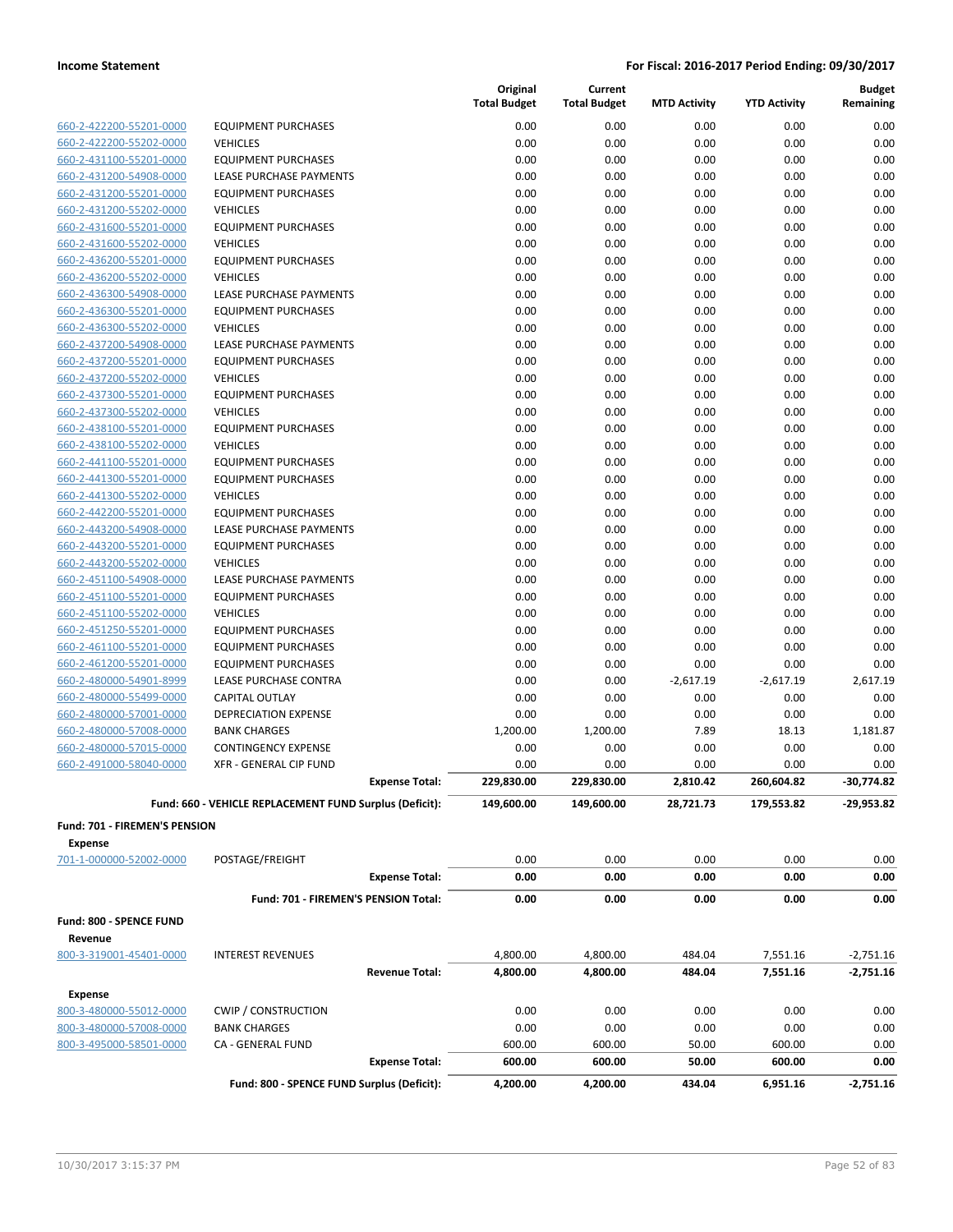|                                                    |                                                         | <b>Total Budget</b>   | Original     | Current<br><b>Total Budget</b> | <b>MTD Activity</b> | <b>YTD Activity</b> | <b>Budget</b><br>Remaining |
|----------------------------------------------------|---------------------------------------------------------|-----------------------|--------------|--------------------------------|---------------------|---------------------|----------------------------|
| 660-2-422200-55201-0000                            | <b>EQUIPMENT PURCHASES</b>                              |                       | 0.00         | 0.00                           | 0.00                | 0.00                | 0.00                       |
| 660-2-422200-55202-0000                            | <b>VEHICLES</b>                                         |                       | 0.00         | 0.00                           | 0.00                | 0.00                | 0.00                       |
| 660-2-431100-55201-0000                            | <b>EQUIPMENT PURCHASES</b>                              |                       | 0.00         | 0.00                           | 0.00                | $0.00\,$            | 0.00                       |
| 660-2-431200-54908-0000                            | LEASE PURCHASE PAYMENTS                                 |                       | 0.00         | 0.00                           | 0.00                | 0.00                | 0.00                       |
| 660-2-431200-55201-0000                            | <b>EQUIPMENT PURCHASES</b>                              |                       | 0.00         | 0.00                           | 0.00                | 0.00                | 0.00                       |
| 660-2-431200-55202-0000                            | <b>VEHICLES</b>                                         |                       | 0.00         | 0.00                           | 0.00                | 0.00                | 0.00                       |
| 660-2-431600-55201-0000                            | <b>EQUIPMENT PURCHASES</b>                              |                       | 0.00         | 0.00                           | 0.00                | 0.00                | 0.00                       |
| 660-2-431600-55202-0000                            | <b>VEHICLES</b>                                         |                       | 0.00         | 0.00                           | 0.00                | 0.00                | 0.00                       |
| 660-2-436200-55201-0000                            | <b>EQUIPMENT PURCHASES</b>                              |                       | 0.00         | 0.00                           | 0.00                | 0.00                | 0.00                       |
| 660-2-436200-55202-0000                            | <b>VEHICLES</b>                                         |                       | 0.00         | 0.00                           | 0.00                | 0.00                | 0.00                       |
| 660-2-436300-54908-0000                            | LEASE PURCHASE PAYMENTS                                 |                       | 0.00         | 0.00                           | 0.00                | 0.00                | 0.00                       |
| 660-2-436300-55201-0000                            | <b>EQUIPMENT PURCHASES</b>                              |                       | 0.00         | 0.00                           | 0.00                | 0.00                | 0.00                       |
| 660-2-436300-55202-0000                            | <b>VEHICLES</b>                                         |                       | 0.00         | 0.00                           | 0.00                | 0.00                | 0.00                       |
| 660-2-437200-54908-0000                            | LEASE PURCHASE PAYMENTS                                 |                       | 0.00         | 0.00                           | 0.00                | 0.00                | 0.00                       |
| 660-2-437200-55201-0000                            | <b>EQUIPMENT PURCHASES</b>                              |                       | 0.00         | 0.00                           | 0.00                | 0.00                | 0.00                       |
| 660-2-437200-55202-0000                            | <b>VEHICLES</b>                                         |                       | 0.00         | 0.00<br>0.00                   | 0.00                | 0.00                | 0.00<br>0.00               |
| 660-2-437300-55201-0000<br>660-2-437300-55202-0000 | <b>EQUIPMENT PURCHASES</b><br><b>VEHICLES</b>           |                       | 0.00<br>0.00 | 0.00                           | 0.00<br>0.00        | 0.00<br>0.00        | 0.00                       |
| 660-2-438100-55201-0000                            | <b>EQUIPMENT PURCHASES</b>                              |                       | 0.00         | 0.00                           | 0.00                | 0.00                | 0.00                       |
| 660-2-438100-55202-0000                            | <b>VEHICLES</b>                                         |                       | 0.00         | 0.00                           | 0.00                | 0.00                | 0.00                       |
| 660-2-441100-55201-0000                            | <b>EQUIPMENT PURCHASES</b>                              |                       | 0.00         | 0.00                           | 0.00                | 0.00                | 0.00                       |
| 660-2-441300-55201-0000                            | <b>EQUIPMENT PURCHASES</b>                              |                       | 0.00         | 0.00                           | 0.00                | 0.00                | 0.00                       |
| 660-2-441300-55202-0000                            | <b>VEHICLES</b>                                         |                       | 0.00         | 0.00                           | 0.00                | 0.00                | 0.00                       |
| 660-2-442200-55201-0000                            | <b>EQUIPMENT PURCHASES</b>                              |                       | 0.00         | 0.00                           | 0.00                | 0.00                | 0.00                       |
| 660-2-443200-54908-0000                            | LEASE PURCHASE PAYMENTS                                 |                       | 0.00         | 0.00                           | 0.00                | 0.00                | 0.00                       |
| 660-2-443200-55201-0000                            | <b>EQUIPMENT PURCHASES</b>                              |                       | 0.00         | 0.00                           | 0.00                | 0.00                | 0.00                       |
| 660-2-443200-55202-0000                            | <b>VEHICLES</b>                                         |                       | 0.00         | 0.00                           | 0.00                | 0.00                | 0.00                       |
| 660-2-451100-54908-0000                            | LEASE PURCHASE PAYMENTS                                 |                       | 0.00         | 0.00                           | 0.00                | 0.00                | 0.00                       |
| 660-2-451100-55201-0000                            | <b>EQUIPMENT PURCHASES</b>                              |                       | 0.00         | 0.00                           | 0.00                | 0.00                | 0.00                       |
| 660-2-451100-55202-0000                            | <b>VEHICLES</b>                                         |                       | 0.00         | 0.00                           | 0.00                | 0.00                | 0.00                       |
| 660-2-451250-55201-0000                            | <b>EQUIPMENT PURCHASES</b>                              |                       | 0.00         | 0.00                           | 0.00                | 0.00                | 0.00                       |
| 660-2-461100-55201-0000                            | <b>EQUIPMENT PURCHASES</b>                              |                       | 0.00         | 0.00                           | 0.00                | 0.00                | 0.00                       |
| 660-2-461200-55201-0000                            | <b>EQUIPMENT PURCHASES</b>                              |                       | 0.00         | 0.00                           | 0.00                | 0.00                | 0.00                       |
| 660-2-480000-54901-8999                            | LEASE PURCHASE CONTRA                                   |                       | 0.00         | 0.00                           | $-2,617.19$         | $-2,617.19$         | 2,617.19                   |
| 660-2-480000-55499-0000                            | CAPITAL OUTLAY                                          |                       | 0.00         | 0.00                           | 0.00                | 0.00                | 0.00                       |
| 660-2-480000-57001-0000                            | <b>DEPRECIATION EXPENSE</b>                             |                       | 0.00         | 0.00                           | 0.00                | 0.00                | 0.00                       |
| 660-2-480000-57008-0000                            | <b>BANK CHARGES</b>                                     |                       | 1,200.00     | 1,200.00                       | 7.89                | 18.13               | 1,181.87                   |
| 660-2-480000-57015-0000                            | <b>CONTINGENCY EXPENSE</b>                              |                       | 0.00         | 0.00                           | 0.00                | 0.00                | 0.00                       |
| 660-2-491000-58040-0000                            | <b>XFR - GENERAL CIP FUND</b>                           |                       | 0.00         | 0.00                           | 0.00                | 0.00                | 0.00                       |
|                                                    |                                                         | <b>Expense Total:</b> | 229,830.00   | 229,830.00                     | 2,810.42            | 260,604.82          | -30,774.82                 |
|                                                    | Fund: 660 - VEHICLE REPLACEMENT FUND Surplus (Deficit): |                       | 149,600.00   | 149,600.00                     | 28,721.73           | 179,553.82          | -29,953.82                 |
| Fund: 701 - FIREMEN'S PENSION                      |                                                         |                       |              |                                |                     |                     |                            |
| Expense                                            |                                                         |                       |              |                                |                     |                     |                            |
| 701-1-000000-52002-0000                            | POSTAGE/FREIGHT                                         | <b>Expense Total:</b> | 0.00<br>0.00 | 0.00<br>0.00                   | 0.00<br>0.00        | 0.00<br>0.00        | 0.00<br>0.00               |
|                                                    | Fund: 701 - FIREMEN'S PENSION Total:                    |                       | 0.00         | 0.00                           | 0.00                | 0.00                | 0.00                       |
| Fund: 800 - SPENCE FUND                            |                                                         |                       |              |                                |                     |                     |                            |
| Revenue                                            |                                                         |                       |              |                                |                     |                     |                            |
| 800-3-319001-45401-0000                            | <b>INTEREST REVENUES</b>                                |                       | 4,800.00     | 4,800.00                       | 484.04              | 7,551.16            | $-2,751.16$                |
|                                                    |                                                         | <b>Revenue Total:</b> | 4,800.00     | 4,800.00                       | 484.04              | 7,551.16            | $-2,751.16$                |
| <b>Expense</b>                                     |                                                         |                       |              |                                |                     |                     |                            |
| 800-3-480000-55012-0000                            | <b>CWIP / CONSTRUCTION</b>                              |                       | 0.00         | 0.00                           | 0.00                | 0.00                | 0.00                       |
| 800-3-480000-57008-0000                            | <b>BANK CHARGES</b>                                     |                       | 0.00         | 0.00                           | 0.00                | 0.00                | 0.00                       |
| 800-3-495000-58501-0000                            | CA - GENERAL FUND                                       |                       | 600.00       | 600.00                         | 50.00               | 600.00              | 0.00                       |
|                                                    |                                                         | <b>Expense Total:</b> | 600.00       | 600.00                         | 50.00               | 600.00              | 0.00                       |
|                                                    | Fund: 800 - SPENCE FUND Surplus (Deficit):              |                       | 4,200.00     | 4,200.00                       | 434.04              | 6,951.16            | $-2,751.16$                |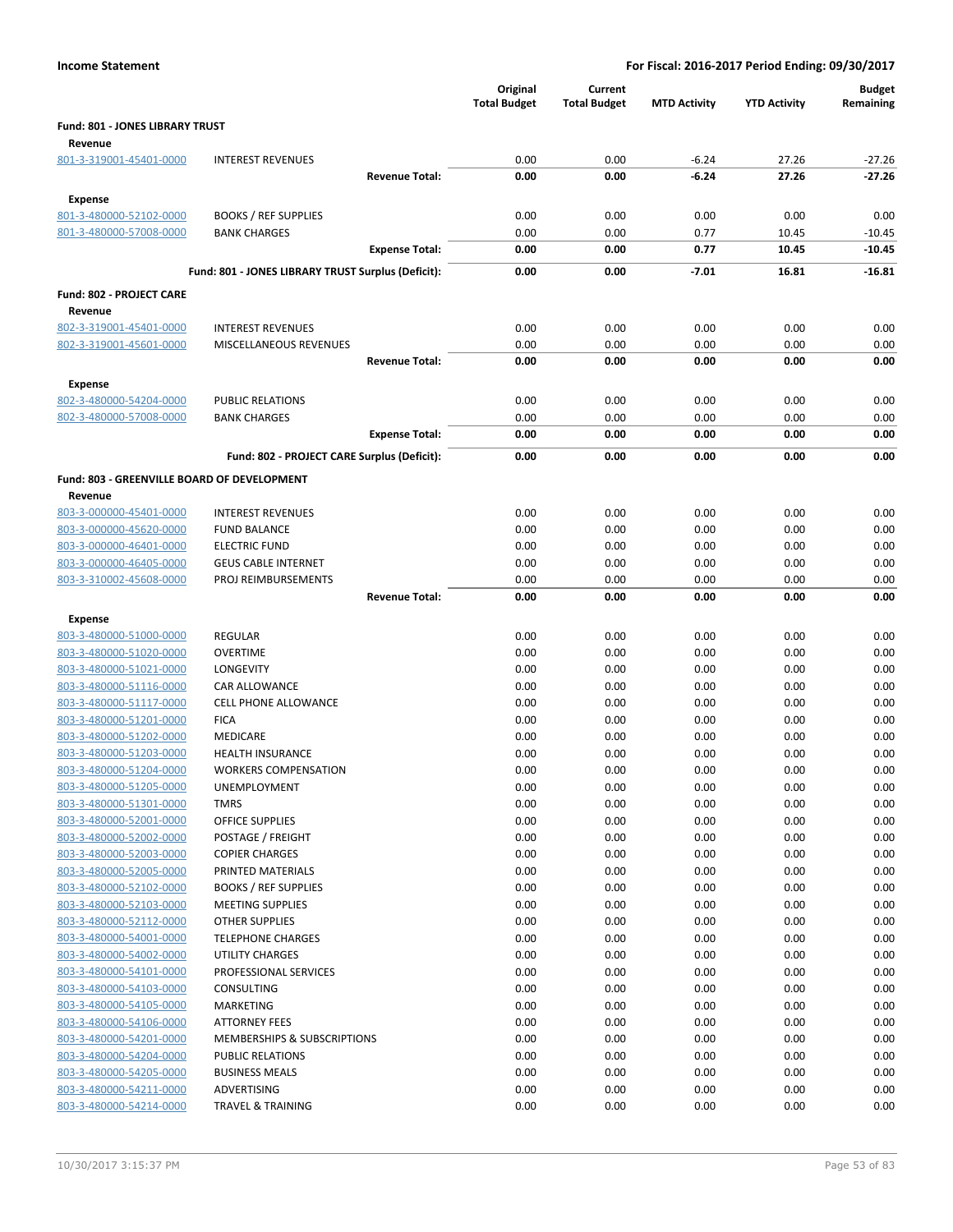|                                             |                                                    | Original<br><b>Total Budget</b> | Current<br><b>Total Budget</b> | <b>MTD Activity</b> | <b>YTD Activity</b> | <b>Budget</b><br>Remaining |
|---------------------------------------------|----------------------------------------------------|---------------------------------|--------------------------------|---------------------|---------------------|----------------------------|
| Fund: 801 - JONES LIBRARY TRUST<br>Revenue  |                                                    |                                 |                                |                     |                     |                            |
| 801-3-319001-45401-0000                     | <b>INTEREST REVENUES</b>                           | 0.00                            | 0.00                           | $-6.24$             | 27.26               | $-27.26$                   |
|                                             | <b>Revenue Total:</b>                              | 0.00                            | 0.00                           | $-6.24$             | 27.26               | $-27.26$                   |
| Expense                                     |                                                    |                                 |                                |                     |                     |                            |
| 801-3-480000-52102-0000                     | <b>BOOKS / REF SUPPLIES</b>                        | 0.00                            | 0.00                           | 0.00                | 0.00                | 0.00                       |
| 801-3-480000-57008-0000                     | <b>BANK CHARGES</b>                                | 0.00                            | 0.00                           | 0.77                | 10.45               | $-10.45$                   |
|                                             | <b>Expense Total:</b>                              | 0.00                            | 0.00                           | 0.77                | 10.45               | $-10.45$                   |
|                                             | Fund: 801 - JONES LIBRARY TRUST Surplus (Deficit): | 0.00                            | 0.00                           | $-7.01$             | 16.81               | $-16.81$                   |
| <b>Fund: 802 - PROJECT CARE</b>             |                                                    |                                 |                                |                     |                     |                            |
| Revenue                                     |                                                    |                                 |                                |                     |                     |                            |
| 802-3-319001-45401-0000                     | <b>INTEREST REVENUES</b>                           | 0.00                            | 0.00                           | 0.00                | 0.00                | 0.00                       |
| 802-3-319001-45601-0000                     | MISCELLANEOUS REVENUES                             | 0.00                            | 0.00                           | 0.00                | 0.00                | 0.00                       |
|                                             | <b>Revenue Total:</b>                              | 0.00                            | 0.00                           | 0.00                | 0.00                | 0.00                       |
| Expense                                     |                                                    |                                 |                                |                     |                     |                            |
| 802-3-480000-54204-0000                     | <b>PUBLIC RELATIONS</b>                            | 0.00                            | 0.00                           | 0.00                | 0.00                | 0.00                       |
| 802-3-480000-57008-0000                     | <b>BANK CHARGES</b>                                | 0.00                            | 0.00                           | 0.00                | 0.00                | 0.00                       |
|                                             | <b>Expense Total:</b>                              | 0.00                            | 0.00                           | 0.00                | 0.00                | 0.00                       |
|                                             | Fund: 802 - PROJECT CARE Surplus (Deficit):        | 0.00                            | 0.00                           | 0.00                | 0.00                | 0.00                       |
| Fund: 803 - GREENVILLE BOARD OF DEVELOPMENT |                                                    |                                 |                                |                     |                     |                            |
| Revenue                                     |                                                    |                                 |                                |                     |                     |                            |
| 803-3-000000-45401-0000                     | <b>INTEREST REVENUES</b>                           | 0.00                            | 0.00                           | 0.00                | 0.00                | 0.00                       |
| 803-3-000000-45620-0000                     | <b>FUND BALANCE</b>                                | 0.00                            | 0.00                           | 0.00                | 0.00                | 0.00                       |
| 803-3-000000-46401-0000                     | <b>ELECTRIC FUND</b>                               | 0.00                            | 0.00                           | 0.00                | 0.00                | 0.00                       |
| 803-3-000000-46405-0000                     | <b>GEUS CABLE INTERNET</b>                         | 0.00                            | 0.00                           | 0.00                | 0.00                | 0.00                       |
| 803-3-310002-45608-0000                     | PROJ REIMBURSEMENTS<br><b>Revenue Total:</b>       | 0.00<br>0.00                    | 0.00<br>0.00                   | 0.00<br>0.00        | 0.00<br>0.00        | 0.00<br>0.00               |
| Expense                                     |                                                    |                                 |                                |                     |                     |                            |
| 803-3-480000-51000-0000                     | <b>REGULAR</b>                                     | 0.00                            | 0.00                           | 0.00                | 0.00                | 0.00                       |
| 803-3-480000-51020-0000                     | <b>OVERTIME</b>                                    | 0.00                            | 0.00                           | 0.00                | 0.00                | 0.00                       |
| 803-3-480000-51021-0000                     | LONGEVITY                                          | 0.00                            | 0.00                           | 0.00                | 0.00                | 0.00                       |
| 803-3-480000-51116-0000                     | CAR ALLOWANCE                                      | 0.00                            | 0.00                           | 0.00                | 0.00                | 0.00                       |
| 803-3-480000-51117-0000                     | <b>CELL PHONE ALLOWANCE</b>                        | 0.00                            | 0.00                           | 0.00                | 0.00                | 0.00                       |
| 803-3-480000-51201-0000                     | <b>FICA</b>                                        | 0.00                            | 0.00                           | 0.00                | 0.00                | 0.00                       |
| 803-3-480000-51202-0000                     | MEDICARE                                           | 0.00                            | 0.00                           | 0.00                | 0.00                | 0.00                       |
| 803-3-480000-51203-0000                     | <b>HEALTH INSURANCE</b>                            | 0.00                            | 0.00                           | 0.00                | 0.00                | 0.00                       |
| 803-3-480000-51204-0000                     | <b>WORKERS COMPENSATION</b>                        | 0.00                            | 0.00                           | 0.00                | 0.00                | 0.00                       |
| 803-3-480000-51205-0000                     | UNEMPLOYMENT                                       | 0.00                            | 0.00                           | 0.00                | 0.00                | 0.00                       |
| 803-3-480000-51301-0000                     | <b>TMRS</b>                                        | 0.00                            | 0.00                           | 0.00                | 0.00                | 0.00                       |
| 803-3-480000-52001-0000                     | <b>OFFICE SUPPLIES</b>                             | 0.00                            | 0.00                           | 0.00                | 0.00                | 0.00                       |
| 803-3-480000-52002-0000                     | POSTAGE / FREIGHT                                  | 0.00                            | 0.00                           | 0.00                | 0.00                | 0.00                       |
| 803-3-480000-52003-0000                     | <b>COPIER CHARGES</b>                              | 0.00                            | 0.00                           | 0.00                | 0.00                | 0.00                       |
| 803-3-480000-52005-0000                     | PRINTED MATERIALS                                  | 0.00                            | 0.00                           | 0.00                | 0.00                | 0.00                       |
| 803-3-480000-52102-0000                     | <b>BOOKS / REF SUPPLIES</b>                        | 0.00                            | 0.00                           | 0.00                | 0.00                | 0.00                       |
| 803-3-480000-52103-0000                     | <b>MEETING SUPPLIES</b>                            | 0.00                            | 0.00                           | 0.00                | 0.00                | 0.00                       |
| 803-3-480000-52112-0000                     | <b>OTHER SUPPLIES</b>                              | 0.00                            | 0.00                           | 0.00                | 0.00                | 0.00                       |
| 803-3-480000-54001-0000                     | <b>TELEPHONE CHARGES</b>                           | 0.00                            | 0.00                           | 0.00                | 0.00                | 0.00                       |
| 803-3-480000-54002-0000                     |                                                    |                                 |                                |                     |                     |                            |
|                                             | UTILITY CHARGES                                    | 0.00                            | 0.00                           | 0.00                | 0.00                | 0.00                       |
| 803-3-480000-54101-0000                     | PROFESSIONAL SERVICES                              | 0.00                            | 0.00                           | 0.00                | 0.00                | 0.00                       |
| 803-3-480000-54103-0000                     | CONSULTING                                         | 0.00                            | 0.00                           | 0.00                | 0.00                | 0.00                       |
| 803-3-480000-54105-0000                     | MARKETING                                          | 0.00                            | 0.00                           | 0.00                | 0.00                | 0.00                       |
| 803-3-480000-54106-0000                     | <b>ATTORNEY FEES</b>                               | 0.00                            | 0.00                           | 0.00                | 0.00                | 0.00                       |
| 803-3-480000-54201-0000                     | MEMBERSHIPS & SUBSCRIPTIONS                        | 0.00                            | 0.00                           | 0.00                | 0.00                | 0.00                       |
| 803-3-480000-54204-0000                     | <b>PUBLIC RELATIONS</b>                            | 0.00                            | 0.00                           | 0.00                | 0.00                | 0.00                       |
| 803-3-480000-54205-0000                     | <b>BUSINESS MEALS</b>                              | 0.00                            | 0.00                           | 0.00                | 0.00                | 0.00                       |
| 803-3-480000-54211-0000                     | ADVERTISING                                        | 0.00                            | 0.00                           | 0.00                | 0.00                | 0.00                       |
| 803-3-480000-54214-0000                     | <b>TRAVEL &amp; TRAINING</b>                       | 0.00                            | 0.00                           | 0.00                | 0.00                | 0.00                       |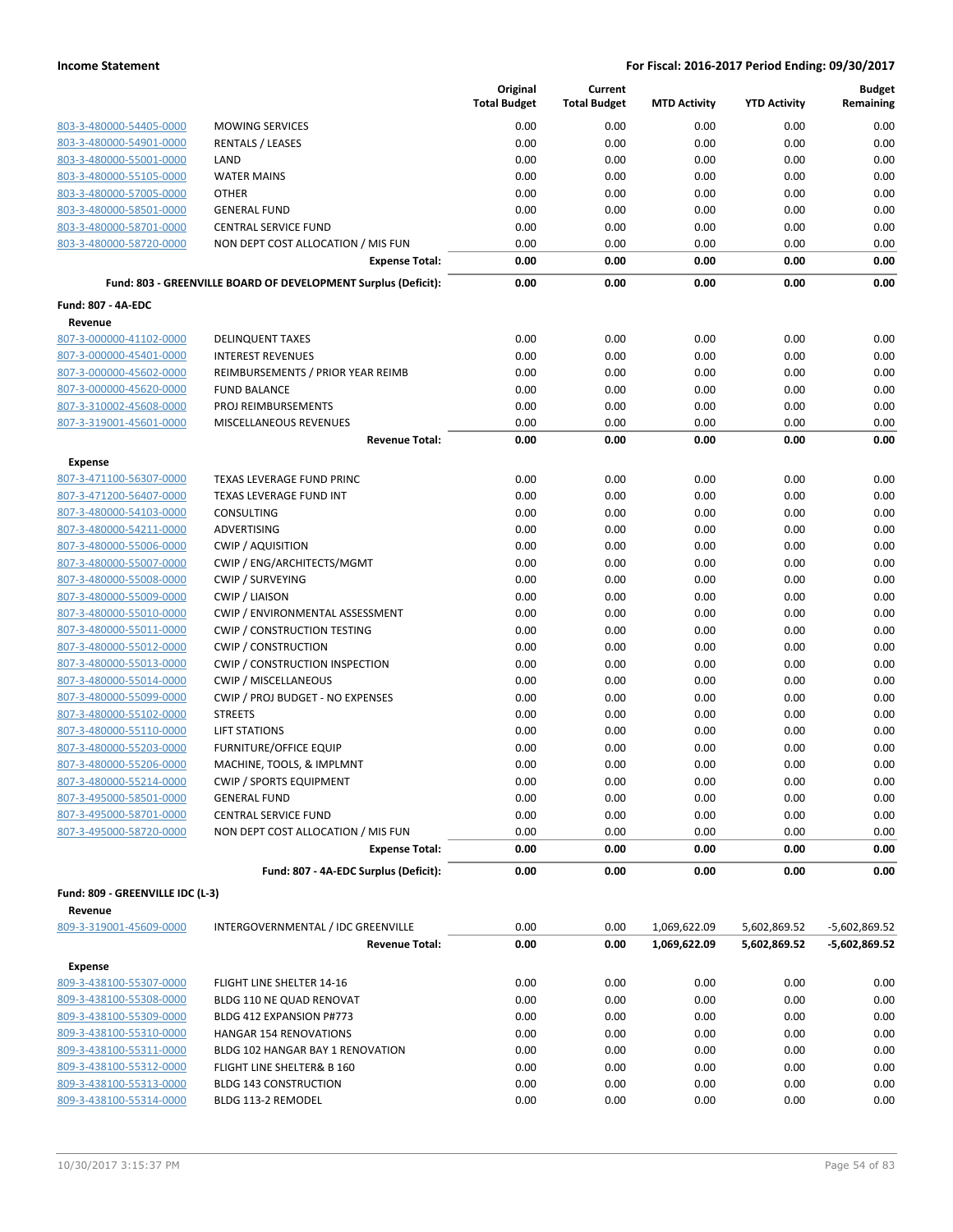|                                           |                                                                | Original<br><b>Total Budget</b> | Current<br><b>Total Budget</b> | <b>MTD Activity</b>          | <b>YTD Activity</b> | <b>Budget</b><br>Remaining         |
|-------------------------------------------|----------------------------------------------------------------|---------------------------------|--------------------------------|------------------------------|---------------------|------------------------------------|
| 803-3-480000-54405-0000                   | <b>MOWING SERVICES</b>                                         | 0.00                            | 0.00                           | 0.00                         | 0.00                | 0.00                               |
| 803-3-480000-54901-0000                   | <b>RENTALS / LEASES</b>                                        | 0.00                            | 0.00                           | 0.00                         | 0.00                | 0.00                               |
| 803-3-480000-55001-0000                   | LAND                                                           | 0.00                            | 0.00                           | 0.00                         | 0.00                | 0.00                               |
| 803-3-480000-55105-0000                   | <b>WATER MAINS</b>                                             | 0.00                            | 0.00                           | 0.00                         | 0.00                | 0.00                               |
| 803-3-480000-57005-0000                   | <b>OTHER</b>                                                   | 0.00                            | 0.00                           | 0.00                         | 0.00                | 0.00                               |
| 803-3-480000-58501-0000                   | <b>GENERAL FUND</b>                                            | 0.00                            | 0.00                           | 0.00                         | 0.00                | 0.00                               |
| 803-3-480000-58701-0000                   | <b>CENTRAL SERVICE FUND</b>                                    | 0.00                            | 0.00                           | 0.00                         | 0.00                | 0.00                               |
| 803-3-480000-58720-0000                   | NON DEPT COST ALLOCATION / MIS FUN                             | 0.00                            | 0.00                           | 0.00                         | 0.00                | 0.00                               |
|                                           | <b>Expense Total:</b>                                          | 0.00                            | 0.00                           | 0.00                         | 0.00                | 0.00                               |
|                                           | Fund: 803 - GREENVILLE BOARD OF DEVELOPMENT Surplus (Deficit): | 0.00                            | 0.00                           | 0.00                         | 0.00                | 0.00                               |
| <b>Fund: 807 - 4A-EDC</b>                 |                                                                |                                 |                                |                              |                     |                                    |
| Revenue                                   |                                                                |                                 |                                |                              |                     |                                    |
| 807-3-000000-41102-0000                   | <b>DELINQUENT TAXES</b>                                        | 0.00                            | 0.00                           | 0.00                         | 0.00                | 0.00                               |
| 807-3-000000-45401-0000                   | <b>INTEREST REVENUES</b>                                       | 0.00                            | 0.00                           | 0.00                         | 0.00                | 0.00                               |
| 807-3-000000-45602-0000                   | REIMBURSEMENTS / PRIOR YEAR REIMB                              | 0.00                            | 0.00                           | 0.00                         | 0.00                | 0.00                               |
| 807-3-000000-45620-0000                   | <b>FUND BALANCE</b>                                            | 0.00                            | 0.00                           | 0.00                         | 0.00                | 0.00                               |
| 807-3-310002-45608-0000                   | PROJ REIMBURSEMENTS                                            | 0.00                            | 0.00                           | 0.00                         | 0.00                | 0.00                               |
| 807-3-319001-45601-0000                   | MISCELLANEOUS REVENUES<br><b>Revenue Total:</b>                | 0.00<br>0.00                    | 0.00<br>0.00                   | 0.00<br>0.00                 | 0.00<br>0.00        | 0.00<br>0.00                       |
| <b>Expense</b>                            |                                                                |                                 |                                |                              |                     |                                    |
| 807-3-471100-56307-0000                   | TEXAS LEVERAGE FUND PRINC                                      | 0.00                            | 0.00                           | 0.00                         | 0.00                | 0.00                               |
| 807-3-471200-56407-0000                   | TEXAS LEVERAGE FUND INT                                        | 0.00                            | 0.00                           | 0.00                         | 0.00                | 0.00                               |
| 807-3-480000-54103-0000                   | <b>CONSULTING</b>                                              | 0.00                            | 0.00                           | 0.00                         | 0.00                | 0.00                               |
| 807-3-480000-54211-0000                   | <b>ADVERTISING</b>                                             | 0.00                            | 0.00                           | 0.00                         | 0.00                | 0.00                               |
| 807-3-480000-55006-0000                   | <b>CWIP / AQUISITION</b>                                       | 0.00                            | 0.00                           | 0.00                         | 0.00                | 0.00                               |
| 807-3-480000-55007-0000                   | CWIP / ENG/ARCHITECTS/MGMT                                     | 0.00                            | 0.00                           | 0.00                         | 0.00                | 0.00                               |
| 807-3-480000-55008-0000                   | <b>CWIP / SURVEYING</b>                                        | 0.00                            | 0.00                           | 0.00                         | 0.00                | 0.00                               |
| 807-3-480000-55009-0000                   | <b>CWIP / LIAISON</b>                                          | 0.00                            | 0.00                           | 0.00                         | 0.00                | 0.00                               |
| 807-3-480000-55010-0000                   | CWIP / ENVIRONMENTAL ASSESSMENT                                | 0.00                            | 0.00                           | 0.00                         | 0.00                | 0.00                               |
| 807-3-480000-55011-0000                   | <b>CWIP / CONSTRUCTION TESTING</b>                             | 0.00                            | 0.00                           | 0.00                         | 0.00                | 0.00                               |
| 807-3-480000-55012-0000                   | <b>CWIP / CONSTRUCTION</b>                                     | 0.00                            | 0.00                           | 0.00                         | 0.00                | 0.00                               |
| 807-3-480000-55013-0000                   | <b>CWIP / CONSTRUCTION INSPECTION</b>                          | 0.00                            | 0.00                           | 0.00                         | 0.00                | 0.00                               |
| 807-3-480000-55014-0000                   | <b>CWIP / MISCELLANEOUS</b>                                    | 0.00                            | 0.00                           | 0.00                         | 0.00                | 0.00                               |
| 807-3-480000-55099-0000                   | CWIP / PROJ BUDGET - NO EXPENSES                               | 0.00                            | 0.00                           | 0.00                         | 0.00                | 0.00                               |
| 807-3-480000-55102-0000                   | <b>STREETS</b>                                                 | 0.00                            | 0.00                           | 0.00                         | 0.00                | 0.00                               |
| 807-3-480000-55110-0000                   | <b>LIFT STATIONS</b>                                           | 0.00                            | 0.00                           | 0.00                         | 0.00                | 0.00                               |
| 807-3-480000-55203-0000                   | FURNITURE/OFFICE EQUIP                                         | 0.00                            | 0.00                           | 0.00                         | 0.00                | 0.00                               |
| 807-3-480000-55206-0000                   | MACHINE, TOOLS, & IMPLMNT                                      | 0.00                            | 0.00                           | 0.00                         | 0.00                | 0.00                               |
| 807-3-480000-55214-0000                   | <b>CWIP / SPORTS EQUIPMENT</b>                                 | 0.00                            | 0.00                           | 0.00                         | 0.00                | 0.00                               |
| 807-3-495000-58501-0000                   | <b>GENERAL FUND</b>                                            | 0.00                            | 0.00                           | 0.00                         | 0.00                | 0.00                               |
| 807-3-495000-58701-0000                   | <b>CENTRAL SERVICE FUND</b>                                    | 0.00                            | 0.00                           | 0.00                         | 0.00                | 0.00                               |
| 807-3-495000-58720-0000                   | NON DEPT COST ALLOCATION / MIS FUN                             | 0.00                            | 0.00                           | 0.00                         | 0.00                | 0.00                               |
|                                           | <b>Expense Total:</b>                                          | 0.00                            | 0.00                           | 0.00                         | 0.00                | 0.00                               |
|                                           | Fund: 807 - 4A-EDC Surplus (Deficit):                          | 0.00                            | 0.00                           | 0.00                         | 0.00                | 0.00                               |
| Fund: 809 - GREENVILLE IDC (L-3)          |                                                                |                                 |                                |                              |                     |                                    |
| Revenue<br>809-3-319001-45609-0000        | INTERGOVERNMENTAL / IDC GREENVILLE                             | 0.00                            | 0.00                           |                              | 5,602,869.52        |                                    |
|                                           | <b>Revenue Total:</b>                                          | 0.00                            | 0.00                           | 1,069,622.09<br>1,069,622.09 | 5,602,869.52        | $-5,602,869.52$<br>$-5,602,869.52$ |
|                                           |                                                                |                                 |                                |                              |                     |                                    |
| <b>Expense</b><br>809-3-438100-55307-0000 | FLIGHT LINE SHELTER 14-16                                      | 0.00                            | 0.00                           | 0.00                         | 0.00                | 0.00                               |
| 809-3-438100-55308-0000                   | BLDG 110 NE QUAD RENOVAT                                       | 0.00                            | 0.00                           | 0.00                         | 0.00                | 0.00                               |
| 809-3-438100-55309-0000                   | BLDG 412 EXPANSION P#773                                       | 0.00                            | 0.00                           | 0.00                         | 0.00                | 0.00                               |
| 809-3-438100-55310-0000                   | <b>HANGAR 154 RENOVATIONS</b>                                  | 0.00                            | 0.00                           | 0.00                         | 0.00                | 0.00                               |
| 809-3-438100-55311-0000                   | BLDG 102 HANGAR BAY 1 RENOVATION                               | 0.00                            | 0.00                           | 0.00                         | 0.00                | 0.00                               |
| 809-3-438100-55312-0000                   | FLIGHT LINE SHELTER& B 160                                     | 0.00                            | 0.00                           | 0.00                         | 0.00                | 0.00                               |
| 809-3-438100-55313-0000                   | <b>BLDG 143 CONSTRUCTION</b>                                   | 0.00                            | 0.00                           | 0.00                         | 0.00                | 0.00                               |
| 809-3-438100-55314-0000                   | BLDG 113-2 REMODEL                                             | 0.00                            | 0.00                           | 0.00                         | 0.00                | 0.00                               |
|                                           |                                                                |                                 |                                |                              |                     |                                    |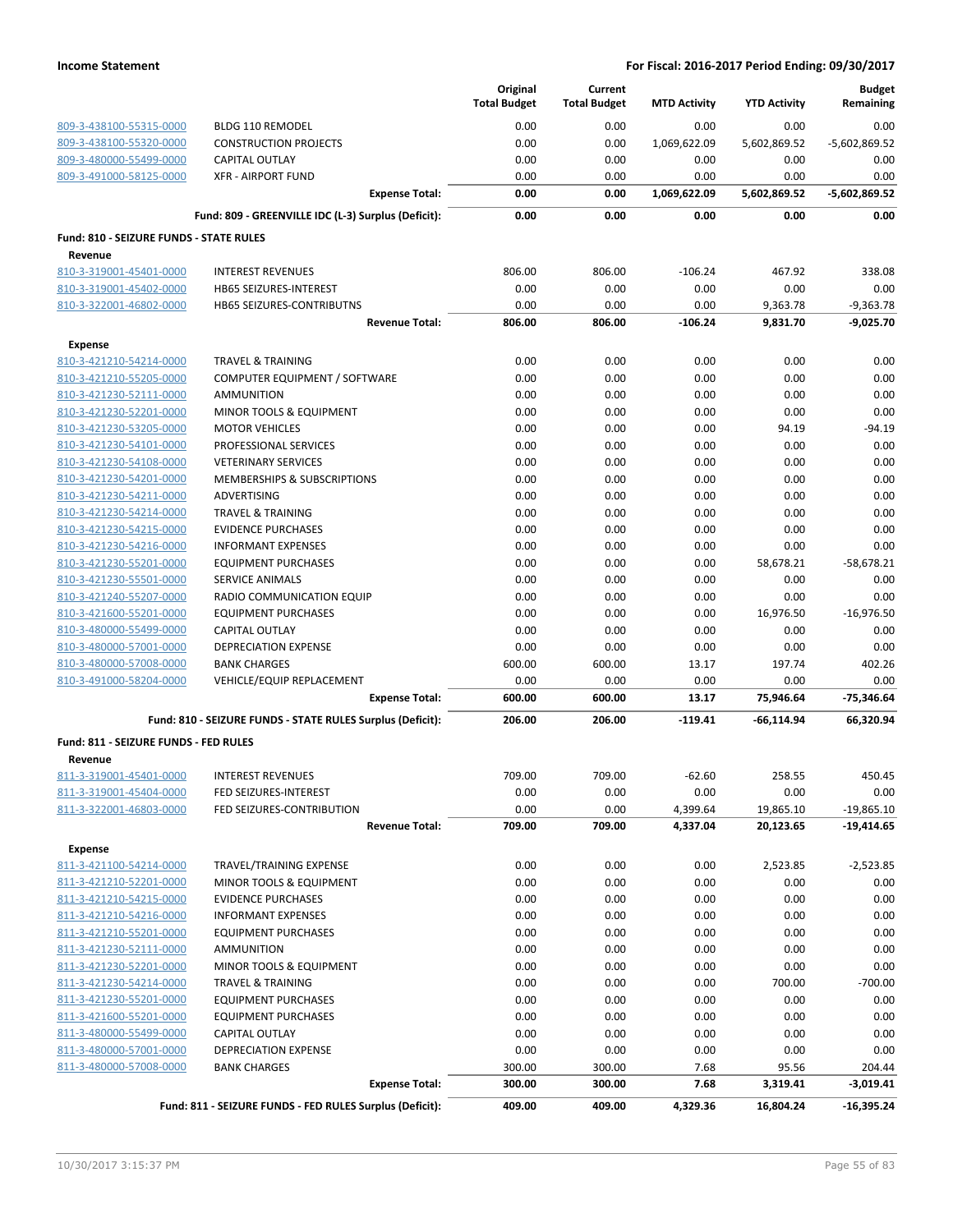|                                                    |                                                            | Original<br><b>Total Budget</b> | Current<br><b>Total Budget</b> | <b>MTD Activity</b> | <b>YTD Activity</b> | <b>Budget</b><br>Remaining |
|----------------------------------------------------|------------------------------------------------------------|---------------------------------|--------------------------------|---------------------|---------------------|----------------------------|
| 809-3-438100-55315-0000                            | <b>BLDG 110 REMODEL</b>                                    | 0.00                            | 0.00                           | 0.00                | 0.00                | 0.00                       |
| 809-3-438100-55320-0000                            | <b>CONSTRUCTION PROJECTS</b>                               | 0.00                            | 0.00                           | 1,069,622.09        | 5,602,869.52        | $-5,602,869.52$            |
| 809-3-480000-55499-0000                            | <b>CAPITAL OUTLAY</b>                                      | 0.00                            | 0.00                           | 0.00                | 0.00                | 0.00                       |
| 809-3-491000-58125-0000                            | <b>XFR - AIRPORT FUND</b>                                  | 0.00                            | 0.00                           | 0.00                | 0.00                | 0.00                       |
|                                                    | <b>Expense Total:</b>                                      | 0.00                            | 0.00                           | 1,069,622.09        | 5,602,869.52        | $-5,602,869.52$            |
|                                                    | Fund: 809 - GREENVILLE IDC (L-3) Surplus (Deficit):        | 0.00                            | 0.00                           | 0.00                | 0.00                | 0.00                       |
| Fund: 810 - SEIZURE FUNDS - STATE RULES            |                                                            |                                 |                                |                     |                     |                            |
| Revenue                                            |                                                            |                                 |                                |                     |                     |                            |
| 810-3-319001-45401-0000                            | <b>INTEREST REVENUES</b>                                   | 806.00                          | 806.00                         | $-106.24$           | 467.92              | 338.08                     |
| 810-3-319001-45402-0000                            | HB65 SEIZURES-INTEREST                                     | 0.00                            | 0.00                           | 0.00                | 0.00                | 0.00                       |
| 810-3-322001-46802-0000                            | HB65 SEIZURES-CONTRIBUTNS                                  | 0.00                            | 0.00                           | 0.00                | 9,363.78            | $-9,363.78$                |
|                                                    | <b>Revenue Total:</b>                                      | 806.00                          | 806.00                         | $-106.24$           | 9,831.70            | $-9,025.70$                |
| <b>Expense</b>                                     |                                                            |                                 |                                |                     |                     |                            |
| 810-3-421210-54214-0000                            | <b>TRAVEL &amp; TRAINING</b>                               | 0.00                            | 0.00                           | 0.00                | 0.00                | 0.00                       |
| 810-3-421210-55205-0000                            | COMPUTER EQUIPMENT / SOFTWARE                              | 0.00                            | 0.00                           | 0.00                | 0.00                | 0.00                       |
| 810-3-421230-52111-0000                            | AMMUNITION                                                 | 0.00                            | 0.00                           | 0.00                | 0.00                | 0.00                       |
| 810-3-421230-52201-0000                            | MINOR TOOLS & EQUIPMENT                                    | 0.00                            | 0.00                           | 0.00                | 0.00                | 0.00                       |
| 810-3-421230-53205-0000                            | <b>MOTOR VEHICLES</b>                                      | 0.00                            | 0.00                           | 0.00                | 94.19               | $-94.19$                   |
| 810-3-421230-54101-0000                            | PROFESSIONAL SERVICES                                      | 0.00                            | 0.00                           | 0.00                | 0.00                | 0.00                       |
| 810-3-421230-54108-0000                            | <b>VETERINARY SERVICES</b>                                 | 0.00                            | 0.00                           | 0.00                | 0.00                | 0.00                       |
| 810-3-421230-54201-0000                            | <b>MEMBERSHIPS &amp; SUBSCRIPTIONS</b>                     | 0.00                            | 0.00                           | 0.00                | 0.00                | 0.00                       |
| 810-3-421230-54211-0000                            | <b>ADVERTISING</b>                                         | 0.00                            | 0.00                           | 0.00                | 0.00                | 0.00                       |
| 810-3-421230-54214-0000                            | <b>TRAVEL &amp; TRAINING</b>                               | 0.00                            | 0.00                           | 0.00                | 0.00                | 0.00                       |
| 810-3-421230-54215-0000                            | <b>EVIDENCE PURCHASES</b>                                  | 0.00                            | 0.00                           | 0.00                | 0.00                | 0.00                       |
| 810-3-421230-54216-0000                            | <b>INFORMANT EXPENSES</b>                                  | 0.00                            | 0.00                           | 0.00                | 0.00                | 0.00                       |
| 810-3-421230-55201-0000                            | <b>EQUIPMENT PURCHASES</b>                                 | 0.00                            | 0.00                           | 0.00                | 58,678.21           | $-58,678.21$               |
| 810-3-421230-55501-0000                            | SERVICE ANIMALS                                            | 0.00                            | 0.00                           | 0.00                | 0.00                | 0.00                       |
| 810-3-421240-55207-0000                            | RADIO COMMUNICATION EQUIP                                  | 0.00                            | 0.00                           | 0.00                | 0.00                | 0.00                       |
| 810-3-421600-55201-0000                            | <b>EQUIPMENT PURCHASES</b>                                 | 0.00                            | 0.00                           | 0.00                | 16,976.50           | $-16,976.50$               |
| 810-3-480000-55499-0000                            | <b>CAPITAL OUTLAY</b>                                      | 0.00                            | 0.00                           | 0.00                | 0.00                | 0.00                       |
| 810-3-480000-57001-0000                            | <b>DEPRECIATION EXPENSE</b>                                | 0.00                            | 0.00                           | 0.00                | 0.00                | 0.00                       |
| 810-3-480000-57008-0000                            | <b>BANK CHARGES</b>                                        | 600.00                          | 600.00                         | 13.17               | 197.74              | 402.26                     |
| 810-3-491000-58204-0000                            | VEHICLE/EQUIP REPLACEMENT<br><b>Expense Total:</b>         | 0.00<br>600.00                  | 0.00<br>600.00                 | 0.00<br>13.17       | 0.00<br>75,946.64   | 0.00<br>$-75,346.64$       |
|                                                    |                                                            |                                 |                                |                     |                     |                            |
|                                                    | Fund: 810 - SEIZURE FUNDS - STATE RULES Surplus (Deficit): | 206.00                          | 206.00                         | $-119.41$           | -66,114.94          | 66,320.94                  |
| Fund: 811 - SEIZURE FUNDS - FED RULES<br>Revenue   |                                                            |                                 |                                |                     |                     |                            |
| 811-3-319001-45401-0000                            | <b>INTEREST REVENUES</b>                                   | 709.00                          | 709.00                         | $-62.60$            | 258.55              | 450.45                     |
| 811-3-319001-45404-0000                            | FED SEIZURES-INTEREST                                      | 0.00                            | 0.00                           | 0.00                | 0.00                | 0.00                       |
| 811-3-322001-46803-0000                            | FED SEIZURES-CONTRIBUTION                                  | 0.00                            | 0.00                           | 4,399.64            | 19,865.10           | $-19,865.10$               |
|                                                    | <b>Revenue Total:</b>                                      | 709.00                          | 709.00                         | 4,337.04            | 20,123.65           | $-19,414.65$               |
|                                                    |                                                            |                                 |                                |                     |                     |                            |
| <b>Expense</b>                                     |                                                            |                                 |                                |                     |                     |                            |
| 811-3-421100-54214-0000                            | TRAVEL/TRAINING EXPENSE                                    | 0.00                            | 0.00                           | 0.00                | 2,523.85            | $-2,523.85$                |
| 811-3-421210-52201-0000                            | MINOR TOOLS & EQUIPMENT                                    | 0.00                            | 0.00                           | 0.00                | 0.00                | 0.00                       |
| 811-3-421210-54215-0000<br>811-3-421210-54216-0000 | <b>EVIDENCE PURCHASES</b>                                  | 0.00<br>0.00                    | 0.00<br>0.00                   | 0.00<br>0.00        | 0.00<br>0.00        | 0.00<br>0.00               |
| 811-3-421210-55201-0000                            | <b>INFORMANT EXPENSES</b><br><b>EQUIPMENT PURCHASES</b>    | 0.00                            | 0.00                           | 0.00                | 0.00                | 0.00                       |
| 811-3-421230-52111-0000                            | AMMUNITION                                                 | 0.00                            | 0.00                           | 0.00                | 0.00                | 0.00                       |
| 811-3-421230-52201-0000                            | MINOR TOOLS & EQUIPMENT                                    | 0.00                            | 0.00                           | 0.00                | 0.00                | 0.00                       |
| 811-3-421230-54214-0000                            | <b>TRAVEL &amp; TRAINING</b>                               | 0.00                            | 0.00                           | 0.00                | 700.00              | $-700.00$                  |
| 811-3-421230-55201-0000                            | <b>EQUIPMENT PURCHASES</b>                                 | 0.00                            | 0.00                           | 0.00                | 0.00                | 0.00                       |
| 811-3-421600-55201-0000                            | <b>EQUIPMENT PURCHASES</b>                                 | 0.00                            | 0.00                           | 0.00                | 0.00                | 0.00                       |
| 811-3-480000-55499-0000                            | <b>CAPITAL OUTLAY</b>                                      | 0.00                            | 0.00                           | 0.00                | 0.00                | 0.00                       |
| 811-3-480000-57001-0000                            | DEPRECIATION EXPENSE                                       | 0.00                            | 0.00                           | 0.00                | 0.00                | 0.00                       |
| 811-3-480000-57008-0000                            | <b>BANK CHARGES</b>                                        | 300.00                          | 300.00                         | 7.68                | 95.56               | 204.44                     |
|                                                    | <b>Expense Total:</b>                                      | 300.00                          | 300.00                         | 7.68                | 3,319.41            | $-3,019.41$                |
|                                                    | Fund: 811 - SEIZURE FUNDS - FED RULES Surplus (Deficit):   | 409.00                          | 409.00                         | 4,329.36            | 16,804.24           | $-16,395.24$               |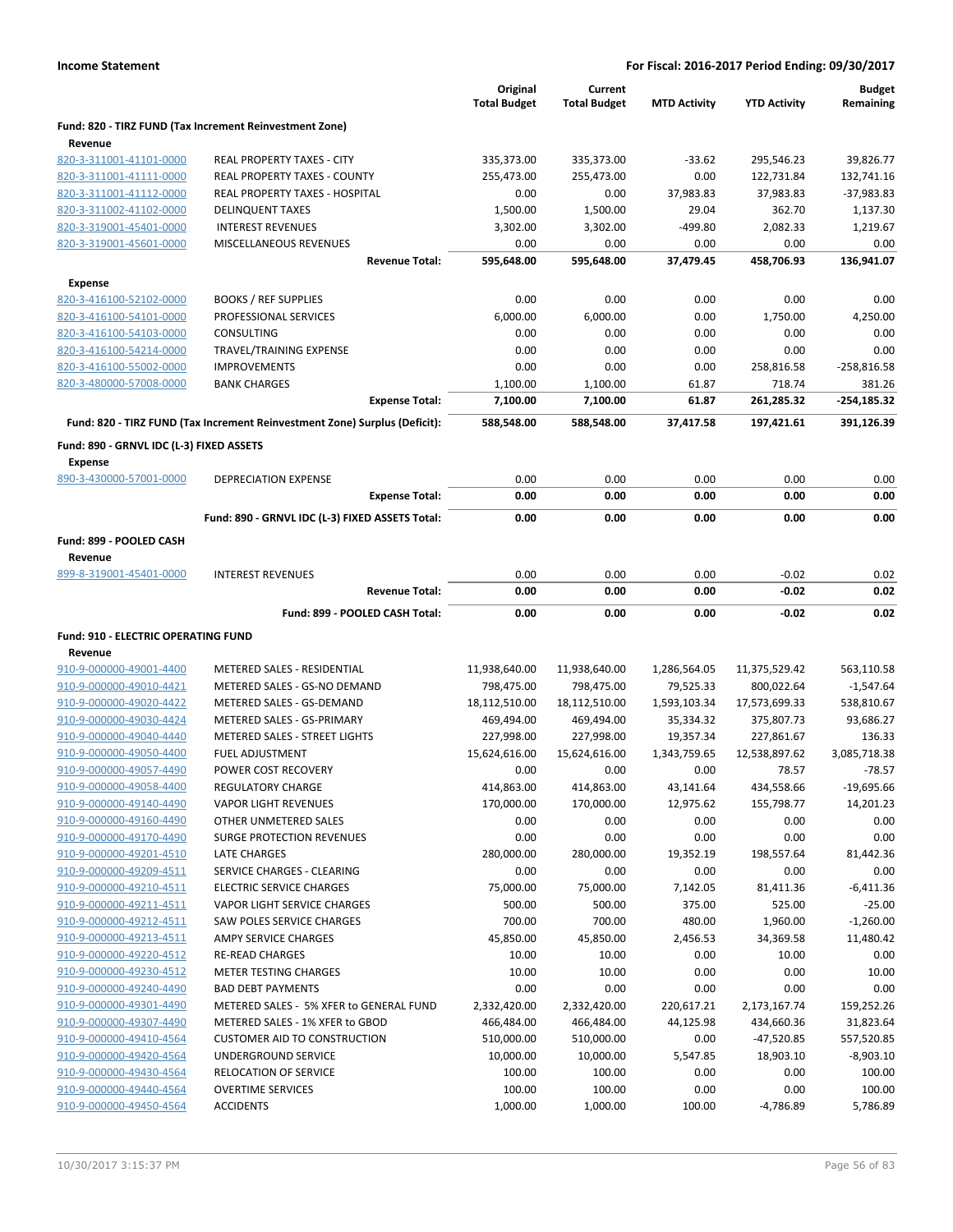|                                                            |                                                                            | Original<br><b>Total Budget</b> | Current<br><b>Total Budget</b> | <b>MTD Activity</b> | <b>YTD Activity</b> | <b>Budget</b><br>Remaining |
|------------------------------------------------------------|----------------------------------------------------------------------------|---------------------------------|--------------------------------|---------------------|---------------------|----------------------------|
| Revenue                                                    | Fund: 820 - TIRZ FUND (Tax Increment Reinvestment Zone)                    |                                 |                                |                     |                     |                            |
| 820-3-311001-41101-0000                                    | REAL PROPERTY TAXES - CITY                                                 | 335,373.00                      | 335,373.00                     | $-33.62$            | 295,546.23          | 39,826.77                  |
| 820-3-311001-41111-0000                                    | REAL PROPERTY TAXES - COUNTY                                               | 255,473.00                      | 255,473.00                     | 0.00                | 122,731.84          | 132,741.16                 |
| 820-3-311001-41112-0000                                    | <b>REAL PROPERTY TAXES - HOSPITAL</b>                                      | 0.00                            | 0.00                           | 37,983.83           | 37,983.83           | $-37,983.83$               |
| 820-3-311002-41102-0000                                    | <b>DELINQUENT TAXES</b>                                                    | 1,500.00                        | 1,500.00                       | 29.04               | 362.70              | 1,137.30                   |
| 820-3-319001-45401-0000                                    | <b>INTEREST REVENUES</b>                                                   | 3,302.00                        | 3,302.00                       | $-499.80$           | 2,082.33            | 1,219.67                   |
| 820-3-319001-45601-0000                                    | MISCELLANEOUS REVENUES                                                     | 0.00                            | 0.00                           | 0.00                | 0.00                | 0.00                       |
|                                                            | <b>Revenue Total:</b>                                                      | 595,648.00                      | 595,648.00                     | 37,479.45           | 458,706.93          | 136,941.07                 |
| <b>Expense</b>                                             |                                                                            |                                 |                                |                     |                     |                            |
| 820-3-416100-52102-0000                                    | <b>BOOKS / REF SUPPLIES</b>                                                | 0.00                            | 0.00                           | 0.00                | 0.00                | 0.00                       |
| 820-3-416100-54101-0000                                    | PROFESSIONAL SERVICES                                                      | 6,000.00                        | 6,000.00                       | 0.00                | 1,750.00            | 4,250.00                   |
| 820-3-416100-54103-0000                                    | <b>CONSULTING</b>                                                          | 0.00                            | 0.00                           | 0.00                | 0.00                | 0.00                       |
| 820-3-416100-54214-0000                                    | TRAVEL/TRAINING EXPENSE                                                    | 0.00                            | 0.00                           | 0.00                | 0.00                | 0.00                       |
| 820-3-416100-55002-0000                                    | <b>IMPROVEMENTS</b>                                                        | 0.00                            | 0.00                           | 0.00                | 258,816.58          | $-258,816.58$              |
| 820-3-480000-57008-0000                                    | <b>BANK CHARGES</b>                                                        | 1,100.00                        | 1,100.00                       | 61.87               | 718.74              | 381.26                     |
|                                                            | <b>Expense Total:</b>                                                      | 7,100.00                        | 7,100.00                       | 61.87               | 261,285.32          | $-254,185.32$              |
|                                                            | Fund: 820 - TIRZ FUND (Tax Increment Reinvestment Zone) Surplus (Deficit): | 588,548.00                      | 588,548.00                     | 37,417.58           | 197,421.61          | 391,126.39                 |
| Fund: 890 - GRNVL IDC (L-3) FIXED ASSETS<br><b>Expense</b> |                                                                            |                                 |                                |                     |                     |                            |
| 890-3-430000-57001-0000                                    | DEPRECIATION EXPENSE                                                       | 0.00                            | 0.00                           | 0.00                | 0.00                | 0.00                       |
|                                                            | <b>Expense Total:</b>                                                      | 0.00                            | 0.00                           | 0.00                | 0.00                | 0.00                       |
|                                                            | Fund: 890 - GRNVL IDC (L-3) FIXED ASSETS Total:                            | 0.00                            | 0.00                           | 0.00                | 0.00                | 0.00                       |
| Fund: 899 - POOLED CASH                                    |                                                                            |                                 |                                |                     |                     |                            |
| Revenue                                                    |                                                                            |                                 |                                |                     |                     |                            |
| 899-8-319001-45401-0000                                    | <b>INTEREST REVENUES</b>                                                   | 0.00                            | 0.00                           | 0.00                | $-0.02$             | 0.02                       |
|                                                            | <b>Revenue Total:</b>                                                      | 0.00                            | 0.00                           | 0.00                | $-0.02$             | 0.02                       |
|                                                            | Fund: 899 - POOLED CASH Total:                                             | 0.00                            | 0.00                           | 0.00                | $-0.02$             | 0.02                       |
| Fund: 910 - ELECTRIC OPERATING FUND                        |                                                                            |                                 |                                |                     |                     |                            |
| Revenue                                                    |                                                                            |                                 |                                |                     |                     |                            |
| 910-9-000000-49001-4400                                    | METERED SALES - RESIDENTIAL                                                | 11,938,640.00                   | 11,938,640.00                  | 1,286,564.05        | 11,375,529.42       | 563,110.58                 |
| 910-9-000000-49010-4421                                    | METERED SALES - GS-NO DEMAND                                               | 798,475.00                      | 798,475.00                     | 79,525.33           | 800,022.64          | $-1,547.64$                |
| 910-9-000000-49020-4422                                    | METERED SALES - GS-DEMAND                                                  | 18,112,510.00                   | 18,112,510.00                  | 1,593,103.34        | 17,573,699.33       | 538,810.67                 |
| 910-9-000000-49030-4424                                    | METERED SALES - GS-PRIMARY                                                 | 469,494.00                      | 469,494.00                     | 35,334.32           | 375,807.73          | 93,686.27                  |
| 910-9-000000-49040-4440                                    | METERED SALES - STREET LIGHTS                                              | 227,998.00                      | 227,998.00                     | 19,357.34           | 227,861.67          | 136.33                     |
| 910-9-000000-49050-4400                                    | <b>FUEL ADJUSTMENT</b>                                                     | 15,624,616.00                   | 15,624,616.00                  | 1,343,759.65        | 12,538,897.62       | 3,085,718.38               |
| 910-9-000000-49057-4490                                    | POWER COST RECOVERY                                                        | 0.00                            | 0.00                           | 0.00                | 78.57               | $-78.57$                   |
| 910-9-000000-49058-4400                                    | REGULATORY CHARGE                                                          | 414,863.00                      | 414,863.00                     | 43,141.64           | 434,558.66          | $-19,695.66$               |
| 910-9-000000-49140-4490                                    | <b>VAPOR LIGHT REVENUES</b>                                                | 170,000.00                      | 170,000.00                     | 12,975.62           | 155,798.77          | 14,201.23                  |
| 910-9-000000-49160-4490                                    | OTHER UNMETERED SALES                                                      | 0.00                            | 0.00                           | 0.00                | 0.00                | 0.00                       |
| 910-9-000000-49170-4490                                    | <b>SURGE PROTECTION REVENUES</b>                                           | 0.00                            | 0.00                           | 0.00                | 0.00                | 0.00                       |
| 910-9-000000-49201-4510                                    | LATE CHARGES                                                               | 280,000.00                      | 280,000.00                     | 19,352.19           | 198,557.64          | 81,442.36                  |
| 910-9-000000-49209-4511                                    | SERVICE CHARGES - CLEARING                                                 | 0.00                            | 0.00                           | 0.00                | 0.00                | 0.00                       |
| 910-9-000000-49210-4511                                    | <b>ELECTRIC SERVICE CHARGES</b>                                            | 75,000.00                       | 75,000.00                      | 7,142.05            | 81,411.36           | $-6,411.36$                |
| 910-9-000000-49211-4511                                    | VAPOR LIGHT SERVICE CHARGES                                                | 500.00                          | 500.00                         | 375.00              | 525.00              | $-25.00$                   |
| 910-9-000000-49212-4511                                    | SAW POLES SERVICE CHARGES                                                  | 700.00                          | 700.00                         | 480.00              | 1,960.00            | $-1,260.00$                |
| 910-9-000000-49213-4511                                    | AMPY SERVICE CHARGES                                                       | 45,850.00                       | 45,850.00                      | 2,456.53            | 34,369.58           | 11,480.42                  |
| 910-9-000000-49220-4512                                    | <b>RE-READ CHARGES</b>                                                     | 10.00                           | 10.00                          | 0.00                | 10.00               | 0.00                       |
| 910-9-000000-49230-4512                                    | <b>METER TESTING CHARGES</b>                                               | 10.00                           | 10.00                          | 0.00                | 0.00                | 10.00                      |
| 910-9-000000-49240-4490                                    | <b>BAD DEBT PAYMENTS</b>                                                   | 0.00                            | 0.00                           | 0.00                | 0.00                | 0.00                       |
| 910-9-000000-49301-4490                                    | METERED SALES - 5% XFER to GENERAL FUND                                    | 2,332,420.00                    | 2,332,420.00                   | 220,617.21          | 2,173,167.74        | 159,252.26                 |
| 910-9-000000-49307-4490                                    |                                                                            | 466,484.00                      | 466,484.00                     | 44,125.98           | 434,660.36          | 31,823.64                  |
| 910-9-000000-49410-4564                                    | METERED SALES - 1% XFER to GBOD                                            |                                 |                                |                     |                     |                            |
|                                                            | <b>CUSTOMER AID TO CONSTRUCTION</b>                                        | 510,000.00                      | 510,000.00                     | 0.00                | $-47,520.85$        | 557,520.85                 |
|                                                            |                                                                            |                                 |                                |                     |                     |                            |
| 910-9-000000-49420-4564<br>910-9-000000-49430-4564         | UNDERGROUND SERVICE<br>RELOCATION OF SERVICE                               | 10,000.00                       | 10,000.00                      | 5,547.85            | 18,903.10           | $-8,903.10$<br>100.00      |
| 910-9-000000-49440-4564                                    | <b>OVERTIME SERVICES</b>                                                   | 100.00<br>100.00                | 100.00<br>100.00               | 0.00<br>0.00        | 0.00<br>0.00        | 100.00                     |
| 910-9-000000-49450-4564                                    | <b>ACCIDENTS</b>                                                           | 1,000.00                        | 1,000.00                       | 100.00              | -4,786.89           | 5,786.89                   |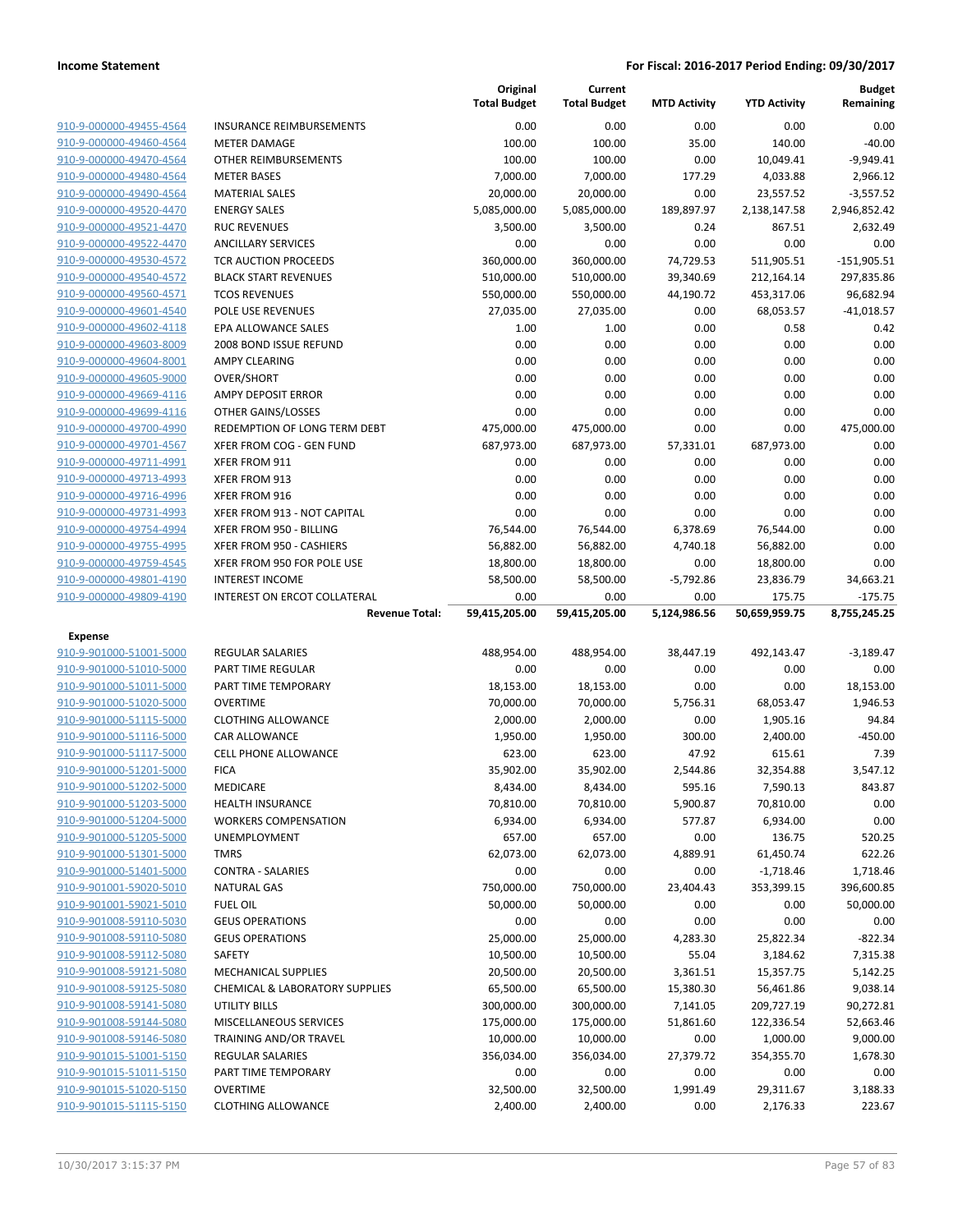|                                                    |                                                 | Original<br><b>Total Budget</b> | Current<br><b>Total Budget</b> | <b>MTD Activity</b> | <b>YTD Activity</b>   | <b>Budget</b><br>Remaining |
|----------------------------------------------------|-------------------------------------------------|---------------------------------|--------------------------------|---------------------|-----------------------|----------------------------|
| 910-9-000000-49455-4564                            | <b>INSURANCE REIMBURSEMENTS</b>                 | 0.00                            | 0.00                           | 0.00                | 0.00                  | 0.00                       |
| 910-9-000000-49460-4564                            | <b>METER DAMAGE</b>                             | 100.00                          | 100.00                         | 35.00               | 140.00                | $-40.00$                   |
| 910-9-000000-49470-4564                            | OTHER REIMBURSEMENTS                            | 100.00                          | 100.00                         | 0.00                | 10,049.41             | $-9,949.41$                |
| 910-9-000000-49480-4564                            | <b>METER BASES</b>                              | 7,000.00                        | 7,000.00                       | 177.29              | 4,033.88              | 2,966.12                   |
| 910-9-000000-49490-4564                            | <b>MATERIAL SALES</b>                           | 20,000.00                       | 20,000.00                      | 0.00                | 23,557.52             | $-3,557.52$                |
| 910-9-000000-49520-4470                            | <b>ENERGY SALES</b>                             | 5,085,000.00                    | 5,085,000.00                   | 189,897.97          | 2,138,147.58          | 2,946,852.42               |
| 910-9-000000-49521-4470                            | <b>RUC REVENUES</b>                             | 3,500.00                        | 3,500.00                       | 0.24                | 867.51                | 2,632.49                   |
| 910-9-000000-49522-4470                            | <b>ANCILLARY SERVICES</b>                       | 0.00                            | 0.00                           | 0.00                | 0.00                  | 0.00                       |
| 910-9-000000-49530-4572                            | TCR AUCTION PROCEEDS                            | 360,000.00                      | 360,000.00                     | 74,729.53           | 511,905.51            | $-151,905.51$              |
| 910-9-000000-49540-4572                            | <b>BLACK START REVENUES</b>                     | 510,000.00                      | 510,000.00                     | 39,340.69           | 212,164.14            | 297,835.86                 |
| 910-9-000000-49560-4571                            | <b>TCOS REVENUES</b>                            | 550,000.00                      | 550,000.00                     | 44,190.72           | 453,317.06            | 96,682.94                  |
| 910-9-000000-49601-4540                            | POLE USE REVENUES                               | 27,035.00                       | 27,035.00                      | 0.00                | 68,053.57             | $-41,018.57$               |
| 910-9-000000-49602-4118                            | EPA ALLOWANCE SALES                             | 1.00                            | 1.00                           | 0.00                | 0.58                  | 0.42                       |
| 910-9-000000-49603-8009                            | 2008 BOND ISSUE REFUND                          | 0.00                            | 0.00                           | 0.00                | 0.00                  | 0.00                       |
| 910-9-000000-49604-8001                            | <b>AMPY CLEARING</b>                            | 0.00                            | 0.00                           | 0.00                | 0.00                  | 0.00                       |
| 910-9-000000-49605-9000<br>910-9-000000-49669-4116 | <b>OVER/SHORT</b>                               | 0.00<br>0.00                    | 0.00                           | 0.00                | 0.00                  | 0.00<br>0.00               |
| 910-9-000000-49699-4116                            | <b>AMPY DEPOSIT ERROR</b><br>OTHER GAINS/LOSSES | 0.00                            | 0.00<br>0.00                   | 0.00<br>0.00        | 0.00<br>0.00          | 0.00                       |
| 910-9-000000-49700-4990                            | REDEMPTION OF LONG TERM DEBT                    | 475,000.00                      | 475,000.00                     | 0.00                | 0.00                  | 475,000.00                 |
| 910-9-000000-49701-4567                            | XFER FROM COG - GEN FUND                        | 687,973.00                      | 687,973.00                     | 57,331.01           | 687,973.00            | 0.00                       |
| 910-9-000000-49711-4991                            | XFER FROM 911                                   | 0.00                            | 0.00                           | 0.00                | 0.00                  | 0.00                       |
| 910-9-000000-49713-4993                            | XFER FROM 913                                   | 0.00                            | 0.00                           | 0.00                | 0.00                  | 0.00                       |
| 910-9-000000-49716-4996                            | XFER FROM 916                                   | 0.00                            | 0.00                           | 0.00                | 0.00                  | 0.00                       |
| 910-9-000000-49731-4993                            | XFER FROM 913 - NOT CAPITAL                     | 0.00                            | 0.00                           | 0.00                | 0.00                  | 0.00                       |
| 910-9-000000-49754-4994                            | XFER FROM 950 - BILLING                         | 76,544.00                       | 76,544.00                      | 6,378.69            | 76,544.00             | 0.00                       |
| 910-9-000000-49755-4995                            | XFER FROM 950 - CASHIERS                        | 56,882.00                       | 56,882.00                      | 4,740.18            | 56,882.00             | 0.00                       |
| 910-9-000000-49759-4545                            | XFER FROM 950 FOR POLE USE                      | 18,800.00                       | 18,800.00                      | 0.00                | 18,800.00             | 0.00                       |
| 910-9-000000-49801-4190                            | <b>INTEREST INCOME</b>                          | 58,500.00                       | 58,500.00                      | $-5,792.86$         | 23,836.79             | 34,663.21                  |
|                                                    |                                                 | 0.00                            | 0.00                           | 0.00                | 175.75                | $-175.75$                  |
| 910-9-000000-49809-4190                            | INTEREST ON ERCOT COLLATERAL                    |                                 |                                |                     |                       |                            |
|                                                    | <b>Revenue Total:</b>                           | 59,415,205.00                   | 59,415,205.00                  | 5,124,986.56        | 50,659,959.75         | 8,755,245.25               |
|                                                    |                                                 |                                 |                                |                     |                       |                            |
| Expense<br>910-9-901000-51001-5000                 | <b>REGULAR SALARIES</b>                         |                                 |                                |                     |                       |                            |
| 910-9-901000-51010-5000                            | PART TIME REGULAR                               | 488,954.00<br>0.00              | 488,954.00<br>0.00             | 38,447.19<br>0.00   | 492,143.47<br>0.00    | $-3,189.47$<br>0.00        |
| 910-9-901000-51011-5000                            | PART TIME TEMPORARY                             | 18,153.00                       | 18,153.00                      | 0.00                | 0.00                  | 18,153.00                  |
| 910-9-901000-51020-5000                            | <b>OVERTIME</b>                                 | 70,000.00                       | 70,000.00                      | 5,756.31            | 68,053.47             | 1,946.53                   |
| 910-9-901000-51115-5000                            | <b>CLOTHING ALLOWANCE</b>                       | 2,000.00                        | 2,000.00                       | 0.00                | 1,905.16              | 94.84                      |
| 910-9-901000-51116-5000                            | <b>CAR ALLOWANCE</b>                            | 1,950.00                        | 1,950.00                       | 300.00              | 2,400.00              | $-450.00$                  |
| 910-9-901000-51117-5000                            | <b>CELL PHONE ALLOWANCE</b>                     | 623.00                          | 623.00                         | 47.92               | 615.61                | 7.39                       |
| 910-9-901000-51201-5000                            | <b>FICA</b>                                     | 35,902.00                       | 35,902.00                      | 2,544.86            | 32,354.88             | 3,547.12                   |
| 910-9-901000-51202-5000                            | MEDICARE                                        | 8,434.00                        | 8,434.00                       | 595.16              | 7,590.13              | 843.87                     |
| 910-9-901000-51203-5000                            | <b>HEALTH INSURANCE</b>                         | 70,810.00                       | 70,810.00                      | 5,900.87            | 70,810.00             | 0.00                       |
| 910-9-901000-51204-5000                            | <b>WORKERS COMPENSATION</b>                     | 6,934.00                        | 6,934.00                       | 577.87              | 6,934.00              | 0.00                       |
| 910-9-901000-51205-5000                            | UNEMPLOYMENT                                    | 657.00                          | 657.00                         | 0.00                | 136.75                | 520.25                     |
| 910-9-901000-51301-5000                            | <b>TMRS</b>                                     | 62,073.00                       | 62,073.00                      | 4,889.91            | 61,450.74             | 622.26                     |
| 910-9-901000-51401-5000                            | <b>CONTRA - SALARIES</b>                        | 0.00                            | 0.00                           | 0.00                | $-1,718.46$           | 1,718.46                   |
| 910-9-901001-59020-5010                            | <b>NATURAL GAS</b>                              | 750,000.00                      | 750,000.00                     | 23,404.43           | 353,399.15            | 396,600.85                 |
| 910-9-901001-59021-5010                            | <b>FUEL OIL</b>                                 | 50,000.00                       | 50,000.00                      | 0.00                | 0.00                  | 50,000.00                  |
| 910-9-901008-59110-5030                            | <b>GEUS OPERATIONS</b>                          | 0.00                            | 0.00                           | 0.00                | 0.00                  | 0.00                       |
| 910-9-901008-59110-5080                            | <b>GEUS OPERATIONS</b>                          | 25,000.00                       | 25,000.00                      | 4,283.30            | 25,822.34             | $-822.34$                  |
| 910-9-901008-59112-5080                            | SAFETY                                          | 10,500.00                       | 10,500.00                      | 55.04               | 3,184.62              | 7,315.38                   |
| 910-9-901008-59121-5080                            | <b>MECHANICAL SUPPLIES</b>                      | 20,500.00                       | 20,500.00                      | 3,361.51            | 15,357.75             | 5,142.25                   |
| 910-9-901008-59125-5080                            | <b>CHEMICAL &amp; LABORATORY SUPPLIES</b>       | 65,500.00                       | 65,500.00                      | 15,380.30           | 56,461.86             | 9,038.14                   |
| 910-9-901008-59141-5080                            | <b>UTILITY BILLS</b>                            | 300,000.00                      | 300,000.00                     | 7,141.05            | 209,727.19            | 90,272.81                  |
| 910-9-901008-59144-5080                            | MISCELLANEOUS SERVICES                          | 175,000.00                      | 175,000.00                     | 51,861.60           | 122,336.54            | 52,663.46                  |
| 910-9-901008-59146-5080                            | TRAINING AND/OR TRAVEL                          | 10,000.00                       | 10,000.00                      | 0.00                | 1,000.00              | 9,000.00                   |
| 910-9-901015-51001-5150                            | <b>REGULAR SALARIES</b>                         | 356,034.00                      | 356,034.00                     | 27,379.72           | 354,355.70            | 1,678.30                   |
| 910-9-901015-51011-5150                            | PART TIME TEMPORARY                             | 0.00                            | 0.00                           | 0.00                | 0.00                  | 0.00                       |
| 910-9-901015-51020-5150<br>910-9-901015-51115-5150 | <b>OVERTIME</b><br><b>CLOTHING ALLOWANCE</b>    | 32,500.00<br>2,400.00           | 32,500.00<br>2,400.00          | 1,991.49<br>0.00    | 29,311.67<br>2,176.33 | 3,188.33<br>223.67         |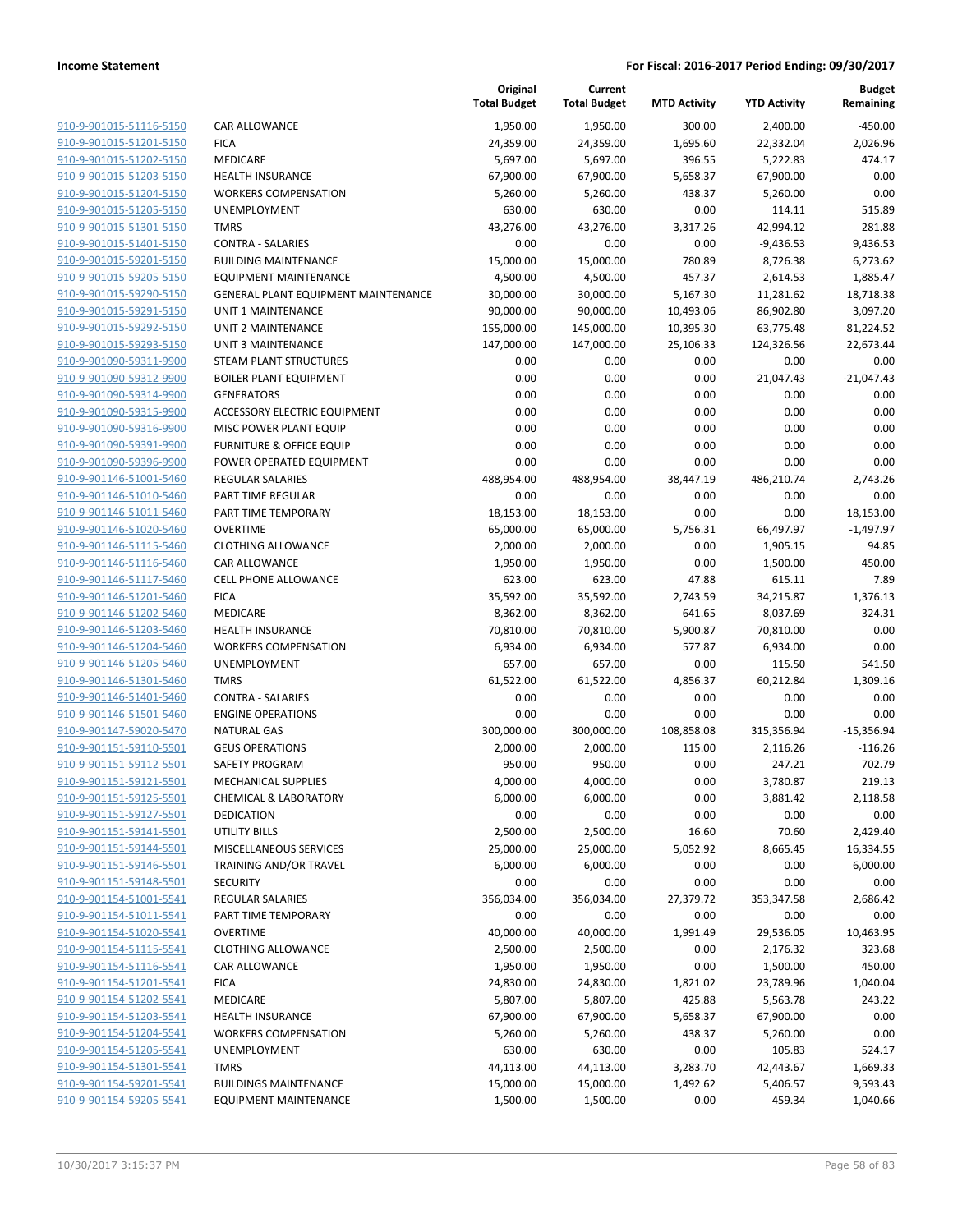|                                                    |                                       | Original<br><b>Total Budget</b> | Current<br><b>Total Budget</b> | <b>MTD Activity</b> | <b>YTD Activity</b> | <b>Budget</b><br>Remaining |
|----------------------------------------------------|---------------------------------------|---------------------------------|--------------------------------|---------------------|---------------------|----------------------------|
| 910-9-901015-51116-5150                            | CAR ALLOWANCE                         | 1,950.00                        | 1,950.00                       | 300.00              | 2,400.00            | $-450.00$                  |
| 910-9-901015-51201-5150                            | <b>FICA</b>                           | 24,359.00                       | 24,359.00                      | 1,695.60            | 22,332.04           | 2,026.96                   |
| 910-9-901015-51202-5150                            | MEDICARE                              | 5,697.00                        | 5,697.00                       | 396.55              | 5,222.83            | 474.17                     |
| 910-9-901015-51203-5150                            | <b>HEALTH INSURANCE</b>               | 67,900.00                       | 67,900.00                      | 5,658.37            | 67,900.00           | 0.00                       |
| 910-9-901015-51204-5150                            | <b>WORKERS COMPENSATION</b>           | 5,260.00                        | 5,260.00                       | 438.37              | 5,260.00            | 0.00                       |
| 910-9-901015-51205-5150                            | UNEMPLOYMENT                          | 630.00                          | 630.00                         | 0.00                | 114.11              | 515.89                     |
| 910-9-901015-51301-5150                            | <b>TMRS</b>                           | 43,276.00                       | 43,276.00                      | 3,317.26            | 42,994.12           | 281.88                     |
| 910-9-901015-51401-5150                            | <b>CONTRA - SALARIES</b>              | 0.00                            | 0.00                           | 0.00                | $-9,436.53$         | 9,436.53                   |
| 910-9-901015-59201-5150                            | <b>BUILDING MAINTENANCE</b>           | 15,000.00                       | 15,000.00                      | 780.89              | 8,726.38            | 6,273.62                   |
| 910-9-901015-59205-5150                            | <b>EQUIPMENT MAINTENANCE</b>          | 4,500.00                        | 4,500.00                       | 457.37              | 2,614.53            | 1,885.47                   |
| 910-9-901015-59290-5150                            | GENERAL PLANT EQUIPMENT MAINTENANCE   | 30,000.00                       | 30,000.00                      | 5,167.30            | 11,281.62           | 18,718.38                  |
| 910-9-901015-59291-5150                            | UNIT 1 MAINTENANCE                    | 90,000.00                       | 90,000.00                      | 10,493.06           | 86,902.80           | 3,097.20                   |
| 910-9-901015-59292-5150                            | UNIT 2 MAINTENANCE                    | 155,000.00                      | 145,000.00                     | 10,395.30           | 63,775.48           | 81,224.52                  |
| 910-9-901015-59293-5150                            | <b>UNIT 3 MAINTENANCE</b>             | 147,000.00                      | 147,000.00                     | 25,106.33           | 124,326.56          | 22,673.44                  |
| 910-9-901090-59311-9900                            | STEAM PLANT STRUCTURES                | 0.00                            | 0.00                           | 0.00                | 0.00                | 0.00                       |
| 910-9-901090-59312-9900                            | <b>BOILER PLANT EQUIPMENT</b>         | 0.00                            | 0.00                           | 0.00                | 21,047.43           | $-21,047.43$               |
| 910-9-901090-59314-9900                            | <b>GENERATORS</b>                     | 0.00                            | 0.00                           | 0.00                | 0.00                | 0.00                       |
| 910-9-901090-59315-9900                            | <b>ACCESSORY ELECTRIC EQUIPMENT</b>   | 0.00                            | 0.00                           | 0.00                | 0.00                | 0.00                       |
| 910-9-901090-59316-9900                            | MISC POWER PLANT EQUIP                | 0.00                            | 0.00                           | 0.00                | 0.00                | 0.00                       |
| 910-9-901090-59391-9900                            | <b>FURNITURE &amp; OFFICE EQUIP</b>   | 0.00                            | 0.00                           | 0.00                | 0.00                | 0.00                       |
| 910-9-901090-59396-9900                            | POWER OPERATED EQUIPMENT              | 0.00                            | 0.00                           | 0.00                | 0.00                | 0.00                       |
| 910-9-901146-51001-5460                            | REGULAR SALARIES                      | 488,954.00                      | 488,954.00                     | 38,447.19           | 486,210.74          | 2,743.26                   |
| 910-9-901146-51010-5460                            | PART TIME REGULAR                     | 0.00                            | 0.00                           | 0.00                | 0.00                | 0.00                       |
| 910-9-901146-51011-5460                            | PART TIME TEMPORARY                   | 18,153.00                       | 18,153.00                      | 0.00                | 0.00                | 18,153.00                  |
| 910-9-901146-51020-5460                            | <b>OVERTIME</b>                       | 65,000.00                       | 65,000.00                      | 5,756.31            | 66,497.97           | $-1,497.97$                |
| 910-9-901146-51115-5460                            | <b>CLOTHING ALLOWANCE</b>             | 2,000.00                        | 2,000.00                       | 0.00                | 1,905.15            | 94.85                      |
| 910-9-901146-51116-5460                            | CAR ALLOWANCE                         | 1,950.00                        | 1,950.00                       | 0.00                | 1,500.00            | 450.00                     |
| 910-9-901146-51117-5460                            | <b>CELL PHONE ALLOWANCE</b>           | 623.00                          | 623.00                         | 47.88               | 615.11              | 7.89                       |
| 910-9-901146-51201-5460                            | <b>FICA</b>                           | 35,592.00                       | 35,592.00                      | 2,743.59            | 34,215.87           | 1,376.13                   |
| 910-9-901146-51202-5460                            | <b>MEDICARE</b>                       | 8,362.00                        | 8,362.00                       | 641.65              | 8,037.69            | 324.31                     |
| 910-9-901146-51203-5460                            | <b>HEALTH INSURANCE</b>               | 70,810.00                       | 70,810.00                      | 5,900.87            | 70,810.00           | 0.00                       |
| 910-9-901146-51204-5460                            | <b>WORKERS COMPENSATION</b>           | 6,934.00                        | 6,934.00                       | 577.87              | 6,934.00            | 0.00                       |
| 910-9-901146-51205-5460                            | UNEMPLOYMENT                          | 657.00                          | 657.00                         | 0.00                | 115.50              | 541.50                     |
| 910-9-901146-51301-5460                            | <b>TMRS</b>                           | 61,522.00                       | 61,522.00                      | 4,856.37            | 60,212.84           | 1,309.16                   |
| 910-9-901146-51401-5460                            | <b>CONTRA - SALARIES</b>              | 0.00                            | 0.00                           | 0.00                | 0.00                | 0.00                       |
| 910-9-901146-51501-5460                            | <b>ENGINE OPERATIONS</b>              | 0.00                            | 0.00                           | 0.00                | 0.00                | 0.00                       |
| 910-9-901147-59020-5470                            | <b>NATURAL GAS</b>                    | 300,000.00                      | 300,000.00                     | 108,858.08          | 315,356.94          | $-15,356.94$               |
| 910-9-901151-59110-5501<br>910-9-901151-59112-5501 | <b>GEUS OPERATIONS</b>                | 2,000.00<br>950.00              | 2,000.00<br>950.00             | 115.00              | 2,116.26            | $-116.26$<br>702.79        |
| 910-9-901151-59121-5501                            | SAFETY PROGRAM<br>MECHANICAL SUPPLIES | 4,000.00                        |                                | 0.00<br>0.00        | 247.21<br>3,780.87  | 219.13                     |
| 910-9-901151-59125-5501                            | <b>CHEMICAL &amp; LABORATORY</b>      | 6,000.00                        | 4,000.00<br>6,000.00           | 0.00                | 3,881.42            | 2,118.58                   |
| 910-9-901151-59127-5501                            | <b>DEDICATION</b>                     | 0.00                            | 0.00                           | 0.00                | 0.00                | 0.00                       |
| 910-9-901151-59141-5501                            | <b>UTILITY BILLS</b>                  | 2,500.00                        | 2,500.00                       | 16.60               | 70.60               | 2,429.40                   |
| 910-9-901151-59144-5501                            | MISCELLANEOUS SERVICES                | 25,000.00                       | 25,000.00                      | 5,052.92            | 8,665.45            | 16,334.55                  |
| 910-9-901151-59146-5501                            | <b>TRAINING AND/OR TRAVEL</b>         | 6,000.00                        | 6,000.00                       | 0.00                | 0.00                | 6,000.00                   |
| 910-9-901151-59148-5501                            | <b>SECURITY</b>                       | 0.00                            | 0.00                           | 0.00                | 0.00                | 0.00                       |
| 910-9-901154-51001-5541                            | REGULAR SALARIES                      | 356,034.00                      | 356,034.00                     | 27,379.72           | 353,347.58          | 2,686.42                   |
| 910-9-901154-51011-5541                            | PART TIME TEMPORARY                   | 0.00                            | 0.00                           | 0.00                | 0.00                | 0.00                       |
| 910-9-901154-51020-5541                            | <b>OVERTIME</b>                       | 40,000.00                       | 40,000.00                      | 1,991.49            | 29,536.05           | 10,463.95                  |
| 910-9-901154-51115-5541                            | <b>CLOTHING ALLOWANCE</b>             | 2,500.00                        | 2,500.00                       | 0.00                | 2,176.32            | 323.68                     |
| 910-9-901154-51116-5541                            | <b>CAR ALLOWANCE</b>                  | 1,950.00                        | 1,950.00                       | 0.00                | 1,500.00            | 450.00                     |
| 910-9-901154-51201-5541                            | <b>FICA</b>                           | 24,830.00                       | 24,830.00                      | 1,821.02            | 23,789.96           | 1,040.04                   |
| 910-9-901154-51202-5541                            | MEDICARE                              | 5,807.00                        | 5,807.00                       | 425.88              | 5,563.78            | 243.22                     |
| 910-9-901154-51203-5541                            | <b>HEALTH INSURANCE</b>               | 67,900.00                       | 67,900.00                      | 5,658.37            | 67,900.00           | 0.00                       |
| 910-9-901154-51204-5541                            | <b>WORKERS COMPENSATION</b>           | 5,260.00                        | 5,260.00                       | 438.37              | 5,260.00            | 0.00                       |
| 910-9-901154-51205-5541                            | UNEMPLOYMENT                          | 630.00                          | 630.00                         | 0.00                | 105.83              | 524.17                     |
| 910-9-901154-51301-5541                            | <b>TMRS</b>                           | 44,113.00                       | 44,113.00                      | 3,283.70            | 42,443.67           | 1,669.33                   |
| 910-9-901154-59201-5541                            | <b>BUILDINGS MAINTENANCE</b>          | 15,000.00                       | 15,000.00                      | 1,492.62            | 5,406.57            | 9,593.43                   |
| 910-9-901154-59205-5541                            | <b>EQUIPMENT MAINTENANCE</b>          | 1,500.00                        | 1,500.00                       | 0.00                | 459.34              | 1,040.66                   |
|                                                    |                                       |                                 |                                |                     |                     |                            |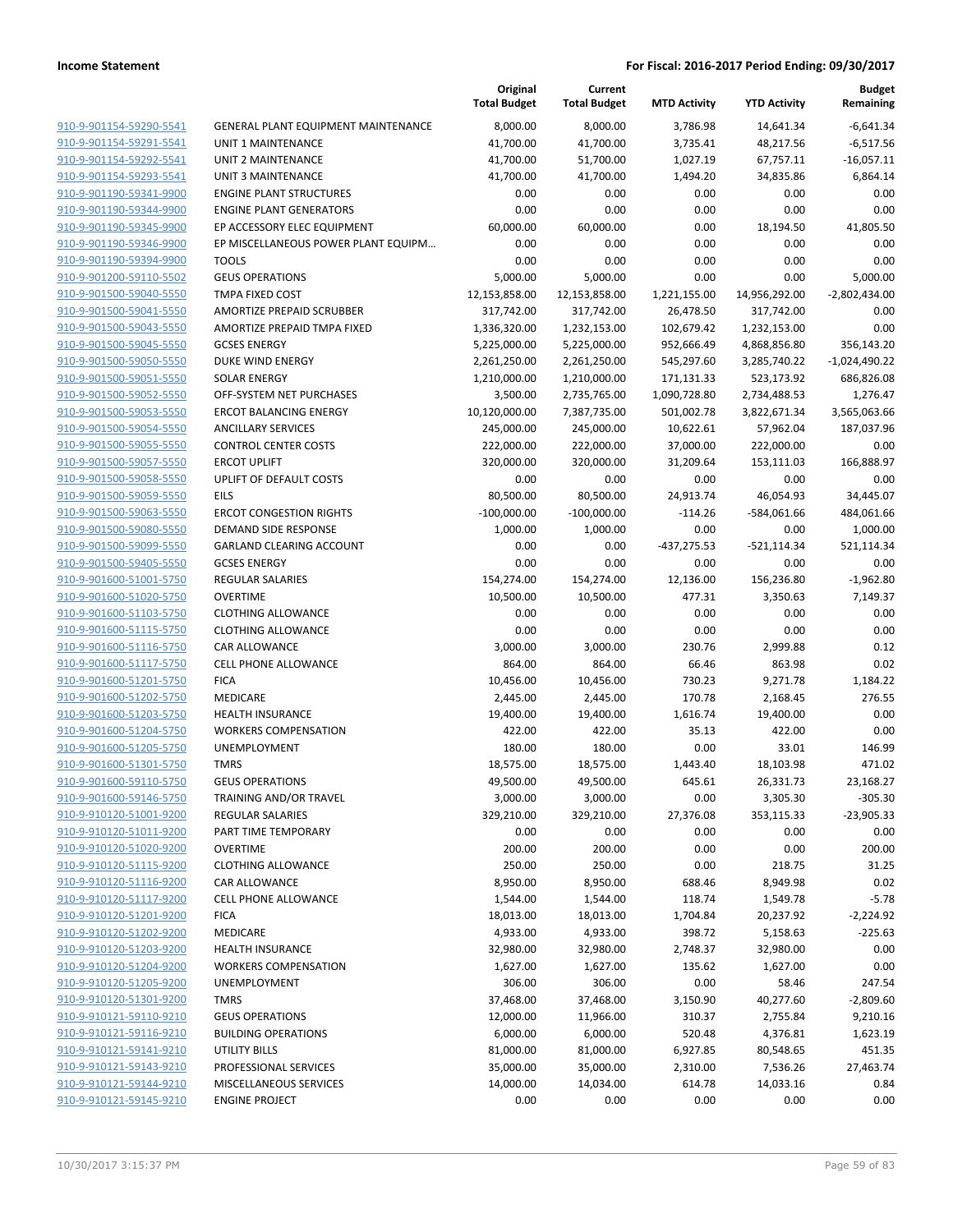|                                                    |                                               | Original<br><b>Total Budget</b> | Current<br><b>Total Budget</b> | <b>MTD Activity</b>    | <b>YTD Activity</b> | <b>Budget</b><br>Remaining |
|----------------------------------------------------|-----------------------------------------------|---------------------------------|--------------------------------|------------------------|---------------------|----------------------------|
| 910-9-901154-59290-5541                            | GENERAL PLANT EQUIPMENT MAINTENANCE           | 8,000.00                        | 8,000.00                       | 3,786.98               | 14,641.34           | $-6,641.34$                |
| 910-9-901154-59291-5541                            | UNIT 1 MAINTENANCE                            | 41,700.00                       | 41,700.00                      | 3,735.41               | 48,217.56           | $-6,517.56$                |
| 910-9-901154-59292-5541                            | <b>UNIT 2 MAINTENANCE</b>                     | 41,700.00                       | 51,700.00                      | 1,027.19               | 67,757.11           | $-16,057.11$               |
| 910-9-901154-59293-5541                            | <b>UNIT 3 MAINTENANCE</b>                     | 41,700.00                       | 41,700.00                      | 1,494.20               | 34,835.86           | 6,864.14                   |
| 910-9-901190-59341-9900                            | <b>ENGINE PLANT STRUCTURES</b>                | 0.00                            | 0.00                           | 0.00                   | 0.00                | 0.00                       |
| 910-9-901190-59344-9900                            | <b>ENGINE PLANT GENERATORS</b>                | 0.00                            | 0.00                           | 0.00                   | 0.00                | 0.00                       |
| 910-9-901190-59345-9900                            | EP ACCESSORY ELEC EQUIPMENT                   | 60,000.00                       | 60,000.00                      | 0.00                   | 18,194.50           | 41,805.50                  |
| 910-9-901190-59346-9900                            | EP MISCELLANEOUS POWER PLANT EQUIPM           | 0.00                            | 0.00                           | 0.00                   | 0.00                | 0.00                       |
| 910-9-901190-59394-9900                            | <b>TOOLS</b>                                  | 0.00                            | 0.00                           | 0.00                   | 0.00                | 0.00                       |
| 910-9-901200-59110-5502                            | <b>GEUS OPERATIONS</b>                        | 5,000.00                        | 5,000.00                       | 0.00                   | 0.00                | 5,000.00                   |
| 910-9-901500-59040-5550                            | TMPA FIXED COST                               | 12,153,858.00                   | 12,153,858.00                  | 1,221,155.00           | 14,956,292.00       | $-2,802,434.00$            |
| 910-9-901500-59041-5550                            | AMORTIZE PREPAID SCRUBBER                     | 317,742.00                      | 317,742.00                     | 26,478.50              | 317,742.00          | 0.00                       |
| 910-9-901500-59043-5550                            | AMORTIZE PREPAID TMPA FIXED                   | 1,336,320.00                    | 1,232,153.00                   | 102,679.42             | 1,232,153.00        | 0.00                       |
| 910-9-901500-59045-5550                            | <b>GCSES ENERGY</b>                           | 5,225,000.00                    | 5,225,000.00                   | 952,666.49             | 4,868,856.80        | 356,143.20                 |
| 910-9-901500-59050-5550                            | DUKE WIND ENERGY                              | 2,261,250.00                    | 2,261,250.00                   | 545,297.60             | 3,285,740.22        | $-1,024,490.22$            |
| 910-9-901500-59051-5550                            | <b>SOLAR ENERGY</b>                           | 1,210,000.00                    | 1,210,000.00                   | 171,131.33             | 523,173.92          | 686,826.08                 |
| 910-9-901500-59052-5550                            | OFF-SYSTEM NET PURCHASES                      | 3,500.00                        | 2,735,765.00                   | 1,090,728.80           | 2,734,488.53        | 1,276.47                   |
| 910-9-901500-59053-5550                            | <b>ERCOT BALANCING ENERGY</b>                 | 10,120,000.00                   | 7,387,735.00                   | 501,002.78             | 3,822,671.34        | 3,565,063.66               |
| 910-9-901500-59054-5550                            | <b>ANCILLARY SERVICES</b>                     | 245,000.00                      | 245,000.00                     | 10,622.61              | 57,962.04           | 187,037.96                 |
| 910-9-901500-59055-5550                            | <b>CONTROL CENTER COSTS</b>                   | 222,000.00                      | 222,000.00                     | 37,000.00              | 222,000.00          | 0.00                       |
| 910-9-901500-59057-5550                            | <b>ERCOT UPLIFT</b>                           | 320,000.00                      | 320,000.00                     | 31,209.64              | 153,111.03          | 166,888.97                 |
| 910-9-901500-59058-5550<br>910-9-901500-59059-5550 | UPLIFT OF DEFAULT COSTS                       | 0.00                            | 0.00                           | 0.00                   | 0.00                | 0.00<br>34,445.07          |
| 910-9-901500-59063-5550                            | <b>EILS</b><br><b>ERCOT CONGESTION RIGHTS</b> | 80,500.00<br>$-100,000.00$      | 80,500.00                      | 24,913.74<br>$-114.26$ | 46,054.93           |                            |
| 910-9-901500-59080-5550                            | DEMAND SIDE RESPONSE                          | 1,000.00                        | $-100,000.00$<br>1,000.00      | 0.00                   | -584,061.66<br>0.00 | 484,061.66<br>1,000.00     |
| 910-9-901500-59099-5550                            | GARLAND CLEARING ACCOUNT                      | 0.00                            | 0.00                           | -437,275.53            | $-521,114.34$       | 521,114.34                 |
| 910-9-901500-59405-5550                            | <b>GCSES ENERGY</b>                           | 0.00                            | 0.00                           | 0.00                   | 0.00                | 0.00                       |
| 910-9-901600-51001-5750                            | REGULAR SALARIES                              | 154,274.00                      | 154,274.00                     | 12,136.00              | 156,236.80          | $-1,962.80$                |
| 910-9-901600-51020-5750                            | <b>OVERTIME</b>                               | 10,500.00                       | 10,500.00                      | 477.31                 | 3,350.63            | 7,149.37                   |
| 910-9-901600-51103-5750                            | <b>CLOTHING ALLOWANCE</b>                     | 0.00                            | 0.00                           | 0.00                   | 0.00                | 0.00                       |
| 910-9-901600-51115-5750                            | <b>CLOTHING ALLOWANCE</b>                     | 0.00                            | 0.00                           | 0.00                   | 0.00                | 0.00                       |
| 910-9-901600-51116-5750                            | CAR ALLOWANCE                                 | 3,000.00                        | 3,000.00                       | 230.76                 | 2,999.88            | 0.12                       |
| 910-9-901600-51117-5750                            | <b>CELL PHONE ALLOWANCE</b>                   | 864.00                          | 864.00                         | 66.46                  | 863.98              | 0.02                       |
| 910-9-901600-51201-5750                            | <b>FICA</b>                                   | 10,456.00                       | 10,456.00                      | 730.23                 | 9,271.78            | 1,184.22                   |
| 910-9-901600-51202-5750                            | MEDICARE                                      | 2,445.00                        | 2,445.00                       | 170.78                 | 2,168.45            | 276.55                     |
| 910-9-901600-51203-5750                            | <b>HEALTH INSURANCE</b>                       | 19,400.00                       | 19,400.00                      | 1,616.74               | 19,400.00           | 0.00                       |
| 910-9-901600-51204-5750                            | <b>WORKERS COMPENSATION</b>                   | 422.00                          | 422.00                         | 35.13                  | 422.00              | 0.00                       |
| 910-9-901600-51205-5750                            | UNEMPLOYMENT                                  | 180.00                          | 180.00                         | 0.00                   | 33.01               | 146.99                     |
| 910-9-901600-51301-5750                            | <b>TMRS</b>                                   | 18,575.00                       | 18,575.00                      | 1,443.40               | 18,103.98           | 471.02                     |
| 910-9-901600-59110-5750                            | <b>GEUS OPERATIONS</b>                        | 49,500.00                       | 49,500.00                      | 645.61                 | 26,331.73           | 23,168.27                  |
| 910-9-901600-59146-5750                            | <b>TRAINING AND/OR TRAVEL</b>                 | 3,000.00                        | 3,000.00                       | 0.00                   | 3,305.30            | $-305.30$                  |
| 910-9-910120-51001-9200                            | REGULAR SALARIES                              | 329,210.00                      | 329,210.00                     | 27,376.08              | 353,115.33          | $-23,905.33$               |
| 910-9-910120-51011-9200                            | PART TIME TEMPORARY                           | 0.00                            | 0.00                           | 0.00                   | 0.00                | 0.00                       |
| 910-9-910120-51020-9200                            | <b>OVERTIME</b>                               | 200.00                          | 200.00                         | 0.00                   | 0.00                | 200.00                     |
| 910-9-910120-51115-9200                            | <b>CLOTHING ALLOWANCE</b>                     | 250.00                          | 250.00                         | 0.00                   | 218.75              | 31.25                      |
| 910-9-910120-51116-9200                            | CAR ALLOWANCE                                 | 8,950.00                        | 8,950.00                       | 688.46                 | 8,949.98            | 0.02                       |
| 910-9-910120-51117-9200                            | <b>CELL PHONE ALLOWANCE</b>                   | 1,544.00                        | 1,544.00                       | 118.74                 | 1,549.78            | $-5.78$                    |
| 910-9-910120-51201-9200                            | <b>FICA</b>                                   | 18,013.00                       | 18,013.00                      | 1,704.84               | 20,237.92           | $-2,224.92$                |
| 910-9-910120-51202-9200                            | MEDICARE                                      | 4,933.00                        | 4,933.00                       | 398.72                 | 5,158.63            | $-225.63$                  |
| 910-9-910120-51203-9200                            | <b>HEALTH INSURANCE</b>                       | 32,980.00                       | 32,980.00                      | 2,748.37               | 32,980.00           | 0.00                       |
| 910-9-910120-51204-9200                            | <b>WORKERS COMPENSATION</b>                   | 1,627.00                        | 1,627.00                       | 135.62                 | 1,627.00            | 0.00                       |
| 910-9-910120-51205-9200                            | UNEMPLOYMENT                                  | 306.00                          | 306.00                         | 0.00                   | 58.46               | 247.54                     |
| 910-9-910120-51301-9200                            | <b>TMRS</b>                                   | 37,468.00                       | 37,468.00                      | 3,150.90               | 40,277.60           | $-2,809.60$                |
| 910-9-910121-59110-9210                            | <b>GEUS OPERATIONS</b>                        | 12,000.00                       | 11,966.00                      | 310.37                 | 2,755.84            | 9,210.16                   |
| 910-9-910121-59116-9210                            | <b>BUILDING OPERATIONS</b>                    | 6,000.00                        | 6,000.00                       | 520.48                 | 4,376.81            | 1,623.19                   |
| 910-9-910121-59141-9210                            | UTILITY BILLS                                 | 81,000.00                       | 81,000.00                      | 6,927.85               | 80,548.65           | 451.35                     |
| 910-9-910121-59143-9210                            | PROFESSIONAL SERVICES                         | 35,000.00                       | 35,000.00                      | 2,310.00               | 7,536.26            | 27,463.74                  |
| 910-9-910121-59144-9210                            | MISCELLANEOUS SERVICES                        | 14,000.00                       | 14,034.00                      | 614.78                 | 14,033.16           | 0.84                       |
| 910-9-910121-59145-9210                            | <b>ENGINE PROJECT</b>                         | 0.00                            | 0.00                           | 0.00                   | 0.00                | 0.00                       |
|                                                    |                                               |                                 |                                |                        |                     |                            |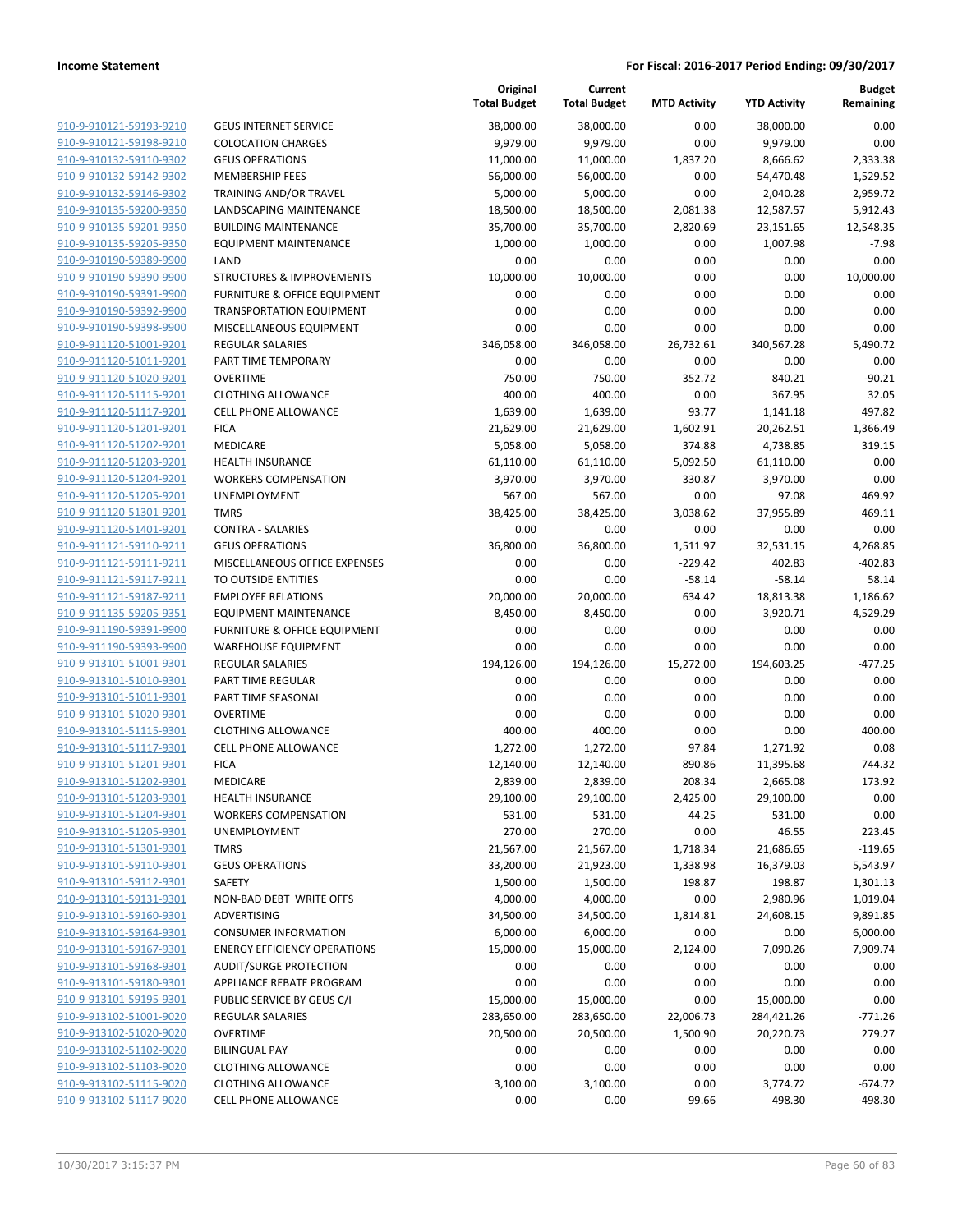|                                                    |                                                           | Original<br><b>Total Budget</b> | Current<br><b>Total Budget</b> | <b>MTD Activity</b> | <b>YTD Activity</b>   | <b>Budget</b><br>Remaining |
|----------------------------------------------------|-----------------------------------------------------------|---------------------------------|--------------------------------|---------------------|-----------------------|----------------------------|
| 910-9-910121-59193-9210                            | <b>GEUS INTERNET SERVICE</b>                              | 38,000.00                       | 38,000.00                      | 0.00                | 38.000.00             | 0.00                       |
| 910-9-910121-59198-9210                            | <b>COLOCATION CHARGES</b>                                 | 9,979.00                        | 9,979.00                       | 0.00                | 9,979.00              | 0.00                       |
| 910-9-910132-59110-9302                            | <b>GEUS OPERATIONS</b>                                    | 11,000.00                       | 11,000.00                      | 1,837.20            | 8,666.62              | 2,333.38                   |
| 910-9-910132-59142-9302                            | <b>MEMBERSHIP FEES</b>                                    | 56,000.00                       | 56,000.00                      | 0.00                | 54,470.48             | 1,529.52                   |
| 910-9-910132-59146-9302                            | TRAINING AND/OR TRAVEL                                    | 5,000.00                        | 5,000.00                       | 0.00                | 2,040.28              | 2,959.72                   |
| 910-9-910135-59200-9350                            | LANDSCAPING MAINTENANCE                                   | 18,500.00                       | 18,500.00                      | 2,081.38            | 12,587.57             | 5,912.43                   |
| 910-9-910135-59201-9350                            | <b>BUILDING MAINTENANCE</b>                               | 35,700.00                       | 35,700.00                      | 2,820.69            | 23,151.65             | 12,548.35                  |
| 910-9-910135-59205-9350                            | <b>EQUIPMENT MAINTENANCE</b>                              | 1,000.00                        | 1,000.00                       | 0.00                | 1,007.98              | $-7.98$                    |
| 910-9-910190-59389-9900                            | LAND                                                      | 0.00                            | 0.00                           | 0.00                | 0.00                  | 0.00                       |
| 910-9-910190-59390-9900                            | <b>STRUCTURES &amp; IMPROVEMENTS</b>                      | 10,000.00                       | 10,000.00                      | 0.00                | 0.00                  | 10,000.00                  |
| 910-9-910190-59391-9900                            | <b>FURNITURE &amp; OFFICE EQUIPMENT</b>                   | 0.00                            | 0.00                           | 0.00                | 0.00                  | 0.00                       |
| 910-9-910190-59392-9900                            | <b>TRANSPORTATION EQUIPMENT</b>                           | 0.00                            | 0.00                           | 0.00                | 0.00                  | 0.00                       |
| 910-9-910190-59398-9900                            | MISCELLANEOUS EQUIPMENT                                   | 0.00                            | 0.00                           | 0.00                | 0.00                  | 0.00                       |
| 910-9-911120-51001-9201                            | <b>REGULAR SALARIES</b>                                   | 346,058.00                      | 346,058.00                     | 26,732.61           | 340,567.28            | 5,490.72                   |
| 910-9-911120-51011-9201                            | PART TIME TEMPORARY                                       | 0.00                            | 0.00                           | 0.00                | 0.00                  | 0.00                       |
| 910-9-911120-51020-9201                            | <b>OVERTIME</b>                                           | 750.00                          | 750.00                         | 352.72              | 840.21                | $-90.21$                   |
| 910-9-911120-51115-9201                            | <b>CLOTHING ALLOWANCE</b>                                 | 400.00                          | 400.00                         | 0.00                | 367.95                | 32.05                      |
| 910-9-911120-51117-9201                            | <b>CELL PHONE ALLOWANCE</b>                               | 1,639.00                        | 1,639.00                       | 93.77               | 1,141.18              | 497.82                     |
| 910-9-911120-51201-9201                            | <b>FICA</b>                                               | 21,629.00                       | 21,629.00                      | 1,602.91            | 20,262.51             | 1,366.49                   |
| 910-9-911120-51202-9201                            | <b>MEDICARE</b>                                           | 5,058.00                        | 5,058.00                       | 374.88              | 4,738.85              | 319.15                     |
| 910-9-911120-51203-9201                            | <b>HEALTH INSURANCE</b>                                   | 61,110.00                       | 61,110.00                      | 5,092.50            | 61,110.00             | 0.00                       |
| 910-9-911120-51204-9201                            | <b>WORKERS COMPENSATION</b>                               | 3,970.00                        | 3,970.00                       | 330.87              | 3,970.00              | 0.00                       |
| 910-9-911120-51205-9201                            | UNEMPLOYMENT                                              | 567.00                          | 567.00                         | 0.00                | 97.08                 | 469.92                     |
| 910-9-911120-51301-9201                            | <b>TMRS</b>                                               | 38,425.00                       | 38,425.00                      | 3,038.62            | 37,955.89             | 469.11                     |
| 910-9-911120-51401-9201                            | <b>CONTRA - SALARIES</b>                                  | 0.00                            | 0.00                           | 0.00                | 0.00                  | 0.00                       |
| 910-9-911121-59110-9211                            | <b>GEUS OPERATIONS</b>                                    | 36,800.00                       | 36,800.00                      | 1,511.97            | 32,531.15             | 4,268.85                   |
| 910-9-911121-59111-9211                            | MISCELLANEOUS OFFICE EXPENSES                             | 0.00                            | 0.00                           | $-229.42$           | 402.83                | $-402.83$                  |
| 910-9-911121-59117-9211                            | TO OUTSIDE ENTITIES                                       | 0.00                            | 0.00                           | $-58.14$            | $-58.14$              | 58.14                      |
| 910-9-911121-59187-9211<br>910-9-911135-59205-9351 | <b>EMPLOYEE RELATIONS</b><br><b>EQUIPMENT MAINTENANCE</b> | 20,000.00<br>8,450.00           | 20,000.00<br>8,450.00          | 634.42<br>0.00      | 18,813.38<br>3,920.71 | 1,186.62<br>4,529.29       |
| 910-9-911190-59391-9900                            | <b>FURNITURE &amp; OFFICE EQUIPMENT</b>                   | 0.00                            | 0.00                           | 0.00                | 0.00                  | 0.00                       |
| 910-9-911190-59393-9900                            | <b>WAREHOUSE EQUIPMENT</b>                                | 0.00                            | 0.00                           | 0.00                | 0.00                  | 0.00                       |
| 910-9-913101-51001-9301                            | <b>REGULAR SALARIES</b>                                   | 194,126.00                      | 194,126.00                     | 15,272.00           | 194,603.25            | $-477.25$                  |
| 910-9-913101-51010-9301                            | PART TIME REGULAR                                         | 0.00                            | 0.00                           | 0.00                | 0.00                  | 0.00                       |
| 910-9-913101-51011-9301                            | PART TIME SEASONAL                                        | 0.00                            | 0.00                           | 0.00                | 0.00                  | 0.00                       |
| 910-9-913101-51020-9301                            | <b>OVERTIME</b>                                           | 0.00                            | 0.00                           | 0.00                | 0.00                  | 0.00                       |
| 910-9-913101-51115-9301                            | <b>CLOTHING ALLOWANCE</b>                                 | 400.00                          | 400.00                         | 0.00                | 0.00                  | 400.00                     |
| 910-9-913101-51117-9301                            | CELL PHONE ALLOWANCE                                      | 1,272.00                        | 1,272.00                       | 97.84               | 1,271.92              | 0.08                       |
| 910-9-913101-51201-9301                            | <b>FICA</b>                                               | 12,140.00                       | 12,140.00                      | 890.86              | 11,395.68             | 744.32                     |
| 910-9-913101-51202-9301                            | MEDICARE                                                  | 2,839.00                        | 2,839.00                       | 208.34              | 2,665.08              | 173.92                     |
| 910-9-913101-51203-9301                            | <b>HEALTH INSURANCE</b>                                   | 29,100.00                       | 29,100.00                      | 2,425.00            | 29,100.00             | 0.00                       |
| 910-9-913101-51204-9301                            | <b>WORKERS COMPENSATION</b>                               | 531.00                          | 531.00                         | 44.25               | 531.00                | 0.00                       |
| 910-9-913101-51205-9301                            | <b>UNEMPLOYMENT</b>                                       | 270.00                          | 270.00                         | 0.00                | 46.55                 | 223.45                     |
| 910-9-913101-51301-9301                            | <b>TMRS</b>                                               | 21,567.00                       | 21,567.00                      | 1,718.34            | 21,686.65             | $-119.65$                  |
| 910-9-913101-59110-9301                            | <b>GEUS OPERATIONS</b>                                    | 33,200.00                       | 21,923.00                      | 1,338.98            | 16,379.03             | 5,543.97                   |
| 910-9-913101-59112-9301                            | SAFETY                                                    | 1,500.00                        | 1,500.00                       | 198.87              | 198.87                | 1,301.13                   |
| 910-9-913101-59131-9301                            | NON-BAD DEBT WRITE OFFS                                   | 4,000.00                        | 4,000.00                       | 0.00                | 2,980.96              | 1,019.04                   |
| 910-9-913101-59160-9301                            | ADVERTISING                                               | 34,500.00                       | 34,500.00                      | 1,814.81            | 24,608.15             | 9,891.85                   |
| 910-9-913101-59164-9301                            | <b>CONSUMER INFORMATION</b>                               | 6,000.00                        | 6,000.00                       | 0.00                | 0.00                  | 6,000.00                   |
| 910-9-913101-59167-9301                            | <b>ENERGY EFFICIENCY OPERATIONS</b>                       | 15,000.00                       | 15,000.00                      | 2,124.00            | 7,090.26              | 7,909.74                   |
| 910-9-913101-59168-9301                            | <b>AUDIT/SURGE PROTECTION</b>                             | 0.00                            | 0.00                           | 0.00                | 0.00                  | 0.00                       |
| 910-9-913101-59180-9301                            | APPLIANCE REBATE PROGRAM                                  | 0.00                            | 0.00                           | 0.00                | 0.00                  | 0.00                       |
| 910-9-913101-59195-9301                            | PUBLIC SERVICE BY GEUS C/I                                | 15,000.00                       | 15,000.00                      | 0.00                | 15,000.00             | 0.00                       |
| 910-9-913102-51001-9020                            | <b>REGULAR SALARIES</b>                                   | 283,650.00                      | 283,650.00                     | 22,006.73           | 284,421.26            | $-771.26$                  |
| 910-9-913102-51020-9020                            | <b>OVERTIME</b>                                           | 20,500.00                       | 20,500.00                      | 1,500.90            | 20,220.73             | 279.27                     |
| 910-9-913102-51102-9020                            | <b>BILINGUAL PAY</b>                                      | 0.00                            | 0.00                           | 0.00                | 0.00                  | 0.00                       |
| 910-9-913102-51103-9020                            | <b>CLOTHING ALLOWANCE</b>                                 | 0.00                            | 0.00                           | 0.00                | 0.00                  | 0.00                       |
| 910-9-913102-51115-9020                            | <b>CLOTHING ALLOWANCE</b>                                 | 3,100.00                        | 3,100.00                       | 0.00                | 3,774.72              | $-674.72$                  |
| 910-9-913102-51117-9020                            | <b>CELL PHONE ALLOWANCE</b>                               | 0.00                            | 0.00                           | 99.66               | 498.30                | $-498.30$                  |
|                                                    |                                                           |                                 |                                |                     |                       |                            |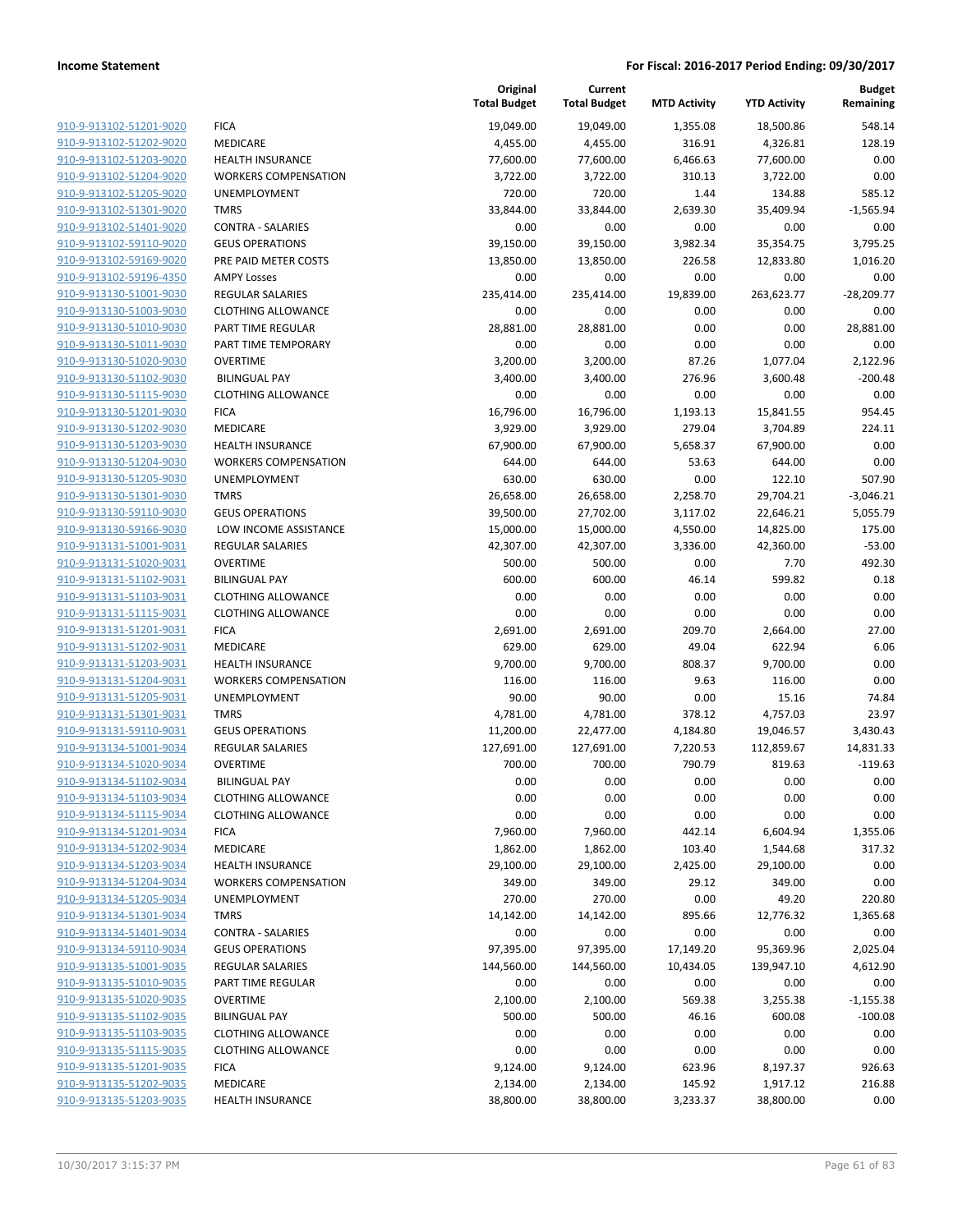|                                                    |                                                        | Original<br><b>Total Budget</b> | Current<br><b>Total Budget</b> | <b>MTD Activity</b> | <b>YTD Activity</b> | <b>Budget</b><br>Remaining |
|----------------------------------------------------|--------------------------------------------------------|---------------------------------|--------------------------------|---------------------|---------------------|----------------------------|
| 910-9-913102-51201-9020                            | <b>FICA</b>                                            | 19,049.00                       | 19,049.00                      | 1,355.08            | 18,500.86           | 548.14                     |
| 910-9-913102-51202-9020                            | MEDICARE                                               | 4,455.00                        | 4,455.00                       | 316.91              | 4,326.81            | 128.19                     |
| 910-9-913102-51203-9020                            | <b>HEALTH INSURANCE</b>                                | 77,600.00                       | 77,600.00                      | 6,466.63            | 77,600.00           | 0.00                       |
| 910-9-913102-51204-9020                            | <b>WORKERS COMPENSATION</b>                            | 3,722.00                        | 3,722.00                       | 310.13              | 3,722.00            | 0.00                       |
| 910-9-913102-51205-9020                            | UNEMPLOYMENT                                           | 720.00                          | 720.00                         | 1.44                | 134.88              | 585.12                     |
| 910-9-913102-51301-9020                            | <b>TMRS</b>                                            | 33,844.00                       | 33,844.00                      | 2,639.30            | 35,409.94           | $-1,565.94$                |
| 910-9-913102-51401-9020                            | <b>CONTRA - SALARIES</b>                               | 0.00                            | 0.00                           | 0.00                | 0.00                | 0.00                       |
| 910-9-913102-59110-9020                            | <b>GEUS OPERATIONS</b>                                 | 39,150.00                       | 39,150.00                      | 3,982.34            | 35,354.75           | 3,795.25                   |
| 910-9-913102-59169-9020                            | PRE PAID METER COSTS                                   | 13,850.00                       | 13,850.00                      | 226.58              | 12,833.80           | 1,016.20                   |
| 910-9-913102-59196-4350                            | <b>AMPY Losses</b>                                     | 0.00                            | 0.00                           | 0.00                | 0.00                | 0.00                       |
| 910-9-913130-51001-9030                            | <b>REGULAR SALARIES</b>                                | 235,414.00                      | 235,414.00                     | 19,839.00           | 263,623.77          | $-28,209.77$               |
| 910-9-913130-51003-9030                            | <b>CLOTHING ALLOWANCE</b>                              | 0.00                            | 0.00                           | 0.00                | 0.00                | 0.00                       |
| 910-9-913130-51010-9030                            | PART TIME REGULAR                                      | 28,881.00                       | 28,881.00                      | 0.00                | 0.00                | 28,881.00                  |
| 910-9-913130-51011-9030                            | PART TIME TEMPORARY                                    | 0.00                            | 0.00                           | 0.00                | 0.00                | 0.00                       |
| 910-9-913130-51020-9030                            | <b>OVERTIME</b>                                        | 3,200.00                        | 3,200.00                       | 87.26               | 1,077.04            | 2,122.96                   |
| 910-9-913130-51102-9030                            | <b>BILINGUAL PAY</b>                                   | 3,400.00                        | 3,400.00                       | 276.96              | 3,600.48            | $-200.48$                  |
| 910-9-913130-51115-9030                            | <b>CLOTHING ALLOWANCE</b>                              | 0.00                            | 0.00                           | 0.00                | 0.00                | 0.00                       |
| 910-9-913130-51201-9030                            | <b>FICA</b>                                            | 16,796.00                       | 16,796.00                      | 1,193.13            | 15,841.55           | 954.45                     |
| 910-9-913130-51202-9030                            | MEDICARE                                               | 3,929.00                        | 3,929.00                       | 279.04              | 3,704.89            | 224.11                     |
| 910-9-913130-51203-9030                            | <b>HEALTH INSURANCE</b>                                | 67,900.00                       | 67,900.00                      | 5,658.37            | 67,900.00           | 0.00                       |
| 910-9-913130-51204-9030                            | <b>WORKERS COMPENSATION</b>                            | 644.00                          | 644.00                         | 53.63               | 644.00              | 0.00                       |
| 910-9-913130-51205-9030                            | <b>UNEMPLOYMENT</b>                                    | 630.00                          | 630.00                         | 0.00                | 122.10              | 507.90                     |
| 910-9-913130-51301-9030                            | <b>TMRS</b>                                            | 26,658.00                       | 26,658.00                      | 2,258.70            | 29,704.21           | $-3,046.21$                |
| 910-9-913130-59110-9030                            | <b>GEUS OPERATIONS</b>                                 | 39,500.00                       | 27,702.00                      | 3,117.02            | 22,646.21           | 5,055.79                   |
| 910-9-913130-59166-9030                            | LOW INCOME ASSISTANCE                                  | 15,000.00                       | 15,000.00                      | 4,550.00            | 14,825.00           | 175.00                     |
| 910-9-913131-51001-9031                            | REGULAR SALARIES                                       | 42,307.00                       | 42,307.00                      | 3,336.00            | 42,360.00           | $-53.00$                   |
| 910-9-913131-51020-9031                            | <b>OVERTIME</b>                                        | 500.00                          | 500.00                         | 0.00                | 7.70                | 492.30                     |
| 910-9-913131-51102-9031<br>910-9-913131-51103-9031 | <b>BILINGUAL PAY</b>                                   | 600.00<br>0.00                  | 600.00                         | 46.14               | 599.82              | 0.18<br>0.00               |
| 910-9-913131-51115-9031                            | <b>CLOTHING ALLOWANCE</b><br><b>CLOTHING ALLOWANCE</b> | 0.00                            | 0.00<br>0.00                   | 0.00<br>0.00        | 0.00<br>0.00        | 0.00                       |
| 910-9-913131-51201-9031                            | <b>FICA</b>                                            | 2,691.00                        | 2,691.00                       | 209.70              | 2,664.00            | 27.00                      |
| 910-9-913131-51202-9031                            | MEDICARE                                               | 629.00                          | 629.00                         | 49.04               | 622.94              | 6.06                       |
| 910-9-913131-51203-9031                            | <b>HEALTH INSURANCE</b>                                | 9,700.00                        | 9,700.00                       | 808.37              | 9,700.00            | 0.00                       |
| 910-9-913131-51204-9031                            | <b>WORKERS COMPENSATION</b>                            | 116.00                          | 116.00                         | 9.63                | 116.00              | 0.00                       |
| 910-9-913131-51205-9031                            | <b>UNEMPLOYMENT</b>                                    | 90.00                           | 90.00                          | 0.00                | 15.16               | 74.84                      |
| 910-9-913131-51301-9031                            | <b>TMRS</b>                                            | 4,781.00                        | 4,781.00                       | 378.12              | 4,757.03            | 23.97                      |
| 910-9-913131-59110-9031                            | <b>GEUS OPERATIONS</b>                                 | 11,200.00                       | 22,477.00                      | 4,184.80            | 19,046.57           | 3,430.43                   |
| 910-9-913134-51001-9034                            | <b>REGULAR SALARIES</b>                                | 127,691.00                      | 127,691.00                     | 7,220.53            | 112,859.67          | 14,831.33                  |
| 910-9-913134-51020-9034                            | <b>OVERTIME</b>                                        | 700.00                          | 700.00                         | 790.79              | 819.63              | $-119.63$                  |
| 910-9-913134-51102-9034                            | <b>BILINGUAL PAY</b>                                   | 0.00                            | 0.00                           | 0.00                | 0.00                | 0.00                       |
| 910-9-913134-51103-9034                            | <b>CLOTHING ALLOWANCE</b>                              | 0.00                            | 0.00                           | 0.00                | 0.00                | 0.00                       |
| 910-9-913134-51115-9034                            | <b>CLOTHING ALLOWANCE</b>                              | 0.00                            | 0.00                           | 0.00                | 0.00                | 0.00                       |
| 910-9-913134-51201-9034                            | <b>FICA</b>                                            | 7,960.00                        | 7,960.00                       | 442.14              | 6,604.94            | 1,355.06                   |
| 910-9-913134-51202-9034                            | MEDICARE                                               | 1,862.00                        | 1,862.00                       | 103.40              | 1,544.68            | 317.32                     |
| 910-9-913134-51203-9034                            | <b>HEALTH INSURANCE</b>                                | 29,100.00                       | 29,100.00                      | 2,425.00            | 29,100.00           | 0.00                       |
| 910-9-913134-51204-9034                            | <b>WORKERS COMPENSATION</b>                            | 349.00                          | 349.00                         | 29.12               | 349.00              | 0.00                       |
| 910-9-913134-51205-9034                            | <b>UNEMPLOYMENT</b>                                    | 270.00                          | 270.00                         | 0.00                | 49.20               | 220.80                     |
| 910-9-913134-51301-9034                            | <b>TMRS</b>                                            | 14,142.00                       | 14,142.00                      | 895.66              | 12,776.32           | 1,365.68                   |
| 910-9-913134-51401-9034                            | <b>CONTRA - SALARIES</b>                               | 0.00                            | 0.00                           | 0.00                | 0.00                | 0.00                       |
| 910-9-913134-59110-9034                            | <b>GEUS OPERATIONS</b>                                 | 97,395.00                       | 97,395.00                      | 17,149.20           | 95,369.96           | 2,025.04                   |
| 910-9-913135-51001-9035                            | REGULAR SALARIES                                       | 144,560.00                      | 144,560.00                     | 10,434.05           | 139,947.10          | 4,612.90                   |
| 910-9-913135-51010-9035                            | PART TIME REGULAR                                      | 0.00                            | 0.00                           | 0.00                | 0.00                | 0.00                       |
| 910-9-913135-51020-9035                            | <b>OVERTIME</b>                                        | 2,100.00                        | 2,100.00                       | 569.38              | 3,255.38            | $-1,155.38$                |
| 910-9-913135-51102-9035                            | <b>BILINGUAL PAY</b>                                   | 500.00                          | 500.00                         | 46.16               | 600.08              | $-100.08$                  |
| 910-9-913135-51103-9035                            | <b>CLOTHING ALLOWANCE</b>                              | 0.00                            | 0.00                           | 0.00                | 0.00                | 0.00                       |
| 910-9-913135-51115-9035                            | <b>CLOTHING ALLOWANCE</b>                              | 0.00                            | 0.00                           | 0.00                | 0.00                | 0.00                       |
| 910-9-913135-51201-9035                            | <b>FICA</b>                                            | 9,124.00                        | 9,124.00                       | 623.96              | 8,197.37            | 926.63                     |
| 910-9-913135-51202-9035                            | MEDICARE                                               | 2,134.00                        | 2,134.00                       | 145.92              | 1,917.12            | 216.88                     |
| 910-9-913135-51203-9035                            | <b>HEALTH INSURANCE</b>                                | 38,800.00                       | 38,800.00                      | 3,233.37            | 38,800.00           | 0.00                       |
|                                                    |                                                        |                                 |                                |                     |                     |                            |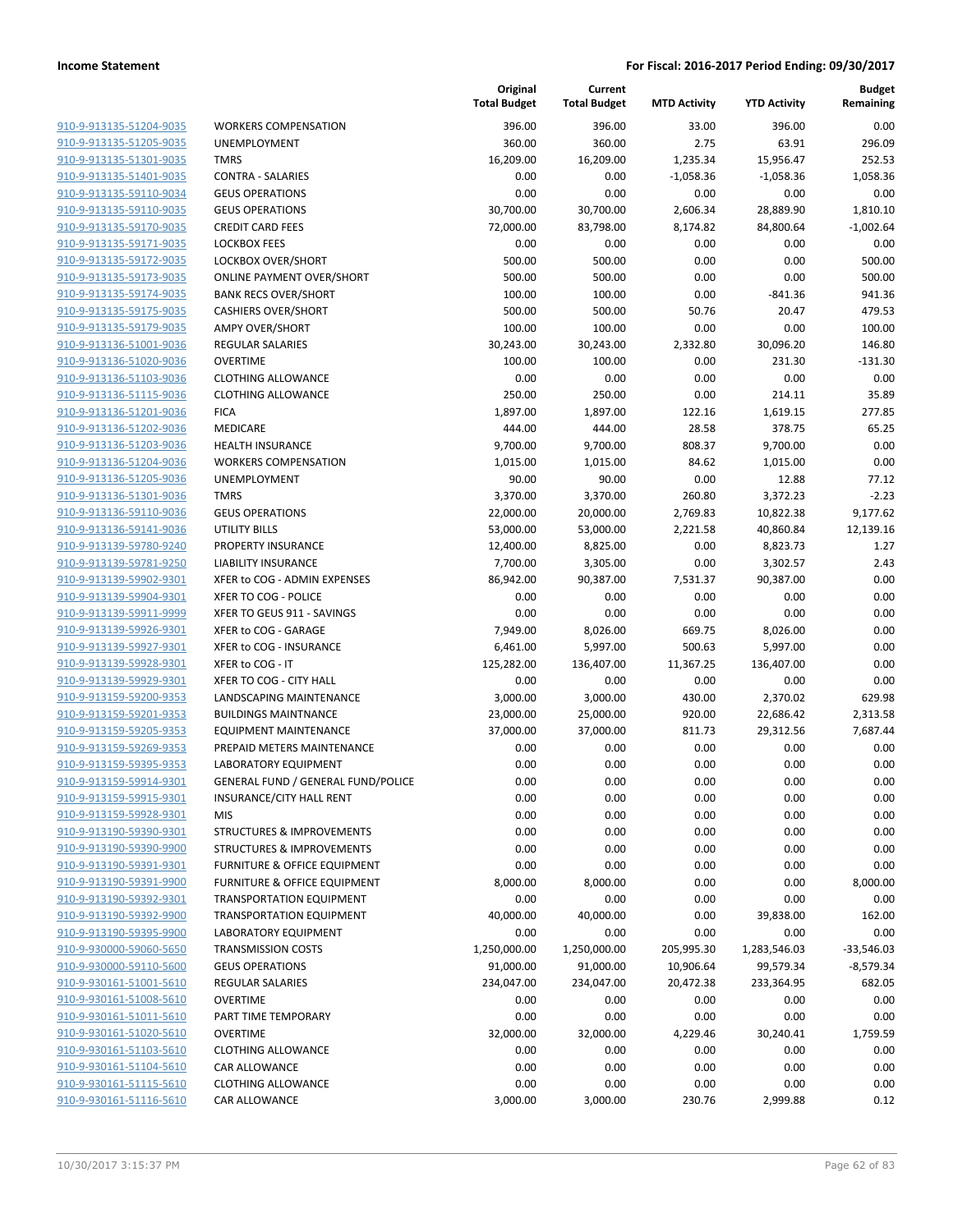| 910-9-913135-51204-9035                                   |
|-----------------------------------------------------------|
| 910-9-913135-51205-9035                                   |
| 910-9-913135-51301-9035                                   |
| <u>910-9-913135-51401-9035</u>                            |
| 910-9-913135-59110-9034                                   |
| 910-9-913135-59110-9035                                   |
| 910-9-913135-59170-9035                                   |
| <u>910-9-913135-59171-9035</u>                            |
| <u>910-9-913135-59172-9035</u>                            |
| 910-9-913135-59173-9035                                   |
| 910-9-913135-59174-9035                                   |
| 910-9-913135-59175-9035                                   |
| <u>910-9-913135-59179-9035</u>                            |
| 910-9-913136-51001-9036                                   |
| 910-9-913136-51020-9036                                   |
| 910-9-913136-51103-9036                                   |
| 910-9-913136-51115-9036                                   |
| <u>910-9-913136-51201-9036</u>                            |
| <u>910-9-913136-51202-9036</u>                            |
| 910-9-913136-51203-9036                                   |
| 910-9-913136-51204-9036                                   |
| 910-9-913136-51205-9036                                   |
| <u>910-9-913136-51301-9036</u>                            |
| <u>910-9-913136-59110-9036</u>                            |
| 910-9-913136-59141-9036                                   |
| 910-9-913139-59780-9240                                   |
| 910-9-913139-59781-9250                                   |
| <u>910-9-913139-59902-9301</u>                            |
| 910-9-913139-59904-9301                                   |
| 910-9-913139-59911-9999                                   |
| 910-9-913139-59926-9301                                   |
| 910-9-913139-59927-9301                                   |
| <u>910-9-913139-59928-9301</u>                            |
| 910-9-913139-59929-9301                                   |
| 910-9-913159-59200-9353                                   |
| 910-9-913159-59201-9353                                   |
| 910-9-913159-59205-9353                                   |
| <u>910-9-913159-59269-9353</u>                            |
| 910-9-913159-59395-9353                                   |
| 910-9-913159-59914-9301                                   |
| 910-9-913159-59915-9301                                   |
| 910-9-913159-59928-9301                                   |
| 910-9-913190-59390-9301                                   |
| 910-9-913190-59390-9900                                   |
| 910-9-913190-59391-9301                                   |
| 910-9-913190-59391-9900                                   |
| 910-9-913190-59392-9301                                   |
| 910-9-913190-59392-9900                                   |
| <u>910-9-913190-59395-9900</u>                            |
| 910-9-930000-59060-5650                                   |
| 910-9-930000-59110-5600                                   |
| 910-9-930161-51001-5610                                   |
| 910-9-930161-51008-5610                                   |
| <u>910-9-930161-51011-5610</u><br>910-9-930161-51020-5610 |
| 910-9-930161-51103-5610                                   |
| 910-9-930161-51104-5610                                   |
| 910-9-930161-51115-5610                                   |
| 910-9-930161-51116-5610                                   |
|                                                           |

|                         |                                           | Original<br><b>Total Budget</b> | Current<br><b>Total Budget</b> | <b>MTD Activity</b> | <b>YTD Activity</b> | <b>Budget</b><br>Remaining |
|-------------------------|-------------------------------------------|---------------------------------|--------------------------------|---------------------|---------------------|----------------------------|
| 910-9-913135-51204-9035 | <b>WORKERS COMPENSATION</b>               | 396.00                          | 396.00                         | 33.00               | 396.00              | 0.00                       |
| 910-9-913135-51205-9035 | UNEMPLOYMENT                              | 360.00                          | 360.00                         | 2.75                | 63.91               | 296.09                     |
| 910-9-913135-51301-9035 | <b>TMRS</b>                               | 16,209.00                       | 16,209.00                      | 1,235.34            | 15,956.47           | 252.53                     |
| 910-9-913135-51401-9035 | <b>CONTRA - SALARIES</b>                  | 0.00                            | 0.00                           | $-1,058.36$         | $-1,058.36$         | 1,058.36                   |
| 910-9-913135-59110-9034 | <b>GEUS OPERATIONS</b>                    | 0.00                            | 0.00                           | 0.00                | 0.00                | 0.00                       |
| 910-9-913135-59110-9035 | <b>GEUS OPERATIONS</b>                    | 30,700.00                       | 30,700.00                      | 2,606.34            | 28,889.90           | 1,810.10                   |
| 910-9-913135-59170-9035 | <b>CREDIT CARD FEES</b>                   | 72,000.00                       | 83,798.00                      | 8,174.82            | 84,800.64           | $-1,002.64$                |
| 910-9-913135-59171-9035 | <b>LOCKBOX FEES</b>                       | 0.00                            | 0.00                           | 0.00                | 0.00                | 0.00                       |
| 910-9-913135-59172-9035 | LOCKBOX OVER/SHORT                        | 500.00                          | 500.00                         | 0.00                | 0.00                | 500.00                     |
| 910-9-913135-59173-9035 | <b>ONLINE PAYMENT OVER/SHORT</b>          | 500.00                          | 500.00                         | 0.00                | 0.00                | 500.00                     |
| 910-9-913135-59174-9035 | <b>BANK RECS OVER/SHORT</b>               | 100.00                          | 100.00                         | 0.00                | $-841.36$           | 941.36                     |
| 910-9-913135-59175-9035 | <b>CASHIERS OVER/SHORT</b>                | 500.00                          | 500.00                         | 50.76               | 20.47               | 479.53                     |
| 910-9-913135-59179-9035 | <b>AMPY OVER/SHORT</b>                    | 100.00                          | 100.00                         | 0.00                | 0.00                | 100.00                     |
| 910-9-913136-51001-9036 | <b>REGULAR SALARIES</b>                   | 30,243.00                       | 30,243.00                      | 2,332.80            | 30,096.20           | 146.80                     |
| 910-9-913136-51020-9036 | <b>OVERTIME</b>                           | 100.00                          | 100.00                         | 0.00                | 231.30              | $-131.30$                  |
| 910-9-913136-51103-9036 | <b>CLOTHING ALLOWANCE</b>                 | 0.00                            | 0.00                           | 0.00                | 0.00                | 0.00                       |
| 910-9-913136-51115-9036 | <b>CLOTHING ALLOWANCE</b>                 | 250.00                          | 250.00                         | 0.00                | 214.11              | 35.89                      |
| 910-9-913136-51201-9036 | <b>FICA</b>                               | 1,897.00                        | 1,897.00                       | 122.16              | 1,619.15            | 277.85                     |
| 910-9-913136-51202-9036 | <b>MEDICARE</b>                           | 444.00                          | 444.00                         | 28.58               | 378.75              | 65.25                      |
| 910-9-913136-51203-9036 | <b>HEALTH INSURANCE</b>                   | 9,700.00                        | 9,700.00                       | 808.37              | 9,700.00            | 0.00                       |
| 910-9-913136-51204-9036 | <b>WORKERS COMPENSATION</b>               | 1,015.00                        | 1,015.00                       | 84.62               | 1,015.00            | 0.00                       |
| 910-9-913136-51205-9036 | UNEMPLOYMENT                              | 90.00                           | 90.00                          | 0.00                | 12.88               | 77.12                      |
| 910-9-913136-51301-9036 | <b>TMRS</b>                               | 3,370.00                        | 3,370.00                       | 260.80              | 3,372.23            | $-2.23$                    |
| 910-9-913136-59110-9036 | <b>GEUS OPERATIONS</b>                    | 22,000.00                       | 20,000.00                      | 2,769.83            | 10,822.38           | 9,177.62                   |
| 910-9-913136-59141-9036 | <b>UTILITY BILLS</b>                      | 53,000.00                       | 53,000.00                      | 2,221.58            | 40,860.84           | 12,139.16                  |
| 910-9-913139-59780-9240 | PROPERTY INSURANCE                        | 12,400.00                       | 8,825.00                       | 0.00                | 8,823.73            | 1.27                       |
| 910-9-913139-59781-9250 | <b>LIABILITY INSURANCE</b>                | 7,700.00                        | 3,305.00                       | 0.00                | 3,302.57            | 2.43                       |
| 910-9-913139-59902-9301 | XFER to COG - ADMIN EXPENSES              | 86,942.00                       | 90,387.00                      | 7,531.37            | 90,387.00           | 0.00                       |
| 910-9-913139-59904-9301 | XFER TO COG - POLICE                      | 0.00                            | 0.00                           | 0.00                | 0.00                | 0.00                       |
| 910-9-913139-59911-9999 | XFER TO GEUS 911 - SAVINGS                | 0.00                            | 0.00                           | 0.00                | 0.00                | 0.00                       |
| 910-9-913139-59926-9301 | XFER to COG - GARAGE                      | 7,949.00                        | 8,026.00                       | 669.75              | 8,026.00            | 0.00                       |
| 910-9-913139-59927-9301 | XFER to COG - INSURANCE                   | 6,461.00                        | 5,997.00                       | 500.63              | 5,997.00            | 0.00                       |
| 910-9-913139-59928-9301 | XFER to COG - IT                          | 125,282.00                      | 136,407.00                     | 11,367.25           | 136,407.00          | 0.00                       |
| 910-9-913139-59929-9301 | XFER TO COG - CITY HALL                   | 0.00                            | 0.00                           | 0.00                | 0.00                | 0.00                       |
| 910-9-913159-59200-9353 | LANDSCAPING MAINTENANCE                   | 3,000.00                        | 3,000.00                       | 430.00              | 2,370.02            | 629.98                     |
| 910-9-913159-59201-9353 | <b>BUILDINGS MAINTNANCE</b>               | 23,000.00                       | 25,000.00                      | 920.00              | 22,686.42           | 2,313.58                   |
| 910-9-913159-59205-9353 | <b>EQUIPMENT MAINTENANCE</b>              | 37,000.00                       | 37,000.00                      | 811.73              | 29,312.56           | 7,687.44                   |
| 910-9-913159-59269-9353 | PREPAID METERS MAINTENANCE                | 0.00                            | 0.00                           | 0.00                | 0.00                | 0.00                       |
| 910-9-913159-59395-9353 | <b>LABORATORY EQUIPMENT</b>               | 0.00                            | 0.00                           | 0.00                | 0.00                | 0.00                       |
| 910-9-913159-59914-9301 | <b>GENERAL FUND / GENERAL FUND/POLICE</b> | 0.00                            | 0.00                           | 0.00                | 0.00                | 0.00                       |
| 910-9-913159-59915-9301 | INSURANCE/CITY HALL RENT                  | 0.00                            | 0.00                           | 0.00                | 0.00                | 0.00                       |
| 910-9-913159-59928-9301 | <b>MIS</b>                                | 0.00                            | 0.00                           | 0.00                | 0.00                | 0.00                       |
| 910-9-913190-59390-9301 | <b>STRUCTURES &amp; IMPROVEMENTS</b>      | 0.00                            | 0.00                           | 0.00                | 0.00                | 0.00                       |
| 910-9-913190-59390-9900 | <b>STRUCTURES &amp; IMPROVEMENTS</b>      | 0.00                            | 0.00                           | 0.00                | 0.00                | 0.00                       |
| 910-9-913190-59391-9301 | FURNITURE & OFFICE EQUIPMENT              | 0.00                            | 0.00                           | 0.00                | 0.00                | 0.00                       |
| 910-9-913190-59391-9900 | FURNITURE & OFFICE EQUIPMENT              | 8,000.00                        | 8,000.00                       | 0.00                | 0.00                | 8,000.00                   |
| 910-9-913190-59392-9301 | <b>TRANSPORTATION EQUIPMENT</b>           | 0.00                            | 0.00                           | 0.00                | 0.00                | 0.00                       |
| 910-9-913190-59392-9900 | <b>TRANSPORTATION EQUIPMENT</b>           | 40,000.00                       | 40,000.00                      | 0.00                | 39,838.00           | 162.00                     |
| 910-9-913190-59395-9900 | LABORATORY EQUIPMENT                      | 0.00                            | 0.00                           | 0.00                | 0.00                | 0.00                       |
| 910-9-930000-59060-5650 | <b>TRANSMISSION COSTS</b>                 | 1,250,000.00                    | 1,250,000.00                   | 205,995.30          | 1,283,546.03        | $-33,546.03$               |
| 910-9-930000-59110-5600 | <b>GEUS OPERATIONS</b>                    | 91,000.00                       | 91,000.00                      | 10,906.64           | 99,579.34           | $-8,579.34$                |
| 910-9-930161-51001-5610 | REGULAR SALARIES                          | 234,047.00                      | 234,047.00                     | 20,472.38           | 233,364.95          | 682.05                     |
| 910-9-930161-51008-5610 | <b>OVERTIME</b>                           | 0.00                            | 0.00                           | 0.00                | 0.00                | 0.00                       |
| 910-9-930161-51011-5610 | PART TIME TEMPORARY                       | 0.00                            | 0.00                           | 0.00                | 0.00                | 0.00                       |
| 910-9-930161-51020-5610 | <b>OVERTIME</b>                           | 32,000.00                       | 32,000.00                      | 4,229.46            | 30,240.41           | 1,759.59                   |
| 910-9-930161-51103-5610 | <b>CLOTHING ALLOWANCE</b>                 | 0.00                            | 0.00                           | 0.00                | 0.00                | 0.00                       |
| 910-9-930161-51104-5610 | CAR ALLOWANCE                             | 0.00                            | 0.00                           | 0.00                | 0.00                | 0.00                       |
| 910-9-930161-51115-5610 | <b>CLOTHING ALLOWANCE</b>                 | 0.00                            | 0.00                           | 0.00                | 0.00                | 0.00                       |
| 910-9-930161-51116-5610 | CAR ALLOWANCE                             | 3,000.00                        | 3,000.00                       | 230.76              | 2,999.88            | 0.12                       |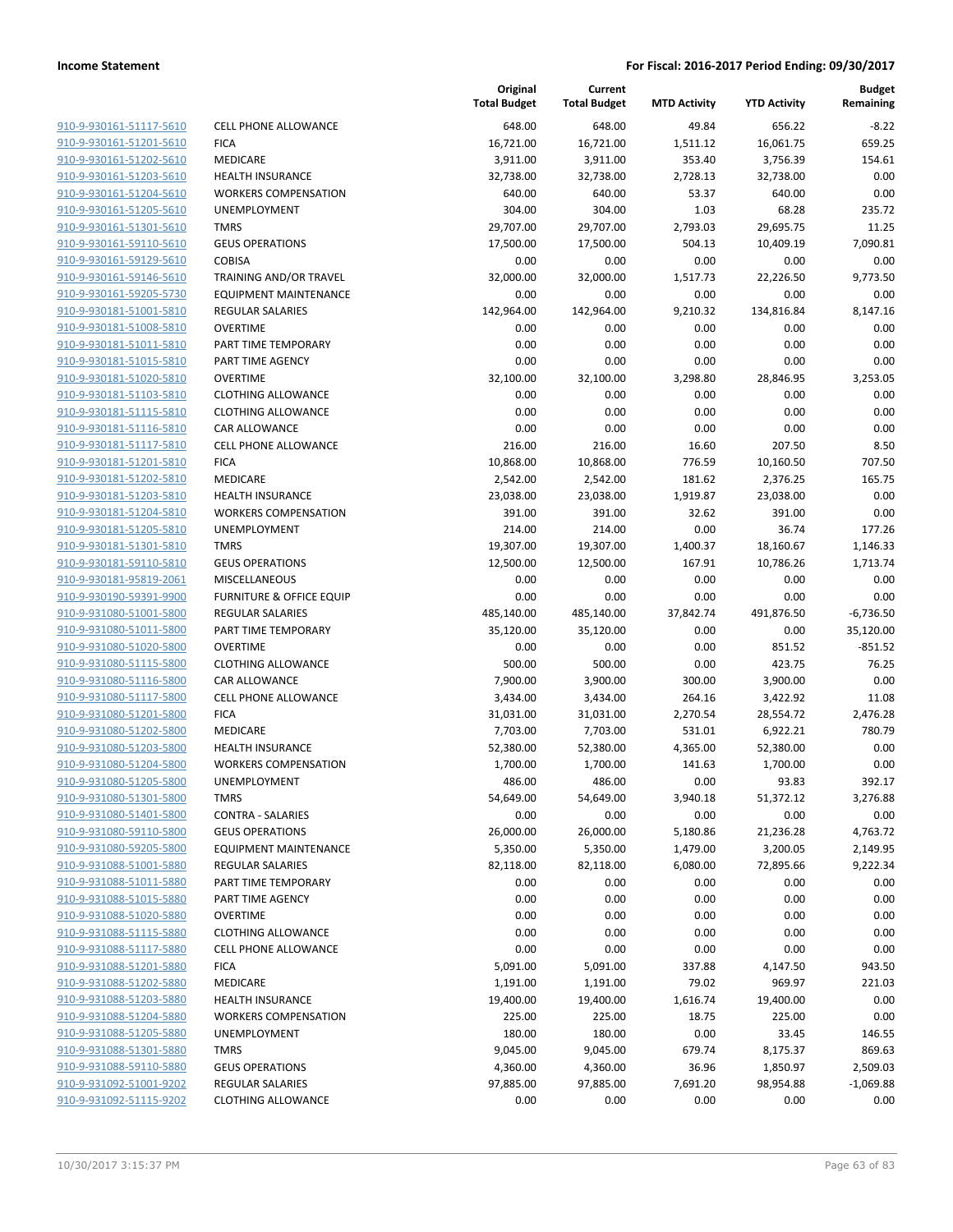|                                                    |                                                   | Original<br><b>Total Budget</b> | Current<br><b>Total Budget</b> | <b>MTD Activity</b> | <b>YTD Activity</b> | <b>Budget</b><br>Remaining |
|----------------------------------------------------|---------------------------------------------------|---------------------------------|--------------------------------|---------------------|---------------------|----------------------------|
| 910-9-930161-51117-5610                            | <b>CELL PHONE ALLOWANCE</b>                       | 648.00                          | 648.00                         | 49.84               | 656.22              | $-8.22$                    |
| 910-9-930161-51201-5610                            | <b>FICA</b>                                       | 16,721.00                       | 16,721.00                      | 1,511.12            | 16,061.75           | 659.25                     |
| 910-9-930161-51202-5610                            | <b>MEDICARE</b>                                   | 3,911.00                        | 3,911.00                       | 353.40              | 3,756.39            | 154.61                     |
| 910-9-930161-51203-5610                            | <b>HEALTH INSURANCE</b>                           | 32,738.00                       | 32,738.00                      | 2,728.13            | 32,738.00           | 0.00                       |
| 910-9-930161-51204-5610                            | <b>WORKERS COMPENSATION</b>                       | 640.00                          | 640.00                         | 53.37               | 640.00              | 0.00                       |
| 910-9-930161-51205-5610                            | UNEMPLOYMENT                                      | 304.00                          | 304.00                         | 1.03                | 68.28               | 235.72                     |
| 910-9-930161-51301-5610                            | <b>TMRS</b>                                       | 29,707.00                       | 29,707.00                      | 2,793.03            | 29,695.75           | 11.25                      |
| 910-9-930161-59110-5610                            | <b>GEUS OPERATIONS</b>                            | 17,500.00                       | 17,500.00                      | 504.13              | 10,409.19           | 7,090.81                   |
| 910-9-930161-59129-5610                            | <b>COBISA</b>                                     | 0.00                            | 0.00                           | 0.00                | 0.00                | 0.00                       |
| 910-9-930161-59146-5610                            | TRAINING AND/OR TRAVEL                            | 32,000.00                       | 32,000.00                      | 1,517.73            | 22,226.50           | 9,773.50                   |
| 910-9-930161-59205-5730                            | <b>EQUIPMENT MAINTENANCE</b>                      | 0.00                            | 0.00                           | 0.00                | 0.00                | 0.00                       |
| 910-9-930181-51001-5810                            | <b>REGULAR SALARIES</b>                           | 142,964.00                      | 142,964.00                     | 9,210.32            | 134,816.84          | 8,147.16                   |
| 910-9-930181-51008-5810                            | <b>OVERTIME</b>                                   | 0.00                            | 0.00                           | 0.00                | 0.00                | 0.00                       |
| 910-9-930181-51011-5810                            | PART TIME TEMPORARY                               | 0.00                            | 0.00                           | 0.00                | 0.00                | 0.00                       |
| 910-9-930181-51015-5810                            | PART TIME AGENCY                                  | 0.00                            | 0.00                           | 0.00                | 0.00                | 0.00                       |
| 910-9-930181-51020-5810                            | <b>OVERTIME</b>                                   | 32,100.00                       | 32,100.00                      | 3,298.80            | 28,846.95           | 3,253.05                   |
| 910-9-930181-51103-5810                            | <b>CLOTHING ALLOWANCE</b>                         | 0.00                            | 0.00                           | 0.00                | 0.00                | 0.00                       |
| 910-9-930181-51115-5810                            | <b>CLOTHING ALLOWANCE</b>                         | 0.00                            | 0.00                           | 0.00                | 0.00                | 0.00                       |
| 910-9-930181-51116-5810                            | <b>CAR ALLOWANCE</b>                              | 0.00                            | 0.00                           | 0.00                | 0.00                | 0.00                       |
| 910-9-930181-51117-5810                            | <b>CELL PHONE ALLOWANCE</b>                       | 216.00                          | 216.00                         | 16.60               | 207.50              | 8.50                       |
| 910-9-930181-51201-5810                            | <b>FICA</b>                                       | 10,868.00                       | 10,868.00                      | 776.59              | 10,160.50           | 707.50                     |
| 910-9-930181-51202-5810                            | MEDICARE                                          | 2,542.00                        | 2,542.00                       | 181.62              | 2,376.25            | 165.75                     |
| 910-9-930181-51203-5810                            | <b>HEALTH INSURANCE</b>                           | 23,038.00                       | 23,038.00                      | 1,919.87            | 23,038.00           | 0.00                       |
| 910-9-930181-51204-5810                            | <b>WORKERS COMPENSATION</b>                       | 391.00                          | 391.00                         | 32.62               | 391.00              | 0.00                       |
| 910-9-930181-51205-5810                            | UNEMPLOYMENT                                      | 214.00                          | 214.00                         | 0.00                | 36.74               | 177.26                     |
| 910-9-930181-51301-5810                            | <b>TMRS</b>                                       | 19,307.00                       | 19,307.00                      | 1,400.37            | 18,160.67           | 1,146.33                   |
| 910-9-930181-59110-5810                            | <b>GEUS OPERATIONS</b>                            | 12,500.00                       | 12,500.00                      | 167.91              | 10,786.26           | 1,713.74                   |
| 910-9-930181-95819-2061                            | <b>MISCELLANEOUS</b>                              | 0.00                            | 0.00                           | 0.00                | 0.00                | 0.00                       |
| 910-9-930190-59391-9900                            | <b>FURNITURE &amp; OFFICE EQUIP</b>               | 0.00                            | 0.00                           | 0.00                | 0.00                | 0.00                       |
| 910-9-931080-51001-5800                            | <b>REGULAR SALARIES</b>                           | 485,140.00                      | 485,140.00                     | 37,842.74           | 491,876.50          | $-6,736.50$                |
| 910-9-931080-51011-5800                            | PART TIME TEMPORARY                               | 35,120.00                       | 35,120.00                      | 0.00                | 0.00                | 35,120.00                  |
| 910-9-931080-51020-5800                            | <b>OVERTIME</b>                                   | 0.00                            | 0.00                           | 0.00                | 851.52              | $-851.52$                  |
| 910-9-931080-51115-5800                            | <b>CLOTHING ALLOWANCE</b>                         | 500.00                          | 500.00                         | 0.00                | 423.75              | 76.25                      |
| 910-9-931080-51116-5800                            | CAR ALLOWANCE                                     | 7,900.00                        | 3,900.00                       | 300.00              | 3,900.00            | 0.00                       |
| 910-9-931080-51117-5800                            | <b>CELL PHONE ALLOWANCE</b>                       | 3,434.00                        | 3,434.00                       | 264.16              | 3,422.92            | 11.08                      |
| 910-9-931080-51201-5800                            | <b>FICA</b>                                       | 31,031.00                       | 31,031.00                      | 2,270.54            | 28,554.72           | 2,476.28                   |
| 910-9-931080-51202-5800                            | MEDICARE                                          | 7,703.00                        | 7,703.00                       | 531.01              | 6,922.21            | 780.79                     |
| 910-9-931080-51203-5800                            | <b>HEALTH INSURANCE</b>                           | 52,380.00                       | 52,380.00                      | 4,365.00            | 52,380.00           | 0.00                       |
| 910-9-931080-51204-5800                            | <b>WORKERS COMPENSATION</b>                       | 1,700.00                        | 1,700.00                       | 141.63              | 1,700.00            | 0.00                       |
| 910-9-931080-51205-5800                            | UNEMPLOYMENT                                      | 486.00                          | 486.00                         | 0.00                | 93.83               | 392.17                     |
| 910-9-931080-51301-5800                            | <b>TMRS</b>                                       | 54,649.00                       | 54,649.00                      | 3,940.18            | 51,372.12           | 3,276.88                   |
| 910-9-931080-51401-5800                            | <b>CONTRA - SALARIES</b>                          | 0.00                            | 0.00                           | 0.00                | 0.00                | 0.00                       |
| 910-9-931080-59110-5800                            | <b>GEUS OPERATIONS</b>                            | 26,000.00                       | 26,000.00                      | 5,180.86            | 21,236.28           | 4,763.72                   |
| 910-9-931080-59205-5800                            | <b>EQUIPMENT MAINTENANCE</b>                      | 5,350.00                        | 5,350.00                       | 1,479.00            | 3,200.05            | 2,149.95                   |
| 910-9-931088-51001-5880                            | <b>REGULAR SALARIES</b>                           | 82,118.00                       | 82,118.00                      | 6,080.00            | 72,895.66           | 9,222.34                   |
| 910-9-931088-51011-5880                            | PART TIME TEMPORARY                               | 0.00                            | 0.00                           | 0.00                | 0.00                | 0.00                       |
| 910-9-931088-51015-5880                            | <b>PART TIME AGENCY</b>                           | 0.00                            | 0.00                           | 0.00                | 0.00                | 0.00                       |
| 910-9-931088-51020-5880                            | <b>OVERTIME</b>                                   | 0.00                            | 0.00                           | 0.00                | 0.00                | 0.00                       |
| 910-9-931088-51115-5880<br>910-9-931088-51117-5880 | <b>CLOTHING ALLOWANCE</b><br>CELL PHONE ALLOWANCE | 0.00<br>0.00                    | 0.00<br>0.00                   | 0.00<br>0.00        | 0.00<br>0.00        | 0.00<br>0.00               |
| 910-9-931088-51201-5880                            | <b>FICA</b>                                       | 5,091.00                        |                                | 337.88              |                     | 943.50                     |
| 910-9-931088-51202-5880                            | MEDICARE                                          |                                 | 5,091.00                       | 79.02               | 4,147.50<br>969.97  | 221.03                     |
| 910-9-931088-51203-5880                            | <b>HEALTH INSURANCE</b>                           | 1,191.00<br>19,400.00           | 1,191.00                       |                     |                     | 0.00                       |
| 910-9-931088-51204-5880                            | <b>WORKERS COMPENSATION</b>                       | 225.00                          | 19,400.00<br>225.00            | 1,616.74<br>18.75   | 19,400.00<br>225.00 | 0.00                       |
| 910-9-931088-51205-5880                            | UNEMPLOYMENT                                      | 180.00                          | 180.00                         | 0.00                | 33.45               | 146.55                     |
| 910-9-931088-51301-5880                            | <b>TMRS</b>                                       | 9,045.00                        | 9,045.00                       | 679.74              | 8,175.37            | 869.63                     |
| 910-9-931088-59110-5880                            | <b>GEUS OPERATIONS</b>                            | 4,360.00                        | 4,360.00                       | 36.96               | 1,850.97            | 2,509.03                   |
| 910-9-931092-51001-9202                            | <b>REGULAR SALARIES</b>                           | 97,885.00                       | 97,885.00                      | 7,691.20            | 98,954.88           | $-1,069.88$                |
| 910-9-931092-51115-9202                            | <b>CLOTHING ALLOWANCE</b>                         | 0.00                            | 0.00                           | 0.00                | 0.00                | 0.00                       |
|                                                    |                                                   |                                 |                                |                     |                     |                            |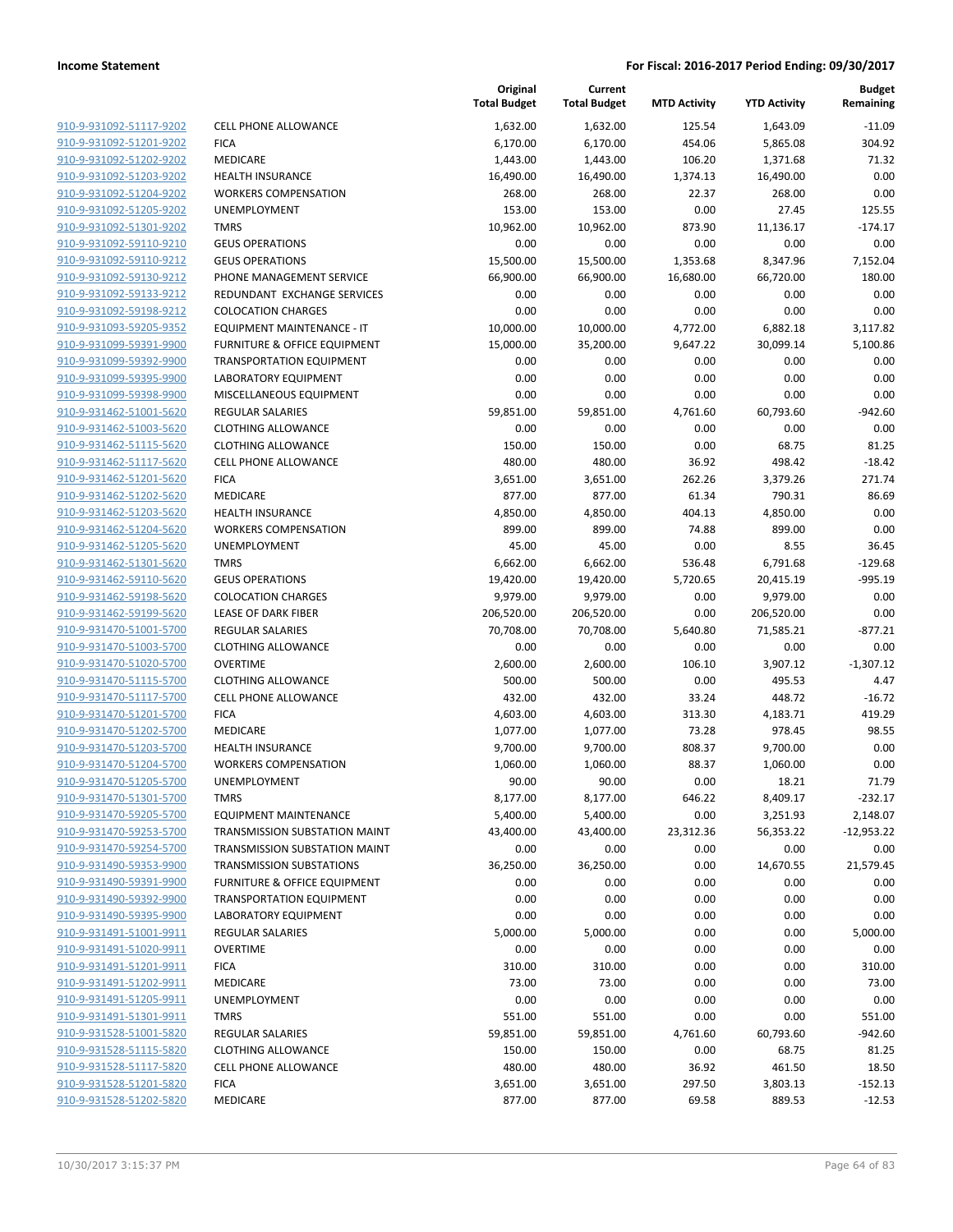|                                                    |                                                                            | Original<br><b>Total Budget</b> | Current<br><b>Total Budget</b> | <b>MTD Activity</b> | <b>YTD Activity</b> | <b>Budget</b><br>Remaining |
|----------------------------------------------------|----------------------------------------------------------------------------|---------------------------------|--------------------------------|---------------------|---------------------|----------------------------|
| 910-9-931092-51117-9202                            | <b>CELL PHONE ALLOWANCE</b>                                                | 1,632.00                        | 1,632.00                       | 125.54              | 1,643.09            | $-11.09$                   |
| 910-9-931092-51201-9202                            | <b>FICA</b>                                                                | 6,170.00                        | 6,170.00                       | 454.06              | 5,865.08            | 304.92                     |
| 910-9-931092-51202-9202                            | MEDICARE                                                                   | 1,443.00                        | 1,443.00                       | 106.20              | 1,371.68            | 71.32                      |
| 910-9-931092-51203-9202                            | <b>HEALTH INSURANCE</b>                                                    | 16,490.00                       | 16,490.00                      | 1,374.13            | 16,490.00           | 0.00                       |
| 910-9-931092-51204-9202                            | <b>WORKERS COMPENSATION</b>                                                | 268.00                          | 268.00                         | 22.37               | 268.00              | 0.00                       |
| 910-9-931092-51205-9202                            | UNEMPLOYMENT                                                               | 153.00                          | 153.00                         | 0.00                | 27.45               | 125.55                     |
| 910-9-931092-51301-9202                            | <b>TMRS</b>                                                                | 10,962.00                       | 10,962.00                      | 873.90              | 11,136.17           | $-174.17$                  |
| 910-9-931092-59110-9210                            | <b>GEUS OPERATIONS</b>                                                     | 0.00                            | 0.00                           | 0.00                | 0.00                | 0.00                       |
| 910-9-931092-59110-9212                            | <b>GEUS OPERATIONS</b>                                                     | 15,500.00                       | 15,500.00                      | 1,353.68            | 8,347.96            | 7,152.04                   |
| 910-9-931092-59130-9212                            | PHONE MANAGEMENT SERVICE                                                   | 66,900.00                       | 66,900.00                      | 16,680.00           | 66,720.00           | 180.00                     |
| 910-9-931092-59133-9212                            | REDUNDANT EXCHANGE SERVICES                                                | 0.00                            | 0.00                           | 0.00                | 0.00                | 0.00                       |
| 910-9-931092-59198-9212                            | <b>COLOCATION CHARGES</b>                                                  | 0.00                            | 0.00                           | 0.00                | 0.00                | 0.00                       |
| 910-9-931093-59205-9352                            | <b>EQUIPMENT MAINTENANCE - IT</b>                                          | 10,000.00                       | 10,000.00                      | 4,772.00            | 6,882.18            | 3,117.82                   |
| 910-9-931099-59391-9900                            | FURNITURE & OFFICE EQUIPMENT                                               | 15,000.00                       | 35,200.00                      | 9,647.22            | 30,099.14           | 5,100.86                   |
| 910-9-931099-59392-9900                            | <b>TRANSPORTATION EQUIPMENT</b>                                            | 0.00                            | 0.00                           | 0.00                | 0.00                | 0.00                       |
| 910-9-931099-59395-9900                            | <b>LABORATORY EQUIPMENT</b>                                                | 0.00                            | 0.00                           | 0.00                | 0.00                | 0.00                       |
| 910-9-931099-59398-9900                            | MISCELLANEOUS EQUIPMENT                                                    | 0.00                            | 0.00                           | 0.00                | 0.00                | 0.00                       |
| 910-9-931462-51001-5620                            | <b>REGULAR SALARIES</b>                                                    | 59,851.00                       | 59,851.00                      | 4,761.60            | 60,793.60           | $-942.60$                  |
| 910-9-931462-51003-5620                            | <b>CLOTHING ALLOWANCE</b>                                                  | 0.00                            | 0.00                           | 0.00                | 0.00                | 0.00                       |
| 910-9-931462-51115-5620                            | <b>CLOTHING ALLOWANCE</b>                                                  | 150.00                          | 150.00                         | 0.00                | 68.75               | 81.25                      |
| 910-9-931462-51117-5620                            | <b>CELL PHONE ALLOWANCE</b>                                                | 480.00                          | 480.00                         | 36.92               | 498.42              | $-18.42$                   |
| 910-9-931462-51201-5620                            | <b>FICA</b>                                                                | 3,651.00                        | 3,651.00                       | 262.26              | 3,379.26            | 271.74                     |
| 910-9-931462-51202-5620                            | MEDICARE                                                                   | 877.00                          | 877.00                         | 61.34               | 790.31              | 86.69                      |
| 910-9-931462-51203-5620                            | <b>HEALTH INSURANCE</b>                                                    | 4,850.00                        | 4,850.00                       | 404.13              | 4,850.00            | 0.00                       |
| 910-9-931462-51204-5620                            | <b>WORKERS COMPENSATION</b>                                                | 899.00                          | 899.00                         | 74.88               | 899.00              | 0.00                       |
| 910-9-931462-51205-5620                            | UNEMPLOYMENT                                                               | 45.00                           | 45.00                          | 0.00                | 8.55                | 36.45                      |
| 910-9-931462-51301-5620                            | <b>TMRS</b>                                                                | 6,662.00                        | 6,662.00                       | 536.48              | 6,791.68            | $-129.68$                  |
| 910-9-931462-59110-5620                            | <b>GEUS OPERATIONS</b>                                                     | 19,420.00                       | 19,420.00                      | 5,720.65            | 20,415.19           | $-995.19$                  |
| 910-9-931462-59198-5620                            | <b>COLOCATION CHARGES</b>                                                  | 9,979.00                        | 9,979.00                       | 0.00                | 9,979.00            | 0.00                       |
| 910-9-931462-59199-5620                            | LEASE OF DARK FIBER                                                        | 206,520.00                      | 206,520.00                     | 0.00                | 206,520.00          | 0.00                       |
| 910-9-931470-51001-5700                            | <b>REGULAR SALARIES</b>                                                    | 70,708.00                       | 70,708.00                      | 5,640.80            | 71,585.21           | $-877.21$                  |
| 910-9-931470-51003-5700                            | <b>CLOTHING ALLOWANCE</b>                                                  | 0.00                            | 0.00                           | 0.00                | 0.00                | 0.00                       |
| 910-9-931470-51020-5700                            | <b>OVERTIME</b>                                                            | 2,600.00                        | 2,600.00                       | 106.10              | 3,907.12            | $-1,307.12$                |
| 910-9-931470-51115-5700                            | <b>CLOTHING ALLOWANCE</b>                                                  | 500.00                          | 500.00                         | 0.00                | 495.53              | 4.47                       |
| 910-9-931470-51117-5700                            | <b>CELL PHONE ALLOWANCE</b>                                                | 432.00                          | 432.00                         | 33.24               | 448.72              | $-16.72$                   |
| 910-9-931470-51201-5700                            | <b>FICA</b>                                                                | 4,603.00                        | 4,603.00                       | 313.30              | 4,183.71            | 419.29                     |
| 910-9-931470-51202-5700                            | MEDICARE                                                                   | 1,077.00                        | 1,077.00                       | 73.28               | 978.45              | 98.55                      |
| 910-9-931470-51203-5700                            | <b>HEALTH INSURANCE</b>                                                    | 9,700.00                        | 9,700.00                       | 808.37              | 9,700.00            | 0.00                       |
| 910-9-931470-51204-5700                            | <b>WORKERS COMPENSATION</b>                                                | 1,060.00                        | 1,060.00                       | 88.37               | 1,060.00            | 0.00                       |
| 910-9-931470-51205-5700                            | UNEMPLOYMENT                                                               | 90.00                           | 90.00                          | 0.00                | 18.21               | 71.79                      |
| 910-9-931470-51301-5700                            | <b>TMRS</b>                                                                | 8,177.00                        | 8,177.00                       | 646.22              | 8,409.17            | $-232.17$                  |
| 910-9-931470-59205-5700<br>910-9-931470-59253-5700 | <b>EQUIPMENT MAINTENANCE</b>                                               | 5,400.00                        | 5,400.00                       | 0.00                | 3,251.93            | 2,148.07                   |
| 910-9-931470-59254-5700                            | TRANSMISSION SUBSTATION MAINT                                              | 43,400.00                       | 43,400.00                      | 23,312.36           | 56,353.22           | $-12,953.22$               |
|                                                    | <b>TRANSMISSION SUBSTATION MAINT</b>                                       | 0.00<br>36,250.00               | 0.00<br>36,250.00              | 0.00                | 0.00<br>14,670.55   | 0.00                       |
| 910-9-931490-59353-9900<br>910-9-931490-59391-9900 | <b>TRANSMISSION SUBSTATIONS</b><br><b>FURNITURE &amp; OFFICE EQUIPMENT</b> | 0.00                            | 0.00                           | 0.00<br>0.00        | 0.00                | 21,579.45<br>0.00          |
| 910-9-931490-59392-9900                            | <b>TRANSPORTATION EQUIPMENT</b>                                            | 0.00                            |                                | 0.00                | 0.00                | 0.00                       |
| 910-9-931490-59395-9900                            | LABORATORY EQUIPMENT                                                       | 0.00                            | 0.00                           |                     |                     | 0.00                       |
| 910-9-931491-51001-9911                            | <b>REGULAR SALARIES</b>                                                    |                                 | 0.00                           | 0.00                | 0.00                |                            |
| 910-9-931491-51020-9911                            | <b>OVERTIME</b>                                                            | 5,000.00<br>0.00                | 5,000.00<br>0.00               | 0.00<br>0.00        | 0.00<br>0.00        | 5,000.00<br>0.00           |
| 910-9-931491-51201-9911                            | <b>FICA</b>                                                                | 310.00                          | 310.00                         | 0.00                | 0.00                | 310.00                     |
| 910-9-931491-51202-9911                            | MEDICARE                                                                   | 73.00                           | 73.00                          | 0.00                | 0.00                | 73.00                      |
| 910-9-931491-51205-9911                            | UNEMPLOYMENT                                                               | 0.00                            | 0.00                           | 0.00                | 0.00                | 0.00                       |
| 910-9-931491-51301-9911                            |                                                                            |                                 |                                |                     |                     |                            |
| 910-9-931528-51001-5820                            | <b>TMRS</b><br><b>REGULAR SALARIES</b>                                     | 551.00<br>59,851.00             | 551.00<br>59,851.00            | 0.00<br>4,761.60    | 0.00<br>60,793.60   | 551.00<br>$-942.60$        |
| 910-9-931528-51115-5820                            | <b>CLOTHING ALLOWANCE</b>                                                  | 150.00                          | 150.00                         | 0.00                | 68.75               | 81.25                      |
| 910-9-931528-51117-5820                            | <b>CELL PHONE ALLOWANCE</b>                                                | 480.00                          | 480.00                         | 36.92               | 461.50              | 18.50                      |
| 910-9-931528-51201-5820                            | <b>FICA</b>                                                                | 3,651.00                        | 3,651.00                       | 297.50              | 3,803.13            | $-152.13$                  |
| 910-9-931528-51202-5820                            | MEDICARE                                                                   | 877.00                          | 877.00                         | 69.58               | 889.53              | $-12.53$                   |
|                                                    |                                                                            |                                 |                                |                     |                     |                            |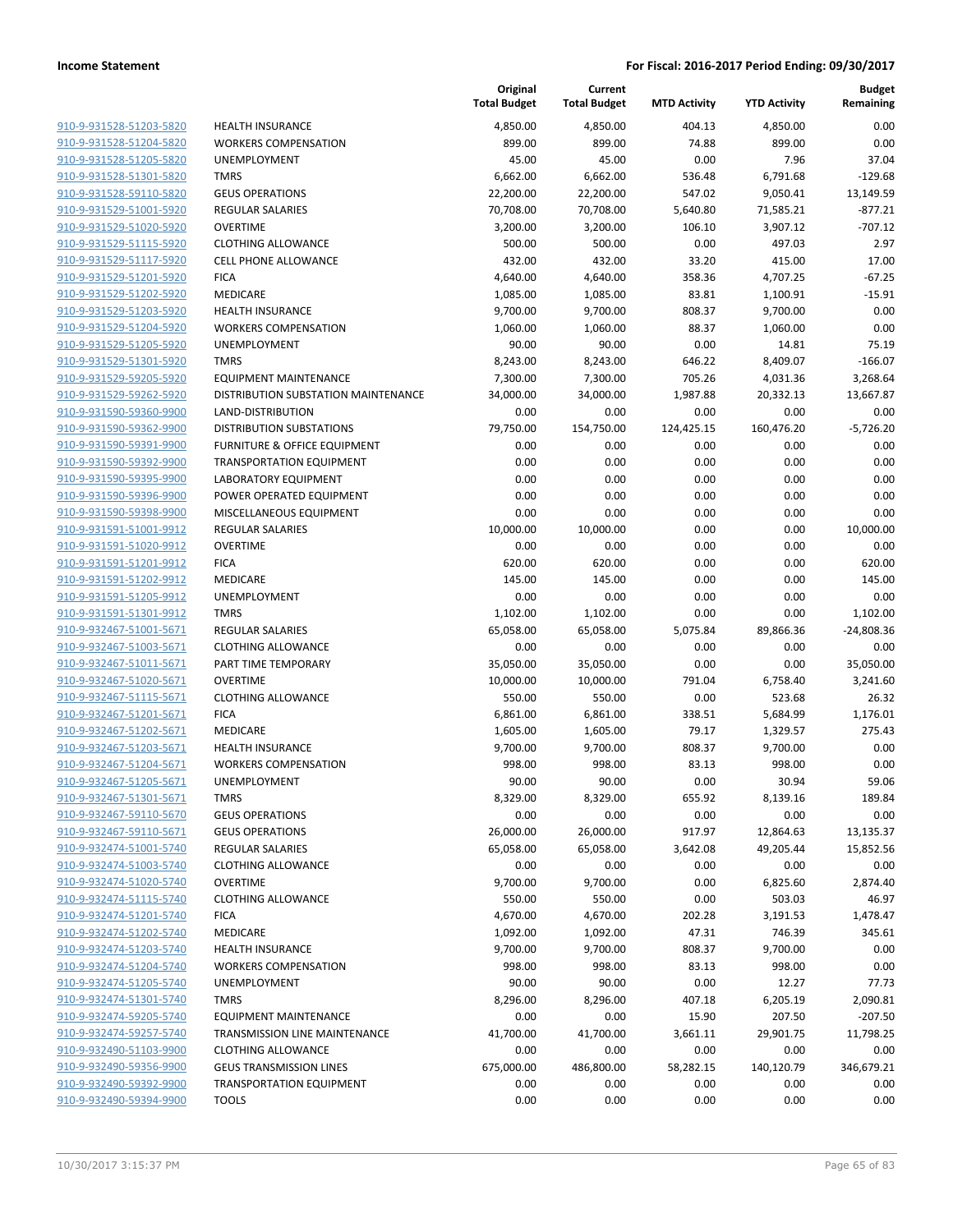| 910-9-931528-51203-5820                            | HEALT                       |
|----------------------------------------------------|-----------------------------|
| 910-9-931528-51204-5820                            | <b>WORK</b>                 |
| 910-9-931528-51205-5820                            | <b>UNEM</b>                 |
| 910-9-931528-51301-5820                            | <b>TMRS</b>                 |
| 910-9-931528-59110-5820                            | GEUS (                      |
| 910-9-931529-51001-5920                            | REGUL                       |
| 910-9-931529-51020-5920                            | <b>OVERT</b>                |
| 910-9-931529-51115-5920                            | <b>CLOTH</b>                |
| 910-9-931529-51117-5920                            | CELL P                      |
| 910-9-931529-51201-5920                            | <b>FICA</b>                 |
| 910-9-931529-51202-5920                            | MEDIC                       |
| 910-9-931529-51203-5920                            | HEALT                       |
| 910-9-931529-51204-5920                            | <b>WORK</b>                 |
| 910-9-931529-51205-5920                            | <b>UNEM</b>                 |
| 910-9-931529-51301-5920                            | TMRS                        |
| 910-9-931529-59205-5920                            | <b>EQUIP</b>                |
| 910-9-931529-59262-5920                            | <b>DISTRI</b>               |
| 910-9-931590-59360-9900                            | LAND-                       |
| 910-9-931590-59362-9900                            | <b>DISTRI</b>               |
| 910-9-931590-59391-9900                            | <b>FURNI</b>                |
| 910-9-931590-59392-9900                            | <b>TRANS</b>                |
| 910-9-931590-59395-9900                            | LABOR                       |
| 910-9-931590-59396-9900                            | <b>POWE</b>                 |
| 910-9-931590-59398-9900                            | <b>MISCE</b>                |
| 910-9-931591-51001-9912                            | REGUL                       |
| 910-9-931591-51020-9912<br>910-9-931591-51201-9912 | <b>OVERT</b><br><b>FICA</b> |
| 910-9-931591-51202-9912                            | MEDIC                       |
| 910-9-931591-51205-9912                            | <b>UNEM</b>                 |
| 910-9-931591-51301-9912                            | TMRS                        |
| 910-9-932467-51001-5671                            | REGUL                       |
| 910-9-932467-51003-5671                            | CLOTH                       |
| 910-9-932467-51011-5671                            | PART <sub>1</sub>           |
| 910-9-932467-51020-5671                            | OVERT                       |
| 910-9-932467-51115-5671                            | CLOTH                       |
| 910-9-932467-51201-5671                            | FICA                        |
| 910-9-932467-51202-5671                            | MEDIC                       |
| 910-9-932467-51203-5671                            | <b>HEALT</b>                |
| 910-9-932467-51204-5671                            | <b>WORK</b>                 |
| 910-9-932467-51205-5671                            | <b>UNEM</b>                 |
| 910-9-932467-51301-5671                            | TMRS                        |
| 910-9-932467-59110-5670                            | GEUS (                      |
| 910-9-932467-59110-5671                            | GEUS (                      |
| 910-9-932474-51001-5740                            | REGUL                       |
| 910-9-932474-51003-5740                            | CLOTH                       |
| 910-9-932474-51020-5740                            | OVERT                       |
| 910-9-932474-51115-5740                            | CLOTH                       |
| 910-9-932474-51201-5740<br>910-9-932474-51202-5740 | <b>FICA</b><br><b>MEDIC</b> |
| 910-9-932474-51203-5740                            | HEALT                       |
| 910-9-932474-51204-5740                            | <b>WORK</b>                 |
| 910-9-932474-51205-5740                            | <b>UNEM</b>                 |
| 910-9-932474-51301-5740                            | TMRS                        |
| 910-9-932474-59205-5740                            | <b>EQUIP</b>                |
| 910-9-932474-59257-5740                            | <b>TRANS</b>                |
| 910-9-932490-51103-9900                            | CLOTH                       |
| 910-9-932490-59356-9900                            | GEUS 1                      |
| 910-9-932490-59392-9900                            | <b>TRANS</b>                |
| 910-9-932490-59394-9900                            | <b>TOOLS</b>                |
|                                                    |                             |

|                                                    |                                                  | Original<br><b>Total Budget</b> | Current<br><b>Total Budget</b> | <b>MTD Activity</b> | <b>YTD Activity</b> | <b>Budget</b><br>Remaining |
|----------------------------------------------------|--------------------------------------------------|---------------------------------|--------------------------------|---------------------|---------------------|----------------------------|
| 910-9-931528-51203-5820                            | <b>HEALTH INSURANCE</b>                          | 4,850.00                        | 4,850.00                       | 404.13              | 4,850.00            | 0.00                       |
| 910-9-931528-51204-5820                            | <b>WORKERS COMPENSATION</b>                      | 899.00                          | 899.00                         | 74.88               | 899.00              | 0.00                       |
| 910-9-931528-51205-5820                            | UNEMPLOYMENT                                     | 45.00                           | 45.00                          | 0.00                | 7.96                | 37.04                      |
| 910-9-931528-51301-5820                            | <b>TMRS</b>                                      | 6,662.00                        | 6,662.00                       | 536.48              | 6,791.68            | $-129.68$                  |
| 910-9-931528-59110-5820                            | <b>GEUS OPERATIONS</b>                           | 22,200.00                       | 22,200.00                      | 547.02              | 9,050.41            | 13,149.59                  |
| 910-9-931529-51001-5920                            | <b>REGULAR SALARIES</b>                          | 70,708.00                       | 70,708.00                      | 5,640.80            | 71,585.21           | $-877.21$                  |
| 910-9-931529-51020-5920                            | <b>OVERTIME</b>                                  | 3,200.00                        | 3,200.00                       | 106.10              | 3,907.12            | $-707.12$                  |
| 910-9-931529-51115-5920                            | <b>CLOTHING ALLOWANCE</b>                        | 500.00                          | 500.00                         | 0.00                | 497.03              | 2.97                       |
| 910-9-931529-51117-5920                            | <b>CELL PHONE ALLOWANCE</b>                      | 432.00                          | 432.00                         | 33.20               | 415.00              | 17.00                      |
| 910-9-931529-51201-5920                            | <b>FICA</b>                                      | 4,640.00                        | 4,640.00                       | 358.36              | 4,707.25            | $-67.25$                   |
| 910-9-931529-51202-5920                            | MEDICARE                                         | 1,085.00                        | 1,085.00                       | 83.81               | 1,100.91            | $-15.91$                   |
| 910-9-931529-51203-5920                            | <b>HEALTH INSURANCE</b>                          | 9,700.00                        | 9,700.00                       | 808.37              | 9,700.00            | 0.00                       |
| 910-9-931529-51204-5920                            | <b>WORKERS COMPENSATION</b>                      | 1,060.00                        | 1,060.00                       | 88.37               | 1,060.00            | 0.00                       |
| 910-9-931529-51205-5920                            | UNEMPLOYMENT                                     | 90.00                           | 90.00                          | 0.00                | 14.81               | 75.19                      |
| 910-9-931529-51301-5920                            | <b>TMRS</b>                                      | 8,243.00                        | 8,243.00                       | 646.22              | 8,409.07            | $-166.07$                  |
| 910-9-931529-59205-5920                            | <b>EQUIPMENT MAINTENANCE</b>                     | 7,300.00                        | 7,300.00                       | 705.26              | 4,031.36            | 3,268.64                   |
| 910-9-931529-59262-5920                            | DISTRIBUTION SUBSTATION MAINTENANCE              | 34,000.00                       | 34,000.00                      | 1,987.88            | 20,332.13           | 13,667.87                  |
| 910-9-931590-59360-9900                            | LAND-DISTRIBUTION                                | 0.00                            | 0.00                           | 0.00                | 0.00                | 0.00                       |
| 910-9-931590-59362-9900                            | <b>DISTRIBUTION SUBSTATIONS</b>                  | 79,750.00                       | 154,750.00                     | 124,425.15          | 160,476.20          | $-5,726.20$                |
| 910-9-931590-59391-9900                            | FURNITURE & OFFICE EQUIPMENT                     | 0.00                            | 0.00                           | 0.00                | 0.00                | 0.00                       |
| 910-9-931590-59392-9900                            | <b>TRANSPORTATION EQUIPMENT</b>                  | 0.00                            | 0.00                           | 0.00                | 0.00                | 0.00                       |
| 910-9-931590-59395-9900                            | <b>LABORATORY EQUIPMENT</b>                      | 0.00                            | 0.00                           | 0.00                | 0.00                | 0.00                       |
| 910-9-931590-59396-9900                            | POWER OPERATED EQUIPMENT                         | 0.00                            | 0.00                           | 0.00                | 0.00                | 0.00                       |
| 910-9-931590-59398-9900                            | MISCELLANEOUS EQUIPMENT                          | 0.00                            | 0.00                           | 0.00                | 0.00                | 0.00                       |
| 910-9-931591-51001-9912                            | <b>REGULAR SALARIES</b>                          | 10,000.00                       | 10,000.00                      | 0.00                | 0.00                | 10,000.00                  |
| 910-9-931591-51020-9912                            | <b>OVERTIME</b>                                  | 0.00                            | 0.00                           | 0.00                | 0.00                | 0.00                       |
| 910-9-931591-51201-9912                            | <b>FICA</b>                                      | 620.00                          | 620.00                         | 0.00                | 0.00                | 620.00                     |
| 910-9-931591-51202-9912                            | MEDICARE                                         | 145.00                          | 145.00                         | 0.00                | 0.00                | 145.00                     |
| 910-9-931591-51205-9912                            | <b>UNEMPLOYMENT</b>                              | 0.00                            | 0.00                           | 0.00                | 0.00                | 0.00                       |
| 910-9-931591-51301-9912                            | <b>TMRS</b>                                      | 1,102.00                        | 1,102.00                       | 0.00                | 0.00                | 1,102.00                   |
| 910-9-932467-51001-5671                            | <b>REGULAR SALARIES</b>                          | 65,058.00                       | 65,058.00                      | 5,075.84            | 89,866.36           | $-24,808.36$               |
| 910-9-932467-51003-5671                            | <b>CLOTHING ALLOWANCE</b>                        | 0.00                            | 0.00                           | 0.00                | 0.00                | 0.00                       |
| 910-9-932467-51011-5671                            | PART TIME TEMPORARY                              | 35,050.00                       | 35,050.00                      | 0.00                | 0.00                | 35,050.00                  |
| 910-9-932467-51020-5671                            | <b>OVERTIME</b>                                  | 10,000.00                       | 10,000.00                      | 791.04              | 6,758.40            | 3,241.60                   |
| 910-9-932467-51115-5671                            | <b>CLOTHING ALLOWANCE</b>                        | 550.00                          | 550.00                         | 0.00                | 523.68              | 26.32                      |
| 910-9-932467-51201-5671                            | <b>FICA</b>                                      | 6,861.00                        | 6,861.00                       | 338.51              | 5,684.99            | 1,176.01                   |
| 910-9-932467-51202-5671                            | MEDICARE                                         | 1,605.00                        | 1,605.00                       | 79.17               | 1,329.57            | 275.43                     |
| 910-9-932467-51203-5671                            | <b>HEALTH INSURANCE</b>                          | 9,700.00                        | 9,700.00                       | 808.37              | 9,700.00            | 0.00                       |
| 910-9-932467-51204-5671<br>910-9-932467-51205-5671 | <b>WORKERS COMPENSATION</b>                      | 998.00                          | 998.00                         | 83.13               | 998.00              | 0.00                       |
|                                                    | <b>UNEMPLOYMENT</b>                              | 90.00<br>8,329.00               | 90.00                          | 0.00                | 30.94               | 59.06                      |
| 910-9-932467-51301-5671<br>910-9-932467-59110-5670 | <b>TMRS</b>                                      |                                 | 8,329.00                       | 655.92              | 8,139.16            | 189.84                     |
| 910-9-932467-59110-5671                            | <b>GEUS OPERATIONS</b><br><b>GEUS OPERATIONS</b> | 0.00<br>26,000.00               | 0.00<br>26,000.00              | 0.00<br>917.97      | 0.00<br>12,864.63   | 0.00<br>13,135.37          |
| 910-9-932474-51001-5740                            | <b>REGULAR SALARIES</b>                          |                                 | 65,058.00                      |                     |                     | 15,852.56                  |
| 910-9-932474-51003-5740                            | <b>CLOTHING ALLOWANCE</b>                        | 65,058.00<br>0.00               | 0.00                           | 3,642.08<br>0.00    | 49,205.44<br>0.00   | 0.00                       |
| 910-9-932474-51020-5740                            | <b>OVERTIME</b>                                  | 9,700.00                        | 9,700.00                       | 0.00                | 6,825.60            | 2,874.40                   |
| 910-9-932474-51115-5740                            | <b>CLOTHING ALLOWANCE</b>                        | 550.00                          | 550.00                         | 0.00                | 503.03              | 46.97                      |
| 910-9-932474-51201-5740                            | <b>FICA</b>                                      | 4,670.00                        | 4,670.00                       | 202.28              | 3,191.53            | 1,478.47                   |
| 910-9-932474-51202-5740                            | MEDICARE                                         | 1,092.00                        | 1,092.00                       | 47.31               | 746.39              | 345.61                     |
| 910-9-932474-51203-5740                            | <b>HEALTH INSURANCE</b>                          | 9,700.00                        | 9,700.00                       | 808.37              | 9,700.00            | 0.00                       |
| 910-9-932474-51204-5740                            | <b>WORKERS COMPENSATION</b>                      | 998.00                          | 998.00                         | 83.13               | 998.00              | 0.00                       |
| 910-9-932474-51205-5740                            | UNEMPLOYMENT                                     | 90.00                           | 90.00                          | 0.00                | 12.27               | 77.73                      |
| 910-9-932474-51301-5740                            | <b>TMRS</b>                                      | 8,296.00                        | 8,296.00                       | 407.18              | 6,205.19            | 2,090.81                   |
| 910-9-932474-59205-5740                            | <b>EQUIPMENT MAINTENANCE</b>                     | 0.00                            | 0.00                           | 15.90               | 207.50              | $-207.50$                  |
| 910-9-932474-59257-5740                            | TRANSMISSION LINE MAINTENANCE                    | 41,700.00                       | 41,700.00                      | 3,661.11            | 29,901.75           | 11,798.25                  |
| 910-9-932490-51103-9900                            | <b>CLOTHING ALLOWANCE</b>                        | 0.00                            | 0.00                           | 0.00                | 0.00                | 0.00                       |
| 910-9-932490-59356-9900                            | <b>GEUS TRANSMISSION LINES</b>                   | 675,000.00                      | 486,800.00                     | 58,282.15           | 140,120.79          | 346,679.21                 |
| 910-9-932490-59392-9900                            | <b>TRANSPORTATION EQUIPMENT</b>                  | 0.00                            | 0.00                           | 0.00                | 0.00                | 0.00                       |
| 910-9-932490-59394-9900                            | <b>TOOLS</b>                                     | 0.00                            | 0.00                           | 0.00                | 0.00                | 0.00                       |
|                                                    |                                                  |                                 |                                |                     |                     |                            |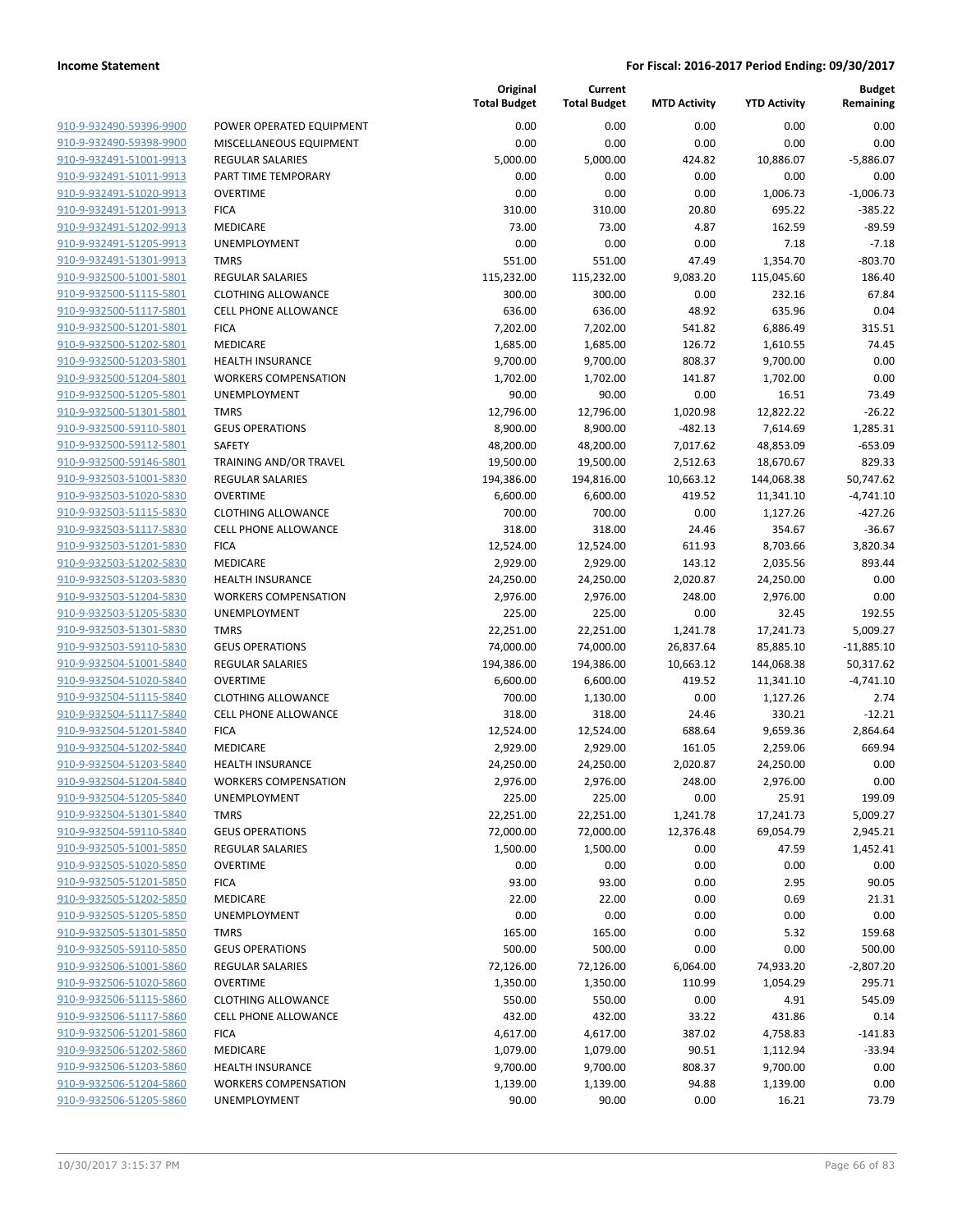| 910-9-932490-59396-9900        |
|--------------------------------|
| 910-9-932490-59398-9900        |
| 910-9-932491-51001-9913        |
| 910-9-932491-51011-9913        |
| 910-9-932491-51020-9913        |
| 910-9-932491-51201-9913        |
| 910-9-932491-51202-9913        |
| 910-9-932491-51205-9913        |
| 910-9-932491-51301-9913        |
| 910-9-932500-51001-5801        |
| 910-9-932500-51115-5801        |
| 910-9-932500-51117-5801        |
| 910-9-932500-51201-5801        |
| 910-9-932500-51202-5801        |
|                                |
| <u>910-9-932500-51203-5801</u> |
| 910-9-932500-51204-5801        |
| 910-9-932500-51205-5801        |
| 910-9-932500-51301-5801        |
| 910-9-932500-59110-5801        |
| 910-9-932500-59112-5801        |
| 910-9-932500-59146-5801        |
| 910-9-932503-51001-5830        |
| 910-9-932503-51020-5830        |
| 910-9-932503-51115-5830        |
| <u>910-9-932503-51117-5830</u> |
| 910-9-932503-51201-5830        |
| 910-9-932503-51202-5830        |
| 910-9-932503-51203-5830        |
| 910-9-932503-51204-5830        |
| 910-9-932503-51205-5830        |
| 910-9-932503-51301-5830        |
| 910-9-932503-59110-5830        |
| 910-9-932504-51001-5840        |
| 910-9-932504-51020-5840        |
|                                |
| 910-9-932504-51115-5840        |
| 910-9-932504-51117-5840        |
| 910-9-932504-51201-5840        |
| 910-9-932504-51202-5840        |
| 910-9-932504-51203-5840        |
| 910-9-932504-51204-5840        |
| 910-9-932504-51205-5840        |
| 910-9-932504-51301-5840        |
| 910-9-932504-59110-5840        |
| 910-9-932505-51001-5850        |
| <u>910-9-932505-51020-5850</u> |
| 910-9-932505-51201-5850        |
| 910-9-932505-51202-5850        |
| <u>910-9-932505-51205-5850</u> |
| 910-9-932505-51301-5850        |
| 910-9-932505-59110-5850        |
| 910-9-932506-51001-5860        |
|                                |
| 910-9-932506-51020-5860        |
| 910-9-932506-51115-5860        |
| 910-9-932506-51117-5860        |
| <u>910-9-932506-51201-5860</u> |
| 910-9-932506-51202-5860        |
| 910-9-932506-51203-5860        |
| 910-9-932506-51204-5860        |
| 910-9-932506-51205-5860        |
|                                |

|                         |                             | Original<br><b>Total Budget</b> | Current<br><b>Total Budget</b> | <b>MTD Activity</b> | <b>YTD Activity</b> | <b>Budget</b><br>Remaining |
|-------------------------|-----------------------------|---------------------------------|--------------------------------|---------------------|---------------------|----------------------------|
| 910-9-932490-59396-9900 | POWER OPERATED EQUIPMENT    | 0.00                            | 0.00                           | 0.00                | 0.00                | 0.00                       |
| 910-9-932490-59398-9900 | MISCELLANEOUS EQUIPMENT     | 0.00                            | 0.00                           | 0.00                | 0.00                | 0.00                       |
| 910-9-932491-51001-9913 | <b>REGULAR SALARIES</b>     | 5,000.00                        | 5,000.00                       | 424.82              | 10,886.07           | $-5,886.07$                |
| 910-9-932491-51011-9913 | PART TIME TEMPORARY         | 0.00                            | 0.00                           | 0.00                | 0.00                | 0.00                       |
| 910-9-932491-51020-9913 | <b>OVERTIME</b>             | 0.00                            | 0.00                           | 0.00                | 1,006.73            | $-1,006.73$                |
| 910-9-932491-51201-9913 | <b>FICA</b>                 | 310.00                          | 310.00                         | 20.80               | 695.22              | $-385.22$                  |
| 910-9-932491-51202-9913 | MEDICARE                    | 73.00                           | 73.00                          | 4.87                | 162.59              | -89.59                     |
| 910-9-932491-51205-9913 | <b>UNEMPLOYMENT</b>         | 0.00                            | 0.00                           | 0.00                | 7.18                | $-7.18$                    |
| 910-9-932491-51301-9913 | <b>TMRS</b>                 | 551.00                          | 551.00                         | 47.49               | 1,354.70            | $-803.70$                  |
| 910-9-932500-51001-5801 | <b>REGULAR SALARIES</b>     | 115,232.00                      | 115,232.00                     | 9,083.20            | 115,045.60          | 186.40                     |
| 910-9-932500-51115-5801 | <b>CLOTHING ALLOWANCE</b>   | 300.00                          | 300.00                         | 0.00                | 232.16              | 67.84                      |
| 910-9-932500-51117-5801 | CELL PHONE ALLOWANCE        | 636.00                          | 636.00                         | 48.92               | 635.96              | 0.04                       |
| 910-9-932500-51201-5801 | <b>FICA</b>                 | 7,202.00                        | 7,202.00                       | 541.82              | 6,886.49            | 315.51                     |
| 910-9-932500-51202-5801 | MEDICARE                    | 1,685.00                        | 1,685.00                       | 126.72              | 1,610.55            | 74.45                      |
| 910-9-932500-51203-5801 | <b>HEALTH INSURANCE</b>     | 9,700.00                        | 9,700.00                       | 808.37              | 9,700.00            | 0.00                       |
| 910-9-932500-51204-5801 | <b>WORKERS COMPENSATION</b> | 1,702.00                        | 1,702.00                       | 141.87              | 1,702.00            | 0.00                       |
| 910-9-932500-51205-5801 | <b>UNEMPLOYMENT</b>         | 90.00                           | 90.00                          | 0.00                | 16.51               | 73.49                      |
| 910-9-932500-51301-5801 | <b>TMRS</b>                 | 12,796.00                       | 12,796.00                      | 1,020.98            | 12,822.22           | -26.22                     |
| 910-9-932500-59110-5801 | <b>GEUS OPERATIONS</b>      | 8,900.00                        | 8,900.00                       | $-482.13$           | 7,614.69            | 1,285.31                   |
| 910-9-932500-59112-5801 | SAFETY                      | 48,200.00                       | 48,200.00                      | 7,017.62            | 48,853.09           | $-653.09$                  |
| 910-9-932500-59146-5801 | TRAINING AND/OR TRAVEL      | 19,500.00                       | 19,500.00                      | 2,512.63            | 18,670.67           | 829.33                     |
| 910-9-932503-51001-5830 | <b>REGULAR SALARIES</b>     | 194,386.00                      | 194,816.00                     | 10,663.12           | 144,068.38          | 50,747.62                  |
| 910-9-932503-51020-5830 | <b>OVERTIME</b>             | 6,600.00                        | 6,600.00                       | 419.52              | 11,341.10           | $-4,741.10$                |
| 910-9-932503-51115-5830 | <b>CLOTHING ALLOWANCE</b>   | 700.00                          | 700.00                         | 0.00                | 1,127.26            | -427.26                    |
| 910-9-932503-51117-5830 | <b>CELL PHONE ALLOWANCE</b> | 318.00                          | 318.00                         | 24.46               | 354.67              | $-36.67$                   |
| 910-9-932503-51201-5830 | <b>FICA</b>                 | 12,524.00                       | 12,524.00                      | 611.93              | 8,703.66            | 3,820.34                   |
| 910-9-932503-51202-5830 | MEDICARE                    | 2,929.00                        | 2,929.00                       | 143.12              | 2,035.56            | 893.44                     |
| 910-9-932503-51203-5830 | <b>HEALTH INSURANCE</b>     | 24,250.00                       | 24,250.00                      | 2,020.87            | 24,250.00           | 0.00                       |
| 910-9-932503-51204-5830 | <b>WORKERS COMPENSATION</b> | 2,976.00                        | 2,976.00                       | 248.00              | 2,976.00            | 0.00                       |
| 910-9-932503-51205-5830 | UNEMPLOYMENT                | 225.00                          | 225.00                         | 0.00                | 32.45               | 192.55                     |
| 910-9-932503-51301-5830 | <b>TMRS</b>                 | 22,251.00                       | 22,251.00                      | 1,241.78            | 17,241.73           | 5,009.27                   |
| 910-9-932503-59110-5830 | <b>GEUS OPERATIONS</b>      | 74,000.00                       | 74,000.00                      | 26,837.64           | 85,885.10           | $-11,885.10$               |
| 910-9-932504-51001-5840 | <b>REGULAR SALARIES</b>     | 194,386.00                      | 194,386.00                     | 10,663.12           | 144,068.38          | 50,317.62                  |
| 910-9-932504-51020-5840 | <b>OVERTIME</b>             | 6,600.00                        | 6,600.00                       | 419.52              | 11,341.10           | $-4,741.10$                |
| 910-9-932504-51115-5840 | <b>CLOTHING ALLOWANCE</b>   | 700.00                          | 1,130.00                       | 0.00                | 1,127.26            | 2.74                       |
| 910-9-932504-51117-5840 | <b>CELL PHONE ALLOWANCE</b> | 318.00                          | 318.00                         | 24.46               | 330.21              | $-12.21$                   |
| 910-9-932504-51201-5840 | <b>FICA</b>                 | 12,524.00                       | 12,524.00                      | 688.64              | 9,659.36            | 2,864.64                   |
| 910-9-932504-51202-5840 | MEDICARE                    | 2,929.00                        | 2,929.00                       | 161.05              | 2,259.06            | 669.94                     |
| 910-9-932504-51203-5840 | <b>HEALTH INSURANCE</b>     | 24,250.00                       | 24,250.00                      | 2,020.87            | 24,250.00           | 0.00                       |
| 910-9-932504-51204-5840 | <b>WORKERS COMPENSATION</b> | 2,976.00                        | 2,976.00                       | 248.00              | 2,976.00            | 0.00                       |
| 910-9-932504-51205-5840 | UNEMPLOYMENT                | 225.00                          | 225.00                         | 0.00                | 25.91               | 199.09                     |
| 910-9-932504-51301-5840 | <b>TMRS</b>                 | 22,251.00                       | 22,251.00                      | 1,241.78            | 17,241.73           | 5,009.27                   |
| 910-9-932504-59110-5840 | <b>GEUS OPERATIONS</b>      | 72,000.00                       | 72,000.00                      | 12,376.48           | 69,054.79           | 2,945.21                   |
| 910-9-932505-51001-5850 | REGULAR SALARIES            | 1,500.00                        | 1,500.00                       | 0.00                | 47.59               | 1,452.41                   |
| 910-9-932505-51020-5850 | <b>OVERTIME</b>             | 0.00                            | 0.00                           | 0.00                | 0.00                | 0.00                       |
| 910-9-932505-51201-5850 | <b>FICA</b>                 | 93.00                           | 93.00                          | 0.00                | 2.95                | 90.05                      |
| 910-9-932505-51202-5850 | MEDICARE                    | 22.00                           | 22.00                          | 0.00                | 0.69                | 21.31                      |
| 910-9-932505-51205-5850 | UNEMPLOYMENT                | 0.00                            | 0.00                           | 0.00                | 0.00                | 0.00                       |
| 910-9-932505-51301-5850 | <b>TMRS</b>                 | 165.00                          | 165.00                         | 0.00                | 5.32                | 159.68                     |
| 910-9-932505-59110-5850 | <b>GEUS OPERATIONS</b>      | 500.00                          | 500.00                         | 0.00                | 0.00                | 500.00                     |
| 910-9-932506-51001-5860 | REGULAR SALARIES            | 72,126.00                       | 72,126.00                      | 6,064.00            | 74,933.20           | $-2,807.20$                |
| 910-9-932506-51020-5860 | <b>OVERTIME</b>             | 1,350.00                        | 1,350.00                       | 110.99              | 1,054.29            | 295.71                     |
| 910-9-932506-51115-5860 | <b>CLOTHING ALLOWANCE</b>   | 550.00                          | 550.00                         | 0.00                | 4.91                | 545.09                     |
| 910-9-932506-51117-5860 | <b>CELL PHONE ALLOWANCE</b> | 432.00                          | 432.00                         | 33.22               | 431.86              | 0.14                       |
| 910-9-932506-51201-5860 | <b>FICA</b>                 | 4,617.00                        | 4,617.00                       | 387.02              | 4,758.83            | $-141.83$                  |
| 910-9-932506-51202-5860 | MEDICARE                    | 1,079.00                        | 1,079.00                       | 90.51               | 1,112.94            | $-33.94$                   |
| 910-9-932506-51203-5860 | <b>HEALTH INSURANCE</b>     | 9,700.00                        | 9,700.00                       | 808.37              | 9,700.00            | 0.00                       |
| 910-9-932506-51204-5860 | <b>WORKERS COMPENSATION</b> | 1,139.00                        | 1,139.00                       | 94.88               | 1,139.00            | 0.00                       |
| 910-9-932506-51205-5860 | UNEMPLOYMENT                | 90.00                           | 90.00                          | 0.00                | 16.21               | 73.79                      |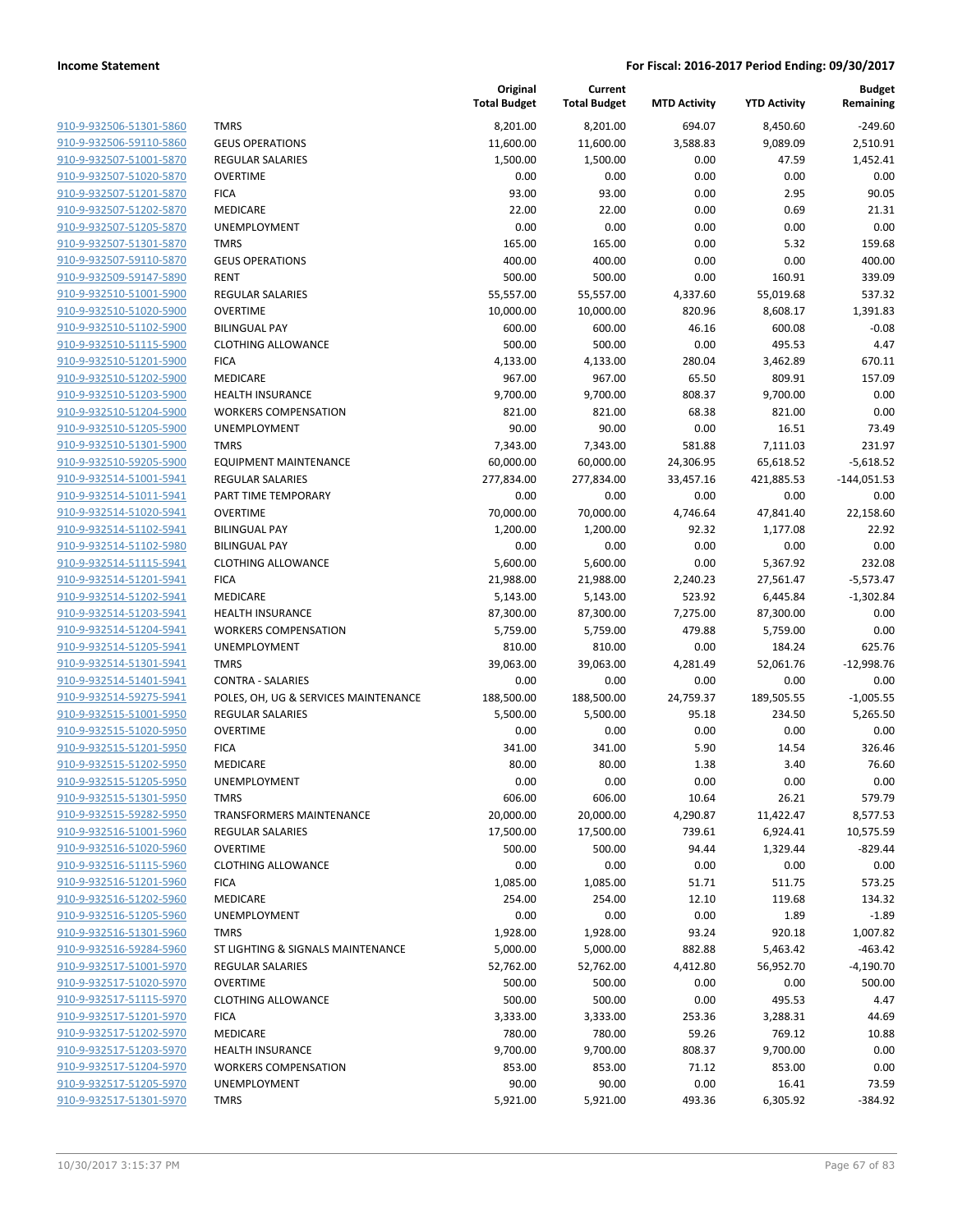| 910-9-932506-51301-5860        |
|--------------------------------|
| 910-9-932506-59110-5860        |
| 910-9-932507-51001-5870        |
| 910-9-932507-51020-5870        |
| 910-9-932507-51201-5870        |
| 910-9-932507-51202-5870        |
| 910-9-932507-51205-5870        |
| 910-9-932507-51301-5870        |
| 910-9-932507-59110-5870        |
| 910-9-932509-59147-5890        |
| 910-9-932510-51001-5900        |
| 910-9-932510-51020-5900        |
| 910-9-932510-51102-5900        |
| 910-9-932510-51115-5900        |
| 910-9-932510-51201-5900        |
| 910-9-932510-51202-5900        |
| 910-9-932510-51203-5900        |
| 910-9-932510-51204-5900        |
| 910-9-932510-51205-5900        |
| 910-9-932510-51301-5900        |
| 910-9-932510-59205-5900        |
|                                |
| 910-9-932514-51001-5941        |
| 910-9-932514-51011-5941        |
| 910-9-932514-51020-5941        |
| 910-9-932514-51102-5941        |
| 910-9-932514-51102-5980        |
| 910-9-932514-51115-5941        |
| 910-9-932514-51201-5941        |
| 910-9-932514-51202-5941        |
| 910-9-932514-51203-5941        |
| 910-9-932514-51204-5941        |
| 910-9-932514-51205-5941        |
| 910-9-932514-51301-5941        |
| 910-9-932514-51401-5941        |
| 910-9-932514-59275-5941        |
| 910-9-932515-51001-5950        |
| 910-9-932515-51020-5950        |
| 910-9-932515-51201-5950        |
| 910-9-932515-51202-5950        |
| 910-9-932515-51205-5950        |
| 910-9-932515-51301-5950        |
| <u>910-9-932515-59282-5950</u> |
| 910-9-932516-51001-5960        |
| 910-9-932516-51020-5960        |
| 910-9-932516-51115-5960        |
| <u>910-9-932516-51201-5960</u> |
| 910-9-932516-51202-5960        |
| 910-9-932516-51205-5960        |
| 910-9-932516-51301-5960        |
| 910-9-932516-59284-5960        |
| 910-9-932517-51001-5970        |
| 910-9-932517-51020-5970        |
| 910-9-932517-51115-5970        |
| 910-9-932517-51201-5970        |
| 910-9-932517-51202-5970        |
| <u>910-9-932517-51203-5970</u> |
| 910-9-932517-51204-5970        |
| 910-9-932517-51205-5970        |
| 910-9-932517-51301-5970        |
|                                |

|                                                    |                                      | Original<br><b>Total Budget</b> | Current<br><b>Total Budget</b> | <b>MTD Activity</b> | <b>YTD Activity</b>   | <b>Budget</b><br>Remaining |
|----------------------------------------------------|--------------------------------------|---------------------------------|--------------------------------|---------------------|-----------------------|----------------------------|
| 910-9-932506-51301-5860                            | <b>TMRS</b>                          | 8,201.00                        | 8,201.00                       | 694.07              | 8,450.60              | $-249.60$                  |
| 910-9-932506-59110-5860                            | <b>GEUS OPERATIONS</b>               | 11,600.00                       | 11,600.00                      | 3,588.83            | 9,089.09              | 2,510.91                   |
| 910-9-932507-51001-5870                            | <b>REGULAR SALARIES</b>              | 1,500.00                        | 1,500.00                       | 0.00                | 47.59                 | 1,452.41                   |
| 910-9-932507-51020-5870                            | <b>OVERTIME</b>                      | 0.00                            | 0.00                           | 0.00                | 0.00                  | 0.00                       |
| 910-9-932507-51201-5870                            | <b>FICA</b>                          | 93.00                           | 93.00                          | 0.00                | 2.95                  | 90.05                      |
| 910-9-932507-51202-5870                            | MEDICARE                             | 22.00                           | 22.00                          | 0.00                | 0.69                  | 21.31                      |
| 910-9-932507-51205-5870                            | UNEMPLOYMENT                         | 0.00                            | 0.00                           | 0.00                | 0.00                  | 0.00                       |
| 910-9-932507-51301-5870                            | <b>TMRS</b>                          | 165.00                          | 165.00                         | 0.00                | 5.32                  | 159.68                     |
| 910-9-932507-59110-5870                            | <b>GEUS OPERATIONS</b>               | 400.00                          | 400.00                         | 0.00                | 0.00                  | 400.00                     |
| 910-9-932509-59147-5890                            | <b>RENT</b>                          | 500.00                          | 500.00                         | 0.00                | 160.91                | 339.09                     |
| 910-9-932510-51001-5900                            | <b>REGULAR SALARIES</b>              | 55,557.00                       | 55,557.00                      | 4,337.60            | 55,019.68             | 537.32                     |
| 910-9-932510-51020-5900                            | <b>OVERTIME</b>                      | 10,000.00                       | 10,000.00                      | 820.96              | 8,608.17              | 1,391.83                   |
| 910-9-932510-51102-5900                            | <b>BILINGUAL PAY</b>                 | 600.00                          | 600.00                         | 46.16               | 600.08                | $-0.08$                    |
| 910-9-932510-51115-5900                            | <b>CLOTHING ALLOWANCE</b>            | 500.00                          | 500.00                         | 0.00                | 495.53                | 4.47                       |
| 910-9-932510-51201-5900                            | <b>FICA</b>                          | 4,133.00                        | 4,133.00                       | 280.04              | 3,462.89              | 670.11                     |
| 910-9-932510-51202-5900                            | MEDICARE                             | 967.00                          | 967.00                         | 65.50               | 809.91                | 157.09                     |
| 910-9-932510-51203-5900                            | <b>HEALTH INSURANCE</b>              | 9,700.00                        | 9,700.00                       | 808.37              | 9,700.00              | 0.00                       |
| 910-9-932510-51204-5900                            | <b>WORKERS COMPENSATION</b>          | 821.00                          | 821.00                         | 68.38               | 821.00                | 0.00                       |
| 910-9-932510-51205-5900                            | UNEMPLOYMENT                         | 90.00                           | 90.00                          | 0.00                | 16.51                 | 73.49                      |
| 910-9-932510-51301-5900                            | <b>TMRS</b>                          | 7,343.00                        | 7,343.00                       | 581.88              | 7,111.03              | 231.97                     |
| 910-9-932510-59205-5900                            | <b>EQUIPMENT MAINTENANCE</b>         | 60,000.00                       | 60,000.00                      | 24,306.95           | 65,618.52             | $-5,618.52$                |
| 910-9-932514-51001-5941                            | <b>REGULAR SALARIES</b>              | 277,834.00                      | 277,834.00                     | 33,457.16           | 421,885.53            | $-144,051.53$              |
| 910-9-932514-51011-5941                            | PART TIME TEMPORARY                  | 0.00                            | 0.00                           | 0.00                | 0.00                  | 0.00                       |
| 910-9-932514-51020-5941                            | <b>OVERTIME</b>                      | 70,000.00                       | 70,000.00                      | 4,746.64            | 47,841.40             | 22,158.60                  |
| 910-9-932514-51102-5941                            | <b>BILINGUAL PAY</b>                 | 1,200.00                        | 1,200.00                       | 92.32               | 1,177.08              | 22.92                      |
| 910-9-932514-51102-5980                            | <b>BILINGUAL PAY</b>                 | 0.00                            | 0.00                           | 0.00                | 0.00                  | 0.00                       |
| 910-9-932514-51115-5941                            | <b>CLOTHING ALLOWANCE</b>            | 5,600.00                        | 5,600.00                       | 0.00                | 5,367.92              | 232.08                     |
| 910-9-932514-51201-5941                            | <b>FICA</b>                          | 21,988.00                       | 21,988.00                      | 2,240.23            | 27,561.47             | $-5,573.47$                |
| 910-9-932514-51202-5941<br>910-9-932514-51203-5941 | MEDICARE<br><b>HEALTH INSURANCE</b>  | 5,143.00                        | 5,143.00                       | 523.92              | 6,445.84              | $-1,302.84$                |
| 910-9-932514-51204-5941                            | <b>WORKERS COMPENSATION</b>          | 87,300.00<br>5,759.00           | 87,300.00<br>5,759.00          | 7,275.00<br>479.88  | 87,300.00<br>5,759.00 | 0.00<br>0.00               |
| 910-9-932514-51205-5941                            | UNEMPLOYMENT                         | 810.00                          | 810.00                         | 0.00                | 184.24                | 625.76                     |
| 910-9-932514-51301-5941                            | <b>TMRS</b>                          | 39,063.00                       | 39,063.00                      | 4,281.49            | 52,061.76             | $-12,998.76$               |
| 910-9-932514-51401-5941                            | <b>CONTRA - SALARIES</b>             | 0.00                            | 0.00                           | 0.00                | 0.00                  | 0.00                       |
| 910-9-932514-59275-5941                            | POLES, OH, UG & SERVICES MAINTENANCE | 188,500.00                      | 188,500.00                     | 24,759.37           | 189,505.55            | $-1,005.55$                |
| 910-9-932515-51001-5950                            | <b>REGULAR SALARIES</b>              | 5,500.00                        | 5,500.00                       | 95.18               | 234.50                | 5,265.50                   |
| 910-9-932515-51020-5950                            | <b>OVERTIME</b>                      | 0.00                            | 0.00                           | 0.00                | 0.00                  | 0.00                       |
| 910-9-932515-51201-5950                            | <b>FICA</b>                          | 341.00                          | 341.00                         | 5.90                | 14.54                 | 326.46                     |
| 910-9-932515-51202-5950                            | MEDICARE                             | 80.00                           | 80.00                          | 1.38                | 3.40                  | 76.60                      |
| 910-9-932515-51205-5950                            | UNEMPLOYMENT                         | 0.00                            | 0.00                           | 0.00                | 0.00                  | 0.00                       |
| 910-9-932515-51301-5950                            | <b>TMRS</b>                          | 606.00                          | 606.00                         | 10.64               | 26.21                 | 579.79                     |
| 910-9-932515-59282-5950                            | <b>TRANSFORMERS MAINTENANCE</b>      | 20,000.00                       | 20,000.00                      | 4,290.87            | 11,422.47             | 8,577.53                   |
| 910-9-932516-51001-5960                            | <b>REGULAR SALARIES</b>              | 17,500.00                       | 17,500.00                      | 739.61              | 6,924.41              | 10,575.59                  |
| 910-9-932516-51020-5960                            | <b>OVERTIME</b>                      | 500.00                          | 500.00                         | 94.44               | 1,329.44              | $-829.44$                  |
| 910-9-932516-51115-5960                            | <b>CLOTHING ALLOWANCE</b>            | 0.00                            | 0.00                           | 0.00                | 0.00                  | 0.00                       |
| 910-9-932516-51201-5960                            | <b>FICA</b>                          | 1,085.00                        | 1,085.00                       | 51.71               | 511.75                | 573.25                     |
| 910-9-932516-51202-5960                            | MEDICARE                             | 254.00                          | 254.00                         | 12.10               | 119.68                | 134.32                     |
| 910-9-932516-51205-5960                            | <b>UNEMPLOYMENT</b>                  | 0.00                            | 0.00                           | 0.00                | 1.89                  | $-1.89$                    |
| 910-9-932516-51301-5960                            | <b>TMRS</b>                          | 1,928.00                        | 1,928.00                       | 93.24               | 920.18                | 1,007.82                   |
| 910-9-932516-59284-5960                            | ST LIGHTING & SIGNALS MAINTENANCE    | 5,000.00                        | 5,000.00                       | 882.88              | 5,463.42              | $-463.42$                  |
| 910-9-932517-51001-5970                            | <b>REGULAR SALARIES</b>              | 52,762.00                       | 52,762.00                      | 4,412.80            | 56,952.70             | $-4,190.70$                |
| 910-9-932517-51020-5970                            | <b>OVERTIME</b>                      | 500.00                          | 500.00                         | 0.00                | 0.00                  | 500.00                     |
| 910-9-932517-51115-5970                            | <b>CLOTHING ALLOWANCE</b>            | 500.00                          | 500.00                         | 0.00                | 495.53                | 4.47                       |
| 910-9-932517-51201-5970                            | <b>FICA</b>                          | 3,333.00                        | 3,333.00                       | 253.36              | 3,288.31              | 44.69                      |
| 910-9-932517-51202-5970                            | MEDICARE                             | 780.00                          | 780.00                         | 59.26               | 769.12                | 10.88                      |
| 910-9-932517-51203-5970                            | <b>HEALTH INSURANCE</b>              | 9,700.00                        | 9,700.00                       | 808.37              | 9,700.00              | 0.00                       |
| 910-9-932517-51204-5970                            | <b>WORKERS COMPENSATION</b>          | 853.00                          | 853.00                         | 71.12               | 853.00                | 0.00                       |
| 910-9-932517-51205-5970                            | UNEMPLOYMENT                         | 90.00                           | 90.00                          | 0.00                | 16.41                 | 73.59                      |
| 910-9-932517-51301-5970                            | <b>TMRS</b>                          | 5,921.00                        | 5,921.00                       | 493.36              | 6,305.92              | $-384.92$                  |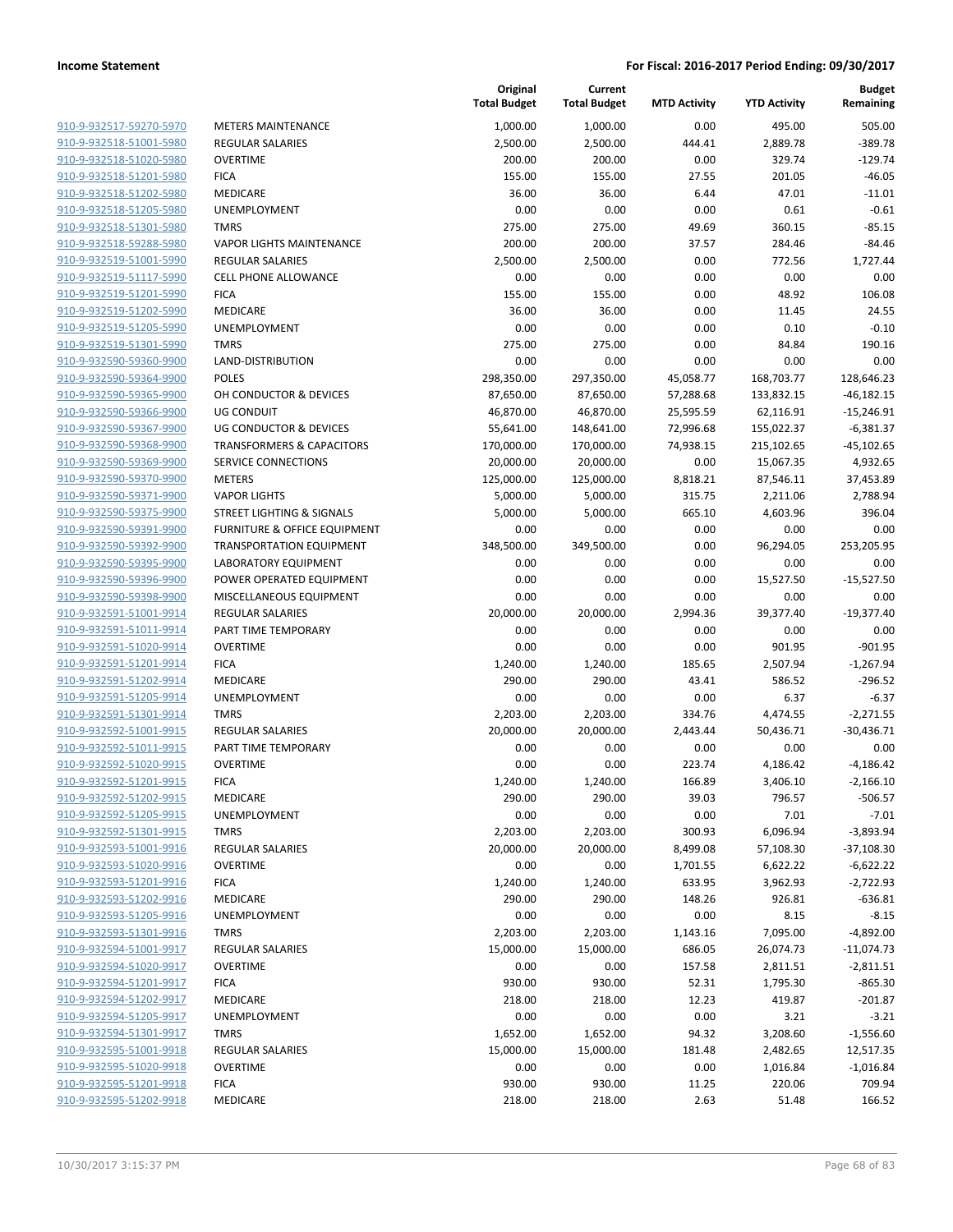| 910-9-932517-59270-5970        |
|--------------------------------|
| 910-9-932518-51001-5980        |
| 910-9-932518-51020-5980        |
| 910-9-932518-51201-5980        |
| <u>910-9-932518-51202-5980</u> |
| 910-9-932518-51205-5980        |
| 910-9-932518-51301-5980        |
| 910-9-932518-59288-5980        |
| 910-9-932519-51001-5990        |
| 910-9-932519-51117-5990        |
| 910-9-932519-51201-5990        |
| 910-9-932519-51202-5990        |
| 910-9-932519-51205-5990        |
| 910-9-932519-51301-5990        |
| <u>910-9-932590-59360-9900</u> |
| 910-9-932590-59364-9900        |
| 910-9-932590-59365-9900        |
| 910-9-932590-59366-9900        |
| 910-9-932590-59367-9900        |
| <u>910-9-932590-59368-9900</u> |
| 910-9-932590-59369-9900        |
| 910-9-932590-59370-9900        |
| 910-9-932590-59371-9900        |
| 910-9-932590-59375-9900        |
| <u>910-9-932590-59391-9900</u> |
| 910-9-932590-59392-9900        |
| 910-9-932590-59395-9900        |
| 910-9-932590-59396-9900        |
| <u>910-9-932590-59398-9900</u> |
| <u>910-9-932591-51001-9914</u> |
| 910-9-932591-51011-9914        |
| 910-9-932591-51020-9914        |
| 910-9-932591-51201-9914        |
| 910-9-932591-51202-9914        |
|                                |
| <u>910-9-932591-51205-9914</u> |
| 910-9-932591-51301-9914        |
| 910-9-932592-51001-9915        |
| 910-9-932592-51011-9915        |
| 910-9-932592-51020-9915        |
| 910-9-932592-51201-9915        |
| 910-9-932592-51202-9915        |
| 910-9-932592-51205-9915        |
| 910-9-932592-51301-9915        |
| 910-9-932593-51001-9916        |
| 910-9-932593-51020-9916        |
| 910-9-932593-51201-9916        |
| 910-9-932593-51202-9916        |
| 910-9-932593-51205-9916        |
| 910-9-932593-51301-9916        |
| 910-9-932594-51001-9917        |
| <u>910-9-932594-51020-9917</u> |
| 910-9-932594-51201-9917        |
| 910-9-932594-51202-9917        |
| <u>910-9-932594-51205-9917</u> |
| 910-9-932594-51301-9917        |
| 910-9-932595-51001-9918        |
| 910-9-932595-51020-9918        |
| 910-9-932595-51201-9918        |
| 910-9-932595-51202-9918        |
|                                |

|                                                    |                                         | Original<br><b>Total Budget</b> | Current<br><b>Total Budget</b> | <b>MTD Activity</b> | <b>YTD Activity</b>   | <b>Budget</b><br>Remaining  |
|----------------------------------------------------|-----------------------------------------|---------------------------------|--------------------------------|---------------------|-----------------------|-----------------------------|
| 910-9-932517-59270-5970                            | <b>METERS MAINTENANCE</b>               | 1,000.00                        | 1,000.00                       | 0.00                | 495.00                | 505.00                      |
| 910-9-932518-51001-5980                            | <b>REGULAR SALARIES</b>                 | 2,500.00                        | 2,500.00                       | 444.41              | 2,889.78              | $-389.78$                   |
| 910-9-932518-51020-5980                            | <b>OVERTIME</b>                         | 200.00                          | 200.00                         | 0.00                | 329.74                | $-129.74$                   |
| 910-9-932518-51201-5980                            | <b>FICA</b>                             | 155.00                          | 155.00                         | 27.55               | 201.05                | $-46.05$                    |
| 910-9-932518-51202-5980                            | <b>MEDICARE</b>                         | 36.00                           | 36.00                          | 6.44                | 47.01                 | $-11.01$                    |
| 910-9-932518-51205-5980                            | UNEMPLOYMENT                            | 0.00                            | 0.00                           | 0.00                | 0.61                  | $-0.61$                     |
| 910-9-932518-51301-5980                            | <b>TMRS</b>                             | 275.00                          | 275.00                         | 49.69               | 360.15                | $-85.15$                    |
| 910-9-932518-59288-5980                            | <b>VAPOR LIGHTS MAINTENANCE</b>         | 200.00                          | 200.00                         | 37.57               | 284.46                | $-84.46$                    |
| 910-9-932519-51001-5990                            | <b>REGULAR SALARIES</b>                 | 2,500.00                        | 2,500.00                       | 0.00                | 772.56                | 1,727.44                    |
| 910-9-932519-51117-5990                            | <b>CELL PHONE ALLOWANCE</b>             | 0.00                            | 0.00                           | 0.00                | 0.00                  | 0.00                        |
| 910-9-932519-51201-5990                            | <b>FICA</b>                             | 155.00                          | 155.00                         | 0.00                | 48.92                 | 106.08                      |
| 910-9-932519-51202-5990                            | MEDICARE                                | 36.00                           | 36.00                          | 0.00                | 11.45                 | 24.55                       |
| 910-9-932519-51205-5990                            | UNEMPLOYMENT                            | 0.00                            | 0.00                           | 0.00                | 0.10                  | $-0.10$                     |
| 910-9-932519-51301-5990                            | <b>TMRS</b>                             | 275.00                          | 275.00                         | 0.00                | 84.84                 | 190.16                      |
| 910-9-932590-59360-9900                            | LAND-DISTRIBUTION                       | 0.00                            | 0.00                           | 0.00                | 0.00                  | 0.00                        |
| 910-9-932590-59364-9900                            | <b>POLES</b>                            | 298,350.00                      | 297,350.00                     | 45,058.77           | 168,703.77            | 128,646.23                  |
| 910-9-932590-59365-9900                            | OH CONDUCTOR & DEVICES                  | 87,650.00                       | 87,650.00                      | 57,288.68           | 133,832.15            | $-46,182.15$                |
| 910-9-932590-59366-9900                            | <b>UG CONDUIT</b>                       | 46,870.00                       | 46,870.00                      | 25,595.59           | 62,116.91             | $-15,246.91$                |
| 910-9-932590-59367-9900                            | <b>UG CONDUCTOR &amp; DEVICES</b>       | 55,641.00                       | 148,641.00                     | 72,996.68           | 155,022.37            | $-6,381.37$                 |
| 910-9-932590-59368-9900                            | <b>TRANSFORMERS &amp; CAPACITORS</b>    | 170,000.00                      | 170,000.00                     | 74,938.15           | 215,102.65            | $-45,102.65$                |
| 910-9-932590-59369-9900                            | SERVICE CONNECTIONS                     | 20,000.00                       | 20,000.00                      | 0.00                | 15,067.35             | 4,932.65                    |
| 910-9-932590-59370-9900                            | <b>METERS</b>                           | 125,000.00                      | 125,000.00                     | 8,818.21            | 87,546.11             | 37,453.89                   |
| 910-9-932590-59371-9900                            | <b>VAPOR LIGHTS</b>                     | 5,000.00                        | 5,000.00                       | 315.75              | 2,211.06              | 2,788.94                    |
| 910-9-932590-59375-9900                            | <b>STREET LIGHTING &amp; SIGNALS</b>    | 5,000.00                        | 5,000.00                       | 665.10              | 4,603.96              | 396.04                      |
| 910-9-932590-59391-9900                            | <b>FURNITURE &amp; OFFICE EQUIPMENT</b> | 0.00                            | 0.00                           | 0.00                | 0.00                  | 0.00                        |
| 910-9-932590-59392-9900                            | <b>TRANSPORTATION EQUIPMENT</b>         | 348,500.00                      | 349,500.00                     | 0.00                | 96,294.05             | 253,205.95                  |
| 910-9-932590-59395-9900                            | LABORATORY EQUIPMENT                    | 0.00                            | 0.00                           | 0.00                | 0.00                  | 0.00                        |
| 910-9-932590-59396-9900                            | POWER OPERATED EQUIPMENT                | 0.00                            | 0.00                           | 0.00                | 15,527.50             | $-15,527.50$                |
| 910-9-932590-59398-9900                            | MISCELLANEOUS EQUIPMENT                 | 0.00                            | 0.00                           | 0.00                | 0.00                  | 0.00                        |
| 910-9-932591-51001-9914                            | <b>REGULAR SALARIES</b>                 | 20,000.00                       | 20,000.00                      | 2,994.36            | 39,377.40             | $-19,377.40$                |
| 910-9-932591-51011-9914                            | PART TIME TEMPORARY                     | 0.00                            | 0.00                           | 0.00                | 0.00                  | 0.00                        |
| 910-9-932591-51020-9914                            | <b>OVERTIME</b>                         | 0.00                            | 0.00                           | 0.00                | 901.95                | $-901.95$                   |
| 910-9-932591-51201-9914                            | <b>FICA</b>                             | 1,240.00                        | 1,240.00                       | 185.65              | 2,507.94              | $-1,267.94$                 |
| 910-9-932591-51202-9914                            | <b>MEDICARE</b>                         | 290.00                          | 290.00                         | 43.41               | 586.52                | $-296.52$                   |
| 910-9-932591-51205-9914                            | UNEMPLOYMENT                            | 0.00                            | 0.00                           | 0.00                | 6.37                  | $-6.37$                     |
| 910-9-932591-51301-9914                            | <b>TMRS</b>                             | 2,203.00                        | 2,203.00                       | 334.76              | 4,474.55              | $-2,271.55$                 |
| 910-9-932592-51001-9915                            | REGULAR SALARIES                        | 20,000.00                       | 20,000.00                      | 2,443.44            | 50,436.71             | $-30,436.71$                |
| 910-9-932592-51011-9915<br>910-9-932592-51020-9915 | PART TIME TEMPORARY                     | 0.00                            | 0.00                           | 0.00                | 0.00                  | 0.00                        |
|                                                    | <b>OVERTIME</b>                         | 0.00                            | 0.00                           | 223.74              | 4,186.42              | $-4,186.42$                 |
| 910-9-932592-51201-9915                            | <b>FICA</b>                             | 1,240.00                        | 1,240.00                       | 166.89              | 3,406.10              | $-2,166.10$<br>$-506.57$    |
| 910-9-932592-51202-9915                            | MEDICARE                                | 290.00                          | 290.00                         | 39.03               | 796.57                |                             |
| 910-9-932592-51205-9915<br>910-9-932592-51301-9915 | UNEMPLOYMENT<br><b>TMRS</b>             | 0.00                            | 0.00                           | 0.00                | 7.01                  | $-7.01$                     |
| 910-9-932593-51001-9916                            | <b>REGULAR SALARIES</b>                 | 2,203.00<br>20,000.00           | 2,203.00<br>20,000.00          | 300.93<br>8,499.08  | 6,096.94              | $-3,893.94$<br>$-37,108.30$ |
| 910-9-932593-51020-9916                            | <b>OVERTIME</b>                         | 0.00                            | 0.00                           | 1,701.55            | 57,108.30<br>6,622.22 | $-6,622.22$                 |
| 910-9-932593-51201-9916                            | <b>FICA</b>                             | 1,240.00                        | 1,240.00                       | 633.95              | 3,962.93              | $-2,722.93$                 |
| 910-9-932593-51202-9916                            | MEDICARE                                | 290.00                          | 290.00                         | 148.26              | 926.81                | $-636.81$                   |
| 910-9-932593-51205-9916                            | UNEMPLOYMENT                            | 0.00                            | 0.00                           | 0.00                | 8.15                  | $-8.15$                     |
| 910-9-932593-51301-9916                            | <b>TMRS</b>                             | 2,203.00                        | 2,203.00                       | 1,143.16            | 7,095.00              | $-4,892.00$                 |
| 910-9-932594-51001-9917                            | <b>REGULAR SALARIES</b>                 | 15,000.00                       | 15,000.00                      | 686.05              | 26,074.73             | $-11,074.73$                |
| 910-9-932594-51020-9917                            | <b>OVERTIME</b>                         | 0.00                            | 0.00                           | 157.58              | 2,811.51              | $-2,811.51$                 |
| 910-9-932594-51201-9917                            | <b>FICA</b>                             | 930.00                          | 930.00                         | 52.31               | 1,795.30              | $-865.30$                   |
| 910-9-932594-51202-9917                            | MEDICARE                                | 218.00                          | 218.00                         | 12.23               | 419.87                | $-201.87$                   |
| 910-9-932594-51205-9917                            | UNEMPLOYMENT                            | 0.00                            | 0.00                           | 0.00                | 3.21                  | $-3.21$                     |
| 910-9-932594-51301-9917                            | <b>TMRS</b>                             | 1,652.00                        | 1,652.00                       | 94.32               | 3,208.60              | $-1,556.60$                 |
| 910-9-932595-51001-9918                            | <b>REGULAR SALARIES</b>                 | 15,000.00                       | 15,000.00                      | 181.48              |                       | 12,517.35                   |
| 910-9-932595-51020-9918                            | <b>OVERTIME</b>                         |                                 |                                | 0.00                | 2,482.65              |                             |
| 910-9-932595-51201-9918                            | <b>FICA</b>                             | 0.00<br>930.00                  | 0.00<br>930.00                 | 11.25               | 1,016.84<br>220.06    | $-1,016.84$<br>709.94       |
| 910-9-932595-51202-9918                            |                                         | 218.00                          |                                |                     |                       |                             |
|                                                    | MEDICARE                                |                                 | 218.00                         | 2.63                | 51.48                 | 166.52                      |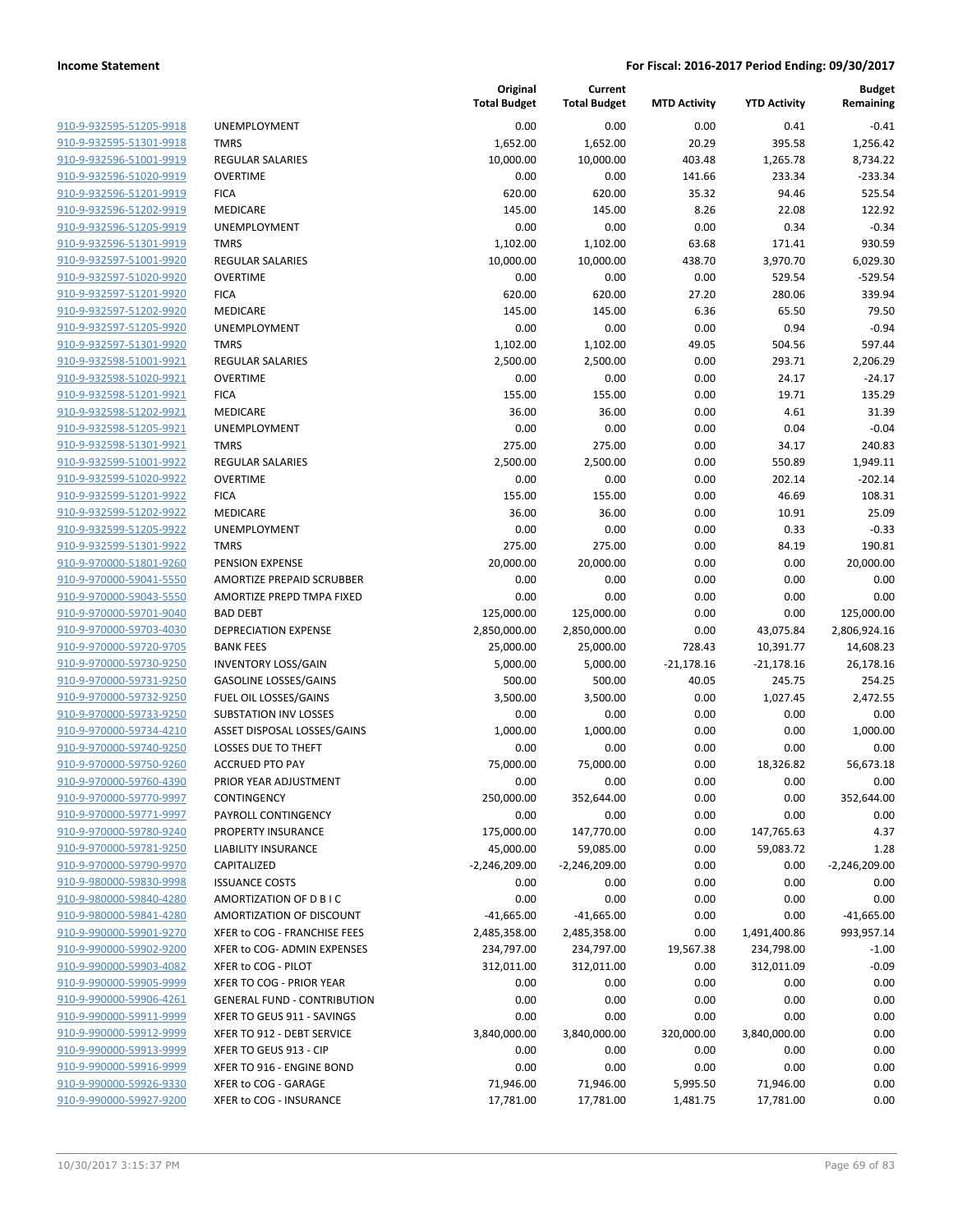| 910-9-932595-51205-9918        |
|--------------------------------|
| 910-9-932595-51301-9918        |
| 910-9-932596-51001-9919        |
| 910-9-932596-51020-9919        |
| <u>910-9-932596-51201-9919</u> |
| <u>910-9-932596-51202-9919</u> |
| 910-9-932596-51205-9919        |
| 910-9-932596-51301-9919        |
|                                |
| 910-9-932597-51001-9920        |
| 910-9-932597-51020-9920        |
| 910-9-932597-51201-9920        |
| 910-9-932597-51202-9920        |
| 910-9-932597-51205-9920        |
| 910-9-932597-51301-9920        |
| <u>910-9-932598-51001-9921</u> |
| 910-9-932598-51020-9921        |
| 910-9-932598-51201-9921        |
| 910-9-932598-51202-9921        |
| 910-9-932598-51205-9921        |
| <u>910-9-932598-51301-9921</u> |
| 910-9-932599-51001-9922        |
| 910-9-932599-51020-9922        |
| 910-9-932599-51201-9922        |
| 910-9-932599-51202-9922        |
| <u>910-9-932599-51205-9922</u> |
| 910-9-932599-51301-9922        |
| 910-9-970000-51801-9260        |
|                                |
| 910-9-970000-59041-5550        |
| 910-9-970000-59043-5550        |
| 910-9-970000-59701-9040        |
| 910-9-970000-59703-4030        |
| 910-9-970000-59720-9705        |
| 910-9-970000-59730-9250        |
| 910-9-970000-59731-9250        |
| 910-9-970000-59732-9250        |
| 910-9-970000-59733-9250        |
| 910-9-970000-59734-4210        |
| 910-9-970000-59740-9250        |
| 910-9-970000-59750-9260        |
| 910-9-970000-59760-4390        |
| 910-9-970000-59770-9997        |
| 910-9-970000-59771-9997        |
| 910-9-970000-59780-9240        |
| 910-9-970000-59781-9250        |
| 910-9-970000-59790-9970        |
| 910-9-980000-59830-9998        |
| 910-9-980000-59840-4280        |
|                                |
| 910-9-980000-59841-4280        |
| 910-9-990000-59901-9270        |
| <u>910-9-990000-59902-9200</u> |
| 910-9-990000-59903-4082        |
| 910-9-990000-59905-9999        |
| 910-9-990000-59906-4261        |
| 910-9-990000-59911-9999        |
| 910-9-990000-59912-9999        |
| 910-9-990000-59913-9999        |
| <u>910-9-990000-59916-9999</u> |
| 910-9-990000-59926-9330        |
| 910-9-990000-59927-9200        |
|                                |

|                                                    |                                    | Original<br><b>Total Budget</b> | Current<br><b>Total Budget</b> | <b>MTD Activity</b> | <b>YTD Activity</b> | <b>Budget</b><br>Remaining |
|----------------------------------------------------|------------------------------------|---------------------------------|--------------------------------|---------------------|---------------------|----------------------------|
| 910-9-932595-51205-9918                            | UNEMPLOYMENT                       | 0.00                            | 0.00                           | 0.00                | 0.41                | $-0.41$                    |
| 910-9-932595-51301-9918                            | <b>TMRS</b>                        | 1,652.00                        | 1,652.00                       | 20.29               | 395.58              | 1,256.42                   |
| 910-9-932596-51001-9919                            | <b>REGULAR SALARIES</b>            | 10,000.00                       | 10,000.00                      | 403.48              | 1,265.78            | 8,734.22                   |
| 910-9-932596-51020-9919                            | <b>OVERTIME</b>                    | 0.00                            | 0.00                           | 141.66              | 233.34              | $-233.34$                  |
| 910-9-932596-51201-9919                            | <b>FICA</b>                        | 620.00                          | 620.00                         | 35.32               | 94.46               | 525.54                     |
| 910-9-932596-51202-9919                            | MEDICARE                           | 145.00                          | 145.00                         | 8.26                | 22.08               | 122.92                     |
| 910-9-932596-51205-9919                            | <b>UNEMPLOYMENT</b>                | 0.00                            | 0.00                           | 0.00                | 0.34                | $-0.34$                    |
| 910-9-932596-51301-9919                            | <b>TMRS</b>                        | 1,102.00                        | 1,102.00                       | 63.68               | 171.41              | 930.59                     |
| 910-9-932597-51001-9920                            | REGULAR SALARIES                   | 10,000.00                       | 10,000.00                      | 438.70              | 3,970.70            | 6,029.30                   |
| 910-9-932597-51020-9920                            | <b>OVERTIME</b>                    | 0.00                            | 0.00                           | 0.00                | 529.54              | $-529.54$                  |
| 910-9-932597-51201-9920                            | <b>FICA</b>                        | 620.00                          | 620.00                         | 27.20               | 280.06              | 339.94                     |
| 910-9-932597-51202-9920                            | MEDICARE                           | 145.00                          | 145.00                         | 6.36                | 65.50               | 79.50                      |
| 910-9-932597-51205-9920                            | UNEMPLOYMENT                       | 0.00                            | 0.00                           | 0.00                | 0.94                | $-0.94$                    |
| 910-9-932597-51301-9920                            | <b>TMRS</b>                        | 1,102.00                        | 1,102.00                       | 49.05               | 504.56              | 597.44                     |
| 910-9-932598-51001-9921                            | REGULAR SALARIES                   | 2,500.00                        | 2,500.00                       | 0.00                | 293.71              | 2,206.29                   |
| 910-9-932598-51020-9921                            | <b>OVERTIME</b>                    | 0.00                            | 0.00                           | 0.00                | 24.17               | $-24.17$                   |
| 910-9-932598-51201-9921                            | <b>FICA</b>                        | 155.00                          | 155.00                         | 0.00                | 19.71               | 135.29                     |
| 910-9-932598-51202-9921                            | MEDICARE                           | 36.00                           | 36.00                          | 0.00                | 4.61                | 31.39                      |
| 910-9-932598-51205-9921                            | UNEMPLOYMENT                       | 0.00                            | 0.00                           | 0.00                | 0.04                | $-0.04$                    |
| 910-9-932598-51301-9921                            | <b>TMRS</b>                        | 275.00                          | 275.00                         | 0.00                | 34.17               | 240.83                     |
| 910-9-932599-51001-9922                            | <b>REGULAR SALARIES</b>            | 2,500.00                        | 2,500.00                       | 0.00                | 550.89              | 1,949.11                   |
| 910-9-932599-51020-9922                            | <b>OVERTIME</b>                    | 0.00                            | 0.00                           | 0.00                | 202.14              | $-202.14$                  |
| 910-9-932599-51201-9922                            | <b>FICA</b>                        | 155.00                          | 155.00                         | 0.00                | 46.69               | 108.31                     |
| 910-9-932599-51202-9922<br>910-9-932599-51205-9922 | MEDICARE                           | 36.00                           | 36.00                          | 0.00                | 10.91               | 25.09                      |
| 910-9-932599-51301-9922                            | UNEMPLOYMENT<br><b>TMRS</b>        | 0.00<br>275.00                  | 0.00<br>275.00                 | 0.00<br>0.00        | 0.33<br>84.19       | $-0.33$<br>190.81          |
| 910-9-970000-51801-9260                            | PENSION EXPENSE                    | 20,000.00                       | 20,000.00                      | 0.00                | 0.00                | 20,000.00                  |
| 910-9-970000-59041-5550                            | AMORTIZE PREPAID SCRUBBER          | 0.00                            | 0.00                           | 0.00                | 0.00                | 0.00                       |
| 910-9-970000-59043-5550                            | AMORTIZE PREPD TMPA FIXED          | 0.00                            | 0.00                           | 0.00                | 0.00                | 0.00                       |
| 910-9-970000-59701-9040                            | <b>BAD DEBT</b>                    | 125,000.00                      | 125,000.00                     | 0.00                | 0.00                | 125,000.00                 |
| 910-9-970000-59703-4030                            | <b>DEPRECIATION EXPENSE</b>        | 2,850,000.00                    | 2,850,000.00                   | 0.00                | 43,075.84           | 2,806,924.16               |
| 910-9-970000-59720-9705                            | <b>BANK FEES</b>                   | 25,000.00                       | 25,000.00                      | 728.43              | 10,391.77           | 14,608.23                  |
| 910-9-970000-59730-9250                            | <b>INVENTORY LOSS/GAIN</b>         | 5,000.00                        | 5,000.00                       | $-21,178.16$        | $-21,178.16$        | 26,178.16                  |
| 910-9-970000-59731-9250                            | <b>GASOLINE LOSSES/GAINS</b>       | 500.00                          | 500.00                         | 40.05               | 245.75              | 254.25                     |
| 910-9-970000-59732-9250                            | FUEL OIL LOSSES/GAINS              | 3,500.00                        | 3,500.00                       | 0.00                | 1,027.45            | 2,472.55                   |
| 910-9-970000-59733-9250                            | <b>SUBSTATION INV LOSSES</b>       | 0.00                            | 0.00                           | 0.00                | 0.00                | 0.00                       |
| 910-9-970000-59734-4210                            | ASSET DISPOSAL LOSSES/GAINS        | 1,000.00                        | 1,000.00                       | 0.00                | 0.00                | 1,000.00                   |
| 910-9-970000-59740-9250                            | LOSSES DUE TO THEFT                | 0.00                            | 0.00                           | 0.00                | 0.00                | 0.00                       |
| 910-9-970000-59750-9260                            | <b>ACCRUED PTO PAY</b>             | 75,000.00                       | 75,000.00                      | 0.00                | 18,326.82           | 56,673.18                  |
| 910-9-970000-59760-4390                            | PRIOR YEAR ADJUSTMENT              | 0.00                            | 0.00                           | 0.00                | 0.00                | 0.00                       |
| 910-9-970000-59770-9997                            | <b>CONTINGENCY</b>                 | 250,000.00                      | 352,644.00                     | 0.00                | 0.00                | 352,644.00                 |
| 910-9-970000-59771-9997                            | PAYROLL CONTINGENCY                | 0.00                            | 0.00                           | 0.00                | 0.00                | 0.00                       |
| 910-9-970000-59780-9240                            | <b>PROPERTY INSURANCE</b>          | 175,000.00                      | 147,770.00                     | 0.00                | 147,765.63          | 4.37                       |
| 910-9-970000-59781-9250                            | <b>LIABILITY INSURANCE</b>         | 45,000.00                       | 59,085.00                      | 0.00                | 59,083.72           | 1.28                       |
| 910-9-970000-59790-9970                            | CAPITALIZED                        | $-2,246,209.00$                 | -2,246,209.00                  | 0.00                | 0.00                | $-2,246,209.00$            |
| 910-9-980000-59830-9998                            | <b>ISSUANCE COSTS</b>              | 0.00                            | 0.00                           | 0.00                | 0.00                | 0.00                       |
| 910-9-980000-59840-4280                            | AMORTIZATION OF D B I C            | 0.00                            | 0.00                           | 0.00                | 0.00                | 0.00                       |
| 910-9-980000-59841-4280                            | AMORTIZATION OF DISCOUNT           | $-41,665.00$                    | $-41,665.00$                   | 0.00                | 0.00                | $-41,665.00$               |
| 910-9-990000-59901-9270                            | XFER to COG - FRANCHISE FEES       | 2,485,358.00                    | 2,485,358.00                   | 0.00                | 1,491,400.86        | 993,957.14                 |
| 910-9-990000-59902-9200                            | XFER to COG- ADMIN EXPENSES        | 234,797.00                      | 234,797.00                     | 19,567.38           | 234,798.00          | $-1.00$                    |
| 910-9-990000-59903-4082                            | XFER to COG - PILOT                | 312,011.00                      | 312,011.00                     | 0.00                | 312,011.09          | $-0.09$                    |
| 910-9-990000-59905-9999                            | XFER TO COG - PRIOR YEAR           | 0.00                            | 0.00                           | 0.00                | 0.00                | 0.00                       |
| 910-9-990000-59906-4261                            | <b>GENERAL FUND - CONTRIBUTION</b> | 0.00                            | 0.00                           | 0.00                | 0.00                | 0.00                       |
| 910-9-990000-59911-9999                            | XFER TO GEUS 911 - SAVINGS         | 0.00                            | 0.00                           | 0.00                | 0.00                | 0.00                       |
| 910-9-990000-59912-9999                            | XFER TO 912 - DEBT SERVICE         | 3,840,000.00                    | 3,840,000.00                   | 320,000.00          | 3,840,000.00        | 0.00                       |
| 910-9-990000-59913-9999                            | XFER TO GEUS 913 - CIP             | 0.00                            | 0.00                           | 0.00                | 0.00                | 0.00                       |
| 910-9-990000-59916-9999                            | XFER TO 916 - ENGINE BOND          | 0.00                            | 0.00                           | 0.00                | 0.00                | 0.00                       |
| 910-9-990000-59926-9330                            | XFER to COG - GARAGE               | 71,946.00                       | 71,946.00                      | 5,995.50            | 71,946.00           | 0.00                       |
| 910-9-990000-59927-9200                            | XFER to COG - INSURANCE            | 17,781.00                       | 17,781.00                      | 1,481.75            | 17,781.00           | 0.00                       |
|                                                    |                                    |                                 |                                |                     |                     |                            |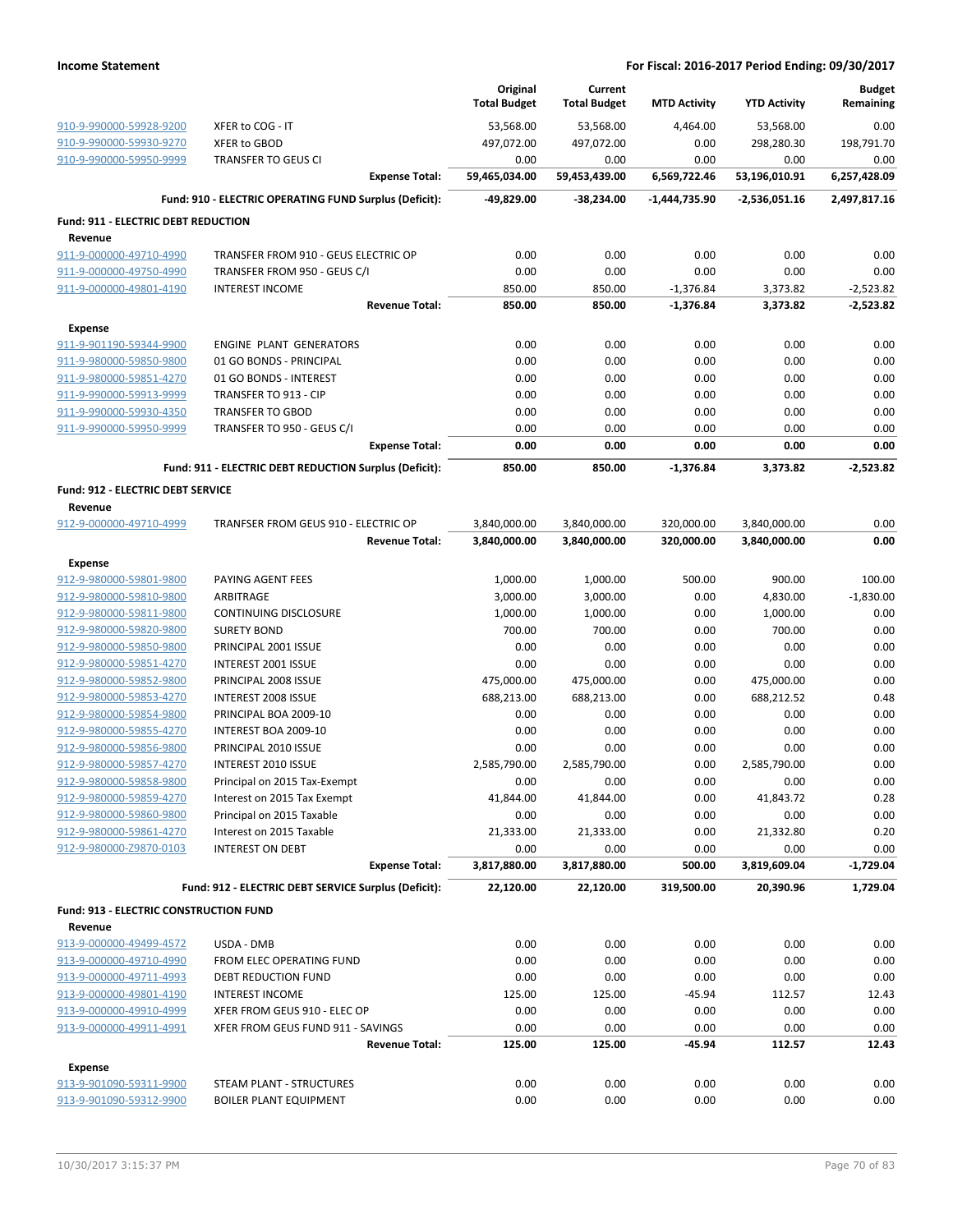|                                                    |                                                                  |                       | Original<br><b>Total Budget</b> | Current<br><b>Total Budget</b> | <b>MTD Activity</b>      | <b>YTD Activity</b>          | <b>Budget</b><br>Remaining |
|----------------------------------------------------|------------------------------------------------------------------|-----------------------|---------------------------------|--------------------------------|--------------------------|------------------------------|----------------------------|
| 910-9-990000-59928-9200                            | XFER to COG - IT                                                 |                       | 53,568.00                       | 53,568.00                      | 4,464.00                 | 53,568.00                    | 0.00                       |
| 910-9-990000-59930-9270                            | XFER to GBOD                                                     |                       | 497,072.00                      | 497,072.00                     | 0.00                     | 298,280.30                   | 198,791.70                 |
| 910-9-990000-59950-9999                            | <b>TRANSFER TO GEUS CI</b>                                       |                       | 0.00                            | 0.00                           | 0.00                     | 0.00                         | 0.00                       |
|                                                    |                                                                  | <b>Expense Total:</b> | 59,465,034.00                   | 59,453,439.00                  | 6,569,722.46             | 53,196,010.91                | 6,257,428.09               |
|                                                    | Fund: 910 - ELECTRIC OPERATING FUND Surplus (Deficit):           |                       | -49,829.00                      | -38,234.00                     | -1,444,735.90            | -2,536,051.16                | 2,497,817.16               |
| Fund: 911 - ELECTRIC DEBT REDUCTION                |                                                                  |                       |                                 |                                |                          |                              |                            |
| Revenue                                            |                                                                  |                       |                                 |                                |                          |                              |                            |
| 911-9-000000-49710-4990                            | TRANSFER FROM 910 - GEUS ELECTRIC OP                             |                       | 0.00                            | 0.00                           | 0.00                     | 0.00                         | 0.00                       |
| 911-9-000000-49750-4990                            | TRANSFER FROM 950 - GEUS C/I                                     |                       | 0.00                            | 0.00                           | 0.00                     | 0.00                         | 0.00                       |
| 911-9-000000-49801-4190                            | <b>INTEREST INCOME</b>                                           |                       | 850.00                          | 850.00                         | $-1,376.84$              | 3,373.82                     | $-2,523.82$                |
|                                                    |                                                                  | <b>Revenue Total:</b> | 850.00                          | 850.00                         | $-1,376.84$              | 3,373.82                     | $-2,523.82$                |
| <b>Expense</b>                                     |                                                                  |                       |                                 |                                |                          |                              |                            |
| 911-9-901190-59344-9900                            | <b>ENGINE PLANT GENERATORS</b>                                   |                       | 0.00                            | 0.00                           | 0.00                     | 0.00                         | 0.00                       |
| 911-9-980000-59850-9800                            | 01 GO BONDS - PRINCIPAL                                          |                       | 0.00                            | 0.00                           | 0.00                     | 0.00                         | 0.00                       |
| 911-9-980000-59851-4270                            | 01 GO BONDS - INTEREST                                           |                       | 0.00                            | 0.00                           | 0.00                     | 0.00                         | 0.00                       |
| 911-9-990000-59913-9999                            | TRANSFER TO 913 - CIP                                            |                       | 0.00                            | 0.00                           | 0.00                     | 0.00                         | 0.00                       |
| 911-9-990000-59930-4350                            | <b>TRANSFER TO GBOD</b>                                          |                       | 0.00                            | 0.00                           | 0.00                     | 0.00                         | 0.00                       |
| 911-9-990000-59950-9999                            | TRANSFER TO 950 - GEUS C/I                                       |                       | 0.00                            | 0.00                           | 0.00                     | 0.00                         | 0.00                       |
|                                                    |                                                                  | <b>Expense Total:</b> | 0.00                            | 0.00                           | 0.00                     | 0.00                         | 0.00                       |
|                                                    | Fund: 911 - ELECTRIC DEBT REDUCTION Surplus (Deficit):           |                       | 850.00                          | 850.00                         | $-1,376.84$              | 3,373.82                     | $-2,523.82$                |
| <b>Fund: 912 - ELECTRIC DEBT SERVICE</b>           |                                                                  |                       |                                 |                                |                          |                              |                            |
| Revenue                                            |                                                                  |                       |                                 |                                |                          |                              |                            |
| 912-9-000000-49710-4999                            | TRANFSER FROM GEUS 910 - ELECTRIC OP                             | <b>Revenue Total:</b> | 3,840,000.00<br>3,840,000.00    | 3,840,000.00<br>3,840,000.00   | 320,000.00<br>320,000.00 | 3,840,000.00<br>3,840,000.00 | 0.00<br>0.00               |
|                                                    |                                                                  |                       |                                 |                                |                          |                              |                            |
| <b>Expense</b>                                     |                                                                  |                       |                                 |                                |                          |                              |                            |
| 912-9-980000-59801-9800                            | PAYING AGENT FEES                                                |                       | 1,000.00                        | 1,000.00                       | 500.00                   | 900.00                       | 100.00                     |
| 912-9-980000-59810-9800<br>912-9-980000-59811-9800 | <b>ARBITRAGE</b><br>CONTINUING DISCLOSURE                        |                       | 3,000.00<br>1,000.00            | 3,000.00<br>1,000.00           | 0.00<br>0.00             | 4,830.00<br>1,000.00         | $-1,830.00$<br>0.00        |
| 912-9-980000-59820-9800                            | <b>SURETY BOND</b>                                               |                       | 700.00                          | 700.00                         | 0.00                     | 700.00                       | 0.00                       |
| 912-9-980000-59850-9800                            | PRINCIPAL 2001 ISSUE                                             |                       | 0.00                            | 0.00                           | 0.00                     | 0.00                         | 0.00                       |
| 912-9-980000-59851-4270                            | INTEREST 2001 ISSUE                                              |                       | 0.00                            | 0.00                           | 0.00                     | 0.00                         | 0.00                       |
| 912-9-980000-59852-9800                            | PRINCIPAL 2008 ISSUE                                             |                       | 475,000.00                      | 475,000.00                     | 0.00                     | 475,000.00                   | 0.00                       |
| 912-9-980000-59853-4270                            | INTEREST 2008 ISSUE                                              |                       | 688,213.00                      | 688,213.00                     | 0.00                     | 688,212.52                   | 0.48                       |
| 912-9-980000-59854-9800                            | PRINCIPAL BOA 2009-10                                            |                       | 0.00                            | 0.00                           | 0.00                     | 0.00                         | 0.00                       |
| 912-9-980000-59855-4270                            | INTEREST BOA 2009-10                                             |                       | 0.00                            | 0.00                           | 0.00                     | 0.00                         | 0.00                       |
| 912-9-980000-59856-9800                            | PRINCIPAL 2010 ISSUE                                             |                       | 0.00                            | 0.00                           | 0.00                     | 0.00                         | 0.00                       |
| 912-9-980000-59857-4270                            | <b>INTEREST 2010 ISSUE</b>                                       |                       | 2,585,790.00                    | 2,585,790.00                   | 0.00                     | 2,585,790.00                 | 0.00                       |
| 912-9-980000-59858-9800                            | Principal on 2015 Tax-Exempt                                     |                       | 0.00                            | 0.00                           | 0.00                     | 0.00                         | 0.00                       |
| 912-9-980000-59859-4270                            | Interest on 2015 Tax Exempt                                      |                       | 41,844.00                       | 41,844.00                      | 0.00                     | 41,843.72                    | 0.28                       |
| 912-9-980000-59860-9800                            | Principal on 2015 Taxable                                        |                       | 0.00                            | 0.00                           | 0.00                     | 0.00                         | 0.00                       |
| 912-9-980000-59861-4270                            | Interest on 2015 Taxable                                         |                       | 21,333.00                       | 21,333.00                      | 0.00                     | 21,332.80                    | 0.20                       |
| 912-9-980000-Z9870-0103                            | <b>INTEREST ON DEBT</b>                                          |                       | 0.00                            | 0.00                           | 0.00                     | 0.00                         | 0.00                       |
|                                                    |                                                                  | <b>Expense Total:</b> | 3,817,880.00                    | 3,817,880.00                   | 500.00                   | 3,819,609.04                 | -1,729.04                  |
|                                                    | Fund: 912 - ELECTRIC DEBT SERVICE Surplus (Deficit):             |                       | 22,120.00                       | 22,120.00                      | 319,500.00               | 20,390.96                    | 1,729.04                   |
| Fund: 913 - ELECTRIC CONSTRUCTION FUND             |                                                                  |                       |                                 |                                |                          |                              |                            |
| Revenue                                            |                                                                  |                       |                                 |                                |                          |                              |                            |
| 913-9-000000-49499-4572                            | USDA - DMB                                                       |                       | 0.00                            | 0.00                           | 0.00                     | 0.00                         | 0.00                       |
| 913-9-000000-49710-4990                            | FROM ELEC OPERATING FUND                                         |                       | 0.00                            | 0.00                           | 0.00                     | 0.00                         | 0.00                       |
| 913-9-000000-49711-4993                            | DEBT REDUCTION FUND                                              |                       | 0.00                            | 0.00                           | 0.00                     | 0.00                         | 0.00                       |
| 913-9-000000-49801-4190                            | <b>INTEREST INCOME</b>                                           |                       | 125.00                          | 125.00                         | $-45.94$                 | 112.57                       | 12.43                      |
| 913-9-000000-49910-4999                            | XFER FROM GEUS 910 - ELEC OP                                     |                       | 0.00                            | 0.00                           | 0.00                     | 0.00                         | 0.00                       |
| 913-9-000000-49911-4991                            | XFER FROM GEUS FUND 911 - SAVINGS                                |                       | 0.00                            | 0.00                           | 0.00                     | 0.00                         | 0.00                       |
|                                                    |                                                                  | <b>Revenue Total:</b> | 125.00                          | 125.00                         | -45.94                   | 112.57                       | 12.43                      |
| <b>Expense</b><br>913-9-901090-59311-9900          |                                                                  |                       |                                 |                                |                          |                              |                            |
| 913-9-901090-59312-9900                            | <b>STEAM PLANT - STRUCTURES</b><br><b>BOILER PLANT EQUIPMENT</b> |                       | 0.00<br>0.00                    | 0.00<br>0.00                   | 0.00<br>0.00             | 0.00<br>0.00                 | 0.00<br>0.00               |
|                                                    |                                                                  |                       |                                 |                                |                          |                              |                            |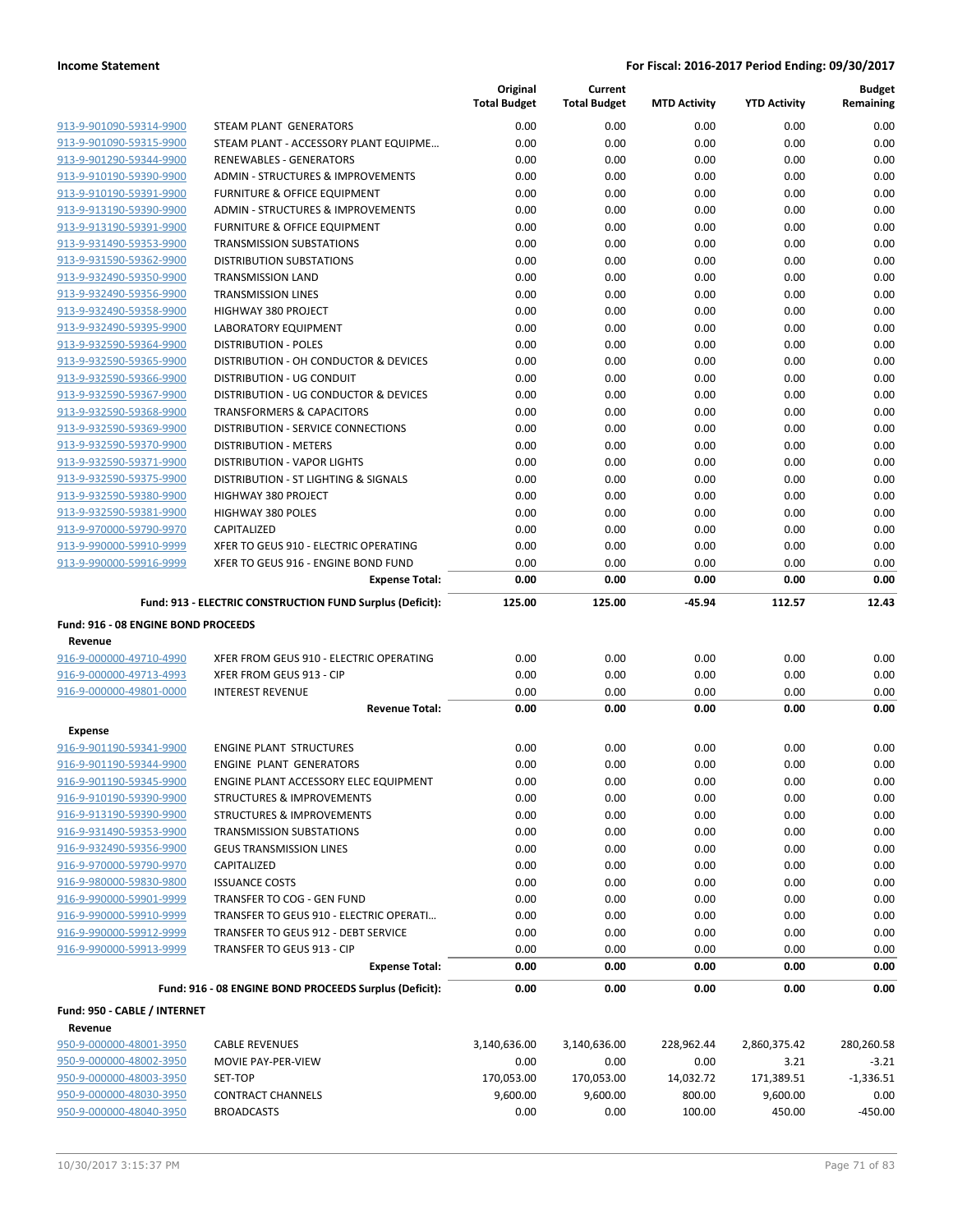|                                            |                                                           | Original<br><b>Total Budget</b> | Current<br><b>Total Budget</b> | <b>MTD Activity</b> | <b>YTD Activity</b> | <b>Budget</b><br>Remaining |
|--------------------------------------------|-----------------------------------------------------------|---------------------------------|--------------------------------|---------------------|---------------------|----------------------------|
| 913-9-901090-59314-9900                    | STEAM PLANT GENERATORS                                    | 0.00                            | 0.00                           | 0.00                | 0.00                | 0.00                       |
| 913-9-901090-59315-9900                    | STEAM PLANT - ACCESSORY PLANT EQUIPME                     | 0.00                            | 0.00                           | 0.00                | 0.00                | 0.00                       |
| 913-9-901290-59344-9900                    | <b>RENEWABLES - GENERATORS</b>                            | 0.00                            | 0.00                           | 0.00                | 0.00                | 0.00                       |
| 913-9-910190-59390-9900                    | <b>ADMIN - STRUCTURES &amp; IMPROVEMENTS</b>              | 0.00                            | 0.00                           | 0.00                | 0.00                | 0.00                       |
| 913-9-910190-59391-9900                    | <b>FURNITURE &amp; OFFICE EQUIPMENT</b>                   | 0.00                            | 0.00                           | 0.00                | 0.00                | 0.00                       |
| 913-9-913190-59390-9900                    | ADMIN - STRUCTURES & IMPROVEMENTS                         | 0.00                            | 0.00                           | 0.00                | 0.00                | 0.00                       |
| 913-9-913190-59391-9900                    | <b>FURNITURE &amp; OFFICE EQUIPMENT</b>                   | 0.00                            | 0.00                           | 0.00                | 0.00                | 0.00                       |
| 913-9-931490-59353-9900                    | <b>TRANSMISSION SUBSTATIONS</b>                           | 0.00                            | 0.00                           | 0.00                | 0.00                | 0.00                       |
| 913-9-931590-59362-9900                    | <b>DISTRIBUTION SUBSTATIONS</b>                           | 0.00                            | 0.00                           | 0.00                | 0.00                | 0.00                       |
| 913-9-932490-59350-9900                    | <b>TRANSMISSION LAND</b>                                  | 0.00                            | 0.00                           | 0.00                | 0.00                | 0.00                       |
| 913-9-932490-59356-9900                    | <b>TRANSMISSION LINES</b>                                 | 0.00                            | 0.00                           | 0.00                | 0.00                | 0.00                       |
| 913-9-932490-59358-9900                    | <b>HIGHWAY 380 PROJECT</b>                                | 0.00                            | 0.00                           | 0.00                | 0.00                | 0.00                       |
| 913-9-932490-59395-9900                    | <b>LABORATORY EQUIPMENT</b>                               | 0.00                            | 0.00                           | 0.00                | 0.00                | 0.00                       |
| 913-9-932590-59364-9900                    | <b>DISTRIBUTION - POLES</b>                               | 0.00                            | 0.00                           | 0.00                | 0.00                | 0.00                       |
| 913-9-932590-59365-9900                    | DISTRIBUTION - OH CONDUCTOR & DEVICES                     | 0.00                            | 0.00                           | 0.00                | 0.00                | 0.00                       |
| 913-9-932590-59366-9900                    | DISTRIBUTION - UG CONDUIT                                 | 0.00                            | 0.00                           | 0.00                | 0.00                | 0.00                       |
| 913-9-932590-59367-9900                    | DISTRIBUTION - UG CONDUCTOR & DEVICES                     | 0.00                            | 0.00                           | 0.00                | 0.00                | 0.00                       |
| 913-9-932590-59368-9900                    | <b>TRANSFORMERS &amp; CAPACITORS</b>                      | 0.00                            | 0.00                           | 0.00                | 0.00                | 0.00                       |
| 913-9-932590-59369-9900                    | DISTRIBUTION - SERVICE CONNECTIONS                        | 0.00                            | 0.00                           | 0.00                | 0.00                | 0.00                       |
| 913-9-932590-59370-9900                    | <b>DISTRIBUTION - METERS</b>                              | 0.00                            | 0.00                           | 0.00                | 0.00                | 0.00                       |
| 913-9-932590-59371-9900                    | DISTRIBUTION - VAPOR LIGHTS                               | 0.00                            | 0.00                           | 0.00                | 0.00                | 0.00                       |
| 913-9-932590-59375-9900                    | DISTRIBUTION - ST LIGHTING & SIGNALS                      | 0.00                            | 0.00                           | 0.00                | 0.00                | 0.00                       |
| 913-9-932590-59380-9900                    | <b>HIGHWAY 380 PROJECT</b>                                | 0.00                            | 0.00                           | 0.00                | 0.00                | 0.00                       |
| 913-9-932590-59381-9900                    | <b>HIGHWAY 380 POLES</b>                                  | 0.00                            | 0.00                           | 0.00                | 0.00                | 0.00                       |
| 913-9-970000-59790-9970                    | CAPITALIZED                                               | 0.00                            | 0.00                           | 0.00                | 0.00                | 0.00                       |
| 913-9-990000-59910-9999                    | XFER TO GEUS 910 - ELECTRIC OPERATING                     | 0.00                            | 0.00                           | 0.00                | 0.00                | 0.00                       |
| 913-9-990000-59916-9999                    | XFER TO GEUS 916 - ENGINE BOND FUND                       | 0.00                            | 0.00                           | 0.00                | 0.00                | 0.00                       |
|                                            | <b>Expense Total:</b>                                     | 0.00                            | 0.00                           | 0.00                | 0.00                | 0.00                       |
|                                            | Fund: 913 - ELECTRIC CONSTRUCTION FUND Surplus (Deficit): | 125.00                          | 125.00                         | $-45.94$            | 112.57              | 12.43                      |
| <b>Fund: 916 - 08 ENGINE BOND PROCEEDS</b> |                                                           |                                 |                                |                     |                     |                            |
| Revenue                                    |                                                           |                                 |                                |                     |                     |                            |
| 916-9-000000-49710-4990                    | XFER FROM GEUS 910 - ELECTRIC OPERATING                   | 0.00                            | 0.00                           | 0.00                | 0.00                | 0.00                       |
| 916-9-000000-49713-4993                    | XFER FROM GEUS 913 - CIP                                  | 0.00                            | 0.00                           | 0.00                | 0.00                | 0.00                       |
| 916-9-000000-49801-0000                    | <b>INTEREST REVENUE</b>                                   | 0.00                            | 0.00                           | 0.00                | 0.00                | 0.00                       |
|                                            | <b>Revenue Total:</b>                                     | 0.00                            | 0.00                           | 0.00                | 0.00                | 0.00                       |
| <b>Expense</b>                             |                                                           |                                 |                                |                     |                     |                            |
| 916-9-901190-59341-9900                    | <b>ENGINE PLANT STRUCTURES</b>                            | 0.00                            | 0.00                           | 0.00                | 0.00                | 0.00                       |
| 916-9-901190-59344-9900                    | <b>ENGINE PLANT GENERATORS</b>                            | 0.00                            | 0.00                           | 0.00                | 0.00                | 0.00                       |
| 916-9-901190-59345-9900                    | ENGINE PLANT ACCESSORY ELEC EQUIPMENT                     | 0.00                            | 0.00                           | 0.00                | 0.00                | 0.00                       |
| 916-9-910190-59390-9900                    | STRUCTURES & IMPROVEMENTS                                 | 0.00                            | 0.00                           | 0.00                | 0.00                | 0.00                       |
| 916-9-913190-59390-9900                    | STRUCTURES & IMPROVEMENTS                                 | 0.00                            | 0.00                           | 0.00                | 0.00                | 0.00                       |
| 916-9-931490-59353-9900                    | <b>TRANSMISSION SUBSTATIONS</b>                           | 0.00                            | 0.00                           | 0.00                | 0.00                | 0.00                       |
| 916-9-932490-59356-9900                    | <b>GEUS TRANSMISSION LINES</b>                            | 0.00                            | 0.00                           | 0.00                | 0.00                | 0.00                       |
| 916-9-970000-59790-9970                    | CAPITALIZED                                               | 0.00                            | 0.00                           | 0.00                | 0.00                | 0.00                       |
| 916-9-980000-59830-9800                    | <b>ISSUANCE COSTS</b>                                     | 0.00                            | 0.00                           | 0.00                | 0.00                | 0.00                       |
| 916-9-990000-59901-9999                    | TRANSFER TO COG - GEN FUND                                | 0.00                            | 0.00                           | 0.00                | 0.00                | 0.00                       |
| 916-9-990000-59910-9999                    | TRANSFER TO GEUS 910 - ELECTRIC OPERATI                   | 0.00                            | 0.00                           | 0.00                | 0.00                | 0.00                       |
| 916-9-990000-59912-9999                    | TRANSFER TO GEUS 912 - DEBT SERVICE                       | 0.00                            | 0.00                           | 0.00                | 0.00                | 0.00                       |
| 916-9-990000-59913-9999                    | TRANSFER TO GEUS 913 - CIP                                | 0.00                            | 0.00                           | 0.00                | 0.00                | 0.00                       |
|                                            | <b>Expense Total:</b>                                     | 0.00                            | 0.00                           | 0.00                | 0.00                | 0.00                       |
|                                            | Fund: 916 - 08 ENGINE BOND PROCEEDS Surplus (Deficit):    | 0.00                            | 0.00                           | 0.00                | 0.00                | 0.00                       |
| Fund: 950 - CABLE / INTERNET               |                                                           |                                 |                                |                     |                     |                            |
| Revenue                                    |                                                           |                                 |                                |                     |                     |                            |
| 950-9-000000-48001-3950                    | <b>CABLE REVENUES</b>                                     | 3,140,636.00                    | 3,140,636.00                   | 228,962.44          | 2,860,375.42        | 280,260.58                 |
| 950-9-000000-48002-3950                    | MOVIE PAY-PER-VIEW                                        | 0.00                            | 0.00                           | 0.00                | 3.21                | $-3.21$                    |
| 950-9-000000-48003-3950                    | SET-TOP                                                   | 170,053.00                      | 170,053.00                     | 14,032.72           | 171,389.51          | $-1,336.51$                |
| 950-9-000000-48030-3950                    | <b>CONTRACT CHANNELS</b>                                  | 9,600.00                        | 9,600.00                       | 800.00              | 9,600.00            | 0.00                       |
| 950-9-000000-48040-3950                    | <b>BROADCASTS</b>                                         | 0.00                            | 0.00                           | 100.00              | 450.00              | $-450.00$                  |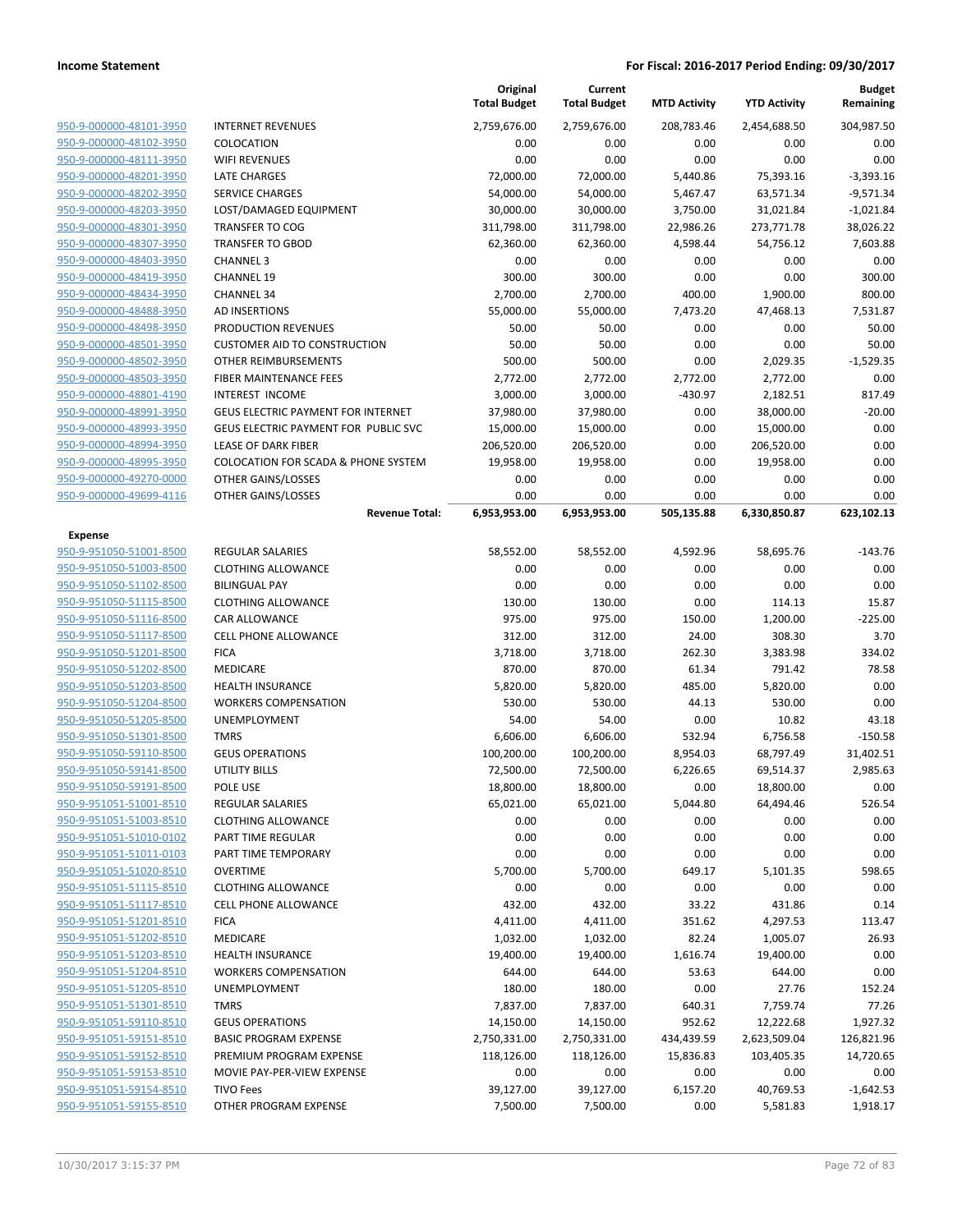**Current**

**Original**

**Budget Remaining**

|                                                    |                                                        | <b>Total Budget</b> | <b>Total Budget</b> | <b>MTD Activity</b> | <b>YTD Activity</b> | Remaining          |
|----------------------------------------------------|--------------------------------------------------------|---------------------|---------------------|---------------------|---------------------|--------------------|
| 950-9-000000-48101-3950                            | <b>INTERNET REVENUES</b>                               | 2,759,676.00        | 2,759,676.00        | 208,783.46          | 2,454,688.50        | 304,987.50         |
| 950-9-000000-48102-3950                            | COLOCATION                                             | 0.00                | 0.00                | 0.00                | 0.00                | 0.00               |
| 950-9-000000-48111-3950                            | <b>WIFI REVENUES</b>                                   | 0.00                | 0.00                | 0.00                | 0.00                | 0.00               |
| 950-9-000000-48201-3950                            | <b>LATE CHARGES</b>                                    | 72,000.00           | 72,000.00           | 5,440.86            | 75,393.16           | $-3,393.16$        |
| 950-9-000000-48202-3950                            | <b>SERVICE CHARGES</b>                                 | 54,000.00           | 54,000.00           | 5,467.47            | 63,571.34           | $-9,571.34$        |
| 950-9-000000-48203-3950                            | LOST/DAMAGED EQUIPMENT                                 | 30,000.00           | 30,000.00           | 3,750.00            | 31,021.84           | $-1,021.84$        |
| 950-9-000000-48301-3950                            | <b>TRANSFER TO COG</b>                                 | 311,798.00          | 311,798.00          | 22,986.26           | 273,771.78          | 38,026.22          |
| 950-9-000000-48307-3950                            | <b>TRANSFER TO GBOD</b>                                | 62,360.00           | 62,360.00           | 4,598.44            | 54,756.12           | 7,603.88           |
| 950-9-000000-48403-3950                            | <b>CHANNEL 3</b>                                       | 0.00                | 0.00                | 0.00                | 0.00                | 0.00               |
| 950-9-000000-48419-3950                            | <b>CHANNEL 19</b>                                      | 300.00              | 300.00              | 0.00                | 0.00                | 300.00             |
| 950-9-000000-48434-3950                            | <b>CHANNEL 34</b>                                      | 2,700.00            | 2,700.00            | 400.00              | 1,900.00            | 800.00             |
| 950-9-000000-48488-3950                            | <b>AD INSERTIONS</b>                                   | 55,000.00           | 55,000.00           | 7,473.20            | 47,468.13           | 7,531.87           |
| 950-9-000000-48498-3950                            | PRODUCTION REVENUES                                    | 50.00               | 50.00               | 0.00                | 0.00                | 50.00              |
| 950-9-000000-48501-3950                            | <b>CUSTOMER AID TO CONSTRUCTION</b>                    | 50.00               | 50.00               | 0.00                | 0.00                | 50.00              |
| 950-9-000000-48502-3950                            | OTHER REIMBURSEMENTS                                   | 500.00              | 500.00              | 0.00                | 2,029.35            | $-1,529.35$        |
| 950-9-000000-48503-3950                            | FIBER MAINTENANCE FEES                                 | 2,772.00            | 2,772.00            | 2,772.00            | 2,772.00            | 0.00               |
| 950-9-000000-48801-4190                            | <b>INTEREST INCOME</b>                                 | 3,000.00            | 3,000.00            | $-430.97$           | 2,182.51            | 817.49             |
| 950-9-000000-48991-3950                            | <b>GEUS ELECTRIC PAYMENT FOR INTERNET</b>              | 37,980.00           | 37,980.00           | 0.00                | 38,000.00           | $-20.00$           |
| 950-9-000000-48993-3950                            | GEUS ELECTRIC PAYMENT FOR PUBLIC SVC                   | 15,000.00           | 15,000.00           | 0.00                | 15,000.00           | 0.00               |
| 950-9-000000-48994-3950                            | <b>LEASE OF DARK FIBER</b>                             | 206,520.00          | 206,520.00          | 0.00                | 206,520.00          | 0.00               |
| 950-9-000000-48995-3950                            | <b>COLOCATION FOR SCADA &amp; PHONE SYSTEM</b>         | 19,958.00           | 19,958.00           | 0.00                | 19,958.00           | 0.00               |
| 950-9-000000-49270-0000                            | OTHER GAINS/LOSSES                                     | 0.00                | 0.00                | 0.00                | 0.00                | 0.00               |
| 950-9-000000-49699-4116                            | OTHER GAINS/LOSSES                                     | 0.00                | 0.00                | 0.00                | 0.00                | 0.00               |
|                                                    | <b>Revenue Total:</b>                                  | 6,953,953.00        | 6,953,953.00        | 505,135.88          | 6,330,850.87        | 623,102.13         |
| Expense                                            |                                                        |                     |                     |                     |                     |                    |
| 950-9-951050-51001-8500                            | <b>REGULAR SALARIES</b>                                | 58,552.00           | 58,552.00           | 4,592.96            | 58,695.76           | $-143.76$          |
| 950-9-951050-51003-8500                            | <b>CLOTHING ALLOWANCE</b>                              | 0.00                | 0.00                | 0.00                | 0.00                | 0.00               |
| 950-9-951050-51102-8500                            | <b>BILINGUAL PAY</b>                                   | 0.00                | 0.00                | 0.00                | 0.00                | 0.00               |
| 950-9-951050-51115-8500                            | <b>CLOTHING ALLOWANCE</b>                              | 130.00              | 130.00              | 0.00                | 114.13              | 15.87              |
| 950-9-951050-51116-8500                            | CAR ALLOWANCE                                          | 975.00              | 975.00              | 150.00              | 1,200.00            | $-225.00$          |
| 950-9-951050-51117-8500                            | <b>CELL PHONE ALLOWANCE</b>                            | 312.00              | 312.00              | 24.00               | 308.30              | 3.70               |
| 950-9-951050-51201-8500                            | <b>FICA</b>                                            | 3,718.00            | 3,718.00            | 262.30              | 3,383.98            | 334.02             |
| 950-9-951050-51202-8500                            | MEDICARE                                               | 870.00              | 870.00              | 61.34               | 791.42              | 78.58              |
| 950-9-951050-51203-8500                            | <b>HEALTH INSURANCE</b><br><b>WORKERS COMPENSATION</b> | 5,820.00            | 5,820.00            | 485.00              | 5,820.00            | 0.00               |
| 950-9-951050-51204-8500<br>950-9-951050-51205-8500 |                                                        | 530.00              | 530.00              | 44.13<br>0.00       | 530.00<br>10.82     | 0.00               |
| 950-9-951050-51301-8500                            | UNEMPLOYMENT<br><b>TMRS</b>                            | 54.00<br>6,606.00   | 54.00<br>6,606.00   | 532.94              | 6,756.58            | 43.18<br>$-150.58$ |
| 950-9-951050-59110-8500                            | <b>GEUS OPERATIONS</b>                                 | 100,200.00          | 100,200.00          | 8,954.03            | 68,797.49           | 31,402.51          |
| 950-9-951050-59141-8500                            | <b>UTILITY BILLS</b>                                   | 72,500.00           | 72,500.00           | 6,226.65            | 69,514.37           | 2,985.63           |
| 950-9-951050-59191-8500                            | POLE USE                                               | 18,800.00           | 18,800.00           | 0.00                | 18,800.00           | 0.00               |
| 950-9-951051-51001-8510                            | <b>REGULAR SALARIES</b>                                | 65,021.00           | 65,021.00           | 5,044.80            | 64,494.46           | 526.54             |
| 950-9-951051-51003-8510                            | <b>CLOTHING ALLOWANCE</b>                              | 0.00                | 0.00                | 0.00                | 0.00                | 0.00               |
| 950-9-951051-51010-0102                            | PART TIME REGULAR                                      | 0.00                | 0.00                | 0.00                | 0.00                | 0.00               |
| 950-9-951051-51011-0103                            | PART TIME TEMPORARY                                    | 0.00                | 0.00                | 0.00                | 0.00                | 0.00               |
| 950-9-951051-51020-8510                            | <b>OVERTIME</b>                                        | 5,700.00            | 5,700.00            | 649.17              | 5,101.35            | 598.65             |
| 950-9-951051-51115-8510                            | <b>CLOTHING ALLOWANCE</b>                              | 0.00                | 0.00                | 0.00                | 0.00                | 0.00               |
| 950-9-951051-51117-8510                            | <b>CELL PHONE ALLOWANCE</b>                            | 432.00              | 432.00              | 33.22               | 431.86              | 0.14               |
| 950-9-951051-51201-8510                            | <b>FICA</b>                                            | 4,411.00            | 4,411.00            | 351.62              | 4,297.53            | 113.47             |
| 950-9-951051-51202-8510                            | MEDICARE                                               | 1,032.00            | 1,032.00            | 82.24               | 1,005.07            | 26.93              |
| 950-9-951051-51203-8510                            | <b>HEALTH INSURANCE</b>                                | 19,400.00           | 19,400.00           | 1,616.74            | 19,400.00           | 0.00               |
| 950-9-951051-51204-8510                            | <b>WORKERS COMPENSATION</b>                            | 644.00              | 644.00              | 53.63               | 644.00              | 0.00               |
| 950-9-951051-51205-8510                            | <b>UNEMPLOYMENT</b>                                    | 180.00              | 180.00              | 0.00                | 27.76               | 152.24             |
| 950-9-951051-51301-8510                            | <b>TMRS</b>                                            | 7,837.00            | 7,837.00            | 640.31              | 7,759.74            | 77.26              |
| 950-9-951051-59110-8510                            | <b>GEUS OPERATIONS</b>                                 | 14,150.00           | 14,150.00           | 952.62              | 12,222.68           | 1,927.32           |
| 950-9-951051-59151-8510                            | <b>BASIC PROGRAM EXPENSE</b>                           | 2,750,331.00        | 2,750,331.00        | 434,439.59          | 2,623,509.04        | 126,821.96         |
| 950-9-951051-59152-8510                            | PREMIUM PROGRAM EXPENSE                                | 118,126.00          | 118,126.00          | 15,836.83           | 103,405.35          | 14,720.65          |
| 950-9-951051-59153-8510                            | MOVIE PAY-PER-VIEW EXPENSE                             | 0.00                | 0.00                | 0.00                | 0.00                | 0.00               |
| 950-9-951051-59154-8510                            | <b>TIVO Fees</b>                                       | 39,127.00           | 39,127.00           | 6,157.20            | 40,769.53           | $-1,642.53$        |
| 950-9-951051-59155-8510                            | OTHER PROGRAM EXPENSE                                  | 7,500.00            | 7,500.00            | 0.00                | 5,581.83            | 1,918.17           |
|                                                    |                                                        |                     |                     |                     |                     |                    |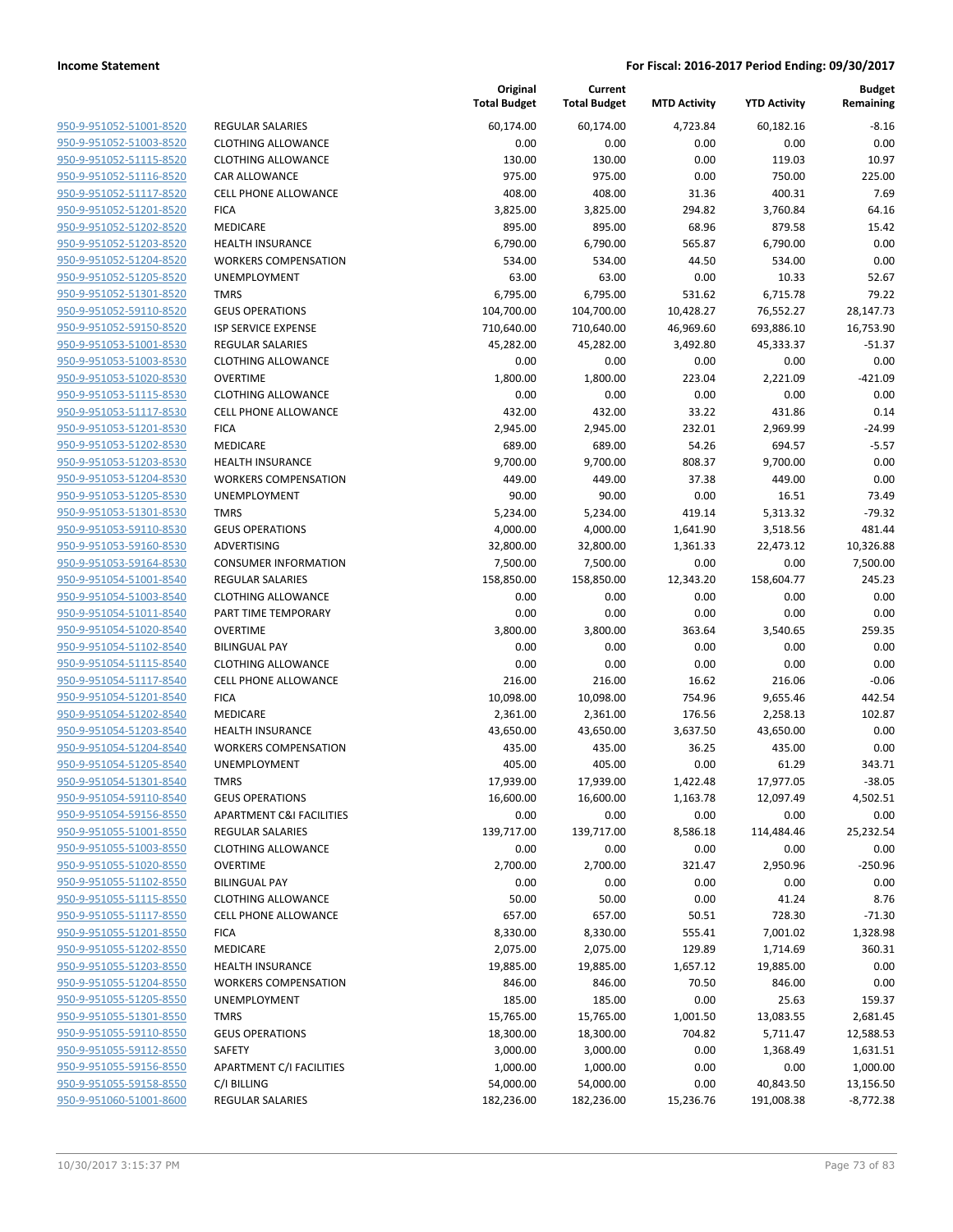| 950-9-951052-51001-8520                                   |
|-----------------------------------------------------------|
| 950-9-951052-51003-8520                                   |
| <u>950-9-951052-51115-8520</u>                            |
| 950-9-951052-51116-8520                                   |
| 950-9-951052-51117-8520                                   |
| 950-9-951052-51201-8520                                   |
| 950-9-951052-51202-8520                                   |
| 950-9-951052-51203-8520                                   |
| 950-9-951052-51204-8520                                   |
| 950-9-951052-51205-8520                                   |
| 950-9-951052-51301-8520                                   |
| 950-9-951052-59110-8520                                   |
| <u>950-9-951052-59150-8520</u>                            |
| 950-9-951053-51001-8530                                   |
| 950-9-951053-51003-8530                                   |
| 950-9-951053-51020-8530                                   |
| <u>950-9-951053-51115-8530</u>                            |
|                                                           |
| 950-9-951053-51117-8530<br>950-9-951053-51201-8530        |
|                                                           |
| 950-9-951053-51202-8530                                   |
| 950-9-951053-51203-8530                                   |
| 950-9-951053-51204-8530                                   |
| <u>950-9-951053-51205-8530</u>                            |
| 950-9-951053-51301-8530                                   |
| 950-9-951053-59110-8530                                   |
| 950-9-951053-59160-8530                                   |
| <u>950-9-951053-59164-8530</u>                            |
| <u>950-9-951054-51001-8540</u>                            |
| 950-9-951054-51003-8540                                   |
| 950-9-951054-51011-8540                                   |
| 950-9-951054-51020-8540                                   |
| 950-9-951054-51102-8540                                   |
| <u>950-9-951054-51115-8540</u>                            |
| 950-9-951054-51117-8540                                   |
| 950-9-951054-51201-8540                                   |
| 950-9-951054-51202-8540                                   |
| 950-9-951054-51203-8540                                   |
| 950-9-951054-51204-8540                                   |
| 950-9-951054-51205-8540                                   |
|                                                           |
| 950-9-951054-51301-8540                                   |
| 950-9-951054-59110-8540                                   |
| 950-9-951054-59156-8550                                   |
| <u>950-9-951055-51001-8550</u>                            |
| 950-9-951055-51003-8550                                   |
| 950-9-951055-51020-8550                                   |
| 950-9-951055-51102-8550                                   |
| 950-9-951055-51115-8550                                   |
| <u>950-9-951055-51117-8550</u>                            |
| 950-9-951055-51201-8550                                   |
| 950-9-951055-51202-8550                                   |
| 950-9-951055-51203-8550                                   |
| 950-9-951055-51204-8550                                   |
| <u>950-9-951055-51205-8550</u>                            |
|                                                           |
| <u>950-9-951055-51301-8550</u>                            |
| <u>950-9-951055-59110-8550</u>                            |
| 950-9-951055-59112-8550                                   |
|                                                           |
| 950-9-951055-59156-8550                                   |
| <u>950-9-951055-59158-8550</u><br>950-9-951060-51001-8600 |

|                                                    |                                     | Original<br><b>Total Budget</b> | Current<br><b>Total Budget</b> | <b>MTD Activity</b> | <b>YTD Activity</b> | <b>Budget</b><br>Remaining |
|----------------------------------------------------|-------------------------------------|---------------------------------|--------------------------------|---------------------|---------------------|----------------------------|
| 950-9-951052-51001-8520                            | <b>REGULAR SALARIES</b>             | 60,174.00                       | 60,174.00                      | 4,723.84            | 60,182.16           | $-8.16$                    |
| 950-9-951052-51003-8520                            | <b>CLOTHING ALLOWANCE</b>           | 0.00                            | 0.00                           | 0.00                | 0.00                | 0.00                       |
| 950-9-951052-51115-8520                            | <b>CLOTHING ALLOWANCE</b>           | 130.00                          | 130.00                         | 0.00                | 119.03              | 10.97                      |
| 950-9-951052-51116-8520                            | CAR ALLOWANCE                       | 975.00                          | 975.00                         | 0.00                | 750.00              | 225.00                     |
| 950-9-951052-51117-8520                            | <b>CELL PHONE ALLOWANCE</b>         | 408.00                          | 408.00                         | 31.36               | 400.31              | 7.69                       |
| 950-9-951052-51201-8520                            | <b>FICA</b>                         | 3,825.00                        | 3,825.00                       | 294.82              | 3,760.84            | 64.16                      |
| 950-9-951052-51202-8520                            | MEDICARE                            | 895.00                          | 895.00                         | 68.96               | 879.58              | 15.42                      |
| 950-9-951052-51203-8520                            | <b>HEALTH INSURANCE</b>             | 6,790.00                        | 6,790.00                       | 565.87              | 6,790.00            | 0.00                       |
| 950-9-951052-51204-8520                            | <b>WORKERS COMPENSATION</b>         | 534.00                          | 534.00                         | 44.50               | 534.00              | 0.00                       |
| 950-9-951052-51205-8520                            | <b>UNEMPLOYMENT</b>                 | 63.00                           | 63.00                          | 0.00                | 10.33               | 52.67                      |
| 950-9-951052-51301-8520                            | <b>TMRS</b>                         | 6,795.00                        | 6,795.00                       | 531.62              | 6,715.78            | 79.22                      |
| 950-9-951052-59110-8520                            | <b>GEUS OPERATIONS</b>              | 104,700.00                      | 104,700.00                     | 10,428.27           | 76,552.27           | 28,147.73                  |
| 950-9-951052-59150-8520                            | ISP SERVICE EXPENSE                 | 710,640.00                      | 710,640.00                     | 46,969.60           | 693,886.10          | 16,753.90                  |
| 950-9-951053-51001-8530                            | <b>REGULAR SALARIES</b>             | 45,282.00                       | 45,282.00                      | 3,492.80            | 45,333.37           | $-51.37$                   |
| 950-9-951053-51003-8530                            | <b>CLOTHING ALLOWANCE</b>           | 0.00                            | 0.00                           | 0.00                | 0.00                | 0.00                       |
| 950-9-951053-51020-8530                            | <b>OVERTIME</b>                     | 1,800.00                        | 1,800.00                       | 223.04              | 2,221.09            | $-421.09$                  |
| 950-9-951053-51115-8530                            | <b>CLOTHING ALLOWANCE</b>           | 0.00                            | 0.00                           | 0.00                | 0.00                | 0.00                       |
| 950-9-951053-51117-8530                            | <b>CELL PHONE ALLOWANCE</b>         | 432.00                          | 432.00                         | 33.22               | 431.86              | 0.14                       |
| 950-9-951053-51201-8530                            | <b>FICA</b>                         | 2,945.00                        | 2,945.00                       | 232.01              | 2,969.99            | $-24.99$                   |
| 950-9-951053-51202-8530                            | MEDICARE                            | 689.00                          | 689.00                         | 54.26               | 694.57              | $-5.57$                    |
| 950-9-951053-51203-8530                            | <b>HEALTH INSURANCE</b>             | 9,700.00                        | 9,700.00                       | 808.37              | 9,700.00            | 0.00                       |
| 950-9-951053-51204-8530                            | <b>WORKERS COMPENSATION</b>         | 449.00                          | 449.00                         | 37.38               | 449.00              | 0.00                       |
| 950-9-951053-51205-8530                            | UNEMPLOYMENT                        | 90.00                           | 90.00                          | 0.00                | 16.51               | 73.49                      |
| 950-9-951053-51301-8530                            | <b>TMRS</b>                         | 5,234.00                        | 5,234.00                       | 419.14              | 5,313.32            | $-79.32$                   |
| 950-9-951053-59110-8530                            | <b>GEUS OPERATIONS</b>              | 4,000.00                        | 4,000.00                       | 1,641.90            | 3,518.56            | 481.44                     |
| 950-9-951053-59160-8530                            | ADVERTISING                         | 32,800.00                       | 32,800.00                      | 1,361.33            | 22,473.12           | 10,326.88                  |
| 950-9-951053-59164-8530                            | <b>CONSUMER INFORMATION</b>         | 7,500.00                        | 7,500.00                       | 0.00                | 0.00                | 7,500.00                   |
| 950-9-951054-51001-8540                            | REGULAR SALARIES                    | 158,850.00                      | 158,850.00                     | 12,343.20           | 158,604.77          | 245.23                     |
| 950-9-951054-51003-8540                            | <b>CLOTHING ALLOWANCE</b>           | 0.00                            | 0.00                           | 0.00                | 0.00                | 0.00                       |
| 950-9-951054-51011-8540                            | PART TIME TEMPORARY                 | 0.00                            | 0.00                           | 0.00                | 0.00                | 0.00                       |
| 950-9-951054-51020-8540                            | <b>OVERTIME</b>                     | 3,800.00                        | 3,800.00                       | 363.64              | 3,540.65            | 259.35                     |
| 950-9-951054-51102-8540                            | <b>BILINGUAL PAY</b>                | 0.00                            | 0.00                           | 0.00                | 0.00                | 0.00                       |
| 950-9-951054-51115-8540                            | <b>CLOTHING ALLOWANCE</b>           | 0.00                            | 0.00                           | 0.00                | 0.00                | 0.00                       |
| 950-9-951054-51117-8540                            | <b>CELL PHONE ALLOWANCE</b>         | 216.00                          | 216.00                         | 16.62               | 216.06              | $-0.06$                    |
| 950-9-951054-51201-8540                            | <b>FICA</b>                         | 10,098.00                       | 10,098.00                      | 754.96              | 9,655.46            | 442.54                     |
| 950-9-951054-51202-8540                            | MEDICARE                            | 2,361.00                        | 2,361.00                       | 176.56              | 2,258.13            | 102.87                     |
| 950-9-951054-51203-8540                            | <b>HEALTH INSURANCE</b>             | 43,650.00                       | 43,650.00                      | 3,637.50            | 43,650.00           | 0.00                       |
| 950-9-951054-51204-8540                            | <b>WORKERS COMPENSATION</b>         | 435.00                          | 435.00                         | 36.25               | 435.00              | 0.00                       |
| 950-9-951054-51205-8540                            | <b>UNEMPLOYMENT</b>                 | 405.00                          | 405.00                         | 0.00                | 61.29               | 343.71                     |
| 950-9-951054-51301-8540                            | <b>TMRS</b>                         | 17,939.00                       | 17,939.00                      | 1,422.48            | 17,977.05           | $-38.05$                   |
| 950-9-951054-59110-8540                            | <b>GEUS OPERATIONS</b>              | 16,600.00                       | 16,600.00                      | 1,163.78            | 12,097.49           | 4,502.51                   |
| 950-9-951054-59156-8550                            | <b>APARTMENT C&amp;I FACILITIES</b> | 0.00                            | 0.00                           | 0.00                | 0.00                | 0.00                       |
| 950-9-951055-51001-8550                            | REGULAR SALARIES                    | 139,717.00                      | 139,717.00                     | 8,586.18            | 114,484.46          | 25,232.54                  |
| 950-9-951055-51003-8550                            | <b>CLOTHING ALLOWANCE</b>           | 0.00                            | 0.00                           | 0.00                | 0.00                | 0.00                       |
| 950-9-951055-51020-8550                            | <b>OVERTIME</b>                     | 2,700.00                        | 2,700.00                       | 321.47              | 2,950.96            | $-250.96$                  |
| 950-9-951055-51102-8550                            | <b>BILINGUAL PAY</b>                | 0.00                            | 0.00                           | 0.00                | 0.00                | 0.00                       |
| 950-9-951055-51115-8550                            | <b>CLOTHING ALLOWANCE</b>           | 50.00                           | 50.00                          | 0.00                | 41.24               | 8.76                       |
| 950-9-951055-51117-8550                            | <b>CELL PHONE ALLOWANCE</b>         | 657.00                          | 657.00                         | 50.51               | 728.30              | $-71.30$                   |
| 950-9-951055-51201-8550                            | <b>FICA</b>                         | 8,330.00                        | 8,330.00                       | 555.41              | 7,001.02            | 1,328.98                   |
| 950-9-951055-51202-8550                            | MEDICARE                            | 2,075.00                        | 2,075.00                       | 129.89              | 1,714.69            | 360.31                     |
| 950-9-951055-51203-8550                            | HEALTH INSURANCE                    | 19,885.00                       | 19,885.00                      | 1,657.12            | 19,885.00           | 0.00                       |
| 950-9-951055-51204-8550                            | <b>WORKERS COMPENSATION</b>         | 846.00                          | 846.00                         | 70.50               | 846.00              | 0.00                       |
| 950-9-951055-51205-8550                            | <b>UNEMPLOYMENT</b>                 | 185.00                          | 185.00                         | 0.00                | 25.63               | 159.37                     |
| 950-9-951055-51301-8550                            | <b>TMRS</b>                         | 15,765.00                       | 15,765.00                      | 1,001.50            | 13,083.55           | 2,681.45                   |
| 950-9-951055-59110-8550                            | <b>GEUS OPERATIONS</b>              | 18,300.00                       | 18,300.00                      | 704.82              | 5,711.47            | 12,588.53                  |
| 950-9-951055-59112-8550                            | SAFETY                              | 3,000.00                        | 3,000.00                       | 0.00                | 1,368.49            | 1,631.51                   |
| 950-9-951055-59156-8550                            | APARTMENT C/I FACILITIES            | 1,000.00                        | 1,000.00                       | 0.00                | 0.00                | 1,000.00                   |
| 950-9-951055-59158-8550<br>950-9-951060-51001-8600 | C/I BILLING                         | 54,000.00                       | 54,000.00                      | 0.00                | 40,843.50           | 13,156.50                  |
|                                                    | REGULAR SALARIES                    | 182,236.00                      | 182,236.00                     | 15,236.76           | 191,008.38          | $-8,772.38$                |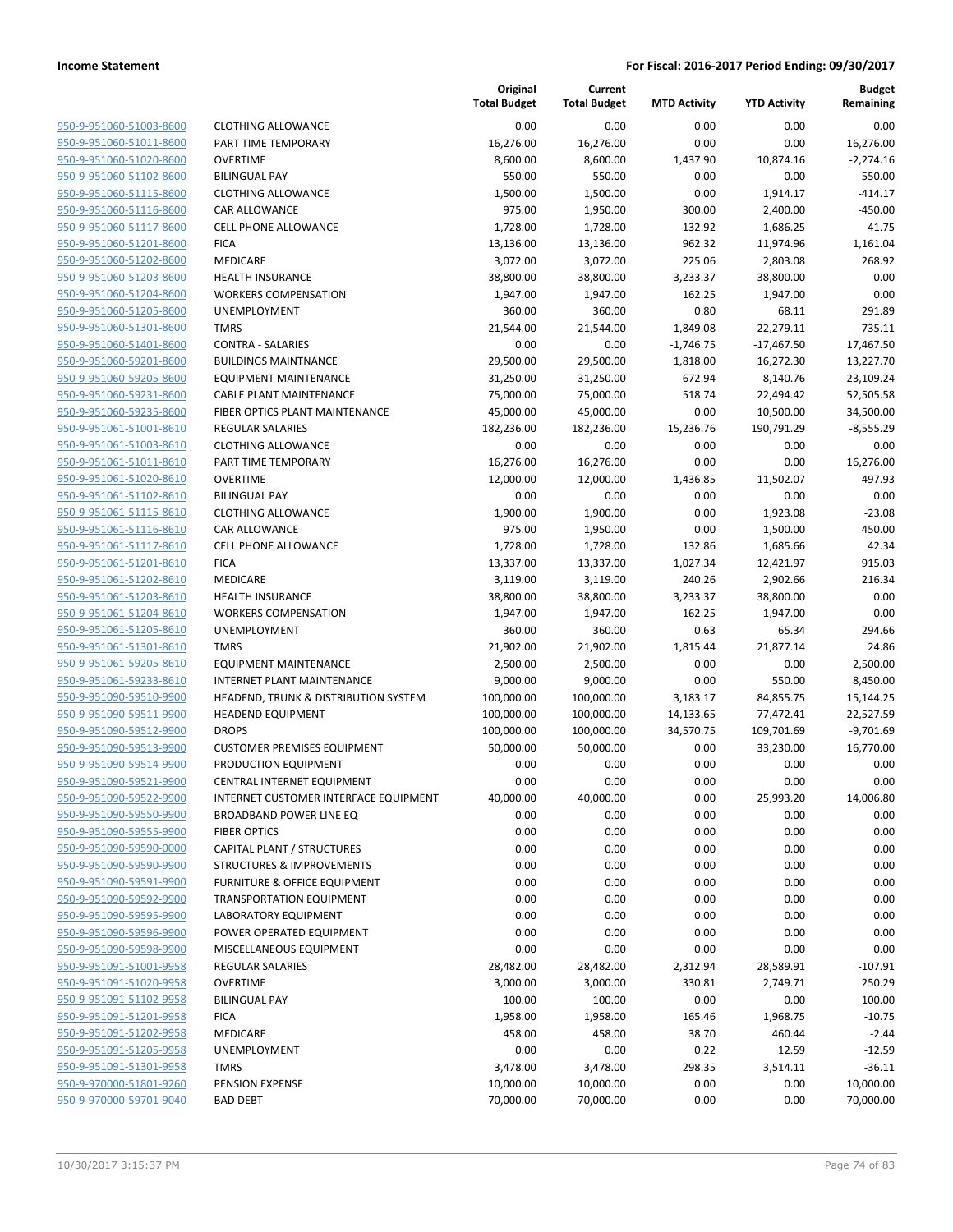| 950-9-951060-51003-8600        |
|--------------------------------|
| 950-9-951060-51011-8600        |
| 950-9-951060-51020-8600        |
| 950-9-951060-51102-8600        |
| <u>950-9-951060-51115-8600</u> |
| 950-9-951060-51116-8600        |
| 950-9-951060-51117-8600        |
| 950-9-951060-51201-8600        |
| 950-9-951060-51202-8600        |
| 950-9-951060-51203-8600        |
| 950-9-951060-51204-8600        |
| 950-9-951060-51205-8600        |
| 950-9-951060-51301-8600        |
| 950-9-951060-51401-8600        |
| <u>950-9-951060-59201-8600</u> |
| 950-9-951060-59205-8600        |
| 950-9-951060-59231-8600        |
|                                |
| 950-9-951060-59235-8600        |
| 950-9-951061-51001-8610        |
| <u>950-9-951061-51003-8610</u> |
| 950-9-951061-51011-8610        |
| 950-9-951061-51020-8610        |
| 950-9-951061-51102-8610        |
| 950-9-951061-51115-8610        |
| <u>950-9-951061-51116-8610</u> |
| 950-9-951061-51117-8610        |
| 950-9-951061-51201-8610        |
| 950-9-951061-51202-8610        |
| 950-9-951061-51203-8610        |
| 950-9-951061-51204-8610        |
| 950-9-951061-51205-8610        |
| 950-9-951061-51301-8610        |
| 950-9-951061-59205-8610        |
| 950-9-951061-59233-8610        |
| <u>950-9-951090-59510-9900</u> |
| 950-9-951090-59511-9900        |
| 950-9-951090-59512-9900        |
| 950-9-951090-59513-9900        |
| 950-9-951090-59514-9900        |
| 950-9-951090-59521-9900        |
| 950-9-951090-59522-9900        |
| 950-9-951090-59550-9900        |
| 950-9-951090-59555-9900        |
| 950-9-951090-59590-0000        |
| 950-9-951090-59590-9900        |
| 950-9-951090-59591-9900        |
| 950-9-951090-59592-9900        |
| 950-9-951090-59595-9900        |
|                                |
| 950-9-951090-59596-9900        |
| <u>950-9-951090-59598-9900</u> |
| 950-9-951091-51001-9958        |
| 950-9-951091-51020-9958        |
| 950-9-951091-51102-9958        |
| 950-9-951091-51201-9958        |
| <u>950-9-951091-51202-9958</u> |
| 950-9-951091-51205-9958        |
| 950-9-951091-51301-9958        |
| 950-9-970000-51801-9260        |
| 950-9-970000-59701-9040        |
|                                |

|                         |                                              | Original<br><b>Total Budget</b> | Current<br><b>Total Budget</b> | <b>MTD Activity</b> | <b>YTD Activity</b> | <b>Budget</b><br>Remaining |
|-------------------------|----------------------------------------------|---------------------------------|--------------------------------|---------------------|---------------------|----------------------------|
| 950-9-951060-51003-8600 | <b>CLOTHING ALLOWANCE</b>                    | 0.00                            | 0.00                           | 0.00                | 0.00                | 0.00                       |
| 950-9-951060-51011-8600 | PART TIME TEMPORARY                          | 16,276.00                       | 16,276.00                      | 0.00                | 0.00                | 16,276.00                  |
| 950-9-951060-51020-8600 | <b>OVERTIME</b>                              | 8,600.00                        | 8,600.00                       | 1,437.90            | 10,874.16           | $-2,274.16$                |
| 950-9-951060-51102-8600 | <b>BILINGUAL PAY</b>                         | 550.00                          | 550.00                         | 0.00                | 0.00                | 550.00                     |
| 950-9-951060-51115-8600 | <b>CLOTHING ALLOWANCE</b>                    | 1,500.00                        | 1,500.00                       | 0.00                | 1,914.17            | $-414.17$                  |
| 950-9-951060-51116-8600 | CAR ALLOWANCE                                | 975.00                          | 1,950.00                       | 300.00              | 2,400.00            | $-450.00$                  |
| 950-9-951060-51117-8600 | <b>CELL PHONE ALLOWANCE</b>                  | 1,728.00                        | 1,728.00                       | 132.92              | 1,686.25            | 41.75                      |
| 950-9-951060-51201-8600 | <b>FICA</b>                                  | 13,136.00                       | 13,136.00                      | 962.32              | 11,974.96           | 1,161.04                   |
| 950-9-951060-51202-8600 | MEDICARE                                     | 3,072.00                        | 3,072.00                       | 225.06              | 2,803.08            | 268.92                     |
| 950-9-951060-51203-8600 | <b>HEALTH INSURANCE</b>                      | 38,800.00                       | 38,800.00                      | 3,233.37            | 38,800.00           | 0.00                       |
| 950-9-951060-51204-8600 | <b>WORKERS COMPENSATION</b>                  | 1,947.00                        | 1,947.00                       | 162.25              | 1,947.00            | 0.00                       |
| 950-9-951060-51205-8600 | UNEMPLOYMENT                                 | 360.00                          | 360.00                         | 0.80                | 68.11               | 291.89                     |
| 950-9-951060-51301-8600 | <b>TMRS</b>                                  | 21,544.00                       | 21,544.00                      | 1,849.08            | 22,279.11           | $-735.11$                  |
| 950-9-951060-51401-8600 | <b>CONTRA - SALARIES</b>                     | 0.00                            | 0.00                           | $-1,746.75$         | $-17,467.50$        | 17,467.50                  |
| 950-9-951060-59201-8600 | <b>BUILDINGS MAINTNANCE</b>                  | 29,500.00                       | 29,500.00                      | 1,818.00            | 16,272.30           | 13,227.70                  |
| 950-9-951060-59205-8600 | EQUIPMENT MAINTENANCE                        | 31,250.00                       | 31,250.00                      | 672.94              | 8,140.76            | 23,109.24                  |
| 950-9-951060-59231-8600 | <b>CABLE PLANT MAINTENANCE</b>               | 75,000.00                       | 75,000.00                      | 518.74              | 22,494.42           | 52,505.58                  |
| 950-9-951060-59235-8600 | FIBER OPTICS PLANT MAINTENANCE               | 45,000.00                       | 45,000.00                      | 0.00                | 10,500.00           | 34,500.00                  |
| 950-9-951061-51001-8610 | <b>REGULAR SALARIES</b>                      | 182,236.00                      | 182,236.00                     | 15,236.76           | 190,791.29          | $-8,555.29$                |
| 950-9-951061-51003-8610 | <b>CLOTHING ALLOWANCE</b>                    | 0.00                            | 0.00                           | 0.00                | 0.00                | 0.00                       |
| 950-9-951061-51011-8610 | PART TIME TEMPORARY                          | 16,276.00                       | 16,276.00                      | 0.00                | 0.00                | 16,276.00                  |
| 950-9-951061-51020-8610 | <b>OVERTIME</b>                              | 12,000.00                       | 12,000.00                      | 1,436.85            | 11,502.07           | 497.93                     |
| 950-9-951061-51102-8610 | <b>BILINGUAL PAY</b>                         | 0.00                            | 0.00                           | 0.00                | 0.00                | 0.00                       |
| 950-9-951061-51115-8610 | <b>CLOTHING ALLOWANCE</b>                    | 1,900.00                        | 1,900.00                       | 0.00                | 1,923.08            | $-23.08$                   |
| 950-9-951061-51116-8610 | <b>CAR ALLOWANCE</b>                         | 975.00                          | 1,950.00                       | 0.00                | 1,500.00            | 450.00                     |
| 950-9-951061-51117-8610 | <b>CELL PHONE ALLOWANCE</b>                  | 1,728.00                        | 1,728.00                       | 132.86              | 1,685.66            | 42.34                      |
| 950-9-951061-51201-8610 | <b>FICA</b>                                  | 13,337.00                       | 13,337.00                      | 1,027.34            | 12,421.97           | 915.03                     |
| 950-9-951061-51202-8610 | MEDICARE                                     | 3,119.00                        | 3,119.00                       | 240.26              | 2,902.66            | 216.34                     |
| 950-9-951061-51203-8610 | <b>HEALTH INSURANCE</b>                      | 38,800.00                       | 38,800.00                      | 3,233.37            | 38,800.00           | 0.00                       |
| 950-9-951061-51204-8610 | <b>WORKERS COMPENSATION</b>                  | 1,947.00                        | 1,947.00                       | 162.25              | 1,947.00            | 0.00                       |
| 950-9-951061-51205-8610 | UNEMPLOYMENT                                 | 360.00                          | 360.00                         | 0.63                | 65.34               | 294.66                     |
| 950-9-951061-51301-8610 | <b>TMRS</b>                                  | 21,902.00                       | 21,902.00                      | 1,815.44            | 21,877.14           | 24.86                      |
| 950-9-951061-59205-8610 | <b>EQUIPMENT MAINTENANCE</b>                 | 2,500.00                        | 2,500.00                       | 0.00                | 0.00                | 2,500.00                   |
| 950-9-951061-59233-8610 | <b>INTERNET PLANT MAINTENANCE</b>            | 9,000.00                        | 9,000.00                       | 0.00                | 550.00              | 8,450.00                   |
| 950-9-951090-59510-9900 | HEADEND, TRUNK & DISTRIBUTION SYSTEM         | 100,000.00                      | 100,000.00                     | 3,183.17            | 84,855.75           | 15,144.25                  |
| 950-9-951090-59511-9900 | <b>HEADEND EQUIPMENT</b>                     | 100,000.00                      | 100,000.00                     | 14,133.65           | 77,472.41           | 22,527.59                  |
| 950-9-951090-59512-9900 | <b>DROPS</b>                                 | 100,000.00                      | 100,000.00                     | 34,570.75           | 109,701.69          | $-9,701.69$                |
| 950-9-951090-59513-9900 | <b>CUSTOMER PREMISES EQUIPMENT</b>           | 50,000.00                       | 50,000.00                      | 0.00                | 33,230.00           | 16,770.00                  |
| 950-9-951090-59514-9900 | PRODUCTION EQUIPMENT                         | 0.00                            | 0.00                           | 0.00                | 0.00                | 0.00                       |
| 950-9-951090-59521-9900 | CENTRAL INTERNET EQUIPMENT                   | 0.00                            | 0.00                           | 0.00                | 0.00                | 0.00                       |
| 950-9-951090-59522-9900 | <b>INTERNET CUSTOMER INTERFACE EQUIPMENT</b> | 40,000.00                       | 40,000.00                      | 0.00                | 25,993.20           | 14,006.80                  |
| 950-9-951090-59550-9900 | <b>BROADBAND POWER LINE EQ</b>               | 0.00                            | 0.00                           | 0.00                | 0.00                | 0.00                       |
| 950-9-951090-59555-9900 | <b>FIBER OPTICS</b>                          | 0.00                            | 0.00                           | 0.00                | 0.00                | 0.00                       |
| 950-9-951090-59590-0000 | CAPITAL PLANT / STRUCTURES                   | 0.00                            | 0.00                           | 0.00                | 0.00                | 0.00                       |
| 950-9-951090-59590-9900 | <b>STRUCTURES &amp; IMPROVEMENTS</b>         | 0.00                            | 0.00                           | 0.00                | 0.00                | 0.00                       |
| 950-9-951090-59591-9900 | <b>FURNITURE &amp; OFFICE EQUIPMENT</b>      | 0.00                            | 0.00                           | 0.00                | 0.00                | 0.00                       |
| 950-9-951090-59592-9900 | <b>TRANSPORTATION EQUIPMENT</b>              | 0.00                            | 0.00                           | 0.00                | 0.00                | 0.00                       |
| 950-9-951090-59595-9900 | LABORATORY EQUIPMENT                         | 0.00                            | 0.00                           | 0.00                | 0.00                | 0.00                       |
| 950-9-951090-59596-9900 | POWER OPERATED EQUIPMENT                     | 0.00                            | 0.00                           | 0.00                | 0.00                | 0.00                       |
| 950-9-951090-59598-9900 | MISCELLANEOUS EQUIPMENT                      | 0.00                            | 0.00                           | 0.00                | 0.00                | 0.00                       |
| 950-9-951091-51001-9958 | <b>REGULAR SALARIES</b>                      | 28,482.00                       | 28,482.00                      | 2,312.94            | 28,589.91           | $-107.91$                  |
| 950-9-951091-51020-9958 | <b>OVERTIME</b>                              | 3,000.00                        | 3,000.00                       | 330.81              | 2,749.71            | 250.29                     |
| 950-9-951091-51102-9958 | <b>BILINGUAL PAY</b>                         | 100.00                          | 100.00                         | 0.00                | 0.00                | 100.00                     |
| 950-9-951091-51201-9958 | <b>FICA</b>                                  | 1,958.00                        | 1,958.00                       | 165.46              | 1,968.75            | $-10.75$                   |
| 950-9-951091-51202-9958 | MEDICARE                                     | 458.00                          | 458.00                         | 38.70               | 460.44              | $-2.44$                    |
| 950-9-951091-51205-9958 | UNEMPLOYMENT                                 | 0.00                            | 0.00                           | 0.22                | 12.59               | $-12.59$                   |
| 950-9-951091-51301-9958 | <b>TMRS</b>                                  | 3,478.00                        | 3,478.00                       | 298.35              | 3,514.11            | $-36.11$                   |
| 950-9-970000-51801-9260 | PENSION EXPENSE                              | 10,000.00                       | 10,000.00                      | 0.00                | 0.00                | 10,000.00                  |
| 950-9-970000-59701-9040 | <b>BAD DEBT</b>                              | 70,000.00                       | 70,000.00                      | 0.00                | 0.00                | 70,000.00                  |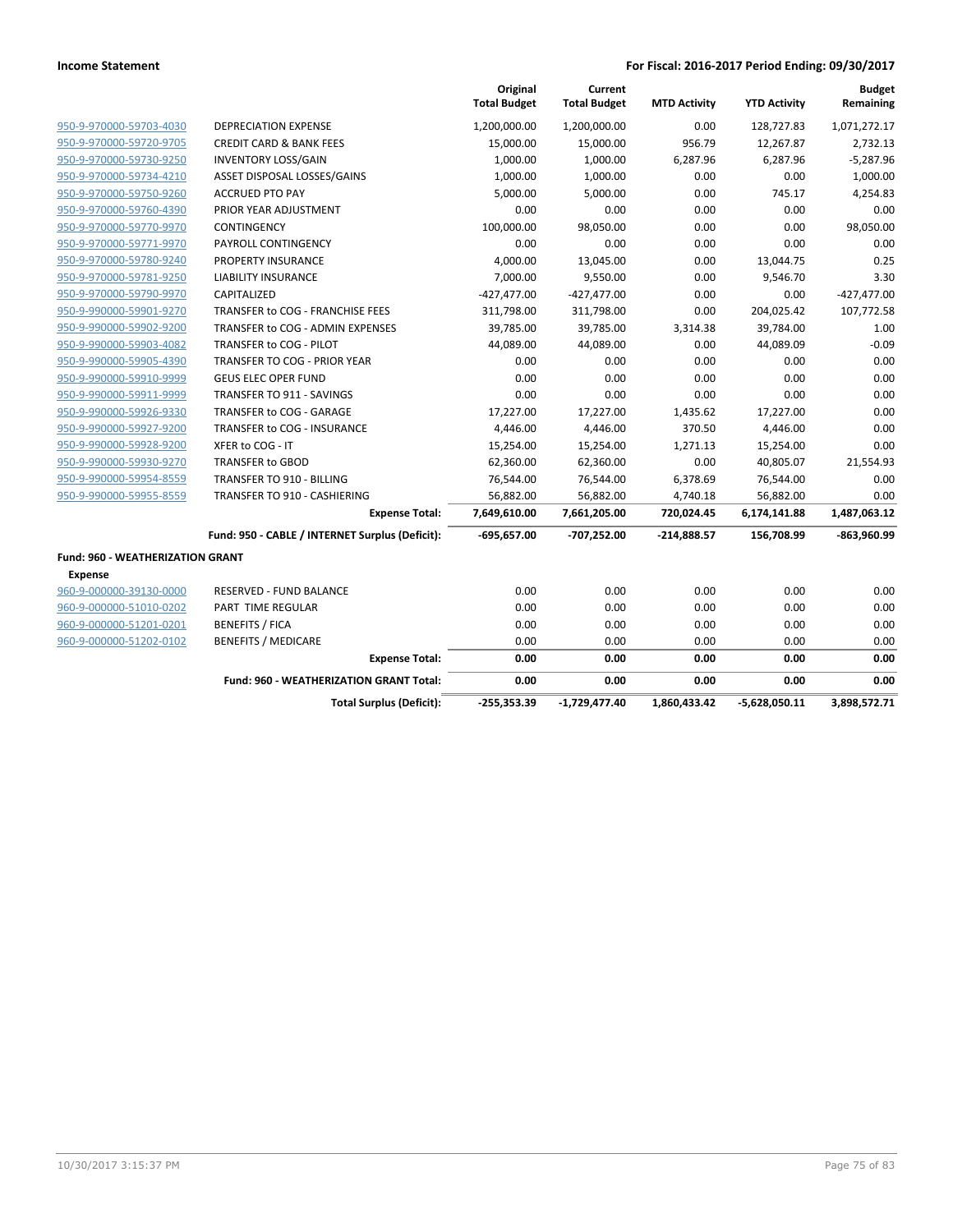|                                  |                                                 | Original<br><b>Total Budget</b> | Current<br><b>Total Budget</b> | <b>MTD Activity</b> | <b>YTD Activity</b> | <b>Budget</b><br>Remaining |
|----------------------------------|-------------------------------------------------|---------------------------------|--------------------------------|---------------------|---------------------|----------------------------|
| 950-9-970000-59703-4030          | <b>DEPRECIATION EXPENSE</b>                     | 1,200,000.00                    | 1,200,000.00                   | 0.00                | 128,727.83          | 1,071,272.17               |
| 950-9-970000-59720-9705          | <b>CREDIT CARD &amp; BANK FEES</b>              | 15,000.00                       | 15,000.00                      | 956.79              | 12,267.87           | 2,732.13                   |
| 950-9-970000-59730-9250          | <b>INVENTORY LOSS/GAIN</b>                      | 1,000.00                        | 1,000.00                       | 6,287.96            | 6,287.96            | $-5,287.96$                |
| 950-9-970000-59734-4210          | ASSET DISPOSAL LOSSES/GAINS                     | 1,000.00                        | 1,000.00                       | 0.00                | 0.00                | 1,000.00                   |
| 950-9-970000-59750-9260          | <b>ACCRUED PTO PAY</b>                          | 5,000.00                        | 5,000.00                       | 0.00                | 745.17              | 4,254.83                   |
| 950-9-970000-59760-4390          | PRIOR YEAR ADJUSTMENT                           | 0.00                            | 0.00                           | 0.00                | 0.00                | 0.00                       |
| 950-9-970000-59770-9970          | CONTINGENCY                                     | 100,000.00                      | 98,050.00                      | 0.00                | 0.00                | 98,050.00                  |
| 950-9-970000-59771-9970          | PAYROLL CONTINGENCY                             | 0.00                            | 0.00                           | 0.00                | 0.00                | 0.00                       |
| 950-9-970000-59780-9240          | <b>PROPERTY INSURANCE</b>                       | 4,000.00                        | 13,045.00                      | 0.00                | 13,044.75           | 0.25                       |
| 950-9-970000-59781-9250          | <b>LIABILITY INSURANCE</b>                      | 7,000.00                        | 9,550.00                       | 0.00                | 9,546.70            | 3.30                       |
| 950-9-970000-59790-9970          | CAPITALIZED                                     | $-427,477.00$                   | $-427,477.00$                  | 0.00                | 0.00                | $-427,477.00$              |
| 950-9-990000-59901-9270          | TRANSFER to COG - FRANCHISE FEES                | 311,798.00                      | 311,798.00                     | 0.00                | 204,025.42          | 107,772.58                 |
| 950-9-990000-59902-9200          | TRANSFER to COG - ADMIN EXPENSES                | 39,785.00                       | 39,785.00                      | 3,314.38            | 39,784.00           | 1.00                       |
| 950-9-990000-59903-4082          | TRANSFER to COG - PILOT                         | 44,089.00                       | 44,089.00                      | 0.00                | 44,089.09           | $-0.09$                    |
| 950-9-990000-59905-4390          | TRANSFER TO COG - PRIOR YEAR                    | 0.00                            | 0.00                           | 0.00                | 0.00                | 0.00                       |
| 950-9-990000-59910-9999          | <b>GEUS ELEC OPER FUND</b>                      | 0.00                            | 0.00                           | 0.00                | 0.00                | 0.00                       |
| 950-9-990000-59911-9999          | TRANSFER TO 911 - SAVINGS                       | 0.00                            | 0.00                           | 0.00                | 0.00                | 0.00                       |
| 950-9-990000-59926-9330          | TRANSFER to COG - GARAGE                        | 17,227.00                       | 17,227.00                      | 1,435.62            | 17,227.00           | 0.00                       |
| 950-9-990000-59927-9200          | TRANSFER to COG - INSURANCE                     | 4,446.00                        | 4,446.00                       | 370.50              | 4,446.00            | 0.00                       |
| 950-9-990000-59928-9200          | XFER to COG - IT                                | 15,254.00                       | 15,254.00                      | 1,271.13            | 15,254.00           | 0.00                       |
| 950-9-990000-59930-9270          | <b>TRANSFER to GBOD</b>                         | 62,360.00                       | 62,360.00                      | 0.00                | 40,805.07           | 21,554.93                  |
| 950-9-990000-59954-8559          | TRANSFER TO 910 - BILLING                       | 76,544.00                       | 76,544.00                      | 6,378.69            | 76,544.00           | 0.00                       |
| 950-9-990000-59955-8559          | TRANSFER TO 910 - CASHIERING                    | 56,882.00                       | 56,882.00                      | 4,740.18            | 56,882.00           | 0.00                       |
|                                  | <b>Expense Total:</b>                           | 7,649,610.00                    | 7,661,205.00                   | 720,024.45          | 6,174,141.88        | 1,487,063.12               |
|                                  | Fund: 950 - CABLE / INTERNET Surplus (Deficit): | -695,657.00                     | -707,252.00                    | $-214,888.57$       | 156,708.99          | -863,960.99                |
| Fund: 960 - WEATHERIZATION GRANT |                                                 |                                 |                                |                     |                     |                            |
| Expense                          |                                                 |                                 |                                |                     |                     |                            |
| 960-9-000000-39130-0000          | <b>RESERVED - FUND BALANCE</b>                  | 0.00                            | 0.00                           | 0.00                | 0.00                | 0.00                       |
| 960-9-000000-51010-0202          | <b>PART TIME REGULAR</b>                        | 0.00                            | 0.00                           | 0.00                | 0.00                | 0.00                       |
| 960-9-000000-51201-0201          | <b>BENEFITS / FICA</b>                          | 0.00                            | 0.00                           | 0.00                | 0.00                | 0.00                       |
| 960-9-000000-51202-0102          | <b>BENEFITS / MEDICARE</b>                      | 0.00                            | 0.00                           | 0.00                | 0.00                | 0.00                       |
|                                  | <b>Expense Total:</b>                           | 0.00                            | 0.00                           | 0.00                | 0.00                | 0.00                       |
|                                  | <b>Fund: 960 - WEATHERIZATION GRANT Total:</b>  | 0.00                            | 0.00                           | 0.00                | 0.00                | 0.00                       |
|                                  | <b>Total Surplus (Deficit):</b>                 | $-255,353.39$                   | $-1,729,477.40$                | 1,860,433.42        | $-5,628,050.11$     | 3,898,572.71               |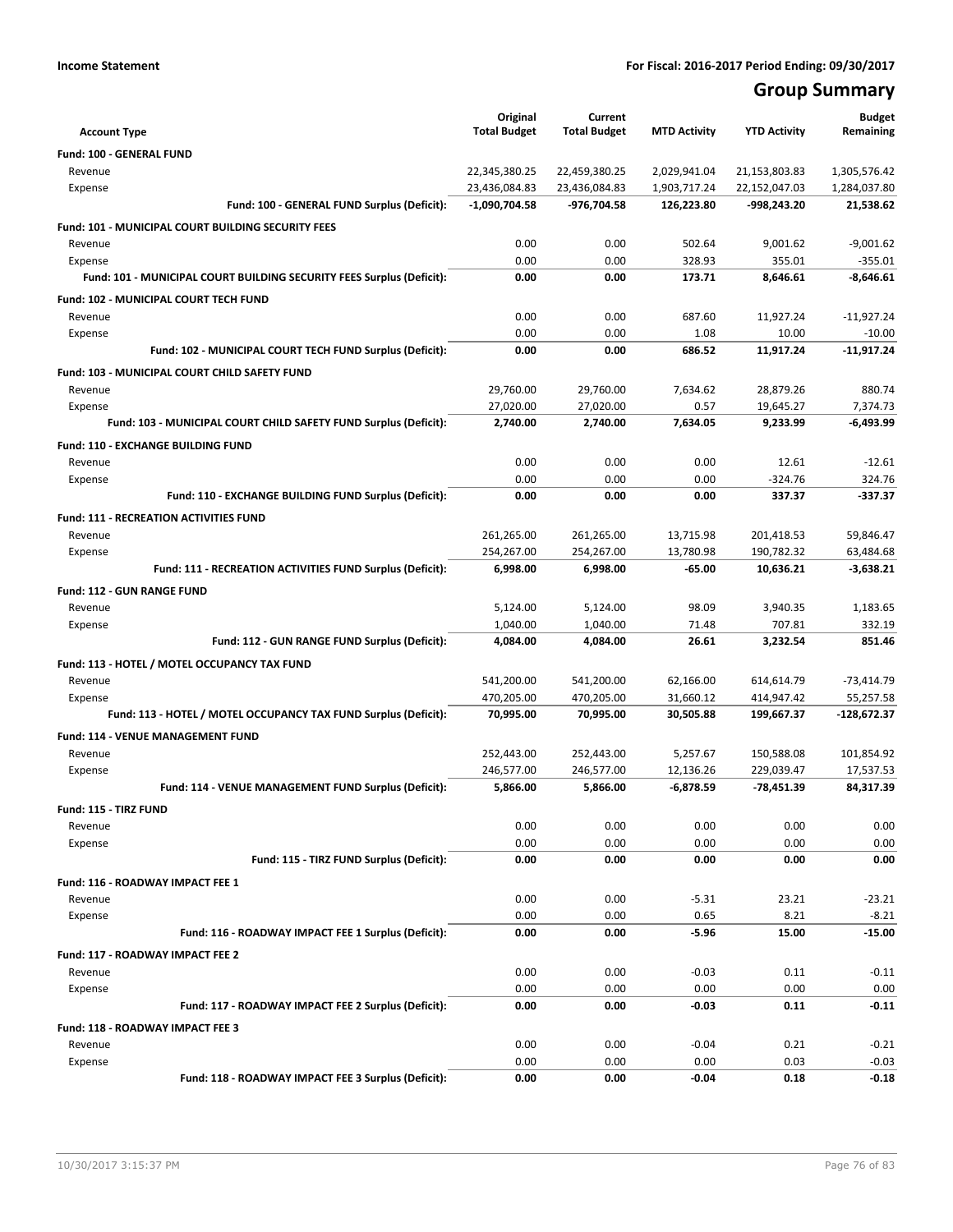## **Group Summary**

| <b>Account Type</b>                                                   |                                             | Original<br><b>Total Budget</b> | Current<br><b>Total Budget</b> | <b>MTD Activity</b> | <b>YTD Activity</b> | <b>Budget</b><br>Remaining |
|-----------------------------------------------------------------------|---------------------------------------------|---------------------------------|--------------------------------|---------------------|---------------------|----------------------------|
| Fund: 100 - GENERAL FUND                                              |                                             |                                 |                                |                     |                     |                            |
| Revenue                                                               |                                             | 22,345,380.25                   | 22,459,380.25                  | 2,029,941.04        | 21,153,803.83       | 1,305,576.42               |
| Expense                                                               |                                             | 23,436,084.83                   | 23,436,084.83                  | 1,903,717.24        | 22,152,047.03       | 1,284,037.80               |
|                                                                       | Fund: 100 - GENERAL FUND Surplus (Deficit): | $-1,090,704.58$                 | -976,704.58                    | 126,223.80          | -998,243.20         | 21,538.62                  |
| Fund: 101 - MUNICIPAL COURT BUILDING SECURITY FEES                    |                                             |                                 |                                |                     |                     |                            |
| Revenue                                                               |                                             | 0.00                            | 0.00                           | 502.64              | 9,001.62            | $-9,001.62$                |
| Expense                                                               |                                             | 0.00                            | 0.00                           | 328.93              | 355.01              | $-355.01$                  |
| Fund: 101 - MUNICIPAL COURT BUILDING SECURITY FEES Surplus (Deficit): |                                             | 0.00                            | 0.00                           | 173.71              | 8,646.61            | $-8,646.61$                |
| Fund: 102 - MUNICIPAL COURT TECH FUND                                 |                                             |                                 |                                |                     |                     |                            |
| Revenue                                                               |                                             | 0.00                            | 0.00                           | 687.60              | 11,927.24           | $-11,927.24$               |
| Expense                                                               |                                             | 0.00                            | 0.00                           | 1.08                | 10.00               | $-10.00$                   |
| Fund: 102 - MUNICIPAL COURT TECH FUND Surplus (Deficit):              |                                             | 0.00                            | 0.00                           | 686.52              | 11,917.24           | $-11,917.24$               |
| Fund: 103 - MUNICIPAL COURT CHILD SAFETY FUND                         |                                             |                                 |                                |                     |                     |                            |
| Revenue                                                               |                                             | 29,760.00                       | 29,760.00                      | 7,634.62            | 28,879.26           | 880.74                     |
| Expense                                                               |                                             | 27,020.00                       | 27,020.00                      | 0.57                | 19,645.27           | 7,374.73                   |
| Fund: 103 - MUNICIPAL COURT CHILD SAFETY FUND Surplus (Deficit):      |                                             | 2,740.00                        | 2,740.00                       | 7,634.05            | 9,233.99            | $-6,493.99$                |
| Fund: 110 - EXCHANGE BUILDING FUND                                    |                                             |                                 |                                |                     |                     |                            |
| Revenue                                                               |                                             | 0.00                            | 0.00                           | 0.00                | 12.61               | $-12.61$                   |
| Expense                                                               |                                             | 0.00                            | 0.00                           | 0.00                | $-324.76$           | 324.76                     |
| Fund: 110 - EXCHANGE BUILDING FUND Surplus (Deficit):                 |                                             | 0.00                            | 0.00                           | 0.00                | 337.37              | $-337.37$                  |
| <b>Fund: 111 - RECREATION ACTIVITIES FUND</b>                         |                                             |                                 |                                |                     |                     |                            |
| Revenue                                                               |                                             | 261,265.00                      | 261,265.00                     | 13,715.98           | 201,418.53          | 59,846.47                  |
| Expense                                                               |                                             | 254,267.00                      | 254,267.00                     | 13,780.98           | 190,782.32          | 63,484.68                  |
| Fund: 111 - RECREATION ACTIVITIES FUND Surplus (Deficit):             |                                             | 6,998.00                        | 6,998.00                       | $-65.00$            | 10,636.21           | $-3,638.21$                |
| <b>Fund: 112 - GUN RANGE FUND</b>                                     |                                             |                                 |                                |                     |                     |                            |
| Revenue                                                               |                                             | 5,124.00                        | 5,124.00                       | 98.09               | 3,940.35            | 1,183.65                   |
| Expense                                                               |                                             | 1,040.00                        | 1,040.00                       | 71.48               | 707.81              | 332.19                     |
| Fund: 112 - GUN RANGE FUND Surplus (Deficit):                         |                                             | 4,084.00                        | 4,084.00                       | 26.61               | 3,232.54            | 851.46                     |
| Fund: 113 - HOTEL / MOTEL OCCUPANCY TAX FUND                          |                                             |                                 |                                |                     |                     |                            |
| Revenue                                                               |                                             | 541,200.00                      | 541,200.00                     | 62,166.00           | 614,614.79          | $-73,414.79$               |
| Expense                                                               |                                             | 470,205.00                      | 470,205.00                     | 31,660.12           | 414,947.42          | 55,257.58                  |
| Fund: 113 - HOTEL / MOTEL OCCUPANCY TAX FUND Surplus (Deficit):       |                                             | 70,995.00                       | 70,995.00                      | 30,505.88           | 199,667.37          | -128,672.37                |
| Fund: 114 - VENUE MANAGEMENT FUND                                     |                                             |                                 |                                |                     |                     |                            |
| Revenue                                                               |                                             | 252,443.00                      | 252,443.00                     | 5,257.67            | 150,588.08          | 101,854.92                 |
| Expense                                                               |                                             | 246,577.00                      | 246,577.00                     | 12,136.26           | 229,039.47          | 17,537.53                  |
| Fund: 114 - VENUE MANAGEMENT FUND Surplus (Deficit):                  |                                             | 5,866.00                        | 5,866.00                       | $-6,878.59$         | -78,451.39          | 84,317.39                  |
| Fund: 115 - TIRZ FUND                                                 |                                             |                                 |                                |                     |                     |                            |
| Revenue                                                               |                                             | 0.00                            | 0.00                           | 0.00                | 0.00                | 0.00                       |
| Expense                                                               |                                             | 0.00                            | 0.00                           | 0.00                | 0.00                | 0.00                       |
|                                                                       | Fund: 115 - TIRZ FUND Surplus (Deficit):    | 0.00                            | 0.00                           | 0.00                | 0.00                | 0.00                       |
| Fund: 116 - ROADWAY IMPACT FEE 1                                      |                                             |                                 |                                |                     |                     |                            |
| Revenue                                                               |                                             | 0.00                            | 0.00                           | $-5.31$             | 23.21               | $-23.21$                   |
| Expense                                                               |                                             | 0.00                            | 0.00                           | 0.65                | 8.21                | $-8.21$                    |
| Fund: 116 - ROADWAY IMPACT FEE 1 Surplus (Deficit):                   |                                             | 0.00                            | 0.00                           | $-5.96$             | 15.00               | $-15.00$                   |
| Fund: 117 - ROADWAY IMPACT FEE 2                                      |                                             |                                 |                                |                     |                     |                            |
| Revenue                                                               |                                             | 0.00                            | 0.00                           | $-0.03$             | 0.11                | $-0.11$                    |
| Expense                                                               |                                             | 0.00                            | 0.00                           | 0.00                | 0.00                | 0.00                       |
| Fund: 117 - ROADWAY IMPACT FEE 2 Surplus (Deficit):                   |                                             | 0.00                            | 0.00                           | $-0.03$             | 0.11                | $-0.11$                    |
| Fund: 118 - ROADWAY IMPACT FEE 3                                      |                                             |                                 |                                |                     |                     |                            |
| Revenue                                                               |                                             | 0.00                            | 0.00                           | $-0.04$             | 0.21                | $-0.21$                    |
| Expense<br>Fund: 118 - ROADWAY IMPACT FEE 3 Surplus (Deficit):        |                                             | 0.00<br>0.00                    | 0.00<br>0.00                   | 0.00<br>$-0.04$     | 0.03<br>0.18        | $-0.03$<br>$-0.18$         |
|                                                                       |                                             |                                 |                                |                     |                     |                            |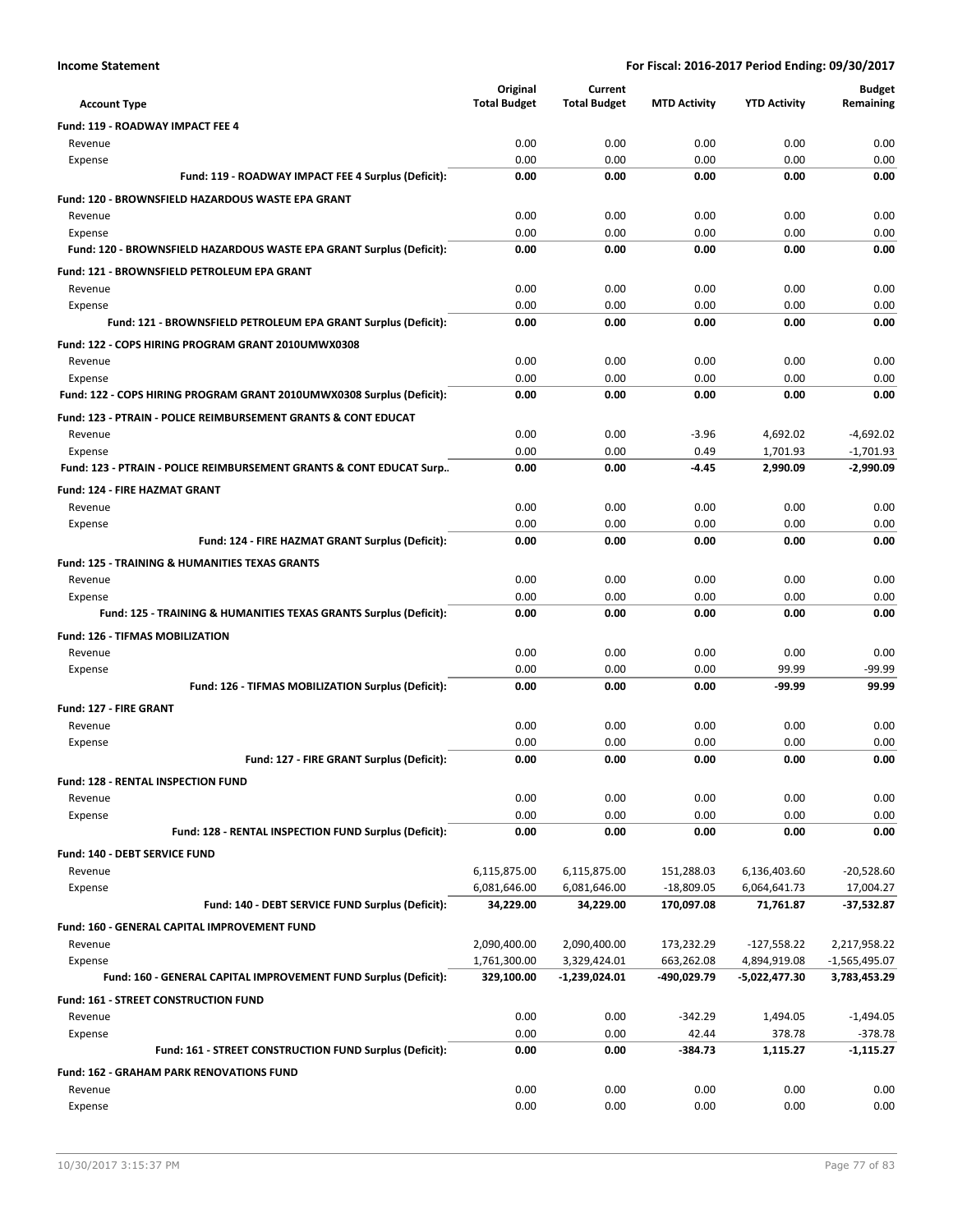|                                                                                 | Original                     | Current                      |                            |                              | <b>Budget</b>             |
|---------------------------------------------------------------------------------|------------------------------|------------------------------|----------------------------|------------------------------|---------------------------|
| <b>Account Type</b>                                                             | <b>Total Budget</b>          | <b>Total Budget</b>          | <b>MTD Activity</b>        | <b>YTD Activity</b>          | Remaining                 |
| <b>Fund: 119 - ROADWAY IMPACT FEE 4</b>                                         |                              |                              |                            |                              |                           |
| Revenue                                                                         | 0.00                         | 0.00                         | 0.00                       | 0.00                         | 0.00                      |
| Expense                                                                         | 0.00                         | 0.00                         | 0.00                       | 0.00                         | 0.00                      |
| Fund: 119 - ROADWAY IMPACT FEE 4 Surplus (Deficit):                             | 0.00                         | 0.00                         | 0.00                       | 0.00                         | 0.00                      |
| <b>Fund: 120 - BROWNSFIELD HAZARDOUS WASTE EPA GRANT</b>                        |                              |                              |                            |                              |                           |
| Revenue                                                                         | 0.00<br>0.00                 | 0.00<br>0.00                 | 0.00<br>0.00               | 0.00<br>0.00                 | 0.00<br>0.00              |
| Expense<br>Fund: 120 - BROWNSFIELD HAZARDOUS WASTE EPA GRANT Surplus (Deficit): | 0.00                         | 0.00                         | 0.00                       | 0.00                         | 0.00                      |
| Fund: 121 - BROWNSFIELD PETROLEUM EPA GRANT                                     |                              |                              |                            |                              |                           |
| Revenue                                                                         | 0.00                         | 0.00                         | 0.00                       | 0.00                         | 0.00                      |
| Expense                                                                         | 0.00                         | 0.00                         | 0.00                       | 0.00                         | 0.00                      |
| Fund: 121 - BROWNSFIELD PETROLEUM EPA GRANT Surplus (Deficit):                  | 0.00                         | 0.00                         | 0.00                       | 0.00                         | 0.00                      |
| Fund: 122 - COPS HIRING PROGRAM GRANT 2010UMWX0308                              |                              |                              |                            |                              |                           |
| Revenue                                                                         | 0.00                         | 0.00                         | 0.00                       | 0.00                         | 0.00                      |
| Expense                                                                         | 0.00                         | 0.00                         | 0.00                       | 0.00                         | 0.00                      |
| Fund: 122 - COPS HIRING PROGRAM GRANT 2010UMWX0308 Surplus (Deficit):           | 0.00                         | 0.00                         | 0.00                       | 0.00                         | 0.00                      |
| <b>Fund: 123 - PTRAIN - POLICE REIMBURSEMENT GRANTS &amp; CONT EDUCAT</b>       |                              |                              |                            |                              |                           |
| Revenue                                                                         | 0.00                         | 0.00                         | $-3.96$                    | 4,692.02                     | $-4,692.02$               |
| Expense                                                                         | 0.00                         | 0.00                         | 0.49                       | 1.701.93                     | $-1,701.93$               |
| Fund: 123 - PTRAIN - POLICE REIMBURSEMENT GRANTS & CONT EDUCAT Surp             | 0.00                         | 0.00                         | $-4.45$                    | 2.990.09                     | $-2.990.09$               |
| <b>Fund: 124 - FIRE HAZMAT GRANT</b>                                            |                              |                              |                            |                              |                           |
| Revenue                                                                         | 0.00                         | 0.00                         | 0.00                       | 0.00                         | 0.00                      |
| Expense<br>Fund: 124 - FIRE HAZMAT GRANT Surplus (Deficit):                     | 0.00<br>0.00                 | 0.00<br>0.00                 | 0.00<br>0.00               | 0.00<br>0.00                 | 0.00<br>0.00              |
|                                                                                 |                              |                              |                            |                              |                           |
| <b>Fund: 125 - TRAINING &amp; HUMANITIES TEXAS GRANTS</b><br>Revenue            | 0.00                         | 0.00                         | 0.00                       | 0.00                         | 0.00                      |
| Expense                                                                         | 0.00                         | 0.00                         | 0.00                       | 0.00                         | 0.00                      |
| Fund: 125 - TRAINING & HUMANITIES TEXAS GRANTS Surplus (Deficit):               | 0.00                         | 0.00                         | 0.00                       | 0.00                         | 0.00                      |
| Fund: 126 - TIFMAS MOBILIZATION                                                 |                              |                              |                            |                              |                           |
| Revenue                                                                         | 0.00                         | 0.00                         | 0.00                       | 0.00                         | 0.00                      |
| Expense                                                                         | 0.00                         | 0.00                         | 0.00                       | 99.99                        | $-99.99$                  |
| Fund: 126 - TIFMAS MOBILIZATION Surplus (Deficit):                              | 0.00                         | 0.00                         | 0.00                       | -99.99                       | 99.99                     |
| Fund: 127 - FIRE GRANT                                                          |                              |                              |                            |                              |                           |
| Revenue                                                                         | 0.00                         | 0.00                         | 0.00                       | 0.00                         | 0.00                      |
| Expense                                                                         | 0.00                         | 0.00                         | 0.00                       | 0.00                         | 0.00                      |
| Fund: 127 - FIRE GRANT Surplus (Deficit):                                       | 0.00                         | 0.00                         | 0.00                       | 0.00                         | 0.00                      |
| Fund: 128 - RENTAL INSPECTION FUND                                              |                              |                              |                            |                              |                           |
| Revenue                                                                         | 0.00                         | 0.00                         | 0.00                       | 0.00                         | 0.00                      |
| Expense                                                                         | 0.00                         | 0.00                         | 0.00                       | 0.00                         | 0.00                      |
| Fund: 128 - RENTAL INSPECTION FUND Surplus (Deficit):                           | 0.00                         | 0.00                         | 0.00                       | 0.00                         | 0.00                      |
| Fund: 140 - DEBT SERVICE FUND                                                   |                              |                              |                            |                              |                           |
| Revenue<br>Expense                                                              | 6,115,875.00<br>6,081,646.00 | 6,115,875.00<br>6,081,646.00 | 151,288.03<br>$-18,809.05$ | 6,136,403.60<br>6,064,641.73 | $-20,528.60$<br>17,004.27 |
| Fund: 140 - DEBT SERVICE FUND Surplus (Deficit):                                | 34,229.00                    | 34,229.00                    | 170,097.08                 | 71,761.87                    | $-37,532.87$              |
| Fund: 160 - GENERAL CAPITAL IMPROVEMENT FUND                                    |                              |                              |                            |                              |                           |
| Revenue                                                                         | 2,090,400.00                 | 2,090,400.00                 | 173,232.29                 | $-127,558.22$                | 2,217,958.22              |
| Expense                                                                         | 1,761,300.00                 | 3,329,424.01                 | 663,262.08                 | 4,894,919.08                 | $-1,565,495.07$           |
| Fund: 160 - GENERAL CAPITAL IMPROVEMENT FUND Surplus (Deficit):                 | 329,100.00                   | $-1,239,024.01$              | -490,029.79                | -5,022,477.30                | 3,783,453.29              |
| Fund: 161 - STREET CONSTRUCTION FUND                                            |                              |                              |                            |                              |                           |
| Revenue                                                                         | 0.00                         | 0.00                         | $-342.29$                  | 1,494.05                     | $-1,494.05$               |
| Expense                                                                         | 0.00                         | 0.00                         | 42.44                      | 378.78                       | $-378.78$                 |
| Fund: 161 - STREET CONSTRUCTION FUND Surplus (Deficit):                         | 0.00                         | 0.00                         | -384.73                    | 1,115.27                     | -1,115.27                 |
| <b>Fund: 162 - GRAHAM PARK RENOVATIONS FUND</b>                                 |                              |                              |                            |                              |                           |
| Revenue                                                                         | 0.00                         | 0.00                         | 0.00                       | 0.00                         | 0.00                      |
| Expense                                                                         | 0.00                         | 0.00                         | 0.00                       | 0.00                         | 0.00                      |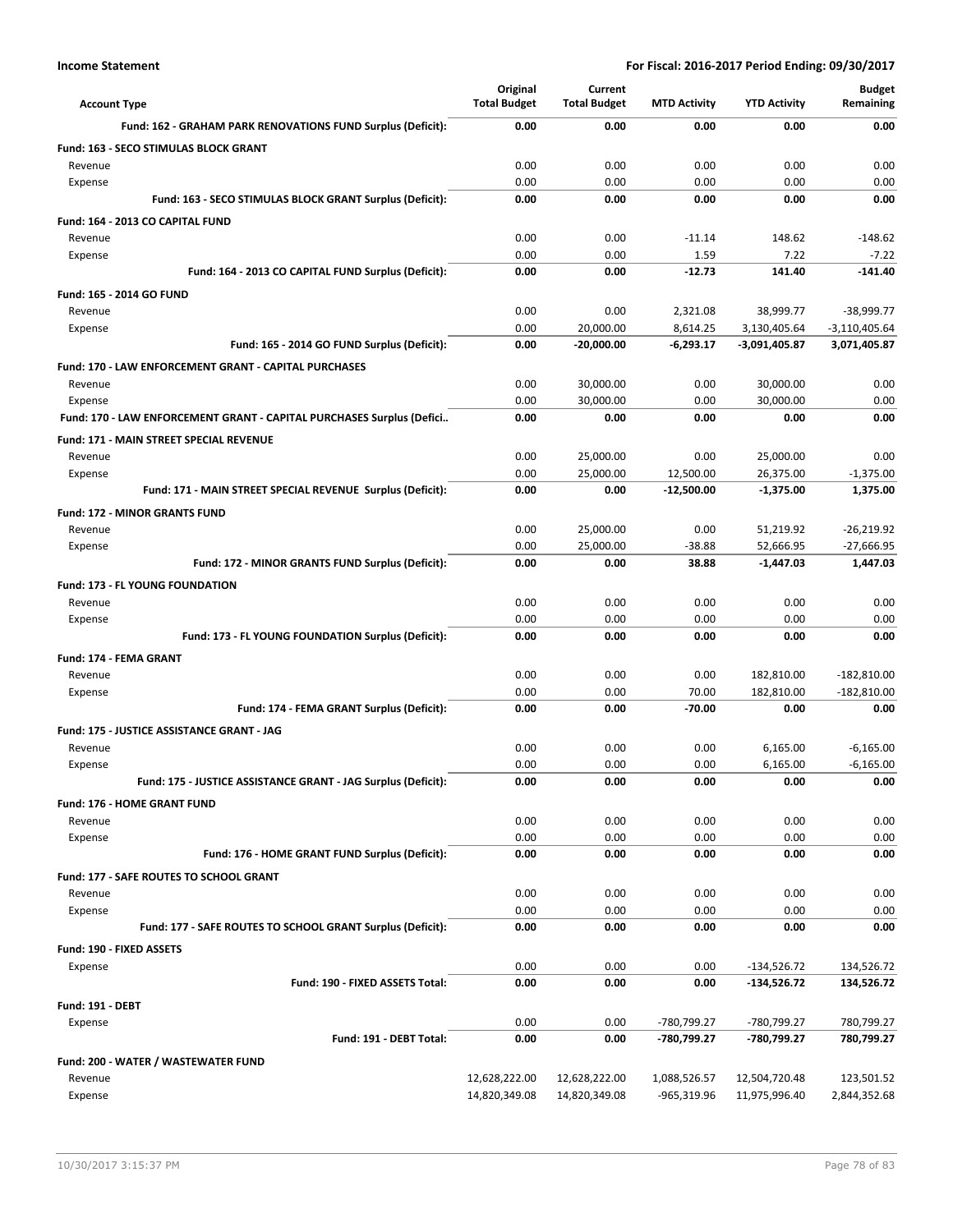| <b>Account Type</b>                                                              | Original<br><b>Total Budget</b> | Current<br><b>Total Budget</b> | <b>MTD Activity</b> | <b>YTD Activity</b>    | <b>Budget</b><br>Remaining |
|----------------------------------------------------------------------------------|---------------------------------|--------------------------------|---------------------|------------------------|----------------------------|
| Fund: 162 - GRAHAM PARK RENOVATIONS FUND Surplus (Deficit):                      | 0.00                            | 0.00                           | 0.00                | 0.00                   | 0.00                       |
| Fund: 163 - SECO STIMULAS BLOCK GRANT                                            |                                 |                                |                     |                        |                            |
| Revenue                                                                          | 0.00                            | 0.00                           | 0.00                | 0.00                   | 0.00                       |
| Expense                                                                          | 0.00                            | 0.00                           | 0.00                | 0.00                   | 0.00                       |
| Fund: 163 - SECO STIMULAS BLOCK GRANT Surplus (Deficit):                         | 0.00                            | 0.00                           | 0.00                | 0.00                   | 0.00                       |
| Fund: 164 - 2013 CO CAPITAL FUND                                                 |                                 |                                |                     |                        |                            |
| Revenue                                                                          | 0.00                            | 0.00                           | $-11.14$            | 148.62                 | $-148.62$                  |
| Expense                                                                          | 0.00                            | 0.00                           | 1.59                | 7.22                   | $-7.22$                    |
| Fund: 164 - 2013 CO CAPITAL FUND Surplus (Deficit):                              | 0.00                            | 0.00                           | $-12.73$            | 141.40                 | $-141.40$                  |
| Fund: 165 - 2014 GO FUND                                                         |                                 |                                |                     |                        |                            |
| Revenue                                                                          | 0.00                            | 0.00                           | 2,321.08            | 38,999.77              | $-38,999.77$               |
| Expense                                                                          | 0.00                            | 20,000.00                      | 8,614.25            | 3,130,405.64           | $-3,110,405.64$            |
| Fund: 165 - 2014 GO FUND Surplus (Deficit):                                      | 0.00                            | $-20,000.00$                   | $-6,293.17$         | -3,091,405.87          | 3,071,405.87               |
| Fund: 170 - LAW ENFORCEMENT GRANT - CAPITAL PURCHASES                            |                                 |                                |                     |                        |                            |
| Revenue                                                                          | 0.00<br>0.00                    | 30,000.00<br>30,000.00         | 0.00<br>0.00        | 30,000.00<br>30.000.00 | 0.00<br>0.00               |
| Expense<br>Fund: 170 - LAW ENFORCEMENT GRANT - CAPITAL PURCHASES Surplus (Defici | 0.00                            | 0.00                           | 0.00                | 0.00                   | 0.00                       |
|                                                                                  |                                 |                                |                     |                        |                            |
| Fund: 171 - MAIN STREET SPECIAL REVENUE<br>Revenue                               | 0.00                            | 25,000.00                      | 0.00                | 25,000.00              | 0.00                       |
| Expense                                                                          | 0.00                            | 25,000.00                      | 12,500.00           | 26,375.00              | $-1,375.00$                |
| Fund: 171 - MAIN STREET SPECIAL REVENUE Surplus (Deficit):                       | 0.00                            | 0.00                           | $-12,500.00$        | $-1,375.00$            | 1,375.00                   |
| <b>Fund: 172 - MINOR GRANTS FUND</b>                                             |                                 |                                |                     |                        |                            |
| Revenue                                                                          | 0.00                            | 25,000.00                      | 0.00                | 51,219.92              | $-26,219.92$               |
| Expense                                                                          | 0.00                            | 25,000.00                      | $-38.88$            | 52,666.95              | $-27,666.95$               |
| Fund: 172 - MINOR GRANTS FUND Surplus (Deficit):                                 | 0.00                            | 0.00                           | 38.88               | $-1,447.03$            | 1,447.03                   |
| <b>Fund: 173 - FL YOUNG FOUNDATION</b>                                           |                                 |                                |                     |                        |                            |
| Revenue                                                                          | 0.00                            | 0.00                           | 0.00                | 0.00                   | 0.00                       |
| Expense                                                                          | 0.00                            | 0.00                           | 0.00                | 0.00                   | 0.00                       |
| Fund: 173 - FL YOUNG FOUNDATION Surplus (Deficit):                               | 0.00                            | 0.00                           | 0.00                | 0.00                   | 0.00                       |
| Fund: 174 - FEMA GRANT                                                           |                                 |                                |                     |                        |                            |
| Revenue                                                                          | 0.00                            | 0.00                           | 0.00                | 182,810.00             | $-182,810.00$              |
| Expense                                                                          | 0.00                            | 0.00                           | 70.00               | 182.810.00             | $-182,810.00$              |
| Fund: 174 - FEMA GRANT Surplus (Deficit):                                        | 0.00                            | 0.00                           | -70.00              | 0.00                   | 0.00                       |
| Fund: 175 - JUSTICE ASSISTANCE GRANT - JAG                                       |                                 |                                |                     |                        |                            |
| Revenue                                                                          | 0.00                            | 0.00                           | 0.00                | 6,165.00               | $-6,165.00$                |
| Expense                                                                          | 0.00                            | 0.00                           | 0.00                | 6,165.00               | $-6,165.00$                |
| Fund: 175 - JUSTICE ASSISTANCE GRANT - JAG Surplus (Deficit):                    | 0.00                            | 0.00                           | 0.00                | 0.00                   | 0.00                       |
| Fund: 176 - HOME GRANT FUND                                                      |                                 |                                |                     |                        |                            |
| Revenue<br>Expense                                                               | 0.00<br>0.00                    | 0.00<br>0.00                   | 0.00<br>0.00        | 0.00<br>0.00           | 0.00<br>0.00               |
| Fund: 176 - HOME GRANT FUND Surplus (Deficit):                                   | 0.00                            | 0.00                           | 0.00                | 0.00                   | 0.00                       |
| Fund: 177 - SAFE ROUTES TO SCHOOL GRANT                                          |                                 |                                |                     |                        |                            |
| Revenue                                                                          | 0.00                            | 0.00                           | 0.00                | 0.00                   | 0.00                       |
| Expense                                                                          | 0.00                            | 0.00                           | 0.00                | 0.00                   | 0.00                       |
| Fund: 177 - SAFE ROUTES TO SCHOOL GRANT Surplus (Deficit):                       | 0.00                            | 0.00                           | 0.00                | 0.00                   | 0.00                       |
| Fund: 190 - FIXED ASSETS                                                         |                                 |                                |                     |                        |                            |
| Expense                                                                          | 0.00                            | 0.00                           | 0.00                | $-134,526.72$          | 134,526.72                 |
| Fund: 190 - FIXED ASSETS Total:                                                  | 0.00                            | 0.00                           | 0.00                | -134,526.72            | 134,526.72                 |
| <b>Fund: 191 - DEBT</b>                                                          |                                 |                                |                     |                        |                            |
| Expense                                                                          | 0.00                            | 0.00                           | -780,799.27         | -780,799.27            | 780,799.27                 |
| Fund: 191 - DEBT Total:                                                          | 0.00                            | 0.00                           | -780,799.27         | -780,799.27            | 780,799.27                 |
| Fund: 200 - WATER / WASTEWATER FUND                                              |                                 |                                |                     |                        |                            |
| Revenue                                                                          | 12,628,222.00                   | 12,628,222.00                  | 1,088,526.57        | 12,504,720.48          | 123,501.52                 |
| Expense                                                                          | 14,820,349.08                   | 14,820,349.08                  | -965,319.96         | 11,975,996.40          | 2,844,352.68               |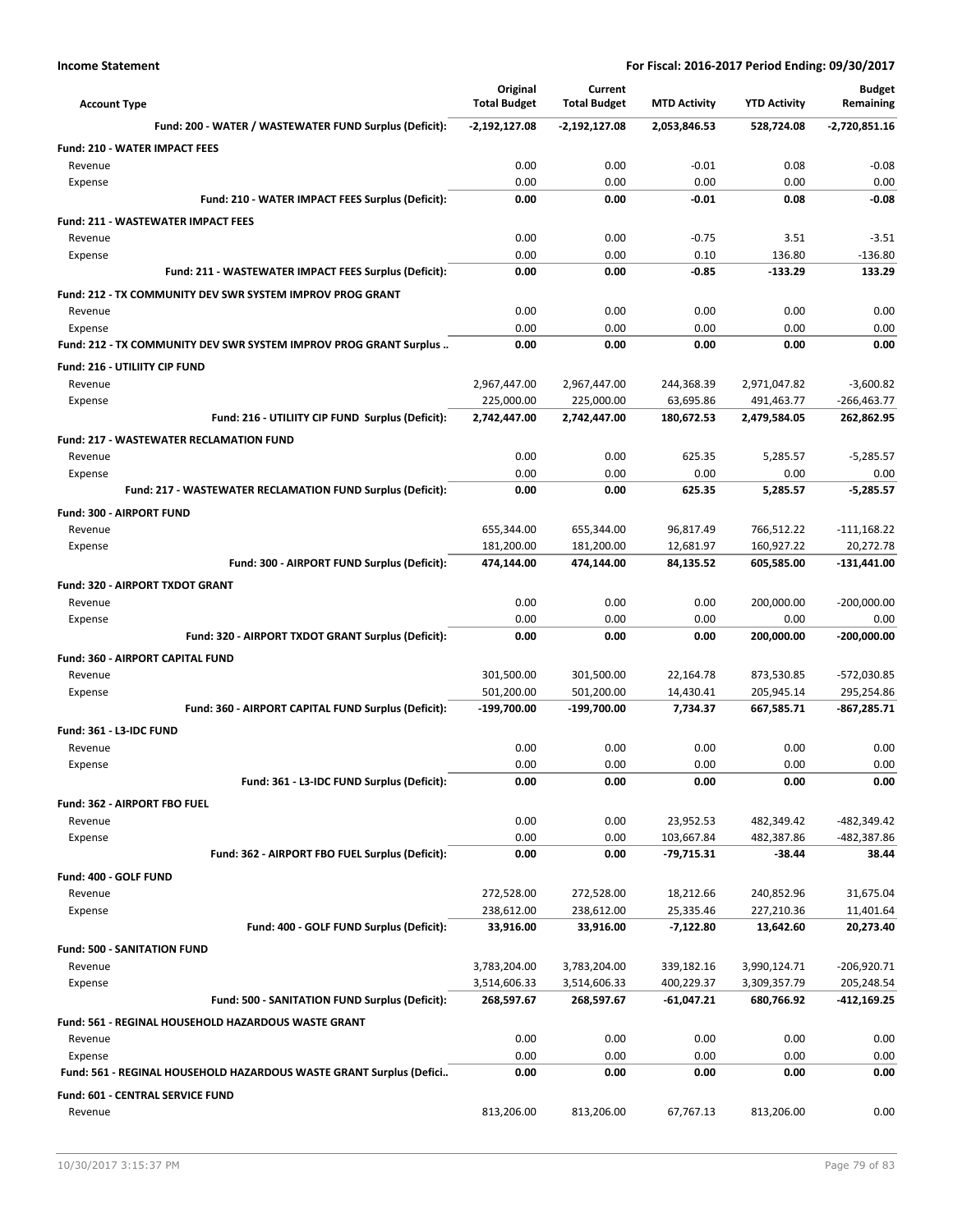| <b>Account Type</b>                                                 | Original<br><b>Total Budget</b> | Current<br><b>Total Budget</b> | <b>MTD Activity</b> | <b>YTD Activity</b> | <b>Budget</b><br>Remaining |
|---------------------------------------------------------------------|---------------------------------|--------------------------------|---------------------|---------------------|----------------------------|
| Fund: 200 - WATER / WASTEWATER FUND Surplus (Deficit):              | $-2,192,127.08$                 | $-2,192,127.08$                | 2,053,846.53        | 528,724.08          | $-2,720,851.16$            |
| <b>Fund: 210 - WATER IMPACT FEES</b>                                |                                 |                                |                     |                     |                            |
| Revenue                                                             | 0.00                            | 0.00                           | $-0.01$             | 0.08                | $-0.08$                    |
| Expense                                                             | 0.00                            | 0.00                           | 0.00                | 0.00                | 0.00                       |
| Fund: 210 - WATER IMPACT FEES Surplus (Deficit):                    | 0.00                            | 0.00                           | $-0.01$             | 0.08                | $-0.08$                    |
| <b>Fund: 211 - WASTEWATER IMPACT FEES</b>                           |                                 |                                |                     |                     |                            |
| Revenue                                                             | 0.00                            | 0.00                           | $-0.75$             | 3.51                | $-3.51$                    |
| Expense                                                             | 0.00                            | 0.00                           | 0.10                | 136.80              | $-136.80$                  |
| Fund: 211 - WASTEWATER IMPACT FEES Surplus (Deficit):               | 0.00                            | 0.00                           | $-0.85$             | $-133.29$           | 133.29                     |
| Fund: 212 - TX COMMUNITY DEV SWR SYSTEM IMPROV PROG GRANT           |                                 |                                |                     |                     |                            |
| Revenue                                                             | 0.00                            | 0.00                           | 0.00                | 0.00                | 0.00                       |
| Expense                                                             | 0.00                            | 0.00                           | 0.00                | 0.00                | 0.00                       |
| Fund: 212 - TX COMMUNITY DEV SWR SYSTEM IMPROV PROG GRANT Surplus   | 0.00                            | 0.00                           | 0.00                | 0.00                | 0.00                       |
| Fund: 216 - UTILIITY CIP FUND                                       |                                 |                                |                     |                     |                            |
| Revenue                                                             | 2,967,447.00                    | 2,967,447.00                   | 244,368.39          | 2,971,047.82        | $-3,600.82$                |
| Expense                                                             | 225,000.00                      | 225,000.00                     | 63,695.86           | 491,463.77          | $-266,463.77$              |
| Fund: 216 - UTILIITY CIP FUND Surplus (Deficit):                    | 2,742,447.00                    | 2,742,447.00                   | 180,672.53          | 2,479,584.05        | 262,862.95                 |
| <b>Fund: 217 - WASTEWATER RECLAMATION FUND</b>                      |                                 |                                |                     |                     |                            |
| Revenue                                                             | 0.00                            | 0.00                           | 625.35              | 5,285.57            | $-5,285.57$                |
| Expense                                                             | 0.00                            | 0.00                           | 0.00                | 0.00                | 0.00                       |
| Fund: 217 - WASTEWATER RECLAMATION FUND Surplus (Deficit):          | 0.00                            | 0.00                           | 625.35              | 5,285.57            | $-5.285.57$                |
| <b>Fund: 300 - AIRPORT FUND</b>                                     |                                 |                                |                     |                     |                            |
| Revenue                                                             | 655,344.00                      | 655,344.00                     | 96,817.49           | 766,512.22          | $-111,168.22$              |
| Expense                                                             | 181,200.00                      | 181,200.00                     | 12,681.97           | 160,927.22          | 20,272.78                  |
| Fund: 300 - AIRPORT FUND Surplus (Deficit):                         | 474,144.00                      | 474,144.00                     | 84,135.52           | 605,585.00          | -131,441.00                |
| Fund: 320 - AIRPORT TXDOT GRANT                                     |                                 |                                |                     |                     |                            |
| Revenue                                                             | 0.00                            | 0.00                           | 0.00                | 200,000.00          | $-200,000.00$              |
| Expense                                                             | 0.00                            | 0.00                           | 0.00                | 0.00                | 0.00                       |
| Fund: 320 - AIRPORT TXDOT GRANT Surplus (Deficit):                  | 0.00                            | 0.00                           | 0.00                | 200,000.00          | -200,000.00                |
| Fund: 360 - AIRPORT CAPITAL FUND                                    |                                 |                                |                     |                     |                            |
| Revenue                                                             | 301,500.00                      | 301,500.00                     | 22,164.78           | 873,530.85          | -572,030.85                |
| Expense                                                             | 501,200.00                      | 501,200.00                     | 14,430.41           | 205,945.14          | 295,254.86                 |
| Fund: 360 - AIRPORT CAPITAL FUND Surplus (Deficit):                 | -199,700.00                     | -199,700.00                    | 7,734.37            | 667,585.71          | -867,285.71                |
| Fund: 361 - L3-IDC FUND                                             |                                 |                                |                     |                     |                            |
| Revenue                                                             | 0.00                            | 0.00                           | 0.00                | 0.00                | 0.00                       |
| Expense                                                             | 0.00                            | 0.00                           | 0.00                | 0.00                | 0.00                       |
| Fund: 361 - L3-IDC FUND Surplus (Deficit):                          | 0.00                            | 0.00                           | 0.00                | 0.00                | 0.00                       |
| Fund: 362 - AIRPORT FBO FUEL                                        |                                 |                                |                     |                     |                            |
| Revenue                                                             | 0.00                            | 0.00                           | 23,952.53           | 482,349.42          | -482,349.42                |
| Expense                                                             | 0.00                            | 0.00                           | 103,667.84          | 482,387.86          | -482,387.86                |
| Fund: 362 - AIRPORT FBO FUEL Surplus (Deficit):                     | 0.00                            | 0.00                           | $-79,715.31$        | -38.44              | 38.44                      |
| Fund: 400 - GOLF FUND                                               |                                 |                                |                     |                     |                            |
| Revenue                                                             | 272,528.00                      | 272,528.00                     | 18,212.66           | 240,852.96          | 31,675.04                  |
| Expense                                                             | 238,612.00                      | 238,612.00                     | 25,335.46           | 227,210.36          | 11,401.64                  |
| Fund: 400 - GOLF FUND Surplus (Deficit):                            | 33,916.00                       | 33,916.00                      | $-7,122.80$         | 13,642.60           | 20,273.40                  |
| <b>Fund: 500 - SANITATION FUND</b>                                  |                                 |                                |                     |                     |                            |
| Revenue                                                             | 3,783,204.00                    | 3,783,204.00                   | 339,182.16          | 3,990,124.71        | -206,920.71                |
| Expense                                                             | 3,514,606.33                    | 3,514,606.33                   | 400,229.37          | 3,309,357.79        | 205,248.54                 |
| Fund: 500 - SANITATION FUND Surplus (Deficit):                      | 268,597.67                      | 268,597.67                     | $-61,047.21$        | 680,766.92          | -412,169.25                |
| Fund: 561 - REGINAL HOUSEHOLD HAZARDOUS WASTE GRANT                 |                                 |                                |                     |                     |                            |
| Revenue                                                             | 0.00                            | 0.00                           | 0.00                | 0.00                | 0.00                       |
| Expense                                                             | 0.00                            | 0.00                           | 0.00                | 0.00                | 0.00                       |
| Fund: 561 - REGINAL HOUSEHOLD HAZARDOUS WASTE GRANT Surplus (Defici | 0.00                            | 0.00                           | 0.00                | 0.00                | 0.00                       |
| Fund: 601 - CENTRAL SERVICE FUND                                    |                                 |                                |                     |                     |                            |
|                                                                     |                                 |                                |                     |                     |                            |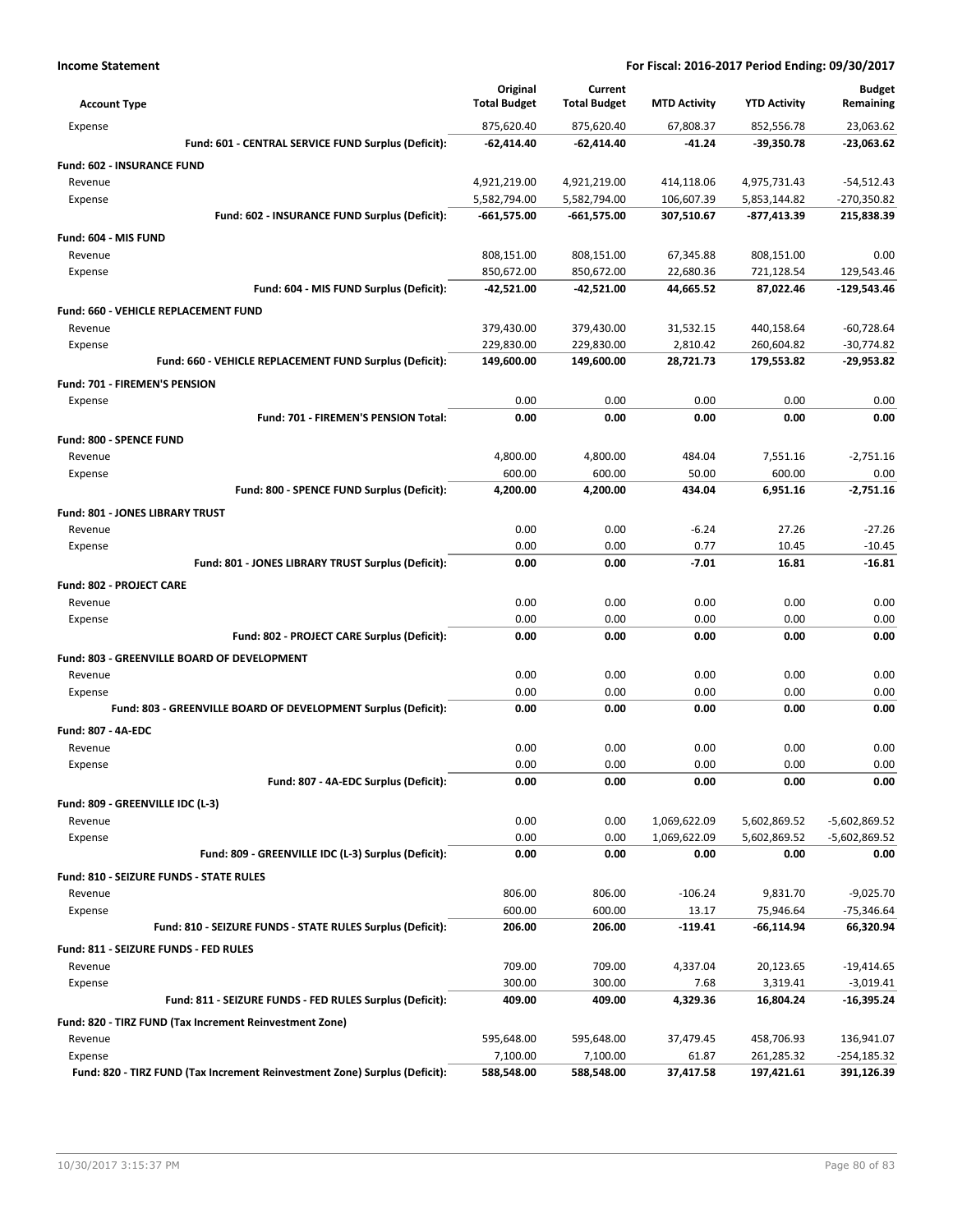| <b>Account Type</b>                                                                   | Original<br><b>Total Budget</b> | Current<br><b>Total Budget</b> | <b>MTD Activity</b> | <b>YTD Activity</b>      | <b>Budget</b><br>Remaining |
|---------------------------------------------------------------------------------------|---------------------------------|--------------------------------|---------------------|--------------------------|----------------------------|
| Expense                                                                               | 875,620.40                      | 875,620.40                     | 67,808.37           | 852,556.78               | 23,063.62                  |
| Fund: 601 - CENTRAL SERVICE FUND Surplus (Deficit):                                   | -62,414.40                      | -62,414.40                     | -41.24              | -39,350.78               | $-23,063.62$               |
| <b>Fund: 602 - INSURANCE FUND</b>                                                     |                                 |                                |                     |                          |                            |
| Revenue                                                                               | 4,921,219.00                    | 4,921,219.00                   | 414,118.06          | 4,975,731.43             | $-54,512.43$               |
| Expense                                                                               | 5,582,794.00                    | 5,582,794.00                   | 106,607.39          | 5,853,144.82             | -270,350.82                |
| Fund: 602 - INSURANCE FUND Surplus (Deficit):                                         | $-661,575.00$                   | $-661,575.00$                  | 307,510.67          | -877,413.39              | 215,838.39                 |
| Fund: 604 - MIS FUND                                                                  |                                 |                                |                     |                          |                            |
| Revenue                                                                               | 808,151.00                      | 808,151.00                     | 67,345.88           | 808,151.00               | 0.00                       |
| Expense                                                                               | 850,672.00                      | 850,672.00                     | 22,680.36           | 721,128.54               | 129,543.46                 |
| Fund: 604 - MIS FUND Surplus (Deficit):                                               | -42,521.00                      | $-42,521.00$                   | 44,665.52           | 87,022.46                | $-129,543.46$              |
| Fund: 660 - VEHICLE REPLACEMENT FUND                                                  |                                 |                                |                     |                          |                            |
| Revenue                                                                               | 379,430.00                      | 379,430.00                     | 31,532.15           | 440,158.64               | $-60,728.64$               |
| Expense                                                                               | 229,830.00                      | 229,830.00                     | 2,810.42            | 260,604.82               | $-30,774.82$               |
| Fund: 660 - VEHICLE REPLACEMENT FUND Surplus (Deficit):                               | 149,600.00                      | 149,600.00                     | 28,721.73           | 179,553.82               | -29,953.82                 |
| Fund: 701 - FIREMEN'S PENSION                                                         |                                 |                                |                     |                          |                            |
| Expense                                                                               | 0.00                            | 0.00                           | 0.00                | 0.00                     | 0.00                       |
| Fund: 701 - FIREMEN'S PENSION Total:                                                  | 0.00                            | 0.00                           | 0.00                | 0.00                     | 0.00                       |
| Fund: 800 - SPENCE FUND                                                               |                                 |                                |                     |                          |                            |
| Revenue                                                                               | 4,800.00                        | 4,800.00                       | 484.04              | 7,551.16                 | $-2.751.16$                |
| Expense                                                                               | 600.00                          | 600.00                         | 50.00               | 600.00                   | 0.00                       |
| Fund: 800 - SPENCE FUND Surplus (Deficit):                                            | 4,200.00                        | 4,200.00                       | 434.04              | 6,951.16                 | $-2,751.16$                |
| <b>Fund: 801 - JONES LIBRARY TRUST</b>                                                |                                 |                                |                     |                          |                            |
| Revenue                                                                               | 0.00                            | 0.00                           | $-6.24$             | 27.26                    | $-27.26$                   |
| Expense                                                                               | 0.00                            | 0.00                           | 0.77                | 10.45                    | $-10.45$                   |
| Fund: 801 - JONES LIBRARY TRUST Surplus (Deficit):                                    | 0.00                            | 0.00                           | $-7.01$             | 16.81                    | $-16.81$                   |
| <b>Fund: 802 - PROJECT CARE</b>                                                       |                                 |                                |                     |                          |                            |
| Revenue                                                                               | 0.00                            | 0.00                           | 0.00                | 0.00                     | 0.00                       |
| Expense                                                                               | 0.00                            | 0.00                           | 0.00                | 0.00                     | 0.00                       |
| Fund: 802 - PROJECT CARE Surplus (Deficit):                                           | 0.00                            | 0.00                           | 0.00                | 0.00                     | 0.00                       |
| Fund: 803 - GREENVILLE BOARD OF DEVELOPMENT                                           |                                 |                                |                     |                          |                            |
| Revenue                                                                               | 0.00                            | 0.00                           | 0.00                | 0.00                     | 0.00                       |
| Expense                                                                               | 0.00                            | 0.00                           | 0.00                | 0.00                     | 0.00                       |
| Fund: 803 - GREENVILLE BOARD OF DEVELOPMENT Surplus (Deficit):                        | 0.00                            | 0.00                           | 0.00                | 0.00                     | 0.00                       |
|                                                                                       |                                 |                                |                     |                          |                            |
| Fund: 807 - 4A-EDC<br>Revenue                                                         | 0.00                            | 0.00                           | 0.00                | 0.00                     | 0.00                       |
| Expense                                                                               | 0.00                            | 0.00                           | 0.00                | 0.00                     | 0.00                       |
| Fund: 807 - 4A-EDC Surplus (Deficit):                                                 | 0.00                            | 0.00                           | 0.00                | 0.00                     | 0.00                       |
|                                                                                       |                                 |                                |                     |                          |                            |
| Fund: 809 - GREENVILLE IDC (L-3)<br>Revenue                                           | 0.00                            | 0.00                           | 1,069,622.09        | 5,602,869.52             | $-5,602,869.52$            |
| Expense                                                                               | 0.00                            | 0.00                           | 1,069,622.09        | 5,602,869.52             | -5,602,869.52              |
| Fund: 809 - GREENVILLE IDC (L-3) Surplus (Deficit):                                   | 0.00                            | 0.00                           | 0.00                | 0.00                     | 0.00                       |
|                                                                                       |                                 |                                |                     |                          |                            |
| Fund: 810 - SEIZURE FUNDS - STATE RULES<br>Revenue                                    | 806.00                          | 806.00                         | $-106.24$           | 9,831.70                 | $-9,025.70$                |
| Expense                                                                               | 600.00                          | 600.00                         | 13.17               | 75,946.64                | $-75,346.64$               |
| Fund: 810 - SEIZURE FUNDS - STATE RULES Surplus (Deficit):                            | 206.00                          | 206.00                         | $-119.41$           | $-66,114.94$             | 66,320.94                  |
|                                                                                       |                                 |                                |                     |                          |                            |
| Fund: 811 - SEIZURE FUNDS - FED RULES                                                 |                                 |                                |                     |                          |                            |
| Revenue                                                                               | 709.00<br>300.00                | 709.00<br>300.00               | 4,337.04<br>7.68    | 20,123.65<br>3,319.41    | $-19,414.65$               |
| Expense<br>Fund: 811 - SEIZURE FUNDS - FED RULES Surplus (Deficit):                   | 409.00                          | 409.00                         | 4,329.36            | 16,804.24                | $-3,019.41$<br>-16,395.24  |
|                                                                                       |                                 |                                |                     |                          |                            |
| Fund: 820 - TIRZ FUND (Tax Increment Reinvestment Zone)                               |                                 |                                |                     |                          |                            |
| Revenue                                                                               | 595,648.00                      | 595,648.00                     | 37,479.45           | 458,706.93               | 136,941.07                 |
| Expense<br>Fund: 820 - TIRZ FUND (Tax Increment Reinvestment Zone) Surplus (Deficit): | 7,100.00<br>588,548.00          | 7,100.00<br>588,548.00         | 61.87<br>37,417.58  | 261,285.32<br>197,421.61 | -254,185.32<br>391,126.39  |
|                                                                                       |                                 |                                |                     |                          |                            |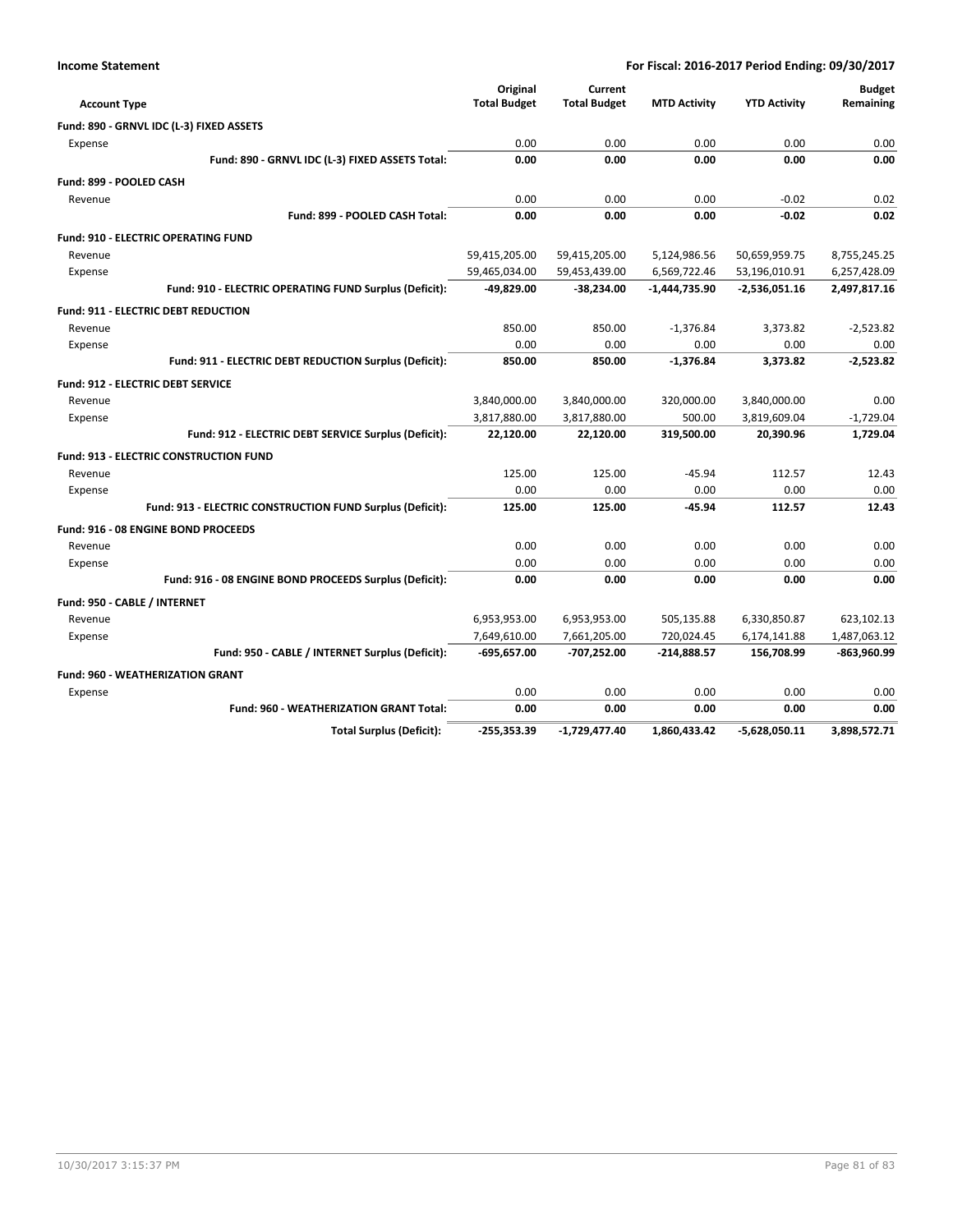| <b>Account Type</b>                                       | Original<br><b>Total Budget</b> | Current<br><b>Total Budget</b> | <b>MTD Activity</b> | <b>YTD Activity</b> | <b>Budget</b><br>Remaining |
|-----------------------------------------------------------|---------------------------------|--------------------------------|---------------------|---------------------|----------------------------|
| Fund: 890 - GRNVL IDC (L-3) FIXED ASSETS                  |                                 |                                |                     |                     |                            |
| Expense                                                   | 0.00                            | 0.00                           | 0.00                | 0.00                | 0.00                       |
| Fund: 890 - GRNVL IDC (L-3) FIXED ASSETS Total:           | 0.00                            | 0.00                           | 0.00                | 0.00                | 0.00                       |
|                                                           |                                 |                                |                     |                     |                            |
| Fund: 899 - POOLED CASH                                   |                                 |                                |                     |                     |                            |
| Revenue<br>Fund: 899 - POOLED CASH Total:                 | 0.00<br>0.00                    | 0.00<br>0.00                   | 0.00<br>0.00        | $-0.02$<br>$-0.02$  | 0.02<br>0.02               |
|                                                           |                                 |                                |                     |                     |                            |
| <b>Fund: 910 - ELECTRIC OPERATING FUND</b>                |                                 |                                |                     |                     |                            |
| Revenue                                                   | 59,415,205.00                   | 59,415,205.00                  | 5,124,986.56        | 50,659,959.75       | 8,755,245.25               |
| Expense                                                   | 59,465,034.00                   | 59,453,439.00                  | 6,569,722.46        | 53,196,010.91       | 6,257,428.09               |
| Fund: 910 - ELECTRIC OPERATING FUND Surplus (Deficit):    | $-49,829.00$                    | $-38,234.00$                   | -1,444,735.90       | $-2,536,051.16$     | 2,497,817.16               |
| <b>Fund: 911 - ELECTRIC DEBT REDUCTION</b>                |                                 |                                |                     |                     |                            |
| Revenue                                                   | 850.00                          | 850.00                         | $-1.376.84$         | 3.373.82            | $-2.523.82$                |
| Expense                                                   | 0.00                            | 0.00                           | 0.00                | 0.00                | 0.00                       |
| Fund: 911 - ELECTRIC DEBT REDUCTION Surplus (Deficit):    | 850.00                          | 850.00                         | $-1,376.84$         | 3,373.82            | $-2,523.82$                |
| <b>Fund: 912 - ELECTRIC DEBT SERVICE</b>                  |                                 |                                |                     |                     |                            |
| Revenue                                                   | 3,840,000.00                    | 3,840,000.00                   | 320,000.00          | 3,840,000.00        | 0.00                       |
| Expense                                                   | 3,817,880.00                    | 3,817,880.00                   | 500.00              | 3,819,609.04        | $-1,729.04$                |
| Fund: 912 - ELECTRIC DEBT SERVICE Surplus (Deficit):      | 22,120.00                       | 22,120.00                      | 319,500.00          | 20,390.96           | 1,729.04                   |
| <b>Fund: 913 - ELECTRIC CONSTRUCTION FUND</b>             |                                 |                                |                     |                     |                            |
| Revenue                                                   | 125.00                          | 125.00                         | $-45.94$            | 112.57              | 12.43                      |
| Expense                                                   | 0.00                            | 0.00                           | 0.00                | 0.00                | 0.00                       |
| Fund: 913 - ELECTRIC CONSTRUCTION FUND Surplus (Deficit): | 125.00                          | 125.00                         | $-45.94$            | 112.57              | 12.43                      |
| Fund: 916 - 08 ENGINE BOND PROCEEDS                       |                                 |                                |                     |                     |                            |
| Revenue                                                   | 0.00                            | 0.00                           | 0.00                | 0.00                | 0.00                       |
| Expense                                                   | 0.00                            | 0.00                           | 0.00                | 0.00                | 0.00                       |
| Fund: 916 - 08 ENGINE BOND PROCEEDS Surplus (Deficit):    | 0.00                            | 0.00                           | 0.00                | 0.00                | 0.00                       |
| Fund: 950 - CABLE / INTERNET                              |                                 |                                |                     |                     |                            |
| Revenue                                                   | 6,953,953.00                    | 6,953,953.00                   | 505,135.88          | 6,330,850.87        | 623,102.13                 |
| Expense                                                   | 7,649,610.00                    | 7,661,205.00                   | 720,024.45          | 6,174,141.88        | 1,487,063.12               |
| Fund: 950 - CABLE / INTERNET Surplus (Deficit):           | $-695,657.00$                   | -707,252.00                    | $-214,888.57$       | 156,708.99          | $-863,960.99$              |
| <b>Fund: 960 - WEATHERIZATION GRANT</b>                   |                                 |                                |                     |                     |                            |
| Expense                                                   | 0.00                            | 0.00                           | 0.00                | 0.00                | 0.00                       |
| <b>Fund: 960 - WEATHERIZATION GRANT Total:</b>            | 0.00                            | 0.00                           | 0.00                | 0.00                | 0.00                       |
| <b>Total Surplus (Deficit):</b>                           | $-255,353.39$                   | -1,729,477.40                  | 1.860.433.42        | $-5.628.050.11$     | 3,898,572.71               |

**Income Statement**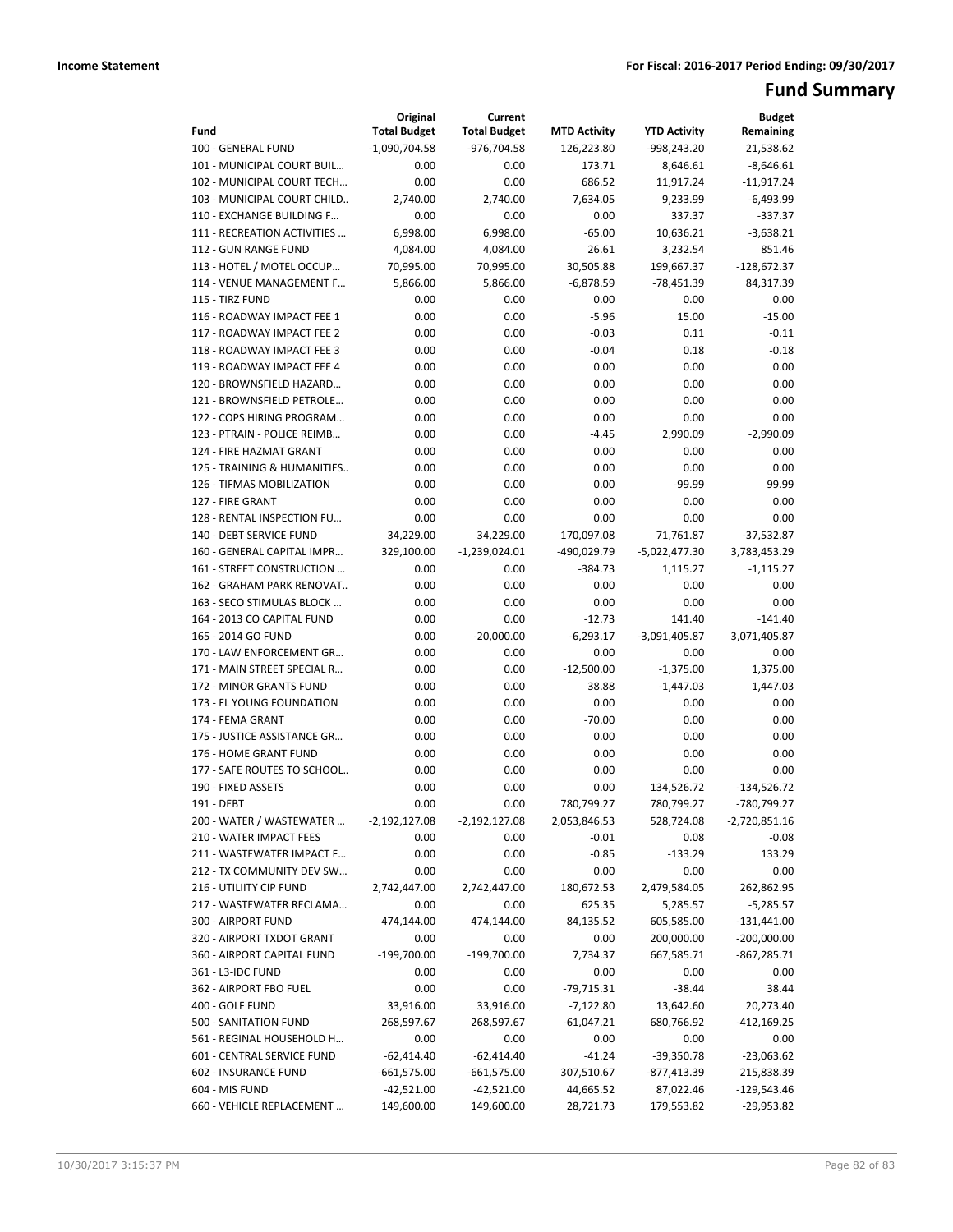# **Fund Summary**

|                                                          | Original              | Current               |                          |                            | <b>Budget</b>              |
|----------------------------------------------------------|-----------------------|-----------------------|--------------------------|----------------------------|----------------------------|
| Fund                                                     | <b>Total Budget</b>   | <b>Total Budget</b>   | <b>MTD Activity</b>      | <b>YTD Activity</b>        | Remaining                  |
| 100 - GENERAL FUND                                       | $-1.090.704.58$       | $-976,704.58$         | 126,223.80               | $-998.243.20$              | 21,538.62                  |
| 101 - MUNICIPAL COURT BUIL                               | 0.00                  | 0.00                  | 173.71                   | 8,646.61                   | $-8,646.61$                |
| 102 - MUNICIPAL COURT TECH                               | 0.00                  | 0.00                  | 686.52                   | 11,917.24                  | $-11,917.24$               |
| 103 - MUNICIPAL COURT CHILD<br>110 - EXCHANGE BUILDING F | 2,740.00              | 2,740.00              | 7,634.05                 | 9,233.99                   | $-6,493.99$                |
|                                                          | 0.00                  | 0.00                  | 0.00                     | 337.37                     | $-337.37$                  |
| 111 - RECREATION ACTIVITIES                              | 6,998.00              | 6,998.00              | $-65.00$                 | 10,636.21                  | $-3,638.21$                |
| 112 - GUN RANGE FUND                                     | 4,084.00              | 4,084.00              | 26.61                    | 3,232.54                   | 851.46                     |
| 113 - HOTEL / MOTEL OCCUP<br>114 - VENUE MANAGEMENT F    | 70,995.00<br>5,866.00 | 70,995.00<br>5,866.00 | 30,505.88<br>$-6,878.59$ | 199,667.37<br>$-78,451.39$ | $-128,672.37$<br>84,317.39 |
| 115 - TIRZ FUND                                          | 0.00                  | 0.00                  | 0.00                     | 0.00                       | 0.00                       |
| 116 - ROADWAY IMPACT FEE 1                               | 0.00                  | 0.00                  | $-5.96$                  | 15.00                      | $-15.00$                   |
| 117 - ROADWAY IMPACT FEE 2                               | 0.00                  | 0.00                  | $-0.03$                  | 0.11                       | $-0.11$                    |
| 118 - ROADWAY IMPACT FEE 3                               | 0.00                  | 0.00                  | $-0.04$                  | 0.18                       | $-0.18$                    |
| 119 - ROADWAY IMPACT FEE 4                               | 0.00                  | 0.00                  | 0.00                     | 0.00                       | 0.00                       |
| 120 - BROWNSFIELD HAZARD                                 | 0.00                  | 0.00                  | 0.00                     | 0.00                       | 0.00                       |
| 121 - BROWNSFIELD PETROLE                                | 0.00                  | 0.00                  | 0.00                     | 0.00                       | 0.00                       |
| 122 - COPS HIRING PROGRAM                                | 0.00                  | 0.00                  | 0.00                     | 0.00                       | 0.00                       |
| 123 - PTRAIN - POLICE REIMB                              | 0.00                  | 0.00                  | $-4.45$                  | 2,990.09                   | $-2,990.09$                |
| 124 - FIRE HAZMAT GRANT                                  | 0.00                  | 0.00                  | 0.00                     | 0.00                       | 0.00                       |
| 125 - TRAINING & HUMANITIES                              | 0.00                  | 0.00                  | 0.00                     | 0.00                       | 0.00                       |
| 126 - TIFMAS MOBILIZATION                                | 0.00                  | 0.00                  | 0.00                     | $-99.99$                   | 99.99                      |
| 127 - FIRE GRANT                                         | 0.00                  | 0.00                  | 0.00                     | 0.00                       | 0.00                       |
| 128 - RENTAL INSPECTION FU                               | 0.00                  | 0.00                  | 0.00                     | 0.00                       | 0.00                       |
| 140 - DEBT SERVICE FUND                                  | 34,229.00             | 34,229.00             | 170,097.08               | 71,761.87                  | $-37,532.87$               |
| 160 - GENERAL CAPITAL IMPR                               | 329,100.00            | $-1,239,024.01$       | -490,029.79              | $-5,022,477.30$            | 3,783,453.29               |
| 161 - STREET CONSTRUCTION                                | 0.00                  | 0.00                  | $-384.73$                | 1,115.27                   | $-1,115.27$                |
| 162 - GRAHAM PARK RENOVAT                                | 0.00                  | 0.00                  | 0.00                     | 0.00                       | 0.00                       |
| 163 - SECO STIMULAS BLOCK                                | 0.00                  | 0.00                  | 0.00                     | 0.00                       | 0.00                       |
| 164 - 2013 CO CAPITAL FUND                               | 0.00                  | 0.00                  | $-12.73$                 | 141.40                     | $-141.40$                  |
| 165 - 2014 GO FUND                                       | 0.00                  | $-20,000.00$          | $-6,293.17$              | $-3,091,405.87$            | 3,071,405.87               |
| 170 - LAW ENFORCEMENT GR                                 | 0.00                  | 0.00                  | 0.00                     | 0.00                       | 0.00                       |
| 171 - MAIN STREET SPECIAL R                              | 0.00                  | 0.00                  | $-12,500.00$             | $-1,375.00$                | 1,375.00                   |
| 172 - MINOR GRANTS FUND                                  | 0.00                  | 0.00                  | 38.88                    | $-1,447.03$                | 1,447.03                   |
| 173 - FL YOUNG FOUNDATION                                | 0.00                  | 0.00                  | 0.00                     | 0.00                       | 0.00                       |
| 174 - FEMA GRANT                                         | 0.00                  | 0.00                  | $-70.00$                 | 0.00                       | 0.00                       |
| 175 - JUSTICE ASSISTANCE GR                              | 0.00                  | 0.00                  | 0.00                     | 0.00                       | 0.00                       |
| 176 - HOME GRANT FUND                                    | 0.00                  | 0.00                  | 0.00                     | 0.00                       | 0.00                       |
| 177 - SAFE ROUTES TO SCHOOL                              | 0.00                  | 0.00                  | 0.00                     | 0.00                       | 0.00                       |
| 190 - FIXED ASSETS                                       | 0.00                  | 0.00                  | 0.00                     | 134,526.72                 | $-134,526.72$              |
| 191 - DEBT                                               | 0.00                  | 0.00                  | 780,799.27               | 780,799.27                 | -780,799.27                |
| 200 - WATER / WASTEWATER                                 | $-2,192,127.08$       | $-2,192,127.08$       | 2,053,846.53             | 528,724.08                 | $-2,720,851.16$            |
| 210 - WATER IMPACT FEES                                  | 0.00                  | 0.00                  | $-0.01$                  | 0.08                       | $-0.08$                    |
| 211 - WASTEWATER IMPACT F                                | 0.00                  | 0.00                  | $-0.85$                  | $-133.29$                  | 133.29                     |
| 212 - TX COMMUNITY DEV SW                                | 0.00                  | 0.00                  | 0.00                     | 0.00                       | 0.00                       |
| 216 - UTILIITY CIP FUND                                  | 2,742,447.00          | 2,742,447.00          | 180,672.53               | 2,479,584.05               | 262,862.95                 |
| 217 - WASTEWATER RECLAMA                                 | 0.00                  | 0.00                  | 625.35                   | 5,285.57                   | $-5,285.57$                |
| 300 - AIRPORT FUND                                       | 474,144.00            | 474,144.00            | 84,135.52                | 605,585.00                 | $-131,441.00$              |
| 320 - AIRPORT TXDOT GRANT                                | 0.00                  | 0.00                  | 0.00                     | 200,000.00                 | $-200,000.00$              |
| 360 - AIRPORT CAPITAL FUND                               | $-199,700.00$         | $-199,700.00$         | 7,734.37                 | 667,585.71                 | $-867,285.71$              |
| 361 - L3-IDC FUND                                        | 0.00                  | 0.00                  | 0.00                     | 0.00                       | 0.00                       |
| 362 - AIRPORT FBO FUEL                                   | 0.00                  | 0.00                  | $-79,715.31$             | $-38.44$                   | 38.44                      |
| 400 - GOLF FUND                                          | 33,916.00             | 33,916.00             | $-7,122.80$              | 13,642.60                  | 20,273.40                  |
| 500 - SANITATION FUND                                    | 268,597.67            | 268,597.67            | $-61,047.21$             | 680,766.92                 | -412,169.25                |
| 561 - REGINAL HOUSEHOLD H                                | 0.00                  | 0.00                  | 0.00                     | 0.00                       | 0.00                       |
| 601 - CENTRAL SERVICE FUND                               | $-62,414.40$          | $-62,414.40$          | $-41.24$                 | $-39,350.78$               | $-23,063.62$               |
| 602 - INSURANCE FUND                                     | $-661,575.00$         | $-661,575.00$         | 307,510.67               | -877,413.39                | 215,838.39                 |
| 604 - MIS FUND                                           | $-42,521.00$          | $-42,521.00$          | 44,665.52                | 87,022.46                  | $-129,543.46$              |
| 660 - VEHICLE REPLACEMENT                                | 149,600.00            | 149,600.00            | 28,721.73                | 179,553.82                 | -29,953.82                 |